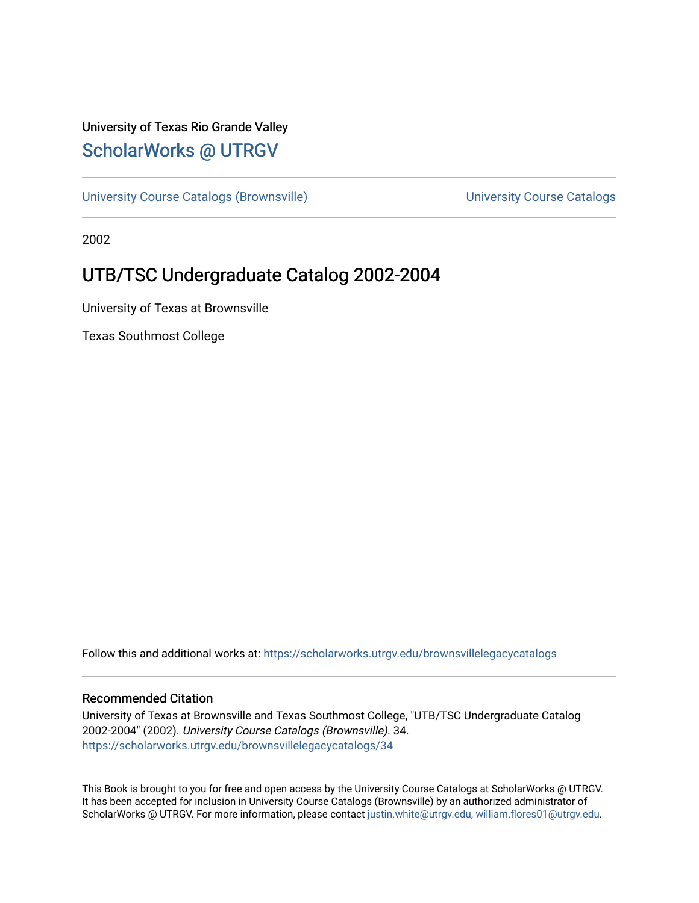### University of Texas Rio Grande Valley [ScholarWorks @ UTRGV](https://scholarworks.utrgv.edu/)

[University Course Catalogs \(Brownsville\)](https://scholarworks.utrgv.edu/brownsvillelegacycatalogs) Manual Course Catalogs Course Catalogs University Course Catalogs

2002

### UTB/TSC Undergraduate Catalog 2002-2004

University of Texas at Brownsville

Texas Southmost College

Follow this and additional works at: [https://scholarworks.utrgv.edu/brownsvillelegacycatalogs](https://scholarworks.utrgv.edu/brownsvillelegacycatalogs?utm_source=scholarworks.utrgv.edu%2Fbrownsvillelegacycatalogs%2F34&utm_medium=PDF&utm_campaign=PDFCoverPages) 

#### Recommended Citation

University of Texas at Brownsville and Texas Southmost College, "UTB/TSC Undergraduate Catalog 2002-2004" (2002). University Course Catalogs (Brownsville). 34. [https://scholarworks.utrgv.edu/brownsvillelegacycatalogs/34](https://scholarworks.utrgv.edu/brownsvillelegacycatalogs/34?utm_source=scholarworks.utrgv.edu%2Fbrownsvillelegacycatalogs%2F34&utm_medium=PDF&utm_campaign=PDFCoverPages)

This Book is brought to you for free and open access by the University Course Catalogs at ScholarWorks @ UTRGV. It has been accepted for inclusion in University Course Catalogs (Brownsville) by an authorized administrator of ScholarWorks @ UTRGV. For more information, please contact [justin.white@utrgv.edu, william.flores01@utrgv.edu](mailto:justin.white@utrgv.edu,%20william.flores01@utrgv.edu).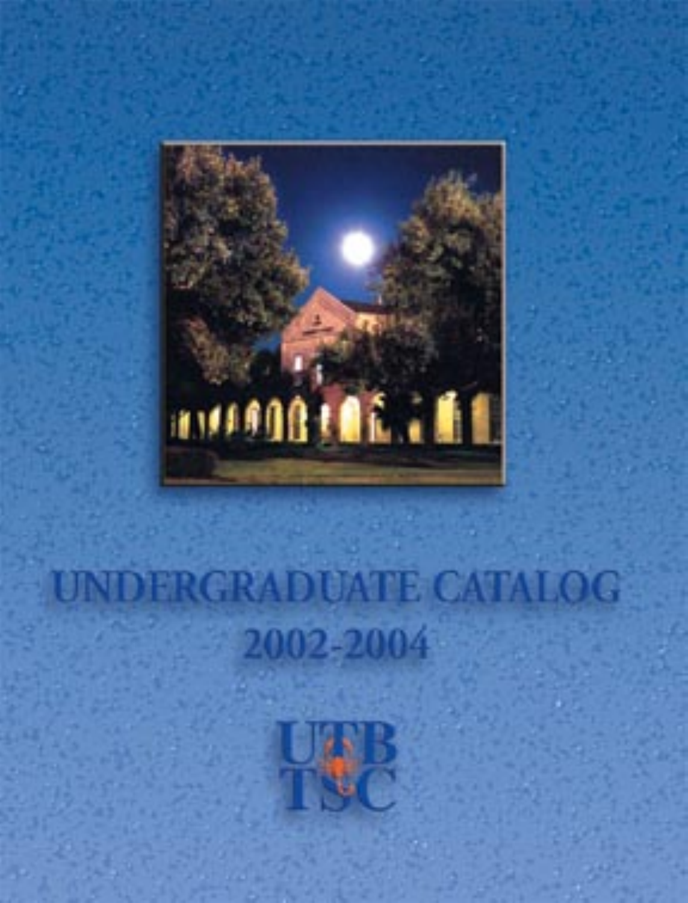

### **UNDERGRADUATE CATALOG** 2002-2004

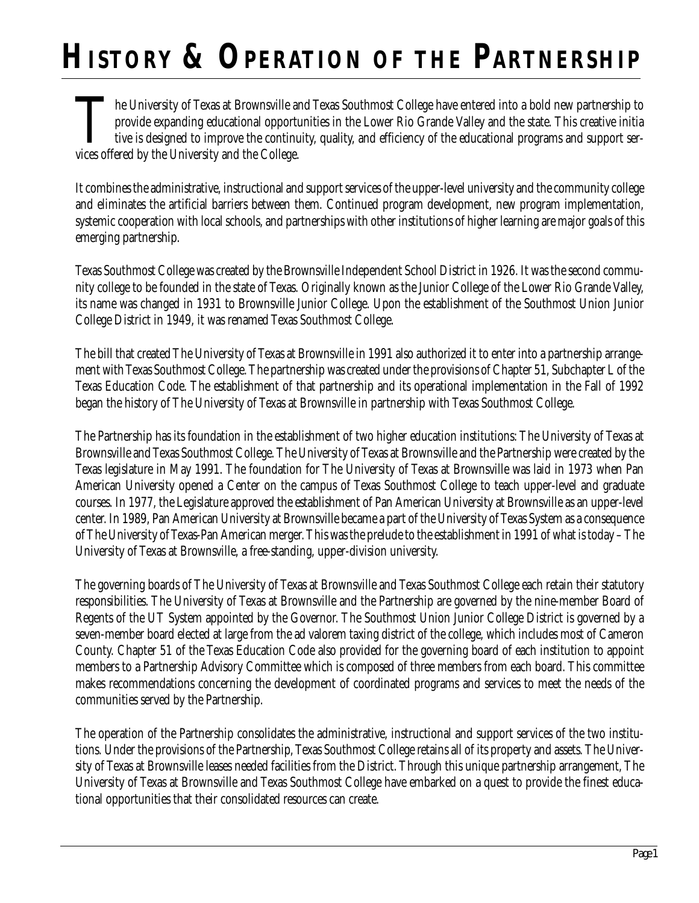# **HISTORY & OPERATION OF THE PARTNERSHIP**

The University of Texas at Brownsville and Texas Southmost College have entered into a bold new partnership to provide expanding educational opportunities in the Lower Rio Grande Valley and the state. This creative initial provide expanding educational opportunities in the Lower Rio Grande Valley and the state. This creative initia tive is designed to improve the continuity, quality, and efficiency of the educational programs and support services offered by the University and the College.

It combines the administrative, instructional and support services of the upper-level university and the community college and eliminates the artificial barriers between them. Continued program development, new program implementation, systemic cooperation with local schools, and partnerships with other institutions of higher learning are major goals of this emerging partnership.

Texas Southmost College was created by the Brownsville Independent School District in 1926. It was the second community college to be founded in the state of Texas. Originally known as the Junior College of the Lower Rio Grande Valley, its name was changed in 1931 to Brownsville Junior College. Upon the establishment of the Southmost Union Junior College District in 1949, it was renamed Texas Southmost College.

The bill that created The University of Texas at Brownsville in 1991 also authorized it to enter into a partnership arrangement with Texas Southmost College. The partnership was created under the provisions of Chapter 51, Subchapter L of the Texas Education Code. The establishment of that partnership and its operational implementation in the Fall of 1992 began the history of The University of Texas at Brownsville in partnership with Texas Southmost College.

The Partnership has its foundation in the establishment of two higher education institutions: The University of Texas at Brownsville and Texas Southmost College. The University of Texas at Brownsville and the Partnership were created by the Texas legislature in May 1991. The foundation for The University of Texas at Brownsville was laid in 1973 when Pan American University opened a Center on the campus of Texas Southmost College to teach upper-level and graduate courses. In 1977, the Legislature approved the establishment of Pan American University at Brownsville as an upper-level center. In 1989, Pan American University at Brownsville became a part of the University of Texas System as a consequence of The University of Texas-Pan American merger. This was the prelude to the establishment in 1991 of what is today – The University of Texas at Brownsville, a free-standing, upper-division university.

The governing boards of The University of Texas at Brownsville and Texas Southmost College each retain their statutory responsibilities. The University of Texas at Brownsville and the Partnership are governed by the nine-member Board of Regents of the UT System appointed by the Governor. The Southmost Union Junior College District is governed by a seven-member board elected at large from the ad valorem taxing district of the college, which includes most of Cameron County. Chapter 51 of the Texas Education Code also provided for the governing board of each institution to appoint members to a Partnership Advisory Committee which is composed of three members from each board. This committee makes recommendations concerning the development of coordinated programs and services to meet the needs of the communities served by the Partnership.

The operation of the Partnership consolidates the administrative, instructional and support services of the two institutions. Under the provisions of the Partnership, Texas Southmost College retains all of its property and assets. The University of Texas at Brownsville leases needed facilities from the District. Through this unique partnership arrangement, The University of Texas at Brownsville and Texas Southmost College have embarked on a quest to provide the finest educational opportunities that their consolidated resources can create.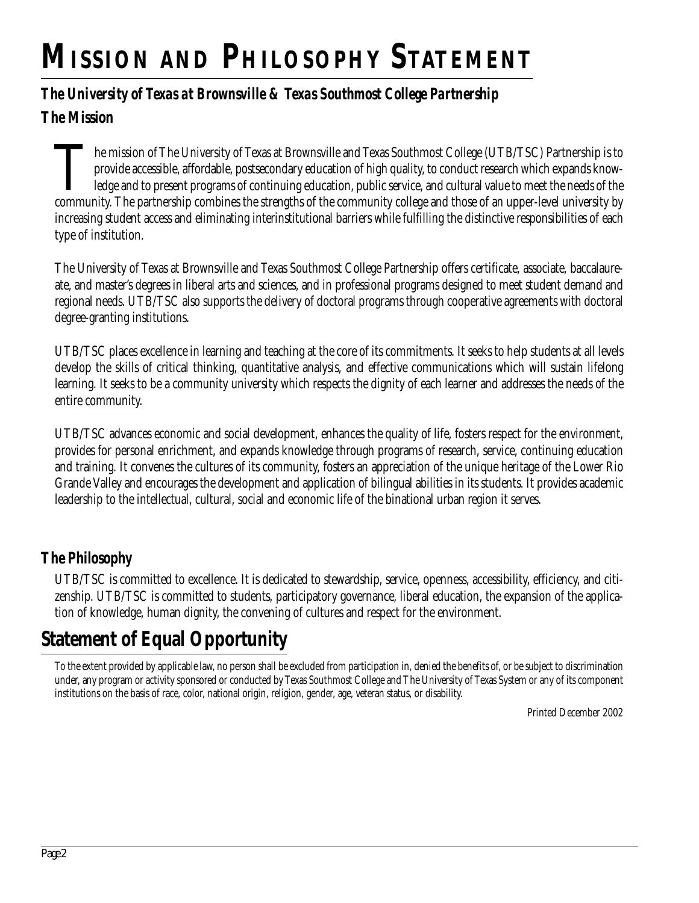# **MISSION AND PHILOSOPHY STATEMENT**

### *The University of Texas at Brownsville & Texas Southmost College Partnership*

**The Mission**

The mission of The University of Texas at Brownsville and Texas Southmost College (UTB/TSC) Partnership is to<br>provide accessible, affordable, postsecondary education of high quality, to conduct research which expands knowprovide accessible, affordable, postsecondary education of high quality, to conduct research which expands knowledge and to present programs of continuing education, public service, and cultural value to meet the needs of the community. The partnership combines the strengths of the community college and those of an upper-level university by increasing student access and eliminating interinstitutional barriers while fulfilling the distinctive responsibilities of each type of institution.

The University of Texas at Brownsville and Texas Southmost College Partnership offers certificate, associate, baccalaureate, and master's degrees in liberal arts and sciences, and in professional programs designed to meet student demand and regional needs. UTB/TSC also supports the delivery of doctoral programs through cooperative agreements with doctoral degree-granting institutions.

UTB/TSC places excellence in learning and teaching at the core of its commitments. It seeks to help students at all levels develop the skills of critical thinking, quantitative analysis, and effective communications which will sustain lifelong learning. It seeks to be a community university which respects the dignity of each learner and addresses the needs of the entire community.

UTB/TSC advances economic and social development, enhances the quality of life, fosters respect for the environment, provides for personal enrichment, and expands knowledge through programs of research, service, continuing education and training. It convenes the cultures of its community, fosters an appreciation of the unique heritage of the Lower Rio Grande Valley and encourages the development and application of bilingual abilities in its students. It provides academic leadership to the intellectual, cultural, social and economic life of the binational urban region it serves.

### **The Philosophy**

UTB/TSC is committed to excellence. It is dedicated to stewardship, service, openness, accessibility, efficiency, and citizenship. UTB/TSC is committed to students, participatory governance, liberal education, the expansion of the application of knowledge, human dignity, the convening of cultures and respect for the environment.

# **Statement of Equal Opportunity**

To the extent provided by applicable law, no person shall be excluded from participation in, denied the benefits of, or be subject to discrimination under, any program or activity sponsored or conducted by Texas Southmost College and The University of Texas System or any of its component institutions on the basis of race, color, national origin, religion, gender, age, veteran status, or disability.

Printed December 2002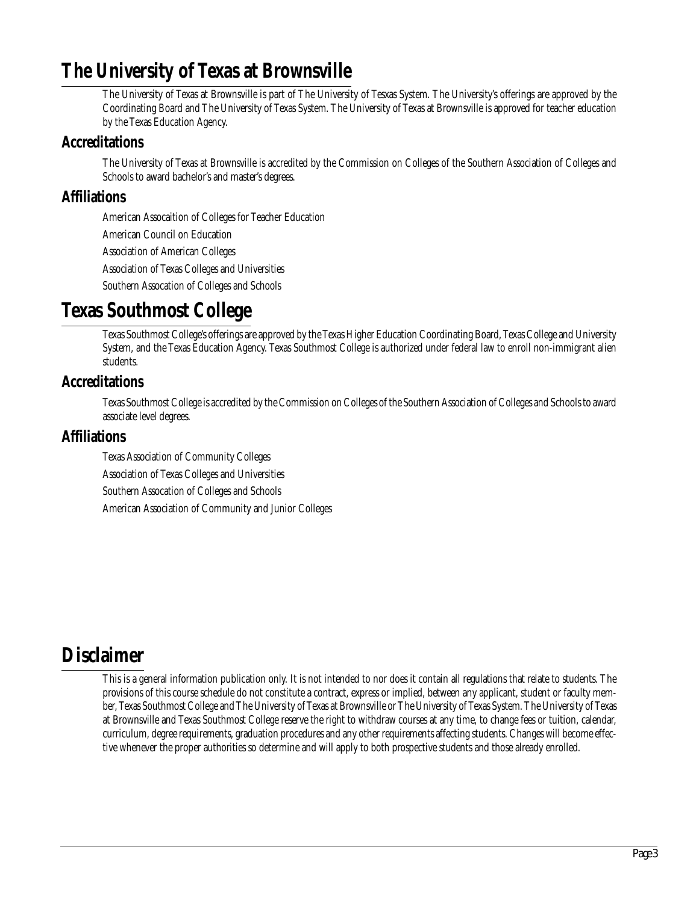### **The University of Texas at Brownsville**

The University of Texas at Brownsville is part of The University of Tesxas System. The University's offerings are approved by the Coordinating Board and The University of Texas System. The University of Texas at Brownsville is approved for teacher education by the Texas Education Agency.

### **Accreditations**

The University of Texas at Brownsville is accredited by the Commission on Colleges of the Southern Association of Colleges and Schools to award bachelor's and master's degrees.

### **Affiliations**

American Assocaition of Colleges for Teacher Education

American Council on Education

Association of American Colleges

Association of Texas Colleges and Universities

Southern Assocation of Colleges and Schools

### **Texas Southmost College**

Texas Southmost College's offerings are approved by the Texas Higher Education Coordinating Board, Texas College and University System, and the Texas Education Agency. Texas Southmost College is authorized under federal law to enroll non-immigrant alien students.

### **Accreditations**

Texas Southmost College is accredited by the Commission on Colleges of the Southern Association of Colleges and Schools to award associate level degrees.

### **Affiliations**

Texas Association of Community Colleges Association of Texas Colleges and Universities Southern Assocation of Colleges and Schools American Association of Community and Junior Colleges

### **Disclaimer**

This is a general information publication only. It is not intended to nor does it contain all regulations that relate to students. The provisions of this course schedule do not constitute a contract, express or implied, between any applicant, student or faculty member, Texas Southmost College and The University of Texas at Brownsville or The University of Texas System. The University of Texas at Brownsville and Texas Southmost College reserve the right to withdraw courses at any time, to change fees or tuition, calendar, curriculum, degree requirements, graduation procedures and any other requirements affecting students. Changes will become effective whenever the proper authorities so determine and will apply to both prospective students and those already enrolled.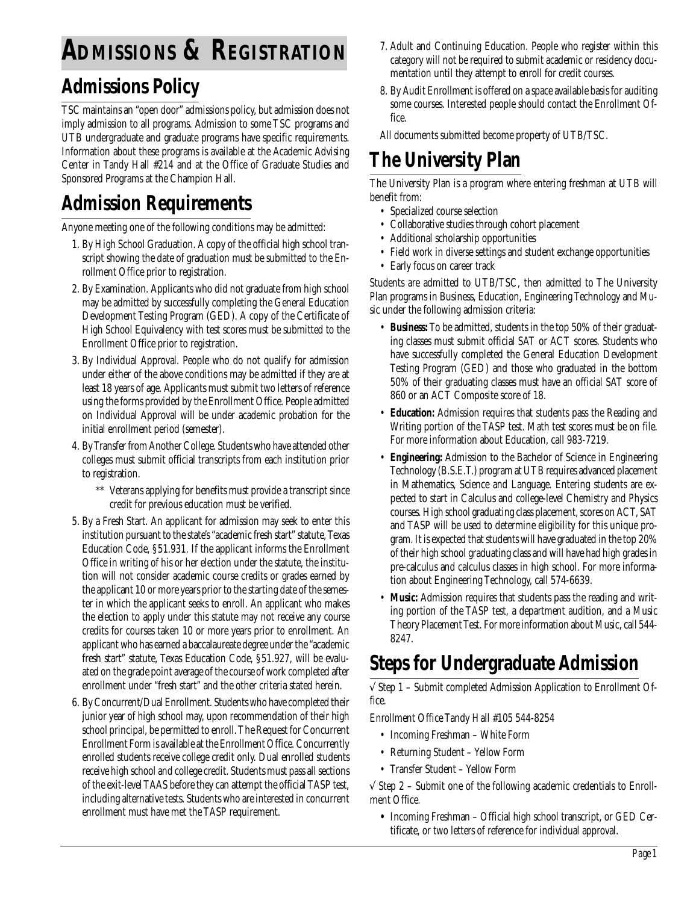# **ADMISSIONS & REGISTRATION**

### **Admissions Policy**

TSC maintains an "open door" admissions policy, but admission does not imply admission to all programs. Admission to some TSC programs and UTB undergraduate and graduate programs have specific requirements. Information about these programs is available at the Academic Advising Center in Tandy Hall #214 and at the Office of Graduate Studies and Sponsored Programs at the Champion Hall.

### **Admission Requirements**

Anyone meeting one of the following conditions may be admitted:

- 1. By High School Graduation. A copy of the official high school transcript showing the date of graduation must be submitted to the Enrollment Office prior to registration.
- 2. By Examination. Applicants who did not graduate from high school may be admitted by successfully completing the General Education Development Testing Program (GED). A copy of the Certificate of High School Equivalency with test scores must be submitted to the Enrollment Office prior to registration.
- 3. By Individual Approval. People who do not qualify for admission under either of the above conditions may be admitted if they are at least 18 years of age. Applicants must submit two letters of reference using the forms provided by the Enrollment Office. People admitted on Individual Approval will be under academic probation for the initial enrollment period (semester).
- 4. By Transfer from Another College. Students who have attended other colleges must submit official transcripts from each institution prior to registration.
	- \*\* Veterans applying for benefits must provide a transcript since credit for previous education must be verified.
- 5. By a Fresh Start. An applicant for admission may seek to enter this institution pursuant to the state's "academic fresh start" statute, Texas Education Code, §51.931. If the applicant informs the Enrollment Office in writing of his or her election under the statute, the institution will not consider academic course credits or grades earned by the applicant 10 or more years prior to the starting date of the semester in which the applicant seeks to enroll. An applicant who makes the election to apply under this statute may not receive any course credits for courses taken 10 or more years prior to enrollment. An applicant who has earned a baccalaureate degree under the "academic fresh start" statute, Texas Education Code, §51.927, will be evaluated on the grade point average of the course of work completed after enrollment under "fresh start" and the other criteria stated herein.
- 6. By Concurrent/Dual Enrollment. Students who have completed their junior year of high school may, upon recommendation of their high school principal, be permitted to enroll. The Request for Concurrent Enrollment Form is available at the Enrollment Office. Concurrently enrolled students receive college credit only. Dual enrolled students receive high school and college credit. Students must pass all sections of the exit-level TAAS before they can attempt the official TASP test, including alternative tests. Students who are interested in concurrent enrollment must have met the TASP requirement.
- 7. Adult and Continuing Education. People who register within this category will not be required to submit academic or residency documentation until they attempt to enroll for credit courses.
- 8. By Audit Enrollment is offered on a space available basis for auditing some courses. Interested people should contact the Enrollment Office.

All documents submitted become property of UTB/TSC.

# **The University Plan**

The University Plan is a program where entering freshman at UTB will benefit from:

- Specialized course selection
- Collaborative studies through cohort placement
- Additional scholarship opportunities
- Field work in diverse settings and student exchange opportunities
- Early focus on career track

Students are admitted to UTB/TSC, then admitted to The University Plan programs in Business, Education, Engineering Technology and Music under the following admission criteria:

- **Business:** To be admitted, students in the top 50% of their graduating classes must submit official SAT or ACT scores. Students who have successfully completed the General Education Development Testing Program (GED) and those who graduated in the bottom 50% of their graduating classes must have an official SAT score of 860 or an ACT Composite score of 18.
- **Education:** Admission requires that students pass the Reading and Writing portion of the TASP test. Math test scores must be on file. For more information about Education, call 983-7219.
- **Engineering:** Admission to the Bachelor of Science in Engineering Technology (B.S.E.T.) program at UTB requires advanced placement in Mathematics, Science and Language. Entering students are expected to start in Calculus and college-level Chemistry and Physics courses. High school graduating class placement, scores on ACT, SAT and TASP will be used to determine eligibility for this unique program. It is expected that students will have graduated in the top 20% of their high school graduating class and will have had high grades in pre-calculus and calculus classes in high school. For more information about Engineering Technology, call 574-6639.
- **Music:** Admission requires that students pass the reading and writing portion of the TASP test, a department audition, and a Music Theory Placement Test. For more information about Music, call 544- 8247.

### **Steps for Undergraduate Admission**

√ Step 1 – Submit completed Admission Application to Enrollment Office.

Enrollment Office Tandy Hall #105 544-8254

- Incoming Freshman White Form
- Returning Student Yellow Form
- Transfer Student Yellow Form

 $\sqrt{\frac{1}{2}}$  Step 2 – Submit one of the following academic credentials to Enrollment Office.

**•** Incoming Freshman – Official high school transcript, or GED Certificate, or two letters of reference for individual approval.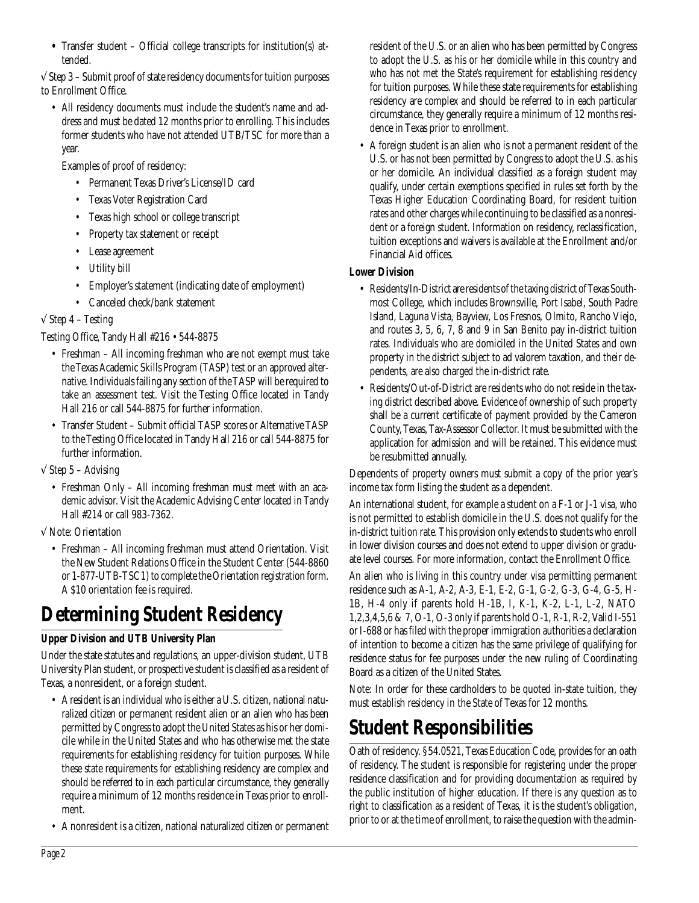**•** Transfer student – Official college transcripts for institution(s) attended.

√ Step 3 – Submit proof of state residency documents for tuition purposes to Enrollment Office.

• All residency documents must include the student's name and address and must be dated 12 months prior to enrolling. This includes former students who have not attended UTB/TSC for more than a year.

Examples of proof of residency:

- Permanent Texas Driver's License/ID card
- Texas Voter Registration Card
- Texas high school or college transcript
- Property tax statement or receipt
- Lease agreement
- Utility bill
- Employer's statement (indicating date of employment)
- Canceled check/bank statement

#### $\sqrt{\frac{1}{1}}$  Step 4 – Testing

#### Testing Office, Tandy Hall #216 • 544-8875

- Freshman All incoming freshman who are not exempt must take the Texas Academic Skills Program (TASP) test or an approved alternative. Individuals failing any section of the TASP will be required to take an assessment test. Visit the Testing Office located in Tandy Hall 216 or call 544-8875 for further information.
- Transfer Student Submit official TASP scores or Alternative TASP to the Testing Office located in Tandy Hall 216 or call 544-8875 for further information.
- $\sqrt{\text{Step 5 -}$  Advising
	- Freshman Only All incoming freshman must meet with an academic advisor. Visit the Academic Advising Center located in Tandy Hall #214 or call 983-7362.

√ Note: Orientation

• Freshman – All incoming freshman must attend Orientation. Visit the New Student Relations Office in the Student Center (544-8860 or 1-877-UTB-TSC1) to complete the Orientation registration form. A \$10 orientation fee is required.

# **Determining Student Residency**

### **Upper Division and UTB University Plan**

Under the state statutes and regulations, an upper-division student, UTB University Plan student, or prospective student is classified as a resident of Texas, a nonresident, or a foreign student.

- A resident is an individual who is either a U.S. citizen, national naturalized citizen or permanent resident alien or an alien who has been permitted by Congress to adopt the United States as his or her domicile while in the United States and who has otherwise met the state requirements for establishing residency for tuition purposes. While these state requirements for establishing residency are complex and should be referred to in each particular circumstance, they generally require a minimum of 12 months residence in Texas prior to enrollment.
- A nonresident is a citizen, national naturalized citizen or permanent

resident of the U.S. or an alien who has been permitted by Congress to adopt the U.S. as his or her domicile while in this country and who has not met the State's requirement for establishing residency for tuition purposes. While these state requirements for establishing residency are complex and should be referred to in each particular circumstance, they generally require a minimum of 12 months residence in Texas prior to enrollment.

• A foreign student is an alien who is not a permanent resident of the U.S. or has not been permitted by Congress to adopt the U.S. as his or her domicile. An individual classified as a foreign student may qualify, under certain exemptions specified in rules set forth by the Texas Higher Education Coordinating Board, for resident tuition rates and other charges while continuing to be classified as a nonresident or a foreign student. Information on residency, reclassification, tuition exceptions and waivers is available at the Enrollment and/or Financial Aid offices.

#### **Lower Division**

- Residents/In-District are residents of the taxing district of Texas Southmost College, which includes Brownsville, Port Isabel, South Padre Island, Laguna Vista, Bayview, Los Fresnos, Olmito, Rancho Viejo, and routes 3, 5, 6, 7, 8 and 9 in San Benito pay in-district tuition rates. Individuals who are domiciled in the United States and own property in the district subject to ad valorem taxation, and their dependents, are also charged the in-district rate.
- Residents/Out-of-District are residents who do not reside in the taxing district described above. Evidence of ownership of such property shall be a current certificate of payment provided by the Cameron County, Texas, Tax-Assessor Collector. It must be submitted with the application for admission and will be retained. This evidence must be resubmitted annually.

Dependents of property owners must submit a copy of the prior year's income tax form listing the student as a dependent.

An international student, for example a student on a F-1 or J-1 visa, who is not permitted to establish domicile in the U.S. does not qualify for the in-district tuition rate. This provision only extends to students who enroll in lower division courses and does not extend to upper division or graduate level courses. For more information, contact the Enrollment Office.

An alien who is living in this country under visa permitting permanent residence such as A-1, A-2, A-3, E-1, E-2, G-1, G-2, G-3, G-4, G-5, H-1B, H-4 only if parents hold H-1B, I, K-1, K-2, L-1, L-2, NATO 1,2,3,4,5,6 & 7, O-1, O-3 only if parents hold O-1, R-1, R-2, Valid I-551 or I-688 or has filed with the proper immigration authorities a declaration of intention to become a citizen has the same privilege of qualifying for residence status for fee purposes under the new ruling of Coordinating Board as a citizen of the United States.

Note: In order for these cardholders to be quoted in-state tuition, they must establish residency in the State of Texas for 12 months.

### **Student Responsibilities**

Oath of residency. §54.0521, Texas Education Code, provides for an oath of residency. The student is responsible for registering under the proper residence classification and for providing documentation as required by the public institution of higher education. If there is any question as to right to classification as a resident of Texas, it is the student's obligation, prior to or at the time of enrollment, to raise the question with the admin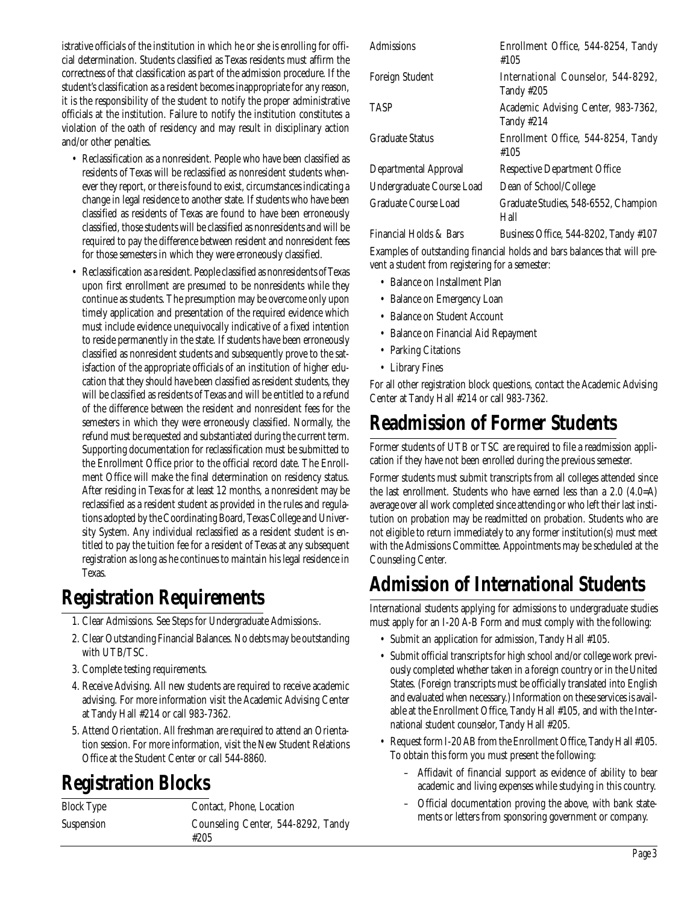istrative officials of the institution in which he or she is enrolling for official determination. Students classified as Texas residents must affirm the correctness of that classification as part of the admission procedure. If the student's classification as a resident becomes inappropriate for any reason, it is the responsibility of the student to notify the proper administrative officials at the institution. Failure to notify the institution constitutes a violation of the oath of residency and may result in disciplinary action and/or other penalties.

- Reclassification as a nonresident. People who have been classified as residents of Texas will be reclassified as nonresident students whenever they report, or there is found to exist, circumstances indicating a change in legal residence to another state. If students who have been classified as residents of Texas are found to have been erroneously classified, those students will be classified as nonresidents and will be required to pay the difference between resident and nonresident fees for those semesters in which they were erroneously classified.
- Reclassification as a resident. People classified as nonresidents of Texas upon first enrollment are presumed to be nonresidents while they continue as students. The presumption may be overcome only upon timely application and presentation of the required evidence which must include evidence unequivocally indicative of a fixed intention to reside permanently in the state. If students have been erroneously classified as nonresident students and subsequently prove to the satisfaction of the appropriate officials of an institution of higher education that they should have been classified as resident students, they will be classified as residents of Texas and will be entitled to a refund of the difference between the resident and nonresident fees for the semesters in which they were erroneously classified. Normally, the refund must be requested and substantiated during the current term. Supporting documentation for reclassification must be submitted to the Enrollment Office prior to the official record date. The Enrollment Office will make the final determination on residency status. After residing in Texas for at least 12 months, a nonresident may be reclassified as a resident student as provided in the rules and regulations adopted by the Coordinating Board, Texas College and University System. Any individual reclassified as a resident student is entitled to pay the tuition fee for a resident of Texas at any subsequent registration as long as he continues to maintain his legal residence in Texas.

### **Registration Requirements**

- 1. Clear Admissions. See Steps for Undergraduate Admissions..
- 2. Clear Outstanding Financial Balances. No debts may be outstanding with UTB/TSC.
- 3. Complete testing requirements.
- 4. Receive Advising. All new students are required to receive academic advising. For more information visit the Academic Advising Center at Tandy Hall #214 or call 983-7362.
- 5. Attend Orientation. All freshman are required to attend an Orientation session. For more information, visit the New Student Relations Office at the Student Center or call 544-8860.

### **Registration Blocks**

| <b>Block Type</b> | Contact, Phone, Location                   |
|-------------------|--------------------------------------------|
| Suspension        | Counseling Center, 544-8292, Tandy<br>#205 |

| Admissions                | Enrollment Office, 544-8254, Tandy<br>#105        |
|---------------------------|---------------------------------------------------|
| Foreign Student           | International Counselor, 544-8292,<br>Tandy #205  |
| <b>TASP</b>               | Academic Advising Center, 983-7362,<br>Tandy #214 |
| <b>Graduate Status</b>    | Enrollment Office, 544-8254, Tandy<br>#105        |
| Departmental Approval     | <b>Respective Department Office</b>               |
| Undergraduate Course Load | Dean of School/College                            |
| Graduate Course Load      | Graduate Studies, 548-6552, Champion<br>Hall      |
|                           |                                                   |

Financial Holds  $&$  Bars Business Office, 544-8202, Tandy  $#107$ 

Examples of outstanding financial holds and bars balances that will prevent a student from registering for a semester:

- Balance on Installment Plan
- Balance on Emergency Loan
- Balance on Student Account
- Balance on Financial Aid Repayment
- Parking Citations
- Library Fines

For all other registration block questions, contact the Academic Advising Center at Tandy Hall #214 or call 983-7362.

### **Readmission of Former Students**

Former students of UTB or TSC are required to file a readmission application if they have not been enrolled during the previous semester.

Former students must submit transcripts from all colleges attended since the last enrollment. Students who have earned less than a 2.0 (4.0=A) average over all work completed since attending or who left their last institution on probation may be readmitted on probation. Students who are not eligible to return immediately to any former institution(s) must meet with the Admissions Committee. Appointments may be scheduled at the Counseling Center.

### **Admission of International Students**

International students applying for admissions to undergraduate studies must apply for an I-20 A-B Form and must comply with the following:

- Submit an application for admission, Tandy Hall #105.
- Submit official transcripts for high school and/or college work previously completed whether taken in a foreign country or in the United States. (Foreign transcripts must be officially translated into English and evaluated when necessary.) Information on these services is available at the Enrollment Office, Tandy Hall #105, and with the International student counselor, Tandy Hall #205.
- Request form I-20 AB from the Enrollment Office, Tandy Hall #105. To obtain this form you must present the following:
	- Affidavit of financial support as evidence of ability to bear academic and living expenses while studying in this country.
	- Official documentation proving the above, with bank statements or letters from sponsoring government or company.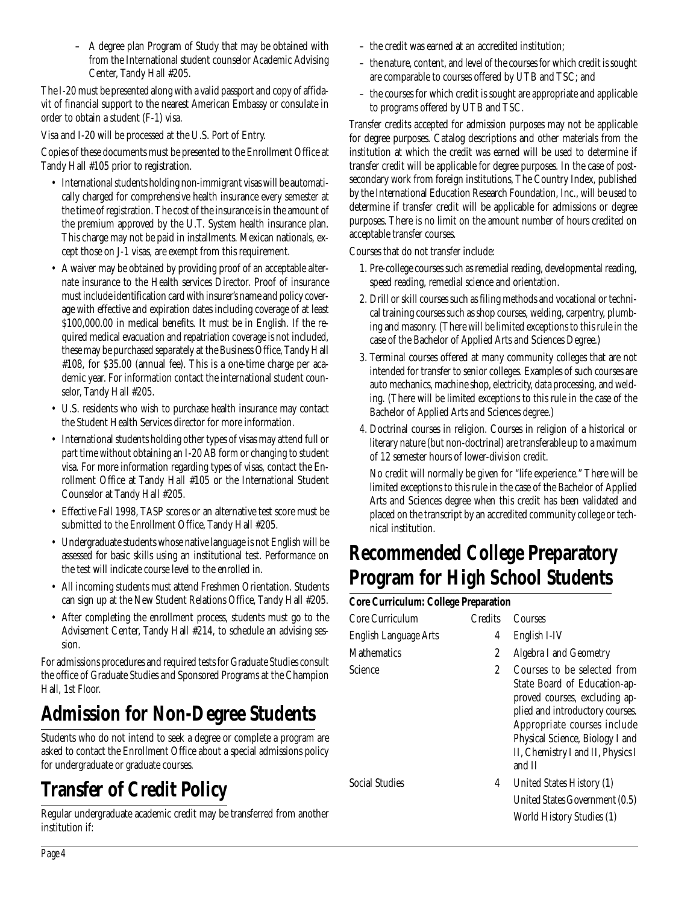– A degree plan Program of Study that may be obtained with from the International student counselor Academic Advising Center, Tandy Hall #205.

The I-20 must be presented along with a valid passport and copy of affidavit of financial support to the nearest American Embassy or consulate in order to obtain a student (F-1) visa.

Visa and I-20 will be processed at the U.S. Port of Entry.

Copies of these documents must be presented to the Enrollment Office at Tandy Hall #105 prior to registration.

- International students holding non-immigrant visas will be automatically charged for comprehensive health insurance every semester at the time of registration. The cost of the insurance is in the amount of the premium approved by the U.T. System health insurance plan. This charge may not be paid in installments. Mexican nationals, except those on J-1 visas, are exempt from this requirement.
- A waiver may be obtained by providing proof of an acceptable alternate insurance to the Health services Director. Proof of insurance must include identification card with insurer's name and policy coverage with effective and expiration dates including coverage of at least \$100,000.00 in medical benefits. It must be in English. If the required medical evacuation and repatriation coverage is not included, these may be purchased separately at the Business Office, Tandy Hall #108, for \$35.00 (annual fee). This is a one-time charge per academic year. For information contact the international student counselor, Tandy Hall #205.
- U.S. residents who wish to purchase health insurance may contact the Student Health Services director for more information.
- International students holding other types of visas may attend full or part time without obtaining an I-20 AB form or changing to student visa. For more information regarding types of visas, contact the Enrollment Office at Tandy Hall #105 or the International Student Counselor at Tandy Hall #205.
- Effective Fall 1998, TASP scores or an alternative test score must be submitted to the Enrollment Office, Tandy Hall #205.
- Undergraduate students whose native language is not English will be assessed for basic skills using an institutional test. Performance on the test will indicate course level to the enrolled in.
- All incoming students must attend Freshmen Orientation. Students can sign up at the New Student Relations Office, Tandy Hall #205.
- After completing the enrollment process, students must go to the Advisement Center, Tandy Hall #214, to schedule an advising session.

For admissions procedures and required tests for Graduate Studies consult the office of Graduate Studies and Sponsored Programs at the Champion Hall, 1st Floor.

# **Admission for Non-Degree Students**

Students who do not intend to seek a degree or complete a program are asked to contact the Enrollment Office about a special admissions policy for undergraduate or graduate courses.

# **Transfer of Credit Policy**

Regular undergraduate academic credit may be transferred from another institution if:

- the credit was earned at an accredited institution;
- the nature, content, and level of the courses for which credit is sought are comparable to courses offered by UTB and TSC; and
- the courses for which credit is sought are appropriate and applicable to programs offered by UTB and TSC.

Transfer credits accepted for admission purposes may not be applicable for degree purposes. Catalog descriptions and other materials from the institution at which the credit was earned will be used to determine if transfer credit will be applicable for degree purposes. In the case of postsecondary work from foreign institutions, The Country Index, published by the International Education Research Foundation, Inc., will be used to determine if transfer credit will be applicable for admissions or degree purposes. There is no limit on the amount number of hours credited on acceptable transfer courses.

Courses that do not transfer include:

- 1. Pre-college courses such as remedial reading, developmental reading, speed reading, remedial science and orientation.
- 2. Drill or skill courses such as filing methods and vocational or technical training courses such as shop courses, welding, carpentry, plumbing and masonry. (There will be limited exceptions to this rule in the case of the Bachelor of Applied Arts and Sciences Degree.)
- 3. Terminal courses offered at many community colleges that are not intended for transfer to senior colleges. Examples of such courses are auto mechanics, machine shop, electricity, data processing, and welding. (There will be limited exceptions to this rule in the case of the Bachelor of Applied Arts and Sciences degree.)
- 4. Doctrinal courses in religion. Courses in religion of a historical or literary nature (but non-doctrinal) are transferable up to a maximum of 12 semester hours of lower-division credit.

No credit will normally be given for "life experience." There will be limited exceptions to this rule in the case of the Bachelor of Applied Arts and Sciences degree when this credit has been validated and placed on the transcript by an accredited community college or technical institution.

### **Recommended College Preparatory Program for High School Students**

### **Core Curriculum: College Preparation** Core Curriculum Credits Courses English Language Arts 4 English I-IV Mathematics 2 Algebra I and Geometry Science 2 Courses to be selected from State Board of Education-approved courses, excluding applied and introductory courses. Appropriate courses include Physical Science, Biology I and II, Chemistry I and II, Physics I and II Social Studies **4** United States History (1) United States Government (0.5) World History Studies (1)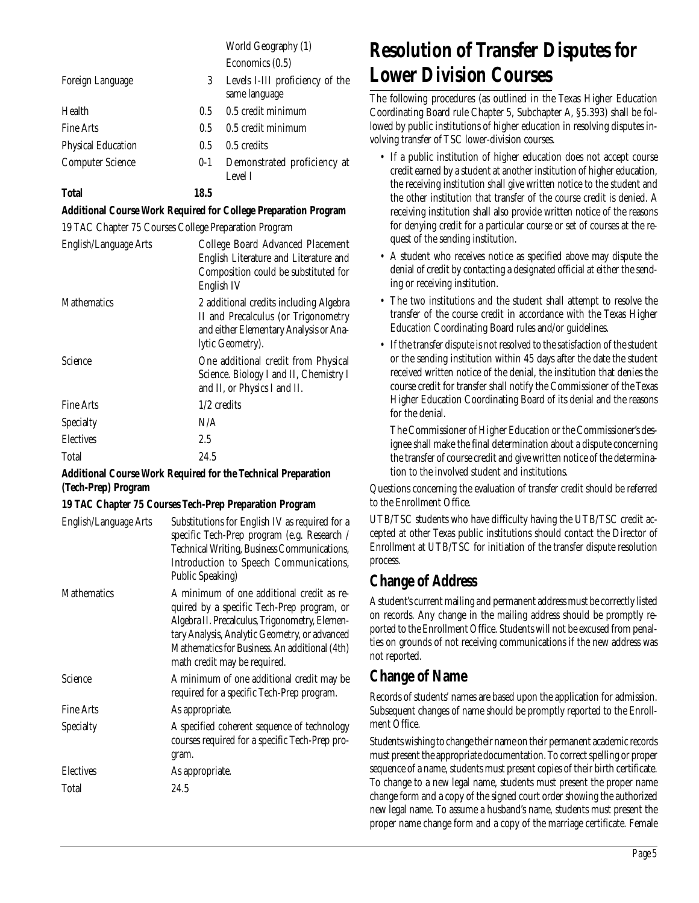World Geography (1) Economics (0.5)

| Foreign Language          | 3       | Levels I-III proficiency of the<br>same language |
|---------------------------|---------|--------------------------------------------------|
| Health                    | 0.5     | 0.5 credit minimum                               |
| <b>Fine Arts</b>          | 0.5     | 0.5 credit minimum                               |
| <b>Physical Education</b> | 0.5     | 0.5 credits                                      |
| <b>Computer Science</b>   | $0 - 1$ | Demonstrated proficiency at<br>Level I           |
| <b>Total</b>              | 18.5    |                                                  |

#### **Additional Course Work Required for College Preparation Program**

19 TAC Chapter 75 Courses College Preparation Program

| English/Language Arts | College Board Advanced Placement<br>English Literature and Literature and<br>Composition could be substituted for<br>English IV             |
|-----------------------|---------------------------------------------------------------------------------------------------------------------------------------------|
| Mathematics           | 2 additional credits including Algebra<br>II and Precalculus (or Trigonometry<br>and either Elementary Analysis or Ana-<br>lytic Geometry). |
| Science               | One additional credit from Physical<br>Science. Biology I and II, Chemistry I<br>and II, or Physics I and II.                               |
| <b>Fine Arts</b>      | $1/2$ credits                                                                                                                               |
| <b>Specialty</b>      | N/A                                                                                                                                         |
| <b>Electives</b>      | 2.5                                                                                                                                         |
| <b>Total</b>          | 24.5                                                                                                                                        |
|                       |                                                                                                                                             |

#### **Additional Course Work Required for the Technical Preparation (Tech-Prep) Program**

#### **19 TAC Chapter 75 Courses Tech-Prep Preparation Program**

| Substitutions for English IV as required for a<br>English/Language Arts<br>specific Tech-Prep program (e.g. Research /<br>Technical Writing, Business Communications,<br>Introduction to Speech Communications,<br><b>Public Speaking)</b>                                                        |  |
|---------------------------------------------------------------------------------------------------------------------------------------------------------------------------------------------------------------------------------------------------------------------------------------------------|--|
| A minimum of one additional credit as re-<br><b>Mathematics</b><br>quired by a specific Tech-Prep program, or<br>Algebra II. Precalculus, Trigonometry, Elemen-<br>tary Analysis, Analytic Geometry, or advanced<br>Mathematics for Business. An additional (4th)<br>math credit may be required. |  |
| <b>Science</b><br>A minimum of one additional credit may be<br>required for a specific Tech-Prep program.                                                                                                                                                                                         |  |
| <b>Fine Arts</b><br>As appropriate.                                                                                                                                                                                                                                                               |  |
| A specified coherent sequence of technology<br><b>Specialty</b><br>courses required for a specific Tech-Prep pro-<br>gram.                                                                                                                                                                        |  |
| <b>Electives</b><br>As appropriate.                                                                                                                                                                                                                                                               |  |
| Total<br>24.5                                                                                                                                                                                                                                                                                     |  |

### **Resolution of Transfer Disputes for Lower Division Courses**

The following procedures (as outlined in the Texas Higher Education Coordinating Board rule Chapter 5, Subchapter A, §5.393) shall be followed by public institutions of higher education in resolving disputes involving transfer of TSC lower-division courses.

- If a public institution of higher education does not accept course credit earned by a student at another institution of higher education, the receiving institution shall give written notice to the student and the other institution that transfer of the course credit is denied. A receiving institution shall also provide written notice of the reasons for denying credit for a particular course or set of courses at the request of the sending institution.
- A student who receives notice as specified above may dispute the denial of credit by contacting a designated official at either the sending or receiving institution.
- The two institutions and the student shall attempt to resolve the transfer of the course credit in accordance with the Texas Higher Education Coordinating Board rules and/or guidelines.
- If the transfer dispute is not resolved to the satisfaction of the student or the sending institution within 45 days after the date the student received written notice of the denial, the institution that denies the course credit for transfer shall notify the Commissioner of the Texas Higher Education Coordinating Board of its denial and the reasons for the denial.

The Commissioner of Higher Education or the Commissioner's designee shall make the final determination about a dispute concerning the transfer of course credit and give written notice of the determination to the involved student and institutions.

Questions concerning the evaluation of transfer credit should be referred to the Enrollment Office.

UTB/TSC students who have difficulty having the UTB/TSC credit accepted at other Texas public institutions should contact the Director of Enrollment at UTB/TSC for initiation of the transfer dispute resolution process.

### **Change of Address**

A student's current mailing and permanent address must be correctly listed on records. Any change in the mailing address should be promptly reported to the Enrollment Office. Students will not be excused from penalties on grounds of not receiving communications if the new address was not reported.

### **Change of Name**

Records of students' names are based upon the application for admission. Subsequent changes of name should be promptly reported to the Enrollment Office.

Students wishing to change their name on their permanent academic records must present the appropriate documentation. To correct spelling or proper sequence of a name, students must present copies of their birth certificate. To change to a new legal name, students must present the proper name change form and a copy of the signed court order showing the authorized new legal name. To assume a husband's name, students must present the proper name change form and a copy of the marriage certificate. Female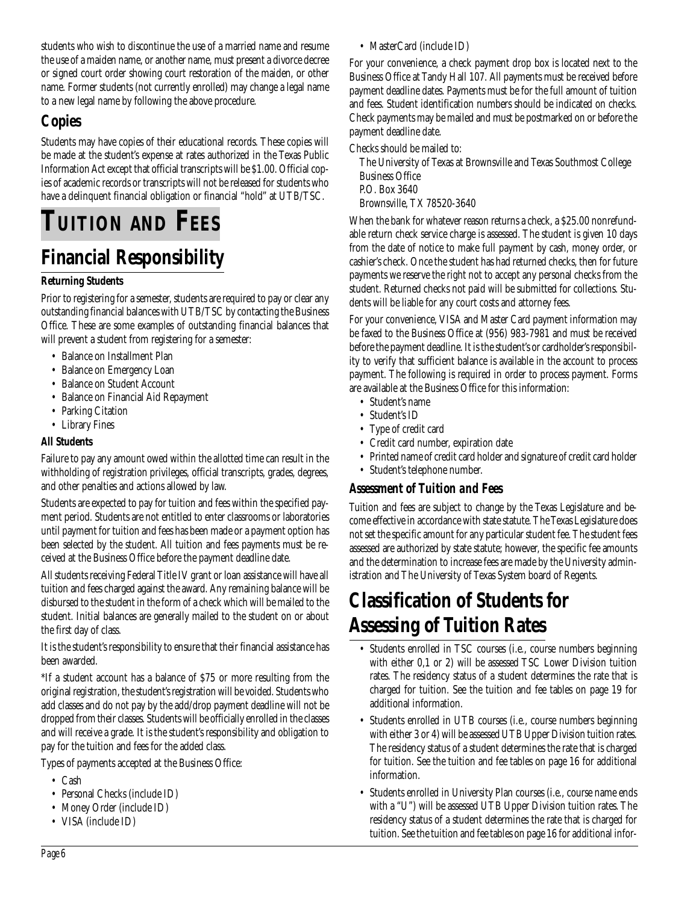students who wish to discontinue the use of a married name and resume the use of a maiden name, or another name, must present a divorce decree or signed court order showing court restoration of the maiden, or other name. Former students (not currently enrolled) may change a legal name to a new legal name by following the above procedure.

### **Copies**

Students may have copies of their educational records. These copies will be made at the student's expense at rates authorized in the Texas Public Information Act except that official transcripts will be \$1.00. Official copies of academic records or transcripts will not be released for students who have a delinquent financial obligation or financial "hold" at UTB/TSC.

# **TUITION AND FEES**

### **Financial Responsibility**

#### **Returning Students**

Prior to registering for a semester, students are required to pay or clear any outstanding financial balances with UTB/TSC by contacting the Business Office. These are some examples of outstanding financial balances that will prevent a student from registering for a semester:

- Balance on Installment Plan
- Balance on Emergency Loan
- Balance on Student Account
- Balance on Financial Aid Repayment
- Parking Citation
- Library Fines

#### **All Students**

Failure to pay any amount owed within the allotted time can result in the withholding of registration privileges, official transcripts, grades, degrees, and other penalties and actions allowed by law.

Students are expected to pay for tuition and fees within the specified payment period. Students are not entitled to enter classrooms or laboratories until payment for tuition and fees has been made or a payment option has been selected by the student. All tuition and fees payments must be received at the Business Office before the payment deadline date.

All students receiving Federal Title IV grant or loan assistance will have all tuition and fees charged against the award. Any remaining balance will be disbursed to the student in the form of a check which will be mailed to the student. Initial balances are generally mailed to the student on or about the first day of class.

It is the student's responsibility to ensure that their financial assistance has been awarded.

\*If a student account has a balance of \$75 or more resulting from the original registration, the student's registration will be voided. Students who add classes and do not pay by the add/drop payment deadline will not be dropped from their classes. Students will be officially enrolled in the classes and will receive a grade. It is the student's responsibility and obligation to pay for the tuition and fees for the added class.

Types of payments accepted at the Business Office:

- Cash
- Personal Checks (include ID)
- Money Order (include ID)
- VISA (include ID)

• MasterCard (include ID)

For your convenience, a check payment drop box is located next to the Business Office at Tandy Hall 107. All payments must be received before payment deadline dates. Payments must be for the full amount of tuition and fees. Student identification numbers should be indicated on checks. Check payments may be mailed and must be postmarked on or before the payment deadline date.

Checks should be mailed to:

The University of Texas at Brownsville and Texas Southmost College Business Office P.O. Box 3640

Brownsville, TX 78520-3640

When the bank for whatever reason returns a check, a \$25.00 nonrefundable return check service charge is assessed. The student is given 10 days from the date of notice to make full payment by cash, money order, or cashier's check. Once the student has had returned checks, then for future payments we reserve the right not to accept any personal checks from the student. Returned checks not paid will be submitted for collections. Students will be liable for any court costs and attorney fees.

For your convenience, VISA and Master Card payment information may be faxed to the Business Office at (956) 983-7981 and must be received before the payment deadline. It is the student's or cardholder's responsibility to verify that sufficient balance is available in the account to process payment. The following is required in order to process payment. Forms are available at the Business Office for this information:

- Student's name
- Student's ID
- Type of credit card
- Credit card number, expiration date
- Printed name of credit card holder and signature of credit card holder
- Student's telephone number.

### *Assessment of Tuition and Fees*

Tuition and fees are subject to change by the Texas Legislature and become effective in accordance with state statute. The Texas Legislature does not set the specific amount for any particular student fee. The student fees assessed are authorized by state statute; however, the specific fee amounts and the determination to increase fees are made by the University administration and The University of Texas System board of Regents.

### **Classification of Students for Assessing of Tuition Rates**

- Students enrolled in TSC courses (i.e., course numbers beginning with either 0,1 or 2) will be assessed TSC Lower Division tuition rates. The residency status of a student determines the rate that is charged for tuition. See the tuition and fee tables on page 19 for additional information.
- Students enrolled in UTB courses (i.e., course numbers beginning with either 3 or 4) will be assessed UTB Upper Division tuition rates. The residency status of a student determines the rate that is charged for tuition. See the tuition and fee tables on page 16 for additional information.
- Students enrolled in University Plan courses (i.e., course name ends with a "U") will be assessed UTB Upper Division tuition rates. The residency status of a student determines the rate that is charged for tuition. See the tuition and fee tables on page 16 for additional infor-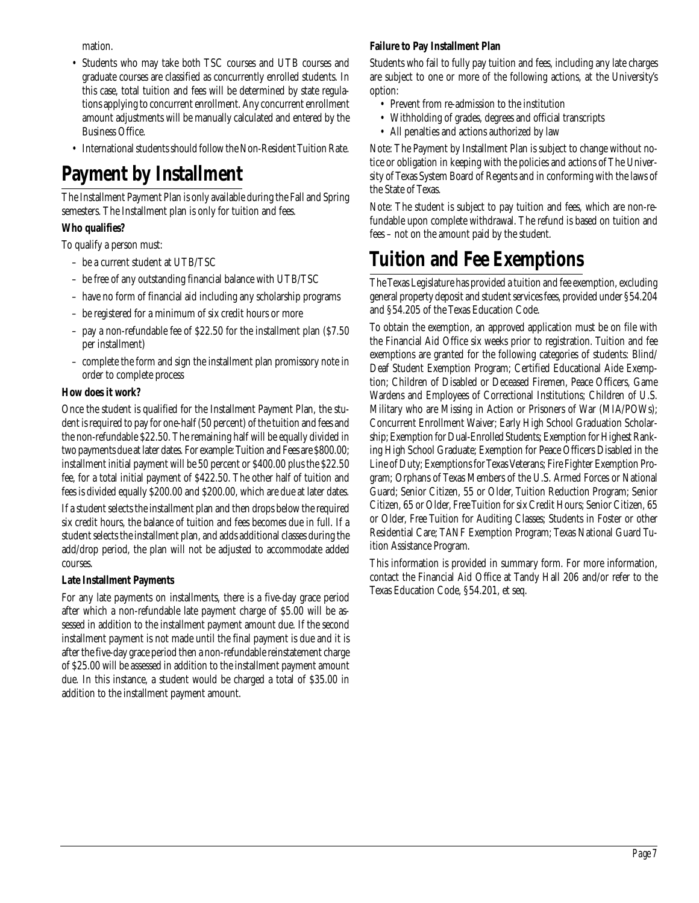mation.

- Students who may take both TSC courses and UTB courses and graduate courses are classified as concurrently enrolled students. In this case, total tuition and fees will be determined by state regulations applying to concurrent enrollment. Any concurrent enrollment amount adjustments will be manually calculated and entered by the Business Office.
- International students should follow the Non-Resident Tuition Rate.

### **Payment by Installment**

The Installment Payment Plan is only available during the Fall and Spring semesters. The Installment plan is only for tuition and fees.

#### **Who qualifies?**

To qualify a person must:

- be a current student at UTB/TSC
- be free of any outstanding financial balance with UTB/TSC
- have no form of financial aid including any scholarship programs
- be registered for a minimum of six credit hours or more
- pay a non-refundable fee of \$22.50 for the installment plan (\$7.50 per installment)
- complete the form and sign the installment plan promissory note in order to complete process

#### **How does it work?**

Once the student is qualified for the Installment Payment Plan, the student is required to pay for one-half (50 percent) of the tuition and fees and the non-refundable \$22.50. The remaining half will be equally divided in two payments due at later dates. For example: Tuition and Fees are \$800.00; installment initial payment will be 50 percent or \$400.00 plus the \$22.50 fee, for a total initial payment of \$422.50. The other half of tuition and fees is divided equally \$200.00 and \$200.00, which are due at later dates.

If a student selects the installment plan and then drops below the required six credit hours, the balance of tuition and fees becomes due in full. If a student selects the installment plan, and adds additional classes during the add/drop period, the plan will not be adjusted to accommodate added courses.

#### **Late Installment Payments**

For any late payments on installments, there is a five-day grace period after which a non-refundable late payment charge of \$5.00 will be assessed in addition to the installment payment amount due. If the second installment payment is not made until the final payment is due and it is after the five-day grace period then a non-refundable reinstatement charge of \$25.00 will be assessed in addition to the installment payment amount due. In this instance, a student would be charged a total of \$35.00 in addition to the installment payment amount.

#### **Failure to Pay Installment Plan**

Students who fail to fully pay tuition and fees, including any late charges are subject to one or more of the following actions, at the University's option:

- Prevent from re-admission to the institution
- Withholding of grades, degrees and official transcripts
- All penalties and actions authorized by law

Note: The Payment by Installment Plan is subject to change without notice or obligation in keeping with the policies and actions of The University of Texas System Board of Regents and in conforming with the laws of the State of Texas.

Note: The student is subject to pay tuition and fees, which are non-refundable upon complete withdrawal. The refund is based on tuition and fees – not on the amount paid by the student.

### **Tuition and Fee Exemptions**

The Texas Legislature has provided a tuition and fee exemption, excluding general property deposit and student services fees, provided under §54.204 and §54.205 of the Texas Education Code.

To obtain the exemption, an approved application must be on file with the Financial Aid Office six weeks prior to registration. Tuition and fee exemptions are granted for the following categories of students: Blind/ Deaf Student Exemption Program; Certified Educational Aide Exemption; Children of Disabled or Deceased Firemen, Peace Officers, Game Wardens and Employees of Correctional Institutions; Children of U.S. Military who are Missing in Action or Prisoners of War (MIA/POWs); Concurrent Enrollment Waiver; Early High School Graduation Scholarship; Exemption for Dual-Enrolled Students; Exemption for Highest Ranking High School Graduate; Exemption for Peace Officers Disabled in the Line of Duty; Exemptions for Texas Veterans; Fire Fighter Exemption Program; Orphans of Texas Members of the U.S. Armed Forces or National Guard; Senior Citizen, 55 or Older, Tuition Reduction Program; Senior Citizen, 65 or Older, Free Tuition for six Credit Hours; Senior Citizen, 65 or Older, Free Tuition for Auditing Classes; Students in Foster or other Residential Care; TANF Exemption Program; Texas National Guard Tuition Assistance Program.

This information is provided in summary form. For more information, contact the Financial Aid Office at Tandy Hall 206 and/or refer to the Texas Education Code, §54.201, et seq.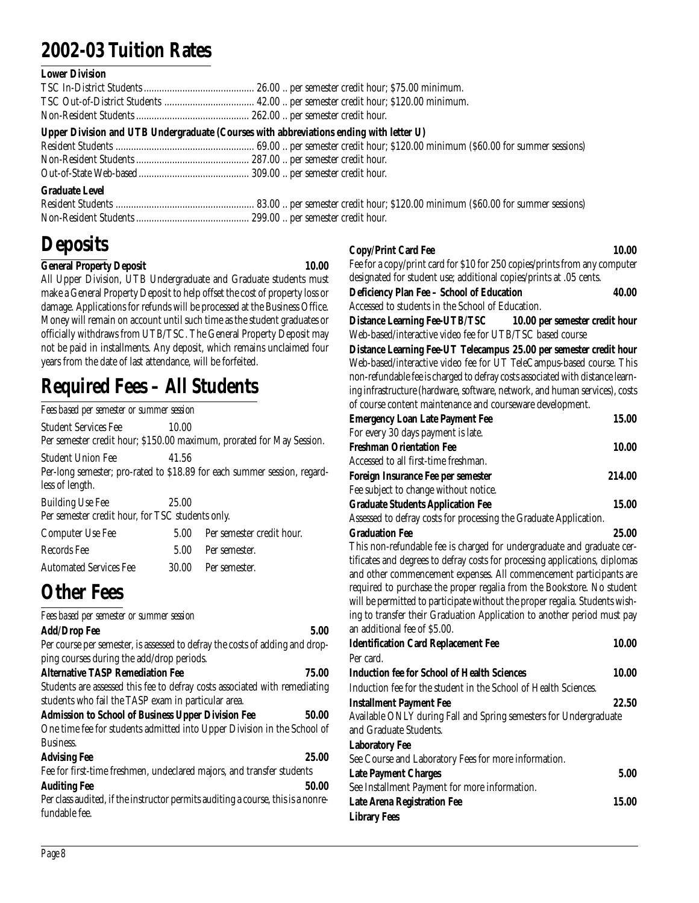### **2002-03 Tuition Rates**

#### **Lower Division**

|                       | Upper Division and UTB Undergraduate (Courses with abbreviations ending with letter U) |
|-----------------------|----------------------------------------------------------------------------------------|
| <b>Graduate Level</b> |                                                                                        |

### **Deposits**

#### **General Property Deposit 10.00**

All Upper Division, UTB Undergraduate and Graduate students must make a General Property Deposit to help offset the cost of property loss or damage. Applications for refunds will be processed at the Business Office. Money will remain on account until such time as the student graduates or officially withdraws from UTB/TSC. The General Property Deposit may not be paid in installments. Any deposit, which remains unclaimed four years from the date of last attendance, will be forfeited.

### **Required Fees – All Students**

| Fees based per semester or summer session                                   |       |                                                                          |
|-----------------------------------------------------------------------------|-------|--------------------------------------------------------------------------|
| <b>Student Services Fee</b>                                                 | 10.00 | Per semester credit hour; \$150.00 maximum, prorated for May Session.    |
| Student Union Fee<br>less of length.                                        | 41.56 | Per-long semester; pro-rated to \$18.89 for each summer session, regard- |
| <b>Building Use Fee</b><br>Per semester credit hour, for TSC students only. | 25.00 |                                                                          |
| <b>Computer Use Fee</b>                                                     | 5.00  | Per semester credit hour.                                                |
| Records Fee                                                                 | 5.00  | Per semester.                                                            |
| <b>Automated Services Fee</b>                                               | 30.00 | Per semester.                                                            |

### **Other Fees**

| Fees based per semester or summer session                                        |       |
|----------------------------------------------------------------------------------|-------|
| <b>Add/Drop Fee</b>                                                              | 5.00  |
| Per course per semester, is assessed to defray the costs of adding and drop-     |       |
| ping courses during the add/drop periods.                                        |       |
| <b>Alternative TASP Remediation Fee</b>                                          | 75.00 |
| Students are assessed this fee to defray costs associated with remediating       |       |
| students who fail the TASP exam in particular area.                              |       |
| <b>Admission to School of Business Upper Division Fee</b>                        | 50.00 |
| One time fee for students admitted into Upper Division in the School of          |       |
| Business.                                                                        |       |
| <b>Advising Fee</b>                                                              | 25.00 |
| Fee for first-time freshmen, undeclared majors, and transfer students            |       |
| <b>Auditing Fee</b>                                                              | 50.00 |
| Per class audited, if the instructor permits auditing a course, this is a nonre- |       |
| fundable fee.                                                                    |       |
|                                                                                  |       |

#### **Copy/Print Card Fee 10.00**

Fee for a copy/print card for \$10 for 250 copies/prints from any computer designated for student use; additional copies/prints at .05 cents.

| Deficiency Plan Fee - School of Education        | 40.00 |
|--------------------------------------------------|-------|
| Accessed to students in the School of Education. |       |

**Distance Learning Fee-UTB/TSC 10.00 per semester credit hour** Web-based/interactive video fee for UTB/TSC based course

**Distance Learning Fee-UT Telecampus 25.00 per semester credit hour** Web-based/interactive video fee for UT TeleCampus-based course. This non-refundable fee is charged to defray costs associated with distance learning infrastructure (hardware, software, network, and human services), costs of course content maintenance and courseware development.

| <b>Emergency Loan Late Payment Fee</b>                                      | 15.00  |
|-----------------------------------------------------------------------------|--------|
| For every 30 days payment is late.                                          |        |
| <b>Freshman Orientation Fee</b>                                             | 10.00  |
| Accessed to all first-time freshman.                                        |        |
| Foreign Insurance Fee per semester                                          | 214.00 |
| Fee subject to change without notice.                                       |        |
| <b>Graduate Students Application Fee</b>                                    | 15.00  |
| Assessed to defray costs for processing the Graduate Application.           |        |
| <b>Graduation Fee</b>                                                       | 25.00  |
| This non-refundable fee is charged for undergraduate and graduate cer-      |        |
| tificates and degrees to defray costs for processing applications, diplomas |        |
| and other commencement expenses. All commencement participants are          |        |
| required to purchase the proper regalia from the Bookstore. No student      |        |
| will be permitted to participate without the proper regalia. Students wish- |        |
| ing to transfer their Graduation Application to another period must pay     |        |
| an additional fee of \$5.00.                                                |        |
| <b>Identification Card Replacement Fee</b>                                  | 10.00  |
| Per card.                                                                   |        |
| <b>Induction fee for School of Health Sciences</b>                          | 10.00  |
| Induction fee for the student in the School of Health Sciences.             |        |
| <b>Installment Payment Fee</b>                                              | 22.50  |
| Available ONLY during Fall and Spring semesters for Undergraduate           |        |
| and Graduate Students.                                                      |        |
| <b>Laboratory Fee</b>                                                       |        |
| See Course and Laboratory Fees for more information.                        |        |
| <b>Late Payment Charges</b>                                                 | 5.00   |
| See Installment Payment for more information.                               |        |
| Late Arena Registration Fee                                                 | 15.00  |
| <b>Library Fees</b>                                                         |        |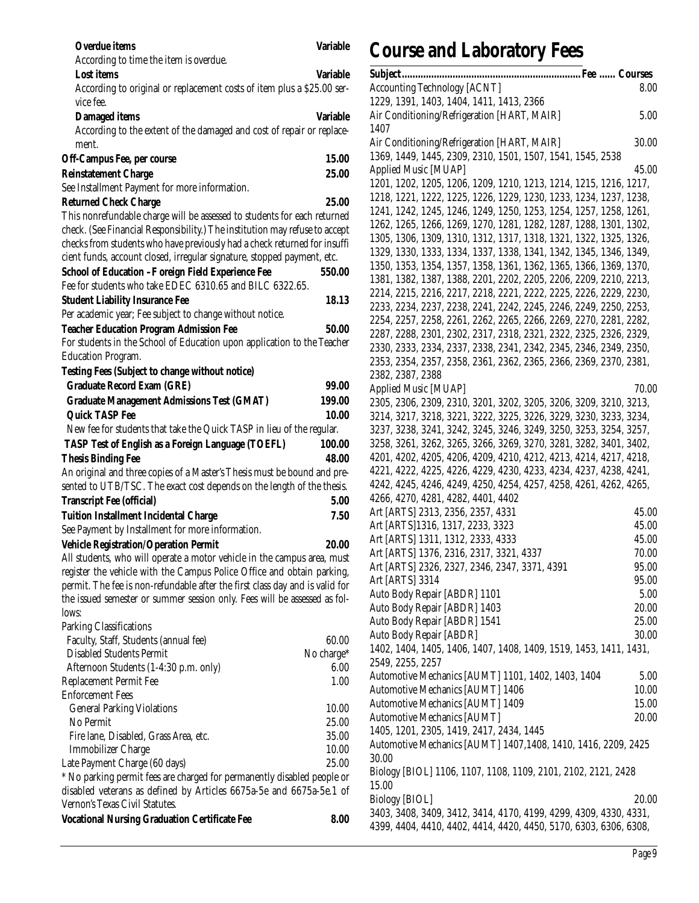| <b>Overdue</b> items                                                                | <b>Variable</b> |
|-------------------------------------------------------------------------------------|-----------------|
| According to time the item is overdue.                                              |                 |
| <b>Lost items</b>                                                                   | <b>Variable</b> |
| According to original or replacement costs of item plus a \$25.00 ser-<br>vice fee. |                 |
| Damaged items                                                                       | Variable        |
| According to the extent of the damaged and cost of repair or replace-<br>ment.      |                 |
| Off-Campus Fee, per course                                                          | 15.00           |
| <b>Reinstatement Charge</b>                                                         | 25.00           |
| See Installment Payment for more information.                                       |                 |
| <b>Returned Check Charge</b>                                                        | 25.00           |
| This nonrefundable charge will be assessed to students for each returned            |                 |
| check. (See Financial Responsibility.) The institution may refuse to accept         |                 |
| checks from students who have previously had a check returned for insuffi           |                 |
| cient funds, account closed, irregular signature, stopped payment, etc.             |                 |
| School of Education -F oreign Field Experience Fee                                  | 550.00          |
| Fee for students who take EDEC 6310.65 and BILC 6322.65.                            |                 |
| <b>Student Liability Insurance Fee</b>                                              | 18.13           |
| Per academic year; Fee subject to change without notice.                            |                 |
| <b>Teacher Education Program Admission Fee</b>                                      | 50.00           |
| For students in the School of Education upon application to the Teacher             |                 |
| <b>Education Program.</b>                                                           |                 |
| Testing Fees (Subject to change without notice)                                     |                 |
| <b>Graduate Record Exam (GRE)</b>                                                   | 99.00           |
| <b>Graduate Management Admissions Test (GMAT)</b>                                   | 199.00          |
| <b>Quick TASP Fee</b>                                                               | 10.00           |
| New fee for students that take the Quick TASP in lieu of the regular.               |                 |
| TASP Test of English as a Foreign Language (TOEFL)                                  | 100.00          |
| <b>Thesis Binding Fee</b>                                                           | 48.00           |
| An original and three copies of a Master's Thesis must be bound and pre-            |                 |
| sented to UTB/TSC. The exact cost depends on the length of the thesis.              |                 |
| <b>Transcript Fee (official)</b>                                                    | 5.00            |
| <b>Tuition Installment Incidental Charge</b>                                        | 7.50            |
| See Payment by Installment for more information.                                    |                 |
| <b>Vehicle Registration/Operation Permit</b>                                        | 20.00           |
| All students, who will operate a motor vehicle in the campus area, must             |                 |
| register the vehicle with the Campus Police Office and obtain parking,              |                 |
| permit. The fee is non-refundable after the first class day and is valid for        |                 |
| the issued semester or summer session only. Fees will be assessed as fol-           |                 |
| lows:                                                                               |                 |
| Parking Classifications                                                             |                 |
| Faculty, Staff, Students (annual fee)                                               | 60.00           |
| <b>Disabled Students Permit</b>                                                     | No charge*      |
| Afternoon Students (1-4:30 p.m. only)                                               | 6.00<br>1.00    |
| Replacement Permit Fee<br><b>Enforcement Fees</b>                                   |                 |
| <b>General Parking Violations</b>                                                   | 10.00           |
| No Permit                                                                           | 25.00           |
| Fire lane, Disabled, Grass Area, etc.                                               | 35.00           |
| <b>Immobilizer Charge</b>                                                           | 10.00           |
| Late Payment Charge (60 days)                                                       | 25.00           |
| * No parking permit fees are charged for permanently disabled people or             |                 |
| disabled veterans as defined by Articles 6675a-5e and 6675a-5e.1 of                 |                 |
| Vernon's Texas Civil Statutes.                                                      |                 |
| <b>Vocational Nursing Graduation Certificate Fee</b>                                | 8.00            |
|                                                                                     |                 |

# **Course and Laboratory Fees**

| <b>Accounting Technology [ACNT]</b>                               | 8.00  |
|-------------------------------------------------------------------|-------|
| 1229, 1391, 1403, 1404, 1411, 1413, 2366                          |       |
| Air Conditioning/Refrigeration [HART, MAIR]                       | 5.00  |
| 1407                                                              |       |
| Air Conditioning/Refrigeration [HART, MAIR]                       | 30.00 |
| 1369, 1449, 1445, 2309, 2310, 1501, 1507, 1541, 1545, 2538        |       |
| <b>Applied Music [MUAP]</b>                                       | 45.00 |
| 1201, 1202, 1205, 1206, 1209, 1210, 1213, 1214, 1215, 1216, 1217, |       |
| 1218, 1221, 1222, 1225, 1226, 1229, 1230, 1233, 1234, 1237, 1238, |       |
| 1241, 1242, 1245, 1246, 1249, 1250, 1253, 1254, 1257, 1258, 1261, |       |
| 1262, 1265, 1266, 1269, 1270, 1281, 1282, 1287, 1288, 1301, 1302, |       |
| 1305, 1306, 1309, 1310, 1312, 1317, 1318, 1321, 1322, 1325, 1326, |       |
| 1329, 1330, 1333, 1334, 1337, 1338, 1341, 1342, 1345, 1346, 1349, |       |
| 1350, 1353, 1354, 1357, 1358, 1361, 1362, 1365, 1366, 1369, 1370, |       |
| 1381, 1382, 1387, 1388, 2201, 2202, 2205, 2206, 2209, 2210, 2213, |       |
| 2214, 2215, 2216, 2217, 2218, 2221, 2222, 2225, 2226, 2229, 2230, |       |
| 2233, 2234, 2237, 2238, 2241, 2242, 2245, 2246, 2249, 2250, 2253, |       |
| 2254, 2257, 2258, 2261, 2262, 2265, 2266, 2269, 2270, 2281, 2282, |       |
| 2287, 2288, 2301, 2302, 2317, 2318, 2321, 2322, 2325, 2326, 2329, |       |
| 2330, 2333, 2334, 2337, 2338, 2341, 2342, 2345, 2346, 2349, 2350, |       |
| 2353, 2354, 2357, 2358, 2361, 2362, 2365, 2366, 2369, 2370, 2381, |       |
| 2382, 2387, 2388                                                  |       |
| <b>Applied Music [MUAP]</b>                                       | 70.00 |
| 2305, 2306, 2309, 2310, 3201, 3202, 3205, 3206, 3209, 3210, 3213, |       |
| 3214, 3217, 3218, 3221, 3222, 3225, 3226, 3229, 3230, 3233, 3234, |       |
| 3237, 3238, 3241, 3242, 3245, 3246, 3249, 3250, 3253, 3254, 3257, |       |
| 3258, 3261, 3262, 3265, 3266, 3269, 3270, 3281, 3282, 3401, 3402, |       |
| 4201, 4202, 4205, 4206, 4209, 4210, 4212, 4213, 4214, 4217, 4218, |       |
| 4221, 4222, 4225, 4226, 4229, 4230, 4233, 4234, 4237, 4238, 4241, |       |
| 4242, 4245, 4246, 4249, 4250, 4254, 4257, 4258, 4261, 4262, 4265, |       |
| 4266, 4270, 4281, 4282, 4401, 4402                                |       |
| Art [ARTS] 2313, 2356, 2357, 4331                                 | 45.00 |
| Art [ARTS]1316, 1317, 2233, 3323                                  | 45.00 |
| Art [ARTS] 1311, 1312, 2333, 4333                                 | 45.00 |
| Art [ARTS] 1376, 2316, 2317, 3321, 4337                           | 70.00 |
| Art [ARTS] 2326, 2327, 2346, 2347, 3371, 4391                     | 95.00 |
| Art [ARTS] 3314                                                   | 95.00 |
| Auto Body Repair [ABDR] 1101                                      | 5.00  |
| Auto Body Repair [ABDR] 1403                                      | 20.00 |
| Auto Body Repair [ABDR] 1541                                      | 25.00 |
| Auto Body Repair [ABDR]                                           | 30.00 |
| 1402, 1404, 1405, 1406, 1407, 1408, 1409, 1519, 1453, 1411, 1431, |       |
| 2549, 2255, 2257                                                  |       |
| Automotive Mechanics [AUMT] 1101, 1402, 1403, 1404                | 5.00  |
| Automotive Mechanics [AUMT] 1406                                  | 10.00 |
| Automotive Mechanics [AUMT] 1409                                  | 15.00 |
| <b>Automotive Mechanics [AUMT]</b>                                | 20.00 |
| 1405, 1201, 2305, 1419, 2417, 2434, 1445                          |       |
| Automotive Mechanics [AUMT] 1407,1408, 1410, 1416, 2209, 2425     |       |
| 30.00                                                             |       |
| Biology [BIOL] 1106, 1107, 1108, 1109, 2101, 2102, 2121, 2428     |       |
| 15.00                                                             |       |
| Biology [BIOL]                                                    | 20.00 |
| 3403, 3408, 3409, 3412, 3414, 4170, 4199, 4299, 4309, 4330, 4331, |       |
| 4399, 4404, 4410, 4402, 4414, 4420, 4450, 5170, 6303, 6306, 6308, |       |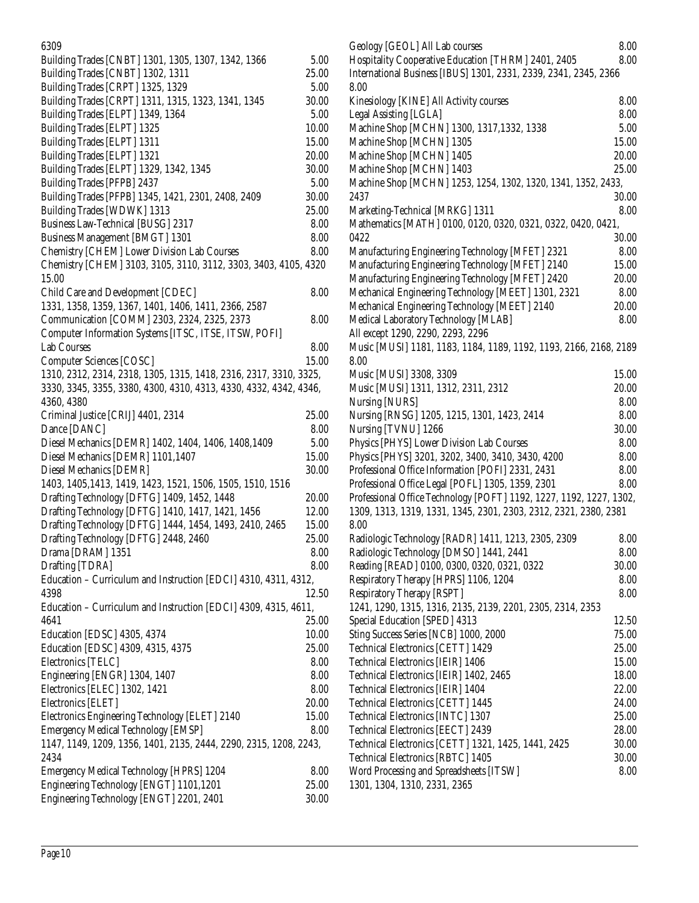| 6309                                                              |       |
|-------------------------------------------------------------------|-------|
| Building Trades [CNBT] 1301, 1305, 1307, 1342, 1366               | 5.00  |
| Building Trades [CNBT] 1302, 1311                                 | 25.00 |
| Building Trades [CRPT] 1325, 1329                                 | 5.00  |
| Building Trades [CRPT] 1311, 1315, 1323, 1341, 1345               | 30.00 |
| Building Trades [ELPT] 1349, 1364                                 | 5.00  |
| Building Trades [ELPT] 1325                                       | 10.00 |
| Building Trades [ELPT] 1311                                       | 15.00 |
| Building Trades [ELPT] 1321                                       | 20.00 |
| Building Trades [ELPT] 1329, 1342, 1345                           | 30.00 |
| Building Trades [PFPB] 2437                                       | 5.00  |
| Building Trades [PFPB] 1345, 1421, 2301, 2408, 2409               | 30.00 |
| Building Trades [WDWK] 1313                                       | 25.00 |
| Business Law-Technical [BUSG] 2317                                | 8.00  |
| <b>Business Management [BMGT] 1301</b>                            | 8.00  |
| Chemistry [CHEM] Lower Division Lab Courses                       | 8.00  |
| Chemistry [CHEM] 3103, 3105, 3110, 3112, 3303, 3403, 4105, 4320   |       |
| 15.00                                                             |       |
| Child Care and Development [CDEC]                                 | 8.00  |
| 1331, 1358, 1359, 1367, 1401, 1406, 1411, 2366, 2587              |       |
| Communication [COMM] 2303, 2324, 2325, 2373                       | 8.00  |
| Computer Information Systems [ITSC, ITSE, ITSW, POFI]             |       |
| <b>Lab Courses</b>                                                | 8.00  |
| <b>Computer Sciences [COSC]</b>                                   | 15.00 |
| 1310, 2312, 2314, 2318, 1305, 1315, 1418, 2316, 2317, 3310, 3325, |       |
| 3330, 3345, 3355, 3380, 4300, 4310, 4313, 4330, 4332, 4342, 4346, |       |
| 4360, 4380                                                        |       |
| Criminal Justice [CRIJ] 4401, 2314                                | 25.00 |
| Dance [DANC]                                                      | 8.00  |
| Diesel Mechanics [DEMR] 1402, 1404, 1406, 1408, 1409              | 5.00  |
| Diesel Mechanics [DEMR] 1101,1407                                 | 15.00 |
| Diesel Mechanics [DEMR]                                           | 30.00 |
| 1403, 1405, 1413, 1419, 1423, 1521, 1506, 1505, 1510, 1516        |       |
| Drafting Technology [DFTG] 1409, 1452, 1448                       | 20.00 |
| Drafting Technology [DFTG] 1410, 1417, 1421, 1456                 | 12.00 |
| Drafting Technology [DFTG] 1444, 1454, 1493, 2410, 2465           | 15.00 |
| Drafting Technology [DFTG] 2448, 2460                             | 25.00 |
| Drama [DRAM] 1351                                                 | 8.00  |
| Drafting [TDRA]                                                   | 8.00  |
| Education - Curriculum and Instruction [EDCI] 4310, 4311, 4312,   |       |
| 4398                                                              | 12.50 |
| Education - Curriculum and Instruction [EDCI] 4309, 4315, 4611,   |       |
| 4641                                                              | 25.00 |
| <b>Education [EDSC] 4305, 4374</b>                                | 10.00 |
| Education [EDSC] 4309, 4315, 4375                                 | 25.00 |
| Electronics [TELC]                                                | 8.00  |
| Engineering [ENGR] 1304, 1407                                     | 8.00  |
| Electronics [ELEC] 1302, 1421                                     | 8.00  |
| Electronics [ELET]                                                | 20.00 |
| Electronics Engineering Technology [ELET] 2140                    | 15.00 |
| <b>Emergency Medical Technology [EMSP]</b>                        | 8.00  |
| 1147, 1149, 1209, 1356, 1401, 2135, 2444, 2290, 2315, 1208, 2243, |       |
| 2434                                                              |       |
| Emergency Medical Technology [HPRS] 1204                          | 8.00  |
| Engineering Technology [ENGT] 1101,1201                           | 25.00 |
| Engineering Technology [ENGT] 2201, 2401                          | 30.00 |
|                                                                   |       |

| Geology [GEOL] All Lab courses                                      | 8.00  |
|---------------------------------------------------------------------|-------|
| Hospitality Cooperative Education [THRM] 2401, 2405                 | 8.00  |
| International Business [IBUS] 1301, 2331, 2339, 2341, 2345, 2366    |       |
| 8.00                                                                |       |
| Kinesiology [KINE] All Activity courses                             | 8.00  |
| Legal Assisting [LGLA]                                              | 8.00  |
| Machine Shop [MCHN] 1300, 1317,1332, 1338                           | 5.00  |
| Machine Shop [MCHN] 1305                                            | 15.00 |
| Machine Shop [MCHN] 1405                                            | 20.00 |
| Machine Shop [MCHN] 1403                                            | 25.00 |
| Machine Shop [MCHN] 1253, 1254, 1302, 1320, 1341, 1352, 2433,       |       |
| 2437                                                                | 30.00 |
| Marketing-Technical [MRKG] 1311                                     | 8.00  |
|                                                                     |       |
| Mathematics [MATH] 0100, 0120, 0320, 0321, 0322, 0420, 0421,        |       |
| 0422                                                                | 30.00 |
| Manufacturing Engineering Technology [MFET] 2321                    | 8.00  |
| Manufacturing Engineering Technology [MFET] 2140                    | 15.00 |
| Manufacturing Engineering Technology [MFET] 2420                    | 20.00 |
| Mechanical Engineering Technology [MEET] 1301, 2321                 | 8.00  |
| Mechanical Engineering Technology [MEET] 2140                       | 20.00 |
| Medical Laboratory Technology [MLAB]                                | 8.00  |
| All except 1290, 2290, 2293, 2296                                   |       |
| Music [MUSI] 1181, 1183, 1184, 1189, 1192, 1193, 2166, 2168, 2189   |       |
| 8.00                                                                |       |
| Music [MUSI] 3308, 3309                                             | 15.00 |
| Music [MUSI] 1311, 1312, 2311, 2312                                 | 20.00 |
| Nursing [NURS]                                                      | 8.00  |
| Nursing [RNSG] 1205, 1215, 1301, 1423, 2414                         | 8.00  |
| Nursing [TVNU] 1266                                                 | 30.00 |
| Physics [PHYS] Lower Division Lab Courses                           | 8.00  |
| Physics [PHYS] 3201, 3202, 3400, 3410, 3430, 4200                   | 8.00  |
| Professional Office Information [POFI] 2331, 2431                   | 8.00  |
| Professional Office Legal [POFL] 1305, 1359, 2301                   | 8.00  |
| Professional Office Technology [POFT] 1192, 1227, 1192, 1227, 1302, |       |
| 1309, 1313, 1319, 1331, 1345, 2301, 2303, 2312, 2321, 2380, 2381    |       |
| 8.00                                                                |       |
| Radiologic Technology [RADR] 1411, 1213, 2305, 2309                 | 8.00  |
| Radiologic Technology [DMSO] 1441, 2441                             | 8.00  |
| Reading [READ] 0100, 0300, 0320, 0321, 0322                         | 30.00 |
| Respiratory Therapy [HPRS] 1106, 1204                               | 8.00  |
| <b>Respiratory Therapy [RSPT]</b>                                   | 8.00  |
| 1241, 1290, 1315, 1316, 2135, 2139, 2201, 2305, 2314, 2353          |       |
| Special Education [SPED] 4313                                       | 12.50 |
| Sting Success Series [NCB] 1000, 2000                               | 75.00 |
|                                                                     |       |
| Technical Electronics [CETT] 1429                                   | 25.00 |
| Technical Electronics [IEIR] 1406                                   | 15.00 |
| Technical Electronics [IEIR] 1402, 2465                             | 18.00 |
| Technical Electronics [IEIR] 1404                                   | 22.00 |
| Technical Electronics [CETT] 1445                                   | 24.00 |
| Technical Electronics [INTC] 1307                                   | 25.00 |
| Technical Electronics [EECT] 2439                                   | 28.00 |
| Technical Electronics [CETT] 1321, 1425, 1441, 2425                 | 30.00 |
| Technical Electronics [RBTC] 1405                                   | 30.00 |
| Word Processing and Spreadsheets [ITSW]                             | 8.00  |
| 1301, 1304, 1310, 2331, 2365                                        |       |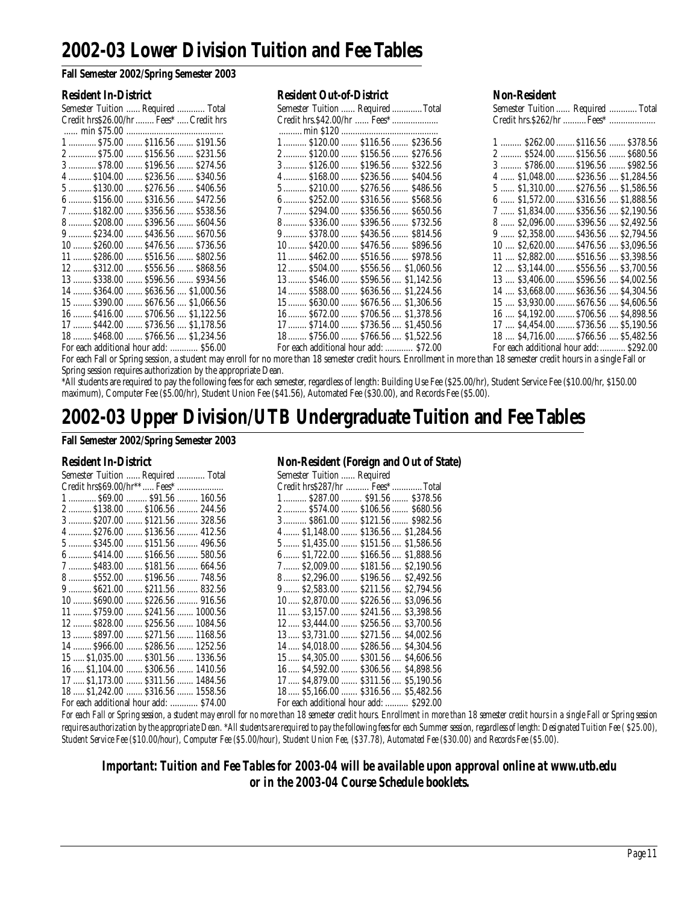### **2002-03 Lower Division Tuition and Fee Tables**

#### **Fall Semester 2002/Spring Semester 2003**

| Semester Tuition  Required  Total       |
|-----------------------------------------|
| Credit hrs\$26.00/hr  Fees*  Credit hrs |
|                                         |
| 1  \$75.00  \$116.56  \$191.56          |
| 2  \$75.00  \$156.56  \$231.56          |
| 3  \$78.00  \$196.56  \$274.56          |
| 4  \$104.00  \$236.56  \$340.56         |
| 5  \$130.00  \$276.56  \$406.56         |
| $6$ \$156.00  \$316.56  \$472.56        |
| 7  \$182.00  \$356.56  \$538.56         |
| 8 \$208.00  \$396.56  \$604.56          |
| 9  \$234.00  \$436.56  \$670.56         |
| 10  \$260.00  \$476.56  \$736.56        |
| 11  \$286.00  \$516.56  \$802.56        |
| 12  \$312.00  \$556.56  \$868.56        |
| 13  \$338.00  \$596.56  \$934.56        |
| 14  \$364.00  \$636.56  \$1.000.56      |
| 15  \$390.00  \$676.56  \$1,066.56      |
| 16  \$416.00  \$706.56  \$1,122.56      |
| 17  \$442.00  \$736.56  \$1,178.56      |
| 18  \$468.00  \$766.56  \$1,234.56      |
| For each additional hour add:  \$56.00  |

|  | Resident Out-of-Distric |  |  |
|--|-------------------------|--|--|

| <b>Resident In-District</b>             | <b>Resident Out-of-District</b>        | <b>Non-Resident</b>                          |
|-----------------------------------------|----------------------------------------|----------------------------------------------|
| Semester Tuition  Required  Total       | Semester Tuition  Required  Total      | Semester Tuition Required  Total             |
| Credit hrs\$26.00/hr  Fees*  Credit hrs |                                        | Credit hrs. \$262/hr  Fees*                  |
|                                         |                                        |                                              |
| $1$ \$75.00  \$116.56  \$191.56         | $1$ \$120.00  \$116.56  \$236.56       | $1$ \$262.00  \$116.56  \$378.56             |
| 2 \$75.00  \$156.56  \$231.56           | 2 \$120.00 \$156.56 \$276.56           | 2  \$524.00  \$156.56  \$680.56              |
| 3 \$78.00 \$196.56 \$274.56             | $3$ \$126.00  \$196.56  \$322.56       | $3$ \$786.00  \$196.56  \$982.56             |
| $4$ \$104.00  \$236.56  \$340.56        | $4$ \$168.00  \$236.56  \$404.56       | $4$ $$1,048.00$ $$236.56$ $$1,284.56$        |
| 5  \$130.00  \$276.56  \$406.56         | $5$ \$210.00  \$276.56  \$486.56       | $5$ $$1,310.00$ $$276.56$ $$1,586.56$        |
| 6  \$156.00  \$316.56  \$472.56         | $6$ \$252.00  \$316.56  \$568.56       | $6$ $$1,572.00$ $$316.56$ $$1,888.56$        |
| 7  \$182.00  \$356.56  \$538.56         | 7 \$294.00 \$356.56 \$650.56           | 7  \$1,834.00  \$356.56  \$2,190.56          |
| 8 \$208.00  \$396.56  \$604.56          | 8 \$336.00  \$396.56  \$732.56         | 8  \$2,096.00  \$396.56  \$2,492.56          |
| 9 \$234.00  \$436.56  \$670.56          | $9$ \$378.00  \$436.56  \$814.56       | $9$ $$2,358.00$ $$436.56$ $$2,794.56$        |
| 10  \$260.00  \$476.56  \$736.56        | $10$ \$420.00  \$476.56  \$896.56      | $10$ , $$2,620.00$ $$476.56$ , $$3,096.56$   |
| $11$ \$286.00  \$516.56  \$802.56       | $11$ $$462.00$ $$516.56$ $$978.56$     | $11$ , $$2,882.00$ , $$516.56$ , $$3,398.56$ |
| 12  \$312.00  \$556.56  \$868.56        | $12$ $$504.00$ $$556.56$ $$1,060.56$   | $12$ , $$3,144.00$ , $$556.56$ , $$3,700.56$ |
| 13  \$338.00  \$596.56  \$934.56        | $13$ $$546.00$ $$596.56$ $$1,142.56$   | $13$ , $$3,406.00$ , $$596.56$ , $$4,002.56$ |
| 14  \$364.00  \$636.56  \$1,000.56      | 14 \$588.00 \$636.56 \$1,224.56        | 14  \$3,668.00  \$636.56  \$4,304.56         |
| $15$ \$390.00  \$676.56  \$1,066.56     | $15$ $$630.00$ $$676.56$ $$1,306.56$   | $15$ , $$3,930.00$ , $$676.56$ , $$4,606.56$ |
| 16  \$416.00  \$706.56  \$1,122.56      | 16 \$672.00  \$706.56  \$1,378.56      | $16$ , \$4,192.00  \$706.56 , \$4,898.56     |
| 17  \$442.00  \$736.56  \$1,178.56      | $17$ $$714.00$ $$736.56$ $$1,450.56$   | $17$ , $$4,454.00$ , $$736.56$ , $$5,190.56$ |
| 18  \$468.00  \$766.56  \$1,234.56      | 18 \$756.00  \$766.56  \$1,522.56      | 18 , \$4,716.00  \$766.56 , \$5,482.56       |
| For each additional hour add:  \$56.00  | For each additional hour add:  \$72.00 | For each additional hour add:  \$292.00      |

For each Fall or Spring session, a student may enroll for no more than 18 semester credit hours. Enrollment in more than 18 semester credit hours in a single Fall or Spring session requires authorization by the appropriate Dean.

\*All students are required to pay the following fees for each semester, regardless of length: Building Use Fee (\$25.00/hr), Student Service Fee (\$10.00/hr, \$150.00 maximum), Computer Fee (\$5.00/hr), Student Union Fee (\$41.56), Automated Fee (\$30.00), and Records Fee (\$5.00).

### **2002-03 Upper Division/UTB Undergraduate Tuition and Fee Tables**

#### **Fall Semester 2002/Spring Semester 2003**

| Semester Tuition  Required  Total      | Semester Tuition  Required              |
|----------------------------------------|-----------------------------------------|
|                                        | Credit hrs\$287/hr  Fees*  Total        |
| 1 \$69.00  \$91.56  160.56             | 1 \$287.00 \$91.56 \$378.56             |
| $2$ \$138.00  \$106.56  244.56         | 2 \$574.00  \$106.56  \$680.56          |
| $3$ \$207.00  \$121.56  328.56         | 3 \$861.00  \$121.56  \$982.56          |
| 4 \$276.00  \$136.56  412.56           | 4 \$1,148.00  \$136.56  \$1,284.56      |
| $5$ $$345.00$ $$151.56$ $496.56$       | 5 \$1,435.00  \$151.56  \$1,586.56      |
| $6$ \$414.00  \$166.56  580.56         | $6$ $$1,722.00$ $$166.56$ $$1,888.56$   |
| 7  \$483.00  \$181.56  664.56          | 7 \$2,009.00  \$181.56  \$2,190.56      |
| 8 \$552.00  \$196.56  748.56           | 8 \$2,296.00  \$196.56  \$2,492.56      |
| $9$ $$621.00$ $$211.56$ $832.56$       | $9$ \$2,583.00  \$211.56  \$2,794.56    |
| $10$ \$690.00  \$226.56  916.56        | 10 \$2,870.00  \$226.56  \$3,096.56     |
| $11$ \$759.00  \$241.56  1000.56       | $11$ \$3,157.00  \$241.56  \$3,398.56   |
| 12  \$828.00  \$256.56  1084.56        | 12 \$3,444.00 \$256.56 \$3,700.56       |
| $13$ \$897.00  \$271.56  1168.56       | 13 \$3,731.00  \$271.56  \$4,002.56     |
| 14  \$966.00  \$286.56  1252.56        | 14 \$4,018.00  \$286.56  \$4,304.56     |
| $15$ \$1,035.00  \$301.56  1336.56     | 15 \$4,305.00 \$301.56 \$4,606.56       |
| $16$ \$1,104.00  \$306.56  1410.56     | 16 \$4,592.00 \$306.56 \$4,898.56       |
| 17  \$1,173.00  \$311.56  1484.56      | 17 \$4,879.00 \$311.56 \$5,190.56       |
| 18  \$1,242.00  \$316.56  1558.56      | 18 \$5,166.00  \$316.56  \$5,482.56     |
| For each additional hour add:  \$74.00 | For each additional hour add:  \$292.00 |

#### Resident In-District Non-Resident (Foreign and Out of State)

| Semester Tuition  Required              |                      |  |
|-----------------------------------------|----------------------|--|
| Credit hrs\$287/hr  Fees*  Total        |                      |  |
| 1 \$287.00 \$91.56 \$378.56             |                      |  |
| 2 \$574.00  \$106.56  \$680.56          |                      |  |
| 3  \$861.00  \$121.56  \$982.56         |                      |  |
| 4  \$1,148.00  \$136.56  \$1,284.56     |                      |  |
| 5 \$1,435.00  \$151.56  \$1,586.56      |                      |  |
| 6  \$1,722.00  \$166.56  \$1,888.56     |                      |  |
| 7  \$2,009.00  \$181.56  \$2,190.56     |                      |  |
| $8$ \$2,296.00                          | \$196.56 \$2.492.56  |  |
| $9 \dots 52,583.00 \dots$               | \$211.56  \$2,794.56 |  |
| $10$ \$2,870.00                         | \$226.56  \$3.096.56 |  |
| $11$ \$3,157.00                         | \$241.56  \$3,398.56 |  |
| $12$ $$3,444.00$                        | \$256.56 \$3,700.56  |  |
| $13$ \$3,731.00                         | \$271.56  \$4.002.56 |  |
| 14  \$4.018.00  \$286.56  \$4.304.56    |                      |  |
| 15  \$4,305.00  \$301.56  \$4,606.56    |                      |  |
| 16 \$4,592.00  \$306.56  \$4,898.56     |                      |  |
| 17 \$4,879.00  \$311.56  \$5,190.56     |                      |  |
| 18 \$5,166.00  \$316.56  \$5,482.56     |                      |  |
| For each additional hour add:  \$292.00 |                      |  |

*For each Fall or Spring session, a student may enroll for no more than 18 semester credit hours. Enrollment in more than 18 semester credit hours in a single Fall or Spring session requires authorization by the appropriate Dean. \*All students are required to pay the following fees for each Summer session, regardless of length: Designated Tuition Fee ( \$25.00), Student Service Fee (\$10.00/hour), Computer Fee (\$5.00/hour), Student Union Fee, (\$37.78), Automated Fee (\$30.00) and Records Fee (\$5.00).*

*Important: Tuition and Fee Tables for 2003-04 will be available upon approval online at www.utb.edu or in the 2003-04 Course Schedule booklets.*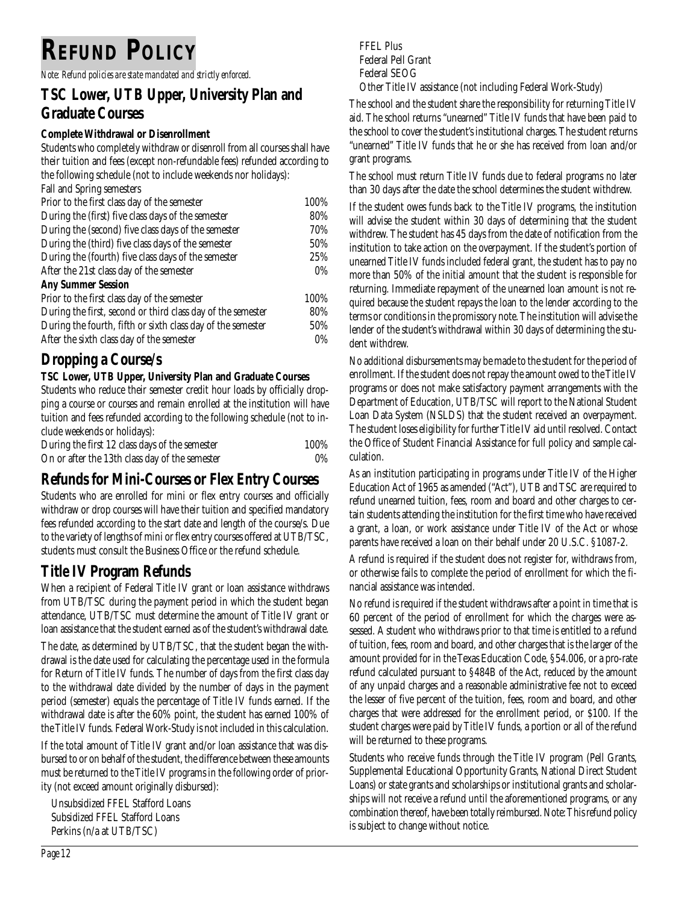# **REFUND POLICY**

*Note: Refund policies are state mandated and strictly enforced.*

### **TSC Lower, UTB Upper, University Plan and Graduate Courses**

#### **Complete Withdrawal or Disenrollment**

Students who completely withdraw or disenroll from all courses shall have their tuition and fees (except non-refundable fees) refunded according to the following schedule (not to include weekends nor holidays): Fall and Spring semesters Prior to the first class day of the semester 100% During the (first) five class days of the semester 80% During the (second) five class days of the semester 70% During the (third) five class days of the semester 50% During the (fourth) five class days of the semester 25% After the 21st class day of the semester 0% **Any Summer Session** Prior to the first class day of the semester 100% During the first, second or third class day of the semester 80% During the fourth, fifth or sixth class day of the semester 50% After the sixth class day of the semester 0%

### **Dropping a Course/s**

#### **TSC Lower, UTB Upper, University Plan and Graduate Courses**

Students who reduce their semester credit hour loads by officially dropping a course or courses and remain enrolled at the institution will have tuition and fees refunded according to the following schedule (not to include weekends or holidays):

| During the first 12 class days of the semester | 100% |
|------------------------------------------------|------|
| On or after the 13th class day of the semester | 0%   |

### **Refunds for Mini-Courses or Flex Entry Courses**

Students who are enrolled for mini or flex entry courses and officially withdraw or drop courses will have their tuition and specified mandatory fees refunded according to the start date and length of the course/s. Due to the variety of lengths of mini or flex entry courses offered at UTB/TSC, students must consult the Business Office or the refund schedule.

### **Title IV Program Refunds**

When a recipient of Federal Title IV grant or loan assistance withdraws from UTB/TSC during the payment period in which the student began attendance, UTB/TSC must determine the amount of Title IV grant or loan assistance that the student earned as of the student's withdrawal date.

The date, as determined by UTB/TSC, that the student began the withdrawal is the date used for calculating the percentage used in the formula for Return of Title IV funds. The number of days from the first class day to the withdrawal date divided by the number of days in the payment period (semester) equals the percentage of Title IV funds earned. If the withdrawal date is after the 60% point, the student has earned 100% of the Title IV funds. Federal Work-Study is not included in this calculation.

If the total amount of Title IV grant and/or loan assistance that was disbursed to or on behalf of the student, the difference between these amounts must be returned to the Title IV programs in the following order of priority (not exceed amount originally disbursed):

Unsubsidized FFEL Stafford Loans Subsidized FFEL Stafford Loans Perkins (n/a at UTB/TSC)

FFEL Plus Federal Pell Grant Federal SEOG Other Title IV assistance (not including Federal Work-Study)

The school and the student share the responsibility for returning Title IV aid. The school returns "unearned" Title IV funds that have been paid to the school to cover the student's institutional charges. The student returns "unearned" Title IV funds that he or she has received from loan and/or grant programs.

The school must return Title IV funds due to federal programs no later than 30 days after the date the school determines the student withdrew.

If the student owes funds back to the Title IV programs, the institution will advise the student within 30 days of determining that the student withdrew. The student has 45 days from the date of notification from the institution to take action on the overpayment. If the student's portion of unearned Title IV funds included federal grant, the student has to pay no more than 50% of the initial amount that the student is responsible for returning. Immediate repayment of the unearned loan amount is not required because the student repays the loan to the lender according to the terms or conditions in the promissory note. The institution will advise the lender of the student's withdrawal within 30 days of determining the student withdrew.

No additional disbursements may be made to the student for the period of enrollment. If the student does not repay the amount owed to the Title IV programs or does not make satisfactory payment arrangements with the Department of Education, UTB/TSC will report to the National Student Loan Data System (NSLDS) that the student received an overpayment. The student loses eligibility for further Title IV aid until resolved. Contact the Office of Student Financial Assistance for full policy and sample calculation.

As an institution participating in programs under Title IV of the Higher Education Act of 1965 as amended ("Act"), UTB and TSC are required to refund unearned tuition, fees, room and board and other charges to certain students attending the institution for the first time who have received a grant, a loan, or work assistance under Title IV of the Act or whose parents have received a loan on their behalf under 20 U.S.C. §1087-2.

A refund is required if the student does not register for, withdraws from, or otherwise fails to complete the period of enrollment for which the financial assistance was intended.

No refund is required if the student withdraws after a point in time that is 60 percent of the period of enrollment for which the charges were assessed. A student who withdraws prior to that time is entitled to a refund of tuition, fees, room and board, and other charges that is the larger of the amount provided for in the Texas Education Code, §54.006, or a pro-rate refund calculated pursuant to §484B of the Act, reduced by the amount of any unpaid charges and a reasonable administrative fee not to exceed the lesser of five percent of the tuition, fees, room and board, and other charges that were addressed for the enrollment period, or \$100. If the student charges were paid by Title IV funds, a portion or all of the refund will be returned to these programs.

Students who receive funds through the Title IV program (Pell Grants, Supplemental Educational Opportunity Grants, National Direct Student Loans) or state grants and scholarships or institutional grants and scholarships will not receive a refund until the aforementioned programs, or any combination thereof, have been totally reimbursed. Note: This refund policy is subject to change without notice.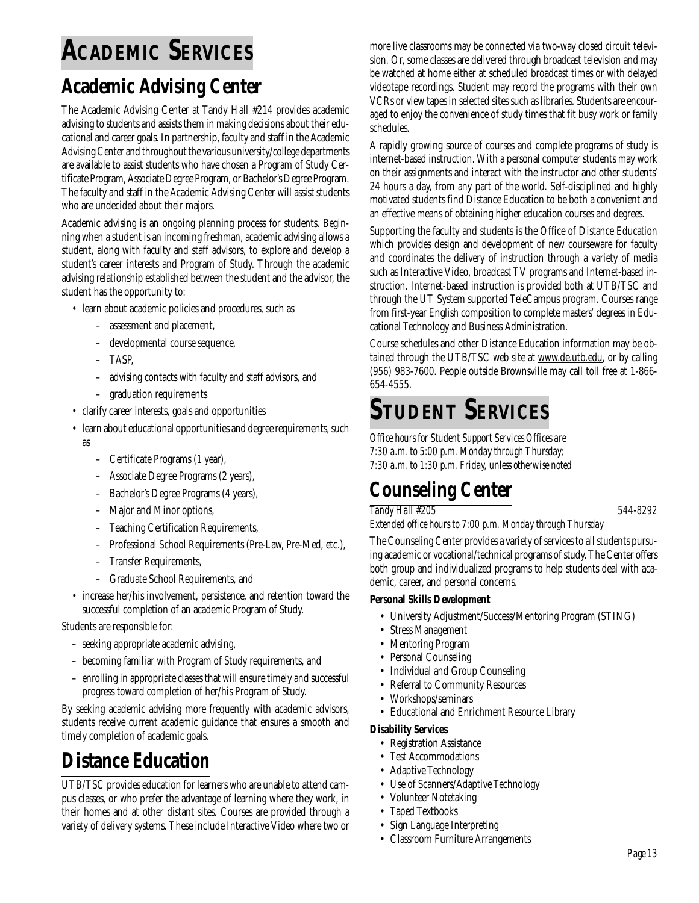# **ACADEMIC SERVICES**

### **Academic Advising Center**

The Academic Advising Center at Tandy Hall #214 provides academic advising to students and assists them in making decisions about their educational and career goals. In partnership, faculty and staff in the Academic Advising Center and throughout the various university/college departments are available to assist students who have chosen a Program of Study Certificate Program, Associate Degree Program, or Bachelor's Degree Program. The faculty and staff in the Academic Advising Center will assist students who are undecided about their majors.

Academic advising is an ongoing planning process for students. Beginning when a student is an incoming freshman, academic advising allows a student, along with faculty and staff advisors, to explore and develop a student's career interests and Program of Study. Through the academic advising relationship established between the student and the advisor, the student has the opportunity to:

- learn about academic policies and procedures, such as
	- assessment and placement,
	- developmental course sequence,
	- TASP,
	- advising contacts with faculty and staff advisors, and
	- graduation requirements
- clarify career interests, goals and opportunities
- learn about educational opportunities and degree requirements, such as
	- Certificate Programs (1 year),
	- Associate Degree Programs (2 years),
	- Bachelor's Degree Programs (4 years),
	- Major and Minor options,
	- Teaching Certification Requirements,
	- Professional School Requirements (Pre-Law, Pre-Med, etc.),
	- Transfer Requirements,
	- Graduate School Requirements, and
- increase her/his involvement, persistence, and retention toward the successful completion of an academic Program of Study.

Students are responsible for:

- seeking appropriate academic advising,
- becoming familiar with Program of Study requirements, and
- enrolling in appropriate classes that will ensure timely and successful progress toward completion of her/his Program of Study.

By seeking academic advising more frequently with academic advisors, students receive current academic guidance that ensures a smooth and timely completion of academic goals.

### **Distance Education**

UTB/TSC provides education for learners who are unable to attend campus classes, or who prefer the advantage of learning where they work, in their homes and at other distant sites. Courses are provided through a variety of delivery systems. These include Interactive Video where two or more live classrooms may be connected via two-way closed circuit television. Or, some classes are delivered through broadcast television and may be watched at home either at scheduled broadcast times or with delayed videotape recordings. Student may record the programs with their own VCRs or view tapes in selected sites such as libraries. Students are encouraged to enjoy the convenience of study times that fit busy work or family schedules.

A rapidly growing source of courses and complete programs of study is internet-based instruction. With a personal computer students may work on their assignments and interact with the instructor and other students' 24 hours a day, from any part of the world. Self-disciplined and highly motivated students find Distance Education to be both a convenient and an effective means of obtaining higher education courses and degrees.

Supporting the faculty and students is the Office of Distance Education which provides design and development of new courseware for faculty and coordinates the delivery of instruction through a variety of media such as Interactive Video, broadcast TV programs and Internet-based instruction. Internet-based instruction is provided both at UTB/TSC and through the UT System supported TeleCampus program. Courses range from first-year English composition to complete masters' degrees in Educational Technology and Business Administration.

Course schedules and other Distance Education information may be obtained through the UTB/TSC web site at www.de.utb.edu, or by calling (956) 983-7600. People outside Brownsville may call toll free at 1-866- 654-4555.

# **STUDENT SERVICES**

*Office hours for Student Support Services Offices are 7:30 a.m. to 5:00 p.m. Monday through Thursday; 7:30 a.m. to 1:30 p.m. Friday, unless otherwise noted*

# **Counseling Center**

#### *Tandy Hall #205 544-8292*

*Extended office hours to 7:00 p.m. Monday through Thursday*

The Counseling Center provides a variety of services to all students pursuing academic or vocational/technical programs of study. The Center offers both group and individualized programs to help students deal with academic, career, and personal concerns.

#### **Personal Skills Development**

- University Adjustment/Success/Mentoring Program (STING)
- Stress Management
- Mentoring Program
- Personal Counseling
- Individual and Group Counseling
- Referral to Community Resources
- Workshops/seminars
- Educational and Enrichment Resource Library

#### **Disability Services**

- Registration Assistance
- Test Accommodations
- Adaptive Technology
- Use of Scanners/Adaptive Technology
- Volunteer Notetaking
- Taped Textbooks
- Sign Language Interpreting
- Classroom Furniture Arrangements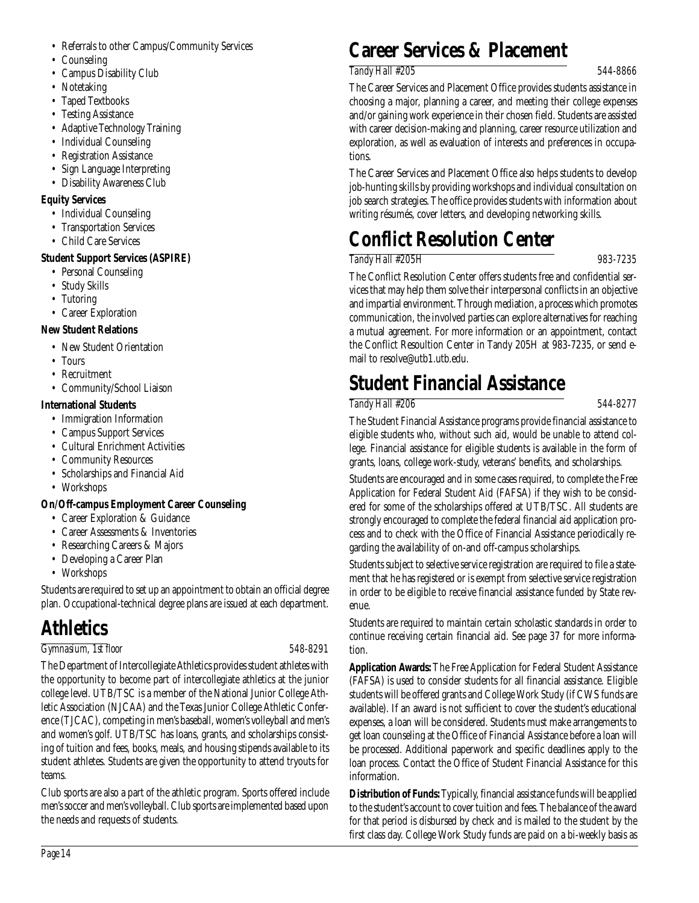- Counseling
- Campus Disability Club
- Notetaking
- Taped Textbooks
- Testing Assistance
- Adaptive Technology Training
- Individual Counseling
- Registration Assistance
- Sign Language Interpreting
- Disability Awareness Club

#### **Equity Services**

- Individual Counseling
- Transportation Services
- Child Care Services

#### **Student Support Services (ASPIRE)**

- Personal Counseling
- Study Skills
- Tutoring
- Career Exploration

#### **New Student Relations**

- New Student Orientation
- Tours
- Recruitment
- Community/School Liaison

#### **International Students**

- Immigration Information
- Campus Support Services
- Cultural Enrichment Activities
- Community Resources
- Scholarships and Financial Aid
- Workshops

### **On/Off-campus Employment Career Counseling**

- Career Exploration & Guidance
- Career Assessments & Inventories
- Researching Careers & Majors
- Developing a Career Plan
- Workshops

Students are required to set up an appointment to obtain an official degree plan. Occupational-technical degree plans are issued at each department.

### **Athletics**

#### *Gymnasium, 1st floor 548-8291*

The Department of Intercollegiate Athletics provides student athletes with the opportunity to become part of intercollegiate athletics at the junior college level. UTB/TSC is a member of the National Junior College Athletic Association (NJCAA) and the Texas Junior College Athletic Conference (TJCAC), competing in men's baseball, women's volleyball and men's and women's golf. UTB/TSC has loans, grants, and scholarships consisting of tuition and fees, books, meals, and housing stipends available to its student athletes. Students are given the opportunity to attend tryouts for teams.

Club sports are also a part of the athletic program. Sports offered include men's soccer and men's volleyball. Club sports are implemented based upon the needs and requests of students.

### **Career Services & Placement**

#### *Tandy Hall #205 544-8866*

The Career Services and Placement Office provides students assistance in choosing a major, planning a career, and meeting their college expenses and/or gaining work experience in their chosen field. Students are assisted with career decision-making and planning, career resource utilization and exploration, as well as evaluation of interests and preferences in occupations.

The Career Services and Placement Office also helps students to develop job-hunting skills by providing workshops and individual consultation on job search strategies. The office provides students with information about writing résumés, cover letters, and developing networking skills.

# **Conflict Resolution Center**

### *Tandy Hall #205H 983-7235*

The Conflict Resolution Center offers students free and confidential services that may help them solve their interpersonal conflicts in an objective and impartial environment. Through mediation, a process which promotes communication, the involved parties can explore alternatives for reaching a mutual agreement. For more information or an appointment, contact the Conflict Resoultion Center in Tandy 205H at 983-7235, or send email to resolve@utb1.utb.edu.

# **Student Financial Assistance**

#### *Tandy Hall #206 544-8277*

The Student Financial Assistance programs provide financial assistance to eligible students who, without such aid, would be unable to attend college. Financial assistance for eligible students is available in the form of grants, loans, college work-study, veterans' benefits, and scholarships.

Students are encouraged and in some cases required, to complete the Free Application for Federal Student Aid (FAFSA) if they wish to be considered for some of the scholarships offered at UTB/TSC. All students are strongly encouraged to complete the federal financial aid application process and to check with the Office of Financial Assistance periodically regarding the availability of on-and off-campus scholarships.

Students subject to selective service registration are required to file a statement that he has registered or is exempt from selective service registration in order to be eligible to receive financial assistance funded by State revenue.

Students are required to maintain certain scholastic standards in order to continue receiving certain financial aid. See page 37 for more information.

**Application Awards:** The Free Application for Federal Student Assistance (FAFSA) is used to consider students for all financial assistance. Eligible students will be offered grants and College Work Study (if CWS funds are available). If an award is not sufficient to cover the student's educational expenses, a loan will be considered. Students must make arrangements to get loan counseling at the Office of Financial Assistance before a loan will be processed. Additional paperwork and specific deadlines apply to the loan process. Contact the Office of Student Financial Assistance for this information.

**Distribution of Funds:**Typically, financial assistance funds will be applied to the student's account to cover tuition and fees. The balance of the award for that period is disbursed by check and is mailed to the student by the first class day. College Work Study funds are paid on a bi-weekly basis as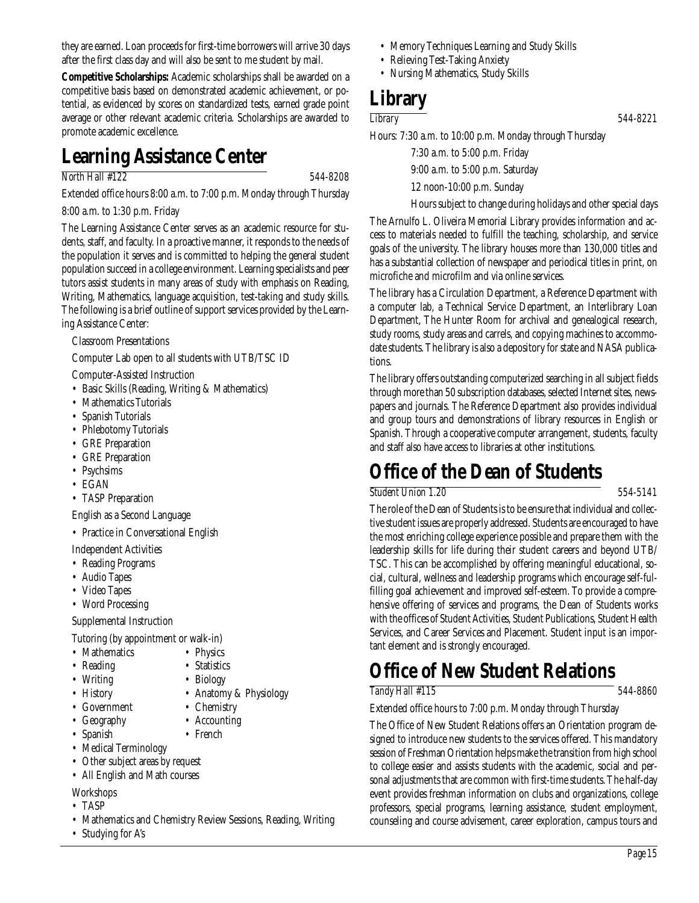they are earned. Loan proceeds for first-time borrowers will arrive 30 days after the first class day and will also be sent to me student by mail.

**Competitive Scholarships:** Academic scholarships shall be awarded on a competitive basis based on demonstrated academic achievement, or potential, as evidenced by scores on standardized tests, earned grade point average or other relevant academic criteria. Scholarships are awarded to promote academic excellence.

### **Learning Assistance Center**

#### *North Hall #122 544-8208*

Extended office hours 8:00 a.m. to 7:00 p.m. Monday through Thursday

8:00 a.m. to 1:30 p.m. Friday

The Learning Assistance Center serves as an academic resource for students, staff, and faculty. In a proactive manner, it responds to the needs of the population it serves and is committed to helping the general student population succeed in a college environment. Learning specialists and peer tutors assist students in many areas of study with emphasis on Reading, Writing, Mathematics, language acquisition, test-taking and study skills. The following is a brief outline of support services provided by the Learning Assistance Center:

Classroom Presentations

Computer Lab open to all students with UTB/TSC ID

Computer-Assisted Instruction

- Basic Skills (Reading, Writing & Mathematics)
- Mathematics Tutorials
- Spanish Tutorials
- Phlebotomy Tutorials
- GRE Preparation
- GRE Preparation
- Psychsims
- EGAN
- TASP Preparation

English as a Second Language

• Practice in Conversational English

Independent Activities

- Reading Programs
- Audio Tapes
- Video Tapes

• Word Processing

Supplemental Instruction

Tutoring (by appointment or walk-in)

- Mathematics Physics
- Reading Statistics
- Writing Biology
- History Anatomy & Physiology
- Government Chemistry
- Geography Accounting
- Spanish French
- Medical Terminology
- Other subject areas by request
- All English and Math courses
- **Workshops**
- TASP
- Mathematics and Chemistry Review Sessions, Reading, Writing
- Studying for A's
- Memory Techniques Learning and Study Skills
- Relieving Test-Taking Anxiety
- Nursing Mathematics, Study Skills

### **Library**

*Library 544-8221*

Hours: 7:30 a.m. to 10:00 p.m. Monday through Thursday

7:30 a.m. to 5:00 p.m. Friday

9:00 a.m. to 5:00 p.m. Saturday

12 noon-10:00 p.m. Sunday

Hours subject to change during holidays and other special days

The Arnulfo L. Oliveira Memorial Library provides information and access to materials needed to fulfill the teaching, scholarship, and service goals of the university. The library houses more than 130,000 titles and has a substantial collection of newspaper and periodical titles in print, on microfiche and microfilm and via online services.

The library has a Circulation Department, a Reference Department with a computer lab, a Technical Service Department, an Interlibrary Loan Department, The Hunter Room for archival and genealogical research, study rooms, study areas and carrels, and copying machines to accommodate students. The library is also a depository for state and NASA publications.

The library offers outstanding computerized searching in all subject fields through more than 50 subscription databases, selected Internet sites, newspapers and journals. The Reference Department also provides individual and group tours and demonstrations of library resources in English or Spanish. Through a cooperative computer arrangement, students, faculty and staff also have access to libraries at other institutions.

### **Office of the Dean of Students**

*Student Union 1.20 554-5141*

The role of the Dean of Students is to be ensure that individual and collective student issues are properly addressed. Students are encouraged to have the most enriching college experience possible and prepare them with the leadership skills for life during their student careers and beyond UTB/ TSC. This can be accomplished by offering meaningful educational, social, cultural, wellness and leadership programs which encourage self-fulfilling goal achievement and improved self-esteem. To provide a comprehensive offering of services and programs, the Dean of Students works with the offices of Student Activities, Student Publications, Student Health Services, and Career Services and Placement. Student input is an important element and is strongly encouraged.

### **Office of New Student Relations**

*Tandy Hall #115 544-8860*

Extended office hours to 7:00 p.m. Monday through Thursday

The Office of New Student Relations offers an Orientation program designed to introduce new students to the services offered. This mandatory session of Freshman Orientation helps make the transition from high school to college easier and assists students with the academic, social and personal adjustments that are common with first-time students. The half-day event provides freshman information on clubs and organizations, college professors, special programs, learning assistance, student employment, counseling and course advisement, career exploration, campus tours and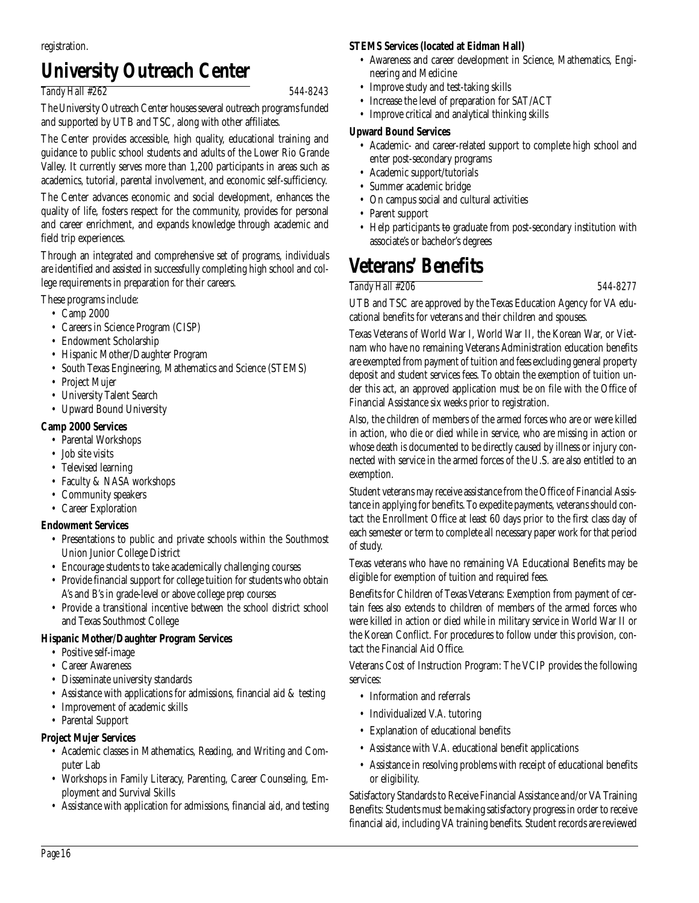registration.

### **University Outreach Center**

#### *Tandy Hall #262 544-8243*

The University Outreach Center houses several outreach programs funded and supported by UTB and TSC, along with other affiliates.

The Center provides accessible, high quality, educational training and guidance to public school students and adults of the Lower Rio Grande Valley. It currently serves more than 1,200 participants in areas such as academics, tutorial, parental involvement, and economic self-sufficiency.

The Center advances economic and social development, enhances the quality of life, fosters respect for the community, provides for personal and career enrichment, and expands knowledge through academic and field trip experiences.

Through an integrated and comprehensive set of programs, individuals are identified and assisted in successfully completing high school and college requirements in preparation for their careers.

These programs include:

- Camp 2000
- Careers in Science Program (CISP)
- Endowment Scholarship
- Hispanic Mother/Daughter Program
- South Texas Engineering, Mathematics and Science (STEMS)
- Project Mujer
- University Talent Search
- Upward Bound University

#### **Camp 2000 Services**

- Parental Workshops
- Job site visits
- Televised learning
- Faculty & NASA workshops
- Community speakers
- Career Exploration

#### **Endowment Services**

- Presentations to public and private schools within the Southmost Union Junior College District
- Encourage students to take academically challenging courses
- Provide financial support for college tuition for students who obtain A's and B's in grade-level or above college prep courses
- Provide a transitional incentive between the school district school and Texas Southmost College

#### **Hispanic Mother/Daughter Program Services**

- Positive self-image
- Career Awareness
- Disseminate university standards
- Assistance with applications for admissions, financial aid & testing
- Improvement of academic skills
- Parental Support

#### **Project Mujer Services**

- Academic classes in Mathematics, Reading, and Writing and Computer Lab
- Workshops in Family Literacy, Parenting, Career Counseling, Employment and Survival Skills
- Assistance with application for admissions, financial aid, and testing

#### **STEMS Services (located at Eidman Hall)**

- Awareness and career development in Science, Mathematics, Engineering and Medicine
- Improve study and test-taking skills
- Increase the level of preparation for SAT/ACT
- Improve critical and analytical thinking skills

#### **Upward Bound Services**

- Academic- and career-related support to complete high school and enter post-secondary programs
- Academic support/tutorials
- Summer academic bridge
- On campus social and cultural activities
- Parent support
- Help participants to graduate from post-secondary institution with associate's or bachelor's degrees

### **Veterans' Benefits**

*Tandy Hall #206 544-8277*

UTB and TSC are approved by the Texas Education Agency for VA educational benefits for veterans and their children and spouses.

Texas Veterans of World War I, World War II, the Korean War, or Vietnam who have no remaining Veterans Administration education benefits are exempted from payment of tuition and fees excluding general property deposit and student services fees. To obtain the exemption of tuition under this act, an approved application must be on file with the Office of Financial Assistance six weeks prior to registration.

Also, the children of members of the armed forces who are or were killed in action, who die or died while in service, who are missing in action or whose death is documented to be directly caused by illness or injury connected with service in the armed forces of the U.S. are also entitled to an exemption.

Student veterans may receive assistance from the Office of Financial Assistance in applying for benefits. To expedite payments, veterans should contact the Enrollment Office at least 60 days prior to the first class day of each semester or term to complete all necessary paper work for that period of study.

Texas veterans who have no remaining VA Educational Benefits may be eligible for exemption of tuition and required fees.

Benefits for Children of Texas Veterans: Exemption from payment of certain fees also extends to children of members of the armed forces who were killed in action or died while in military service in World War II or the Korean Conflict. For procedures to follow under this provision, contact the Financial Aid Office.

Veterans Cost of Instruction Program: The VCIP provides the following services:

- Information and referrals
- Individualized V.A. tutoring
- Explanation of educational benefits
- Assistance with V.A. educational benefit applications
- Assistance in resolving problems with receipt of educational benefits or eligibility.

Satisfactory Standards to Receive Financial Assistance and/or VA Training Benefits: Students must be making satisfactory progress in order to receive financial aid, including VA training benefits. Student records are reviewed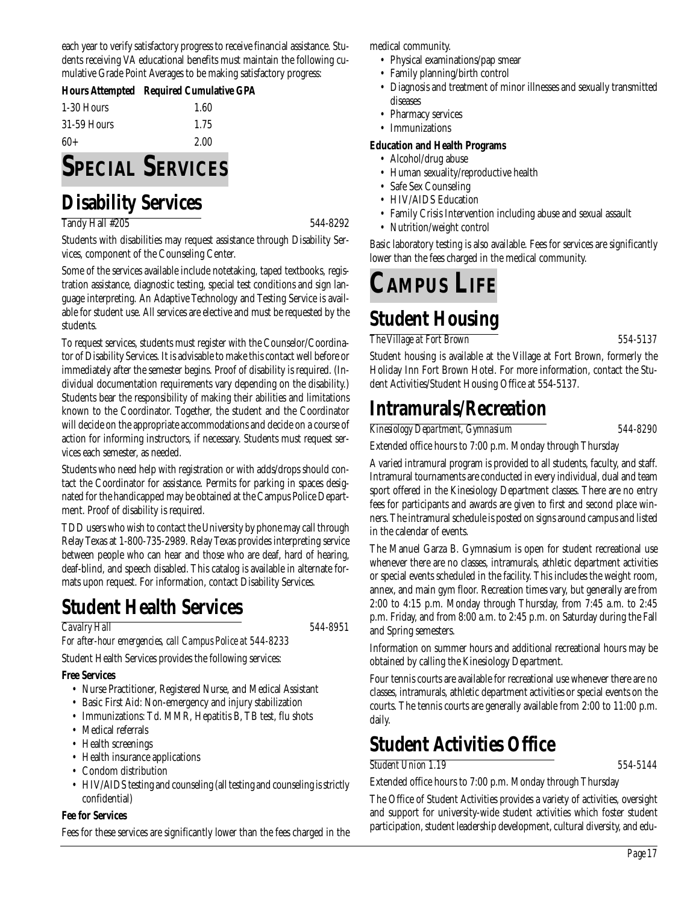each year to verify satisfactory progress to receive financial assistance. Students receiving VA educational benefits must maintain the following cumulative Grade Point Averages to be making satisfactory progress:

|             | Hours Attempted Required Cumulative GPA |
|-------------|-----------------------------------------|
| 1-30 Hours  | 1.60                                    |
| 31-59 Hours | 1.75                                    |
| $60+$       | 2.00                                    |

# **SPECIAL SERVICES**

### **Disability Services**

Tandy Hall #205 544-8292

Students with disabilities may request assistance through Disability Services, component of the Counseling Center.

Some of the services available include notetaking, taped textbooks, registration assistance, diagnostic testing, special test conditions and sign language interpreting. An Adaptive Technology and Testing Service is available for student use. All services are elective and must be requested by the students.

To request services, students must register with the Counselor/Coordinator of Disability Services. It is advisable to make this contact well before or immediately after the semester begins. Proof of disability is required. (Individual documentation requirements vary depending on the disability.) Students bear the responsibility of making their abilities and limitations known to the Coordinator. Together, the student and the Coordinator will decide on the appropriate accommodations and decide on a course of action for informing instructors, if necessary. Students must request services each semester, as needed.

Students who need help with registration or with adds/drops should contact the Coordinator for assistance. Permits for parking in spaces designated for the handicapped may be obtained at the Campus Police Department. Proof of disability is required.

TDD users who wish to contact the University by phone may call through Relay Texas at 1-800-735-2989. Relay Texas provides interpreting service between people who can hear and those who are deaf, hard of hearing, deaf-blind, and speech disabled. This catalog is available in alternate formats upon request. For information, contact Disability Services.

### **Student Health Services**

#### *Cavalry Hall 544-8951*

*For after-hour emergencies, call Campus Police at 544-8233* Student Health Services provides the following services:

#### **Free Services**

- Nurse Practitioner, Registered Nurse, and Medical Assistant
- Basic First Aid: Non-emergency and injury stabilization
- Immunizations: Td. MMR, Hepatitis B, TB test, flu shots
- Medical referrals
- Health screenings
- Health insurance applications
- Condom distribution
- HIV/AIDS testing and counseling (all testing and counseling is strictly confidential)

#### **Fee for Services**

Fees for these services are significantly lower than the fees charged in the

medical community.

- Physical examinations/pap smear
- Family planning/birth control
- Diagnosis and treatment of minor illnesses and sexually transmitted diseases
- Pharmacy services
- Immunizations

#### **Education and Health Programs**

- Alcohol/drug abuse
- Human sexuality/reproductive health
- Safe Sex Counseling
- HIV/AIDS Education
- Family Crisis Intervention including abuse and sexual assault
- Nutrition/weight control

Basic laboratory testing is also available. Fees for services are significantly lower than the fees charged in the medical community.

# **CAMPUS LIFE**

# **Student Housing**

*The Village at Fort Brown 554-5137*

Student housing is available at the Village at Fort Brown, formerly the Holiday Inn Fort Brown Hotel. For more information, contact the Student Activities/Student Housing Office at 554-5137.

### **Intramurals/Recreation**

*Kinesiology Department, Gymnasium 544-8290*

Extended office hours to 7:00 p.m. Monday through Thursday

A varied intramural program is provided to all students, faculty, and staff. Intramural tournaments are conducted in every individual, dual and team sport offered in the Kinesiology Department classes. There are no entry fees for participants and awards are given to first and second place winners. The intramural schedule is posted on signs around campus and listed in the calendar of events.

The Manuel Garza B. Gymnasium is open for student recreational use whenever there are no classes, intramurals, athletic department activities or special events scheduled in the facility. This includes the weight room, annex, and main gym floor. Recreation times vary, but generally are from 2:00 to 4:15 p.m. Monday through Thursday, from 7:45 a.m. to 2:45 p.m. Friday, and from 8:00 a.m. to 2:45 p.m. on Saturday during the Fall and Spring semesters.

Information on summer hours and additional recreational hours may be obtained by calling the Kinesiology Department.

Four tennis courts are available for recreational use whenever there are no classes, intramurals, athletic department activities or special events on the courts. The tennis courts are generally available from 2:00 to 11:00 p.m. daily.

### **Student Activities Office**

*Student Union 1.19 554-5144*

Extended office hours to 7:00 p.m. Monday through Thursday

The Office of Student Activities provides a variety of activities, oversight and support for university-wide student activities which foster student participation, student leadership development, cultural diversity, and edu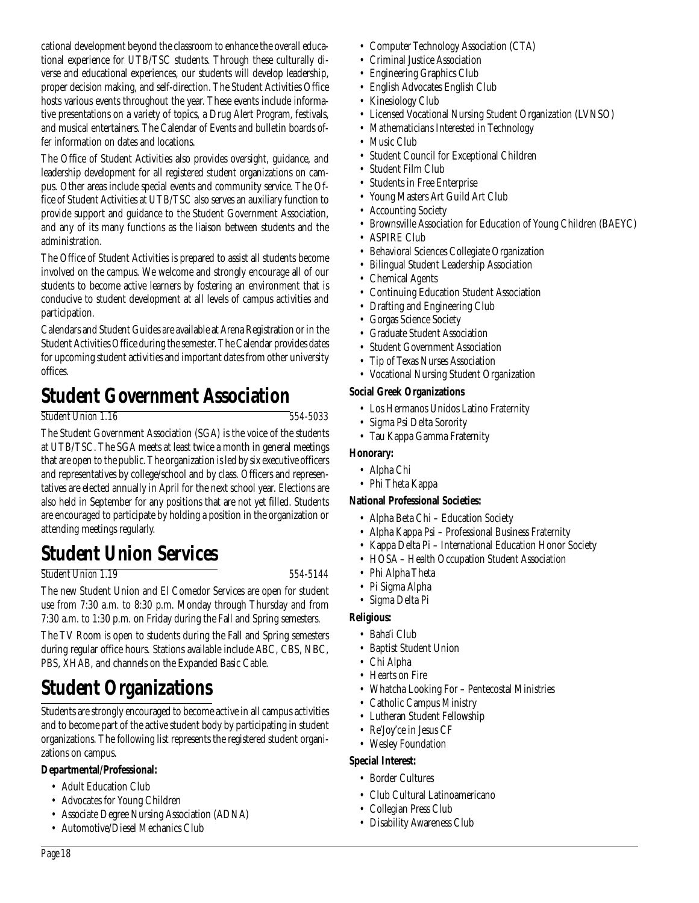cational development beyond the classroom to enhance the overall educational experience for UTB/TSC students. Through these culturally diverse and educational experiences, our students will develop leadership, proper decision making, and self-direction. The Student Activities Office hosts various events throughout the year. These events include informative presentations on a variety of topics, a Drug Alert Program, festivals, and musical entertainers. The Calendar of Events and bulletin boards offer information on dates and locations.

The Office of Student Activities also provides oversight, guidance, and leadership development for all registered student organizations on campus. Other areas include special events and community service. The Office of Student Activities at UTB/TSC also serves an auxiliary function to provide support and guidance to the Student Government Association, and any of its many functions as the liaison between students and the administration.

The Office of Student Activities is prepared to assist all students become involved on the campus. We welcome and strongly encourage all of our students to become active learners by fostering an environment that is conducive to student development at all levels of campus activities and participation.

Calendars and Student Guides are available at Arena Registration or in the Student Activities Office during the semester. The Calendar provides dates for upcoming student activities and important dates from other university offices.

### **Student Government Association**

#### *Student Union 1.16 554-5033*

The Student Government Association (SGA) is the voice of the students at UTB/TSC. The SGA meets at least twice a month in general meetings that are open to the public. The organization is led by six executive officers and representatives by college/school and by class. Officers and representatives are elected annually in April for the next school year. Elections are also held in September for any positions that are not yet filled. Students are encouraged to participate by holding a position in the organization or attending meetings regularly.

### **Student Union Services**

#### *Student Union 1.19 554-5144*

The new Student Union and El Comedor Services are open for student use from 7:30 a.m. to 8:30 p.m. Monday through Thursday and from 7:30 a.m. to 1:30 p.m. on Friday during the Fall and Spring semesters.

The TV Room is open to students during the Fall and Spring semesters during regular office hours. Stations available include ABC, CBS, NBC, PBS, XHAB, and channels on the Expanded Basic Cable.

# **Student Organizations**

Students are strongly encouraged to become active in all campus activities and to become part of the active student body by participating in student organizations. The following list represents the registered student organizations on campus.

### **Departmental/Professional:**

- Adult Education Club
- Advocates for Young Children
- Associate Degree Nursing Association (ADNA)
- Automotive/Diesel Mechanics Club
- Computer Technology Association (CTA)
- Criminal Justice Association
- Engineering Graphics Club
- English Advocates English Club
- Kinesiology Club
- Licensed Vocational Nursing Student Organization (LVNSO)
- Mathematicians Interested in Technology
- Music Club
- Student Council for Exceptional Children
- Student Film Club
- Students in Free Enterprise
- Young Masters Art Guild Art Club
- Accounting Society
- Brownsville Association for Education of Young Children (BAEYC)
- ASPIRE Club
- Behavioral Sciences Collegiate Organization
- Bilingual Student Leadership Association
- Chemical Agents
- Continuing Education Student Association
- Drafting and Engineering Club
- Gorgas Science Society
- Graduate Student Association
- Student Government Association
- Tip of Texas Nurses Association
- Vocational Nursing Student Organization

### **Social Greek Organizations**

- Los Hermanos Unidos Latino Fraternity
- Sigma Psi Delta Sorority
- Tau Kappa Gamma Fraternity

### **Honorary:**

- Alpha Chi
	- Phi Theta Kappa

### **National Professional Societies:**

- Alpha Beta Chi Education Society
- Alpha Kappa Psi Professional Business Fraternity
- Kappa Delta Pi International Education Honor Society
- HOSA Health Occupation Student Association
- Phi Alpha Theta
- Pi Sigma Alpha
- Sigma Delta Pi

### **Religious:**

- Baha'i Club
- Baptist Student Union
- Chi Alpha
- Hearts on Fire
- Whatcha Looking For Pentecostal Ministries
- Catholic Campus Ministry
- Lutheran Student Fellowship
- Re'Joy'ce in Jesus CF
- Wesley Foundation

### **Special Interest:**

- Border Cultures
- Club Cultural Latinoamericano
- Collegian Press Club
- Disability Awareness Club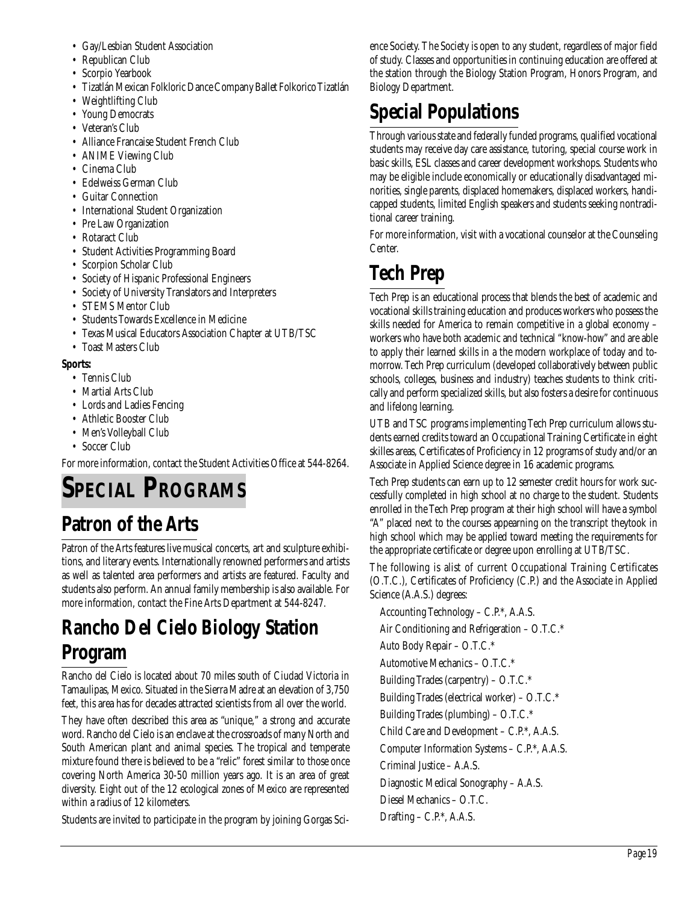- Gay/Lesbian Student Association
- Republican Club
- Scorpio Yearbook
- Tizatlán Mexican Folkloric Dance Company Ballet Folkorico Tizatlán
- Weightlifting Club
- Young Democrats
- Veteran's Club
- Alliance Francaise Student French Club
- ANIME Viewing Club
- Cinema Club
- Edelweiss German Club
- Guitar Connection
- International Student Organization
- Pre Law Organization
- Rotaract Club
- Student Activities Programming Board
- Scorpion Scholar Club
- Society of Hispanic Professional Engineers
- Society of University Translators and Interpreters
- STEMS Mentor Club
- Students Towards Excellence in Medicine
- Texas Musical Educators Association Chapter at UTB/TSC
- Toast Masters Club

#### **Sports:**

- Tennis Club
- Martial Arts Club
- Lords and Ladies Fencing
- Athletic Booster Club
- Men's Volleyball Club
- Soccer Club

For more information, contact the Student Activities Office at 544-8264.

# **SPECIAL PROGRAMS**

### **Patron of the Arts**

Patron of the Arts features live musical concerts, art and sculpture exhibitions, and literary events. Internationally renowned performers and artists as well as talented area performers and artists are featured. Faculty and students also perform. An annual family membership is also available. For more information, contact the Fine Arts Department at 544-8247.

### **Rancho Del Cielo Biology Station Program**

Rancho del Cielo is located about 70 miles south of Ciudad Victoria in Tamaulipas, Mexico. Situated in the Sierra Madre at an elevation of 3,750 feet, this area has for decades attracted scientists from all over the world.

They have often described this area as "unique," a strong and accurate word. Rancho del Cielo is an enclave at the crossroads of many North and South American plant and animal species. The tropical and temperate mixture found there is believed to be a "relic" forest similar to those once covering North America 30-50 million years ago. It is an area of great diversity. Eight out of the 12 ecological zones of Mexico are represented within a radius of 12 kilometers.

Students are invited to participate in the program by joining Gorgas Sci-

ence Society. The Society is open to any student, regardless of major field of study. Classes and opportunities in continuing education are offered at the station through the Biology Station Program, Honors Program, and Biology Department.

# **Special Populations**

Through various state and federally funded programs, qualified vocational students may receive day care assistance, tutoring, special course work in basic skills, ESL classes and career development workshops. Students who may be eligible include economically or educationally disadvantaged minorities, single parents, displaced homemakers, displaced workers, handicapped students, limited English speakers and students seeking nontraditional career training.

For more information, visit with a vocational counselor at the Counseling Center.

# **Tech Prep**

Tech Prep is an educational process that blends the best of academic and vocational skills training education and produces workers who possess the skills needed for America to remain competitive in a global economy – workers who have both academic and technical "know-how" and are able to apply their learned skills in a the modern workplace of today and tomorrow. Tech Prep curriculum (developed collaboratively between public schools, colleges, business and industry) teaches students to think critically and perform specialized skills, but also fosters a desire for continuous and lifelong learning.

UTB and TSC programs implementing Tech Prep curriculum allows students earned credits toward an Occupational Training Certificate in eight skilles areas, Certificates of Proficiency in 12 programs of study and/or an Associate in Applied Science degree in 16 academic programs.

Tech Prep students can earn up to 12 semester credit hours for work successfully completed in high school at no charge to the student. Students enrolled in the Tech Prep program at their high school will have a symbol "A" placed next to the courses appearning on the transcript theytook in high school which may be applied toward meeting the requirements for the appropriate certificate or degree upon enrolling at UTB/TSC.

The following is alist of current Occupational Training Certificates (O.T.C.), Certificates of Proficiency (C.P.) and the Associate in Applied Science (A.A.S.) degrees:

Accounting Technology – C.P.\*, A.A.S. Air Conditioning and Refrigeration – O.T.C.\*

Auto Body Repair – O.T.C.\*

Automotive Mechanics – O.T.C.\*

Building Trades (carpentry) – O.T.C.\*

Building Trades (electrical worker) – O.T.C.\*

Building Trades (plumbing) – O.T.C.\*

Child Care and Development – C.P.\*, A.A.S.

Computer Information Systems – C.P.\*, A.A.S.

Criminal Justice – A.A.S.

Diagnostic Medical Sonography – A.A.S.

Diesel Mechanics – O.T.C.

Drafting – C.P.\*, A.A.S.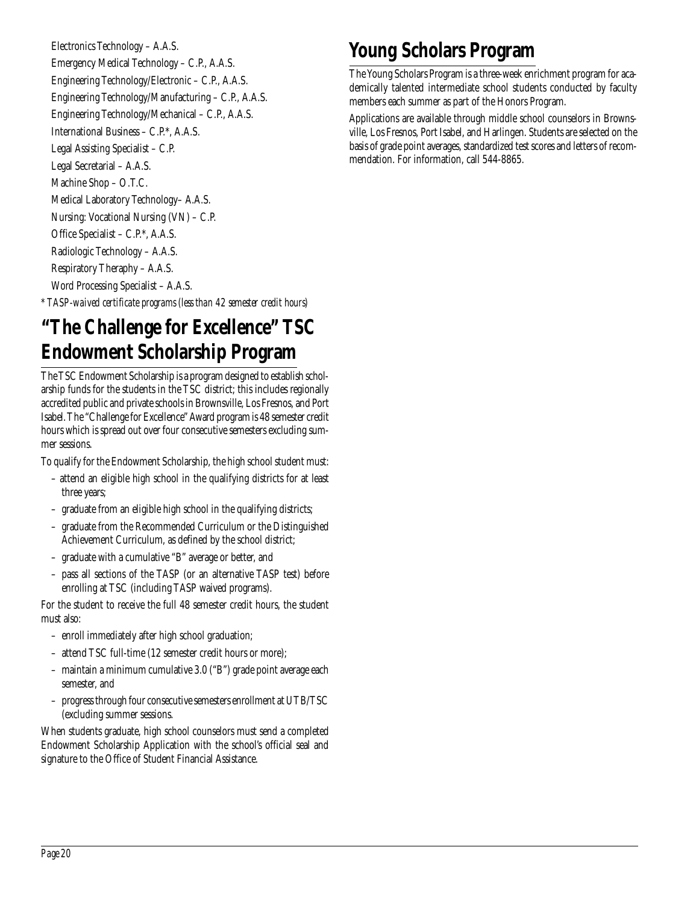Electronics Technology – A.A.S. Emergency Medical Technology – C.P., A.A.S. Engineering Technology/Electronic – C.P., A.A.S. Engineering Technology/Manufacturing – C.P., A.A.S. Engineering Technology/Mechanical – C.P., A.A.S. International Business – C.P.\*, A.A.S. Legal Assisting Specialist – C.P. Legal Secretarial – A.A.S. Machine Shop – O.T.C. Medical Laboratory Technology– A.A.S. Nursing: Vocational Nursing (VN) – C.P. Office Specialist – C.P.\*, A.A.S. Radiologic Technology – A.A.S. Respiratory Theraphy – A.A.S. Word Processing Specialist – A.A.S. *\* TASP-waived certificate programs (less than 42 semester credit hours)*

### **"The Challenge for Excellence" TSC Endowment Scholarship Program**

The TSC Endowment Scholarship is a program designed to establish scholarship funds for the students in the TSC district; this includes regionally accredited public and private schools in Brownsville, Los Fresnos, and Port Isabel. The "Challenge for Excellence" Award program is 48 semester credit hours which is spread out over four consecutive semesters excluding summer sessions.

To qualify for the Endowment Scholarship, the high school student must:

- attend an eligible high school in the qualifying districts for at least three years;
- graduate from an eligible high school in the qualifying districts;
- graduate from the Recommended Curriculum or the Distinguished Achievement Curriculum, as defined by the school district;
- graduate with a cumulative "B" average or better, and
- pass all sections of the TASP (or an alternative TASP test) before enrolling at TSC (including TASP waived programs).

For the student to receive the full 48 semester credit hours, the student must also:

- enroll immediately after high school graduation;
- attend TSC full-time (12 semester credit hours or more);
- maintain a minimum cumulative 3.0 ("B") grade point average each semester, and
- progress through four consecutive semesters enrollment at UTB/TSC (excluding summer sessions.

When students graduate, high school counselors must send a completed Endowment Scholarship Application with the school's official seal and signature to the Office of Student Financial Assistance.

### **Young Scholars Program**

The Young Scholars Program is a three-week enrichment program for academically talented intermediate school students conducted by faculty members each summer as part of the Honors Program.

Applications are available through middle school counselors in Brownsville, Los Fresnos, Port Isabel, and Harlingen. Students are selected on the basis of grade point averages, standardized test scores and letters of recommendation. For information, call 544-8865.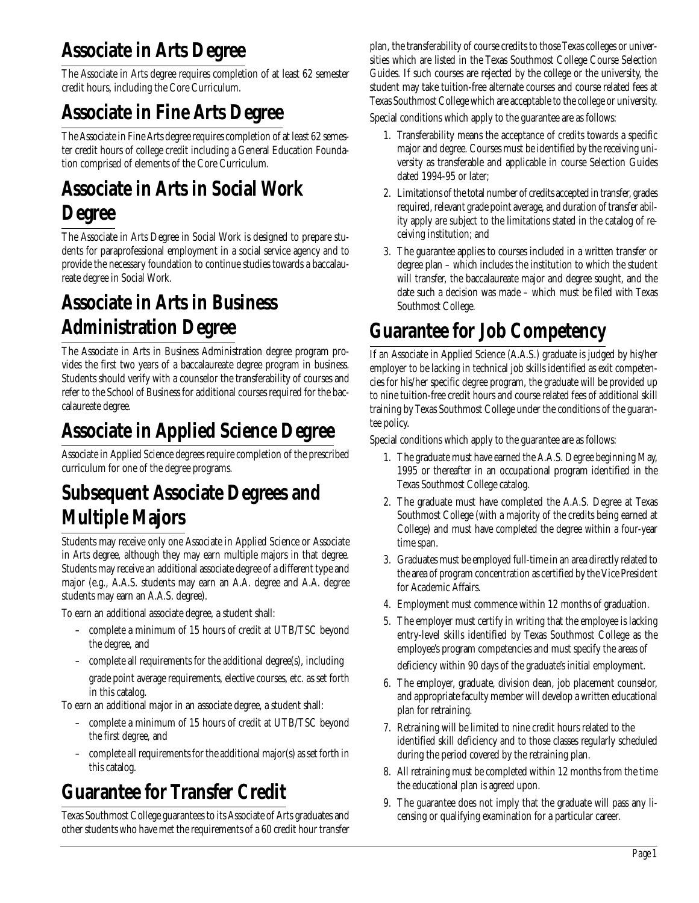### **Associate in Arts Degree**

The Associate in Arts degree requires completion of at least 62 semester credit hours, including the Core Curriculum.

# **Associate in Fine Arts Degree**

The Associate in Fine Arts degree requires completion of at least 62 semester credit hours of college credit including a General Education Foundation comprised of elements of the Core Curriculum.

# **Associate in Arts in Social Work**

### **Degree**

The Associate in Arts Degree in Social Work is designed to prepare students for paraprofessional employment in a social service agency and to provide the necessary foundation to continue studies towards a baccalaureate degree in Social Work.

### **Associate in Arts in Business Administration Degree**

The Associate in Arts in Business Administration degree program provides the first two years of a baccalaureate degree program in business. Students should verify with a counselor the transferability of courses and refer to the School of Business for additional courses required for the baccalaureate degree.

# **Associate in Applied Science Degree**

Associate in Applied Science degrees require completion of the prescribed curriculum for one of the degree programs.

### **Subsequent Associate Degrees and Multiple Majors**

Students may receive only one Associate in Applied Science or Associate in Arts degree, although they may earn multiple majors in that degree. Students may receive an additional associate degree of a different type and major (e.g., A.A.S. students may earn an A.A. degree and A.A. degree students may earn an A.A.S. degree).

To earn an additional associate degree, a student shall:

- complete a minimum of 15 hours of credit at UTB/TSC beyond the degree, and
- complete all requirements for the additional degree(s), including grade point average requirements, elective courses, etc. as set forth in this catalog.

To earn an additional major in an associate degree, a student shall:

- complete a minimum of 15 hours of credit at UTB/TSC beyond the first degree, and
- complete all requirements for the additional major(s) as set forth in this catalog.

# **Guarantee for Transfer Credit**

Texas Southmost College guarantees to its Associate of Arts graduates and other students who have met the requirements of a 60 credit hour transfer plan, the transferability of course credits to those Texas colleges or universities which are listed in the Texas Southmost College Course Selection Guides. If such courses are rejected by the college or the university, the student may take tuition-free alternate courses and course related fees at Texas Southmost College which are acceptable to the college or university.

Special conditions which apply to the guarantee are as follows:

- 1. Transferability means the acceptance of credits towards a specific major and degree. Courses must be identified by the receiving university as transferable and applicable in course Selection Guides dated 1994-95 or later;
- 2. Limitations of the total number of credits accepted in transfer, grades required, relevant grade point average, and duration of transfer ability apply are subject to the limitations stated in the catalog of receiving institution; and
- 3. The guarantee applies to courses included in a written transfer or degree plan – which includes the institution to which the student will transfer, the baccalaureate major and degree sought, and the date such a decision was made – which must be filed with Texas Southmost College.

### **Guarantee for Job Competency**

If an Associate in Applied Science (A.A.S.) graduate is judged by his/her employer to be lacking in technical job skills identified as exit competencies for his/her specific degree program, the graduate will be provided up to nine tuition-free credit hours and course related fees of additional skill training by Texas Southmost College under the conditions of the guarantee policy.

Special conditions which apply to the guarantee are as follows:

- 1. The graduate must have earned the A.A.S. Degree beginning May, 1995 or thereafter in an occupational program identified in the Texas Southmost College catalog.
- 2. The graduate must have completed the A.A.S. Degree at Texas Southmost College (with a majority of the credits being earned at College) and must have completed the degree within a four-year time span.
- 3. Graduates must be employed full-time in an area directly related to the area of program concentration as certified by the Vice President for Academic Affairs.
- 4. Employment must commence within 12 months of graduation.
- 5. The employer must certify in writing that the employee is lacking entry-level skills identified by Texas Southmost College as the employee's program competencies and must specify the areas of deficiency within 90 days of the graduate's initial employment.
- 6. The employer, graduate, division dean, job placement counselor, and appropriate faculty member will develop a written educational plan for retraining.
- 7. Retraining will be limited to nine credit hours related to the identified skill deficiency and to those classes regularly scheduled during the period covered by the retraining plan.
- 8. All retraining must be completed within 12 months from the time the educational plan is agreed upon.
- 9. The guarantee does not imply that the graduate will pass any licensing or qualifying examination for a particular career.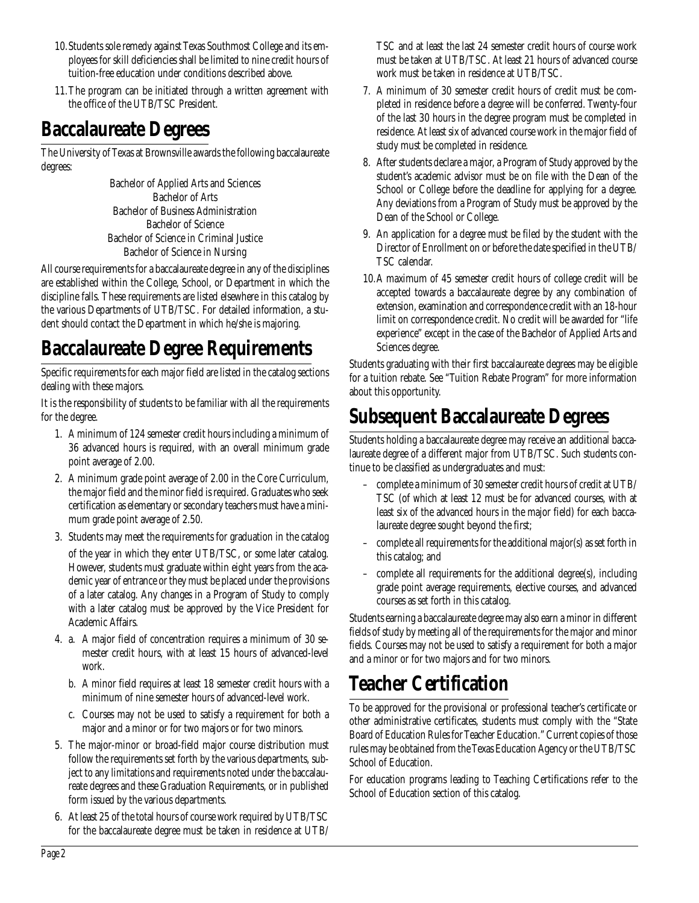- 10.Students sole remedy against Texas Southmost College and its employees for skill deficiencies shall be limited to nine credit hours of tuition-free education under conditions described above.
- 11.The program can be initiated through a written agreement with the office of the UTB/TSC President.

### **Baccalaureate Degrees**

The University of Texas at Brownsville awards the following baccalaureate degrees:

> Bachelor of Applied Arts and Sciences Bachelor of Arts Bachelor of Business Administration Bachelor of Science Bachelor of Science in Criminal Justice Bachelor of Science in Nursing

All course requirements for a baccalaureate degree in any of the disciplines are established within the College, School, or Department in which the discipline falls. These requirements are listed elsewhere in this catalog by the various Departments of UTB/TSC. For detailed information, a student should contact the Department in which he/she is majoring.

### **Baccalaureate Degree Requirements**

Specific requirements for each major field are listed in the catalog sections dealing with these majors.

It is the responsibility of students to be familiar with all the requirements for the degree.

- 1. A minimum of 124 semester credit hours including a minimum of 36 advanced hours is required, with an overall minimum grade point average of 2.00.
- 2. A minimum grade point average of 2.00 in the Core Curriculum, the major field and the minor field is required. Graduates who seek certification as elementary or secondary teachers must have a minimum grade point average of 2.50.
- 3. Students may meet the requirements for graduation in the catalog of the year in which they enter UTB/TSC, or some later catalog. However, students must graduate within eight years from the academic year of entrance or they must be placed under the provisions of a later catalog. Any changes in a Program of Study to comply with a later catalog must be approved by the Vice President for Academic Affairs.
- 4. a. A major field of concentration requires a minimum of 30 semester credit hours, with at least 15 hours of advanced-level work.
	- b. A minor field requires at least 18 semester credit hours with a minimum of nine semester hours of advanced-level work.
	- c. Courses may not be used to satisfy a requirement for both a major and a minor or for two majors or for two minors.
- 5. The major-minor or broad-field major course distribution must follow the requirements set forth by the various departments, subject to any limitations and requirements noted under the baccalaureate degrees and these Graduation Requirements, or in published form issued by the various departments.
- 6. At least 25 of the total hours of course work required by UTB/TSC for the baccalaureate degree must be taken in residence at UTB/

TSC and at least the last 24 semester credit hours of course work must be taken at UTB/TSC. At least 21 hours of advanced course work must be taken in residence at UTB/TSC.

- 7. A minimum of 30 semester credit hours of credit must be completed in residence before a degree will be conferred. Twenty-four of the last 30 hours in the degree program must be completed in residence. At least six of advanced course work in the major field of study must be completed in residence.
- 8. After students declare a major, a Program of Study approved by the student's academic advisor must be on file with the Dean of the School or College before the deadline for applying for a degree. Any deviations from a Program of Study must be approved by the Dean of the School or College.
- 9. An application for a degree must be filed by the student with the Director of Enrollment on or before the date specified in the UTB/ TSC calendar.
- 10.A maximum of 45 semester credit hours of college credit will be accepted towards a baccalaureate degree by any combination of extension, examination and correspondence credit with an 18-hour limit on correspondence credit. No credit will be awarded for "life experience" except in the case of the Bachelor of Applied Arts and Sciences degree.

Students graduating with their first baccalaureate degrees may be eligible for a tuition rebate. See "Tuition Rebate Program" for more information about this opportunity.

### **Subsequent Baccalaureate Degrees**

Students holding a baccalaureate degree may receive an additional baccalaureate degree of a different major from UTB/TSC. Such students continue to be classified as undergraduates and must:

- complete a minimum of 30 semester credit hours of credit at UTB/ TSC (of which at least 12 must be for advanced courses, with at least six of the advanced hours in the major field) for each baccalaureate degree sought beyond the first;
- complete all requirements for the additional major(s) as set forth in this catalog; and
- complete all requirements for the additional degree(s), including grade point average requirements, elective courses, and advanced courses as set forth in this catalog.

Students earning a baccalaureate degree may also earn a minor in different fields of study by meeting all of the requirements for the major and minor fields. Courses may not be used to satisfy a requirement for both a major and a minor or for two majors and for two minors.

### **Teacher Certification**

To be approved for the provisional or professional teacher's certificate or other administrative certificates, students must comply with the "State Board of Education Rules for Teacher Education." Current copies of those rules may be obtained from the Texas Education Agency or the UTB/TSC School of Education.

For education programs leading to Teaching Certifications refer to the School of Education section of this catalog.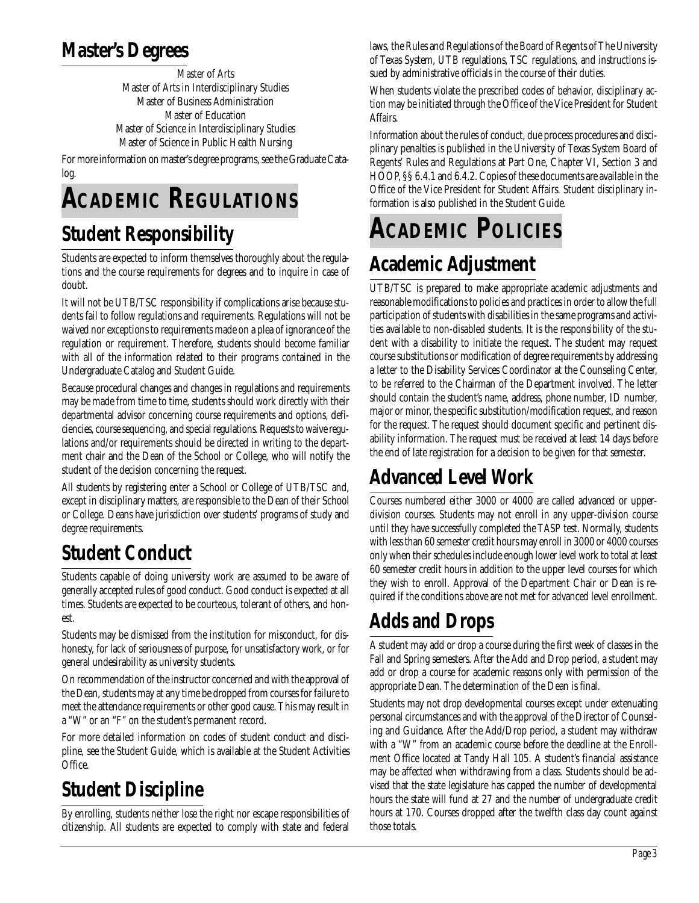### **Master's Degrees**

Master of Arts Master of Arts in Interdisciplinary Studies Master of Business Administration Master of Education Master of Science in Interdisciplinary Studies Master of Science in Public Health Nursing

For more information on master's degree programs, see the Graduate Catalog.

# **ACADEMIC REGULATIONS**

### **Student Responsibility**

Students are expected to inform themselves thoroughly about the regulations and the course requirements for degrees and to inquire in case of doubt.

It will not be UTB/TSC responsibility if complications arise because students fail to follow regulations and requirements. Regulations will not be waived nor exceptions to requirements made on a plea of ignorance of the regulation or requirement. Therefore, students should become familiar with all of the information related to their programs contained in the Undergraduate Catalog and Student Guide.

Because procedural changes and changes in regulations and requirements may be made from time to time, students should work directly with their departmental advisor concerning course requirements and options, deficiencies, course sequencing, and special regulations. Requests to waive regulations and/or requirements should be directed in writing to the department chair and the Dean of the School or College, who will notify the student of the decision concerning the request.

All students by registering enter a School or College of UTB/TSC and, except in disciplinary matters, are responsible to the Dean of their School or College. Deans have jurisdiction over students' programs of study and degree requirements.

# **Student Conduct**

Students capable of doing university work are assumed to be aware of generally accepted rules of good conduct. Good conduct is expected at all times. Students are expected to be courteous, tolerant of others, and honest.

Students may be dismissed from the institution for misconduct, for dishonesty, for lack of seriousness of purpose, for unsatisfactory work, or for general undesirability as university students.

On recommendation of the instructor concerned and with the approval of the Dean, students may at any time be dropped from courses for failure to meet the attendance requirements or other good cause. This may result in a "W" or an "F" on the student's permanent record.

For more detailed information on codes of student conduct and discipline, see the Student Guide, which is available at the Student Activities Office.

# **Student Discipline**

By enrolling, students neither lose the right nor escape responsibilities of citizenship. All students are expected to comply with state and federal

laws, the Rules and Regulations of the Board of Regents of The University of Texas System, UTB regulations, TSC regulations, and instructions issued by administrative officials in the course of their duties.

When students violate the prescribed codes of behavior, disciplinary action may be initiated through the Office of the Vice President for Student Affairs.

Information about the rules of conduct, due process procedures and disciplinary penalties is published in the University of Texas System Board of Regents' Rules and Regulations at Part One, Chapter VI, Section 3 and HOOP, §§ 6.4.1 and 6.4.2. Copies of these documents are available in the Office of the Vice President for Student Affairs. Student disciplinary information is also published in the Student Guide.

# **ACADEMIC POLICIES**

# **Academic Adjustment**

UTB/TSC is prepared to make appropriate academic adjustments and reasonable modifications to policies and practices in order to allow the full participation of students with disabilities in the same programs and activities available to non-disabled students. It is the responsibility of the student with a disability to initiate the request. The student may request course substitutions or modification of degree requirements by addressing a letter to the Disability Services Coordinator at the Counseling Center, to be referred to the Chairman of the Department involved. The letter should contain the student's name, address, phone number, ID number, major or minor, the specific substitution/modification request, and reason for the request. The request should document specific and pertinent disability information. The request must be received at least 14 days before the end of late registration for a decision to be given for that semester.

# **Advanced Level Work**

Courses numbered either 3000 or 4000 are called advanced or upperdivision courses. Students may not enroll in any upper-division course until they have successfully completed the TASP test. Normally, students with less than 60 semester credit hours may enroll in 3000 or 4000 courses only when their schedules include enough lower level work to total at least 60 semester credit hours in addition to the upper level courses for which they wish to enroll. Approval of the Department Chair or Dean is required if the conditions above are not met for advanced level enrollment.

# **Adds and Drops**

A student may add or drop a course during the first week of classes in the Fall and Spring semesters. After the Add and Drop period, a student may add or drop a course for academic reasons only with permission of the appropriate Dean. The determination of the Dean is final.

Students may not drop developmental courses except under extenuating personal circumstances and with the approval of the Director of Counseling and Guidance. After the Add/Drop period, a student may withdraw with a "W" from an academic course before the deadline at the Enrollment Office located at Tandy Hall 105. A student's financial assistance may be affected when withdrawing from a class. Students should be advised that the state legislature has capped the number of developmental hours the state will fund at 27 and the number of undergraduate credit hours at 170. Courses dropped after the twelfth class day count against those totals.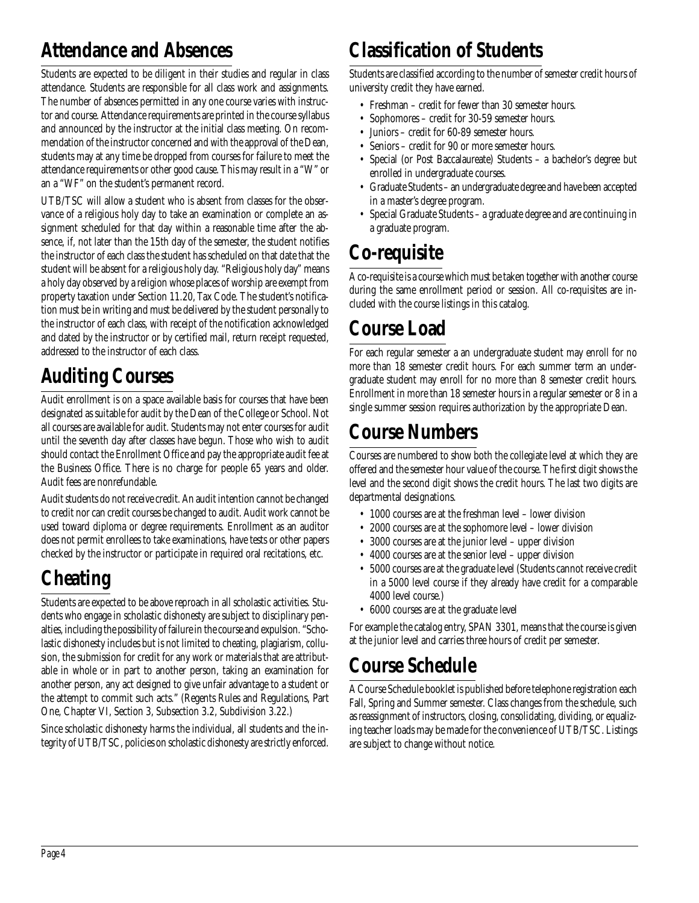### **Attendance and Absences**

Students are expected to be diligent in their studies and regular in class attendance. Students are responsible for all class work and assignments. The number of absences permitted in any one course varies with instructor and course. Attendance requirements are printed in the course syllabus and announced by the instructor at the initial class meeting. On recommendation of the instructor concerned and with the approval of the Dean, students may at any time be dropped from courses for failure to meet the attendance requirements or other good cause. This may result in a "W" or an a "WF" on the student's permanent record.

UTB/TSC will allow a student who is absent from classes for the observance of a religious holy day to take an examination or complete an assignment scheduled for that day within a reasonable time after the absence, if, not later than the 15th day of the semester, the student notifies the instructor of each class the student has scheduled on that date that the student will be absent for a religious holy day. "Religious holy day" means a holy day observed by a religion whose places of worship are exempt from property taxation under Section 11.20, Tax Code. The student's notification must be in writing and must be delivered by the student personally to the instructor of each class, with receipt of the notification acknowledged and dated by the instructor or by certified mail, return receipt requested, addressed to the instructor of each class.

# **Auditing Courses**

Audit enrollment is on a space available basis for courses that have been designated as suitable for audit by the Dean of the College or School. Not all courses are available for audit. Students may not enter courses for audit until the seventh day after classes have begun. Those who wish to audit should contact the Enrollment Office and pay the appropriate audit fee at the Business Office. There is no charge for people 65 years and older. Audit fees are nonrefundable.

Audit students do not receive credit. An audit intention cannot be changed to credit nor can credit courses be changed to audit. Audit work cannot be used toward diploma or degree requirements. Enrollment as an auditor does not permit enrollees to take examinations, have tests or other papers checked by the instructor or participate in required oral recitations, etc.

# **Cheating**

Students are expected to be above reproach in all scholastic activities. Students who engage in scholastic dishonesty are subject to disciplinary penalties, including the possibility of failure in the course and expulsion. "Scholastic dishonesty includes but is not limited to cheating, plagiarism, collusion, the submission for credit for any work or materials that are attributable in whole or in part to another person, taking an examination for another person, any act designed to give unfair advantage to a student or the attempt to commit such acts." (Regents Rules and Regulations, Part One, Chapter VI, Section 3, Subsection 3.2, Subdivision 3.22.)

Since scholastic dishonesty harms the individual, all students and the integrity of UTB/TSC, policies on scholastic dishonesty are strictly enforced.

### **Classification of Students**

Students are classified according to the number of semester credit hours of university credit they have earned.

- Freshman credit for fewer than 30 semester hours.
- Sophomores credit for 30-59 semester hours.
- Juniors credit for 60-89 semester hours.
- Seniors credit for 90 or more semester hours.
- Special (or Post Baccalaureate) Students a bachelor's degree but enrolled in undergraduate courses.
- Graduate Students an undergraduate degree and have been accepted in a master's degree program.
- Special Graduate Students a graduate degree and are continuing in a graduate program.

### **Co-requisite**

A co-requisite is a course which must be taken together with another course during the same enrollment period or session. All co-requisites are included with the course listings in this catalog.

### **Course Load**

For each regular semester a an undergraduate student may enroll for no more than 18 semester credit hours. For each summer term an undergraduate student may enroll for no more than 8 semester credit hours. Enrollment in more than 18 semester hours in a regular semester or 8 in a single summer session requires authorization by the appropriate Dean.

### **Course Numbers**

Courses are numbered to show both the collegiate level at which they are offered and the semester hour value of the course. The first digit shows the level and the second digit shows the credit hours. The last two digits are departmental designations.

- 1000 courses are at the freshman level lower division
- 2000 courses are at the sophomore level lower division
- 3000 courses are at the junior level upper division
- 4000 courses are at the senior level upper division
- 5000 courses are at the graduate level (Students cannot receive credit in a 5000 level course if they already have credit for a comparable 4000 level course.)
- 6000 courses are at the graduate level

For example the catalog entry, SPAN 3301, means that the course is given at the junior level and carries three hours of credit per semester.

### **Course Schedule**

A Course Schedule booklet is published before telephone registration each Fall, Spring and Summer semester. Class changes from the schedule, such as reassignment of instructors, closing, consolidating, dividing, or equalizing teacher loads may be made for the convenience of UTB/TSC. Listings are subject to change without notice.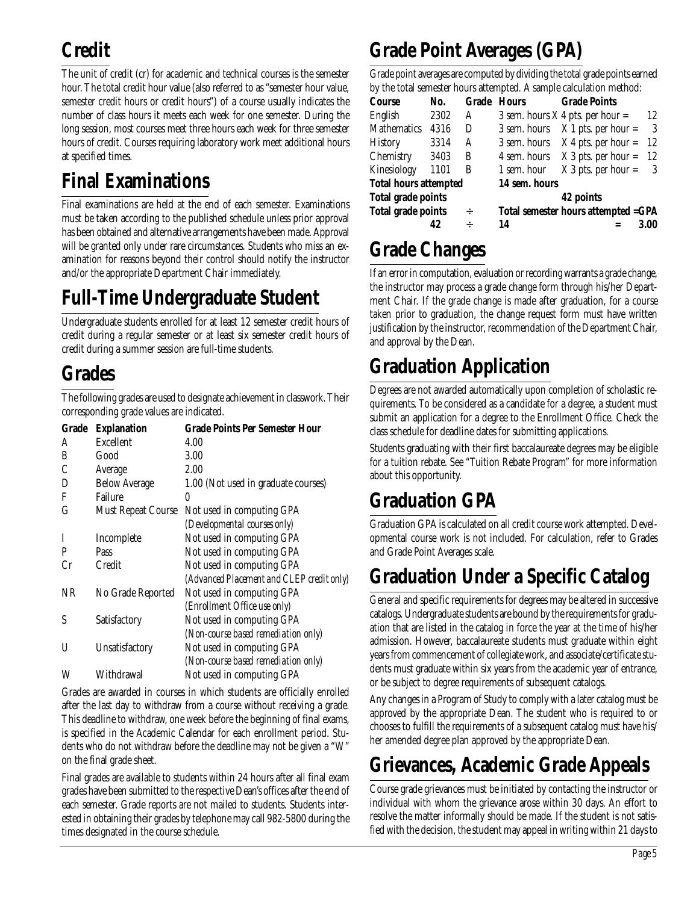# **Credit**

The unit of credit (cr) for academic and technical courses is the semester hour. The total credit hour value (also referred to as "semester hour value, semester credit hours or credit hours") of a course usually indicates the number of class hours it meets each week for one semester. During the long session, most courses meet three hours each week for three semester hours of credit. Courses requiring laboratory work meet additional hours at specified times.

# **Final Examinations**

Final examinations are held at the end of each semester. Examinations must be taken according to the published schedule unless prior approval has been obtained and alternative arrangements have been made. Approval will be granted only under rare circumstances. Students who miss an examination for reasons beyond their control should notify the instructor and/or the appropriate Department Chair immediately.

# **Full-Time Undergraduate Student**

Undergraduate students enrolled for at least 12 semester credit hours of credit during a regular semester or at least six semester credit hours of credit during a summer session are full-time students.

### **Grades**

The following grades are used to designate achievement in classwork. Their corresponding grade values are indicated.

| Grade | <b>Explanation</b>        | <b>Grade Points Per Semester Hour</b>     |
|-------|---------------------------|-------------------------------------------|
| A     | Excellent                 | 4.00                                      |
| B     | Good                      | 3.00                                      |
| C     | Average                   | 2.00                                      |
| D     | <b>Below Average</b>      | 1.00 (Not used in graduate courses)       |
| F     | <b>Failure</b>            | 0                                         |
| G     | <b>Must Repeat Course</b> | Not used in computing GPA                 |
|       |                           | (Developmental courses only)              |
| I     | Incomplete                | Not used in computing GPA                 |
| P     | Pass                      | Not used in computing GPA                 |
| Cr    | <b>Credit</b>             | Not used in computing GPA                 |
|       |                           | (Advanced Placement and CLEP credit only) |
| NR    | No Grade Reported         | Not used in computing GPA                 |
|       |                           | (Enrollment Office use only)              |
| S     | Satisfactory              | Not used in computing GPA                 |
|       |                           | (Non-course based remediation only)       |
| U     | Unsatisfactory            | Not used in computing GPA                 |
|       |                           | (Non-course based remediation only)       |
| W     | Withdrawal                | Not used in computing GPA                 |

Grades are awarded in courses in which students are officially enrolled after the last day to withdraw from a course without receiving a grade. This deadline to withdraw, one week before the beginning of final exams, is specified in the Academic Calendar for each enrollment period. Students who do not withdraw before the deadline may not be given a "W" on the final grade sheet.

Final grades are available to students within 24 hours after all final exam grades have been submitted to the respective Dean's offices after the end of each semester. Grade reports are not mailed to students. Students interested in obtaining their grades by telephone may call 982-5800 during the times designated in the course schedule.

# **Grade Point Averages (GPA)**

Grade point averages are computed by dividing the total grade points earned by the total semester hours attempted. A sample calculation method:

| by the total schittster hours attempted. A sample calculation inclified. |                                                  |                              |                       |                                                                                                                                                                                                 |
|--------------------------------------------------------------------------|--------------------------------------------------|------------------------------|-----------------------|-------------------------------------------------------------------------------------------------------------------------------------------------------------------------------------------------|
| No.                                                                      |                                                  |                              | <b>Grade Points</b>   |                                                                                                                                                                                                 |
| 2302                                                                     | A                                                |                              |                       | 12                                                                                                                                                                                              |
| 4316                                                                     | D                                                | 3 sem. hours                 |                       | - 3                                                                                                                                                                                             |
| 3314                                                                     | A                                                |                              |                       | -12                                                                                                                                                                                             |
|                                                                          | B                                                |                              |                       | -12                                                                                                                                                                                             |
| 1101                                                                     | B                                                | 1 sem. hour                  | $X_3$ pts. per hour = | - 3                                                                                                                                                                                             |
|                                                                          |                                                  |                              |                       |                                                                                                                                                                                                 |
|                                                                          |                                                  |                              | 42 points             |                                                                                                                                                                                                 |
|                                                                          | $\div$                                           |                              |                       |                                                                                                                                                                                                 |
|                                                                          | ÷                                                | 14                           |                       | 3.00                                                                                                                                                                                            |
|                                                                          | 3403<br>Total grade points<br>Total grade points | <b>Total hours attempted</b> | <b>Grade Hours</b>    | 3 sem. hours $X$ 4 pts. per hour =<br>$X$ 1 pts. per hour =<br>3 sem. hours $X$ 4 pts. per hour =<br>4 sem. hours $X$ 3 pts. per hour =<br>14 sem. hours<br>Total semester hours attempted =GPA |

# **Grade Changes**

If an error in computation, evaluation or recording warrants a grade change, the instructor may process a grade change form through his/her Department Chair. If the grade change is made after graduation, for a course taken prior to graduation, the change request form must have written justification by the instructor, recommendation of the Department Chair, and approval by the Dean.

### **Graduation Application**

Degrees are not awarded automatically upon completion of scholastic requirements. To be considered as a candidate for a degree, a student must submit an application for a degree to the Enrollment Office. Check the class schedule for deadline dates for submitting applications.

Students graduating with their first baccalaureate degrees may be eligible for a tuition rebate. See "Tuition Rebate Program" for more information about this opportunity.

### **Graduation GPA**

Graduation GPA is calculated on all credit course work attempted. Developmental course work is not included. For calculation, refer to Grades and Grade Point Averages scale.

### **Graduation Under a Specific Catalog**

General and specific requirements for degrees may be altered in successive catalogs. Undergraduate students are bound by the requirements for graduation that are listed in the catalog in force the year at the time of his/her admission. However, baccalaureate students must graduate within eight years from commencement of collegiate work, and associate/certificate students must graduate within six years from the academic year of entrance, or be subject to degree requirements of subsequent catalogs.

Any changes in a Program of Study to comply with a later catalog must be approved by the appropriate Dean. The student who is required to or chooses to fulfill the requirements of a subsequent catalog must have his/ her amended degree plan approved by the appropriate Dean.

# **Grievances, Academic Grade Appeals**

Course grade grievances must be initiated by contacting the instructor or individual with whom the grievance arose within 30 days. An effort to resolve the matter informally should be made. If the student is not satisfied with the decision, the student may appeal in writing within 21 days to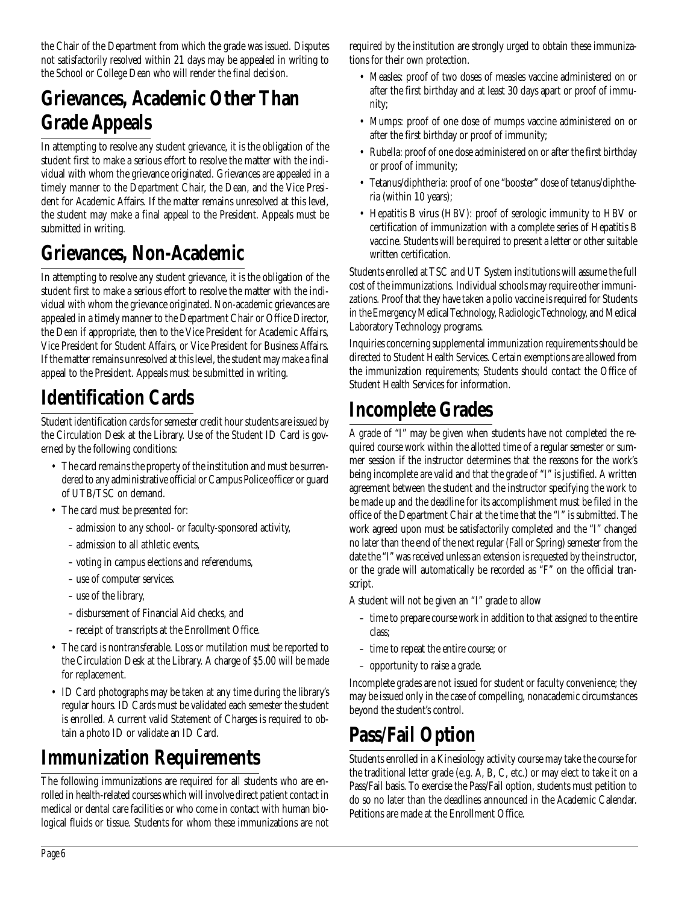the Chair of the Department from which the grade was issued. Disputes not satisfactorily resolved within 21 days may be appealed in writing to the School or College Dean who will render the final decision.

### **Grievances, Academic Other Than Grade Appeals**

In attempting to resolve any student grievance, it is the obligation of the student first to make a serious effort to resolve the matter with the individual with whom the grievance originated. Grievances are appealed in a timely manner to the Department Chair, the Dean, and the Vice President for Academic Affairs. If the matter remains unresolved at this level, the student may make a final appeal to the President. Appeals must be submitted in writing.

### **Grievances, Non-Academic**

In attempting to resolve any student grievance, it is the obligation of the student first to make a serious effort to resolve the matter with the individual with whom the grievance originated. Non-academic grievances are appealed in a timely manner to the Department Chair or Office Director, the Dean if appropriate, then to the Vice President for Academic Affairs, Vice President for Student Affairs, or Vice President for Business Affairs. If the matter remains unresolved at this level, the student may make a final appeal to the President. Appeals must be submitted in writing.

# **Identification Cards**

Student identification cards for semester credit hour students are issued by the Circulation Desk at the Library. Use of the Student ID Card is governed by the following conditions:

- The card remains the property of the institution and must be surrendered to any administrative official or Campus Police officer or guard of UTB/TSC on demand.
- The card must be presented for:
	- admission to any school- or faculty-sponsored activity,
	- admission to all athletic events,
	- voting in campus elections and referendums,
	- use of computer services.
	- use of the library,
	- disbursement of Financial Aid checks, and
	- receipt of transcripts at the Enrollment Office.
- The card is nontransferable. Loss or mutilation must be reported to the Circulation Desk at the Library. A charge of \$5.00 will be made for replacement.
- ID Card photographs may be taken at any time during the library's regular hours. ID Cards must be validated each semester the student is enrolled. A current valid Statement of Charges is required to obtain a photo ID or validate an ID Card.

### **Immunization Requirements**

The following immunizations are required for all students who are enrolled in health-related courses which will involve direct patient contact in medical or dental care facilities or who come in contact with human biological fluids or tissue. Students for whom these immunizations are not required by the institution are strongly urged to obtain these immunizations for their own protection.

- Measles: proof of two doses of measles vaccine administered on or after the first birthday and at least 30 days apart or proof of immunity;
- Mumps: proof of one dose of mumps vaccine administered on or after the first birthday or proof of immunity;
- Rubella: proof of one dose administered on or after the first birthday or proof of immunity;
- Tetanus/diphtheria: proof of one "booster" dose of tetanus/diphtheria (within 10 years);
- Hepatitis B virus (HBV): proof of serologic immunity to HBV or certification of immunization with a complete series of Hepatitis B vaccine. Students will be required to present a letter or other suitable written certification.

Students enrolled at TSC and UT System institutions will assume the full cost of the immunizations. Individual schools may require other immunizations. Proof that they have taken a polio vaccine is required for Students in the Emergency Medical Technology, Radiologic Technology, and Medical Laboratory Technology programs.

Inquiries concerning supplemental immunization requirements should be directed to Student Health Services. Certain exemptions are allowed from the immunization requirements; Students should contact the Office of Student Health Services for information.

### **Incomplete Grades**

A grade of "I" may be given when students have not completed the required course work within the allotted time of a regular semester or summer session if the instructor determines that the reasons for the work's being incomplete are valid and that the grade of "I" is justified. A written agreement between the student and the instructor specifying the work to be made up and the deadline for its accomplishment must be filed in the office of the Department Chair at the time that the "I" is submitted. The work agreed upon must be satisfactorily completed and the "I" changed no later than the end of the next regular (Fall or Spring) semester from the date the "I" was received unless an extension is requested by the instructor, or the grade will automatically be recorded as "F" on the official transcript.

A student will not be given an "I" grade to allow

- time to prepare course work in addition to that assigned to the entire class;
- time to repeat the entire course; or
- opportunity to raise a grade.

Incomplete grades are not issued for student or faculty convenience; they may be issued only in the case of compelling, nonacademic circumstances beyond the student's control.

### **Pass/Fail Option**

Students enrolled in a Kinesiology activity course may take the course for the traditional letter grade (e.g. A, B, C, etc.) or may elect to take it on a Pass/Fail basis. To exercise the Pass/Fail option, students must petition to do so no later than the deadlines announced in the Academic Calendar. Petitions are made at the Enrollment Office.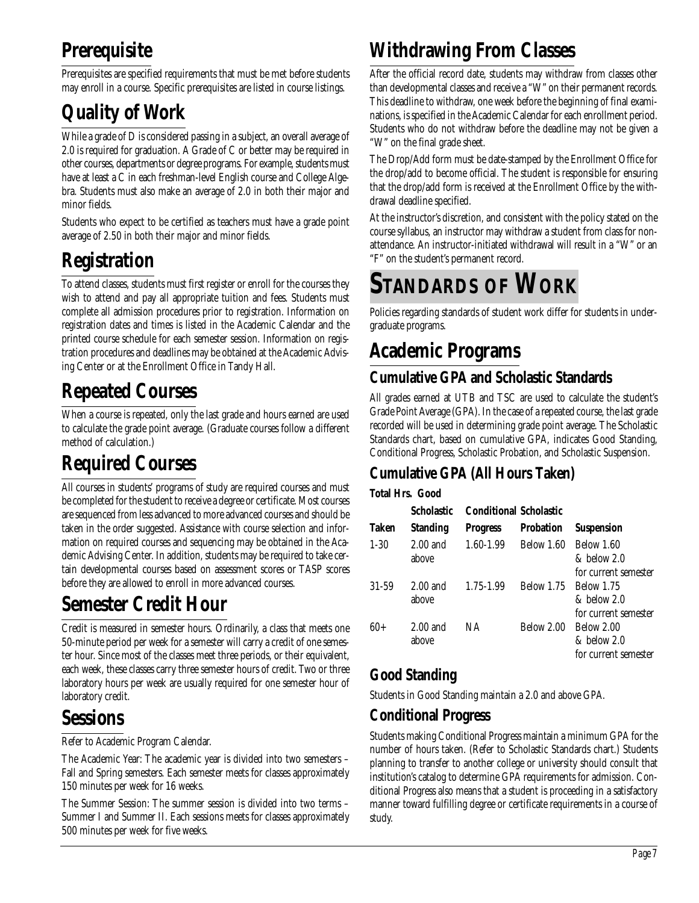# **Prerequisite**

Prerequisites are specified requirements that must be met before students may enroll in a course. Specific prerequisites are listed in course listings.

# **Quality of Work**

While a grade of D is considered passing in a subject, an overall average of 2.0 is required for graduation. A Grade of C or better may be required in other courses, departments or degree programs. For example, students must have at least a C in each freshman-level English course and College Algebra. Students must also make an average of 2.0 in both their major and minor fields.

Students who expect to be certified as teachers must have a grade point average of 2.50 in both their major and minor fields.

# **Registration**

To attend classes, students must first register or enroll for the courses they wish to attend and pay all appropriate tuition and fees. Students must complete all admission procedures prior to registration. Information on registration dates and times is listed in the Academic Calendar and the printed course schedule for each semester session. Information on registration procedures and deadlines may be obtained at the Academic Advising Center or at the Enrollment Office in Tandy Hall.

# **Repeated Courses**

When a course is repeated, only the last grade and hours earned are used to calculate the grade point average. (Graduate courses follow a different method of calculation.)

# **Required Courses**

All courses in students' programs of study are required courses and must be completed for the student to receive a degree or certificate. Most courses are sequenced from less advanced to more advanced courses and should be taken in the order suggested. Assistance with course selection and information on required courses and sequencing may be obtained in the Academic Advising Center. In addition, students may be required to take certain developmental courses based on assessment scores or TASP scores before they are allowed to enroll in more advanced courses.

### **Semester Credit Hour**

Credit is measured in semester hours. Ordinarily, a class that meets one 50-minute period per week for a semester will carry a credit of one semester hour. Since most of the classes meet three periods, or their equivalent, each week, these classes carry three semester hours of credit. Two or three laboratory hours per week are usually required for one semester hour of laboratory credit.

### **Sessions**

Refer to Academic Program Calendar.

The Academic Year: The academic year is divided into two semesters – Fall and Spring semesters. Each semester meets for classes approximately 150 minutes per week for 16 weeks.

The Summer Session: The summer session is divided into two terms – Summer I and Summer II. Each sessions meets for classes approximately 500 minutes per week for five weeks.

# **Withdrawing From Classes**

After the official record date, students may withdraw from classes other than developmental classes and receive a "W" on their permanent records. This deadline to withdraw, one week before the beginning of final examinations, is specified in the Academic Calendar for each enrollment period. Students who do not withdraw before the deadline may not be given a "W" on the final grade sheet.

The Drop/Add form must be date-stamped by the Enrollment Office for the drop/add to become official. The student is responsible for ensuring that the drop/add form is received at the Enrollment Office by the withdrawal deadline specified.

At the instructor's discretion, and consistent with the policy stated on the course syllabus, an instructor may withdraw a student from class for nonattendance. An instructor-initiated withdrawal will result in a "W" or an "F" on the student's permanent record.

# **STANDARDS OF WORK**

Policies regarding standards of student work differ for students in undergraduate programs.

# **Academic Programs**

### **Cumulative GPA and Scholastic Standards**

All grades earned at UTB and TSC are used to calculate the student's Grade Point Average (GPA). In the case of a repeated course, the last grade recorded will be used in determining grade point average. The Scholastic Standards chart, based on cumulative GPA, indicates Good Standing, Conditional Progress, Scholastic Probation, and Scholastic Suspension.

### **Cumulative GPA (All Hours Taken)**

### **Total Hrs. Good**

|              | <b>Scholastic</b>   |                 | Conditional Scholastic |                                                              |  |
|--------------|---------------------|-----------------|------------------------|--------------------------------------------------------------|--|
| <b>Taken</b> | <b>Standing</b>     | <b>Progress</b> | <b>Probation</b>       | <b>Suspension</b>                                            |  |
| $1 - 30$     | $2.00$ and<br>above | 1.60-1.99       | Below 1.60             | <b>Below 1.60</b><br>$&$ below $2.0$<br>for current semester |  |
| $31 - 59$    | $2.00$ and<br>above | 1.75-1.99       |                        | Below 1.75 Below 1.75<br>& below 2.0<br>for current semester |  |
| 60+          | $2.00$ and<br>above | NA.             | Below 2.00             | Below 2.00<br>& below 2.0<br>for current semester            |  |

### **Good Standing**

Students in Good Standing maintain a 2.0 and above GPA.

### **Conditional Progress**

Students making Conditional Progress maintain a minimum GPA for the number of hours taken. (Refer to Scholastic Standards chart.) Students planning to transfer to another college or university should consult that institution's catalog to determine GPA requirements for admission. Conditional Progress also means that a student is proceeding in a satisfactory manner toward fulfilling degree or certificate requirements in a course of study.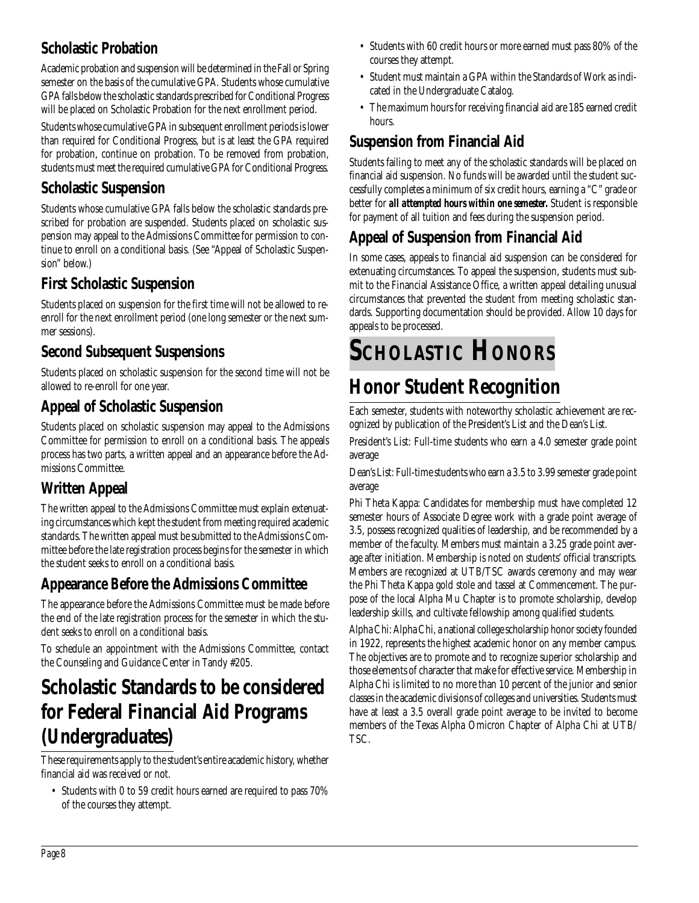### **Scholastic Probation**

Academic probation and suspension will be determined in the Fall or Spring semester on the basis of the cumulative GPA. Students whose cumulative GPA falls below the scholastic standards prescribed for Conditional Progress will be placed on Scholastic Probation for the next enrollment period.

Students whose cumulative GPA in subsequent enrollment periods is lower than required for Conditional Progress, but is at least the GPA required for probation, continue on probation. To be removed from probation, students must meet the required cumulative GPA for Conditional Progress.

### **Scholastic Suspension**

Students whose cumulative GPA falls below the scholastic standards prescribed for probation are suspended. Students placed on scholastic suspension may appeal to the Admissions Committee for permission to continue to enroll on a conditional basis. (See "Appeal of Scholastic Suspension" below.)

### **First Scholastic Suspension**

Students placed on suspension for the first time will not be allowed to reenroll for the next enrollment period (one long semester or the next summer sessions).

### **Second Subsequent Suspensions**

Students placed on scholastic suspension for the second time will not be allowed to re-enroll for one year.

### **Appeal of Scholastic Suspension**

Students placed on scholastic suspension may appeal to the Admissions Committee for permission to enroll on a conditional basis. The appeals process has two parts, a written appeal and an appearance before the Admissions Committee.

### **Written Appeal**

The written appeal to the Admissions Committee must explain extenuating circumstances which kept the student from meeting required academic standards. The written appeal must be submitted to the Admissions Committee before the late registration process begins for the semester in which the student seeks to enroll on a conditional basis.

### **Appearance Before the Admissions Committee**

The appearance before the Admissions Committee must be made before the end of the late registration process for the semester in which the student seeks to enroll on a conditional basis.

To schedule an appointment with the Admissions Committee, contact the Counseling and Guidance Center in Tandy #205.

### **Scholastic Standards to be considered for Federal Financial Aid Programs (Undergraduates)**

These requirements apply to the student's entire academic history, whether financial aid was received or not.

• Students with 0 to 59 credit hours earned are required to pass 70% of the courses they attempt.

- Students with 60 credit hours or more earned must pass 80% of the courses they attempt.
- Student must maintain a GPA within the Standards of Work as indicated in the Undergraduate Catalog.
- The maximum hours for receiving financial aid are 185 earned credit hours.

### **Suspension from Financial Aid**

Students failing to meet any of the scholastic standards will be placed on financial aid suspension. No funds will be awarded until the student successfully completes a minimum of six credit hours, earning a "C" grade or better for *all attempted hours within one semester.* Student is responsible for payment of all tuition and fees during the suspension period.

### **Appeal of Suspension from Financial Aid**

In some cases, appeals to financial aid suspension can be considered for extenuating circumstances. To appeal the suspension, students must submit to the Financial Assistance Office, a written appeal detailing unusual circumstances that prevented the student from meeting scholastic standards. Supporting documentation should be provided. Allow 10 days for appeals to be processed.

# **SCHOLASTIC HONORS**

# **Honor Student Recognition**

Each semester, students with noteworthy scholastic achievement are recognized by publication of the President's List and the Dean's List.

President's List: Full-time students who earn a 4.0 semester grade point average

Dean's List: Full-time students who earn a 3.5 to 3.99 semester grade point average

Phi Theta Kappa: Candidates for membership must have completed 12 semester hours of Associate Degree work with a grade point average of 3.5, possess recognized qualities of leadership, and be recommended by a member of the faculty. Members must maintain a 3.25 grade point average after initiation. Membership is noted on students' official transcripts. Members are recognized at UTB/TSC awards ceremony and may wear the Phi Theta Kappa gold stole and tassel at Commencement. The purpose of the local Alpha Mu Chapter is to promote scholarship, develop leadership skills, and cultivate fellowship among qualified students.

Alpha Chi: Alpha Chi, a national college scholarship honor society founded in 1922, represents the highest academic honor on any member campus. The objectives are to promote and to recognize superior scholarship and those elements of character that make for effective service. Membership in Alpha Chi is limited to no more than 10 percent of the junior and senior classes in the academic divisions of colleges and universities. Students must have at least a 3.5 overall grade point average to be invited to become members of the Texas Alpha Omicron Chapter of Alpha Chi at UTB/ TSC.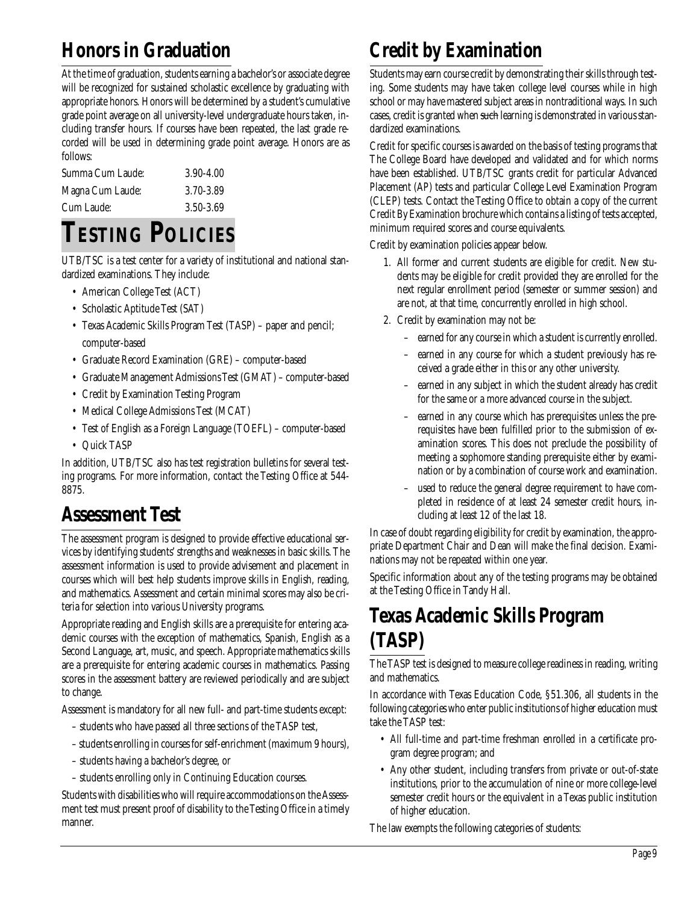### **Honors in Graduation**

At the time of graduation, students earning a bachelor's or associate degree will be recognized for sustained scholastic excellence by graduating with appropriate honors. Honors will be determined by a student's cumulative grade point average on all university-level undergraduate hours taken, including transfer hours. If courses have been repeated, the last grade recorded will be used in determining grade point average. Honors are as follows:

| Summa Cum Laude: | $3.90 - 4.00$ |
|------------------|---------------|
| Magna Cum Laude: | 3.70-3.89     |
| Cum Laude:       | 3.50-3.69     |

# **TESTING POLICIES**

UTB/TSC is a test center for a variety of institutional and national standardized examinations. They include:

- American College Test (ACT)
- Scholastic Aptitude Test (SAT)
- Texas Academic Skills Program Test (TASP) paper and pencil; computer-based
- Graduate Record Examination (GRE) computer-based
- Graduate Management Admissions Test (GMAT) computer-based
- Credit by Examination Testing Program
- Medical College Admissions Test (MCAT)
- Test of English as a Foreign Language (TOEFL) computer-based
- Quick TASP

In addition, UTB/TSC also has test registration bulletins for several testing programs. For more information, contact the Testing Office at 544- 8875.

### **Assessment Test**

The assessment program is designed to provide effective educational services by identifying students' strengths and weaknesses in basic skills. The assessment information is used to provide advisement and placement in courses which will best help students improve skills in English, reading, and mathematics. Assessment and certain minimal scores may also be criteria for selection into various University programs.

Appropriate reading and English skills are a prerequisite for entering academic courses with the exception of mathematics, Spanish, English as a Second Language, art, music, and speech. Appropriate mathematics skills are a prerequisite for entering academic courses in mathematics. Passing scores in the assessment battery are reviewed periodically and are subject to change.

Assessment is mandatory for all new full- and part-time students except:

- students who have passed all three sections of the TASP test,
- students enrolling in courses for self-enrichment (maximum 9 hours),
- students having a bachelor's degree, or
- students enrolling only in Continuing Education courses.

Students with disabilities who will require accommodations on the Assessment test must present proof of disability to the Testing Office in a timely manner.

### **Credit by Examination**

Students may earn course credit by demonstrating their skills through testing. Some students may have taken college level courses while in high school or may have mastered subject areas in nontraditional ways. In such cases, credit is granted when such learning is demonstrated in various standardized examinations.

Credit for specific courses is awarded on the basis of testing programs that The College Board have developed and validated and for which norms have been established. UTB/TSC grants credit for particular Advanced Placement (AP) tests and particular College Level Examination Program (CLEP) tests. Contact the Testing Office to obtain a copy of the current Credit By Examination brochure which contains a listing of tests accepted, minimum required scores and course equivalents.

Credit by examination policies appear below.

- 1. All former and current students are eligible for credit. New students may be eligible for credit provided they are enrolled for the next regular enrollment period (semester or summer session) and are not, at that time, concurrently enrolled in high school.
- 2. Credit by examination may not be:
	- earned for any course in which a student is currently enrolled.
	- earned in any course for which a student previously has received a grade either in this or any other university.
	- earned in any subject in which the student already has credit for the same or a more advanced course in the subject.
	- earned in any course which has prerequisites unless the prerequisites have been fulfilled prior to the submission of examination scores. This does not preclude the possibility of meeting a sophomore standing prerequisite either by examination or by a combination of course work and examination.
	- used to reduce the general degree requirement to have completed in residence of at least 24 semester credit hours, including at least 12 of the last 18.

In case of doubt regarding eligibility for credit by examination, the appropriate Department Chair and Dean will make the final decision. Examinations may not be repeated within one year.

Specific information about any of the testing programs may be obtained at the Testing Office in Tandy Hall.

### **Texas Academic Skills Program (TASP)**

The TASP test is designed to measure college readiness in reading, writing and mathematics.

In accordance with Texas Education Code, §51.306, all students in the following categories who enter public institutions of higher education must take the TASP test:

- All full-time and part-time freshman enrolled in a certificate program degree program; and
- Any other student, including transfers from private or out-of-state institutions, prior to the accumulation of nine or more college-level semester credit hours or the equivalent in a Texas public institution of higher education.

The law exempts the following categories of students: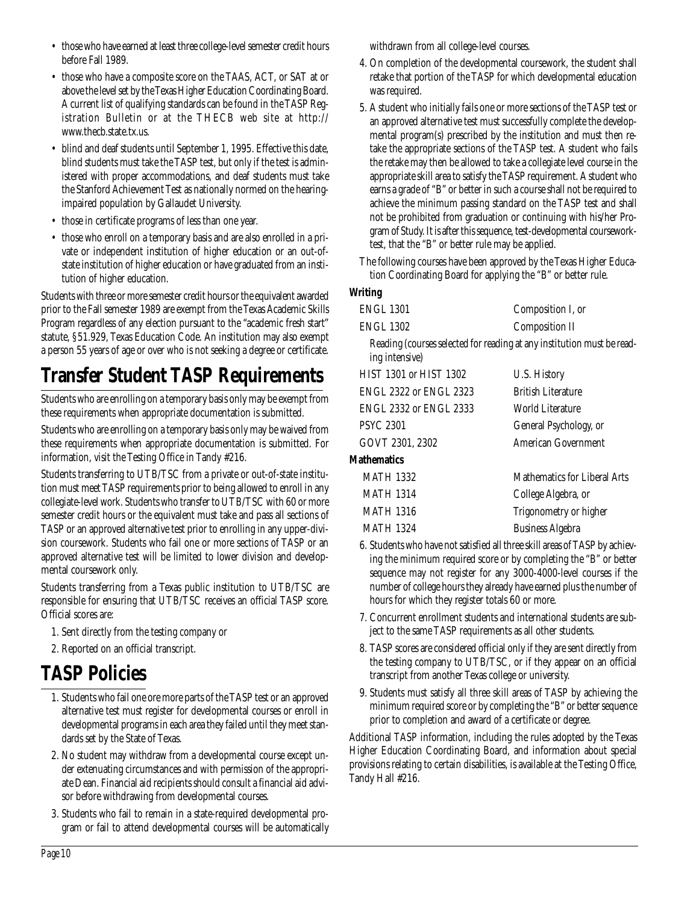- those who have earned at least three college-level semester credit hours before Fall 1989.
- those who have a composite score on the TAAS, ACT, or SAT at or above the level set by the Texas Higher Education Coordinating Board. A current list of qualifying standards can be found in the TASP Registration Bulletin or at the THECB web site at http:// www.thecb.state.tx.us.
- blind and deaf students until September 1, 1995. Effective this date, blind students must take the TASP test, but only if the test is administered with proper accommodations, and deaf students must take the Stanford Achievement Test as nationally normed on the hearingimpaired population by Gallaudet University.
- those in certificate programs of less than one year.
- those who enroll on a temporary basis and are also enrolled in a private or independent institution of higher education or an out-ofstate institution of higher education or have graduated from an institution of higher education.

Students with three or more semester credit hours or the equivalent awarded prior to the Fall semester 1989 are exempt from the Texas Academic Skills Program regardless of any election pursuant to the "academic fresh start" statute, §51.929, Texas Education Code. An institution may also exempt a person 55 years of age or over who is not seeking a degree or certificate.

# **Transfer Student TASP Requirements**

Students who are enrolling on a temporary basis only may be exempt from these requirements when appropriate documentation is submitted.

Students who are enrolling on a temporary basis only may be waived from these requirements when appropriate documentation is submitted. For information, visit the Testing Office in Tandy #216.

Students transferring to UTB/TSC from a private or out-of-state institution must meet TASP requirements prior to being allowed to enroll in any collegiate-level work. Students who transfer to UTB/TSC with 60 or more semester credit hours or the equivalent must take and pass all sections of TASP or an approved alternative test prior to enrolling in any upper-division coursework. Students who fail one or more sections of TASP or an approved alternative test will be limited to lower division and developmental coursework only.

Students transferring from a Texas public institution to UTB/TSC are responsible for ensuring that UTB/TSC receives an official TASP score. Official scores are:

- 1. Sent directly from the testing company or
- 2. Reported on an official transcript.

### **TASP Policies**

- 1. Students who fail one ore more parts of the TASP test or an approved alternative test must register for developmental courses or enroll in developmental programs in each area they failed until they meet standards set by the State of Texas.
- 2. No student may withdraw from a developmental course except under extenuating circumstances and with permission of the appropriate Dean. Financial aid recipients should consult a financial aid advisor before withdrawing from developmental courses.
- 3. Students who fail to remain in a state-required developmental program or fail to attend developmental courses will be automatically

withdrawn from all college-level courses.

- 4. On completion of the developmental coursework, the student shall retake that portion of the TASP for which developmental education was required.
- 5. A student who initially fails one or more sections of the TASP test or an approved alternative test must successfully complete the developmental program(s) prescribed by the institution and must then retake the appropriate sections of the TASP test. A student who fails the retake may then be allowed to take a collegiate level course in the appropriate skill area to satisfy the TASP requirement. A student who earns a grade of "B" or better in such a course shall not be required to achieve the minimum passing standard on the TASP test and shall not be prohibited from graduation or continuing with his/her Program of Study. It is after this sequence, test-developmental courseworktest, that the "B" or better rule may be applied.
- The following courses have been approved by the Texas Higher Education Coordinating Board for applying the "B" or better rule.

#### **Writing**

| ENGL 1301 | Composition I, or |
|-----------|-------------------|
| ENGL 1302 | Composition II    |

Reading (courses selected for reading at any institution must be reading intensive)

| <b>HIST 1301 or HIST 1302</b> | U.S. History                        |
|-------------------------------|-------------------------------------|
| <b>ENGL 2322 or ENGL 2323</b> | <b>British Literature</b>           |
| <b>ENGL 2332 or ENGL 2333</b> | World Literature                    |
| <b>PSYC 2301</b>              | General Psychology, or              |
| GOVT 2301, 2302               | American Government                 |
| <b>Mathematics</b>            |                                     |
| MATH 1332                     | <b>Mathematics for Liberal Arts</b> |
| <b>MATH 1314</b>              | College Algebra, or                 |
| <b>MATH 1316</b>              | Trigonometry or higher              |
| <b>MATH 1324</b>              | <b>Business Algebra</b>             |

- 6. Students who have not satisfied all three skill areas of TASP by achieving the minimum required score or by completing the "B" or better sequence may not register for any 3000-4000-level courses if the number of college hours they already have earned plus the number of hours for which they register totals 60 or more.
- 7. Concurrent enrollment students and international students are subject to the same TASP requirements as all other students.
- 8. TASP scores are considered official only if they are sent directly from the testing company to UTB/TSC, or if they appear on an official transcript from another Texas college or university.
- 9. Students must satisfy all three skill areas of TASP by achieving the minimum required score or by completing the "B" or better sequence prior to completion and award of a certificate or degree.

Additional TASP information, including the rules adopted by the Texas Higher Education Coordinating Board, and information about special provisions relating to certain disabilities, is available at the Testing Office, Tandy Hall #216.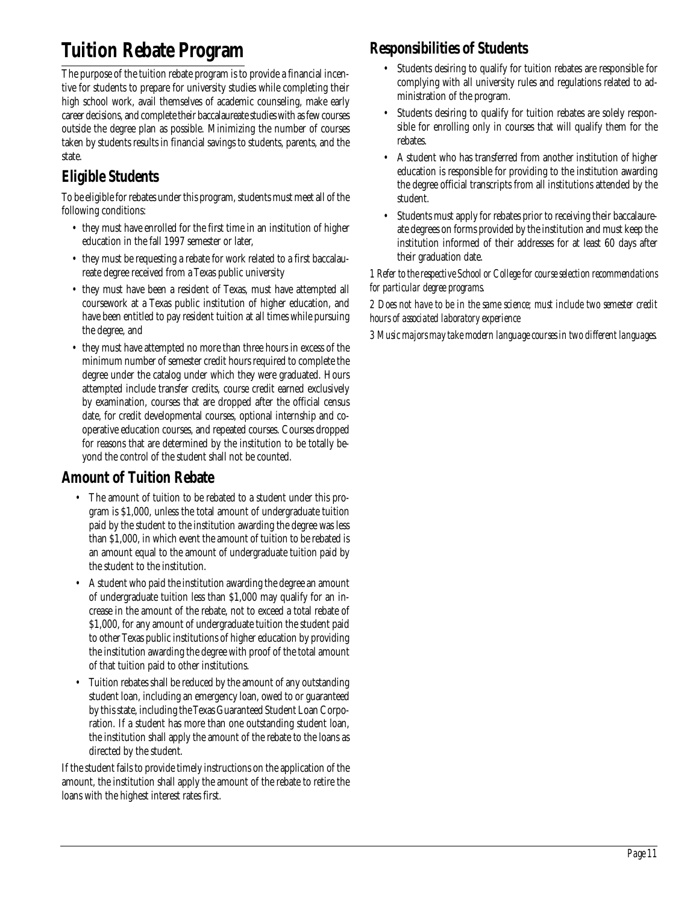### **Tuition Rebate Program**

The purpose of the tuition rebate program is to provide a financial incentive for students to prepare for university studies while completing their high school work, avail themselves of academic counseling, make early career decisions, and complete their baccalaureate studies with as few courses outside the degree plan as possible. Minimizing the number of courses taken by students results in financial savings to students, parents, and the state.

### **Eligible Students**

To be eligible for rebates under this program, students must meet all of the following conditions:

- they must have enrolled for the first time in an institution of higher education in the fall 1997 semester or later,
- they must be requesting a rebate for work related to a first baccalaureate degree received from a Texas public university
- they must have been a resident of Texas, must have attempted all coursework at a Texas public institution of higher education, and have been entitled to pay resident tuition at all times while pursuing the degree, and
- they must have attempted no more than three hours in excess of the minimum number of semester credit hours required to complete the degree under the catalog under which they were graduated. Hours attempted include transfer credits, course credit earned exclusively by examination, courses that are dropped after the official census date, for credit developmental courses, optional internship and cooperative education courses, and repeated courses. Courses dropped for reasons that are determined by the institution to be totally beyond the control of the student shall not be counted.

### **Amount of Tuition Rebate**

- The amount of tuition to be rebated to a student under this program is \$1,000, unless the total amount of undergraduate tuition paid by the student to the institution awarding the degree was less than \$1,000, in which event the amount of tuition to be rebated is an amount equal to the amount of undergraduate tuition paid by the student to the institution.
- A student who paid the institution awarding the degree an amount of undergraduate tuition less than \$1,000 may qualify for an increase in the amount of the rebate, not to exceed a total rebate of \$1,000, for any amount of undergraduate tuition the student paid to other Texas public institutions of higher education by providing the institution awarding the degree with proof of the total amount of that tuition paid to other institutions.
- Tuition rebates shall be reduced by the amount of any outstanding student loan, including an emergency loan, owed to or guaranteed by this state, including the Texas Guaranteed Student Loan Corporation. If a student has more than one outstanding student loan, the institution shall apply the amount of the rebate to the loans as directed by the student.

If the student fails to provide timely instructions on the application of the amount, the institution shall apply the amount of the rebate to retire the loans with the highest interest rates first.

### **Responsibilities of Students**

- Students desiring to qualify for tuition rebates are responsible for complying with all university rules and regulations related to administration of the program.
- Students desiring to qualify for tuition rebates are solely responsible for enrolling only in courses that will qualify them for the rebates.
- A student who has transferred from another institution of higher education is responsible for providing to the institution awarding the degree official transcripts from all institutions attended by the student.
- Students must apply for rebates prior to receiving their baccalaureate degrees on forms provided by the institution and must keep the institution informed of their addresses for at least 60 days after their graduation date.

#### *1 Refer to the respective School or College for course selection recommendations for particular degree programs.*

*2 Does not have to be in the same science; must include two semester credit hours of associated laboratory experience*

*3 Music majors may take modern language courses in two different languages.*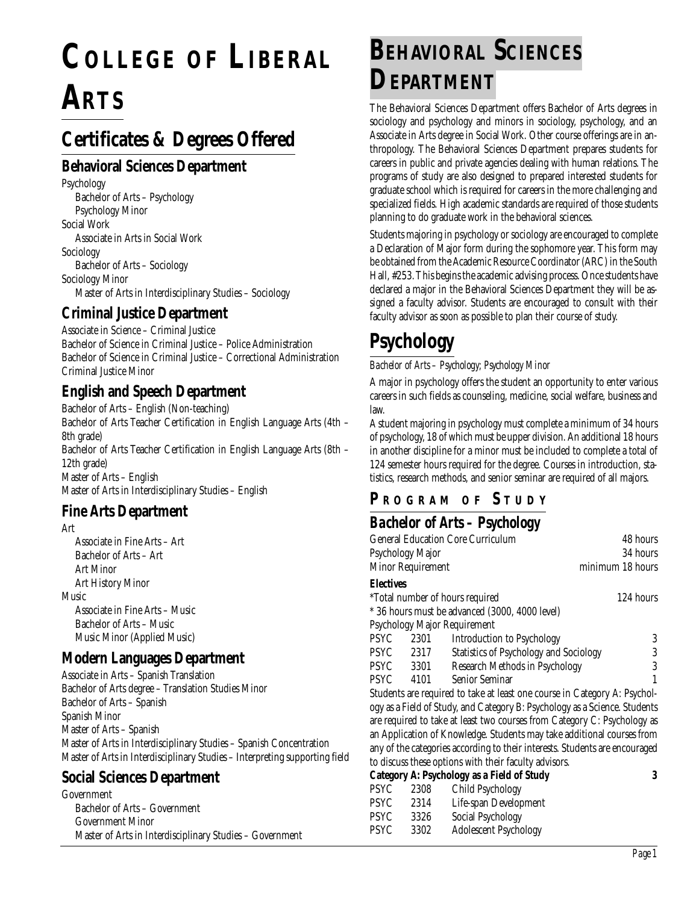# **COLLEGE OF LIBERAL ARTS**

## **Certificates & Degrees Offered**

#### **Behavioral Sciences Department**

Psychology Bachelor of Arts – Psychology Psychology Minor Social Work Associate in Arts in Social Work Sociology Bachelor of Arts – Sociology Sociology Minor Master of Arts in Interdisciplinary Studies – Sociology

#### **Criminal Justice Department**

Associate in Science – Criminal Justice Bachelor of Science in Criminal Justice – Police Administration Bachelor of Science in Criminal Justice – Correctional Administration Criminal Justice Minor

#### **English and Speech Department**

Bachelor of Arts – English (Non-teaching) Bachelor of Arts Teacher Certification in English Language Arts (4th – 8th grade) Bachelor of Arts Teacher Certification in English Language Arts (8th – 12th grade) Master of Arts – English Master of Arts in Interdisciplinary Studies – English

#### **Fine Arts Department**

Art

Associate in Fine Arts – Art Bachelor of Arts – Art Art Minor Art History Minor Music Associate in Fine Arts – Music Bachelor of Arts – Music Music Minor (Applied Music)

#### **Modern Languages Department**

Associate in Arts – Spanish Translation Bachelor of Arts degree – Translation Studies Minor Bachelor of Arts – Spanish Spanish Minor Master of Arts – Spanish Master of Arts in Interdisciplinary Studies – Spanish Concentration Master of Arts in Interdisciplinary Studies – Interpreting supporting field

## **Social Sciences Department**

Government Bachelor of Arts – Government Government Minor Master of Arts in Interdisciplinary Studies – Government

# **BEHAVIORAL SCIENCES DEPARTMENT**

The Behavioral Sciences Department offers Bachelor of Arts degrees in sociology and psychology and minors in sociology, psychology, and an Associate in Arts degree in Social Work. Other course offerings are in anthropology. The Behavioral Sciences Department prepares students for careers in public and private agencies dealing with human relations. The programs of study are also designed to prepared interested students for graduate school which is required for careers in the more challenging and specialized fields. High academic standards are required of those students planning to do graduate work in the behavioral sciences.

Students majoring in psychology or sociology are encouraged to complete a Declaration of Major form during the sophomore year. This form may be obtained from the Academic Resource Coordinator (ARC) in the South Hall, #253. This begins the academic advising process. Once students have declared a major in the Behavioral Sciences Department they will be assigned a faculty advisor. Students are encouraged to consult with their faculty advisor as soon as possible to plan their course of study.

# **Psychology**

#### *Bachelor of Arts – Psychology; Psychology Minor*

A major in psychology offers the student an opportunity to enter various careers in such fields as counseling, medicine, social welfare, business and law.

A student majoring in psychology must complete a minimum of 34 hours of psychology, 18 of which must be upper division. An additional 18 hours in another discipline for a minor must be included to complete a total of 124 semester hours required for the degree. Courses in introduction, statistics, research methods, and senior seminar are required of all majors.

## **P R OGRAM O F S TUDY**

## *Bachelor of Arts – Psychology*

| <b>General Education Core Curriculum</b>                                   | 48 hours                                                                 |                                                |                  |  |
|----------------------------------------------------------------------------|--------------------------------------------------------------------------|------------------------------------------------|------------------|--|
|                                                                            | Psychology Major                                                         |                                                | 34 hours         |  |
|                                                                            | Minor Requirement                                                        |                                                | minimum 18 hours |  |
| Electives                                                                  |                                                                          |                                                |                  |  |
|                                                                            |                                                                          | *Total number of hours required                | 124 hours        |  |
|                                                                            |                                                                          | * 36 hours must be advanced (3000, 4000 level) |                  |  |
|                                                                            |                                                                          | Psychology Major Requirement                   |                  |  |
| PSYC                                                                       | 2301                                                                     | Introduction to Psychology                     | 3                |  |
| PSYC                                                                       | 2317                                                                     | <b>Statistics of Psychology and Sociology</b>  | 3                |  |
| PSYC                                                                       | 3301                                                                     | Research Methods in Psychology                 | 3                |  |
| PSYC                                                                       | 4101                                                                     | <b>Senior Seminar</b>                          |                  |  |
| Students are required to take at least one course in Category A: Psychol-  |                                                                          |                                                |                  |  |
| ogy as a Field of Study, and Category B: Psychology as a Science. Students |                                                                          |                                                |                  |  |
|                                                                            | are required to take at least two courses from Category C: Psychology as |                                                |                  |  |

uired to take at least two courses from Category C: Psychology as an Application of Knowledge. Students may take additional courses from any of the categories according to their interests. Students are encouraged to discuss these options with their faculty advisors.

|      |      | Category A: Psychology as a Field of Study |  |
|------|------|--------------------------------------------|--|
| PSYC | 2308 | Child Psychology                           |  |
| PSYC | 2314 | Life-span Development                      |  |
| PSYC | 3326 | Social Psychology                          |  |
| PSYC | 3302 | <b>Adolescent Psychology</b>               |  |
|      |      |                                            |  |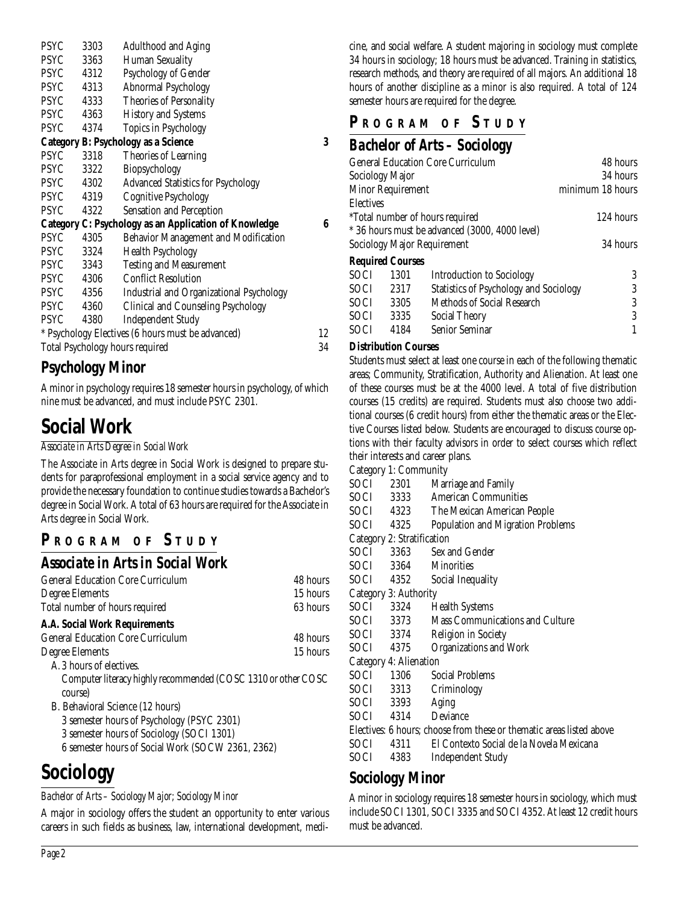| <b>PSYC</b> | 3303 | <b>Adulthood and Aging</b>                                   |    |
|-------------|------|--------------------------------------------------------------|----|
| <b>PSYC</b> | 3363 | <b>Human Sexuality</b>                                       |    |
| <b>PSYC</b> | 4312 | Psychology of Gender                                         |    |
| <b>PSYC</b> | 4313 | <b>Abnormal Psychology</b>                                   |    |
| <b>PSYC</b> | 4333 | <b>Theories of Personality</b>                               |    |
| <b>PSYC</b> | 4363 | <b>History and Systems</b>                                   |    |
| <b>PSYC</b> | 4374 | Topics in Psychology                                         |    |
|             |      | <b>Category B: Psychology as a Science</b>                   | 3  |
| <b>PSYC</b> | 3318 | Theories of Learning                                         |    |
| <b>PSYC</b> | 3322 | Biopsychology                                                |    |
| PSYC        | 4302 | <b>Advanced Statistics for Psychology</b>                    |    |
| <b>PSYC</b> | 4319 | <b>Cognitive Psychology</b>                                  |    |
| <b>PSYC</b> | 4322 | <b>Sensation and Perception</b>                              |    |
|             |      | <b>Category C: Psychology as an Application of Knowledge</b> | 6  |
| <b>PSYC</b> | 4305 | <b>Behavior Management and Modification</b>                  |    |
| <b>PSYC</b> | 3324 | <b>Health Psychology</b>                                     |    |
| <b>PSYC</b> | 3343 | <b>Testing and Measurement</b>                               |    |
| PSYC        | 4306 | <b>Conflict Resolution</b>                                   |    |
| PSYC        | 4356 | <b>Industrial and Organizational Psychology</b>              |    |
| <b>PSYC</b> | 4360 | Clinical and Counseling Psychology                           |    |
| PSYC        | 4380 | <b>Independent Study</b>                                     |    |
|             |      | * Psychology Electives (6 hours must be advanced)            | 12 |
|             |      | Total Psychology hours required                              | 34 |

## **Psychology Minor**

A minor in psychology requires 18 semester hours in psychology, of which nine must be advanced, and must include PSYC 2301.

## **Social Work**

#### *Associate in Arts Degree in Social Work*

The Associate in Arts degree in Social Work is designed to prepare students for paraprofessional employment in a social service agency and to provide the necessary foundation to continue studies towards a Bachelor's degree in Social Work. A total of 63 hours are required for the Associate in Arts degree in Social Work.

## **P R OGRAM O F S TUDY**

#### *Associate in Arts in Social Work*

| <b>General Education Core Curriculum</b>                      | 48 hours |
|---------------------------------------------------------------|----------|
| Degree Elements                                               | 15 hours |
| Total number of hours required                                | 63 hours |
| <b>A.A. Social Work Requirements</b>                          |          |
| <b>General Education Core Curriculum</b>                      | 48 hours |
| Degree Elements                                               | 15 hours |
| A. 3 hours of electives.                                      |          |
| Computer literacy highly recommended (COSC 1310 or other COSC |          |
| course)                                                       |          |
| B. Behavioral Science (12 hours)                              |          |
| 3 semester hours of Psychology (PSYC 2301)                    |          |
| $9$ comestar hours of $C_{\text{coiolow}}$ (COCI 1901)        |          |

3 semester hours of Sociology (SOCI 1301)

6 semester hours of Social Work (SOCW 2361, 2362)

# **Sociology**

#### *Bachelor of Arts – Sociology Major; Sociology Minor*

A major in sociology offers the student an opportunity to enter various careers in such fields as business, law, international development, medicine, and social welfare. A student majoring in sociology must complete 34 hours in sociology; 18 hours must be advanced. Training in statistics, research methods, and theory are required of all majors. An additional 18 hours of another discipline as a minor is also required. A total of 124 semester hours are required for the degree.

## **P R OGRAM O F S TUDY**

## *Bachelor of Arts – Sociology*

| <b>General Education Core Curriculum</b> |                         |                                                | 48 hours         |
|------------------------------------------|-------------------------|------------------------------------------------|------------------|
|                                          | Sociology Major         |                                                | 34 hours         |
|                                          | Minor Requirement       |                                                | minimum 18 hours |
| <b>Electives</b>                         |                         |                                                |                  |
|                                          |                         | *Total number of hours required                | 124 hours        |
|                                          |                         | * 36 hours must be advanced (3000, 4000 level) |                  |
| Sociology Major Requirement              |                         |                                                | 34 hours         |
|                                          | <b>Required Courses</b> |                                                |                  |
| <b>SOCI</b>                              | 1301                    | <b>Introduction to Sociology</b>               | 3                |
| SOCI.                                    | 2317                    | <b>Statistics of Psychology and Sociology</b>  | 3                |
| <b>SOCI</b>                              | 3305                    | Methods of Social Research                     | 3                |
| <b>SOCI</b>                              | 3335                    | <b>Social Theory</b>                           | 3                |
| <b>SOCI</b>                              | 4184                    | Senior Seminar                                 |                  |

#### **Distribution Courses**

Students must select at least one course in each of the following thematic areas; Community, Stratification, Authority and Alienation. At least one of these courses must be at the 4000 level. A total of five distribution courses (15 credits) are required. Students must also choose two additional courses (6 credit hours) from either the thematic areas or the Elective Courses listed below. Students are encouraged to discuss course options with their faculty advisors in order to select courses which reflect their interests and career plans.

Category 1: Community

| SOCI | 2301 |  | Marriage and Family |  |
|------|------|--|---------------------|--|

- SOCI 3333 American Communities
- SOCI 4323 The Mexican American People
- SOCI 4325 Population and Migration Problems

Category 2: Stratification

| SOCI | 3363 | Sex and Gender    |
|------|------|-------------------|
| SOCI | 3364 | <b>Minorities</b> |

SOCI 4352 Social Inequality

- Category 3: Authority
- 
- SOCI 3324 Health Systems
- SOCI 3373 Mass Communications and Culture
- SOCI 3374 Religion in Society
- SOCI 4375 Organizations and Work

Category 4: Alienation

| SOCI 1306 | - Social Problems |  |
|-----------|-------------------|--|
| SOCI 3313 | Criminology       |  |
| SOCI 3393 | Aging             |  |

SOCI 4314 Deviance

Electives: 6 hours; choose from these or thematic areas listed above

SOCI 4311 El Contexto Social de la Novela Mexicana

SOCI 4383 Independent Study

#### **Sociology Minor**

A minor in sociology requires 18 semester hours in sociology, which must include SOCI 1301, SOCI 3335 and SOCI 4352. At least 12 credit hours must be advanced.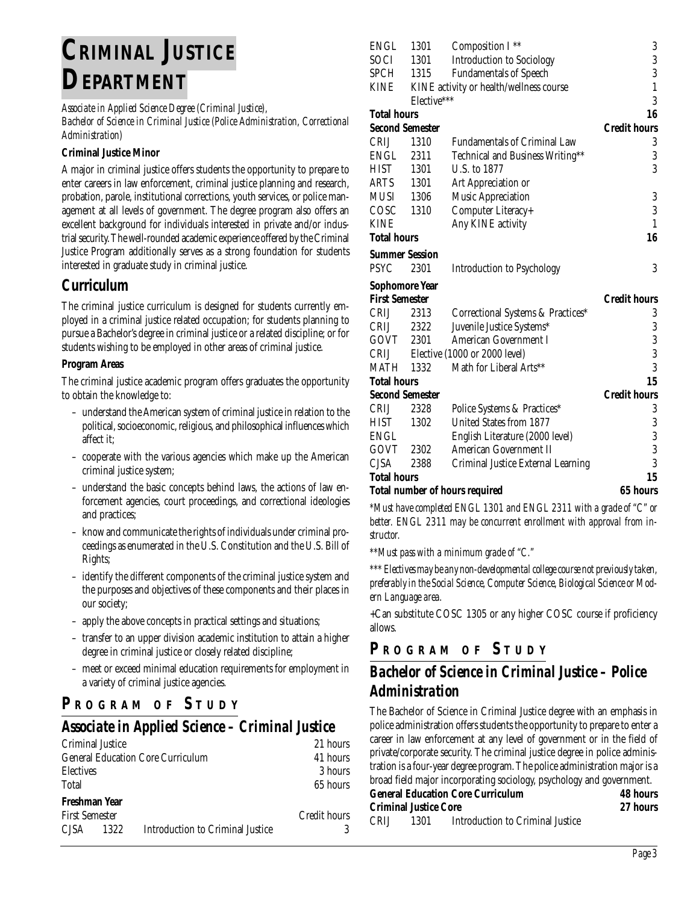# **CRIMINAL JUSTICE DEPARTMENT**

*Associate in Applied Science Degree (Criminal Justice),*

*Bachelor of Science in Criminal Justice (Police Administration, Correctional Administration)*

#### **Criminal Justice Minor**

A major in criminal justice offers students the opportunity to prepare to enter careers in law enforcement, criminal justice planning and research, probation, parole, institutional corrections, youth services, or police management at all levels of government. The degree program also offers an excellent background for individuals interested in private and/or industrial security. The well-rounded academic experience offered by the Criminal Justice Program additionally serves as a strong foundation for students interested in graduate study in criminal justice.

#### **Curriculum**

The criminal justice curriculum is designed for students currently employed in a criminal justice related occupation; for students planning to pursue a Bachelor's degree in criminal justice or a related discipline; or for students wishing to be employed in other areas of criminal justice.

#### **Program Areas**

The criminal justice academic program offers graduates the opportunity to obtain the knowledge to:

- understand the American system of criminal justice in relation to the political, socioeconomic, religious, and philosophical influences which affect it;
- cooperate with the various agencies which make up the American criminal justice system;
- understand the basic concepts behind laws, the actions of law enforcement agencies, court proceedings, and correctional ideologies and practices;
- know and communicate the rights of individuals under criminal proceedings as enumerated in the U.S. Constitution and the U.S. Bill of Rights;
- identify the different components of the criminal justice system and the purposes and objectives of these components and their places in our society;
- apply the above concepts in practical settings and situations;
- transfer to an upper division academic institution to attain a higher degree in criminal justice or closely related discipline;
- meet or exceed minimal education requirements for employment in a variety of criminal justice agencies.

## **P <sup>R</sup> OGRAM O F S TUDY**

## *Associate in Applied Science – Criminal Justice*

| Criminal Justice                         |                                  | 21 hours     |
|------------------------------------------|----------------------------------|--------------|
| <b>General Education Core Curriculum</b> | 41 hours                         |              |
| <b>Electives</b>                         |                                  | 3 hours      |
| Total                                    |                                  | 65 hours     |
| Freshman Year                            |                                  |              |
| <b>First Semester</b>                    |                                  | Credit hours |
| CISA —<br>1322                           | Introduction to Criminal Justice | 3            |
|                                          |                                  |              |

| <b>ENGL</b>            | 1301        | Composition I**                         | 3                   |
|------------------------|-------------|-----------------------------------------|---------------------|
| SOCI                   | 1301        | <b>Introduction to Sociology</b>        | 3                   |
| <b>SPCH</b>            | 1315        | <b>Fundamentals of Speech</b>           | 3                   |
| <b>KINE</b>            |             | KINE activity or health/wellness course | $\mathbf{1}$        |
|                        | Elective*** |                                         | 3                   |
| <b>Total hours</b>     |             |                                         | 16                  |
| <b>Second Semester</b> |             |                                         | <b>Credit hours</b> |
| <b>CRIJ</b>            | 1310        | <b>Fundamentals of Criminal Law</b>     | 3                   |
| ENGL                   | 2311        | Technical and Business Writing**        | 3                   |
| HIST                   | 1301        | U.S. to 1877                            | 3                   |
| ARTS                   | 1301        | Art Appreciation or                     |                     |
| MUSI                   | 1306        | <b>Music Appreciation</b>               | 3                   |
| COSC                   | 1310        | Computer Literacy+                      | 3                   |
| <b>KINE</b>            |             | Any KINE activity                       | $\mathbf{1}$        |
| <b>Total hours</b>     |             |                                         | 16                  |
| <b>Summer Session</b>  |             |                                         |                     |
| <b>PSYC</b>            | 2301        | <b>Introduction to Psychology</b>       | 3                   |
| <b>Sophomore Year</b>  |             |                                         |                     |
| <b>First Semester</b>  |             |                                         | <b>Credit hours</b> |
| <b>CRIJ</b>            | 2313        | Correctional Systems & Practices*       | 3                   |
| CRIJ                   | 2322        | Juvenile Justice Systems*               | 3                   |
| GOVT                   | 2301        | <b>American Government I</b>            |                     |
| CRIJ                   |             | Elective (1000 or 2000 level)           | $\frac{3}{3}$       |
| MATH                   | 1332        | Math for Liberal Arts**                 | 3                   |
| <b>Total hours</b>     |             |                                         | 15                  |
| <b>Second Semester</b> |             |                                         | <b>Credit hours</b> |
| CRIJ                   | 2328        | Police Systems & Practices*             | 3                   |
| HIST                   | 1302        | United States from 1877                 | 3                   |
| <b>ENGL</b>            |             | English Literature (2000 level)         | $\frac{3}{3}$       |
| GOVT                   | 2302        | American Government II                  |                     |
| <b>CJSA</b>            | 2388        | Criminal Justice External Learning      | 3                   |
| Total hours            |             |                                         | 15                  |
|                        |             | <b>Total number of hours required</b>   | 65 hours            |

*\*Must have completed ENGL 1301 and ENGL 2311 with a grade of "C" or better. ENGL 2311 may be concurrent enrollment with approval from instructor.*

*\*\*Must pass with a minimum grade of "C."*

*\*\*\* Electives may be any non-developmental college course not previously taken, preferably in the Social Science, Computer Science, Biological Science or Modern Language area.*

+Can substitute COSC 1305 or any higher COSC course if proficiency allows.

### **P <sup>R</sup> OGRAM O F S TUDY**

## *Bachelor of Science in Criminal Justice – Police Administration*

The Bachelor of Science in Criminal Justice degree with an emphasis in police administration offers students the opportunity to prepare to enter a career in law enforcement at any level of government or in the field of private/corporate security. The criminal justice degree in police administration is a four-year degree program. The police administration major is a broad field major incorporating sociology, psychology and government.

| <b>General Education Core Curriculum</b> |                              |                                  | 48 hours |
|------------------------------------------|------------------------------|----------------------------------|----------|
|                                          | <b>Criminal Justice Core</b> |                                  | 27 hours |
| <b>CRIJ</b>                              | 1301                         | Introduction to Criminal Justice |          |

*Page 3*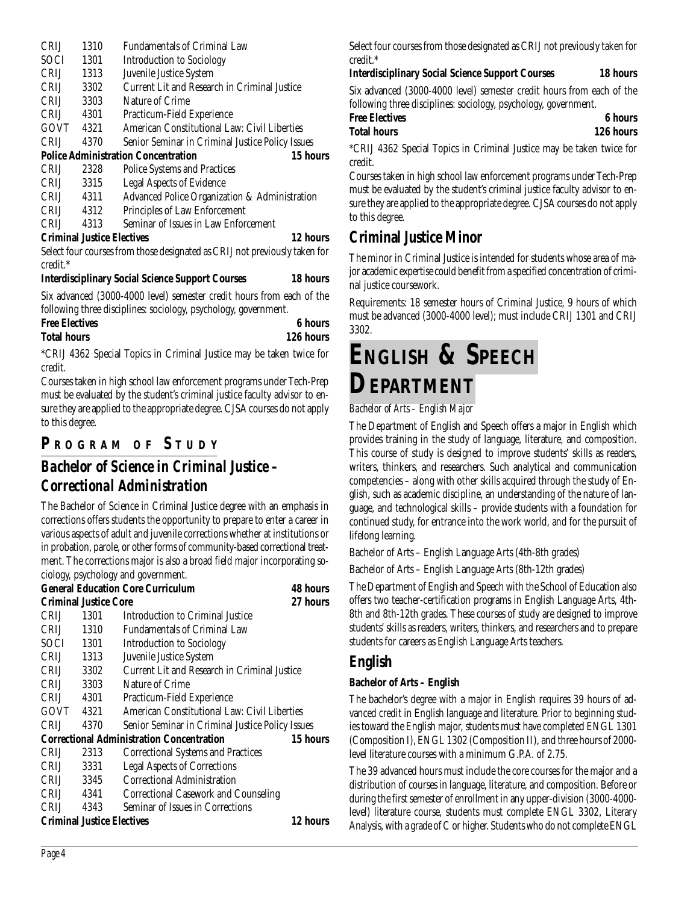| CRIJ        | 1310 | <b>Fundamentals of Criminal Law</b>                                        |
|-------------|------|----------------------------------------------------------------------------|
| <b>SOCI</b> | 1301 | <b>Introduction to Sociology</b>                                           |
| <b>CRIJ</b> | 1313 | Juvenile Justice System                                                    |
| <b>CRIJ</b> | 3302 | Current Lit and Research in Criminal Justice                               |
| <b>CRIJ</b> | 3303 | Nature of Crime                                                            |
| <b>CRIJ</b> | 4301 | Practicum-Field Experience                                                 |
| GOVT        | 4321 | American Constitutional Law: Civil Liberties                               |
| <b>CRIJ</b> | 4370 | Senior Seminar in Criminal Justice Policy Issues                           |
|             |      | <b>Police Administration Concentration</b><br>15 hours                     |
| <b>CRIJ</b> | 2328 | <b>Police Systems and Practices</b>                                        |
| CRIJ        | 3315 | <b>Legal Aspects of Evidence</b>                                           |
| CRIJ        | 4311 | Advanced Police Organization & Administration                              |
| <b>CRIJ</b> | 4312 | Principles of Law Enforcement                                              |
| <b>CRIJ</b> | 4313 | Seminar of Issues in Law Enforcement                                       |
|             |      | 12 hours<br><b>Criminal Justice Electives</b>                              |
|             |      | Select four courses from those designated as CRIJ not previously taken for |
| credit.*    |      |                                                                            |

#### **Interdisciplinary Social Science Support Courses 18 hours**

Six advanced (3000-4000 level) semester credit hours from each of the following three disciplines: sociology, psychology, government.

| <b>Free Electives</b> | 6 hours   |
|-----------------------|-----------|
| <b>Total hours</b>    | 126 hours |

\*CRIJ 4362 Special Topics in Criminal Justice may be taken twice for credit.

Courses taken in high school law enforcement programs under Tech-Prep must be evaluated by the student's criminal justice faculty advisor to ensure they are applied to the appropriate degree. CJSA courses do not apply to this degree.

## **P R OGRAM O F S TUDY**

## *Bachelor of Science in Criminal Justice – Correctional Administration*

The Bachelor of Science in Criminal Justice degree with an emphasis in corrections offers students the opportunity to prepare to enter a career in various aspects of adult and juvenile corrections whether at institutions or in probation, parole, or other forms of community-based correctional treatment. The corrections major is also a broad field major incorporating sociology, psychology and government.

|             |                                   | <b>General Education Core Curriculum</b>         | 48 hours |
|-------------|-----------------------------------|--------------------------------------------------|----------|
|             | <b>Criminal Justice Core</b>      |                                                  | 27 hours |
| CRIJ        | 1301                              | Introduction to Criminal Justice                 |          |
| <b>CRIJ</b> | 1310                              | <b>Fundamentals of Criminal Law</b>              |          |
| SOCI-       | 1301                              | <b>Introduction to Sociology</b>                 |          |
| CRIJ L      | 1313                              | Juvenile Justice System                          |          |
| CRIJ        | 3302                              | Current Lit and Research in Criminal Justice     |          |
| <b>CRIJ</b> | 3303                              | Nature of Crime                                  |          |
| <b>CRIJ</b> | 4301                              | Practicum-Field Experience                       |          |
| GOVT        | 4321                              | American Constitutional Law: Civil Liberties     |          |
| <b>CRIJ</b> | 4370                              | Senior Seminar in Criminal Justice Policy Issues |          |
|             |                                   | <b>Correctional Administration Concentration</b> | 15 hours |
| <b>CRIJ</b> | 2313                              | <b>Correctional Systems and Practices</b>        |          |
| <b>CRIJ</b> | 3331                              | <b>Legal Aspects of Corrections</b>              |          |
| CRIJ        | 3345                              | Correctional Administration                      |          |
| CRIJ        | 4341                              | <b>Correctional Casework and Counseling</b>      |          |
| <b>CRIJ</b> | 4343                              | Seminar of Issues in Corrections                 |          |
|             | <b>Criminal Justice Electives</b> |                                                  | 12 hours |

Select four courses from those designated as CRIJ not previously taken for credit.\*

#### **Interdisciplinary Social Science Support Courses 18 hours**

Six advanced (3000-4000 level) semester credit hours from each of the following three disciplines: sociology, psychology, government.

| <b>Free Electives</b> | <b>6</b> hours |
|-----------------------|----------------|
| Total hours           | 126 hours      |
|                       |                |

\*CRIJ 4362 Special Topics in Criminal Justice may be taken twice for credit.

Courses taken in high school law enforcement programs under Tech-Prep must be evaluated by the student's criminal justice faculty advisor to ensure they are applied to the appropriate degree. CJSA courses do not apply to this degree.

## **Criminal Justice Minor**

The minor in Criminal Justice is intended for students whose area of major academic expertise could benefit from a specified concentration of criminal justice coursework.

Requirements: 18 semester hours of Criminal Justice, 9 hours of which must be advanced (3000-4000 level); must include CRIJ 1301 and CRIJ 3302.

# **ENGLISH & SPEECH DEPARTMENT**

#### *Bachelor of Arts – English Major*

The Department of English and Speech offers a major in English which provides training in the study of language, literature, and composition. This course of study is designed to improve students' skills as readers, writers, thinkers, and researchers. Such analytical and communication competencies – along with other skills acquired through the study of English, such as academic discipline, an understanding of the nature of language, and technological skills – provide students with a foundation for continued study, for entrance into the work world, and for the pursuit of lifelong learning.

Bachelor of Arts – English Language Arts (4th-8th grades)

Bachelor of Arts – English Language Arts (8th-12th grades)

The Department of English and Speech with the School of Education also offers two teacher-certification programs in English Language Arts, 4th-8th and 8th-12th grades. These courses of study are designed to improve students' skills as readers, writers, thinkers, and researchers and to prepare students for careers as English Language Arts teachers.

#### **English**

#### **Bachelor of Arts – English**

The bachelor's degree with a major in English requires 39 hours of advanced credit in English language and literature. Prior to beginning studies toward the English major, students must have completed ENGL 1301 (Composition I), ENGL 1302 (Composition II), and three hours of 2000 level literature courses with a minimum G.P.A. of 2.75.

The 39 advanced hours must include the core courses for the major and a distribution of courses in language, literature, and composition. Before or during the first semester of enrollment in any upper-division (3000-4000 level) literature course, students must complete ENGL 3302, Literary Analysis, with a grade of C or higher. Students who do not complete ENGL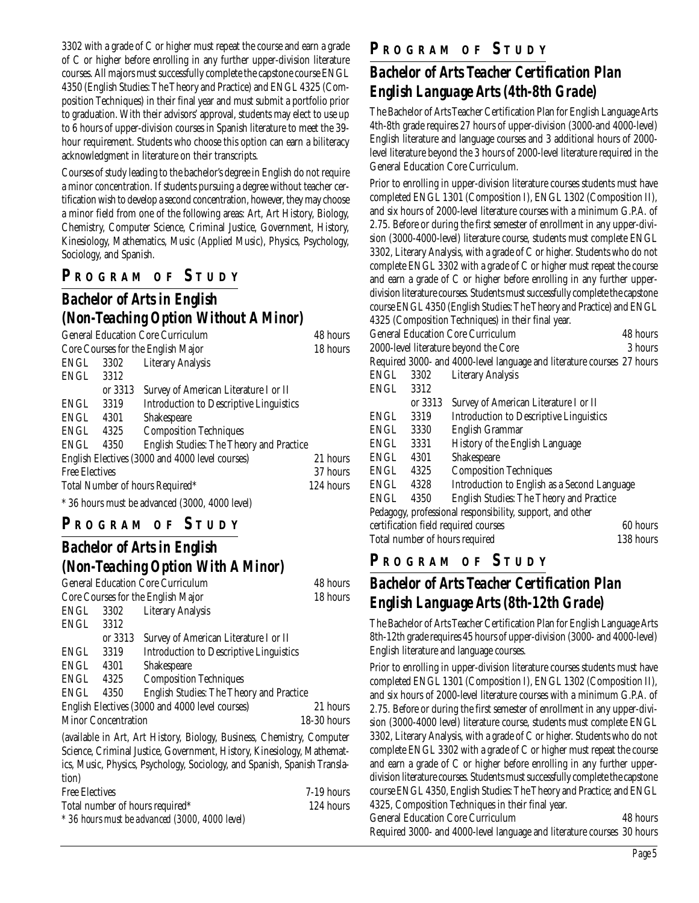3302 with a grade of C or higher must repeat the course and earn a grade of C or higher before enrolling in any further upper-division literature courses. All majors must successfully complete the capstone course ENGL 4350 (English Studies: The Theory and Practice) and ENGL 4325 (Composition Techniques) in their final year and must submit a portfolio prior to graduation. With their advisors' approval, students may elect to use up to 6 hours of upper-division courses in Spanish literature to meet the 39 hour requirement. Students who choose this option can earn a biliteracy acknowledgment in literature on their transcripts.

Courses of study leading to the bachelor's degree in English do not require a minor concentration. If students pursuing a degree without teacher certification wish to develop a second concentration, however, they may choose a minor field from one of the following areas: Art, Art History, Biology, Chemistry, Computer Science, Criminal Justice, Government, History, Kinesiology, Mathematics, Music (Applied Music), Physics, Psychology, Sociology, and Spanish.

## **P R OGRAM O F S TUDY**

#### *Bachelor of Arts in English (Non-Teaching Option Without A Minor)*

| <b>General Education Core Curriculum</b>                        |                                                        |                                       | 48 hours  |  |
|-----------------------------------------------------------------|--------------------------------------------------------|---------------------------------------|-----------|--|
|                                                                 | Core Courses for the English Major                     |                                       | 18 hours  |  |
| ENGL                                                            |                                                        | 3302 Literary Analysis                |           |  |
| ENGL                                                            | 3312                                                   |                                       |           |  |
|                                                                 | or 3313                                                | Survey of American Literature I or II |           |  |
| ENGL<br><b>Introduction to Descriptive Linguistics</b><br>3319  |                                                        |                                       |           |  |
| ENGL<br>Shakespeare<br>4301                                     |                                                        |                                       |           |  |
| ENGL<br><b>Composition Techniques</b><br>4325                   |                                                        |                                       |           |  |
| <b>English Studies: The Theory and Practice</b><br>ENGL<br>4350 |                                                        |                                       |           |  |
| English Electives (3000 and 4000 level courses)                 |                                                        | 21 hours                              |           |  |
| <b>Free Electives</b>                                           |                                                        | 37 hours                              |           |  |
|                                                                 |                                                        | Total Number of hours Required*       | 124 hours |  |
|                                                                 | $*$ 90 km over the decay of (9000 $(0.000 \text{ kg})$ |                                       |           |  |

\* 36 hours must be advanced (3000, 4000 level)

#### **P R OGRAM O F S TUDY**

## *Bachelor of Arts in English (Non-Teaching Option With A Minor)*

| <b>General Education Core Curriculum</b> |                            |                                                 | 48 hours      |
|------------------------------------------|----------------------------|-------------------------------------------------|---------------|
| Core Courses for the English Major       |                            | 18 hours                                        |               |
| ENGL                                     | 3302                       | <b>Literary Analysis</b>                        |               |
| ENGL                                     | 3312                       |                                                 |               |
|                                          | or 3313                    | Survey of American Literature I or II           |               |
| ENGL                                     | 3319                       | <b>Introduction to Descriptive Linguistics</b>  |               |
| ENGL                                     | 4301                       | Shakespeare                                     |               |
| ENGL                                     | 4325                       | <b>Composition Techniques</b>                   |               |
| ENGL                                     | 4350                       | English Studies: The Theory and Practice        |               |
|                                          |                            | English Electives (3000 and 4000 level courses) | 21 hours      |
|                                          | <b>Minor Concentration</b> |                                                 | $18-30$ hours |
|                                          |                            |                                                 |               |

(available in Art, Art History, Biology, Business, Chemistry, Computer Science, Criminal Justice, Government, History, Kinesiology, Mathematics, Music, Physics, Psychology, Sociology, and Spanish, Spanish Translation)

| <b>Free Electives</b>                          | 7-19 hours |
|------------------------------------------------|------------|
| Total number of hours required*                | 124 hours  |
| * 36 hours must be advanced (3000, 4000 level) |            |

#### **P R OGRAM O F S TUDY**

## *Bachelor of Arts Teacher Certification Plan English Language Arts (4th-8th Grade)*

The Bachelor of Arts Teacher Certification Plan for English Language Arts 4th-8th grade requires 27 hours of upper-division (3000-and 4000-level) English literature and language courses and 3 additional hours of 2000 level literature beyond the 3 hours of 2000-level literature required in the General Education Core Curriculum.

Prior to enrolling in upper-division literature courses students must have completed ENGL 1301 (Composition I), ENGL 1302 (Composition II), and six hours of 2000-level literature courses with a minimum G.P.A. of 2.75. Before or during the first semester of enrollment in any upper-division (3000-4000-level) literature course, students must complete ENGL 3302, Literary Analysis, with a grade of C or higher. Students who do not complete ENGL 3302 with a grade of C or higher must repeat the course and earn a grade of C or higher before enrolling in any further upperdivision literature courses. Students must successfully complete the capstone course ENGL 4350 (English Studies: The Theory and Practice) and ENGL 4325 (Composition Techniques) in their final year.

| <b>General Education Core Curriculum</b><br>48 hours      |         |                                                                        |           |  |
|-----------------------------------------------------------|---------|------------------------------------------------------------------------|-----------|--|
| 2000-level literature beyond the Core                     |         |                                                                        | 3 hours   |  |
|                                                           |         | Required 3000- and 4000-level language and literature courses 27 hours |           |  |
| ENGL                                                      | 3302    | <b>Literary Analysis</b>                                               |           |  |
| ENGL                                                      | 3312    |                                                                        |           |  |
|                                                           | or 3313 | Survey of American Literature I or II                                  |           |  |
| <b>ENGL</b>                                               | 3319    | <b>Introduction to Descriptive Linguistics</b>                         |           |  |
| ENGL                                                      | 3330    | <b>English Grammar</b>                                                 |           |  |
| ENGL                                                      | 3331    | History of the English Language                                        |           |  |
| ENGL                                                      | 4301    | Shakespeare                                                            |           |  |
| ENGL                                                      | 4325    | <b>Composition Techniques</b>                                          |           |  |
| ENGL                                                      | 4328    | Introduction to English as a Second Language                           |           |  |
| <b>ENGL</b>                                               | 4350    | <b>English Studies: The Theory and Practice</b>                        |           |  |
| Pedagogy, professional responsibility, support, and other |         |                                                                        |           |  |
|                                                           |         | certification field required courses                                   | 60 hours  |  |
|                                                           |         | Total number of hours required                                         | 138 hours |  |
|                                                           |         |                                                                        |           |  |

#### **P R OGRAM O F S TUDY**

### *Bachelor of Arts Teacher Certification Plan English Language Arts (8th-12th Grade)*

The Bachelor of Arts Teacher Certification Plan for English Language Arts 8th-12th grade requires 45 hours of upper-division (3000- and 4000-level) English literature and language courses.

Prior to enrolling in upper-division literature courses students must have completed ENGL 1301 (Composition I), ENGL 1302 (Composition II), and six hours of 2000-level literature courses with a minimum G.P.A. of 2.75. Before or during the first semester of enrollment in any upper-division (3000-4000 level) literature course, students must complete ENGL 3302, Literary Analysis, with a grade of C or higher. Students who do not complete ENGL 3302 with a grade of C or higher must repeat the course and earn a grade of C or higher before enrolling in any further upperdivision literature courses. Students must successfully complete the capstone course ENGL 4350, English Studies: The Theory and Practice; and ENGL 4325, Composition Techniques in their final year.

General Education Core Curriculum 48 hours Required 3000- and 4000-level language and literature courses 30 hours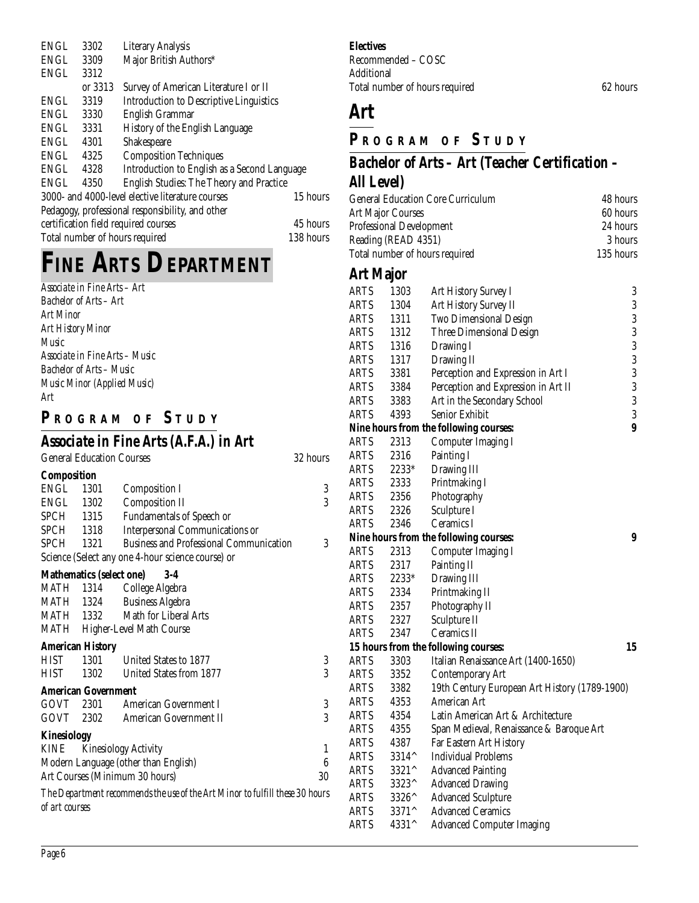| ENGL        | 3302    | <b>Literary Analysis</b>                         |           |
|-------------|---------|--------------------------------------------------|-----------|
| ENGL        | 3309    | Major British Authors*                           |           |
| ENGL        | 3312    |                                                  |           |
|             | or 3313 | Survey of American Literature I or II            |           |
| <b>ENGL</b> | 3319    | <b>Introduction to Descriptive Linguistics</b>   |           |
| ENGL        | 3330    | <b>English Grammar</b>                           |           |
| ENGL        | 3331    | History of the English Language                  |           |
| ENGL        | 4301    | Shakespeare                                      |           |
| ENGL        | 4325    | <b>Composition Techniques</b>                    |           |
| ENGL        | 4328    | Introduction to English as a Second Language     |           |
| <b>ENGL</b> | 4350    | English Studies: The Theory and Practice         |           |
|             |         | 3000- and 4000-level elective literature courses | 15 hours  |
|             |         | Pedagogy, professional responsibility, and other |           |
|             |         | certification field required courses             | 45 hours  |
|             |         | Total number of hours required                   | 138 hours |
|             |         |                                                  |           |

# **FINE ARTS DEPARTMENT**

|             | Associate in Fine Arts – Art    |                                                   |          |
|-------------|---------------------------------|---------------------------------------------------|----------|
|             | <b>Bachelor of Arts - Art</b>   |                                                   |          |
| Art Minor   |                                 |                                                   |          |
|             | Art History Minor               |                                                   |          |
| Music       |                                 |                                                   |          |
|             |                                 | Associate in Fine Arts - Music                    |          |
|             | <b>Bachelor of Arts - Music</b> |                                                   |          |
|             |                                 | Music Minor (Applied Music)                       |          |
| Art         |                                 |                                                   |          |
|             |                                 | PROGRAM OF STUDY                                  |          |
|             |                                 |                                                   |          |
|             |                                 | Associate in Fine Arts (A.F.A.) in Art            |          |
|             |                                 | <b>General Education Courses</b>                  | 32 hours |
| Composition |                                 |                                                   |          |
| ENGL 1301   |                                 | <b>Composition I</b>                              | 3        |
|             | ENGL 1302                       | <b>Composition II</b>                             | 3        |
|             | SPCH 1315                       | Fundamentals of Speech or                         |          |
|             | SPCH 1318                       | <b>Interpersonal Communications or</b>            |          |
| SPCH 1321   |                                 | <b>Business and Professional Communication</b>    | 3        |
|             |                                 | Science (Select any one 4-hour science course) or |          |
|             | <b>Mathematics (select one)</b> | $3-4$                                             |          |
|             | MATH 1314                       | College Algebra                                   |          |
|             | MATH 1324                       | <b>Business Algebra</b>                           |          |
|             |                                 | MATH 1332 Math for Liberal Arts                   |          |
| MATH        |                                 | <b>Higher-Level Math Course</b>                   |          |
|             | <b>American History</b>         |                                                   |          |
| <b>HIST</b> | 1301                            | United States to 1877                             | 3        |

#### HIST 1302 United States from 1877 3 **American Government** GOVT 2301 American Government I 3 GOVT 2302 American Government II 3 **Kinesiology** KINE Kinesiology Activity 1 Modern Language (other than English) 6 Art Courses (Minimum 30 hours) 30 *The Department recommends the use of the Art Minor to fulfill these 30 hours*

*of art courses*

#### **Electives**

Recommended – COSC Additional Total number of hours required 62 hours

## **Art**

#### **P R OGRAM O F S TUDY**

## *Bachelor of Arts – Art (Teacher Certification – All Level)*

| <b>General Education Core Curriculum</b> | 48 hours  |
|------------------------------------------|-----------|
| <b>Art Major Courses</b>                 | 60 hours  |
| Professional Development                 | 24 hours  |
| Reading (READ 4351)                      | 3 hours   |
| Total number of hours required           | 135 hours |
|                                          |           |

#### **Art Major**

| <b>ARTS</b> | 1303           | Art History Survey I                          | 3                |
|-------------|----------------|-----------------------------------------------|------------------|
| <b>ARTS</b> | 1304           | Art History Survey II                         | $\boldsymbol{3}$ |
| <b>ARTS</b> | 1311           | <b>Two Dimensional Design</b>                 | 3                |
| <b>ARTS</b> | 1312           | <b>Three Dimensional Design</b>               | 3                |
| <b>ARTS</b> | 1316           | Drawing I                                     | $\overline{3}$   |
| <b>ARTS</b> | 1317           | Drawing II                                    | $\overline{3}$   |
| <b>ARTS</b> | 3381           | Perception and Expression in Art I            | $\overline{3}$   |
| <b>ARTS</b> | 3384           | Perception and Expression in Art II           | 3                |
| <b>ARTS</b> | 3383           | Art in the Secondary School                   | $\boldsymbol{3}$ |
| <b>ARTS</b> | 4393           | Senior Exhibit                                | 3                |
|             |                | Nine hours from the following courses:        | 9                |
| <b>ARTS</b> | 2313           | <b>Computer Imaging I</b>                     |                  |
| <b>ARTS</b> | 2316           | Painting I                                    |                  |
| <b>ARTS</b> | 2233*          | Drawing III                                   |                  |
| <b>ARTS</b> | 2333           | Printmaking I                                 |                  |
| <b>ARTS</b> | 2356           | Photography                                   |                  |
| <b>ARTS</b> | 2326           | Sculpture I                                   |                  |
| ARTS        | 2346           | Ceramics I                                    |                  |
|             |                | Nine hours from the following courses:        | 9                |
| ARTS        | 2313           | <b>Computer Imaging I</b>                     |                  |
| <b>ARTS</b> | 2317           | Painting II                                   |                  |
| ARTS        | 2233*          | Drawing III                                   |                  |
| ARTS        | 2334           | Printmaking II                                |                  |
| <b>ARTS</b> | 2357           | Photography II                                |                  |
| <b>ARTS</b> | 2327           | Sculpture II                                  |                  |
| <b>ARTS</b> | 2347           | Ceramics II                                   |                  |
|             |                | 15 hours from the following courses:          | 15               |
| <b>ARTS</b> | 3303           | Italian Renaissance Art (1400-1650)           |                  |
| <b>ARTS</b> | 3352           | <b>Contemporary Art</b>                       |                  |
| <b>ARTS</b> | 3382           | 19th Century European Art History (1789-1900) |                  |
| <b>ARTS</b> | 4353           | American Art                                  |                  |
| <b>ARTS</b> | 4354           | Latin American Art & Architecture             |                  |
| <b>ARTS</b> | 4355           | Span Medieval, Renaissance & Baroque Art      |                  |
| <b>ARTS</b> | 4387           | Far Eastern Art History                       |                  |
| <b>ARTS</b> | 3314^          | <b>Individual Problems</b>                    |                  |
| <b>ARTS</b> | 3321^          | <b>Advanced Painting</b>                      |                  |
| <b>ARTS</b> | 3323^          | <b>Advanced Drawing</b>                       |                  |
| <b>ARTS</b> | $3326^{\circ}$ | <b>Advanced Sculpture</b>                     |                  |
| <b>ARTS</b> | 3371^          | <b>Advanced Ceramics</b>                      |                  |
| ARTS        | 4331^          | <b>Advanced Computer Imaging</b>              |                  |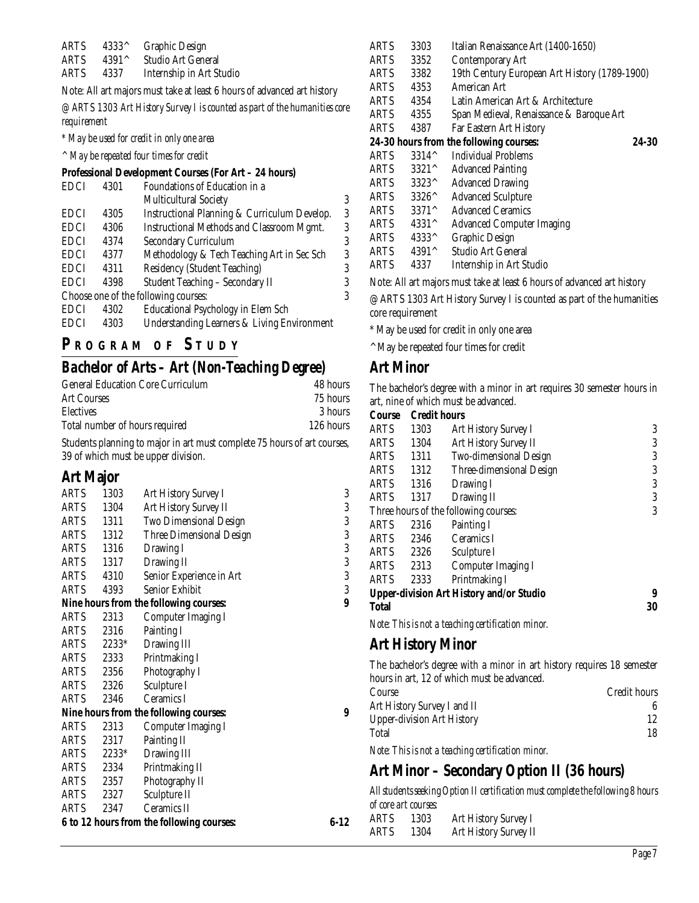|      |                     | ARTS 4333^ Graphic Design     |  |  |
|------|---------------------|-------------------------------|--|--|
|      | ARTS $4391^{\circ}$ | Studio Art General            |  |  |
| ARTS |                     | 4337 Internship in Art Studio |  |  |
|      |                     |                               |  |  |

Note: All art majors must take at least 6 hours of advanced art history

*@ ARTS 1303 Art History Survey I is counted as part of the humanities core requirement*

*\* May be used for credit in only one area*

*^ May be repeated four times for credit*

#### **Professional Development Courses (For Art – 24 hours)**

| EDCI        | 4301 | Foundations of Education in a                          |   |
|-------------|------|--------------------------------------------------------|---|
|             |      | <b>Multicultural Society</b>                           | 3 |
| <b>EDCI</b> | 4305 | Instructional Planning & Curriculum Develop.           | 3 |
| <b>EDCI</b> | 4306 | Instructional Methods and Classroom Mgmt.              | 3 |
| <b>EDCI</b> | 4374 | <b>Secondary Curriculum</b>                            | 3 |
| <b>EDCI</b> | 4377 | Methodology & Tech Teaching Art in Sec Sch             | 3 |
| <b>EDCI</b> | 4311 | Residency (Student Teaching)                           | 3 |
| <b>EDCI</b> | 4398 | Student Teaching - Secondary II                        | 3 |
|             |      | Choose one of the following courses:                   | 3 |
| <b>EDCI</b> | 4302 | <b>Educational Psychology in Elem Sch</b>              |   |
| <b>EDCI</b> | 4303 | <b>Understanding Learners &amp; Living Environment</b> |   |
|             |      |                                                        |   |

#### **P R OGRAM O F S TUDY**

#### *Bachelor of Arts – Art (Non-Teaching Degree)*

| 48 hours  |
|-----------|
| 75 hours  |
| 3 hours   |
| 126 hours |
|           |

Students planning to major in art must complete 75 hours of art courses, 39 of which must be upper division.

#### **Art Major**

| ARTS        | 1303    | Art History Survey I                      | 3        |
|-------------|---------|-------------------------------------------|----------|
| ARTS        | 1304    | Art History Survey II                     | 3        |
| ARTS        | 1311    | Two Dimensional Design                    | 3        |
| ARTS        | 1312    | <b>Three Dimensional Design</b>           | 3        |
| <b>ARTS</b> | 1316    | Drawing I                                 | 3        |
| ARTS        | 1317    | Drawing II                                | 3        |
| ARTS        | 4310    | Senior Experience in Art                  | 3        |
| ARTS        | 4393    | Senior Exhibit                            | 3        |
|             |         | Nine hours from the following courses:    | 9        |
| ARTS        | 2313    | Computer Imaging I                        |          |
| ARTS        | 2316    | Painting I                                |          |
| ARTS        | $2233*$ | Drawing III                               |          |
| ARTS        | 2333    | Printmaking I                             |          |
| ARTS        | 2356    | Photography I                             |          |
| ARTS        | 2326    | Sculpture I                               |          |
| <b>ARTS</b> | 2346    | Ceramics I                                |          |
|             |         | Nine hours from the following courses:    | 9        |
| <b>ARTS</b> | 2313    | <b>Computer Imaging I</b>                 |          |
| <b>ARTS</b> | 2317    | Painting II                               |          |
| <b>ARTS</b> | $2233*$ | Drawing III                               |          |
| ARTS        | 2334    | Printmaking II                            |          |
| <b>ARTS</b> | 2357    | Photography II                            |          |
| ARTS        | 2327    | Sculpture II                              |          |
| <b>ARTS</b> | 2347    | Ceramics II                               |          |
|             |         | 6 to 12 hours from the following courses: | $6 - 12$ |

| ARTS        | 3303                        | Italian Renaissance Art (1400-1650)           |       |
|-------------|-----------------------------|-----------------------------------------------|-------|
| ARTS        | 3352                        | Contemporary Art                              |       |
| ARTS        | 3382                        | 19th Century European Art History (1789-1900) |       |
| <b>ARTS</b> | 4353                        | American Art                                  |       |
| <b>ARTS</b> | 4354                        | Latin American Art & Architecture             |       |
| ARTS        | 4355                        | Span Medieval, Renaissance & Baroque Art      |       |
| ARTS        | 4387                        | Far Eastern Art History                       |       |
|             |                             | 24-30 hours from the following courses:       | 24-30 |
| <b>ARTS</b> | $3314^{\circ}$              | <b>Individual Problems</b>                    |       |
| <b>ARTS</b> | $3321^{\circ}$              | <b>Advanced Painting</b>                      |       |
| <b>ARTS</b> | $3323^{\wedge}$             | <b>Advanced Drawing</b>                       |       |
| ARTS        | $3326^{\scriptstyle\wedge}$ | <b>Advanced Sculpture</b>                     |       |
| ARTS        | 3371^                       | <b>Advanced Ceramics</b>                      |       |
| <b>ARTS</b> | $4331^{\circ}$              | <b>Advanced Computer Imaging</b>              |       |
| <b>ARTS</b> | $4333^{\wedge}$             | Graphic Design                                |       |
| <b>ARTS</b> | $4391^{\circ}$              | Studio Art General                            |       |
| ARTS        | 4337                        | Internship in Art Studio                      |       |
|             |                             |                                               |       |

Note: All art majors must take at least 6 hours of advanced art history

@ ARTS 1303 Art History Survey I is counted as part of the humanities core requirement

\* May be used for credit in only one area

^ May be repeated four times for credit

#### **Art Minor**

The bachelor's degree with a minor in art requires 30 semester hours in art, nine of which must be advanced.

| Course       | <b>Credit hours</b> |                                                 |    |
|--------------|---------------------|-------------------------------------------------|----|
| <b>ARTS</b>  | 1303                | Art History Survey I                            | 3  |
| <b>ARTS</b>  | 1304                | Art History Survey II                           | 3  |
| <b>ARTS</b>  | 1311                | <b>Two-dimensional Design</b>                   | 3  |
| <b>ARTS</b>  | 1312                | Three-dimensional Design                        | 3  |
| <b>ARTS</b>  | 1316                | Drawing I                                       | 3  |
| <b>ARTS</b>  | 1317                | Drawing II                                      | 3  |
|              |                     | Three hours of the following courses:           | 3  |
| <b>ARTS</b>  | 2316                | Painting I                                      |    |
| <b>ARTS</b>  | 2346                | Ceramics I                                      |    |
| ARTS         | 2326                | Sculpture I                                     |    |
| <b>ARTS</b>  | 2313                | Computer Imaging I                              |    |
| <b>ARTS</b>  | 2333                | Printmaking I                                   |    |
|              |                     | <b>Upper-division Art History and/or Studio</b> | 9  |
| <b>Total</b> |                     |                                                 | 30 |
|              |                     |                                                 |    |

*Note: This is not a teaching certification minor.*

#### **Art History Minor**

The bachelor's degree with a minor in art history requires 18 semester hours in art, 12 of which must be advanced. Course Credit hours Art History Survey I and II 6 Upper-division Art History 12<br>Total 18 Total 18 *Note: This is not a teaching certification minor.*

#### **Art Minor – Secondary Option II (36 hours)**

*All students seeking Option II certification must complete the following 8 hours of core art courses:*

ARTS 1303 Art History Survey I ARTS 1304 Art History Survey II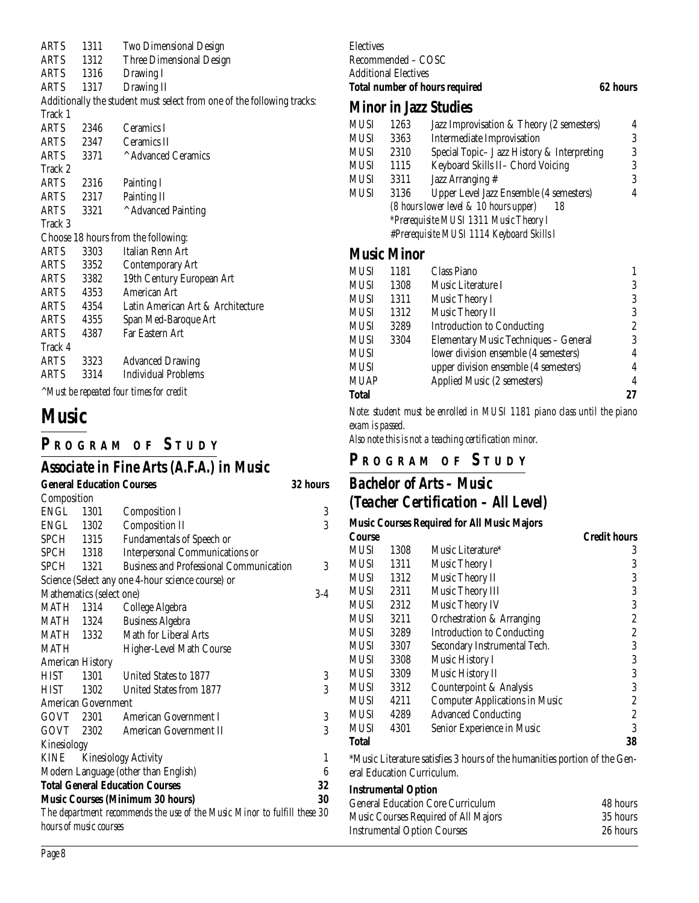| ARTS    | 1311      | Two Dimensional Design                                                 |
|---------|-----------|------------------------------------------------------------------------|
| ARTS    | 1312      | Three Dimensional Design                                               |
| ARTS    | 1316      | Drawing I                                                              |
| ARTS    | 1317      | Drawing II                                                             |
|         |           | Additionally the student must select from one of the following tracks: |
| Track 1 |           |                                                                        |
| ARTS    | 2346      | Ceramics I                                                             |
| ARTS    | 2347      | Ceramics II                                                            |
| ARTS    | 3371      | Advanced Ceramics                                                      |
| Track 2 |           |                                                                        |
| ARTS    | 2316      | Painting I                                                             |
| ARTS    | 2317      | Painting II                                                            |
| ARTS    | 3321      | ^ Advanced Painting                                                    |
| Track 3 |           |                                                                        |
|         |           | Choose 18 hours from the following:                                    |
| ARTS    | 3303      | Italian Renn Art                                                       |
| ARTS    | 3352      | <b>Contemporary Art</b>                                                |
|         | ARTS 3382 | 19th Century European Art                                              |
| ARTS    | 4353      | American Art                                                           |
|         | ARTS 4354 | Latin American Art & Architecture                                      |
| ARTS    | 4355      | Span Med-Baroque Art                                                   |
| ARTS    | 4387      | Far Eastern Art                                                        |
| Track 4 |           |                                                                        |
| ARTS    | 3323      | <b>Advanced Drawing</b>                                                |
| ARTS    | 3314      | <b>Individual Problems</b>                                             |
|         |           | <i>AMust be repeated four times for credit</i>                         |

**Music**

## **P R OGRAM O F S TUDY**

# *Associate in Fine Arts (A.F.A.) in Music*

|                          |      | <b>General Education Courses</b>                                         | <b>32 hours</b>  |
|--------------------------|------|--------------------------------------------------------------------------|------------------|
| Composition              |      |                                                                          |                  |
| ENGL                     | 1301 | <b>Composition I</b>                                                     | 3                |
| ENGL 1302                |      | <b>Composition II</b>                                                    | 3                |
| SPCH 1315                |      | Fundamentals of Speech or                                                |                  |
| SPCH 1318                |      | Interpersonal Communications or                                          |                  |
| SPCH 1321                |      | <b>Business and Professional Communication</b>                           | 3                |
|                          |      | Science (Select any one 4-hour science course) or                        |                  |
| Mathematics (select one) |      |                                                                          | $3-4$            |
| <b>MATH 1314</b>         |      | College Algebra                                                          |                  |
| MATH 1324                |      | <b>Business Algebra</b>                                                  |                  |
| MATH 1332                |      | Math for Liberal Arts                                                    |                  |
| MATH                     |      | <b>Higher-Level Math Course</b>                                          |                  |
| <b>American History</b>  |      |                                                                          |                  |
| <b>HIST</b>              |      | 1301 United States to 1877                                               | 3                |
| <b>HIST</b>              |      | 1302 United States from 1877                                             | 3                |
| American Government      |      |                                                                          |                  |
| GOVT 2301                |      | American Government I                                                    | $\sqrt{3}$       |
| GOVT 2302                |      | American Government II                                                   | 3                |
| Kinesiology              |      |                                                                          |                  |
| KINE                     |      | <b>Kinesiology Activity</b>                                              | 1                |
|                          |      | Modern Language (other than English)                                     | $\boldsymbol{6}$ |
|                          |      | <b>Total General Education Courses</b>                                   | 32               |
|                          |      | <b>Music Courses (Minimum 30 hours)</b>                                  | 30               |
|                          |      | The department recommends the use of the Music Minor to fulfill these 30 |                  |
| hours of music courses   |      |                                                                          |                  |

#### Electives Recommended – COSC Additional Electives **Total number of hours required 62 hours**

#### **Minor in Jazz Studies**

| MUSI | 1263 | Jazz Improvisation & Theory (2 semesters)    | 4 |
|------|------|----------------------------------------------|---|
| MUSI | 3363 | Intermediate Improvisation                   | 3 |
| MUSI | 2310 | Special Topic- J azz History & Interpreting  | 3 |
| MUSI | 1115 | Keyboard Skills II- Chord Voicing            | 3 |
| MUSI | 3311 | Jazz Arranging #                             | 3 |
| MUSI | 3136 | Upper Level Jazz Ensemble (4 semesters)      | 4 |
|      |      | (8 hours lower level & 10 hours upper)<br>18 |   |
|      |      | *Prerequisite MUSI 1311 Music Theory I       |   |
|      |      | #Prerequisite MUSI 1114 Keyboard Skills I    |   |
|      |      |                                              |   |

#### **Music Minor**

| MUSI  | 1181 | Class Piano                           |                |
|-------|------|---------------------------------------|----------------|
| MUSI  | 1308 | Music Literature I                    | 3              |
| MUSI  | 1311 | Music Theory I                        | 3              |
| MUSI  | 1312 | Music Theory II                       | 3              |
| MUSI  | 3289 | <b>Introduction to Conducting</b>     | $\overline{c}$ |
| MUSI  | 3304 | Elementary Music Techniques - General | 3              |
| MUSI  |      | lower division ensemble (4 semesters) | 4              |
| MUSI  |      | upper division ensemble (4 semesters) | 4              |
| MUAP  |      | Applied Music (2 semesters)           | 4              |
| Total |      |                                       | 27             |
|       |      |                                       |                |

*Note: student must be enrolled in MUSI 1181 piano class until the piano exam is passed.*

*Also note this is not a teaching certification minor.*

## **P R OGRAM O F S TUDY**

#### *Bachelor of Arts – Music (Teacher Certification – All Level)*

| <b>Music Courses Required for All Music Majors</b> |                                                                                     |                                       |                     |  |  |
|----------------------------------------------------|-------------------------------------------------------------------------------------|---------------------------------------|---------------------|--|--|
| Course                                             |                                                                                     |                                       | <b>Credit hours</b> |  |  |
| MUSI                                               | 1308                                                                                | Music Literature*                     | 3                   |  |  |
| <b>MUSI</b>                                        | 1311                                                                                | Music Theory I                        | 3                   |  |  |
| <b>MUSI</b>                                        | 1312                                                                                | Music Theory II                       | 3                   |  |  |
| <b>MUSI</b>                                        | 2311                                                                                | Music Theory III                      | 3                   |  |  |
| MUSI                                               | 2312                                                                                | Music Theory IV                       | 3                   |  |  |
| <b>MUSI</b>                                        | 3211                                                                                | Orchestration & Arranging             | 2                   |  |  |
| <b>MUSI</b>                                        | 3289                                                                                | <b>Introduction to Conducting</b>     | 2                   |  |  |
| <b>MUSI</b>                                        | 3307                                                                                | Secondary Instrumental Tech.          | 3                   |  |  |
| <b>MUSI</b>                                        | 3308                                                                                | Music History I                       | 3                   |  |  |
| <b>MUSI</b>                                        | 3309                                                                                | Music History II                      | 3                   |  |  |
| MUSI                                               | 3312                                                                                | Counterpoint & Analysis               | 3                   |  |  |
| <b>MUSI</b>                                        | 4211                                                                                | <b>Computer Applications in Music</b> | 2                   |  |  |
| <b>MUSI</b>                                        | 4289                                                                                | <b>Advanced Conducting</b>            | 2                   |  |  |
| <b>MUSI</b>                                        | 4301                                                                                | Senior Experience in Music            | 3                   |  |  |
| <b>Total</b>                                       |                                                                                     |                                       | 38                  |  |  |
|                                                    | $0.1 \quad 1$<br>$\cdots$ $\sim$ $\sim$ 1<br>0.1<br>$\cdots$<br>$\cdot$ .<br>$\sim$ |                                       |                     |  |  |

\*Music Literature satisfies 3 hours of the humanities portion of the General Education Curriculum.

#### **Instrumental Option**

| <b>General Education Core Curriculum</b> | 48 hours |
|------------------------------------------|----------|
| Music Courses Required of All Majors     | 35 hours |
| <b>Instrumental Option Courses</b>       | 26 hours |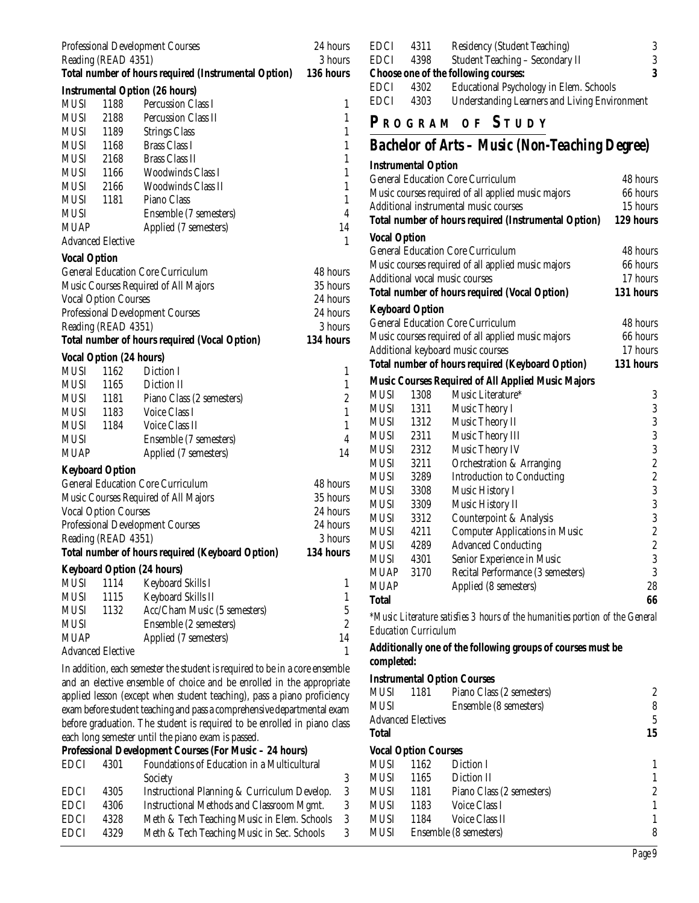|                                                                |                                                                             | <b>Professional Development Courses</b>              | 24 hours<br>3 hours |
|----------------------------------------------------------------|-----------------------------------------------------------------------------|------------------------------------------------------|---------------------|
|                                                                | Reading (READ 4351)<br>Total number of hours required (Instrumental Option) |                                                      |                     |
|                                                                |                                                                             | <b>Instrumental Option (26 hours)</b>                | 136 hours           |
| <b>MUSI</b>                                                    | 1188                                                                        | Percussion Class I                                   | 1                   |
| <b>MUSI</b>                                                    | 2188                                                                        | Percussion Class II                                  | $\mathbf{1}$        |
| MUSI                                                           | 1189                                                                        | <b>Strings Class</b>                                 | $\mathbf{1}$        |
| <b>MUSI</b>                                                    | 1168                                                                        | <b>Brass Class I</b>                                 | $\mathbf{1}$        |
| MUSI                                                           | 2168                                                                        | <b>Brass Class II</b>                                | $\mathbf{1}$        |
| MUSI 1166                                                      |                                                                             | <b>Woodwinds Class I</b>                             | $\mathbf{1}$        |
| MUSI                                                           | 2166                                                                        | <b>Woodwinds Class II</b>                            | $\mathbf{1}$        |
| <b>MUSI</b>                                                    | 1181                                                                        | Piano Class                                          | $\mathbf{1}$        |
| <b>MUSI</b>                                                    |                                                                             | Ensemble (7 semesters)                               | $\overline{4}$      |
| <b>MUAP</b>                                                    |                                                                             | Applied (7 semesters)                                | 14                  |
|                                                                | <b>Advanced Elective</b>                                                    |                                                      | $\mathbf{1}$        |
| <b>Vocal Option</b>                                            |                                                                             |                                                      |                     |
|                                                                |                                                                             | <b>General Education Core Curriculum</b>             | 48 hours            |
|                                                                |                                                                             | Music Courses Required of All Majors                 | 35 hours            |
|                                                                | <b>Vocal Option Courses</b>                                                 |                                                      | 24 hours            |
|                                                                |                                                                             |                                                      | 24 hours            |
| <b>Professional Development Courses</b><br>Reading (READ 4351) |                                                                             |                                                      | 3 hours             |
|                                                                |                                                                             | <b>Total number of hours required (Vocal Option)</b> | 134 hours           |
|                                                                |                                                                             |                                                      |                     |
| MUSI                                                           | <b>Vocal Option (24 hours)</b><br>1162                                      | Diction I                                            | 1                   |
| <b>MUSI</b>                                                    | 1165                                                                        | Diction II                                           | $\mathbf{1}$        |
| MUSI                                                           | 1181                                                                        | Piano Class (2 semesters)                            | $\overline{c}$      |
| MUSI                                                           | 1183                                                                        | Voice Class I                                        | $\mathbf{1}$        |
| <b>MUSI</b>                                                    | 1184                                                                        | Voice Class II                                       | $\mathbf{1}$        |
| MUSI                                                           |                                                                             | Ensemble (7 semesters)                               | $\overline{4}$      |
| <b>MUAP</b>                                                    |                                                                             | Applied (7 semesters)                                | 14                  |
|                                                                |                                                                             |                                                      |                     |
|                                                                | <b>Keyboard Option</b>                                                      |                                                      |                     |
|                                                                |                                                                             | <b>General Education Core Curriculum</b>             | 48 hours            |
|                                                                |                                                                             | Music Courses Required of All Majors                 | 35 hours            |
|                                                                | <b>Vocal Option Courses</b>                                                 |                                                      | 24 hours            |
|                                                                |                                                                             | <b>Professional Development Courses</b>              | 24 hours            |
|                                                                | Reading (READ 4351)                                                         |                                                      | 3 hours             |
|                                                                |                                                                             | Total number of hours required (Keyboard Option)     | 134 hours           |
|                                                                |                                                                             | <b>Keyboard Option (24 hours)</b>                    |                     |
| <b>MUSI</b>                                                    | 1114                                                                        | Keyboard Skills I                                    | 1                   |
| <b>MUSI</b>                                                    | 1115                                                                        | Keyboard Skills II                                   | $\mathbf{1}$        |
| <b>MUSI</b>                                                    | 1132                                                                        | Acc/Cham Music (5 semesters)                         | $\overline{5}$      |
| <b>MUSI</b>                                                    |                                                                             | Ensemble (2 semesters)                               | $\overline{c}$      |
| <b>MUAP</b>                                                    |                                                                             | Applied (7 semesters)                                | 14                  |
|                                                                | <b>Advanced Elective</b>                                                    |                                                      | 1                   |
|                                                                |                                                                             |                                                      |                     |

In addition, each semester the student is required to be in a core ensemble and an elective ensemble of choice and be enrolled in the appropriate applied lesson (except when student teaching), pass a piano proficiency exam before student teaching and pass a comprehensive departmental exam before graduation. The student is required to be enrolled in piano class each long semester until the piano exam is passed. **Professional Development Courses (For Music – 24 hours)**

|             |      | Troroshoma Development Counses (For massic withouts) |   |
|-------------|------|------------------------------------------------------|---|
| <b>EDCI</b> | 4301 | Foundations of Education in a Multicultural          |   |
|             |      | Society                                              | 3 |
| <b>EDCI</b> | 4305 | Instructional Planning & Curriculum Develop.         | 3 |
| <b>EDCI</b> | 4306 | Instructional Methods and Classroom Mgmt.            | 3 |
| <b>EDCI</b> | 4328 | Meth & Tech Teaching Music in Elem. Schools          | 3 |
| <b>EDCI</b> | 4329 | Meth & Tech Teaching Music in Sec. Schools           | 3 |
|             |      |                                                      |   |

| <b>EDCI</b> | 4311 | <b>Residency (Student Teaching)</b>                  | 3 |
|-------------|------|------------------------------------------------------|---|
| <b>EDCI</b> | 4398 | Student Teaching - Secondary II                      | 3 |
|             |      | Choose one of the following courses:                 | 3 |
| <b>EDCI</b> | 4302 | Educational Psychology in Elem. Schools              |   |
| <b>EDCI</b> | 4303 | <b>Understanding Learners and Living Environment</b> |   |

## **P R OGRAM O F S TUDY**

## *Bachelor of Arts – Music (Non-Teaching Degree)*

|                                                         | <b>Instrumental Option</b>               |                                                                              |                         |
|---------------------------------------------------------|------------------------------------------|------------------------------------------------------------------------------|-------------------------|
|                                                         | <b>General Education Core Curriculum</b> | 48 hours                                                                     |                         |
| Music courses required of all applied music majors      | 66 hours                                 |                                                                              |                         |
|                                                         |                                          | Additional instrumental music courses                                        | 15 hours                |
|                                                         |                                          | Total number of hours required (Instrumental Option)                         | 129 hours               |
| <b>Vocal Option</b>                                     |                                          |                                                                              |                         |
|                                                         |                                          | <b>General Education Core Curriculum</b>                                     | 48 hours                |
|                                                         |                                          | Music courses required of all applied music majors                           | 66 hours                |
|                                                         |                                          | Additional vocal music courses                                               | 17 hours                |
|                                                         |                                          | <b>Total number of hours required (Vocal Option)</b>                         | 131 hours               |
|                                                         | <b>Keyboard Option</b>                   |                                                                              |                         |
|                                                         |                                          | <b>General Education Core Curriculum</b>                                     | 48 hours                |
|                                                         |                                          | Music courses required of all applied music majors                           | 66 hours                |
|                                                         |                                          | Additional keyboard music courses                                            | 17 hours                |
| <b>Total number of hours required (Keyboard Option)</b> |                                          |                                                                              | 131 hours               |
|                                                         |                                          | Music Courses Required of All Applied Music Majors                           |                         |
| <b>MUSI</b>                                             | 1308                                     | Music Literature*                                                            | $\sqrt{3}$              |
| MUSI                                                    | 1311                                     | Music Theory I                                                               | $\boldsymbol{3}$        |
| MUSI                                                    | 1312                                     | Music Theory II                                                              | 3                       |
| MUSI                                                    | 2311                                     | Music Theory III                                                             | 3                       |
| MUSI                                                    | 2312                                     | Music Theory IV                                                              | 3                       |
| MUSI                                                    | 3211                                     | Orchestration & Arranging                                                    | $\boldsymbol{2}$        |
| MUSI                                                    | 3289                                     | <b>Introduction to Conducting</b>                                            | $\overline{c}$          |
| MUSI                                                    | 3308                                     | Music History I                                                              | 3                       |
| MUSI                                                    | 3309                                     | Music History II                                                             | 3                       |
| MUSI                                                    | 3312                                     | Counterpoint & Analysis                                                      | 3                       |
| MUSI                                                    | 4211                                     | <b>Computer Applications in Music</b>                                        | $\overline{\mathbf{c}}$ |
| MUSI                                                    | 4289                                     | <b>Advanced Conducting</b>                                                   | $\overline{\mathbf{c}}$ |
| MUSI                                                    | 4301                                     | Senior Experience in Music                                                   | $\overline{3}$          |
| <b>MUAP</b>                                             | 3170                                     | Recital Performance (3 semesters)                                            | 3                       |
| MUAP                                                    |                                          | Applied (8 semesters)                                                        | 28                      |
| <b>Total</b>                                            |                                          |                                                                              | 66                      |
|                                                         |                                          | *Music Literature satisfies 3 hours of the humanities portion of the General |                         |

*\*Music Literature satisfies 3 hours of the humanities portion of the General Education Curriculum*

#### **Additionally one of the following groups of courses must be completed:**

#### **Instrumental Option Courses**

|              |                             | mon amentar Option Counses     |    |
|--------------|-----------------------------|--------------------------------|----|
| MUSI         |                             | 1181 Piano Class (2 semesters) | 2  |
| MUSI         |                             | Ensemble (8 semesters)         | 8  |
|              | <b>Advanced Electives</b>   |                                | 5  |
| <b>Total</b> |                             |                                | 15 |
|              | <b>Vocal Option Courses</b> |                                |    |
| <b>MUSI</b>  | 1162                        | Diction I                      |    |
| <b>MUSI</b>  | 1165                        | Diction II                     |    |
| <b>MUSI</b>  | 1181                        | Piano Class (2 semesters)      | 2  |
| <b>MUSI</b>  | 1183                        | Voice Class I                  |    |
| <b>MUSI</b>  | 1184                        | Voice Class II                 |    |
| <b>MUSI</b>  |                             | Ensemble (8 semesters)         | 8  |
|              |                             |                                |    |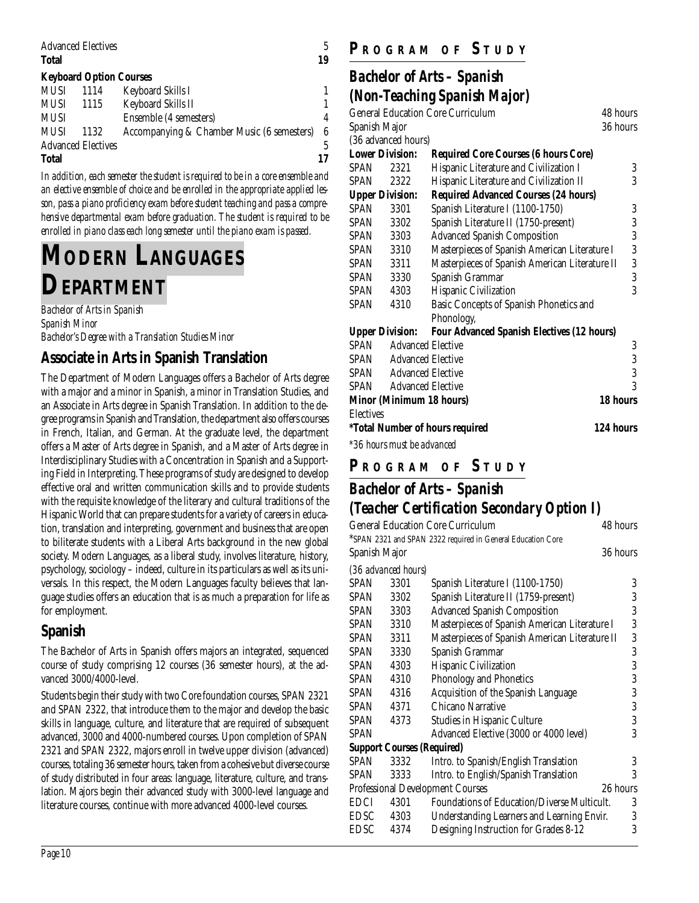| <b>Advanced Electives</b>      |      |                        | 5  |
|--------------------------------|------|------------------------|----|
| <b>Total</b>                   |      |                        | 19 |
| <b>Keyboard Option Courses</b> |      |                        |    |
| MUSI                           | 1114 | Keyboard Skills I      |    |
| MUSI                           | 1115 | Keyboard Skills II     |    |
| <b>MUSI</b>                    |      | Ensemble (4 semesters) | 4  |

| MUSI                      | 1132 | Accompanying & Chamber Music (6 semesters) 6 |    |
|---------------------------|------|----------------------------------------------|----|
| <b>Advanced Electives</b> |      |                                              |    |
| Total                     |      |                                              | 17 |

*In addition, each semester the student is required to be in a core ensemble and an elective ensemble of choice and be enrolled in the appropriate applied lesson, pass a piano proficiency exam before student teaching and pass a comprehensive departmental exam before graduation. The student is required to be enrolled in piano class each long semester until the piano exam is passed.*

# **MODERN LANGUAGES DEPARTMENT**

*Bachelor of Arts in Spanish Spanish Minor Bachelor's Degree with a Translation Studies Minor*

## **Associate in Arts in Spanish Translation**

The Department of Modern Languages offers a Bachelor of Arts degree with a major and a minor in Spanish, a minor in Translation Studies, and an Associate in Arts degree in Spanish Translation. In addition to the degree programs in Spanish and Translation, the department also offers courses in French, Italian, and German. At the graduate level, the department offers a Master of Arts degree in Spanish, and a Master of Arts degree in Interdisciplinary Studies with a Concentration in Spanish and a Supporting Field in Interpreting. These programs of study are designed to develop effective oral and written communication skills and to provide students with the requisite knowledge of the literary and cultural traditions of the Hispanic World that can prepare students for a variety of careers in education, translation and interpreting, government and business that are open to biliterate students with a Liberal Arts background in the new global society. Modern Languages, as a liberal study, involves literature, history, psychology, sociology – indeed, culture in its particulars as well as its universals. In this respect, the Modern Languages faculty believes that language studies offers an education that is as much a preparation for life as for employment.

## **Spanish**

The Bachelor of Arts in Spanish offers majors an integrated, sequenced course of study comprising 12 courses (36 semester hours), at the advanced 3000/4000-level.

Students begin their study with two Core foundation courses, SPAN 2321 and SPAN 2322, that introduce them to the major and develop the basic skills in language, culture, and literature that are required of subsequent advanced, 3000 and 4000-numbered courses. Upon completion of SPAN 2321 and SPAN 2322, majors enroll in twelve upper division (advanced) courses, totaling 36 semester hours, taken from a cohesive but diverse course of study distributed in four areas: language, literature, culture, and translation. Majors begin their advanced study with 3000-level language and literature courses, continue with more advanced 4000-level courses.

## **P R OGRAM O F S TUDY**

## *Bachelor of Arts – Spanish (Non-Teaching Spanish Major)*

|                                                      |                                         | $(2.022 \pm 0.000002)$                            |                |  |
|------------------------------------------------------|-----------------------------------------|---------------------------------------------------|----------------|--|
| <b>General Education Core Curriculum</b><br>48 hours |                                         |                                                   |                |  |
|                                                      | 36 hours<br>Spanish Major               |                                                   |                |  |
|                                                      | (36 advanced hours)                     |                                                   |                |  |
| <b>Lower Division:</b>                               |                                         | <b>Required Core Courses (6 hours Core)</b>       |                |  |
| <b>SPAN</b>                                          | 2321                                    | Hispanic Literature and Civilization I            | 3              |  |
| SPAN                                                 | 2322                                    | Hispanic Literature and Civilization II           | 3              |  |
| <b>Upper Division:</b>                               |                                         | <b>Required Advanced Courses (24 hours)</b>       |                |  |
| SPAN                                                 | 3301                                    | Spanish Literature I (1100-1750)                  | 3              |  |
| SPAN                                                 | 3302                                    | Spanish Literature II (1750-present)              | 3              |  |
| SPAN                                                 | 3303                                    | <b>Advanced Spanish Composition</b>               | 3              |  |
| <b>SPAN</b>                                          | 3310                                    | Masterpieces of Spanish American Literature I     | 3              |  |
| SPAN                                                 | 3311                                    | Masterpieces of Spanish American Literature II    | 3              |  |
| SPAN                                                 | 3330                                    | Spanish Grammar                                   | 3              |  |
| SPAN                                                 | 4303                                    | Hispanic Civilization                             | 3              |  |
| SPAN                                                 | 4310                                    | Basic Concepts of Spanish Phonetics and           |                |  |
|                                                      |                                         | Phonology,                                        |                |  |
| <b>Upper Division:</b>                               |                                         | <b>Four Advanced Spanish Electives (12 hours)</b> |                |  |
| SPAN                                                 | <b>Advanced Elective</b>                |                                                   | 3              |  |
| SPAN                                                 | <b>Advanced Elective</b>                |                                                   | $\overline{3}$ |  |
|                                                      | <b>SPAN</b> Advanced Elective           |                                                   | 3              |  |
|                                                      | SPAN Advanced Elective                  |                                                   | 3              |  |
| <b>Minor (Minimum 18 hours)</b>                      |                                         |                                                   | 18 hours       |  |
| <b>Electives</b>                                     |                                         |                                                   |                |  |
|                                                      |                                         | <i>*Total Number of hours required</i>            | 124 hours      |  |
|                                                      | $\star$ 001 $\cdot$ 1 $\cdot$ 1 $\cdot$ |                                                   |                |  |

*\*36 hours must be advanced*

## **P R OGRAM O F S TUDY**

## *Bachelor of Arts – Spanish (Teacher Certification Secondary Option I)*

| <b>General Education Core Curriculum</b><br>48 hours |                                   |                                                             |          |
|------------------------------------------------------|-----------------------------------|-------------------------------------------------------------|----------|
|                                                      |                                   | *SPAN 2321 and SPAN 2322 required in General Education Core |          |
| Spanish Major                                        |                                   |                                                             | 36 hours |
|                                                      | (36 advanced hours)               |                                                             |          |
| <b>SPAN</b>                                          | 3301                              | Spanish Literature I (1100-1750)                            | 3        |
| SPAN                                                 | 3302                              | Spanish Literature II (1759-present)                        | 3        |
| SPAN                                                 | 3303                              | <b>Advanced Spanish Composition</b>                         | 3        |
| SPAN                                                 | 3310                              | Masterpieces of Spanish American Literature I               | 3        |
| SPAN                                                 | 3311                              | Masterpieces of Spanish American Literature II              | 3        |
| <b>SPAN</b>                                          | 3330                              | Spanish Grammar                                             | 3        |
| <b>SPAN</b>                                          | 4303                              | Hispanic Civilization                                       | 3        |
| <b>SPAN</b>                                          | 4310                              | <b>Phonology and Phonetics</b>                              | 3        |
| <b>SPAN</b>                                          | 4316                              | Acquisition of the Spanish Language                         | 3        |
| SPAN                                                 | 4371                              | Chicano Narrative                                           | 3        |
| <b>SPAN</b>                                          | 4373                              | Studies in Hispanic Culture                                 | 3        |
| SPAN                                                 |                                   | Advanced Elective (3000 or 4000 level)                      | 3        |
|                                                      | <b>Support Courses (Required)</b> |                                                             |          |
| <b>SPAN</b>                                          | 3332                              | Intro. to Spanish/English Translation                       | 3        |
| SPAN                                                 | 3333                              | Intro. to English/Spanish Translation                       | 3        |
| <b>Professional Development Courses</b><br>26 hours  |                                   |                                                             |          |
| EDCI                                                 | 4301                              | Foundations of Education/Diverse Multicult.                 | 3        |
| EDSC                                                 | 4303                              | Understanding Learners and Learning Envir.                  | 3        |
| EDSC                                                 | 4374                              | Designing Instruction for Grades 8-12                       | 3        |
|                                                      |                                   |                                                             |          |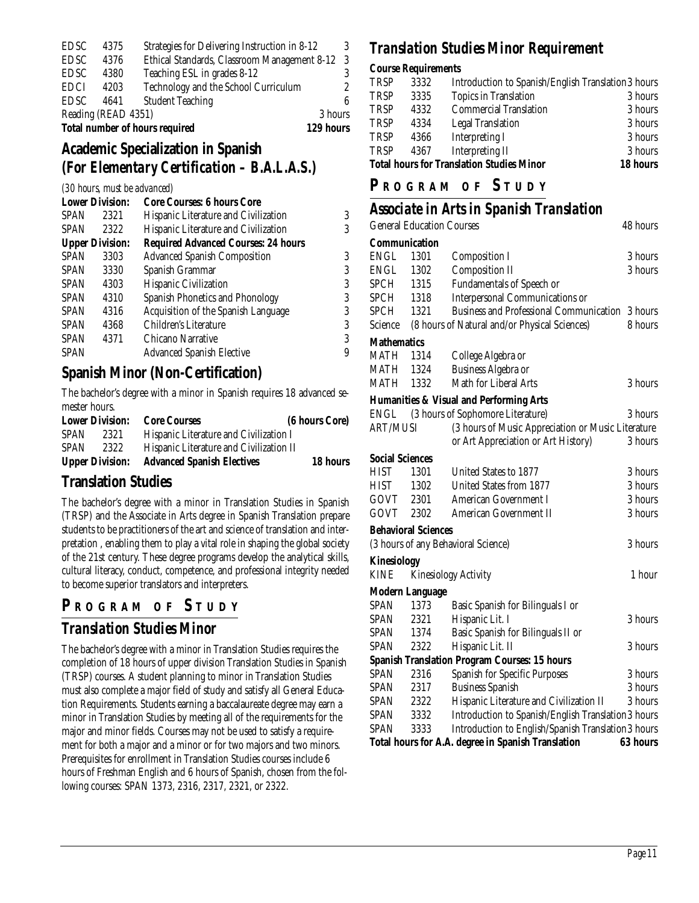| <b>Total number of hours required</b> |      |                                               |         | 129 hours |
|---------------------------------------|------|-----------------------------------------------|---------|-----------|
| Reading (READ 4351)                   |      |                                               | 3 hours |           |
| EDSC                                  | 4641 | <b>Student Teaching</b>                       |         | ß         |
| <b>EDCI</b>                           | 4203 | Technology and the School Curriculum          |         | 2         |
| EDSC                                  | 4380 | Teaching ESL in grades 8-12                   |         | 3         |
| EDSC                                  | 4376 | Ethical Standards, Classroom Management 8-12  |         | -3        |
| EDSC                                  | 4375 | Strategies for Delivering Instruction in 8-12 |         | 3         |

#### **Academic Specialization in Spanish** *(For Elementary Certification – B.A.L.A.S.)*

#### *(30 hours, must be advanced)*

| <b>Lower Division:</b> |      | <b>Core Courses: 6 hours Core</b>          |   |
|------------------------|------|--------------------------------------------|---|
| <b>SPAN</b>            | 2321 | Hispanic Literature and Civilization       | 3 |
| <b>SPAN</b>            | 2322 | Hispanic Literature and Civilization       | 3 |
| <b>Upper Division:</b> |      | <b>Required Advanced Courses: 24 hours</b> |   |
| <b>SPAN</b>            | 3303 | <b>Advanced Spanish Composition</b>        | 3 |
| <b>SPAN</b>            | 3330 | Spanish Grammar                            | 3 |
| <b>SPAN</b>            | 4303 | Hispanic Civilization                      | 3 |
| <b>SPAN</b>            | 4310 | Spanish Phonetics and Phonology            | 3 |
| <b>SPAN</b>            | 4316 | Acquisition of the Spanish Language        | 3 |
| <b>SPAN</b>            | 4368 | Children's Literature                      | 3 |
| <b>SPAN</b>            | 4371 | Chicano Narrative                          | 3 |
| <b>SPAN</b>            |      | <b>Advanced Spanish Elective</b>           | 9 |
|                        |      |                                            |   |

#### **Spanish Minor (Non-Certification)**

The bachelor's degree with a minor in Spanish requires 18 advanced semester hours.

| <b>Lower Division:</b> |      | <b>Core Courses</b>                     | (6 hours Core) |
|------------------------|------|-----------------------------------------|----------------|
| <b>SPAN</b>            | 2321 | Hispanic Literature and Civilization I  |                |
| <b>SPAN</b>            | 2322 | Hispanic Literature and Civilization II |                |
| <b>Upper Division:</b> |      | <b>Advanced Spanish Electives</b>       | 18 hours       |

#### **Translation Studies**

The bachelor's degree with a minor in Translation Studies in Spanish (TRSP) and the Associate in Arts degree in Spanish Translation prepare students to be practitioners of the art and science of translation and interpretation , enabling them to play a vital role in shaping the global society of the 21st century. These degree programs develop the analytical skills, cultural literacy, conduct, competence, and professional integrity needed to become superior translators and interpreters.

#### **P R OGRAM O F S TUDY**

#### *Translation Studies Minor*

The bachelor's degree with a minor in Translation Studies requires the completion of 18 hours of upper division Translation Studies in Spanish (TRSP) courses. A student planning to minor in Translation Studies must also complete a major field of study and satisfy all General Education Requirements. Students earning a baccalaureate degree may earn a minor in Translation Studies by meeting all of the requirements for the major and minor fields. Courses may not be used to satisfy a requirement for both a major and a minor or for two majors and two minors. Prerequisites for enrollment in Translation Studies courses include 6 hours of Freshman English and 6 hours of Spanish, chosen from the following courses: SPAN 1373, 2316, 2317, 2321, or 2322.

#### *Translation Studies Minor Requirement*

#### **Course Requirements**

| <b>Total hours for Translation Studies Minor</b> | 18 hours |                                                     |         |
|--------------------------------------------------|----------|-----------------------------------------------------|---------|
| <b>TRSP</b>                                      | 4367     | <b>Interpreting II</b>                              | 3 hours |
| <b>TRSP</b>                                      | 4366     | Interpreting I                                      | 3 hours |
| <b>TRSP</b>                                      | 4334     | <b>Legal Translation</b>                            | 3 hours |
| <b>TRSP</b>                                      | 4332     | <b>Commercial Translation</b>                       | 3 hours |
| <b>TRSP</b>                                      | 3335     | <b>Topics in Translation</b>                        | 3 hours |
| <b>TRSP</b>                                      | 3332     | Introduction to Spanish/English Translation 3 hours |         |

#### **P R OGRAM O F S TUDY**

#### *Associate in Arts in Spanish Translation*

|                        | <b>General Education Courses</b> |                                                      | 48 hours |
|------------------------|----------------------------------|------------------------------------------------------|----------|
| <b>Communication</b>   |                                  |                                                      |          |
| <b>ENGL</b>            | 1301                             | <b>Composition I</b>                                 | 3 hours  |
| <b>ENGL</b>            | 1302                             | <b>Composition II</b>                                | 3 hours  |
| SPCH                   | 1315                             | Fundamentals of Speech or                            |          |
| <b>SPCH</b>            | 1318                             | <b>Interpersonal Communications or</b>               |          |
| <b>SPCH</b>            | 1321                             | Business and Professional Communication 3 hours      |          |
| Science                |                                  | (8 hours of Natural and/or Physical Sciences)        | 8 hours  |
| <b>Mathematics</b>     |                                  |                                                      |          |
| MATH                   | 1314                             | College Algebra or                                   |          |
| MATH                   | 1324                             | Business Algebra or                                  |          |
| <b>MATH</b>            | 1332                             | Math for Liberal Arts                                | 3 hours  |
|                        |                                  | <b>Humanities &amp; Visual and Performing Arts</b>   |          |
| ENGL                   |                                  | (3 hours of Sophomore Literature)                    | 3 hours  |
| <b>ART/MUSI</b>        |                                  | (3 hours of Music Appreciation or Music Literature   |          |
|                        |                                  | or Art Appreciation or Art History)                  | 3 hours  |
| <b>Social Sciences</b> |                                  |                                                      |          |
| <b>HIST</b>            | 1301                             | United States to 1877                                | 3 hours  |
| HIST                   | 1302                             | United States from 1877                              | 3 hours  |
| GOVT                   | 2301                             | American Government I                                | 3 hours  |
| GOVT                   | 2302                             | <b>American Government II</b>                        | 3 hours  |
|                        | <b>Behavioral Sciences</b>       |                                                      |          |
|                        |                                  | (3 hours of any Behavioral Science)                  | 3 hours  |
| <b>Kinesiology</b>     |                                  |                                                      |          |
| <b>KINE</b>            |                                  | <b>Kinesiology Activity</b>                          | 1 hour   |
| <b>Modern Language</b> |                                  |                                                      |          |
| <b>SPAN</b>            | 1373                             | Basic Spanish for Bilinguals I or                    |          |
| SPAN                   | 2321                             | Hispanic Lit. I                                      | 3 hours  |
| <b>SPAN</b>            | 1374                             | Basic Spanish for Bilinguals II or                   |          |
| <b>SPAN</b>            | 2322                             | Hispanic Lit. II                                     | 3 hours  |
|                        |                                  | <b>Spanish Translation Program Courses: 15 hours</b> |          |
| <b>SPAN</b>            | 2316                             | <b>Spanish for Specific Purposes</b>                 | 3 hours  |
| SPAN                   | 2317                             | <b>Business Spanish</b>                              | 3 hours  |
| SPAN                   | 2322                             | Hispanic Literature and Civilization II              | 3 hours  |
| SPAN                   | 3332                             | Introduction to Spanish/English Translation 3 hours  |          |
| SPAN                   | 3333                             | Introduction to English/Spanish Translation 3 hours  |          |
|                        |                                  | Total hours for A.A. degree in Spanish Translation   | 63 hours |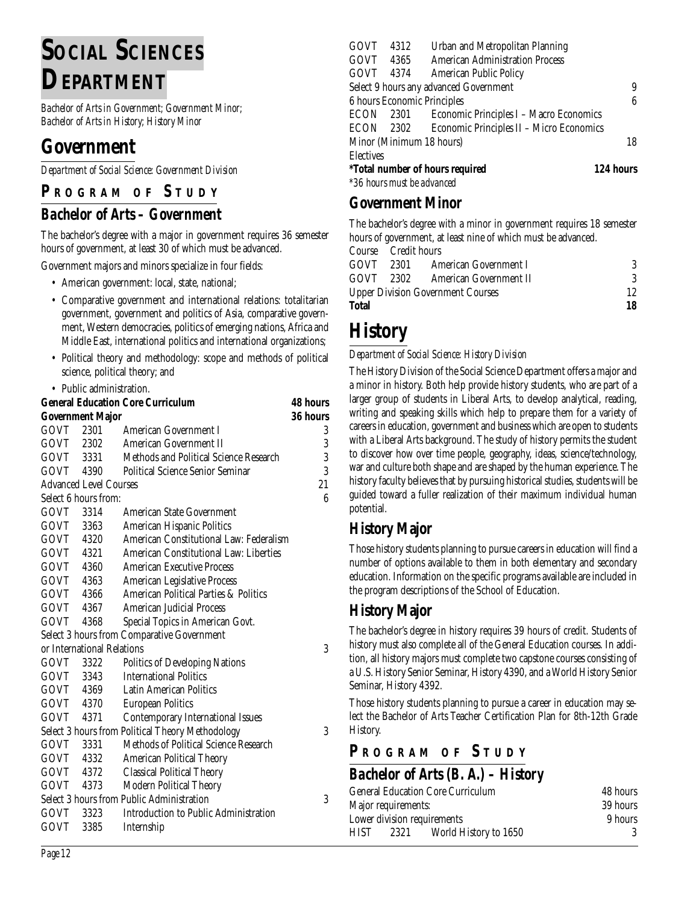# **SOCIAL SCIENCES DEPARTMENT**

*Bachelor of Arts in Government; Government Minor; Bachelor of Arts in History; History Minor*

## **Government**

*Department of Social Science: Government Division*

### **P R OGRAM O F S TUDY**

#### *Bachelor of Arts – Government*

The bachelor's degree with a major in government requires 36 semester hours of government, at least 30 of which must be advanced.

Government majors and minors specialize in four fields:

- American government: local, state, national;
- Comparative government and international relations: totalitarian government, government and politics of Asia, comparative government, Western democracies, politics of emerging nations, Africa and Middle East, international politics and international organizations;
- Political theory and methodology: scope and methods of political science, political theory; and
- Public administration.

| <b>General Education Core Curriculum</b> |                               |                                                  | <b>48 hours</b> |
|------------------------------------------|-------------------------------|--------------------------------------------------|-----------------|
|                                          | Government Major              |                                                  | 36 hours        |
| GOVT 2301                                |                               | American Government I                            | 3               |
|                                          | GOVT 2302                     | American Government II                           | 3               |
|                                          | GOVT 3331                     | Methods and Political Science Research           | 3               |
| GOVT 4390                                |                               | <b>Political Science Senior Seminar</b>          | 3               |
|                                          | <b>Advanced Level Courses</b> |                                                  | 21              |
| Select 6 hours from:                     |                               |                                                  | 6               |
| GOVT 3314                                |                               | American State Government                        |                 |
| GOVT 3363                                |                               | American Hispanic Politics                       |                 |
| GOVT 4320                                |                               | American Constitutional Law: Federalism          |                 |
| GOVT 4321                                |                               | American Constitutional Law: Liberties           |                 |
| GOVT 4360                                |                               | <b>American Executive Process</b>                |                 |
| GOVT 4363                                |                               | American Legislative Process                     |                 |
| GOVT 4366                                |                               | American Political Parties & Politics            |                 |
| GOVT 4367                                |                               | <b>American Judicial Process</b>                 |                 |
| GOVT                                     | 4368                          | Special Topics in American Govt.                 |                 |
|                                          |                               | Select 3 hours from Comparative Government       |                 |
|                                          |                               | or International Relations                       | 3               |
| GOVT                                     | 3322                          | <b>Politics of Developing Nations</b>            |                 |
| GOVT 3343                                |                               | <b>International Politics</b>                    |                 |
| GOVT 4369                                |                               | <b>Latin American Politics</b>                   |                 |
| GOVT 4370                                |                               | <b>European Politics</b>                         |                 |
| GOVT 4371                                |                               | <b>Contemporary International Issues</b>         |                 |
|                                          |                               | Select 3 hours from Political Theory Methodology | 3               |
| GOVT                                     | 3331                          | Methods of Political Science Research            |                 |
| GOVT 4332                                |                               | American Political Theory                        |                 |
| GOVT 4372                                |                               | <b>Classical Political Theory</b>                |                 |
| GOVT                                     | 4373                          | Modern Political Theory                          |                 |
|                                          |                               | Select 3 hours from Public Administration        | 3               |
| GOVT                                     | 3323                          | Introduction to Public Administration            |                 |
| GOVT                                     | 3385                          | Internship                                       |                 |

| <b>GOVT</b>                                         | 4312                       | Urban and Metropolitan Planning                    |    |  |  |
|-----------------------------------------------------|----------------------------|----------------------------------------------------|----|--|--|
| GOVT 4365                                           |                            | <b>American Administration Process</b>             |    |  |  |
| GOVT 4374                                           |                            | <b>American Public Policy</b>                      |    |  |  |
|                                                     |                            | Select 9 hours any advanced Government             | 9  |  |  |
|                                                     |                            | 6 hours Economic Principles                        | 6  |  |  |
| <b>ECON</b>                                         |                            | 2301 Economic Principles I - Macro Economics       |    |  |  |
|                                                     |                            | ECON 2302 Economic Principles II - Micro Economics |    |  |  |
|                                                     |                            | Minor (Minimum 18 hours)                           | 18 |  |  |
| <b>Electives</b>                                    |                            |                                                    |    |  |  |
| 124 hours<br><i>*Total number of hours required</i> |                            |                                                    |    |  |  |
|                                                     | *36 hours must be advanced |                                                    |    |  |  |

#### **Government Minor**

The bachelor's degree with a minor in government requires 18 semester hours of government, at least nine of which must be advanced.

| Total                                    |                     |                                  | 18 |
|------------------------------------------|---------------------|----------------------------------|----|
| <b>Upper Division Government Courses</b> |                     |                                  | 12 |
|                                          |                     | GOVT 2302 American Government II | 3  |
|                                          |                     | GOVT 2301 American Government I  | 3  |
|                                          | Course Credit hours |                                  |    |

# **History**

#### *Department of Social Science: History Division*

The History Division of the Social Science Department offers a major and a minor in history. Both help provide history students, who are part of a larger group of students in Liberal Arts, to develop analytical, reading, writing and speaking skills which help to prepare them for a variety of careers in education, government and business which are open to students with a Liberal Arts background. The study of history permits the student to discover how over time people, geography, ideas, science/technology, war and culture both shape and are shaped by the human experience. The history faculty believes that by pursuing historical studies, students will be guided toward a fuller realization of their maximum individual human potential.

#### **History Major**

Those history students planning to pursue careers in education will find a number of options available to them in both elementary and secondary education. Information on the specific programs available are included in the program descriptions of the School of Education.

#### **History Major**

The bachelor's degree in history requires 39 hours of credit. Students of history must also complete all of the General Education courses. In addition, all history majors must complete two capstone courses consisting of a U.S. History Senior Seminar, History 4390, and a World History Senior Seminar, History 4392.

Those history students planning to pursue a career in education may select the Bachelor of Arts Teacher Certification Plan for 8th-12th Grade History.

#### **P R OGRAM O F S TUDY**

## *Bachelor of Arts (B. A.) – History*

| <b>General Education Core Curriculum</b>     | 48 hours |
|----------------------------------------------|----------|
| Major requirements:                          | 39 hours |
| Lower division requirements                  | 9 hours  |
| World History to 1650<br><b>HIST</b><br>2321 |          |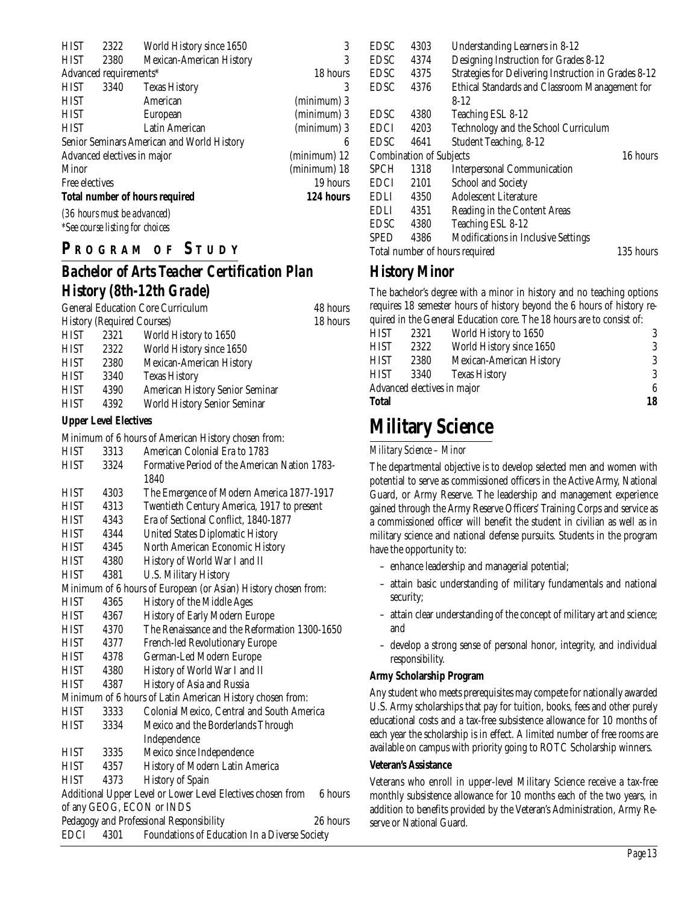| <b>HIST</b>    | 2322                                   | World History since 1650                   | 3            |
|----------------|----------------------------------------|--------------------------------------------|--------------|
| <b>HIST</b>    | 2380                                   | Mexican-American History                   | 3            |
|                | Advanced requirements*                 |                                            | 18 hours     |
| <b>HIST</b>    | 3340                                   | <b>Texas History</b>                       | 3            |
| <b>HIST</b>    |                                        | American                                   | (minimum) 3  |
| <b>HIST</b>    |                                        | European                                   | (minimum) 3  |
| <b>HIST</b>    |                                        | Latin American                             | (minimum) 3  |
|                |                                        | Senior Seminars American and World History | 6            |
|                |                                        | Advanced electives in major                | (minimum) 12 |
| Minor          |                                        |                                            | (minimum) 18 |
| Free electives |                                        |                                            | 19 hours     |
|                |                                        | <b>Total number of hours required</b>      | 124 hours    |
|                |                                        | (36 hours must be advanced)                |              |
|                | <i>*See course listing for choices</i> |                                            |              |

#### **P R OGRAM O F S TUDY**

## *Bachelor of Arts Teacher Certification Plan History (8th-12th Grade)*

| <b>General Education Core Curriculum</b> |          |                                 | 48 hours |
|------------------------------------------|----------|---------------------------------|----------|
| <b>History (Required Courses)</b>        | 18 hours |                                 |          |
| <b>HIST</b>                              | 2321     | World History to 1650           |          |
| <b>HIST</b>                              | 2322     | World History since 1650        |          |
| <b>HIST</b>                              | 2380     | Mexican-American History        |          |
| <b>HIST</b>                              | 3340     | <b>Texas History</b>            |          |
| <b>HIST</b>                              | 4390     | American History Senior Seminar |          |
| <b>HIST</b>                              | 4392     | World History Senior Seminar    |          |
|                                          |          |                                 |          |

#### **Upper Level Electives**

Minimum of 6 hours of American History chosen from:

|             |      | <u>Minimum of 0 nours of American Flistory chosen from.</u>            |
|-------------|------|------------------------------------------------------------------------|
| <b>HIST</b> | 3313 | American Colonial Era to 1783                                          |
| <b>HIST</b> | 3324 | Formative Period of the American Nation 1783-                          |
|             |      | 1840                                                                   |
| HIST        | 4303 | The Emergence of Modern America 1877-1917                              |
| HIST        | 4313 | Twentieth Century America, 1917 to present                             |
| HIST        | 4343 | Era of Sectional Conflict, 1840-1877                                   |
| <b>HIST</b> | 4344 | <b>United States Diplomatic History</b>                                |
| <b>HIST</b> | 4345 | North American Economic History                                        |
| <b>HIST</b> | 4380 | History of World War I and II                                          |
| <b>HIST</b> | 4381 | <b>U.S. Military History</b>                                           |
|             |      | Minimum of 6 hours of European (or Asian) History chosen from:         |
| <b>HIST</b> | 4365 | History of the Middle Ages                                             |
| <b>HIST</b> | 4367 | History of Early Modern Europe                                         |
| <b>HIST</b> | 4370 | The Renaissance and the Reformation 1300-1650                          |
| HIST        | 4377 | French-led Revolutionary Europe                                        |
| <b>HIST</b> | 4378 | German-Led Modern Europe                                               |
| <b>HIST</b> | 4380 | History of World War I and II                                          |
| HIST        | 4387 | History of Asia and Russia                                             |
|             |      | Minimum of 6 hours of Latin American History chosen from:              |
| <b>HIST</b> | 3333 | Colonial Mexico, Central and South America                             |
| <b>HIST</b> | 3334 | Mexico and the Borderlands Through                                     |
|             |      | Independence                                                           |
| HIST        | 3335 | Mexico since Independence                                              |
| HIST        | 4357 | History of Modern Latin America                                        |
| HIST        | 4373 | History of Spain                                                       |
|             |      | Additional Upper Level or Lower Level Electives chosen from<br>6 hours |
|             |      | of any GEOG, ECON or INDS                                              |
|             |      | Pedagogy and Professional Responsibility<br>26 hours                   |
| <b>EDCI</b> | 4301 | Foundations of Education In a Diverse Society                          |
|             |      |                                                                        |

| <b>EDSC</b> | 4303                           | Understanding Learners in 8-12                       |           |
|-------------|--------------------------------|------------------------------------------------------|-----------|
| EDSC-       | 4374                           | Designing Instruction for Grades 8-12                |           |
| EDSC        | 4375                           | Strategies for Delivering Instruction in Grades 8-12 |           |
| <b>EDSC</b> | 4376                           | Ethical Standards and Classroom Management for       |           |
|             |                                | $8 - 12$                                             |           |
| <b>EDSC</b> | 4380                           | Teaching ESL 8-12                                    |           |
| <b>EDCI</b> | 4203                           | Technology and the School Curriculum                 |           |
| <b>EDSC</b> | 4641                           | Student Teaching, 8-12                               |           |
|             | <b>Combination of Subjects</b> |                                                      | 16 hours  |
| <b>SPCH</b> | 1318                           | <b>Interpersonal Communication</b>                   |           |
| <b>EDCI</b> | 2101                           | <b>School and Society</b>                            |           |
| <b>EDLI</b> | 4350                           | Adolescent Literature                                |           |
| EDLI        | 4351                           | Reading in the Content Areas                         |           |
| EDSC        | 4380                           | Teaching ESL 8-12                                    |           |
| <b>SPED</b> | 4386                           | <b>Modifications in Inclusive Settings</b>           |           |
|             |                                | Total number of hours required                       | 135 hours |

## **History Minor**

The bachelor's degree with a minor in history and no teaching options requires 18 semester hours of history beyond the 6 hours of history required in the General Education core. The 18 hours are to consist of:

| Total                       | 18   |                          |   |
|-----------------------------|------|--------------------------|---|
| Advanced electives in major | 6    |                          |   |
| HIST                        | 3340 | <b>Texas History</b>     | 3 |
| HIST                        | 2380 | Mexican-American History | 3 |
| HIST                        | 2322 | World History since 1650 | 3 |
| HIST                        | 2321 | World History to 1650    | 3 |
|                             |      |                          |   |

## **Military Science**

#### *Military Science – Minor*

The departmental objective is to develop selected men and women with potential to serve as commissioned officers in the Active Army, National Guard, or Army Reserve. The leadership and management experience gained through the Army Reserve Officers' Training Corps and service as a commissioned officer will benefit the student in civilian as well as in military science and national defense pursuits. Students in the program have the opportunity to:

- enhance leadership and managerial potential;
- attain basic understanding of military fundamentals and national security;
- attain clear understanding of the concept of military art and science; and
- develop a strong sense of personal honor, integrity, and individual responsibility.

#### **Army Scholarship Program**

Any student who meets prerequisites may compete for nationally awarded U.S. Army scholarships that pay for tuition, books, fees and other purely educational costs and a tax-free subsistence allowance for 10 months of each year the scholarship is in effect. A limited number of free rooms are available on campus with priority going to ROTC Scholarship winners.

#### **Veteran's Assistance**

Veterans who enroll in upper-level Military Science receive a tax-free monthly subsistence allowance for 10 months each of the two years, in addition to benefits provided by the Veteran's Administration, Army Reserve or National Guard.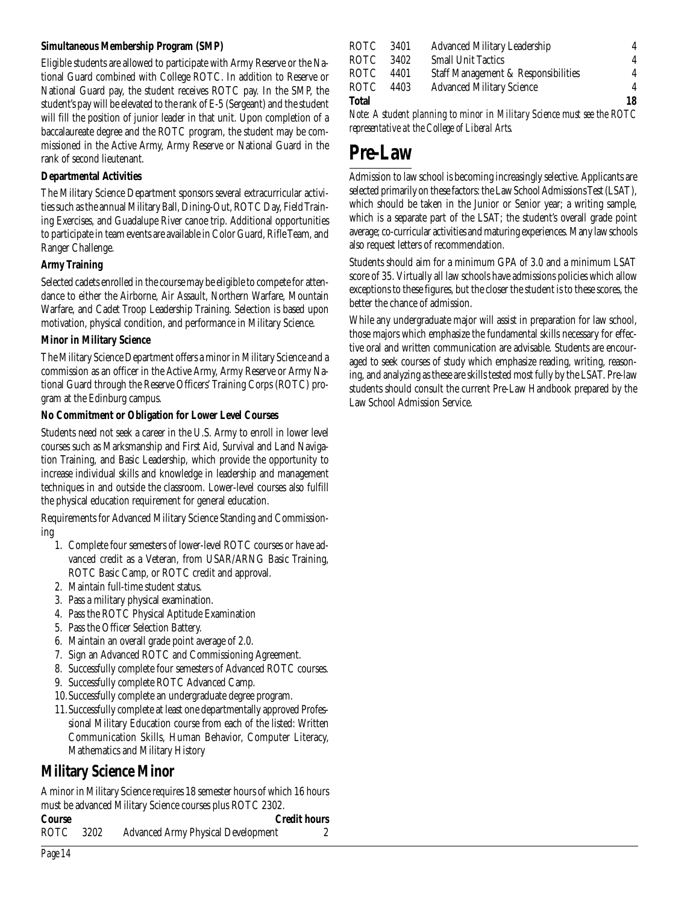#### **Simultaneous Membership Program (SMP)**

Eligible students are allowed to participate with Army Reserve or the National Guard combined with College ROTC. In addition to Reserve or National Guard pay, the student receives ROTC pay. In the SMP, the student's pay will be elevated to the rank of E-5 (Sergeant) and the student will fill the position of junior leader in that unit. Upon completion of a baccalaureate degree and the ROTC program, the student may be commissioned in the Active Army, Army Reserve or National Guard in the rank of second lieutenant.

#### **Departmental Activities**

The Military Science Department sponsors several extracurricular activities such as the annual Military Ball, Dining-Out, ROTC Day, Field Training Exercises, and Guadalupe River canoe trip. Additional opportunities to participate in team events are available in Color Guard, Rifle Team, and Ranger Challenge.

#### **Army Training**

Selected cadets enrolled in the course may be eligible to compete for attendance to either the Airborne, Air Assault, Northern Warfare, Mountain Warfare, and Cadet Troop Leadership Training. Selection is based upon motivation, physical condition, and performance in Military Science.

#### **Minor in Military Science**

The Military Science Department offers a minor in Military Science and a commission as an officer in the Active Army, Army Reserve or Army National Guard through the Reserve Officers' Training Corps (ROTC) program at the Edinburg campus.

#### **No Commitment or Obligation for Lower Level Courses**

Students need not seek a career in the U.S. Army to enroll in lower level courses such as Marksmanship and First Aid, Survival and Land Navigation Training, and Basic Leadership, which provide the opportunity to increase individual skills and knowledge in leadership and management techniques in and outside the classroom. Lower-level courses also fulfill the physical education requirement for general education.

Requirements for Advanced Military Science Standing and Commissioning

- 1. Complete four semesters of lower-level ROTC courses or have advanced credit as a Veteran, from USAR/ARNG Basic Training, ROTC Basic Camp, or ROTC credit and approval.
- 2. Maintain full-time student status.
- 3. Pass a military physical examination.
- 4. Pass the ROTC Physical Aptitude Examination
- 5. Pass the Officer Selection Battery.
- 6. Maintain an overall grade point average of 2.0.
- 7. Sign an Advanced ROTC and Commissioning Agreement.
- 8. Successfully complete four semesters of Advanced ROTC courses.
- 9. Successfully complete ROTC Advanced Camp.
- 10.Successfully complete an undergraduate degree program.
- 11.Successfully complete at least one departmentally approved Professional Military Education course from each of the listed: Written Communication Skills, Human Behavior, Computer Literacy, Mathematics and Military History

#### **Military Science Minor**

A minor in Military Science requires 18 semester hours of which 16 hours must be advanced Military Science courses plus ROTC 2302.

|           | $\frac{1}{2}$ independent $\frac{1}{2}$ in $\frac{1}{2}$ in $\frac{1}{2}$ is clearly coupled plus to $\frac{1}{2}$ is soon. |                     |
|-----------|-----------------------------------------------------------------------------------------------------------------------------|---------------------|
| Course    |                                                                                                                             | <b>Credit hours</b> |
| ROTC 3202 | <b>Advanced Army Physical Development</b>                                                                                   |                     |

| ROTC  | 3401 | <b>Advanced Military Leadership</b> | 4  |
|-------|------|-------------------------------------|----|
| ROTC  | 3402 | <b>Small Unit Tactics</b>           | 4  |
| ROTC  | 4401 | Staff Management & Responsibilities | 4  |
| ROTC  | 4403 | <b>Advanced Military Science</b>    | 4  |
| Total |      |                                     | 18 |

*Note: A student planning to minor in Military Science must see the ROTC representative at the College of Liberal Arts.*

# **Pre-Law**

Admission to law school is becoming increasingly selective. Applicants are selected primarily on these factors: the Law School Admissions Test (LSAT), which should be taken in the Junior or Senior year; a writing sample, which is a separate part of the LSAT; the student's overall grade point average; co-curricular activities and maturing experiences. Many law schools also request letters of recommendation.

Students should aim for a minimum GPA of 3.0 and a minimum LSAT score of 35. Virtually all law schools have admissions policies which allow exceptions to these figures, but the closer the student is to these scores, the better the chance of admission.

While any undergraduate major will assist in preparation for law school, those majors which emphasize the fundamental skills necessary for effective oral and written communication are advisable. Students are encouraged to seek courses of study which emphasize reading, writing, reasoning, and analyzing as these are skills tested most fully by the LSAT. Pre-law students should consult the current Pre-Law Handbook prepared by the Law School Admission Service.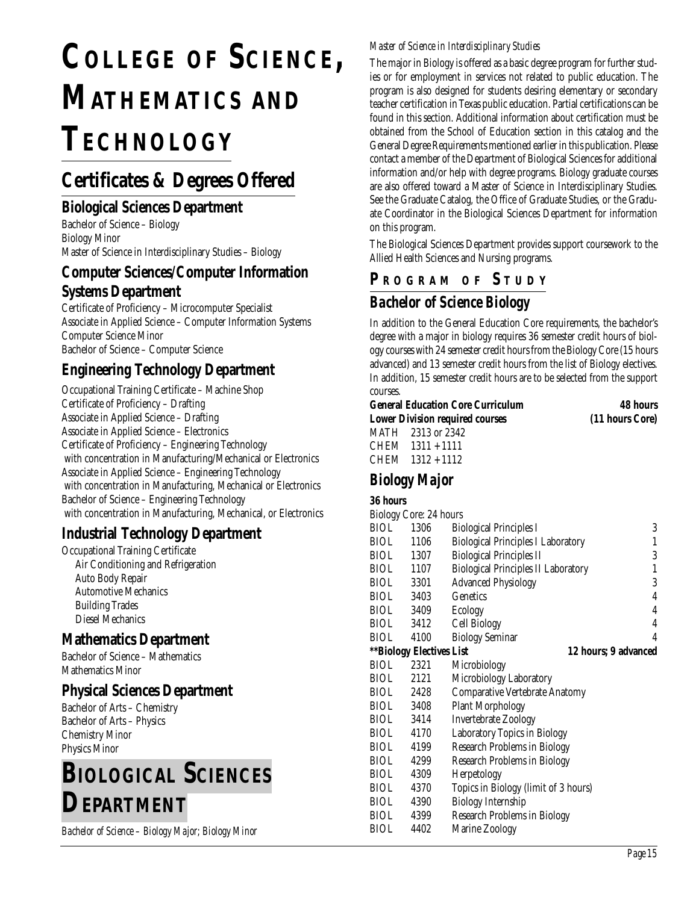# **COLLEGE OF SCIENCE, MATHEMATICS AND TECHNOLOGY**

## **Certificates & Degrees Offered**

#### **Biological Sciences Department**

Bachelor of Science – Biology Biology Minor Master of Science in Interdisciplinary Studies – Biology

#### **Computer Sciences/Computer Information Systems Department**

Certificate of Proficiency – Microcomputer Specialist Associate in Applied Science – Computer Information Systems Computer Science Minor Bachelor of Science – Computer Science

## **Engineering Technology Department**

Occupational Training Certificate – Machine Shop Certificate of Proficiency – Drafting Associate in Applied Science – Drafting Associate in Applied Science – Electronics Certificate of Proficiency – Engineering Technology with concentration in Manufacturing/Mechanical or Electronics Associate in Applied Science – Engineering Technology with concentration in Manufacturing, Mechanical or Electronics Bachelor of Science – Engineering Technology with concentration in Manufacturing, Mechanical, or Electronics

#### **Industrial Technology Department**

Occupational Training Certificate Air Conditioning and Refrigeration Auto Body Repair Automotive Mechanics Building Trades Diesel Mechanics

#### **Mathematics Department**

Bachelor of Science – Mathematics Mathematics Minor

#### **Physical Sciences Department**

Bachelor of Arts – Chemistry Bachelor of Arts – Physics Chemistry Minor Physics Minor

# **BIOLOGICAL SCIENCES DEPARTMENT**

*Bachelor of Science – Biology Major; Biology Minor*

#### *Master of Science in Interdisciplinary Studies*

The major in Biology is offered as a basic degree program for further studies or for employment in services not related to public education. The program is also designed for students desiring elementary or secondary teacher certification in Texas public education. Partial certifications can be found in this section. Additional information about certification must be obtained from the School of Education section in this catalog and the General Degree Requirements mentioned earlier in this publication. Please contact a member of the Department of Biological Sciences for additional information and/or help with degree programs. Biology graduate courses are also offered toward a Master of Science in Interdisciplinary Studies. See the Graduate Catalog, the Office of Graduate Studies, or the Graduate Coordinator in the Biological Sciences Department for information on this program.

The Biological Sciences Department provides support coursework to the Allied Health Sciences and Nursing programs.

#### **P R OGRAM O F S TUDY**

## *Bachelor of Science Biology*

In addition to the General Education Core requirements, the bachelor's degree with a major in biology requires 36 semester credit hours of biology courses with 24 semester credit hours from the Biology Core (15 hours advanced) and 13 semester credit hours from the list of Biology electives. In addition, 15 semester credit hours are to be selected from the support courses.

| <b>General Education Core Curriculum</b> | 48 hours        |  |  |
|------------------------------------------|-----------------|--|--|
| <b>Lower Division required courses</b>   | (11 hours Core) |  |  |
| MATH 2313 or 2342                        |                 |  |  |
| CHEM 1311 + 1111                         |                 |  |  |
| CHEM 1312 + 1112                         |                 |  |  |

## *Biology Major*

#### **36 hours**

|             | Biology Core: 24 hours          |                                            |   |
|-------------|---------------------------------|--------------------------------------------|---|
| BIOL        | 1306                            | <b>Biological Principles I</b>             | 3 |
| BIOL        | 1106                            | <b>Biological Principles I Laboratory</b>  | 1 |
|             | BIOL 1307                       | <b>Biological Principles II</b>            | 3 |
|             | BIOL 1107                       | <b>Biological Principles II Laboratory</b> | 1 |
|             | BIOL 3301                       | <b>Advanced Physiology</b>                 | 3 |
|             | BIOL 3403                       | <b>Genetics</b>                            | 4 |
|             | BIOL 3409                       | Ecology                                    | 4 |
|             | BIOL 3412                       | Cell Biology                               | 4 |
| BIOL        | 4100                            | <b>Biology Seminar</b>                     | 4 |
|             | <b>**Biology Electives List</b> | 12 hours; 9 advanced                       |   |
| <b>BIOL</b> | 2321                            | Microbiology                               |   |
| <b>BIOL</b> | 2121                            | Microbiology Laboratory                    |   |
|             | BIOL 2428                       | Comparative Vertebrate Anatomy             |   |
|             | BIOL 3408                       | <b>Plant Morphology</b>                    |   |
|             | BIOL 3414                       | <b>Invertebrate Zoology</b>                |   |
|             | BIOL 4170                       | Laboratory Topics in Biology               |   |
| BIOL        | 4199                            | <b>Research Problems in Biology</b>        |   |
| <b>BIOL</b> | 4299                            | <b>Research Problems in Biology</b>        |   |
| <b>BIOL</b> | 4309                            | Herpetology                                |   |
| <b>BIOL</b> | 4370                            | Topics in Biology (limit of 3 hours)       |   |
| <b>BIOL</b> | 4390                            | <b>Biology Internship</b>                  |   |
| BIOL        | 4399                            | <b>Research Problems in Biology</b>        |   |
| BIOL        | 4402                            | Marine Zoology                             |   |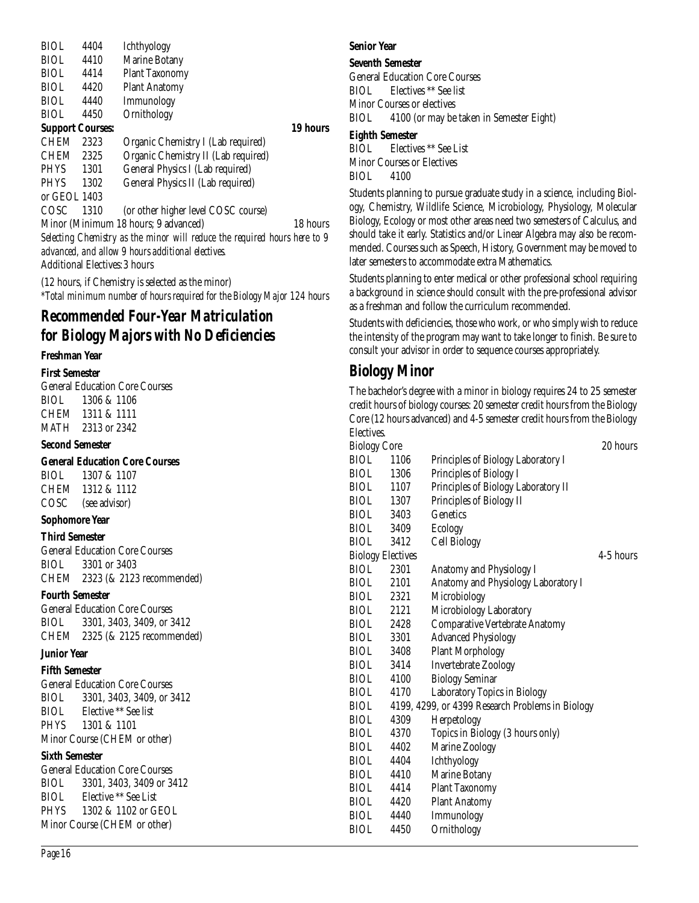| BIOL.                   | 4404                                 | <b>Ichthyology</b>                                                        |          |
|-------------------------|--------------------------------------|---------------------------------------------------------------------------|----------|
| <b>BIOL</b>             | 4410                                 | <b>Marine Botany</b>                                                      |          |
| <b>BIOL</b>             | 4414                                 | <b>Plant Taxonomy</b>                                                     |          |
| <b>BIOL</b>             | 4420                                 | <b>Plant Anatomy</b>                                                      |          |
| <b>BIOL</b>             | 4440                                 | Immunology                                                                |          |
| <b>BIOL</b>             | 4450                                 | Ornithology                                                               |          |
| <b>Support Courses:</b> |                                      |                                                                           | 19 hours |
| <b>CHEM</b>             | 2323                                 | Organic Chemistry I (Lab required)                                        |          |
| <b>CHEM</b>             | 2325                                 | Organic Chemistry II (Lab required)                                       |          |
| PHYS                    | 1301                                 | General Physics I (Lab required)                                          |          |
| <b>PHYS</b>             | 1302                                 | General Physics II (Lab required)                                         |          |
| or GEOL 1403            |                                      |                                                                           |          |
| COSC                    | 1310                                 | (or other higher level COSC course)                                       |          |
|                         |                                      | Minor (Minimum 18 hours; 9 advanced)                                      | 18 hours |
|                         |                                      | Selecting Chemistry as the minor will reduce the required hours here to 9 |          |
|                         |                                      | advanced, and allow 9 hours additional electives.                         |          |
|                         | <b>Additional Electives: 3 hours</b> |                                                                           |          |
|                         |                                      |                                                                           |          |

(12 hours, if Chemistry is selected as the minor) *\*Total minimum number of hours required for the Biology Major 124 hours*

#### *Recommended Four-Year Matriculation for Biology Majors with No Deficiencies*

#### **Freshman Year**

**First Semester**

General Education Core Courses BIOL 1306 & 1106 CHEM 1311 & 1111 MATH 2313 or 2342

#### **Second Semester**

**General Education Core Courses**

BIOL 1307 & 1107 CHEM 1312 & 1112 COSC (see advisor)

#### **Sophomore Year**

**Third Semester**

General Education Core Courses BIOL 3301 or 3403 CHEM 2323 (& 2123 recommended)

#### **Fourth Semester**

General Education Core Courses BIOL 3301, 3403, 3409, or 3412 CHEM 2325 (& 2125 recommended)

#### **Junior Year**

#### **Fifth Semester**

General Education Core Courses BIOL 3301, 3403, 3409, or 3412 BIOL Elective \*\* See list PHYS 1301 & 1101 Minor Course (CHEM or other)

#### **Sixth Semester**

General Education Core Courses BIOL 3301, 3403, 3409 or 3412 BIOL Elective \*\* See List PHYS 1302 & 1102 or GEOL Minor Course (CHEM or other)

#### **Senior Year**

#### **Seventh Semester**

General Education Core Courses BIOL Electives \*\* See list Minor Courses or electives BIOL 4100 (or may be taken in Semester Eight)

#### **Eighth Semester**

BIOL Electives \*\* See List Minor Courses or Electives BIOL 4100

Students planning to pursue graduate study in a science, including Biology, Chemistry, Wildlife Science, Microbiology, Physiology, Molecular Biology, Ecology or most other areas need two semesters of Calculus, and should take it early. Statistics and/or Linear Algebra may also be recommended. Courses such as Speech, History, Government may be moved to later semesters to accommodate extra Mathematics.

Students planning to enter medical or other professional school requiring a background in science should consult with the pre-professional advisor as a freshman and follow the curriculum recommended.

Students with deficiencies, those who work, or who simply wish to reduce the intensity of the program may want to take longer to finish. Be sure to consult your advisor in order to sequence courses appropriately.

## **Biology Minor**

The bachelor's degree with a minor in biology requires 24 to 25 semester credit hours of biology courses: 20 semester credit hours from the Biology Core (12 hours advanced) and 4-5 semester credit hours from the Biology Electives.

| <b>Biology Core</b>      |         |                                                  | 20 hours  |
|--------------------------|---------|--------------------------------------------------|-----------|
| BIOL                     | 1106    | Principles of Biology Laboratory I               |           |
| <b>BIOL</b>              | 1306    | Principles of Biology I                          |           |
| <b>BIOL</b>              | 1107    | Principles of Biology Laboratory II              |           |
| <b>BIOL</b>              | -- 1307 | Principles of Biology II                         |           |
| BIOL                     | 3403    | <b>Genetics</b>                                  |           |
| <b>BIOL</b>              | 3409    | Ecology                                          |           |
| <b>BIOL</b>              | 3412    | Cell Biology                                     |           |
| <b>Biology Electives</b> |         |                                                  | 4-5 hours |
| <b>BIOL</b>              | 2301    | Anatomy and Physiology I                         |           |
| <b>BIOL</b>              | 2101    | Anatomy and Physiology Laboratory I              |           |
| <b>BIOL</b>              | 2321    | Microbiology                                     |           |
| <b>BIOL</b>              | 2121    | Microbiology Laboratory                          |           |
| <b>BIOL</b>              | 2428    | <b>Comparative Vertebrate Anatomy</b>            |           |
| <b>BIOL</b>              | 3301    | <b>Advanced Physiology</b>                       |           |
| <b>BIOL</b>              | 3408    | <b>Plant Morphology</b>                          |           |
| <b>BIOL</b>              | 3414    | <b>Invertebrate Zoology</b>                      |           |
| <b>BIOL</b>              | 4100    | <b>Biology Seminar</b>                           |           |
| <b>BIOL</b>              | 4170    | Laboratory Topics in Biology                     |           |
| <b>BIOL</b>              |         | 4199, 4299, or 4399 Research Problems in Biology |           |
| <b>BIOL</b>              | 4309    | Herpetology                                      |           |
| <b>BIOL</b>              | 4370    | Topics in Biology (3 hours only)                 |           |
| <b>BIOL</b>              | 4402    | Marine Zoology                                   |           |
| <b>BIOL</b>              | 4404    | Ichthyology                                      |           |
| <b>BIOL</b>              | 4410    | Marine Botany                                    |           |
| <b>BIOL</b>              | 4414    | <b>Plant Taxonomy</b>                            |           |
| <b>BIOL</b>              | 4420    | <b>Plant Anatomy</b>                             |           |
| <b>BIOL</b>              | 4440    | Immunology                                       |           |
| BIOL                     | 4450    | Ornithology                                      |           |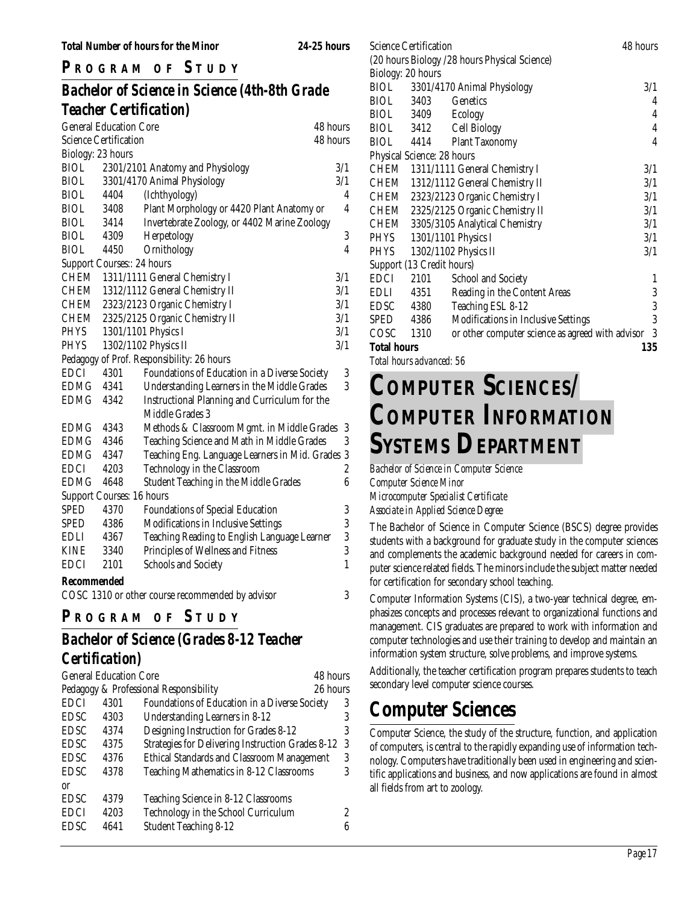#### **P R OGRAM O F S TUDY**

## *Bachelor of Science in Science (4th-8th Grade Teacher Certification)*

|                              | <b>General Education Core</b> | 48 hours                                       |                         |
|------------------------------|-------------------------------|------------------------------------------------|-------------------------|
| <b>Science Certification</b> |                               |                                                | 48 hours                |
| Biology: 23 hours            |                               |                                                |                         |
| <b>BIOL</b>                  |                               | 2301/2101 Anatomy and Physiology               | 3/1                     |
| <b>BIOL</b>                  |                               | 3301/4170 Animal Physiology                    | 3/1                     |
| <b>BIOL</b>                  | 4404                          | (Ichthyology)                                  | 4                       |
| <b>BIOL</b>                  | 3408                          | Plant Morphology or 4420 Plant Anatomy or      | 4                       |
| <b>BIOL</b>                  | 3414                          | Invertebrate Zoology, or 4402 Marine Zoology   |                         |
| <b>BIOL</b>                  | 4309                          | Herpetology                                    | $\overline{3}$          |
| <b>BIOL</b>                  | 4450                          | Ornithology                                    | $\overline{\mathbf{4}}$ |
|                              | Support Courses:: 24 hours    |                                                |                         |
| CHEM                         |                               | 1311/1111 General Chemistry I                  | 3/1                     |
| CHEM                         |                               | 1312/1112 General Chemistry II                 | 3/1                     |
| CHEM                         |                               | 2323/2123 Organic Chemistry I                  | 3/1                     |
| CHEM                         |                               | 2325/2125 Organic Chemistry II                 | 3/1                     |
| PHYS                         |                               | 1301/1101 Physics I                            | 3/1                     |
| <b>PHYS</b>                  |                               | 1302/1102 Physics II                           | 3/1                     |
|                              |                               | Pedagogy of Prof. Responsibility: 26 hours     |                         |
| <b>EDCI</b>                  | 4301                          | Foundations of Education in a Diverse Society  | 3                       |
| EDMG 4341                    |                               | Understanding Learners in the Middle Grades    | 3                       |
| EDMG                         | 4342                          | Instructional Planning and Curriculum for the  |                         |
|                              |                               | Middle Grades 3                                |                         |
| <b>EDMG</b>                  | 4343                          | Methods & Classroom Mgmt. in Middle Grades     | 3                       |
| EDMG                         | 4346                          | Teaching Science and Math in Middle Grades     | 3                       |
| EDMG                         | 4347                          | Teaching Eng. Language Learners in Mid. Grades | $\boldsymbol{3}$        |
| <b>EDCI</b>                  | 4203                          | Technology in the Classroom                    | $\overline{\mathbf{c}}$ |
| <b>EDMG</b>                  | 4648                          | Student Teaching in the Middle Grades          | 6                       |
|                              | Support Courses: 16 hours     |                                                |                         |
| <b>SPED</b>                  | 4370                          | <b>Foundations of Special Education</b>        | 3                       |
| SPED                         | 4386                          | Modifications in Inclusive Settings            | 3                       |
| EDLI                         | 4367                          | Teaching Reading to English Language Learner   | 3                       |
| <b>KINE</b>                  | 3340                          | Principles of Wellness and Fitness             | 3                       |
| <b>EDCI</b>                  | 2101                          | <b>Schools and Society</b>                     | $\mathbf{1}$            |
| <b>Recommended</b>           |                               |                                                |                         |

COSC 1310 or other course recommended by advisor 3

## **P <sup>R</sup> OGRAM O F S TUDY**

# *Bachelor of Science (Grades 8-12 Teacher*

#### *Certification)*

| <b>General Education Core</b><br>48 hours |      |                                                          |          |
|-------------------------------------------|------|----------------------------------------------------------|----------|
|                                           |      | Pedagogy & Professional Responsibility                   | 26 hours |
| <b>EDCI</b>                               | 4301 | Foundations of Education in a Diverse Society            | 3        |
| <b>EDSC</b>                               | 4303 | Understanding Learners in 8-12                           | 3        |
| <b>EDSC</b>                               | 4374 | Designing Instruction for Grades 8-12                    | 3        |
| <b>EDSC</b>                               | 4375 | <b>Strategies for Delivering Instruction Grades 8-12</b> | -3       |
| <b>EDSC</b>                               | 4376 | <b>Ethical Standards and Classroom Management</b>        | 3        |
| <b>EDSC</b>                               | 4378 | Teaching Mathematics in 8-12 Classrooms                  | 3        |
| 0r                                        |      |                                                          |          |
| <b>EDSC</b>                               | 4379 | Teaching Science in 8-12 Classrooms                      |          |
| <b>EDCI</b>                               | 4203 | Technology in the School Curriculum                      | 2        |
| <b>EDSC</b>                               | 4641 | <b>Student Teaching 8-12</b>                             | 6        |
|                                           |      |                                                          |          |

| Science Certification      |                                                  | 48 hours |
|----------------------------|--------------------------------------------------|----------|
|                            | (20 hours Biology /28 hours Physical Science)    |          |
| Biology: 20 hours          |                                                  |          |
|                            | BIOL 3301/4170 Animal Physiology                 | 3/1      |
| BIOL 3403                  | Genetics                                         | 4        |
| BIOL 3409 Ecology          |                                                  | 4        |
|                            | BIOL 3412 Cell Biology                           | 4        |
|                            | BIOL 4414 Plant Taxonomy                         | 4        |
| Physical Science: 28 hours |                                                  |          |
|                            | CHEM 1311/1111 General Chemistry I               | 3/1      |
|                            | CHEM 1312/1112 General Chemistry II              | 3/1      |
|                            | CHEM 2323/2123 Organic Chemistry I               | 3/1      |
|                            | CHEM 2325/2125 Organic Chemistry II              | 3/1      |
|                            | CHEM 3305/3105 Analytical Chemistry              | 3/1      |
|                            | PHYS 1301/1101 Physics I                         | 3/1      |
|                            | PHYS 1302/1102 Physics II                        | 3/1      |
| Support (13 Credit hours)  |                                                  |          |
| 2101<br>EDCI               | <b>School and Society</b>                        | 1        |
| EDLI<br>4351               | Reading in the Content Areas                     | 3        |
| EDSC 4380                  | Teaching ESL 8-12                                | 3        |
| SPED 4386                  | Modifications in Inclusive Settings              | 3        |
| COSC 1310                  | or other computer science as agreed with advisor | 3        |
| <b>Total hours</b>         |                                                  | 135      |

*Total hours advanced: 56*

# **COMPUTER SCIENCES/ COMPUTER INFORMATION SYSTEMS DEPARTMENT**

*Bachelor of Science in Computer Science Computer Science Minor Microcomputer Specialist Certificate Associate in Applied Science Degree*

The Bachelor of Science in Computer Science (BSCS) degree provides students with a background for graduate study in the computer sciences and complements the academic background needed for careers in computer science related fields. The minors include the subject matter needed for certification for secondary school teaching.

Computer Information Systems (CIS), a two-year technical degree, emphasizes concepts and processes relevant to organizational functions and management. CIS graduates are prepared to work with information and computer technologies and use their training to develop and maintain an information system structure, solve problems, and improve systems.

Additionally, the teacher certification program prepares students to teach secondary level computer science courses.

## **Computer Sciences**

Computer Science, the study of the structure, function, and application of computers, is central to the rapidly expanding use of information technology. Computers have traditionally been used in engineering and scientific applications and business, and now applications are found in almost all fields from art to zoology.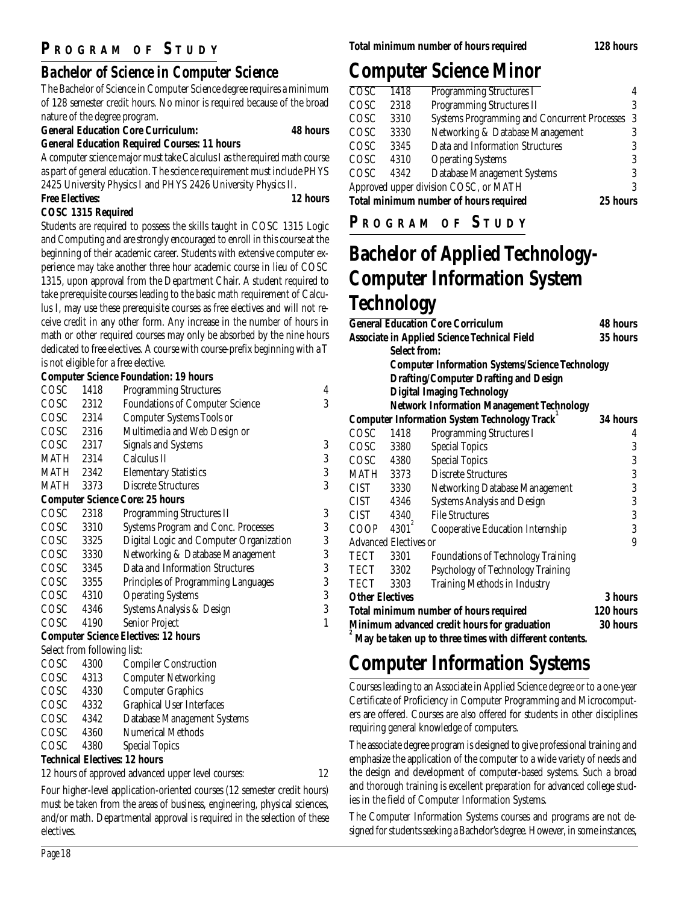### **P R OGRAM O F S TUDY**

## *Bachelor of Science in Computer Science*

The Bachelor of Science in Computer Science degree requires a minimum of 128 semester credit hours. No minor is required because of the broad nature of the degree program.

#### **General Education Core Curriculum: 48 hours**

**General Education Required Courses: 11 hours**

A computer science major must take Calculus I as the required math course as part of general education. The science requirement must include PHYS 2425 University Physics I and PHYS 2426 University Physics II.

#### **Free Electives: 12 hours**

#### **COSC 1315 Required**

Students are required to possess the skills taught in COSC 1315 Logic and Computing and are strongly encouraged to enroll in this course at the beginning of their academic career. Students with extensive computer experience may take another three hour academic course in lieu of COSC 1315, upon approval from the Department Chair. A student required to take prerequisite courses leading to the basic math requirement of Calculus I, may use these prerequisite courses as free electives and will not receive credit in any other form. Any increase in the number of hours in math or other required courses may only be absorbed by the nine hours dedicated to free electives. A course with course-prefix beginning with a T is not eligible for a free elective.

#### **Computer Science Foundation: 19 hours**

| COSC                        | 1418 | <b>Programming Structures</b>               | $\overline{4}$ |
|-----------------------------|------|---------------------------------------------|----------------|
| COSC 2312                   |      | <b>Foundations of Computer Science</b>      | 3              |
| COSC 2314                   |      | <b>Computer Systems Tools or</b>            |                |
| COSC 2316                   |      | Multimedia and Web Design or                |                |
| COSC 2317                   |      | <b>Signals and Systems</b>                  | 3              |
| MATH                        | 2314 | Calculus II                                 | 3              |
| MATH                        | 2342 | <b>Elementary Statistics</b>                | 3              |
| MATH                        | 3373 | <b>Discrete Structures</b>                  | 3              |
|                             |      | <b>Computer Science Core: 25 hours</b>      |                |
| COSC                        | 2318 | <b>Programming Structures II</b>            | 3              |
| COSC                        | 3310 | <b>Systems Program and Conc. Processes</b>  | 3              |
| COSC 3325                   |      | Digital Logic and Computer Organization     | 3              |
| COSC 3330                   |      | Networking & Database Management            | 3              |
| COSC 3345                   |      | Data and Information Structures             | 3              |
| COSC 3355                   |      | Principles of Programming Languages         | 3              |
| COSC 4310                   |      | <b>Operating Systems</b>                    | 3              |
| COSC 4346                   |      | Systems Analysis & Design                   | 3              |
| COSC                        | 4190 | Senior Project                              | 1              |
|                             |      | <b>Computer Science Electives: 12 hours</b> |                |
| Select from following list: |      |                                             |                |
| COSC                        | 4300 | <b>Compiler Construction</b>                |                |
| COSC 4313                   |      | <b>Computer Networking</b>                  |                |
| COSC 4330                   |      | <b>Computer Graphics</b>                    |                |
| COSC 4332                   |      | <b>Graphical User Interfaces</b>            |                |
| COSC 4342                   |      | Database Management Systems                 |                |
| COSC 4360                   |      | <b>Numerical Methods</b>                    |                |
| COSC                        | 4380 | <b>Special Topics</b>                       |                |
|                             |      |                                             |                |

#### **Technical Electives: 12 hours**

12 hours of approved advanced upper level courses: 12

Four higher-level application-oriented courses (12 semester credit hours) must be taken from the areas of business, engineering, physical sciences, and/or math. Departmental approval is required in the selection of these electives.

## **Computer Science Minor**

| 1418 | <b>Programming Structures I</b>                | 4                                                                                      |
|------|------------------------------------------------|----------------------------------------------------------------------------------------|
| 2318 | <b>Programming Structures II</b>               | 3                                                                                      |
| 3310 | Systems Programming and Concurrent Processes 3 |                                                                                        |
| 3330 | Networking & Database Management               |                                                                                        |
| 3345 | Data and Information Structures                | 3                                                                                      |
| 4310 | <b>Operating Systems</b>                       | 3                                                                                      |
| 4342 | Database Management Systems                    | 3                                                                                      |
|      |                                                | 3                                                                                      |
|      | 25 hours                                       |                                                                                        |
|      |                                                | Approved upper division COSC, or MATH<br><b>Total minimum number of hours required</b> |

**P R OGRAM O F S TUDY**

## **Bachelor of Applied Technology-Computer Information System Technology**

| <b>General Education Core Corriculum</b>     |                                                         | 48 hours       |
|----------------------------------------------|---------------------------------------------------------|----------------|
|                                              | Associate in Applied Science Technical Field            |                |
| <b>Select from:</b>                          |                                                         |                |
|                                              | <b>Computer Information Systems/Science Technology</b>  |                |
|                                              | Drafting/Computer Drafting and Design                   |                |
|                                              | <b>Digital Imaging Technology</b>                       |                |
|                                              | <b>Network Information Management Technology</b>        |                |
|                                              | <b>Computer Information System Technology Track</b>     | 34 hours       |
| COSC<br>1418                                 | <b>Programming Structures I</b>                         | 4              |
| COSC<br>3380                                 | <b>Special Topics</b>                                   | 3              |
| COSC 4380                                    | <b>Special Topics</b>                                   | 3              |
| MATH 3373                                    | <b>Discrete Structures</b>                              | $\overline{3}$ |
| CIST 3330                                    | <b>Networking Database Management</b>                   | 3              |
| CIST 4346                                    | <b>Systems Analysis and Design</b>                      | 3              |
| CIST 4340                                    | <b>File Structures</b>                                  | 3              |
| COOP $4301^2$                                | Cooperative Education Internship                        | 3              |
| <b>Advanced Electives or</b>                 |                                                         | 9              |
| TECT 3301                                    | <b>Foundations of Technology Training</b>               |                |
| TECT 3302                                    | Psychology of Technology Training                       |                |
| TECT 3303                                    | Training Methods in Industry                            |                |
| <b>Other Electives</b>                       |                                                         | 3 hours        |
| Total minimum number of hours required       | 120 hours                                               |                |
| Minimum advanced credit hours for graduation | 30 hours                                                |                |
|                                              | May be taken up to three times with different contents. |                |

## **Computer Information Systems**

Courses leading to an Associate in Applied Science degree or to a one-year Certificate of Proficiency in Computer Programming and Microcomputers are offered. Courses are also offered for students in other disciplines requiring general knowledge of computers.

The associate degree program is designed to give professional training and emphasize the application of the computer to a wide variety of needs and the design and development of computer-based systems. Such a broad and thorough training is excellent preparation for advanced college studies in the field of Computer Information Systems.

The Computer Information Systems courses and programs are not designed for students seeking a Bachelor's degree. However, in some instances,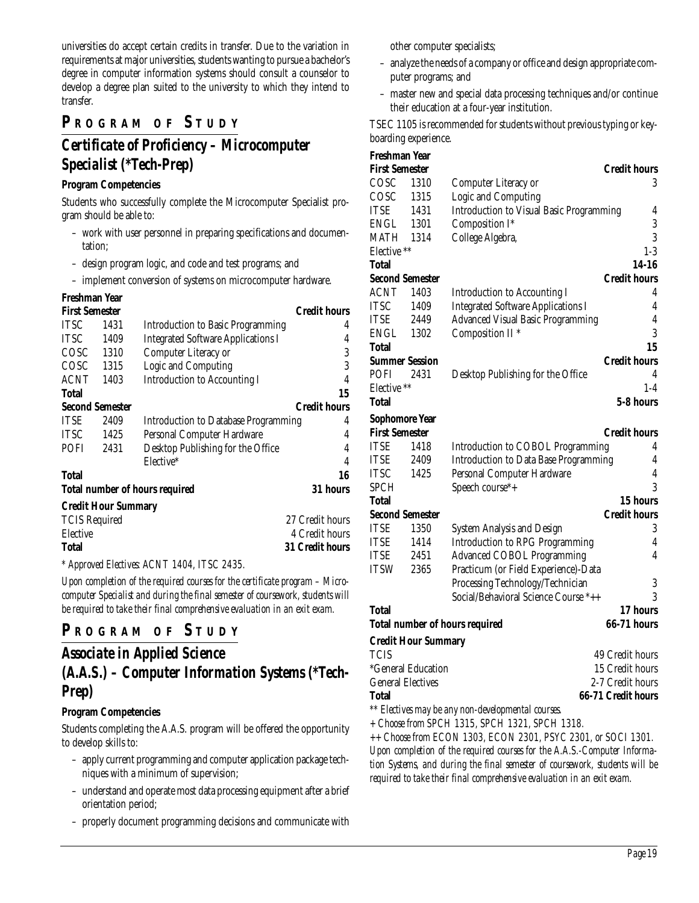universities do accept certain credits in transfer. Due to the variation in requirements at major universities, students wanting to pursue a bachelor's degree in computer information systems should consult a counselor to develop a degree plan suited to the university to which they intend to transfer.

### **P R OGRAM O F S TUDY**

## *Certificate of Proficiency – Microcomputer Specialist (\*Tech-Prep)*

#### **Program Competencies**

Students who successfully complete the Microcomputer Specialist program should be able to:

- work with user personnel in preparing specifications and documentation;
- design program logic, and code and test programs; and

– implement conversion of systems on microcomputer hardware.

#### **Freshman Year**

| <b>First Semester</b>  | <b>Credit hours</b>        |                                             |                        |  |  |
|------------------------|----------------------------|---------------------------------------------|------------------------|--|--|
| <b>TTSC</b>            | 1431                       | <b>Introduction to Basic Programming</b>    | 4                      |  |  |
| <b>TTSC</b>            | 1409                       | <b>Integrated Software Applications I</b>   | 4                      |  |  |
| COSC                   | 1310                       | Computer Literacy or                        | 3                      |  |  |
| COSC                   | 1315                       | Logic and Computing                         | 3                      |  |  |
| <b>ACNT</b>            | 1403                       | <b>Introduction to Accounting I</b>         | 4                      |  |  |
| <b>Total</b>           |                            |                                             | 15                     |  |  |
| <b>Second Semester</b> |                            |                                             | <b>Credit hours</b>    |  |  |
| <b>ITSE</b>            | 2409                       | <b>Introduction to Database Programming</b> | 4                      |  |  |
| <b>ITSC</b>            | 1425                       | Personal Computer Hardware                  | 4                      |  |  |
| <b>POFI</b>            | 2431                       | Desktop Publishing for the Office           | 4                      |  |  |
|                        |                            | Elective*                                   | $\overline{4}$         |  |  |
| <b>Total</b>           |                            |                                             | 16                     |  |  |
|                        |                            | <b>Total number of hours required</b>       | 31 hours               |  |  |
|                        | <b>Credit Hour Summary</b> |                                             |                        |  |  |
| <b>TCIS Required</b>   |                            |                                             | 27 Credit hours        |  |  |
| Elective               |                            |                                             | 4 Credit hours         |  |  |
| Total                  |                            |                                             | <b>31 Credit hours</b> |  |  |

*\* Approved Electives: ACNT 1404, ITSC 2435.*

*Upon completion of the required courses for the certificate program – Microcomputer Specialist and during the final semester of coursework, students will be required to take their final comprehensive evaluation in an exit exam.*

#### **P <sup>R</sup> OGRAM O F S TUDY**

#### *Associate in Applied Science (A.A.S.) – Computer Information Systems (\*Tech-Prep)*

#### **Program Competencies**

Students completing the A.A.S. program will be offered the opportunity to develop skills to:

- apply current programming and computer application package techniques with a minimum of supervision;
- understand and operate most data processing equipment after a brief orientation period;
- properly document programming decisions and communicate with

other computer specialists;

- analyze the needs of a company or office and design appropriate computer programs; and
- master new and special data processing techniques and/or continue their education at a four-year institution.

TSEC 1105 is recommended for students without previous typing or keyboarding experience.

| Freshman Year            |                            |                                                    |                     |
|--------------------------|----------------------------|----------------------------------------------------|---------------------|
| <b>First Semester</b>    |                            |                                                    | <b>Credit hours</b> |
| COSC                     | 1310                       | Computer Literacy or                               | 3                   |
| COSC                     | 1315                       | Logic and Computing                                |                     |
| ITSE                     | 1431                       | <b>Introduction to Visual Basic Programming</b>    | 4                   |
| ENGL                     | 1301                       | Composition I*                                     | 3                   |
| MATH                     | 1314                       | College Algebra,                                   | 3                   |
| Elective **              |                            |                                                    | $1-3$               |
| Total                    |                            |                                                    | 14-16               |
| <b>Second Semester</b>   |                            |                                                    | <b>Credit hours</b> |
| <b>ACNT</b>              | 1403                       | <b>Introduction to Accounting I</b>                | 4                   |
| <b>ITSC</b>              | 1409                       | <b>Integrated Software Applications I</b>          | $\overline{4}$      |
| ITSE                     | 2449                       | Advanced Visual Basic Programming                  | 4                   |
| ENGL                     | 1302                       | Composition II <sup>*</sup>                        | 3                   |
| <b>Total</b>             |                            |                                                    | 15                  |
| <b>Summer Session</b>    |                            |                                                    | <b>Credit hours</b> |
| POFI                     | 2431                       | Desktop Publishing for the Office                  | 4                   |
| Elective **              |                            |                                                    | $1-4$               |
| Total                    |                            |                                                    | 5-8 hours           |
| Sophomore Year           |                            |                                                    |                     |
| <b>First Semester</b>    |                            |                                                    | <b>Credit hours</b> |
| ITSE                     | 1418                       | Introduction to COBOL Programming                  | 4                   |
| ITSE                     | 2409                       | <b>Introduction to Data Base Programming</b>       | 4                   |
| <b>ITSC</b>              | 1425                       | Personal Computer Hardware                         | 4                   |
| <b>SPCH</b>              |                            | Speech course*+                                    | 3                   |
| Total                    |                            |                                                    | 15 hours            |
| <b>Second Semester</b>   |                            |                                                    | <b>Credit hours</b> |
| ITSE                     | 1350                       | <b>System Analysis and Design</b>                  | 3                   |
| <b>ITSE</b>              | 1414                       | <b>Introduction to RPG Programming</b>             | 4                   |
| ITSE                     | 2451                       | <b>Advanced COBOL Programming</b>                  | 4                   |
| <b>ITSW</b>              | 2365                       | Practicum (or Field Experience)-Data               |                     |
|                          |                            | Processing Technology/Technician                   | 3                   |
|                          |                            | Social/Behavioral Science Course *++               | 3                   |
| <b>Total</b>             |                            |                                                    | 17 hours            |
|                          |                            | <b>Total number of hours required</b>              | <b>66-71 hours</b>  |
|                          | <b>Credit Hour Summary</b> |                                                    |                     |
| <b>TCIS</b>              |                            |                                                    | 49 Credit hours     |
|                          | *General Education         |                                                    | 15 Credit hours     |
| <b>General Electives</b> |                            |                                                    | 2-7 Credit hours    |
| <b>Total</b>             |                            |                                                    | 66-71 Credit hours  |
|                          |                            | ** Electives may be any non-developmental courses. |                     |
|                          |                            |                                                    |                     |

*+ Choose from SPCH 1315, SPCH 1321, SPCH 1318.*

*++ Choose from ECON 1303, ECON 2301, PSYC 2301, or SOCI 1301. Upon completion of the required courses for the A.A.S.-Computer Information Systems, and during the final semester of coursework, students will be required to take their final comprehensive evaluation in an exit exam.*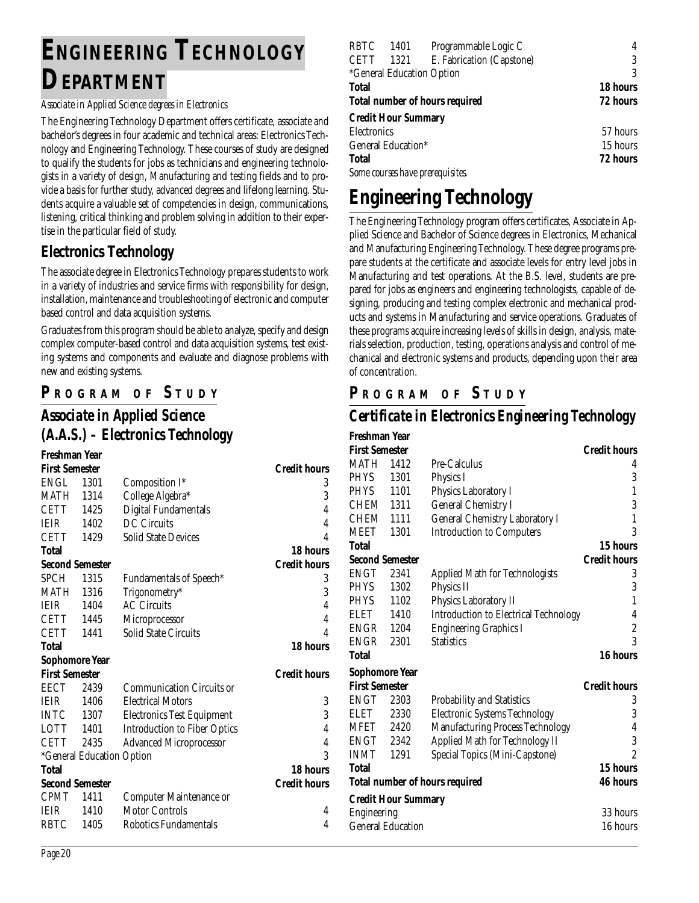# **ENGINEERING TECHNOLOGY DEPARTMENT**

#### *Associate in Applied Science degrees in Electronics*

The Engineering Technology Department offers certificate, associate and bachelor's degrees in four academic and technical areas: Electronics Technology and Engineering Technology. These courses of study are designed to qualify the students for jobs as technicians and engineering technologists in a variety of design, Manufacturing and testing fields and to provide a basis for further study, advanced degrees and lifelong learning. Students acquire a valuable set of competencies in design, communications, listening, critical thinking and problem solving in addition to their expertise in the particular field of study.

#### **Electronics Technology**

The associate degree in Electronics Technology prepares students to work in a variety of industries and service firms with responsibility for design, installation, maintenance and troubleshooting of electronic and computer based control and data acquisition systems.

Graduates from this program should be able to analyze, specify and design complex computer-based control and data acquisition systems, test existing systems and components and evaluate and diagnose problems with new and existing systems.

#### **P R OGRAM O F S TUDY**

## *Associate in Applied Science (A.A.S.) – Electronics Technology*

| Freshman Year         |                           |                                     |                     |
|-----------------------|---------------------------|-------------------------------------|---------------------|
| <b>First Semester</b> |                           |                                     | <b>Credit hours</b> |
| ENGL                  | 1301                      | Composition I*                      | 3                   |
| MATH                  | 1314                      | College Algebra*                    | 3                   |
| <b>CETT</b>           | 1425                      | Digital Fundamentals                | $\overline{4}$      |
| <b>IEIR</b>           | 1402                      | <b>DC</b> Circuits                  | $\overline{4}$      |
| <b>CETT</b>           | 1429                      | <b>Solid State Devices</b>          | $\overline{4}$      |
| Total                 |                           |                                     | 18 hours            |
|                       | <b>Second Semester</b>    |                                     | <b>Credit hours</b> |
| <b>SPCH</b>           | 1315                      | <b>Fundamentals of Speech*</b>      | 3                   |
| MATH                  | 1316                      | Trigonometry*                       | 3                   |
| <b>IEIR</b>           | 1404                      | <b>AC Circuits</b>                  | $\overline{4}$      |
| <b>CETT</b>           | 1445                      | Microprocessor                      | $\overline{4}$      |
| <b>CETT</b>           | 1441                      | Solid State Circuits                | 4                   |
| Total                 |                           |                                     | <b>18 hours</b>     |
| <b>Sophomore Year</b> |                           |                                     |                     |
| <b>First Semester</b> |                           |                                     | <b>Credit hours</b> |
| <b>EECT</b>           | 2439                      | <b>Communication Circuits or</b>    |                     |
| <b>IEIR</b>           | 1406                      | <b>Electrical Motors</b>            | 3                   |
| <b>INTC</b>           | 1307                      | <b>Electronics Test Equipment</b>   | 3                   |
| LOTT 1401             |                           | <b>Introduction to Fiber Optics</b> | $\overline{4}$      |
| CETT                  | 2435                      | <b>Advanced Microprocessor</b>      | $\overline{4}$      |
|                       | *General Education Option |                                     | 3                   |
| Total                 |                           |                                     | 18 hours            |
|                       | <b>Second Semester</b>    |                                     | <b>Credit hours</b> |
| <b>CPMT</b>           | 1411                      | Computer Maintenance or             |                     |
| <b>IEIR</b>           | 1410                      | <b>Motor Controls</b>               | 4                   |
| <b>RBTC</b>           | 1405                      | Robotics Fundamentals               | 4                   |
|                       |                           |                                     |                     |

| RBTC         | 1401                       | Programmable Logic C                  | 4        |
|--------------|----------------------------|---------------------------------------|----------|
| <b>CETT</b>  | 1321                       | E. Fabrication (Capstone)             | 3        |
|              |                            | <i>*General Education Option</i>      | 3        |
| <b>Total</b> |                            |                                       | 18 hours |
|              |                            | <b>Total number of hours required</b> | 72 hours |
|              | <b>Credit Hour Summary</b> |                                       |          |
| Electronics  |                            |                                       | 57 hours |
|              | General Education*         |                                       | 15 hours |
| <b>Total</b> |                            |                                       | 72 hours |
|              |                            | Some courses have prerequisites.      |          |

# **Engineering Technology**

The Engineering Technology program offers certificates, Associate in Applied Science and Bachelor of Science degrees in Electronics, Mechanical and Manufacturing Engineering Technology. These degree programs prepare students at the certificate and associate levels for entry level jobs in Manufacturing and test operations. At the B.S. level, students are prepared for jobs as engineers and engineering technologists, capable of designing, producing and testing complex electronic and mechanical products and systems in Manufacturing and service operations. Graduates of these programs acquire increasing levels of skills in design, analysis, materials selection, production, testing, operations analysis and control of mechanical and electronic systems and products, depending upon their area of concentration.

#### **P R OGRAM O F S TUDY**

#### *Certificate in Electronics Engineering Technology*

| Freshman Year          |                            |                                              |                          |
|------------------------|----------------------------|----------------------------------------------|--------------------------|
| <b>First Semester</b>  |                            |                                              | <b>Credit hours</b>      |
| <b>MATH</b> 1412       |                            | Pre-Calculus                                 | 4                        |
| <b>PHYS</b>            | 1301                       | Physics I                                    | 3                        |
| PHYS                   | 1101                       | Physics Laboratory I                         | $\mathbf{1}$             |
| CHEM 1311              |                            | <b>General Chemistry I</b>                   | 3                        |
| CHEM                   | 1111                       | General Chemistry Laboratory I               | $\mathbf{1}$             |
| MEET                   | 1301                       | <b>Introduction to Computers</b>             | 3                        |
| Total                  |                            |                                              | 15 hours                 |
| <b>Second Semester</b> |                            |                                              | <b>Credit hours</b>      |
| ENGT                   | 2341                       | <b>Applied Math for Technologists</b>        | 3                        |
| <b>PHYS</b>            | 1302                       | Physics II                                   | 3                        |
| <b>PHYS</b>            | 1102                       | Physics Laboratory II                        | 1                        |
| ELET                   | 1410                       | <b>Introduction to Electrical Technology</b> | 4                        |
| <b>ENGR</b> 1204       |                            | <b>Engineering Graphics I</b>                | $\overline{c}$           |
| ENGR                   | 2301                       | <b>Statistics</b>                            | 3                        |
| Total                  |                            |                                              | 16 hours                 |
| <b>Sophomore Year</b>  |                            |                                              |                          |
| <b>First Semester</b>  |                            |                                              | <b>Credit hours</b>      |
| ENGT                   | 2303                       | <b>Probability and Statistics</b>            | 3                        |
| ELET                   | 2330                       | <b>Electronic Systems Technology</b>         | 3                        |
| MFET 2420              |                            | Manufacturing Process Technology             | $\overline{4}$           |
| ENGT                   | 2342                       | Applied Math for Technology II               | 3                        |
| INMT                   | 1291                       | Special Topics (Mini-Capstone)               | $\overline{\mathcal{L}}$ |
| Total                  |                            |                                              | 15 hours                 |
|                        |                            | <b>Total number of hours required</b>        | <b>46 hours</b>          |
|                        | <b>Credit Hour Summary</b> |                                              |                          |
| Engineering            |                            |                                              | 33 hours                 |
|                        | <b>General Education</b>   |                                              | 16 hours                 |
|                        |                            |                                              |                          |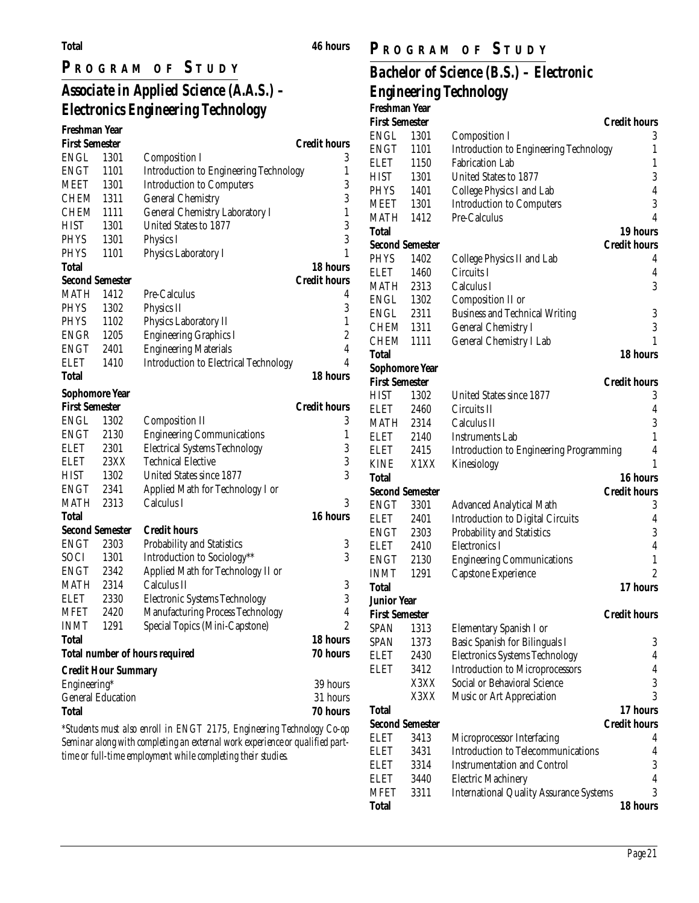#### **Total 46 hours**

### **P R OGRAM O F S TUDY**

## *Associate in Applied Science (A.A.S.) – Electronics Engineering Technology*

| Freshman Year          |                            |                                                                       |                     |
|------------------------|----------------------------|-----------------------------------------------------------------------|---------------------|
| <b>First Semester</b>  |                            |                                                                       | <b>Credit hours</b> |
| <b>ENGL</b>            | 1301                       | <b>Composition I</b>                                                  | 3                   |
| ENGT                   | 1101                       | <b>Introduction to Engineering Technology</b>                         | 1                   |
| MEET                   | 1301                       | <b>Introduction to Computers</b>                                      | 3                   |
| CHEM 1311              |                            | <b>General Chemistry</b>                                              | 3                   |
| CHEM                   | 1111                       | General Chemistry Laboratory I                                        | 1                   |
| <b>HIST</b>            | 1301                       | United States to 1877                                                 | 3                   |
| <b>PHYS</b>            | 1301                       | <b>Physics I</b>                                                      | 3                   |
| <b>PHYS</b>            | 1101                       | Physics Laboratory I                                                  | 1                   |
| Total                  |                            |                                                                       | 18 hours            |
| <b>Second Semester</b> |                            |                                                                       | <b>Credit hours</b> |
| MATH                   | 1412                       | Pre-Calculus                                                          | 4                   |
| <b>PHYS</b>            | 1302                       | Physics II                                                            | 3                   |
| <b>PHYS</b>            | 1102                       | Physics Laboratory II                                                 | 1                   |
| ENGR                   | 1205                       | <b>Engineering Graphics I</b>                                         | $\boldsymbol{2}$    |
| ENGT                   | 2401                       | <b>Engineering Materials</b>                                          | 4                   |
| <b>ELET</b>            | 1410                       | <b>Introduction to Electrical Technology</b>                          | 4                   |
| Total                  |                            |                                                                       | 18 hours            |
| Sophomore Year         |                            |                                                                       |                     |
| <b>First Semester</b>  |                            |                                                                       | <b>Credit hours</b> |
| ENGL                   | 1302                       | <b>Composition II</b>                                                 | 3                   |
| ENGT                   | 2130                       | <b>Engineering Communications</b>                                     | 1                   |
| <b>ELET</b>            | 2301                       | <b>Electrical Systems Technology</b>                                  | 3                   |
| ELET                   | 23XX                       | <b>Technical Elective</b>                                             | 3                   |
| <b>HIST</b>            | 1302                       | United States since 1877                                              | 3                   |
| ENGT                   | 2341                       | Applied Math for Technology I or                                      |                     |
| MATH                   | 2313                       | Calculus I                                                            | 3                   |
| Total                  |                            |                                                                       | 16 hours            |
| <b>Second Semester</b> |                            | <b>Credit hours</b>                                                   |                     |
| <b>ENGT</b>            | 2303                       | Probability and Statistics                                            | 3                   |
| SOCI                   | 1301                       | Introduction to Sociology**                                           | 3                   |
| ENGT                   | 2342                       | Applied Math for Technology II or                                     |                     |
| MATH                   | 2314                       | Calculus II                                                           | 3                   |
| <b>ELET</b>            | 2330                       | <b>Electronic Systems Technology</b>                                  | 3                   |
| MFET                   | 2420                       | <b>Manufacturing Process Technology</b>                               | $\overline{4}$      |
| <b>INMT</b>            | 1291                       | Special Topics (Mini-Capstone)                                        | $\overline{c}$      |
| <b>Total</b>           |                            |                                                                       | 18 hours            |
|                        |                            | <b>Total number of hours required</b>                                 | 70 hours            |
|                        | <b>Credit Hour Summary</b> |                                                                       |                     |
| Engineering*           |                            |                                                                       | 39 hours            |
|                        | <b>General Education</b>   |                                                                       | 31 hours            |
| <b>Total</b>           |                            |                                                                       | 70 hours            |
|                        |                            | *Students must also enroll in ENGT 2175, Engineering Technology Co-op |                     |
|                        |                            |                                                                       |                     |

*\*Students must also enroll in ENGT 2175, Engineering Technology Co-op Seminar along with completing an external work experience or qualified parttime or full-time employment while completing their studies.*

### **P R OGRAM O F S TUDY**

## *Bachelor of Science (B.S.) – Electronic Engineering Technology*

| Freshman Year          |      |                                                |                     |
|------------------------|------|------------------------------------------------|---------------------|
| <b>First Semester</b>  |      |                                                | <b>Credit hours</b> |
| <b>ENGL</b>            | 1301 | Composition I                                  | 3                   |
| ENGT                   | 1101 | Introduction to Engineering Technology         | 1                   |
| ELET                   | 1150 | <b>Fabrication Lab</b>                         | 1                   |
| HIST                   | 1301 | United States to 1877                          | 3                   |
| <b>PHYS</b>            | 1401 | College Physics I and Lab                      | $\overline{4}$      |
| MEET                   | 1301 | <b>Introduction to Computers</b>               | 3                   |
| MATH                   | 1412 | Pre-Calculus                                   | 4                   |
| Total                  |      |                                                | 19 hours            |
| <b>Second Semester</b> |      |                                                | <b>Credit hours</b> |
| PHYS                   | 1402 | College Physics II and Lab                     | 4                   |
| ELET                   | 1460 | Circuits I                                     | 4                   |
| MATH                   | 2313 | Calculus I                                     | 3                   |
| ENGL                   | 1302 | Composition II or                              |                     |
| ENGL                   | 2311 | <b>Business and Technical Writing</b>          | 3                   |
| CHEM                   | 1311 | <b>General Chemistry I</b>                     | 3                   |
| CHEM                   | 1111 | General Chemistry I Lab                        | 1                   |
| Total                  |      |                                                | 18 hours            |
| Sophomore Year         |      |                                                |                     |
| <b>First Semester</b>  |      |                                                | <b>Credit hours</b> |
| HIST                   | 1302 | United States since 1877                       | 3                   |
| ELET                   | 2460 | Circuits II                                    | 4                   |
| MATH                   | 2314 | Calculus II                                    | 3                   |
| ELET                   | 2140 | <b>Instruments Lab</b>                         | 1                   |
| ELET                   | 2415 | <b>Introduction to Engineering Programming</b> | 4                   |
| KINE                   | X1XX | Kinesiology                                    | 1                   |
| Total                  |      |                                                | 16 hours            |
| <b>Second Semester</b> |      |                                                | <b>Credit hours</b> |
| ENGT                   | 3301 | <b>Advanced Analytical Math</b>                | 3                   |
| ELET                   | 2401 | <b>Introduction to Digital Circuits</b>        | 4                   |
| ENGT                   | 2303 | Probability and Statistics                     | 3                   |
| ELET                   | 2410 | Electronics I                                  | 4                   |
| ENGT                   | 2130 | <b>Engineering Communications</b>              | $\mathbf{1}$        |
| <b>INMT</b>            | 1291 | Capstone Experience                            | $\overline{c}$      |
| Total                  |      |                                                | 17 hours            |
| Junior Year            |      |                                                |                     |
| First Semester         |      |                                                | <b>Credit hours</b> |
| SPAN                   | 1313 | Elementary Spanish I or                        |                     |
| <b>SPAN</b>            | 1373 | Basic Spanish for Bilinguals I                 | 3                   |
| <b>ELET</b>            | 2430 | <b>Electronics Systems Technology</b>          | 4                   |
| ELET                   | 3412 | <b>Introduction to Microprocessors</b>         | 4                   |
|                        | X3XX | Social or Behavioral Science                   | 3                   |
|                        | X3XX | Music or Art Appreciation                      | 3                   |
| Total                  |      |                                                | 17 hours            |
| <b>Second Semester</b> |      |                                                | <b>Credit hours</b> |
| ELET                   | 3413 | Microprocessor Interfacing                     | 4                   |
| ELET                   | 3431 | <b>Introduction to Telecommunications</b>      | 4                   |
| ELET                   | 3314 | <b>Instrumentation and Control</b>             | 3                   |
| <b>ELET</b>            | 3440 | <b>Electric Machinery</b>                      | 4                   |
| <b>MFET</b>            | 3311 | <b>International Quality Assurance Systems</b> | 3                   |
| <b>Total</b>           |      |                                                | 18 hours            |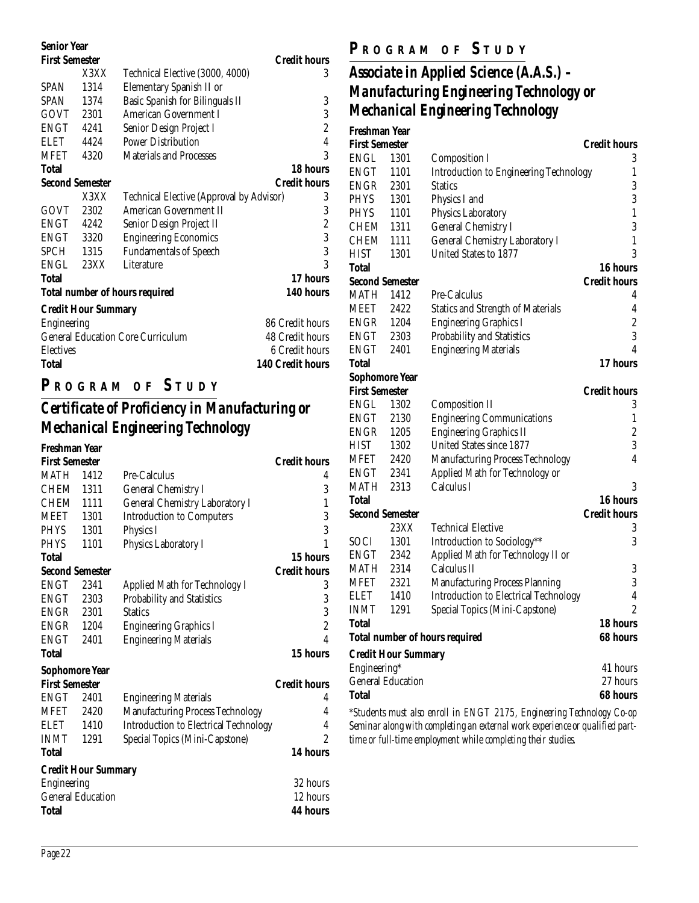| <b>Senior Year</b>     |                            |                                          |                         |
|------------------------|----------------------------|------------------------------------------|-------------------------|
| <b>First Semester</b>  |                            |                                          | <b>Credit hours</b>     |
|                        | X3XX                       | Technical Elective (3000, 4000)          | 3                       |
| <b>SPAN</b>            | 1314                       | Elementary Spanish II or                 |                         |
| <b>SPAN</b>            | 1374                       | Basic Spanish for Bilinguals II          | 3                       |
| GOVT 2301              |                            | <b>American Government I</b>             | 3                       |
| ENGT                   | 4241                       | Senior Design Project I                  | $\overline{c}$          |
| <b>ELET</b>            | 4424                       | <b>Power Distribution</b>                | $\overline{4}$          |
| MFET                   | 4320                       | <b>Materials and Processes</b>           | 3                       |
| Total                  |                            |                                          | 18 hours                |
| <b>Second Semester</b> |                            |                                          | <b>Credit hours</b>     |
|                        | X3XX                       | Technical Elective (Approval by Advisor) | 3                       |
| GOVT                   | 2302                       | American Government II                   | 3                       |
| ENGT                   | 4242                       | Senior Design Project II                 | $\overline{c}$          |
| ENGT 3320              |                            | <b>Engineering Economics</b>             | 3                       |
| SPCH                   | 1315                       | <b>Fundamentals of Speech</b>            | 3                       |
| ENGL                   | 23XX                       | Literature                               | 3                       |
| Total                  |                            |                                          | 17 hours                |
|                        |                            | <b>Total number of hours required</b>    | 140 hours               |
|                        | <b>Credit Hour Summary</b> |                                          |                         |
| <b>Engineering</b>     |                            |                                          | 86 Credit hours         |
|                        |                            | <b>General Education Core Curriculum</b> | 48 Credit hours         |
| <b>Electives</b>       |                            |                                          | 6 Credit hours          |
| Total                  |                            |                                          | <b>140 Credit hours</b> |
|                        |                            |                                          |                         |

### **P R OGRAM O F S TUDY**

## *Certificate of Proficiency in Manufacturing or Mechanical Engineering Technology*

| Freshman Year          |                            |                                              |                     |
|------------------------|----------------------------|----------------------------------------------|---------------------|
| <b>First Semester</b>  |                            |                                              | <b>Credit hours</b> |
| <b>MATH</b>            | 1412                       | Pre-Calculus                                 |                     |
| <b>CHEM</b>            | 1311                       | <b>General Chemistry I</b>                   | 3                   |
| <b>CHEM</b>            | 1111                       | <b>General Chemistry Laboratory I</b>        | $\mathbf{1}$        |
| <b>MEET</b>            | 1301                       | <b>Introduction to Computers</b>             |                     |
| <b>PHYS</b>            | 1301                       | Physics I                                    | $\frac{3}{3}$       |
| <b>PHYS</b>            | 1101                       | Physics Laboratory I                         | 1                   |
| Total                  |                            |                                              | 15 hours            |
| <b>Second Semester</b> |                            |                                              | <b>Credit hours</b> |
| <b>ENGT</b>            | 2341                       | <b>Applied Math for Technology I</b>         | 3                   |
| ENGT                   | 2303                       | Probability and Statistics                   | 3                   |
| <b>ENGR</b> 2301       |                            | <b>Statics</b>                               | 3                   |
| <b>ENGR</b> 1204       |                            | <b>Engineering Graphics I</b>                | $\overline{c}$      |
| <b>ENGT</b>            | 2401                       | <b>Engineering Materials</b>                 | $\overline{4}$      |
| Total                  |                            |                                              | 15 hours            |
| Sophomore Year         |                            |                                              |                     |
| <b>First Semester</b>  |                            |                                              | <b>Credit hours</b> |
| <b>ENGT</b>            | 2401                       | <b>Engineering Materials</b>                 | 4                   |
| MFET                   | 2420                       | Manufacturing Process Technology             | 4                   |
| ELET                   | 1410                       | <b>Introduction to Electrical Technology</b> | 4                   |
| <b>INMT</b>            | 1291                       | Special Topics (Mini-Capstone)               | $\overline{2}$      |
| Total                  |                            |                                              | 14 hours            |
|                        | <b>Credit Hour Summary</b> |                                              |                     |
| Engineering            |                            |                                              | 32 hours            |
|                        | <b>General Education</b>   |                                              | 12 hours            |
| Total                  |                            |                                              | <b>44 hours</b>     |

#### **P R OGRAM O F S TUDY**

## *Associate in Applied Science (A.A.S.) – Manufacturing Engineering Technology or Mechanical Engineering Technology*

| Freshman Year          |                            |                                               |                     |
|------------------------|----------------------------|-----------------------------------------------|---------------------|
| <b>First Semester</b>  |                            |                                               | <b>Credit hours</b> |
| ENGL                   | 1301                       | <b>Composition I</b>                          | 3                   |
| ENGT                   | 1101                       | <b>Introduction to Engineering Technology</b> | 1                   |
| ENGR                   | 2301                       | <b>Statics</b>                                | 3                   |
| <b>PHYS</b>            | 1301                       | Physics I and                                 | 3                   |
| PHYS                   | 1101                       | Physics Laboratory                            | 1                   |
| CHEM                   | 1311                       | <b>General Chemistry I</b>                    | 3                   |
| CHEM                   | 1111                       | <b>General Chemistry Laboratory I</b>         | 1                   |
| HIST                   | 1301                       | <b>United States to 1877</b>                  | 3                   |
| Total                  |                            |                                               | 16 hours            |
| <b>Second Semester</b> |                            |                                               | Credit hours        |
| <b>MATH</b>            | 1412                       | Pre-Calculus                                  | 4                   |
| MEET                   | 2422                       | <b>Statics and Strength of Materials</b>      | 4                   |
| <b>ENGR</b>            | 1204                       | <b>Engineering Graphics I</b>                 | $\overline{c}$      |
| <b>ENGT</b>            | 2303                       | Probability and Statistics                    | 3                   |
| <b>ENGT</b>            | 2401                       | <b>Engineering Materials</b>                  | 4                   |
| Total                  |                            |                                               | 17 hours            |
| <b>Sophomore Year</b>  |                            |                                               |                     |
| <b>First Semester</b>  |                            |                                               | <b>Credit hours</b> |
| ENGL                   | 1302                       | <b>Composition II</b>                         | 3                   |
| ENGT                   | 2130                       | <b>Engineering Communications</b>             | 1                   |
| ENGR                   | 1205                       | <b>Engineering Graphics II</b>                | $\overline{c}$      |
| HIST                   | 1302                       | United States since 1877                      | 3                   |
| MFET                   | 2420                       | <b>Manufacturing Process Technology</b>       | 4                   |
| ENGT                   | 2341                       | Applied Math for Technology or                |                     |
| MATH                   | 2313                       | Calculus I                                    | 3                   |
| Total                  |                            |                                               | 16 hours            |
| <b>Second Semester</b> |                            |                                               | <b>Credit hours</b> |
|                        | 23XX                       | <b>Technical Elective</b>                     | 3                   |
| SOCI                   | 1301                       | Introduction to Sociology**                   | 3                   |
| ENGT                   | 2342                       | Applied Math for Technology II or             |                     |
| MATH                   | 2314                       | Calculus II                                   | 3                   |
| MFET                   | 2321                       | <b>Manufacturing Process Planning</b>         | 3                   |
| <b>ELET</b>            | 1410                       | <b>Introduction to Electrical Technology</b>  | 4                   |
| <b>INMT</b>            | 1291                       | Special Topics (Mini-Capstone)                | $\overline{2}$      |
| Total                  |                            |                                               | 18 hours            |
|                        |                            | <b>Total number of hours required</b>         | 68 hours            |
|                        | <b>Credit Hour Summary</b> |                                               |                     |
| Engineering*           |                            |                                               | 41 hours            |
|                        | <b>General Education</b>   |                                               | 27 hours            |
| Total                  |                            |                                               | 68 hours            |

*\*Students must also enroll in ENGT 2175, Engineering Technology Co-op Seminar along with completing an external work experience or qualified parttime or full-time employment while completing their studies.*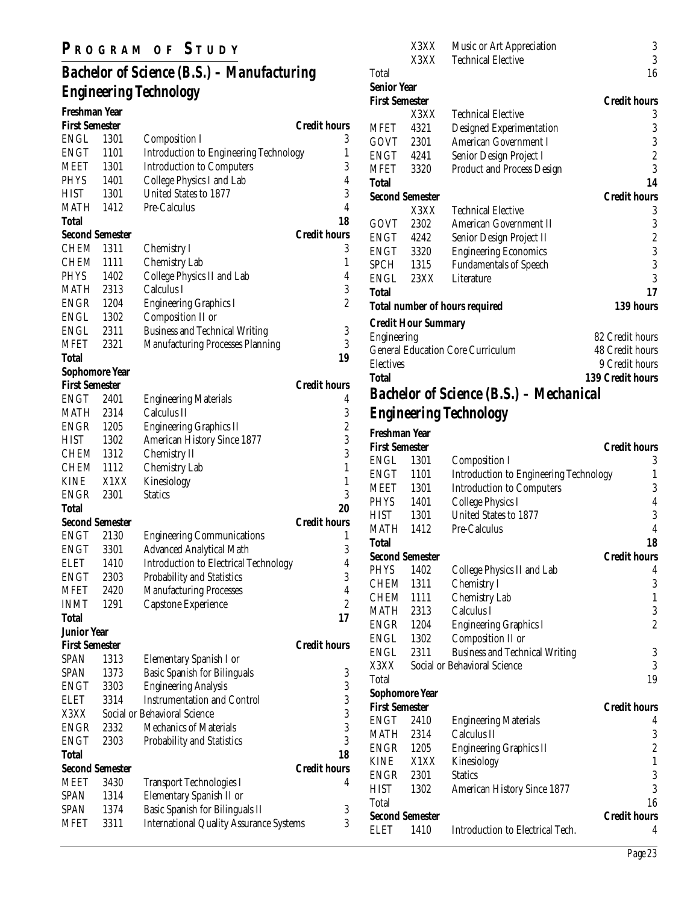## **P R OGRAM O F S TUDY**

## *Bachelor of Science (B.S.) – Manufacturing Engineering Technology*

| Freshman Year          |      |                                                |                     |
|------------------------|------|------------------------------------------------|---------------------|
| <b>First Semester</b>  |      |                                                | <b>Credit hours</b> |
| ENGL                   | 1301 | <b>Composition I</b>                           | 3                   |
| ENGT                   | 1101 | <b>Introduction to Engineering Technology</b>  | 1                   |
| <b>MEET</b>            | 1301 | <b>Introduction to Computers</b>               | 3                   |
| <b>PHYS</b>            | 1401 | College Physics I and Lab                      | 4                   |
| <b>HIST</b>            | 1301 | United States to 1877                          | 3                   |
| <b>MATH</b> 1412       |      | Pre-Calculus                                   | $\overline{4}$      |
| Total                  |      |                                                | 18                  |
| <b>Second Semester</b> |      |                                                | <b>Credit hours</b> |
| CHEM                   | 1311 | Chemistry I                                    | 3                   |
| CHEM                   | 1111 | <b>Chemistry Lab</b>                           | 1                   |
| PHYS                   | 1402 | College Physics II and Lab                     | $\overline{4}$      |
| <b>MATH 2313</b>       |      | Calculus I                                     | 3                   |
| <b>ENGR</b> 1204       |      | <b>Engineering Graphics I</b>                  | $\overline{c}$      |
| ENGL 1302              |      | Composition II or                              |                     |
| ENGL                   | 2311 | <b>Business and Technical Writing</b>          | 3                   |
| <b>MFET</b>            | 2321 | <b>Manufacturing Processes Planning</b>        | 3                   |
| <b>Total</b>           |      |                                                | 19                  |
| <b>Sophomore Year</b>  |      |                                                |                     |
| <b>First Semester</b>  |      |                                                | <b>Credit hours</b> |
| ENGT                   | 2401 | <b>Engineering Materials</b>                   | 4                   |
| <b>MATH</b>            | 2314 | Calculus II                                    | 3                   |
| <b>ENGR</b> 1205       |      | <b>Engineering Graphics II</b>                 | $\boldsymbol{2}$    |
| <b>HIST</b>            | 1302 | American History Since 1877                    | 3                   |
| CHEM 1312              |      | Chemistry II                                   | 3                   |
| CHEM 1112              |      | <b>Chemistry Lab</b>                           | $\mathbf 1$         |
| KINE                   | X1XX | Kinesiology                                    | $\mathbf{1}$        |
| ENGR                   | 2301 | <b>Statics</b>                                 | 3                   |
| Total                  |      |                                                | 20                  |
| <b>Second Semester</b> |      |                                                | <b>Credit hours</b> |
| ENGT                   | 2130 | <b>Engineering Communications</b>              | 1                   |
| ENGT                   | 3301 | <b>Advanced Analytical Math</b>                | 3                   |
| <b>ELET</b>            | 1410 | <b>Introduction to Electrical Technology</b>   | 4                   |
| ENGT 2303              |      | Probability and Statistics                     | 3                   |
| <b>MFET</b>            | 2420 | <b>Manufacturing Processes</b>                 | $\overline{4}$      |
| <b>INMT</b>            | 1291 | Capstone Experience                            | $\overline{c}$      |
| <b>Total</b>           |      |                                                | 17                  |
| <b>Junior Year</b>     |      |                                                |                     |
| <b>First Semester</b>  |      |                                                | <b>Credit hours</b> |
| <b>SPAN</b>            | 1313 | Elementary Spanish I or                        |                     |
| SPAN                   | 1373 | <b>Basic Spanish for Bilinguals</b>            | 3                   |
| ENGT                   | 3303 | <b>Engineering Analysis</b>                    | 3                   |
| <b>ELET</b>            | 3314 | <b>Instrumentation and Control</b>             | 3                   |
| X3XX                   |      | Social or Behavioral Science                   | 3                   |
| ENGR                   | 2332 | <b>Mechanics of Materials</b>                  | 3                   |
| <b>ENGT</b>            | 2303 | Probability and Statistics                     | 3                   |
| <b>Total</b>           |      |                                                | 18                  |
| <b>Second Semester</b> |      |                                                | <b>Credit hours</b> |
| <b>MEET</b>            | 3430 | <b>Transport Technologies I</b>                | 4                   |
| SPAN                   | 1314 | Elementary Spanish II or                       |                     |
| SPAN                   | 1374 | Basic Spanish for Bilinguals II                | 3                   |
| <b>MFET</b>            | 3311 | <b>International Quality Assurance Systems</b> | 3                   |
|                        |      |                                                |                     |

|                       | X3XX                       | Music or Art Appreciation                      | 3                       |
|-----------------------|----------------------------|------------------------------------------------|-------------------------|
|                       | X3XX                       | <b>Technical Elective</b>                      | 3                       |
| Total                 |                            |                                                | 16                      |
| <b>Senior Year</b>    |                            |                                                |                         |
| <b>First Semester</b> |                            |                                                | <b>Credit hours</b>     |
|                       | X3XX                       | <b>Technical Elective</b>                      | 3                       |
| MFET                  | 4321                       | <b>Designed Experimentation</b>                | 3                       |
| GOVT                  | 2301                       | <b>American Government I</b>                   | 3                       |
| ENGT                  | 4241                       | Senior Design Project I                        | $\overline{c}$          |
| MFET                  | 3320                       | <b>Product and Process Design</b>              | 3                       |
| Total                 |                            |                                                | 14                      |
|                       | <b>Second Semester</b>     |                                                | <b>Credit hours</b>     |
|                       | X3XX                       | <b>Technical Elective</b>                      | 3                       |
| GOVT                  | 2302                       | American Government II                         | 3                       |
| ENGT 4242             |                            | Senior Design Project II                       | $\overline{c}$          |
| ENGT 3320             |                            | <b>Engineering Economics</b>                   | 3                       |
| SPCH 1315             |                            | <b>Fundamentals of Speech</b>                  | 3                       |
| ENGL                  | 23XX                       | Literature                                     | 3                       |
| Total                 |                            |                                                | 17                      |
|                       |                            | <b>Total number of hours required</b>          | 139 hours               |
|                       | <b>Credit Hour Summary</b> |                                                |                         |
| <b>Engineering</b>    |                            |                                                | 82 Credit hours         |
|                       |                            | <b>General Education Core Curriculum</b>       | 48 Credit hours         |
| <b>Electives</b>      |                            |                                                | 9 Credit hours          |
| Total                 |                            |                                                | <b>139 Credit hours</b> |
|                       |                            | <b>Bachelor of Science (B.S.) - Mechanical</b> |                         |
|                       |                            | <b>Engineering Technology</b>                  |                         |
|                       |                            |                                                |                         |
| Freshman Year         |                            |                                                |                         |
| <b>First Semester</b> |                            |                                                | <b>Credit hours</b>     |

| First Semester         |      |                                               | Credit hours        |
|------------------------|------|-----------------------------------------------|---------------------|
| ENGL                   | 1301 | <b>Composition I</b>                          | 3                   |
| ENGT                   | 1101 | <b>Introduction to Engineering Technology</b> | 1                   |
| <b>MEET</b>            | 1301 | <b>Introduction to Computers</b>              | 3                   |
| <b>PHYS</b>            | 1401 | College Physics I                             | 4                   |
| <b>HIST</b>            | 1301 | United States to 1877                         | 3                   |
| MATH                   | 1412 | Pre-Calculus                                  | 4                   |
| Total                  |      |                                               | 18                  |
| <b>Second Semester</b> |      |                                               | <b>Credit hours</b> |
| <b>PHYS</b>            | 1402 | College Physics II and Lab                    | 4                   |
| CHEM                   | 1311 | Chemistry I                                   | 3                   |
| CHEM                   | 1111 | <b>Chemistry Lab</b>                          | 1                   |
| MATH                   | 2313 | Calculus I                                    | 3                   |
| ENGR                   | 1204 | <b>Engineering Graphics I</b>                 | $\overline{c}$      |
| ENGL                   | 1302 | Composition II or                             |                     |
| ENGL                   | 2311 | <b>Business and Technical Writing</b>         | 3                   |
| X3XX                   |      | Social or Behavioral Science                  | 3                   |
| Total                  |      |                                               | 19                  |
| <b>Sophomore Year</b>  |      |                                               |                     |
| <b>First Semester</b>  |      |                                               | <b>Credit hours</b> |
| ENGT                   | 2410 | <b>Engineering Materials</b>                  | 4                   |
| MATH                   | 2314 | Calculus II                                   | 3                   |
| <b>ENGR</b> 1205       |      | <b>Engineering Graphics II</b>                | $\boldsymbol{2}$    |
| <b>KINE</b>            | X1XX | Kinesiology                                   | $\mathbf{1}$        |
| ENGR                   | 2301 | <b>Statics</b>                                | 3                   |
| <b>HIST</b>            | 1302 | <b>American History Since 1877</b>            | 3                   |
| Total                  |      |                                               | 16                  |
| <b>Second Semester</b> |      |                                               | <b>Credit hours</b> |
| ELET                   | 1410 | Introduction to Electrical Tech.              | 4                   |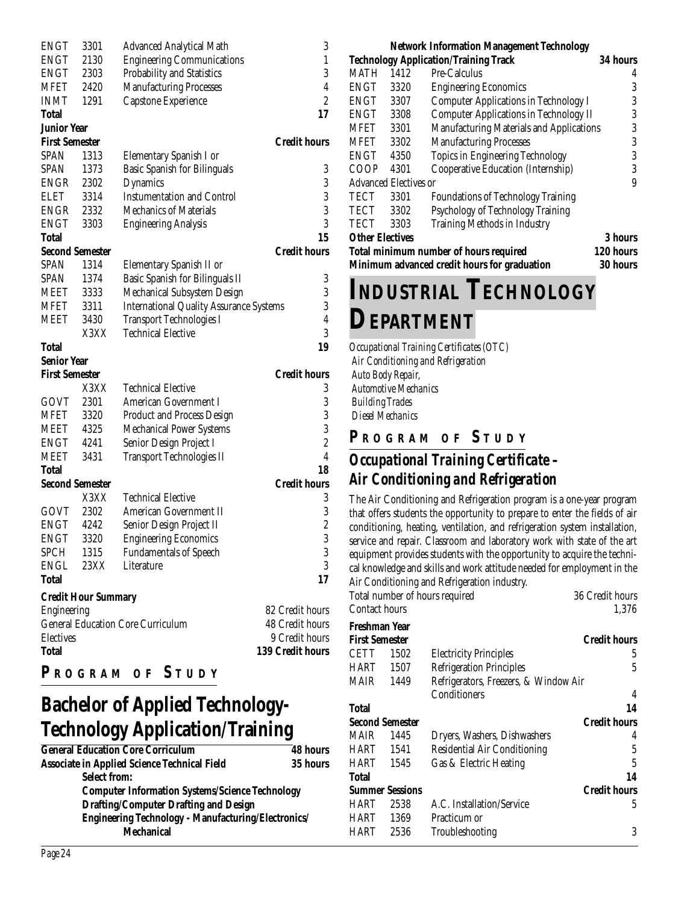| <b>ENGT</b>                |      |                                                |                                            |
|----------------------------|------|------------------------------------------------|--------------------------------------------|
|                            | 3301 | <b>Advanced Analytical Math</b>                | 3                                          |
| <b>ENGT</b>                | 2130 | <b>Engineering Communications</b>              | $\mathbf{1}$                               |
| <b>ENGT</b>                | 2303 | Probability and Statistics                     | 3                                          |
| MFET                       | 2420 | <b>Manufacturing Processes</b>                 | $\overline{4}$                             |
| <b>INMT</b>                | 1291 | Capstone Experience                            | $\overline{c}$                             |
|                            |      |                                                |                                            |
| Total                      |      |                                                | 17                                         |
| <b>Junior Year</b>         |      |                                                |                                            |
| <b>First Semester</b>      |      |                                                | <b>Credit hours</b>                        |
| SPAN                       | 1313 | Elementary Spanish I or                        |                                            |
| SPAN                       | 1373 | <b>Basic Spanish for Bilinguals</b>            | 3                                          |
| ENGR                       | 2302 | Dynamics                                       |                                            |
| <b>ELET</b>                | 3314 | <b>Instumentation and Control</b>              |                                            |
| <b>ENGR</b>                | 2332 | <b>Mechanics of Materials</b>                  | $\begin{array}{c} 3 \\ 3 \\ 3 \end{array}$ |
|                            |      |                                                |                                            |
| <b>ENGT</b>                | 3303 | <b>Engineering Analysis</b>                    | 3                                          |
| Total                      |      |                                                | 15                                         |
| <b>Second Semester</b>     |      |                                                | <b>Credit hours</b>                        |
| SPAN                       | 1314 | Elementary Spanish II or                       |                                            |
| <b>SPAN</b>                | 1374 | Basic Spanish for Bilinguals II                | 3                                          |
| <b>MEET</b>                | 3333 | Mechanical Subsystem Design                    | 3                                          |
|                            |      |                                                |                                            |
| MFET                       | 3311 | <b>International Quality Assurance Systems</b> | 3                                          |
| <b>MEET</b>                | 3430 | <b>Transport Technologies I</b>                | $\overline{4}$                             |
|                            | X3XX | <b>Technical Elective</b>                      | 3                                          |
| Total                      |      |                                                | 19                                         |
| <b>Senior Year</b>         |      |                                                |                                            |
|                            |      |                                                |                                            |
|                            |      |                                                |                                            |
| <b>First Semester</b>      |      |                                                | <b>Credit hours</b>                        |
|                            | X3XX | <b>Technical Elective</b>                      | 3                                          |
| GOVT                       | 2301 | American Government I                          | 3                                          |
| MFET                       | 3320 | <b>Product and Process Design</b>              |                                            |
| MEET                       | 4325 | <b>Mechanical Power Systems</b>                | $\frac{3}{3}$                              |
| ENGT                       | 4241 | Senior Design Project I                        | $\overline{c}$                             |
| MEET                       | 3431 |                                                | $\overline{4}$                             |
| Total                      |      | <b>Transport Technologies II</b>               | 18                                         |
|                            |      |                                                |                                            |
| <b>Second Semester</b>     |      |                                                | <b>Credit hours</b>                        |
|                            | X3XX | <b>Technical Elective</b>                      | 3                                          |
| GOVT                       | 2302 | American Government II                         | 3                                          |
| <b>ENGT</b>                | 4242 | Senior Design Project II                       | $\overline{\mathbf{c}}$                    |
| <b>ENGT</b>                | 3320 | <b>Engineering Economics</b>                   | 3                                          |
| <b>SPCH</b>                | 1315 | <b>Fundamentals of Speech</b>                  | 3                                          |
| ENGL                       | 23XX | Literature                                     | 3                                          |
| <b>Total</b>               |      |                                                | 17                                         |
|                            |      |                                                |                                            |
| <b>Credit Hour Summary</b> |      |                                                |                                            |
| Engineering                |      |                                                | 82 Credit hours                            |
|                            |      | <b>General Education Core Curriculum</b>       | 48 Credit hours                            |
| <b>Electives</b>           |      |                                                | 9 Credit hours                             |
| <b>Total</b>               |      |                                                | <b>139 Credit hours</b>                    |

## **Bachelor of Applied Technology-Technology Application/Training**

| <b>General Education Core Corriculum</b>               | <b>48 hours</b> |
|--------------------------------------------------------|-----------------|
| <b>Associate in Applied Science Technical Field</b>    | 35 hours        |
| <b>Select from:</b>                                    |                 |
| <b>Computer Information Systems/Science Technology</b> |                 |
| <b>Drafting/Computer Drafting and Design</b>           |                 |
| Engineering Technology - Manufacturing/Electronics/    |                 |
| <b>Mechanical</b>                                      |                 |
|                                                        |                 |

| Network Information Management Technology                       |                              |                                               |          |
|-----------------------------------------------------------------|------------------------------|-----------------------------------------------|----------|
|                                                                 |                              | <b>Technology Application/Training Track</b>  | 34 hours |
| <b>MATH</b>                                                     | 1412                         | Pre-Calculus                                  | 4        |
| ENGT                                                            | 3320                         | <b>Engineering Economics</b>                  | 3        |
| <b>ENGT</b>                                                     | 3307                         | <b>Computer Applications in Technology I</b>  | 3        |
| ENGT                                                            | 3308                         | <b>Computer Applications in Technology II</b> | 3        |
| MFET                                                            | 3301                         | Manufacturing Materials and Applications      | 3        |
| <b>MFET</b>                                                     | 3302                         | <b>Manufacturing Processes</b>                | 3        |
| <b>ENGT</b>                                                     | 4350                         | <b>Topics in Engineering Technology</b>       | 3        |
| <b>COOP</b>                                                     | 4301                         | Cooperative Education (Internship)            | 3        |
|                                                                 | <b>Advanced Electives or</b> |                                               | 9        |
| TECT                                                            | 3301                         | <b>Foundations of Technology Training</b>     |          |
| TECT                                                            | 3302                         | Psychology of Technology Training             |          |
| TECT                                                            | 3303                         | Training Methods in Industry                  |          |
| <b>Other Electives</b><br>3 hours                               |                              |                                               |          |
| <b>Total minimum number of hours required</b>                   |                              | 120 hours                                     |          |
| Minimum advanced credit hours for graduation<br><b>30 hours</b> |                              |                                               |          |

# **INDUSTRIAL TECHNOLOGY DEPARTMENT**

*Occupational Training Certificates (OTC) Air Conditioning and Refrigeration Auto Body Repair, Automotive Mechanics Building Trades Diesel Mechanics*

## **P R OGRAM O F S TUDY**

## *Occupational Training Certificate – Air Conditioning and Refrigeration*

The Air Conditioning and Refrigeration program is a one-year program that offers students the opportunity to prepare to enter the fields of air conditioning, heating, ventilation, and refrigeration system installation, service and repair. Classroom and laboratory work with state of the art equipment provides students with the opportunity to acquire the technical knowledge and skills and work attitude needed for employment in the Air Conditioning and Refrigeration industry.

|                |                 | Total number of hours required        | 36 Credit hours     |
|----------------|-----------------|---------------------------------------|---------------------|
| Contact hours  |                 |                                       | 1,376               |
| Freshman Year  |                 |                                       |                     |
| First Semester |                 |                                       | <b>Credit hours</b> |
| CETT           | 1502            | <b>Electricity Principles</b>         | 5                   |
| HART           | 1507            | <b>Refrigeration Principles</b>       | 5                   |
| MAIR           | 1449            | Refrigerators, Freezers, & Window Air |                     |
|                |                 | Conditioners                          | 4                   |
| Total          |                 |                                       | 14                  |
|                | Second Semester |                                       | <b>Credit hours</b> |
| MAIR           | 1445            | Dryers, Washers, Dishwashers          | 4                   |
| HART 1541      |                 | Residential Air Conditioning          | 5                   |
| HART 1545      |                 | Gas & Electric Heating                | 5                   |
| Total          |                 |                                       | 14                  |
|                | Summer Sessions |                                       | <b>Credit hours</b> |
| HART           | 2538            | A.C. Installation/Service             | 5                   |
| HART           | 1369            | Practicum or                          |                     |
| HART           | 2536            | Troubleshooting                       | 3                   |
|                |                 |                                       |                     |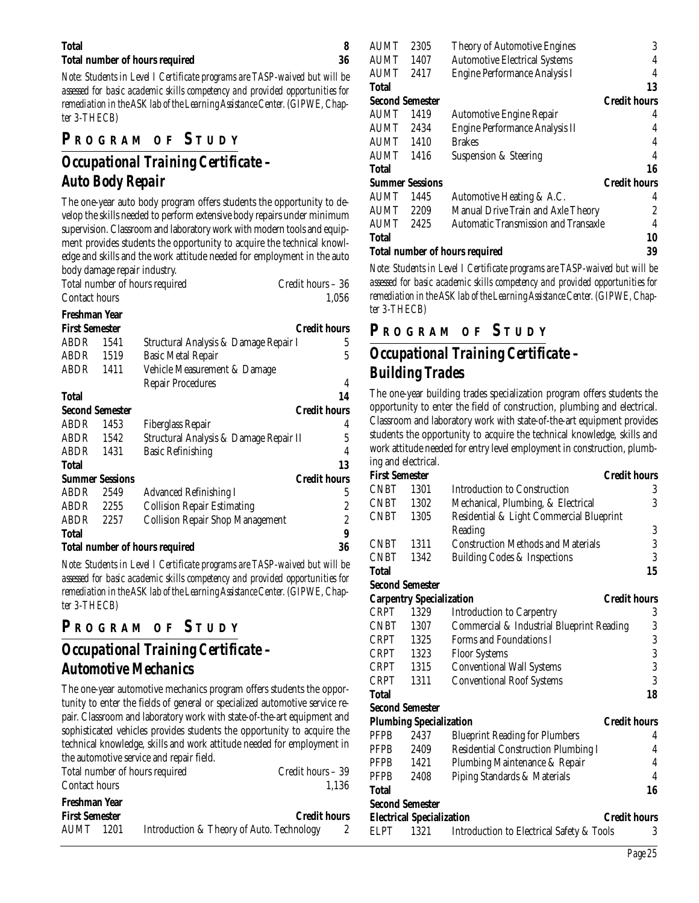#### **Total 8**

#### **Total number of hours required 36**

*Note: Students in Level I Certificate programs are TASP-waived but will be assessed for basic academic skills competency and provided opportunities for remediation in the ASK lab of the Learning Assistance Center. (GIPWE, Chapter 3-THECB)*

### **P R OGRAM O F S TUDY**

## *Occupational Training Certificate – Auto Body Repair*

The one-year auto body program offers students the opportunity to develop the skills needed to perform extensive body repairs under minimum supervision. Classroom and laboratory work with modern tools and equipment provides students the opportunity to acquire the technical knowledge and skills and the work attitude needed for employment in the auto body damage repair industry.

| Total number of hours required | Credit hours - 36 |
|--------------------------------|-------------------|
| Contact hours                  | 1.056             |

#### **Freshman Year**

| <b>First Semester</b>  |      |                                                                                                     | <b>Credit hours</b> |
|------------------------|------|-----------------------------------------------------------------------------------------------------|---------------------|
| ABDR                   | 1541 | Structural Analysis & Damage Repair I                                                               | 5                   |
| ABDR                   | 1519 | <b>Basic Metal Repair</b>                                                                           | 5                   |
| ABDR                   | 1411 | Vehicle Measurement & Damage                                                                        |                     |
|                        |      | <b>Repair Procedures</b>                                                                            | 4                   |
| <b>Total</b>           |      |                                                                                                     | 14                  |
| <b>Second Semester</b> |      |                                                                                                     | <b>Credit hours</b> |
| ABDR                   | 1453 | Fiberglass Repair                                                                                   | 4                   |
| ABDR                   | 1542 | Structural Analysis & Damage Repair II                                                              | 5                   |
| ABDR                   | 1431 | <b>Basic Refinishing</b>                                                                            | 4                   |
| <b>Total</b>           |      |                                                                                                     | 13                  |
| <b>Summer Sessions</b> |      |                                                                                                     | <b>Credit hours</b> |
| ABDR                   | 2549 | <b>Advanced Refinishing I</b>                                                                       | 5                   |
| ABDR                   | 2255 | <b>Collision Repair Estimating</b>                                                                  | 2                   |
| ABDR                   | 2257 | <b>Collision Repair Shop Management</b>                                                             | 2                   |
| <b>Total</b>           |      |                                                                                                     | 9                   |
|                        |      | <b>Total number of hours required</b>                                                               | 36                  |
|                        |      | $\mathbf{v}$ and $\mathbf{v}$ are $\mathbf{v}$ and $\mathbf{v}$<br>$\overline{m}$ is $\overline{m}$ | $\cdots$<br>        |

*Note: Students in Level I Certificate programs are TASP-waived but will be assessed for basic academic skills competency and provided opportunities for remediation in the ASK lab of the Learning Assistance Center. (GIPWE, Chapter 3-THECB)*

#### **P <sup>R</sup> OGRAM O F S TUDY**

## *Occupational Training Certificate – Automotive Mechanics*

The one-year automotive mechanics program offers students the opportunity to enter the fields of general or specialized automotive service repair. Classroom and laboratory work with state-of-the-art equipment and sophisticated vehicles provides students the opportunity to acquire the technical knowledge, skills and work attitude needed for employment in the automotive service and repair field.

|                       | Total number of hours required            | Credit hours - 39   |
|-----------------------|-------------------------------------------|---------------------|
| Contact hours         |                                           | 1.136               |
| Freshman Year         |                                           |                     |
| <b>First Semester</b> |                                           | <b>Credit hours</b> |
| AUMT -<br>1201        | Introduction & Theory of Auto. Technology |                     |

| <b>AUMT</b>                           | 2305 | <b>Theory of Automotive Engines</b>         | 3                   |
|---------------------------------------|------|---------------------------------------------|---------------------|
| <b>AUMT</b>                           | 1407 | <b>Automotive Electrical Systems</b>        | 4                   |
| <b>AUMT</b>                           | 2417 | Engine Performance Analysis I               | 4                   |
| <b>Total</b>                          |      |                                             | 13                  |
| <b>Second Semester</b>                |      |                                             | <b>Credit hours</b> |
| <b>AUMT</b>                           | 1419 | <b>Automotive Engine Repair</b>             |                     |
| <b>AUMT</b>                           | 2434 | Engine Performance Analysis II              |                     |
| <b>AUMT</b>                           | 1410 | <b>Brakes</b>                               | 4                   |
| AUMT                                  | 1416 | Suspension & Steering                       | 4                   |
| <b>Total</b>                          |      |                                             | 16                  |
| <b>Summer Sessions</b>                |      |                                             | <b>Credit hours</b> |
| <b>AUMT</b>                           | 1445 | Automotive Heating & A.C.                   | 4                   |
| <b>AUMT</b>                           | 2209 | Manual Drive Train and Axle Theory          | 2                   |
| <b>AUMT</b>                           | 2425 | <b>Automatic Transmission and Transaxle</b> |                     |
| <b>Total</b>                          |      |                                             | 10                  |
| <b>Total number of hours required</b> |      |                                             | 39                  |

*Note: Students in Level I Certificate programs are TASP-waived but will be assessed for basic academic skills competency and provided opportunities for remediation in the ASK lab of the Learning Assistance Center. (GIPWE, Chapter 3-THECB)*

#### **P R OGRAM O F S TUDY**

## *Occupational Training Certificate – Building Trades*

The one-year building trades specialization program offers students the opportunity to enter the field of construction, plumbing and electrical. Classroom and laboratory work with state-of-the-art equipment provides students the opportunity to acquire the technical knowledge, skills and work attitude needed for entry level employment in construction, plumbing and electrical.

#### **First Semester Credit hours** CNBT 1301 Introduction to Construction 3 CNBT 1302 Mechanical, Plumbing, & Electrical 3 CNBT 1305 Residential & Light Commercial Blueprint Reading 3 CNBT 1311 Construction Methods and Materials 3 CNBT 1342 Building Codes & Inspections 3 **Total 15 Second Semester Carpentry Specialization Credit hours** CRPT 1329 Introduction to Carpentry 3 CNBT 1307 Commercial & Industrial Blueprint Reading 3 CRPT 1325 Forms and Foundations I 3 CRPT 1323 Floor Systems 3 CRPT 1315 Conventional Wall Systems 3 CRPT 1311 Conventional Roof Systems 3 **Total 18 Second Semester Plumbing Specialization** Credit hours PFPB 2437 Blueprint Reading for Plumbers 4 PFPB 2409 Residential Construction Plumbing I 4 PFPB 1421 Plumbing Maintenance & Repair 4 PFPB 2408 Piping Standards & Materials 4 **Total 16 Second Semester Electrical Specialization Credit hours** ELPT 1321 Introduction to Electrical Safety & Tools 3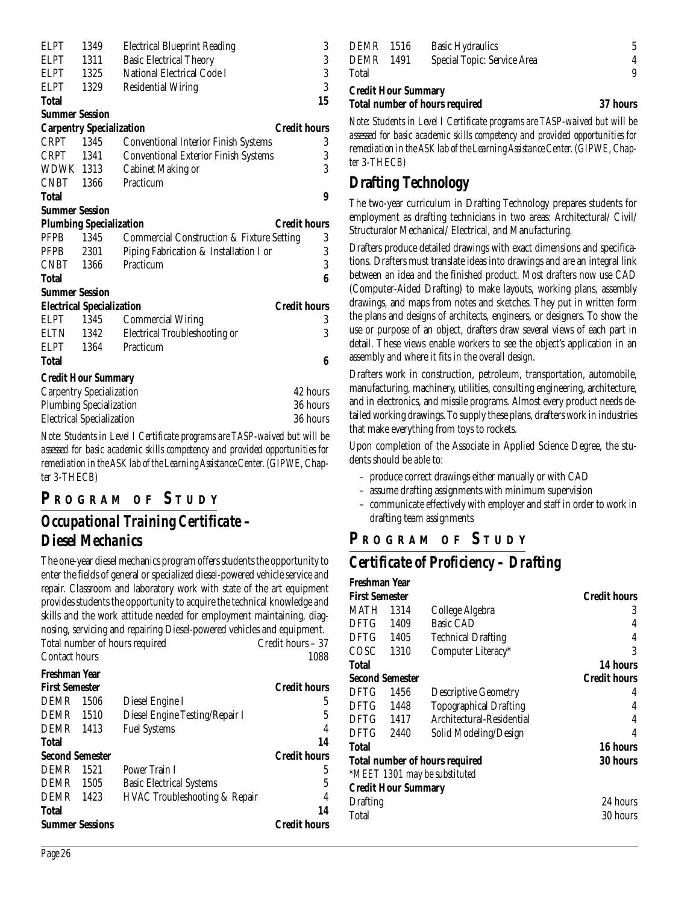| ELPT                  | 1349                             | <b>Electrical Blueprint Reading</b>                  | 3                   |
|-----------------------|----------------------------------|------------------------------------------------------|---------------------|
| ELPT                  | 1311                             | <b>Basic Electrical Theory</b>                       | $\sqrt{3}$          |
| <b>ELPT</b>           | 1325                             | National Electrical Code I                           | 3                   |
| <b>ELPT</b>           | 1329                             | <b>Residential Wiring</b>                            | 3                   |
| Total                 |                                  |                                                      | 15                  |
| <b>Summer Session</b> |                                  |                                                      |                     |
|                       | <b>Carpentry Specialization</b>  |                                                      | <b>Credit hours</b> |
| CRPT 1345             |                                  | <b>Conventional Interior Finish Systems</b>          | 3                   |
| CRPT                  | 1341                             | <b>Conventional Exterior Finish Systems</b>          | 3                   |
| WDWK 1313             |                                  | <b>Cabinet Making or</b>                             | 3                   |
| CNBT                  | 1366                             | Practicum                                            |                     |
| Total                 |                                  |                                                      | 9                   |
| <b>Summer Session</b> |                                  |                                                      |                     |
|                       | <b>Plumbing Specialization</b>   |                                                      | <b>Credit hours</b> |
| <b>PFPB</b>           | 1345                             | <b>Commercial Construction &amp; Fixture Setting</b> | 3                   |
| PFPB                  | 2301                             | Piping Fabrication & Installation I or               | 3                   |
| <b>CNBT</b>           | 1366                             | Practicum                                            | 3                   |
| <b>Total</b>          |                                  |                                                      | 6                   |
| <b>Summer Session</b> |                                  |                                                      |                     |
|                       | <b>Electrical Specialization</b> |                                                      | <b>Credit hours</b> |
| <b>ELPT</b>           | 1345                             | <b>Commercial Wiring</b>                             | 3                   |
| ELTN                  | 1342                             | <b>Electrical Troubleshooting or</b>                 | 3                   |
| <b>ELPT</b>           | 1364                             | Practicum                                            |                     |
| Total                 |                                  |                                                      | 6                   |
|                       | <b>Credit Hour Summary</b>       |                                                      |                     |
|                       | <b>Carpentry Specialization</b>  |                                                      | 42 hours            |
|                       | <b>Plumbing Specialization</b>   |                                                      | 36 hours            |
|                       | <b>Electrical Specialization</b> |                                                      | 36 hours            |

*Note: Students in Level I Certificate programs are TASP-waived but will be assessed for basic academic skills competency and provided opportunities for remediation in the ASK lab of the Learning Assistance Center. (GIPWE, Chapter 3-THECB)*

#### **P R OGRAM O F S TUDY**

## *Occupational Training Certificate – Diesel Mechanics*

The one-year diesel mechanics program offers students the opportunity to enter the fields of general or specialized diesel-powered vehicle service and repair. Classroom and laboratory work with state of the art equipment provides students the opportunity to acquire the technical knowledge and skills and the work attitude needed for employment maintaining, diagnosing, servicing and repairing Diesel-powered vehicles and equipment. Total number of hours required Credit hours – 37 Contact hours 1088

| Freshman Year          |      |                                          |                     |
|------------------------|------|------------------------------------------|---------------------|
| <b>First Semester</b>  |      |                                          | <b>Credit hours</b> |
| <b>DEMR</b>            | 1506 | Diesel Engine I                          | 5                   |
| <b>DEMR</b>            | 1510 | Diesel Engine Testing/Repair I           | 5                   |
| DEMR                   | 1413 | <b>Fuel Systems</b>                      | 4                   |
| <b>Total</b>           |      |                                          | 14                  |
| <b>Second Semester</b> |      |                                          | <b>Credit hours</b> |
| <b>DEMR</b>            | 1521 | Power Train I                            | 5                   |
| <b>DEMR</b>            | 1505 | <b>Basic Electrical Systems</b>          | 5                   |
| <b>DEMR</b>            | 1423 | <b>HVAC Troubleshooting &amp; Repair</b> | 4                   |
| <b>Total</b>           |      |                                          | 14                  |
| <b>Summer Sessions</b> |      |                                          | <b>Credit hours</b> |

| <b>Credit Hour Summary</b> |      | <b>Total number of hours required</b> | 37 hours |
|----------------------------|------|---------------------------------------|----------|
| Total                      |      |                                       | 9        |
| <b>DEMR</b>                | 1491 | Special Topic: Service Area           | 4        |
| <b>DEMR</b> 1516           |      | <b>Basic Hydraulics</b>               | 5.       |

*Note: Students in Level I Certificate programs are TASP-waived but will be assessed for basic academic skills competency and provided opportunities for remediation in the ASK lab of the Learning Assistance Center. (GIPWE, Chapter 3-THECB)*

### **Drafting Technology**

The two-year curriculum in Drafting Technology prepares students for employment as drafting technicians in two areas: Architectural/ Civil/ Structuralor Mechanical/ Electrical, and Manufacturing.

Drafters produce detailed drawings with exact dimensions and specifications. Drafters must translate ideas into drawings and are an integral link between an idea and the finished product. Most drafters now use CAD (Computer-Aided Drafting) to make layouts, working plans, assembly drawings, and maps from notes and sketches. They put in written form the plans and designs of architects, engineers, or designers. To show the use or purpose of an object, drafters draw several views of each part in detail. These views enable workers to see the object's application in an assembly and where it fits in the overall design.

Drafters work in construction, petroleum, transportation, automobile, manufacturing, machinery, utilities, consulting engineering, architecture, and in electronics, and missile programs. Almost every product needs detailed working drawings. To supply these plans, drafters work in industries that make everything from toys to rockets.

Upon completion of the Associate in Applied Science Degree, the students should be able to:

- produce correct drawings either manually or with CAD
- assume drafting assignments with minimum supervision
- communicate effectively with employer and staff in order to work in drafting team assignments

## **P R OGRAM O F S TUDY**

#### *Certificate of Proficiency – Drafting*

| Freshman Year   |                            |                                |                     |
|-----------------|----------------------------|--------------------------------|---------------------|
| First Semester  |                            |                                | <b>Credit hours</b> |
| MATH            | 1314                       | College Algebra                | 3                   |
| DFTG            | 1409                       | <b>Basic CAD</b>               | 4                   |
| DFTG            | 1405                       | <b>Technical Drafting</b>      | 4                   |
| COSC            | 1310                       | Computer Literacy*             | 3                   |
| Total           |                            |                                | 14 hours            |
|                 | Second Semester            |                                | <b>Credit hours</b> |
| DFTG            | 1456                       | <b>Descriptive Geometry</b>    | 4                   |
| DFTG            | 1448                       | <b>Topographical Drafting</b>  | 4                   |
| DFTG            | 1417                       | Architectural-Residential      | 4                   |
| DFTG            | 2440                       | Solid Modeling/Design          | 4                   |
| Total           |                            |                                | 16 hours            |
|                 |                            | Total number of hours required | 30 hours            |
|                 |                            | *MEET 1301 may be substituted  |                     |
|                 | <b>Credit Hour Summary</b> |                                |                     |
| <b>Drafting</b> |                            |                                | 24 hours            |
| Total           |                            |                                | 30 hours            |
|                 |                            |                                |                     |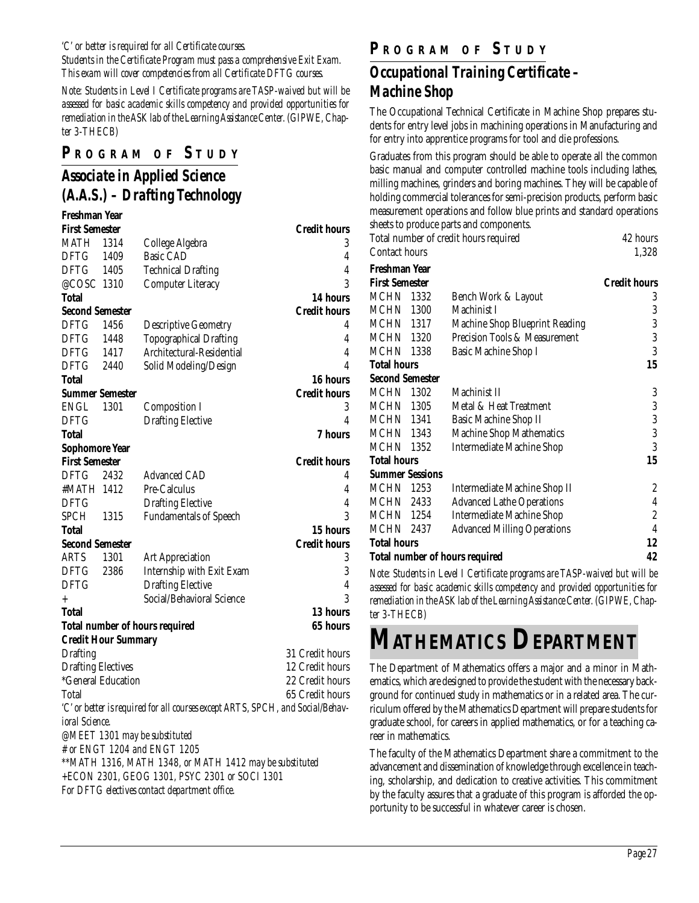*'C' or better is required for all Certificate courses.*

*Students in the Certificate Program must pass a comprehensive Exit Exam. This exam will cover competencies from all Certificate DFTG courses.*

*Note: Students in Level I Certificate programs are TASP-waived but will be assessed for basic academic skills competency and provided opportunities for remediation in the ASK lab of the Learning Assistance Center. (GIPWE, Chapter 3-THECB)*

#### **P R OGRAM O F S TUDY**

### *Associate in Applied Science (A.A.S.) – Drafting Technology*

| <b>Freshman Year</b>      |                            |                                                                                |                     |
|---------------------------|----------------------------|--------------------------------------------------------------------------------|---------------------|
| <b>First Semester</b>     |                            |                                                                                | <b>Credit hours</b> |
| MATH                      | 1314                       | College Algebra                                                                | 3                   |
| DFTG                      | 1409                       | <b>Basic CAD</b>                                                               | 4                   |
| DFTG                      | -- 1405                    | <b>Technical Drafting</b>                                                      | 4                   |
| @COSC 1310                |                            | <b>Computer Literacy</b>                                                       | 3                   |
| <b>Total</b>              |                            |                                                                                | 14 hours            |
| <b>Second Semester</b>    |                            |                                                                                | <b>Credit hours</b> |
| DFTG                      | 1456                       | <b>Descriptive Geometry</b>                                                    | 4                   |
| <b>DFTG</b>               | 1448                       | <b>Topographical Drafting</b>                                                  | $\overline{4}$      |
| DFTG                      | 1417                       | Architectural-Residential                                                      | 4                   |
| <b>DFTG</b>               | 2440                       | Solid Modeling/Design                                                          | 4                   |
| Total                     |                            |                                                                                | 16 hours            |
| <b>Summer Semester</b>    |                            |                                                                                | <b>Credit hours</b> |
| ENGL                      | 1301                       | <b>Composition I</b>                                                           | 3                   |
| DFTG                      |                            | <b>Drafting Elective</b>                                                       | 4                   |
| Total                     |                            |                                                                                | <b>7 hours</b>      |
| <b>Sophomore Year</b>     |                            |                                                                                |                     |
| <b>First Semester</b>     |                            |                                                                                | <b>Credit hours</b> |
| DFTG                      | 2432                       | <b>Advanced CAD</b>                                                            | 4                   |
| #MATH 1412                |                            | Pre-Calculus                                                                   | 4                   |
| DFTG                      |                            | <b>Drafting Elective</b>                                                       | 4                   |
| <b>SPCH</b>               | 1315                       | <b>Fundamentals of Speech</b>                                                  | 3                   |
| Total                     |                            |                                                                                | 15 hours            |
| <b>Second Semester</b>    |                            |                                                                                | <b>Credit hours</b> |
| <b>ARTS</b>               | 1301                       | <b>Art Appreciation</b>                                                        | 3                   |
| DFTG                      | 2386                       | Internship with Exit Exam                                                      | $\overline{3}$      |
| <b>DFTG</b>               |                            | <b>Drafting Elective</b>                                                       | $\overline{4}$      |
| $\ddot{}$                 |                            | Social/Behavioral Science                                                      | 3                   |
| Total                     |                            |                                                                                | 13 hours            |
|                           |                            | <b>Total number of hours required</b>                                          | 65 hours            |
|                           | <b>Credit Hour Summary</b> |                                                                                |                     |
| <b>Drafting</b>           |                            |                                                                                | 31 Credit hours     |
| <b>Drafting Electives</b> |                            |                                                                                | 12 Credit hours     |
|                           | *General Education         |                                                                                | 22 Credit hours     |
| Total                     |                            |                                                                                | 65 Credit hours     |
|                           |                            | 'C' or better is required for all courses except ARTS, SPCH, and Social/Behav- |                     |
| ioral Science.            |                            |                                                                                |                     |
|                           |                            | @MEET 1301 may be substituted                                                  |                     |
|                           |                            | # or ENGT 1204 and ENGT 1205                                                   |                     |
|                           |                            | ** MATH 1316, MATH 1348, or MATH 1412 may be substituted                       |                     |
|                           |                            | +ECON 2301, GEOG 1301, PSYC 2301 or SOCI 1301                                  |                     |
|                           |                            | For DFTG electives contact department office.                                  |                     |

#### **P R OGRAM O F S TUDY**

## *Occupational Training Certificate – Machine Shop*

The Occupational Technical Certificate in Machine Shop prepares students for entry level jobs in machining operations in Manufacturing and for entry into apprentice programs for tool and die professions.

Graduates from this program should be able to operate all the common basic manual and computer controlled machine tools including lathes, milling machines, grinders and boring machines. They will be capable of holding commercial tolerances for semi-precision products, perform basic measurement operations and follow blue prints and standard operations sheets to produce parts and components.

|                        |      | Total number of credit hours required | 42 hours            |
|------------------------|------|---------------------------------------|---------------------|
| <b>Contact hours</b>   |      |                                       | 1,328               |
| Freshman Year          |      |                                       |                     |
| <b>First Semester</b>  |      |                                       | <b>Credit hours</b> |
| <b>MCHN</b> 1332       |      | Bench Work & Layout                   | 3                   |
| <b>MCHN</b> 1300       |      | Machinist I                           | 3                   |
| <b>MCHN</b> 1317       |      | <b>Machine Shop Blueprint Reading</b> | 3                   |
| <b>MCHN</b> 1320       |      | Precision Tools & Measurement         | 3                   |
| MCHN                   | 1338 | Basic Machine Shop I                  | 3                   |
| <b>Total hours</b>     |      |                                       | 15                  |
| <b>Second Semester</b> |      |                                       |                     |
| <b>MCHN</b> 1302       |      | Machinist II                          | 3                   |
| <b>MCHN 1305</b>       |      | Metal & Heat Treatment                | $\boldsymbol{3}$    |
| <b>MCHN 1341</b>       |      | <b>Basic Machine Shop II</b>          | 3                   |
| <b>MCHN 1343</b>       |      | <b>Machine Shop Mathematics</b>       | 3                   |
| <b>MCHN</b> 1352       |      | <b>Intermediate Machine Shop</b>      | 3                   |
| <b>Total hours</b>     |      |                                       | 15                  |
| <b>Summer Sessions</b> |      |                                       |                     |
| MCHN 1253              |      | Intermediate Machine Shop II          | 2                   |
| <b>MCHN 2433</b>       |      | <b>Advanced Lathe Operations</b>      | 4                   |
| <b>MCHN</b> 1254       |      | <b>Intermediate Machine Shop</b>      | $\overline{c}$      |
| MCHN 2437              |      | <b>Advanced Milling Operations</b>    | $\overline{4}$      |
| <b>Total hours</b>     |      |                                       | 12                  |
|                        |      | <b>Total number of hours required</b> | 42                  |

*Note: Students in Level I Certificate programs are TASP-waived but will be assessed for basic academic skills competency and provided opportunities for remediation in the ASK lab of the Learning Assistance Center. (GIPWE, Chapter 3-THECB)*

# **MATHEMATICS DEPARTMENT**

The Department of Mathematics offers a major and a minor in Mathematics, which are designed to provide the student with the necessary background for continued study in mathematics or in a related area. The curriculum offered by the Mathematics Department will prepare students for graduate school, for careers in applied mathematics, or for a teaching career in mathematics.

The faculty of the Mathematics Department share a commitment to the advancement and dissemination of knowledge through excellence in teaching, scholarship, and dedication to creative activities. This commitment by the faculty assures that a graduate of this program is afforded the opportunity to be successful in whatever career is chosen.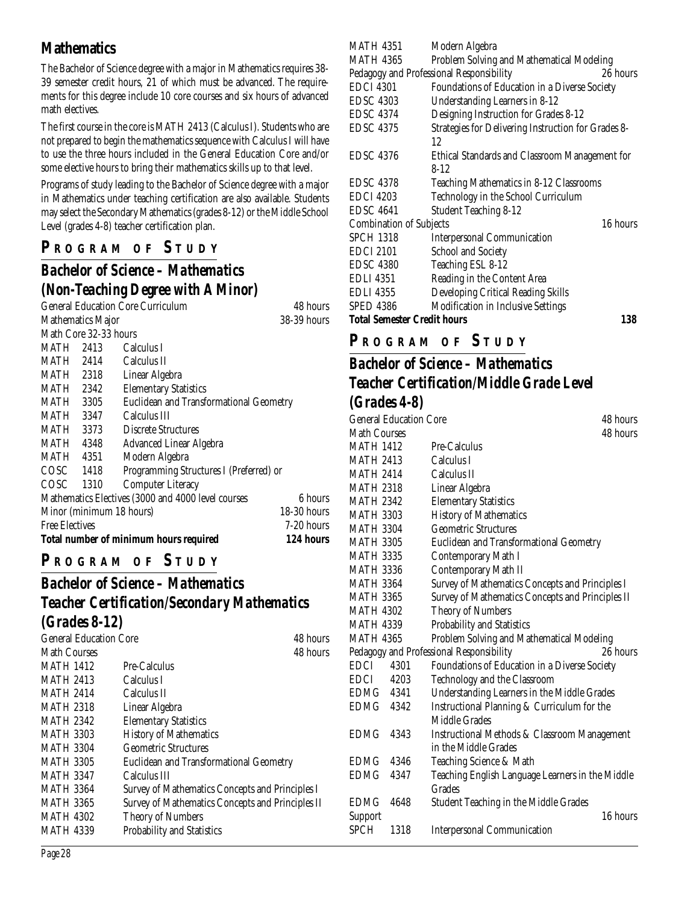### **Mathematics**

The Bachelor of Science degree with a major in Mathematics requires 38- 39 semester credit hours, 21 of which must be advanced. The requirements for this degree include 10 core courses and six hours of advanced math electives.

The first course in the core is MATH 2413 (Calculus I). Students who are not prepared to begin the mathematics sequence with Calculus I will have to use the three hours included in the General Education Core and/or some elective hours to bring their mathematics skills up to that level.

Programs of study leading to the Bachelor of Science degree with a major in Mathematics under teaching certification are also available. Students may select the Secondary Mathematics (grades 8-12) or the Middle School Level (grades 4-8) teacher certification plan.

## **P R OGRAM O F S TUDY**

## *Bachelor of Science – Mathematics (Non-Teaching Degree with A Minor)*

|                          | <b>General Education Core Curriculum</b>           | 48 hours      |
|--------------------------|----------------------------------------------------|---------------|
| <b>Mathematics Major</b> |                                                    | 38-39 hours   |
| Math Core 32-33 hours    |                                                    |               |
| MATH 2413                | Calculus I                                         |               |
| MATH 2414                | Calculus II                                        |               |
| MATH 2318                | Linear Algebra                                     |               |
| MATH 2342                | <b>Elementary Statistics</b>                       |               |
| MATH 3305                | Euclidean and Transformational Geometry            |               |
| MATH 3347                | Calculus III                                       |               |
| MATH 3373                | <b>Discrete Structures</b>                         |               |
| MATH 4348                | Advanced Linear Algebra                            |               |
| MATH 4351                | Modern Algebra                                     |               |
| $COSC$ 1418              | Programming Structures I (Preferred) or            |               |
| COSC 1310                | <b>Computer Literacy</b>                           |               |
|                          | Mathematics Electives (3000 and 4000 level courses | 6 hours       |
| Minor (minimum 18 hours) |                                                    | $18-30$ hours |
| <b>Free Electives</b>    |                                                    | $7-20$ hours  |
|                          | Total number of minimum hours required             | 124 hours     |

## **P R OGRAM O F S TUDY**

#### *Bachelor of Science – Mathematics Teacher Certification/Secondary Mathematics (Grades 8-12)*

| <b>General Education Core</b> |                                                  | 48 hours |
|-------------------------------|--------------------------------------------------|----------|
| Math Courses                  |                                                  | 48 hours |
| <b>MATH 1412</b>              | Pre-Calculus                                     |          |
| <b>MATH 2413</b>              | Calculus I                                       |          |
| <b>MATH 2414</b>              | Calculus II                                      |          |
| <b>MATH 2318</b>              | Linear Algebra                                   |          |
| <b>MATH 2342</b>              | <b>Elementary Statistics</b>                     |          |
| <b>MATH 3303</b>              | <b>History of Mathematics</b>                    |          |
| <b>MATH 3304</b>              | <b>Geometric Structures</b>                      |          |
| <b>MATH 3305</b>              | <b>Euclidean and Transformational Geometry</b>   |          |
| <b>MATH 3347</b>              | Calculus III                                     |          |
| <b>MATH 3364</b>              | Survey of Mathematics Concepts and Principles I  |          |
| <b>MATH 3365</b>              | Survey of Mathematics Concepts and Principles II |          |
| <b>MATH 4302</b>              | <b>Theory of Numbers</b>                         |          |
| <b>MATH 4339</b>              | <b>Probability and Statistics</b>                |          |

| MATH 4351                          | Modern Algebra                                      |          |
|------------------------------------|-----------------------------------------------------|----------|
| <b>MATH 4365</b>                   | Problem Solving and Mathematical Modeling           |          |
|                                    | Pedagogy and Professional Responsibility            | 26 hours |
| <b>EDCI 4301</b>                   | Foundations of Education in a Diverse Society       |          |
| <b>EDSC 4303</b>                   | Understanding Learners in 8-12                      |          |
| <b>EDSC 4374</b>                   | Designing Instruction for Grades 8-12               |          |
| <b>EDSC 4375</b>                   | Strategies for Delivering Instruction for Grades 8- |          |
|                                    | 12                                                  |          |
| <b>EDSC 4376</b>                   | Ethical Standards and Classroom Management for      |          |
|                                    | $8 - 12$                                            |          |
| <b>EDSC 4378</b>                   | Teaching Mathematics in 8-12 Classrooms             |          |
| <b>EDCI 4203</b>                   | Technology in the School Curriculum                 |          |
| <b>EDSC 4641</b>                   | <b>Student Teaching 8-12</b>                        |          |
| <b>Combination of Subjects</b>     |                                                     | 16 hours |
| <b>SPCH 1318</b>                   | <b>Interpersonal Communication</b>                  |          |
| <b>EDCI 2101</b>                   | <b>School and Society</b>                           |          |
| <b>EDSC 4380</b>                   | Teaching ESL 8-12                                   |          |
| <b>EDLI</b> 4351                   | Reading in the Content Area                         |          |
| <b>EDLI</b> 4355                   | Developing Critical Reading Skills                  |          |
| <b>SPED 4386</b>                   | Modification in Inclusive Settings                  |          |
| <b>Total Semester Credit hours</b> |                                                     | 138      |

## **P R OGRAM O F S TUDY**

## *Bachelor of Science – Mathematics Teacher Certification/Middle Grade Level (Grades 4-8)*

| <b>General Education Core</b> | 48 hours                                                |
|-------------------------------|---------------------------------------------------------|
| Math Courses                  | 48 hours                                                |
| <b>MATH 1412</b>              | Pre-Calculus                                            |
| <b>MATH 2413</b>              | Calculus I                                              |
| <b>MATH 2414</b>              | Calculus II                                             |
| <b>MATH 2318</b>              | Linear Algebra                                          |
| <b>MATH 2342</b>              | <b>Elementary Statistics</b>                            |
| <b>MATH 3303</b>              | <b>History of Mathematics</b>                           |
| <b>MATH 3304</b>              | <b>Geometric Structures</b>                             |
| <b>MATH 3305</b>              | Euclidean and Transformational Geometry                 |
| <b>MATH 3335</b>              | Contemporary Math I                                     |
| <b>MATH 3336</b>              | Contemporary Math II                                    |
| <b>MATH 3364</b>              | Survey of Mathematics Concepts and Principles I         |
| <b>MATH 3365</b>              | Survey of Mathematics Concepts and Principles II        |
| <b>MATH 4302</b>              | <b>Theory of Numbers</b>                                |
| <b>MATH 4339</b>              | Probability and Statistics                              |
| <b>MATH 4365</b>              | Problem Solving and Mathematical Modeling               |
|                               | Pedagogy and Professional Responsibility<br>26 hours    |
| <b>EDCI</b><br>4301           | Foundations of Education in a Diverse Society           |
| EDCI 4203                     | Technology and the Classroom                            |
| EDMG 4341                     | Understanding Learners in the Middle Grades             |
| EDMG 4342                     | Instructional Planning & Curriculum for the             |
|                               | Middle Grades                                           |
| <b>EDMG</b><br>4343           | <b>Instructional Methods &amp; Classroom Management</b> |
|                               | in the Middle Grades                                    |
| <b>EDMG</b><br>4346           | Teaching Science & Math                                 |
| EDMG<br>4347                  | Teaching English Language Learners in the Middle        |
|                               | Grades                                                  |
| <b>EDMG</b><br>4648           | <b>Student Teaching in the Middle Grades</b>            |
| Support                       | 16 hours                                                |
| SPCH<br>1318                  | <b>Interpersonal Communication</b>                      |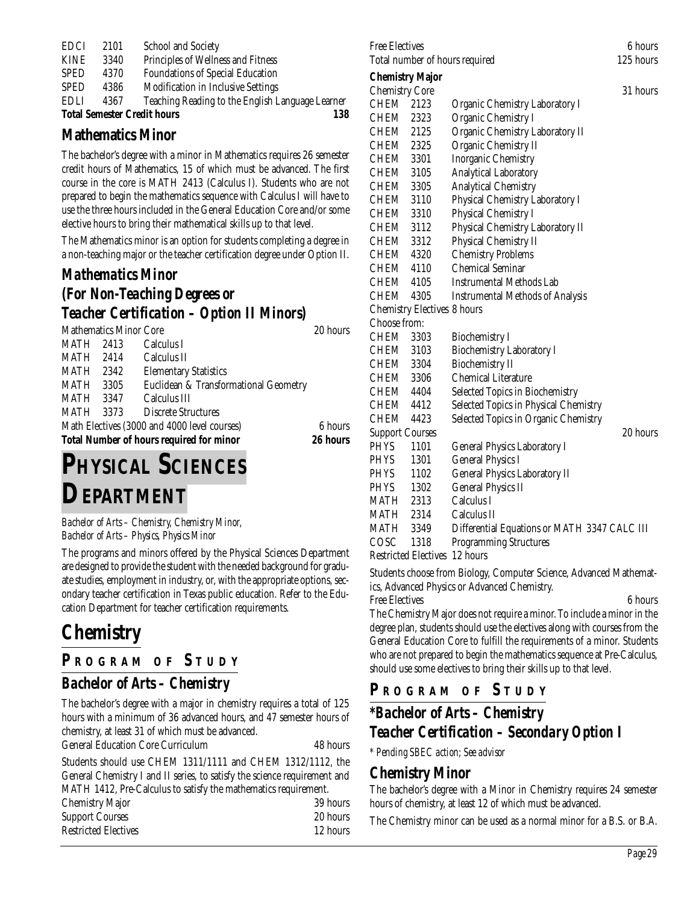|             |      | <b>Total Semester Credit hours</b><br>138        |  |
|-------------|------|--------------------------------------------------|--|
| <b>EDLI</b> | 4367 | Teaching Reading to the English Language Learner |  |
| <b>SPED</b> | 4386 | Modification in Inclusive Settings               |  |
| <b>SPED</b> | 4370 | <b>Foundations of Special Education</b>          |  |
| <b>KINE</b> | 3340 | Principles of Wellness and Fitness               |  |
| <b>EDCI</b> | 2101 | <b>School and Society</b>                        |  |

#### **Mathematics Minor**

The bachelor's degree with a minor in Mathematics requires 26 semester credit hours of Mathematics, 15 of which must be advanced. The first course in the core is MATH 2413 (Calculus I). Students who are not prepared to begin the mathematics sequence with Calculus I will have to use the three hours included in the General Education Core and/or some elective hours to bring their mathematical skills up to that level.

The Mathematics minor is an option for students completing a degree in a non-teaching major or the teacher certification degree under Option II.

### *Mathematics Minor (For Non-Teaching Degrees or Teacher Certification – Option II Minors)*

|              |                              | 20 hours                                                                                                                                                                                                                                          |
|--------------|------------------------------|---------------------------------------------------------------------------------------------------------------------------------------------------------------------------------------------------------------------------------------------------|
|              | Calculus I                   |                                                                                                                                                                                                                                                   |
|              | Calculus II                  |                                                                                                                                                                                                                                                   |
| MATH 2342    | <b>Elementary Statistics</b> |                                                                                                                                                                                                                                                   |
| MATH<br>3305 |                              |                                                                                                                                                                                                                                                   |
|              | Calculus III                 |                                                                                                                                                                                                                                                   |
|              |                              |                                                                                                                                                                                                                                                   |
|              |                              | 6 hours                                                                                                                                                                                                                                           |
|              |                              | 26 hours                                                                                                                                                                                                                                          |
|              |                              | <b>Mathematics Minor Core</b><br>MATH 2413<br>MATH 2414<br>Euclidean & Transformational Geometry<br>MATH 3347<br>MATH 3373 Discrete Structures<br>Math Electives (3000 and 4000 level courses)<br><b>Total Number of hours required for minor</b> |

# **PHYSICAL SCIENCES DEPARTMENT**

*Bachelor of Arts – Chemistry, Chemistry Minor, Bachelor of Arts – Physics, Physics Minor*

The programs and minors offered by the Physical Sciences Department are designed to provide the student with the needed background for graduate studies, employment in industry, or, with the appropriate options, secondary teacher certification in Texas public education. Refer to the Education Department for teacher certification requirements.

## **Chemistry**

#### **P <sup>R</sup> OGRAM O F S TUDY**

#### *Bachelor of Arts – Chemistry*

The bachelor's degree with a major in chemistry requires a total of 125 hours with a minimum of 36 advanced hours, and 47 semester hours of chemistry, at least 31 of which must be advanced.

| <b>General Education Core Curriculum</b> | 48 hours |
|------------------------------------------|----------|
|------------------------------------------|----------|

Students should use CHEM 1311/1111 and CHEM 1312/1112, the General Chemistry I and II series, to satisfy the science requirement and MATH 1412, Pre-Calculus to satisfy the mathematics requirement.

| <b>Chemistry Major</b>      | 39 hours |
|-----------------------------|----------|
| <b>Support Courses</b>      | 20 hours |
| <b>Restricted Electives</b> | 12 hours |

| <b>Free Electives</b>          | 6 hours   |
|--------------------------------|-----------|
| Total number of hours required | 125 hours |
| $\sim$                         |           |

#### **Chemistry Major**

| <b>Chemistry Core</b>  |                                    |                                              | 31 hours |
|------------------------|------------------------------------|----------------------------------------------|----------|
| CHEM                   | 2123                               | <b>Organic Chemistry Laboratory I</b>        |          |
| CHEM 2323              |                                    | Organic Chemistry I                          |          |
| CHEM 2125              |                                    | Organic Chemistry Laboratory II              |          |
| CHEM 2325              |                                    | Organic Chemistry II                         |          |
| CHEM 3301              |                                    | <b>Inorganic Chemistry</b>                   |          |
| CHEM 3105              |                                    | <b>Analytical Laboratory</b>                 |          |
| CHEM 3305              |                                    | <b>Analytical Chemistry</b>                  |          |
| CHEM 3110              |                                    | Physical Chemistry Laboratory I              |          |
| CHEM 3310              |                                    | Physical Chemistry I                         |          |
| CHEM 3112              |                                    | Physical Chemistry Laboratory II             |          |
| CHEM 3312              |                                    | Physical Chemistry II                        |          |
| CHEM 4320              |                                    | <b>Chemistry Problems</b>                    |          |
| CHEM 4110              |                                    | <b>Chemical Seminar</b>                      |          |
| CHEM 4105              |                                    | <b>Instrumental Methods Lab</b>              |          |
| CHEM                   | 4305                               | <b>Instrumental Methods of Analysis</b>      |          |
|                        | <b>Chemistry Electives 8 hours</b> |                                              |          |
| Choose from:           |                                    |                                              |          |
| CHEM                   | 3303                               | <b>Biochemistry I</b>                        |          |
| CHEM 3103              |                                    | <b>Biochemistry Laboratory I</b>             |          |
| CHEM 3304              |                                    | <b>Biochemistry II</b>                       |          |
| CHEM 3306              |                                    | <b>Chemical Literature</b>                   |          |
| CHEM 4404              |                                    | Selected Topics in Biochemistry              |          |
| CHEM 4412              |                                    | Selected Topics in Physical Chemistry        |          |
| <b>CHEM</b>            | 4423                               | Selected Topics in Organic Chemistry         |          |
| <b>Support Courses</b> |                                    |                                              | 20 hours |
| <b>PHYS</b>            | 1101                               | <b>General Physics Laboratory I</b>          |          |
| PHYS                   | 1301                               | <b>General Physics I</b>                     |          |
| <b>PHYS</b>            | 1102                               | <b>General Physics Laboratory II</b>         |          |
| <b>PHYS</b>            | 1302                               | <b>General Physics II</b>                    |          |
| MATH 2313              |                                    | Calculus I                                   |          |
| MATH 2314              |                                    | Calculus II                                  |          |
| <b>MATH 3349</b>       |                                    | Differential Equations or MATH 3347 CALC III |          |
| COSC                   | 1318                               | <b>Programming Structures</b>                |          |
|                        | <b>Restricted Electives</b>        | 12 hours                                     |          |

Students choose from Biology, Computer Science, Advanced Mathematics, Advanced Physics or Advanced Chemistry.

Free Electives 6 hours

The Chemistry Major does not require a minor. To include a minor in the degree plan, students should use the electives along with courses from the General Education Core to fulfill the requirements of a minor. Students who are not prepared to begin the mathematics sequence at Pre-Calculus, should use some electives to bring their skills up to that level.

#### **P <sup>R</sup> OGRAM O F S TUDY**

## *\*Bachelor of Arts – Chemistry Teacher Certification – Secondary Option I*

*\* Pending SBEC action; See advisor*

#### **Chemistry Minor**

The bachelor's degree with a Minor in Chemistry requires 24 semester hours of chemistry, at least 12 of which must be advanced.

The Chemistry minor can be used as a normal minor for a B.S. or B.A.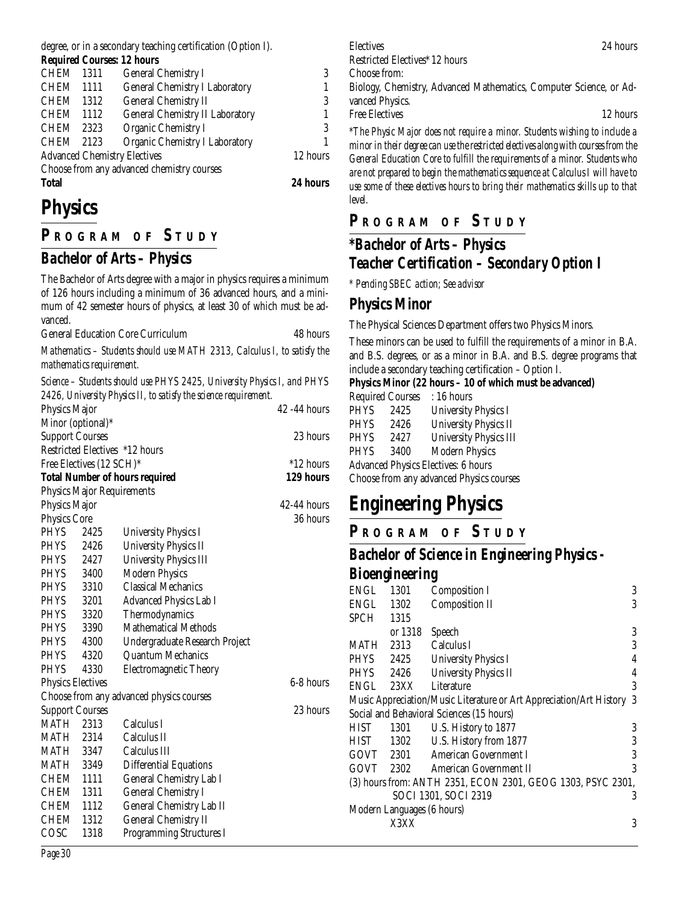degree, or in a secondary teaching certification (Option I).

| <b>Required Courses: 12 hours</b> |
|-----------------------------------|
|-----------------------------------|

| <b>Total</b>                        |          |                                            | 24 hours |
|-------------------------------------|----------|--------------------------------------------|----------|
|                                     |          | Choose from any advanced chemistry courses |          |
| <b>Advanced Chemistry Electives</b> | 12 hours |                                            |          |
| CHEM 2123                           |          | <b>Organic Chemistry I Laboratory</b>      | 1        |
| CHEM 2323                           |          | Organic Chemistry I                        | 3        |
| <b>CHEM</b>                         | 1112     | <b>General Chemistry II Laboratory</b>     | 1        |
| <b>CHEM</b>                         | 1312     | <b>General Chemistry II</b>                | 3        |
| <b>CHEM</b>                         | - 1111   | <b>General Chemistry I Laboratory</b>      | 1        |
| CHEM 1311                           |          | <b>General Chemistry I</b>                 | 3        |
|                                     |          |                                            |          |

# **Physics**

## **P R OGRAM O F S TUDY**

## *Bachelor of Arts – Physics*

The Bachelor of Arts degree with a major in physics requires a minimum of 126 hours including a minimum of 36 advanced hours, and a minimum of 42 semester hours of physics, at least 30 of which must be advanced.

General Education Core Curriculum 48 hours

*Mathematics – Students should use MATH 2313, Calculus I, to satisfy the mathematics requirement.*

*Science – Students should use PHYS 2425, University Physics I, and PHYS 2426, University Physics II, to satisfy the science requirement.*

|                                       |                          | $\sim$ 1.00, 0.111 0.1017 1.11 0.100 111, to satisfy the service requirement. |               |
|---------------------------------------|--------------------------|-------------------------------------------------------------------------------|---------------|
| Physics Major                         |                          |                                                                               | 42 -44 hours  |
|                                       | Minor (optional)*        |                                                                               |               |
| <b>Support Courses</b>                | 23 hours                 |                                                                               |               |
|                                       |                          | Restricted Electives *12 hours                                                |               |
|                                       | Free Electives (12 SCH)* |                                                                               | *12 hours     |
| <b>Total Number of hours required</b> | 129 hours                |                                                                               |               |
|                                       |                          | <b>Physics Major Requirements</b>                                             |               |
| Physics Major                         |                          |                                                                               | $42-44$ hours |
| <b>Physics Core</b>                   |                          |                                                                               | 36 hours      |
| <b>PHYS</b>                           | 2425                     | <b>University Physics I</b>                                                   |               |
| <b>PHYS</b>                           | 2426                     | <b>University Physics II</b>                                                  |               |
| <b>PHYS</b>                           | 2427                     | <b>University Physics III</b>                                                 |               |
| PHYS 3400                             |                          | <b>Modern Physics</b>                                                         |               |
| PHYS 3310                             |                          | <b>Classical Mechanics</b>                                                    |               |
| <b>PHYS</b>                           | 3201                     | <b>Advanced Physics Lab I</b>                                                 |               |
| PHYS                                  | 3320                     | Thermodynamics                                                                |               |
| PHYS                                  | 3390                     | <b>Mathematical Methods</b>                                                   |               |
| <b>PHYS</b>                           | 4300                     | Undergraduate Research Project                                                |               |
| <b>PHYS</b>                           | 4320                     | <b>Quantum Mechanics</b>                                                      |               |
| <b>PHYS</b>                           | 4330                     | <b>Electromagnetic Theory</b>                                                 |               |
| <b>Physics Electives</b>              |                          |                                                                               | 6-8 hours     |
|                                       |                          | Choose from any advanced physics courses                                      |               |
| <b>Support Courses</b>                |                          |                                                                               | 23 hours      |
| MATH                                  | 2313                     | Calculus I                                                                    |               |
| MATH 2314                             |                          | Calculus II                                                                   |               |
| <b>MATH 3347</b>                      |                          | Calculus III                                                                  |               |
| <b>MATH 3349</b>                      |                          | <b>Differential Equations</b>                                                 |               |
| CHEM 1111                             |                          | General Chemistry Lab I                                                       |               |
| CHEM                                  | 1311                     | <b>General Chemistry I</b>                                                    |               |
| CHEM                                  | 1112                     | General Chemistry Lab II                                                      |               |
| CHEM                                  | 1312                     | <b>General Chemistry II</b>                                                   |               |
| COSC                                  | 1318                     | <b>Programming Structures I</b>                                               |               |
|                                       |                          |                                                                               |               |

Electives 24 hours

Restricted Electives\* 12 hours

Choose from:

Biology, Chemistry, Advanced Mathematics, Computer Science, or Advanced Physics.

Free Electives 22 hours

*\*The Physic Major does not require a minor. Students wishing to include a minor in their degree can use the restricted electives along with courses from the General Education Core to fulfill the requirements of a minor. Students who are not prepared to begin the mathematics sequence at Calculus I will have to use some of these electives hours to bring their mathematics skills up to that level.*

#### **P R OGRAM O F S TUDY**

## *\*Bachelor of Arts – Physics Teacher Certification – Secondary Option I*

*\* Pending SBEC action; See advisor*

#### **Physics Minor**

The Physical Sciences Department offers two Physics Minors.

These minors can be used to fulfill the requirements of a minor in B.A. and B.S. degrees, or as a minor in B.A. and B.S. degree programs that include a secondary teaching certification – Option I.

#### **Physics Minor (22 hours – 10 of which must be advanced)**

| <b>Required Courses</b> |      | : 16 hours                                 |
|-------------------------|------|--------------------------------------------|
| <b>PHYS</b>             | 2425 | <b>University Physics I</b>                |
| <b>PHYS</b>             | 2426 | <b>University Physics II</b>               |
| <b>PHYS</b>             | 2427 | <b>University Physics III</b>              |
| <b>PHYS</b>             | 3400 | <b>Modern Physics</b>                      |
|                         |      | <b>Advanced Physics Electives: 6 hours</b> |
|                         |      | Choose from any advanced Physics courses   |
|                         |      |                                            |

# **Engineering Physics**

**P R OGRAM O F S TUDY**

#### *Bachelor of Science in Engineering Physics - Bioengineering*

| Ð                                                           |           | רז                                                                  |   |  |
|-------------------------------------------------------------|-----------|---------------------------------------------------------------------|---|--|
| ENGL                                                        | 1301      | Composition I                                                       | 3 |  |
| ENGL                                                        | 1302      | <b>Composition II</b>                                               | 3 |  |
| SPCH                                                        | 1315      |                                                                     |   |  |
|                                                             | or 1318   | Speech                                                              | 3 |  |
| MATH                                                        | 2313      | Calculus I                                                          | 3 |  |
| PHYS                                                        | 2425      | <b>University Physics I</b>                                         | 4 |  |
| <b>PHYS</b>                                                 | 2426      | <b>University Physics II</b>                                        | 4 |  |
| ENGL                                                        | 23XX      | Literature                                                          | 3 |  |
|                                                             |           | Music Appreciation/Music Literature or Art Appreciation/Art History | 3 |  |
|                                                             |           | Social and Behavioral Sciences (15 hours)                           |   |  |
| HIST                                                        | 1301      | U.S. History to 1877                                                | 3 |  |
|                                                             |           | HIST 1302 U.S. History from 1877                                    | 3 |  |
|                                                             | GOVT 2301 | American Government I                                               | 3 |  |
|                                                             | GOVT 2302 | American Government II                                              | 3 |  |
| (3) hours from: ANTH 2351, ECON 2301, GEOG 1303, PSYC 2301, |           |                                                                     |   |  |
|                                                             |           | SOCI 1301, SOCI 2319                                                | 3 |  |
| Modern Languages (6 hours)                                  |           |                                                                     |   |  |
|                                                             | X3XX      |                                                                     | 3 |  |
|                                                             |           |                                                                     |   |  |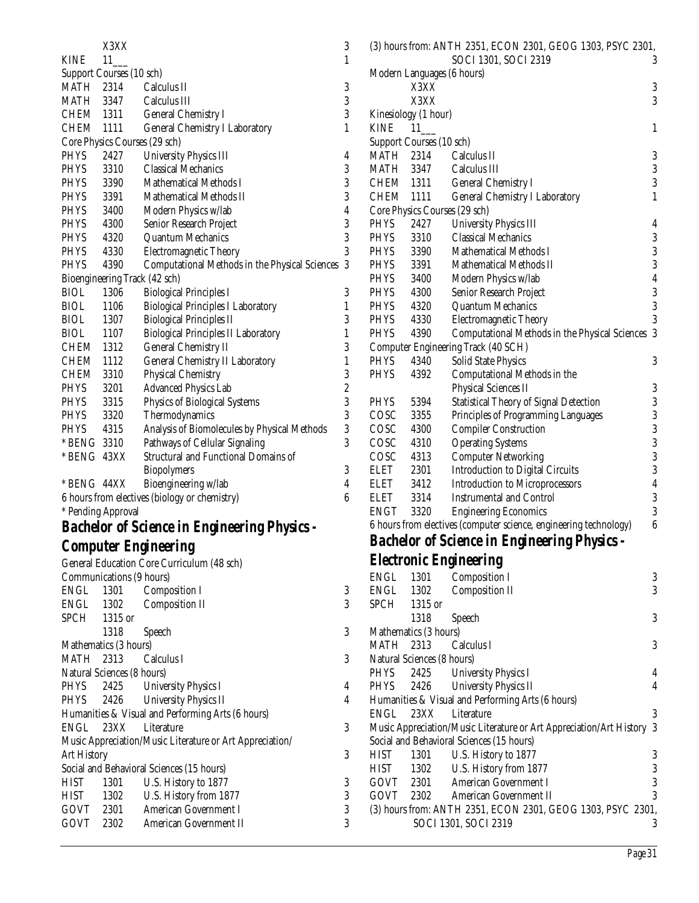|             | X3XX                          |                                                | 3                |
|-------------|-------------------------------|------------------------------------------------|------------------|
| <b>KINE</b> | 11                            |                                                | $\mathbf{1}$     |
|             | Support Courses (10 sch)      |                                                |                  |
| MATH        |                               | 2314 Calculus II                               | 3                |
|             | MATH 3347                     | Calculus III                                   | 3                |
| CHEM 1311   |                               | <b>General Chemistry I</b>                     | 3                |
| <b>CHEM</b> | 1111                          | <b>General Chemistry I Laboratory</b>          | $\mathbf{1}$     |
|             | Core Physics Courses (29 sch) |                                                |                  |
| <b>PHYS</b> | 2427                          | <b>University Physics III</b>                  | 4                |
| <b>PHYS</b> | 3310                          | <b>Classical Mechanics</b>                     | 3                |
| <b>PHYS</b> | 3390                          | Mathematical Methods I                         |                  |
| <b>PHYS</b> | 3391                          | Mathematical Methods II                        | $\frac{3}{3}$    |
| <b>PHYS</b> | 3400                          | Modern Physics w/lab                           | $\overline{4}$   |
| <b>PHYS</b> | 4300                          | Senior Research Project                        | 3                |
| <b>PHYS</b> | 4320                          | <b>Quantum Mechanics</b>                       | 3                |
| <b>PHYS</b> | 4330                          | <b>Electromagnetic Theory</b>                  | 3                |
| <b>PHYS</b> | 4390                          | Computational Methods in the Physical Sciences | 3                |
|             | Bioengineering Track (42 sch) |                                                |                  |
| <b>BIOL</b> | 1306                          | <b>Biological Principles I</b>                 | 3                |
| <b>BIOL</b> | 1106                          | <b>Biological Principles I Laboratory</b>      | $\mathbf{1}$     |
| <b>BIOL</b> | 1307                          | <b>Biological Principles II</b>                | 3                |
| <b>BIOL</b> | 1107                          | <b>Biological Principles II Laboratory</b>     | $\mathbf 1$      |
| CHEM 1312   |                               | <b>General Chemistry II</b>                    | 3                |
| CHEM 1112   |                               | <b>General Chemistry II Laboratory</b>         | $\mathbf 1$      |
| CHEM        | 3310                          | <b>Physical Chemistry</b>                      | 3                |
| <b>PHYS</b> | 3201                          | <b>Advanced Physics Lab</b>                    | $\frac{2}{3}$    |
| <b>PHYS</b> | 3315                          | <b>Physics of Biological Systems</b>           |                  |
| <b>PHYS</b> | 3320                          | Thermodynamics                                 | 3                |
| <b>PHYS</b> | 4315                          | Analysis of Biomolecules by Physical Methods   | 3                |
| * BENG 3310 |                               | Pathways of Cellular Signaling                 | 3                |
| * BENG 43XX |                               | <b>Structural and Functional Domains of</b>    |                  |
|             |                               | <b>Biopolymers</b>                             | 3                |
| * BENG 44XX |                               | Bioengineering w/lab                           | $\overline{4}$   |
|             |                               | 6 hours from electives (biology or chemistry)  | $\boldsymbol{6}$ |

\* Pending Approval

# *Bachelor of Science in Engineering Physics -*

## *Computer Engineering*

|                    |                            | General Education Core Curriculum (48 sch)               |   |
|--------------------|----------------------------|----------------------------------------------------------|---|
|                    | Communications (9 hours)   |                                                          |   |
|                    |                            | ENGL 1301 Composition I                                  | 3 |
|                    |                            | ENGL 1302 Composition II                                 | 3 |
| SPCH 1315 or       |                            |                                                          |   |
|                    | 1318 Speech                |                                                          | 3 |
|                    | Mathematics (3 hours)      |                                                          |   |
|                    |                            | MATH 2313 Calculus I                                     | 3 |
|                    | Natural Sciences (8 hours) |                                                          |   |
|                    |                            | PHYS 2425 University Physics I                           | 4 |
|                    |                            | PHYS 2426 University Physics II                          | 4 |
|                    |                            | Humanities & Visual and Performing Arts (6 hours)        |   |
|                    |                            | ENGL 23XX Literature                                     | 3 |
|                    |                            | Music Appreciation/Music Literature or Art Appreciation/ |   |
| <b>Art History</b> |                            |                                                          | 3 |
|                    |                            | Social and Behavioral Sciences (15 hours)                |   |
| HIST               | 1301                       | U.S. History to 1877                                     | 3 |
|                    |                            | HIST 1302 U.S. History from 1877                         | 3 |
|                    |                            | GOVT 2301 American Government I                          | 3 |
|                    | GOVT 2302                  | American Government II                                   | 3 |

|             |                            | (3) hours from: ANTH 2351, ECON 2301, GEOG 1303, PSYC 2301,       |                  |
|-------------|----------------------------|-------------------------------------------------------------------|------------------|
|             |                            | SOCI 1301, SOCI 2319                                              | 3                |
|             | Modern Languages (6 hours) |                                                                   |                  |
|             | X3XX                       |                                                                   | 3                |
|             | X3XX                       |                                                                   | 3                |
|             | Kinesiology (1 hour)       |                                                                   |                  |
| <b>KINE</b> | 11                         |                                                                   | $\mathbf{1}$     |
|             | Support Courses (10 sch)   |                                                                   |                  |
| MATH        | 2314                       | Calculus II                                                       | 3                |
| MATH        | 3347                       | Calculus III                                                      | 3                |
|             | CHEM 1311                  | <b>General Chemistry I</b>                                        | 3                |
| CHEM 1111   |                            | <b>General Chemistry I Laboratory</b>                             | $\mathbf{1}$     |
|             |                            | Core Physics Courses (29 sch)                                     |                  |
| PHYS        | 2427                       | <b>University Physics III</b>                                     | 4                |
| PHYS        | 3310                       | <b>Classical Mechanics</b>                                        | 3                |
| PHYS        | 3390                       | <b>Mathematical Methods I</b>                                     | 3                |
| PHYS        | 3391                       | Mathematical Methods II                                           | 3                |
| PHYS        | 3400                       | Modern Physics w/lab                                              | $\overline{4}$   |
| PHYS        | 4300                       | Senior Research Project                                           | $\boldsymbol{3}$ |
| PHYS        | 4320                       | <b>Quantum Mechanics</b>                                          | 3                |
| PHYS        | 4330                       | <b>Electromagnetic Theory</b>                                     | 3                |
| <b>PHYS</b> | 4390                       | Computational Methods in the Physical Sciences                    | 3                |
|             |                            | Computer Engineering Track (40 SCH)                               |                  |
| <b>PHYS</b> | 4340                       | Solid State Physics                                               | 3                |
| <b>PHYS</b> | 4392                       | Computational Methods in the                                      |                  |
|             |                            | <b>Physical Sciences II</b>                                       | 3                |
| <b>PHYS</b> | 5394                       | <b>Statistical Theory of Signal Detection</b>                     | 3                |
| COSC        | 3355                       | Principles of Programming Languages                               | 3                |
| COSC        | 4300                       | <b>Compiler Construction</b>                                      | 3                |
| COSC        | 4310                       | <b>Operating Systems</b>                                          | 3                |
| COSC        | 4313                       | <b>Computer Networking</b>                                        | 3                |
| ELET        | 2301                       | <b>Introduction to Digital Circuits</b>                           | $\boldsymbol{3}$ |
| ELET        | 3412                       | <b>Introduction to Microprocessors</b>                            | $\overline{4}$   |
| ELET        | 3314                       | <b>Instrumental and Control</b>                                   | 3                |
| <b>ENGT</b> | 3320                       | <b>Engineering Economics</b>                                      | 3                |
|             |                            | 6 hours from electives (computer science, engineering technology) | $\boldsymbol{6}$ |
|             |                            | <b>Bachelor of Science in Engineering Physics -</b>               |                  |
|             |                            | <b>Electronic Engineering</b>                                     |                  |
| <b>ENGL</b> | 1301                       | Composition I                                                     | 3                |
| <b>ENGL</b> | 1302                       | <b>Composition II</b>                                             | 3                |
| SPCH        | 1315 or                    |                                                                   |                  |
|             | 1318                       | Speech                                                            | 3                |
|             | Mathematics (3 hours)      |                                                                   |                  |
| <b>MATH</b> | 2313                       | Calculus I                                                        | 3                |
|             | Natural Sciences (8 hours) |                                                                   |                  |
| PHYS        | 2425                       | <b>University Physics I</b>                                       | 4                |
|             |                            |                                                                   |                  |

PHYS 2426 University Physics II 4

ENGL 23XX Literature 3 Music Appreciation/Music Literature or Art Appreciation/Art History 3

HIST 1302 U.S. History from 1877 3<br>GOVT 2301 American Government I 3 American Government I GOVT 2302 American Government II 3 (3) hours from: ANTH 2351, ECON 2301, GEOG 1303, PSYC 2301,

U.S. History to 1877 3

Humanities & Visual and Performing Arts (6 hours)

Social and Behavioral Sciences (15 hours)<br>HIST 1301 U.S. History to 1877

SOCI 1301, SOCI 2319

*Page 31*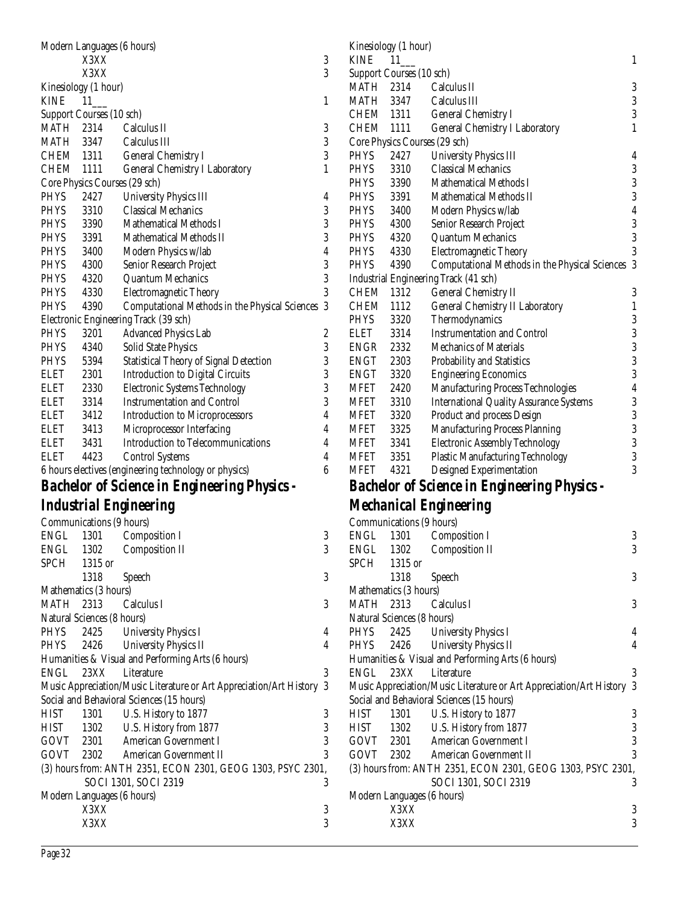| Modern Languages (6 hours) |                               |                                                                     |                         |  |  |
|----------------------------|-------------------------------|---------------------------------------------------------------------|-------------------------|--|--|
|                            | X3XX                          |                                                                     | 3                       |  |  |
|                            | X3XX                          |                                                                     | 3                       |  |  |
|                            | Kinesiology (1 hour)          |                                                                     |                         |  |  |
| <b>KINE</b>                | $11$ <sub>__</sub>            |                                                                     | 1                       |  |  |
|                            | Support Courses (10 sch)      |                                                                     |                         |  |  |
| MATH                       | 2314                          | Calculus II                                                         | 3                       |  |  |
|                            | MATH 3347                     | Calculus III                                                        | 3                       |  |  |
| CHEM 1311                  |                               | <b>General Chemistry I</b>                                          | $\boldsymbol{3}$        |  |  |
| <b>CHEM</b>                |                               |                                                                     | 1                       |  |  |
|                            | 1111                          | <b>General Chemistry I Laboratory</b>                               |                         |  |  |
|                            | Core Physics Courses (29 sch) |                                                                     |                         |  |  |
| PHYS                       | 2427                          | <b>University Physics III</b>                                       | 4                       |  |  |
| PHYS                       | 3310                          | <b>Classical Mechanics</b>                                          | 3                       |  |  |
| PHYS                       | 3390                          | <b>Mathematical Methods I</b>                                       | $\overline{3}$          |  |  |
| PHYS                       | 3391                          | <b>Mathematical Methods II</b>                                      | 3                       |  |  |
| PHYS                       | 3400                          | Modern Physics w/lab                                                | $\overline{\mathbf{4}}$ |  |  |
| PHYS                       | 4300                          | Senior Research Project                                             | 3                       |  |  |
| PHYS                       | 4320                          | <b>Quantum Mechanics</b>                                            | 3                       |  |  |
| <b>PHYS</b>                | 4330                          | <b>Electromagnetic Theory</b>                                       | 3                       |  |  |
| <b>PHYS</b>                | 4390                          | Computational Methods in the Physical Sciences                      | 3                       |  |  |
|                            |                               | Electronic Engineering Track (39 sch)                               |                         |  |  |
| PHYS                       | 3201                          | <b>Advanced Physics Lab</b>                                         | $\boldsymbol{2}$        |  |  |
| <b>PHYS</b>                | 4340                          | <b>Solid State Physics</b>                                          | 3                       |  |  |
| PHYS                       | 5394                          | <b>Statistical Theory of Signal Detection</b>                       | 3                       |  |  |
| <b>ELET</b>                | 2301                          | <b>Introduction to Digital Circuits</b>                             | 3                       |  |  |
| <b>ELET</b>                | 2330                          | <b>Electronic Systems Technology</b>                                | 3                       |  |  |
| <b>ELET</b>                | 3314                          |                                                                     | 3                       |  |  |
|                            |                               | <b>Instrumentation and Control</b>                                  |                         |  |  |
| <b>ELET</b>                | 3412                          | <b>Introduction to Microprocessors</b>                              | 4                       |  |  |
| <b>ELET</b>                | 3413                          | Microprocessor Interfacing                                          | 4                       |  |  |
| <b>ELET</b>                | 3431                          | <b>Introduction to Telecommunications</b>                           | 4                       |  |  |
| ELET                       | 4423                          | <b>Control Systems</b>                                              | 4                       |  |  |
|                            |                               | 6 hours electives (engineering technology or physics)               | 6                       |  |  |
|                            |                               | <b>Bachelor of Science in Engineering Physics -</b>                 |                         |  |  |
|                            |                               |                                                                     |                         |  |  |
|                            |                               | Industrial Engineering                                              |                         |  |  |
|                            | Communications (9 hours)      |                                                                     |                         |  |  |
| <b>ENGL</b>                | 1301                          | <b>Composition I</b>                                                | 3                       |  |  |
| ENGL                       | 1302                          | <b>Composition II</b>                                               | 3                       |  |  |
| <b>SPCH</b>                | 1315 or                       |                                                                     |                         |  |  |
|                            | 1318                          | Speech                                                              | 3                       |  |  |
|                            |                               |                                                                     |                         |  |  |
|                            |                               |                                                                     |                         |  |  |
| MATH                       | Mathematics (3 hours)<br>2313 |                                                                     |                         |  |  |
|                            |                               | Calculus I                                                          | 3                       |  |  |
|                            | Natural Sciences (8 hours)    |                                                                     |                         |  |  |
| PHYS                       | 2425                          | <b>University Physics I</b>                                         | 4                       |  |  |
| <b>PHYS</b>                | 2426                          | <b>University Physics II</b>                                        | 4                       |  |  |
|                            |                               | Humanities & Visual and Performing Arts (6 hours)                   |                         |  |  |
| ENGL                       | 23XX                          | Literature                                                          | 3                       |  |  |
|                            |                               | Music Appreciation/Music Literature or Art Appreciation/Art History | 3                       |  |  |
|                            |                               | Social and Behavioral Sciences (15 hours)                           |                         |  |  |
| <b>HIST</b>                | 1301                          | U.S. History to 1877                                                | 3                       |  |  |
| HIST                       | 1302                          | U.S. History from 1877                                              | 3                       |  |  |
| GOVT                       | 2301                          | American Government I                                               | 3                       |  |  |
| GOVT                       | 2302                          | <b>American Government II</b>                                       | 3                       |  |  |
|                            |                               | (3) hours from: ANTH 2351, ECON 2301, GEOG 1303, PSYC 2301,         |                         |  |  |
|                            |                               | SOCI 1301, SOCI 2319                                                | 3                       |  |  |
|                            | Modern Languages (6 hours)    |                                                                     |                         |  |  |
|                            | X3XX                          |                                                                     | 3<br>3                  |  |  |

| <b>KINE</b>      | Kinesiology (1 hour)<br>11 |                                                     |
|------------------|----------------------------|-----------------------------------------------------|
|                  | Support Courses (10 sch)   |                                                     |
| <b>MATH 2314</b> |                            | Calculus II                                         |
| MATH             | 3347                       | Calculus III                                        |
| CHEM 1311        |                            | <b>General Chemistry I</b>                          |
| CHEM 1111        |                            | <b>General Chemistry I Laboratory</b>               |
|                  |                            | Core Physics Courses (29 sch)                       |
| PHYS             | 2427                       | <b>University Physics III</b>                       |
| <b>PHYS</b>      | 3310                       | <b>Classical Mechanics</b>                          |
| PHYS             | 3390                       | <b>Mathematical Methods I</b>                       |
| PHYS             | 3391                       | <b>Mathematical Methods II</b>                      |
| PHYS             | 3400                       | Modern Physics w/lab                                |
| PHYS             | 4300                       | Senior Research Project                             |
| PHYS             | 4320                       | <b>Quantum Mechanics</b>                            |
| PHYS             | 4330                       | <b>Electromagnetic Theory</b>                       |
| <b>PHYS</b>      | 4390                       | Computational Methods in the Physical Sciences      |
|                  |                            | Industrial Engineering Track (41 sch)               |
| <b>CHEM</b>      | 1312                       | <b>General Chemistry II</b>                         |
| <b>CHEM</b>      | 1112                       | <b>General Chemistry II Laboratory</b>              |
| <b>PHYS</b>      | 3320                       | Thermodynamics                                      |
| <b>ELET</b>      | 3314                       | <b>Instrumentation and Control</b>                  |
| <b>ENGR</b>      | 2332                       | <b>Mechanics of Materials</b>                       |
| <b>ENGT</b>      | 2303                       | Probability and Statistics                          |
| <b>ENGT</b>      | 3320                       | <b>Engineering Economics</b>                        |
| MFET             | 2420                       | Manufacturing Process Technologies                  |
| <b>MFET</b>      | 3310                       | <b>International Quality Assurance Systems</b>      |
| <b>MFET</b>      | 3320                       | Product and process Design                          |
| <b>MFET</b>      | 3325                       | <b>Manufacturing Process Planning</b>               |
| <b>MFET</b>      | 3341                       | <b>Electronic Assembly Technology</b>               |
| <b>MFET</b>      | 3351                       | <b>Plastic Manufacturing Technology</b>             |
| <b>MFET</b>      | 4321                       | Designed Experimentation                            |
|                  |                            | <b>Bachelor of Science in Engineering Physics -</b> |
|                  |                            | <b>Mechanical Engineering</b>                       |
|                  |                            | Communications (9 hours)                            |
| ENGL             | 1301                       | Composition I                                       |
| <b>ENGL</b>      | 1302                       | <b>Composition II</b>                               |
| <b>SPCH</b>      | 1315 or                    |                                                     |
|                  | 1318                       | Speech                                              |
|                  | Mathematics (3 hours)      |                                                     |
| <b>MATH</b>      | 2313                       | Calculus I                                          |
|                  | Natural Sciences (8 hours) |                                                     |
| <b>PHYS</b>      | 2425                       | <b>University Physics I</b>                         |
|                  |                            |                                                     |

|                                                             | Communications (9 hours)   |                                                                     |                |  |
|-------------------------------------------------------------|----------------------------|---------------------------------------------------------------------|----------------|--|
| ENGL                                                        |                            | 1301 Composition I                                                  | 3              |  |
|                                                             | ENGL 1302                  | <b>Composition II</b>                                               | 3              |  |
| SPCH                                                        | 1315 or                    |                                                                     |                |  |
|                                                             | 1318                       | <b>Speech</b>                                                       | 3              |  |
|                                                             | Mathematics (3 hours)      |                                                                     |                |  |
|                                                             |                            | MATH 2313 Calculus I                                                | 3              |  |
|                                                             | Natural Sciences (8 hours) |                                                                     |                |  |
| PHYS                                                        | 2425                       | <b>University Physics I</b>                                         | $\overline{4}$ |  |
|                                                             |                            | PHYS 2426 University Physics II                                     | $\overline{4}$ |  |
|                                                             |                            | Humanities & Visual and Performing Arts (6 hours)                   |                |  |
| ENGL                                                        | 23XX                       | Literature                                                          | 3              |  |
|                                                             |                            | Music Appreciation/Music Literature or Art Appreciation/Art History | 3              |  |
|                                                             |                            | Social and Behavioral Sciences (15 hours)                           |                |  |
| HIST                                                        | 1301                       | U.S. History to 1877                                                | 3              |  |
|                                                             |                            | HIST 1302 U.S. History from 1877                                    | 3              |  |
|                                                             |                            | GOVT 2301 American Government I                                     | 3              |  |
|                                                             |                            | GOVT 2302 American Government II                                    | 3              |  |
| (3) hours from: ANTH 2351, ECON 2301, GEOG 1303, PSYC 2301, |                            |                                                                     |                |  |
|                                                             |                            | SOCI 1301, SOCI 2319                                                | 3              |  |
|                                                             | Modern Languages (6 hours) |                                                                     |                |  |
|                                                             | X3XX                       |                                                                     | 3              |  |
|                                                             | X3XX                       |                                                                     | 3              |  |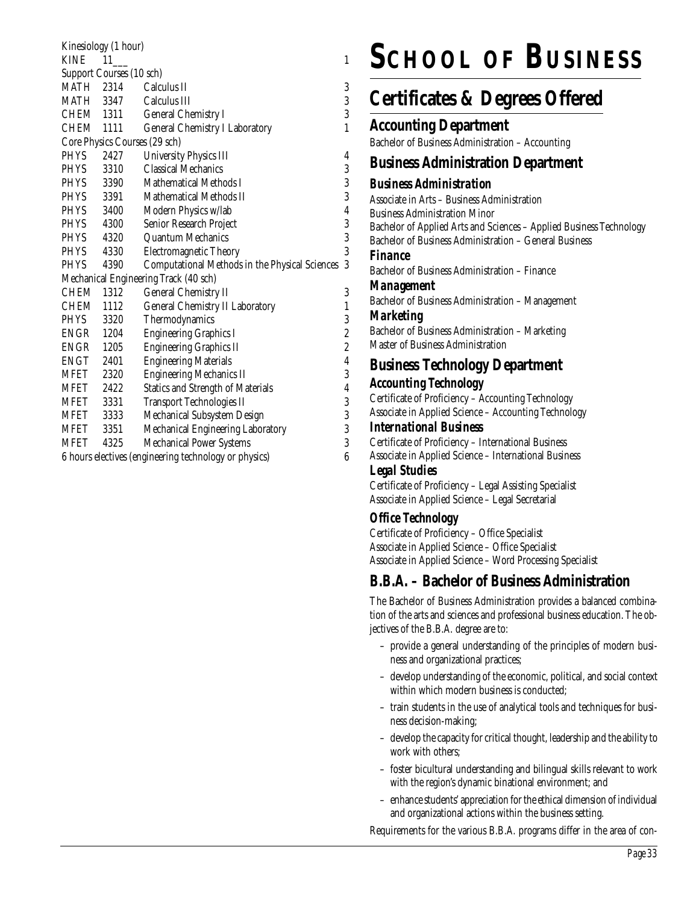| Kinesiology (1 hour)                                                      |                               |                                                |                         |  |
|---------------------------------------------------------------------------|-------------------------------|------------------------------------------------|-------------------------|--|
| <b>KINE</b>                                                               | - 11                          |                                                | 1                       |  |
|                                                                           | Support Courses (10 sch)      |                                                |                         |  |
| <b>MATH</b> 2314                                                          |                               | Calculus II                                    | 3                       |  |
| MATH 3347                                                                 |                               | Calculus III                                   | 3                       |  |
| CHEM 1311                                                                 |                               | <b>General Chemistry I</b>                     | 3                       |  |
| CHEM 1111                                                                 |                               | <b>General Chemistry I Laboratory</b>          | $\mathbf{1}$            |  |
|                                                                           | Core Physics Courses (29 sch) |                                                |                         |  |
| <b>PHYS</b>                                                               | 2427                          | <b>University Physics III</b>                  | 4                       |  |
| <b>PHYS</b>                                                               | 3310                          | <b>Classical Mechanics</b>                     | 3                       |  |
| <b>PHYS</b>                                                               | 3390                          | Mathematical Methods I                         | 3                       |  |
| PHYS                                                                      | 3391                          | Mathematical Methods II                        | 3                       |  |
| <b>PHYS</b>                                                               | 3400                          | Modern Physics w/lab                           | $\overline{\mathbf{4}}$ |  |
| PHYS                                                                      | 4300                          | Senior Research Project                        | 3                       |  |
| <b>PHYS</b>                                                               | 4320                          | <b>Quantum Mechanics</b>                       | 3                       |  |
| <b>PHYS</b>                                                               | 4330                          | Electromagnetic Theory                         | 3                       |  |
| <b>PHYS</b>                                                               | 4390                          | Computational Methods in the Physical Sciences | 3                       |  |
|                                                                           |                               | Mechanical Engineering Track (40 sch)          |                         |  |
| CHEM                                                                      | 1312                          | <b>General Chemistry II</b>                    | 3                       |  |
| CHEM                                                                      | 1112                          | <b>General Chemistry II Laboratory</b>         | 1                       |  |
| <b>PHYS</b>                                                               | 3320                          | Thermodynamics                                 | 3                       |  |
| ENGR 1204                                                                 |                               | <b>Engineering Graphics I</b>                  | $\overline{c}$          |  |
| ENGR                                                                      | 1205                          | <b>Engineering Graphics II</b>                 | $\overline{c}$          |  |
| ENGT                                                                      | 2401                          | <b>Engineering Materials</b>                   | $\overline{4}$          |  |
| MFET                                                                      | 2320                          | <b>Engineering Mechanics II</b>                | 3                       |  |
| MFET 2422                                                                 |                               | <b>Statics and Strength of Materials</b>       | $\overline{\mathbf{4}}$ |  |
| MFET 3331                                                                 |                               | Transport Technologies II                      | 3                       |  |
| MFET                                                                      | 3333                          | Mechanical Subsystem Design                    | 3                       |  |
| <b>MFET</b>                                                               | 3351                          | Mechanical Engineering Laboratory              | 3                       |  |
| MFET                                                                      | 4325                          | Mechanical Power Systems                       | 3                       |  |
| $\boldsymbol{6}$<br>6 hours electives (engineering technology or physics) |                               |                                                |                         |  |

# **SCHOOL OF BUSINESS**

## **Certificates & Degrees Offered**

#### **Accounting Department**

Bachelor of Business Administration – Accounting

#### **Business Administration Department**

#### *Business Administration*

Associate in Arts – Business Administration Business Administration Minor Bachelor of Applied Arts and Sciences – Applied Business Technology Bachelor of Business Administration – General Business *Finance* Bachelor of Business Administration – Finance

#### *Management*

Bachelor of Business Administration – Management

#### *Marketing*

Bachelor of Business Administration – Marketing Master of Business Administration

#### **Business Technology Department**

#### *Accounting Technology*

- Certificate of Proficiency Accounting Technology
- Associate in Applied Science Accounting Technology
- *International Business*
- Certificate of Proficiency International Business
- Associate in Applied Science International Business

#### *Legal Studies*

Certificate of Proficiency – Legal Assisting Specialist Associate in Applied Science – Legal Secretarial

#### *Office Technology*

Certificate of Proficiency – Office Specialist Associate in Applied Science – Office Specialist Associate in Applied Science – Word Processing Specialist

#### **B.B.A. – Bachelor of Business Administration**

The Bachelor of Business Administration provides a balanced combination of the arts and sciences and professional business education. The objectives of the B.B.A. degree are to:

- provide a general understanding of the principles of modern business and organizational practices;
- develop understanding of the economic, political, and social context within which modern business is conducted;
- train students in the use of analytical tools and techniques for business decision-making;
- develop the capacity for critical thought, leadership and the ability to work with others;
- foster bicultural understanding and bilingual skills relevant to work with the region's dynamic binational environment; and
- enhance students' appreciation for the ethical dimension of individual and organizational actions within the business setting.

Requirements for the various B.B.A. programs differ in the area of con-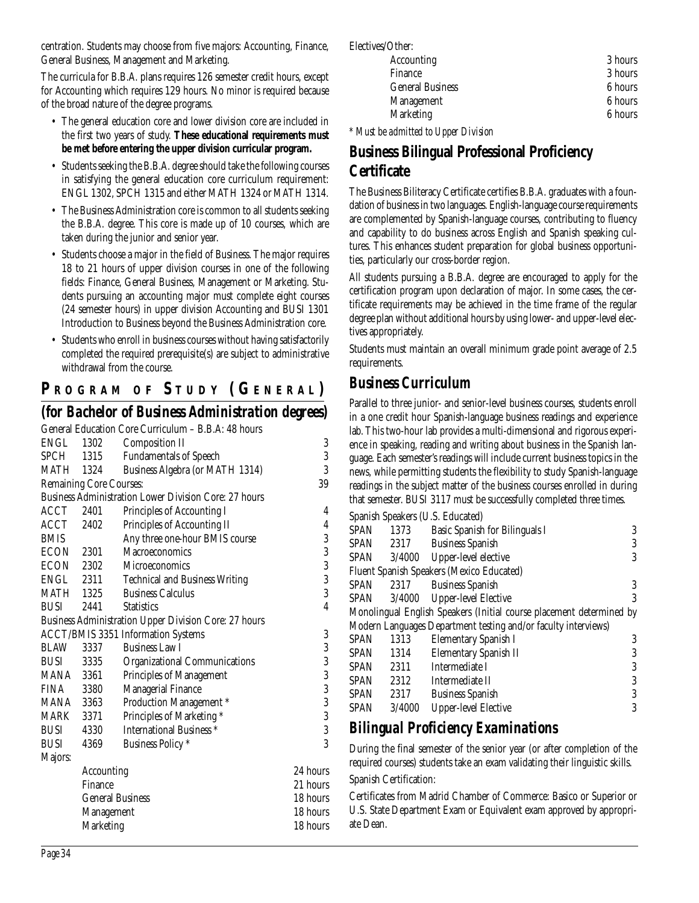centration. Students may choose from five majors: Accounting, Finance, General Business, Management and Marketing.

The curricula for B.B.A. plans requires 126 semester credit hours, except for Accounting which requires 129 hours. No minor is required because of the broad nature of the degree programs.

- The general education core and lower division core are included in the first two years of study. **These educational requirements must be met before entering the upper division curricular program.**
- Students seeking the B.B.A. degree should take the following courses in satisfying the general education core curriculum requirement: ENGL 1302, SPCH 1315 and either MATH 1324 or MATH 1314.
- The Business Administration core is common to all students seeking the B.B.A. degree. This core is made up of 10 courses, which are taken during the junior and senior year.
- Students choose a major in the field of Business. The major requires 18 to 21 hours of upper division courses in one of the following fields: Finance, General Business, Management or Marketing. Students pursuing an accounting major must complete eight courses (24 semester hours) in upper division Accounting and BUSI 1301 Introduction to Business beyond the Business Administration core.
- Students who enroll in business courses without having satisfactorily completed the required prerequisite(s) are subject to administrative withdrawal from the course.

## **P R OGRAM O F S TUDY (G ENERAL )**

#### *(for Bachelor of Business Administration degrees)*

|                  |                                | General Education Core Curriculum - B.B.A: 48 hours          |                |
|------------------|--------------------------------|--------------------------------------------------------------|----------------|
| ENGL 1302        |                                | <b>Composition II</b>                                        | 3              |
| <b>SPCH</b>      | 1315                           | <b>Fundamentals of Speech</b>                                | 3              |
| MATH             | 1324                           | Business Algebra (or MATH 1314)                              | 3              |
|                  | <b>Remaining Core Courses:</b> |                                                              | 39             |
|                  |                                | <b>Business Administration Lower Division Core: 27 hours</b> |                |
| ACCT             | 2401                           | Principles of Accounting I                                   | 4              |
| ACCT             | 2402                           | Principles of Accounting II                                  | $\overline{4}$ |
| <b>BMIS</b>      |                                | Any three one-hour BMIS course                               | 3              |
| ECON 2301        |                                | Macroeconomics                                               | 3              |
| ECON 2302        |                                | <b>Microeconomics</b>                                        | 3              |
| ENGL 2311        |                                | <b>Technical and Business Writing</b>                        | 3              |
| <b>MATH 1325</b> |                                | <b>Business Calculus</b>                                     | 3              |
| <b>BUSI</b>      | 2441                           | <b>Statistics</b>                                            | 4              |
|                  |                                | Business Administration Upper Division Core: 27 hours        |                |
|                  |                                | <b>ACCT/BMIS 3351 Information Systems</b>                    | 3              |
| <b>BLAW</b>      | 3337                           | <b>Business Law I</b>                                        | 3              |
| <b>BUSI</b>      | 3335                           | <b>Organizational Communications</b>                         | 3              |
| MANA 3361        |                                | Principles of Management                                     | 3              |
| FINA 3380        |                                | Managerial Finance                                           | 3              |
| MANA 3363        |                                | Production Management *                                      | $\frac{3}{3}$  |
| MARK             | 3371                           | Principles of Marketing *                                    |                |
| <b>BUSI</b>      | 4330                           | International Business <sup>*</sup>                          | 3              |
| <b>BUSI</b>      | 4369                           | <b>Business Policy</b> *                                     | 3              |
| Majors:          |                                |                                                              |                |
|                  | Accounting                     |                                                              | 24 hours       |
|                  | Finance                        |                                                              | 21 hours       |
|                  | <b>General Business</b>        |                                                              | 18 hours       |
|                  | Management                     |                                                              | 18 hours       |
|                  | <b>Marketing</b>               |                                                              | 18 hours       |
|                  |                                |                                                              |                |

Electives/Other:

| <b>Accounting</b>       | 3 hours |
|-------------------------|---------|
| Finance                 | 3 hours |
| <b>General Business</b> | 6 hours |
| Management              | 6 hours |
| <b>Marketing</b>        | 6 hours |
|                         |         |

*\* Must be admitted to Upper Division*

## **Business Bilingual Professional Proficiency Certificate**

The Business Biliteracy Certificate certifies B.B.A. graduates with a foundation of business in two languages. English-language course requirements are complemented by Spanish-language courses, contributing to fluency and capability to do business across English and Spanish speaking cultures. This enhances student preparation for global business opportunities, particularly our cross-border region.

All students pursuing a B.B.A. degree are encouraged to apply for the certification program upon declaration of major. In some cases, the certificate requirements may be achieved in the time frame of the regular degree plan without additional hours by using lower- and upper-level electives appropriately.

Students must maintain an overall minimum grade point average of 2.5 requirements.

## *Business Curriculum*

Parallel to three junior- and senior-level business courses, students enroll in a one credit hour Spanish-language business readings and experience lab. This two-hour lab provides a multi-dimensional and rigorous experience in speaking, reading and writing about business in the Spanish language. Each semester's readings will include current business topics in the news, while permitting students the flexibility to study Spanish-language readings in the subject matter of the business courses enrolled in during that semester. BUSI 3117 must be successfully completed three times.

|             |        | Spanish Speakers (U.S. Educated)                                     |   |
|-------------|--------|----------------------------------------------------------------------|---|
| <b>SPAN</b> | 1373   | Basic Spanish for Bilinguals I                                       | 3 |
| SPAN        | 2317   | <b>Business Spanish</b>                                              | 3 |
| <b>SPAN</b> | 3/4000 | Upper-level elective                                                 | 3 |
|             |        | Fluent Spanish Speakers (Mexico Educated)                            |   |
| <b>SPAN</b> | 2317   | <b>Business Spanish</b>                                              | 3 |
| SPAN        |        | 3/4000 Upper-level Elective                                          | 3 |
|             |        | Monolingual English Speakers (Initial course placement determined by |   |
|             |        | Modern Languages Department testing and/or faculty interviews)       |   |
| <b>SPAN</b> | 1313   | <b>Elementary Spanish I</b>                                          | 3 |
| <b>SPAN</b> | 1314   | <b>Elementary Spanish II</b>                                         | 3 |
| <b>SPAN</b> | 2311   | Intermediate I                                                       | 3 |
| <b>SPAN</b> | 2312   | Intermediate II                                                      | 3 |
| <b>SPAN</b> | 2317   | <b>Business Spanish</b>                                              | 3 |

# SPAN 3/4000 Upper-level Elective 3

## *Bilingual Proficiency Examinations*

During the final semester of the senior year (or after completion of the required courses) students take an exam validating their linguistic skills.

#### Spanish Certification:

Certificates from Madrid Chamber of Commerce: Basico or Superior or U.S. State Department Exam or Equivalent exam approved by appropriate Dean.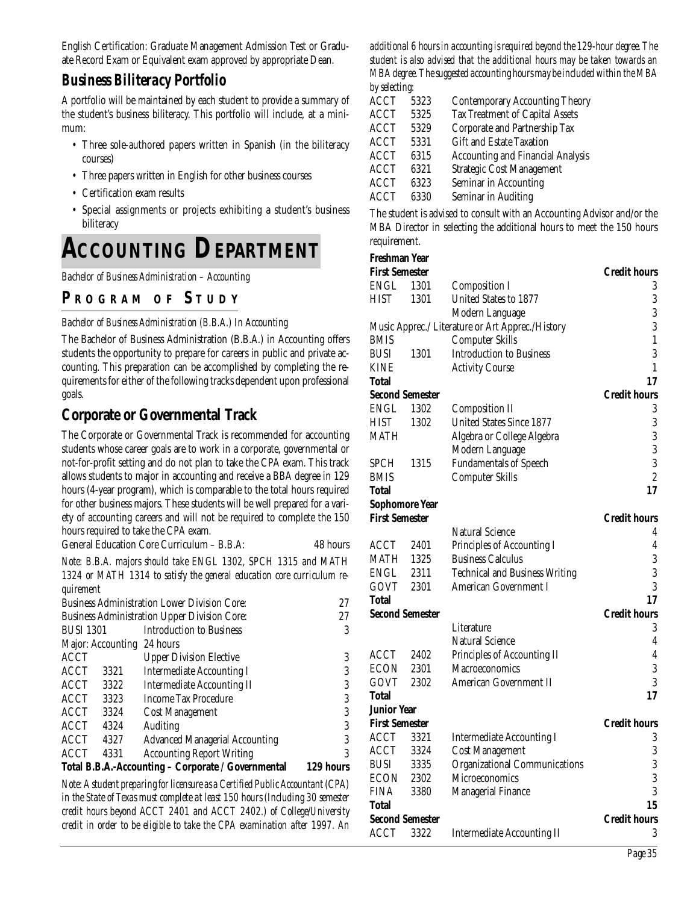English Certification: Graduate Management Admission Test or Graduate Record Exam or Equivalent exam approved by appropriate Dean.

#### *Business Biliteracy Portfolio*

A portfolio will be maintained by each student to provide a summary of the student's business biliteracy. This portfolio will include, at a minimum:

- Three sole-authored papers written in Spanish (in the biliteracy courses)
- Three papers written in English for other business courses
- Certification exam results
- Special assignments or projects exhibiting a student's business biliteracy

# **ACCOUNTING DEPARTMENT**

*Bachelor of Business Administration – Accounting*

#### **P R OGRAM O F S TUDY**

#### *Bachelor of Business Administration (B.B.A.) In Accounting*

The Bachelor of Business Administration (B.B.A.) in Accounting offers students the opportunity to prepare for careers in public and private accounting. This preparation can be accomplished by completing the requirements for either of the following tracks dependent upon professional goals.

#### **Corporate or Governmental Track**

The Corporate or Governmental Track is recommended for accounting students whose career goals are to work in a corporate, governmental or not-for-profit setting and do not plan to take the CPA exam. This track allows students to major in accounting and receive a BBA degree in 129 hours (4-year program), which is comparable to the total hours required for other business majors. These students will be well prepared for a variety of accounting careers and will not be required to complete the 150 hours required to take the CPA exam.

General Education Core Curriculum – B.B.A: 48 hours

*Note: B.B.A. majors should take ENGL 1302, SPCH 1315 and MATH 1324 or MATH 1314 to satisfy the general education core curriculum requirement*

| ACCT<br>4331                                        | <b>Accounting Report Writing</b>                    | 3  |
|-----------------------------------------------------|-----------------------------------------------------|----|
| ACCT<br>4327                                        | <b>Advanced Managerial Accounting</b>               |    |
| <b>ACCT</b><br>4324                                 | Auditing                                            | 3  |
| ACCT<br>3324                                        | <b>Cost Management</b>                              | 3  |
| ACCT<br>3323                                        | <b>Income Tax Procedure</b>                         | 3  |
| ACCT<br>3322                                        | <b>Intermediate Accounting II</b>                   | 3  |
| ACCT<br>3321                                        | <b>Intermediate Accounting I</b>                    | 3  |
| ACCT                                                | <b>Upper Division Elective</b>                      | 3  |
| Major: Accounting 24 hours                          |                                                     |    |
| <b>BUSI 1301</b>                                    | <b>Introduction to Business</b>                     | 3  |
| <b>Business Administration Upper Division Core:</b> |                                                     | 27 |
|                                                     | <b>Business Administration Lower Division Core:</b> | 27 |
|                                                     |                                                     |    |

*Note: A student preparing for licensure as a Certified Public Accountant (CPA) in the State of Texas must complete at least 150 hours (Including 30 semester credit hours beyond ACCT 2401 and ACCT 2402.) of College/University credit in order to be eligible to take the CPA examination after 1997. An*

*additional 6 hours in accounting is required beyond the 129-hour degree. The student is also advised that the additional hours may be taken towards an MBA degree. The suggested accounting hours may be included within the MBA by selecting:*

| <b>ACCT</b> | 5323 | <b>Contemporary Accounting Theory</b>  |
|-------------|------|----------------------------------------|
| ACCT        | 5325 | <b>Tax Treatment of Capital Assets</b> |
| ACCT        | 5329 | Corporate and Partnership Tax          |
| ACCT        | 5331 | <b>Gift and Estate Taxation</b>        |
| ACCT        | 6315 | Accounting and Financial Analysis      |
| ACCT        | 6321 | <b>Strategic Cost Management</b>       |
| ACCT        | 6323 | Seminar in Accounting                  |
| ACCT        | 6330 | Seminar in Auditing                    |
|             |      |                                        |

The student is advised to consult with an Accounting Advisor and/or the MBA Director in selecting the additional hours to meet the 150 hours requirement.

#### **Freshman Year**

| 11wiiiiuii 10u        |                        |                                                  |                                                       |
|-----------------------|------------------------|--------------------------------------------------|-------------------------------------------------------|
| <b>First Semester</b> |                        |                                                  | <b>Credit hours</b>                                   |
| <b>ENGL</b>           | 1301                   | <b>Composition I</b>                             | 3                                                     |
| HIST                  | 1301                   | United States to 1877                            | 3                                                     |
|                       |                        | Modern Language                                  | 3                                                     |
|                       |                        | Music Apprec./ Literature or Art Apprec./History | 3                                                     |
| BMIS                  |                        | <b>Computer Skills</b>                           | $\mathbf{1}% _{T}=\mathbf{1}_{T}\times\mathbf{1}_{T}$ |
| BUSI                  | 1301                   | <b>Introduction to Business</b>                  | 3                                                     |
| KINE                  |                        | <b>Activity Course</b>                           | $\mathbf{1}$                                          |
| Total                 |                        |                                                  | 17                                                    |
|                       | <b>Second Semester</b> |                                                  | <b>Credit hours</b>                                   |
| ENGL                  | 1302                   | <b>Composition II</b>                            | 3                                                     |
| HIST                  | 1302                   | United States Since 1877                         | 3                                                     |
| MATH                  |                        | Algebra or College Algebra                       | $\overline{3}$                                        |
|                       |                        | Modern Language                                  | 3                                                     |
| SPCH                  | 1315                   | <b>Fundamentals of Speech</b>                    | 3                                                     |
| BMIS                  |                        | <b>Computer Skills</b>                           | $\sqrt{2}$                                            |
| <b>Total</b>          |                        |                                                  | 17                                                    |
|                       | <b>Sophomore Year</b>  |                                                  |                                                       |
| <b>First Semester</b> |                        |                                                  | <b>Credit hours</b>                                   |
|                       |                        | Natural Science                                  | 4                                                     |
| ACCT                  | 2401                   | Principles of Accounting I                       | $\overline{4}$                                        |
| <b>MATH</b>           | 1325                   | <b>Business Calculus</b>                         | 3                                                     |
| ENGL                  | 2311                   | <b>Technical and Business Writing</b>            | 3                                                     |
| GOVT                  | 2301                   | American Government I                            | 3                                                     |
| <b>Total</b>          |                        |                                                  | 17                                                    |
|                       | <b>Second Semester</b> |                                                  | <b>Credit hours</b>                                   |
|                       |                        | Literature                                       | 3                                                     |
|                       |                        | Natural Science                                  | $\overline{4}$                                        |
| ACCT                  | 2402                   | Principles of Accounting II                      | $\pmb{4}$                                             |
| ECON                  | 2301                   | Macroeconomics                                   | $\boldsymbol{3}$                                      |
| GOVT                  | 2302                   | <b>American Government II</b>                    | $\overline{3}$                                        |
| <b>Total</b>          |                        |                                                  | 17                                                    |
| <b>Junior Year</b>    |                        |                                                  |                                                       |
| <b>First Semester</b> |                        |                                                  | <b>Credit hours</b>                                   |
| <b>ACCT</b>           | 3321                   | <b>Intermediate Accounting I</b>                 | 3                                                     |
| <b>ACCT</b>           | 3324                   | <b>Cost Management</b>                           | $\sqrt{3}$                                            |
| BUSI                  | 3335                   | <b>Organizational Communications</b>             | 3                                                     |
| ECON                  | 2302                   | Microeconomics                                   | 3                                                     |
| FINA                  | 3380                   | <b>Managerial Finance</b>                        | 3                                                     |
| <b>Total</b>          |                        |                                                  | 15                                                    |
|                       | <b>Second Semester</b> |                                                  | <b>Credit hours</b>                                   |
| ACCT                  | 3322                   | <b>Intermediate Accounting II</b>                | 3                                                     |
|                       |                        |                                                  |                                                       |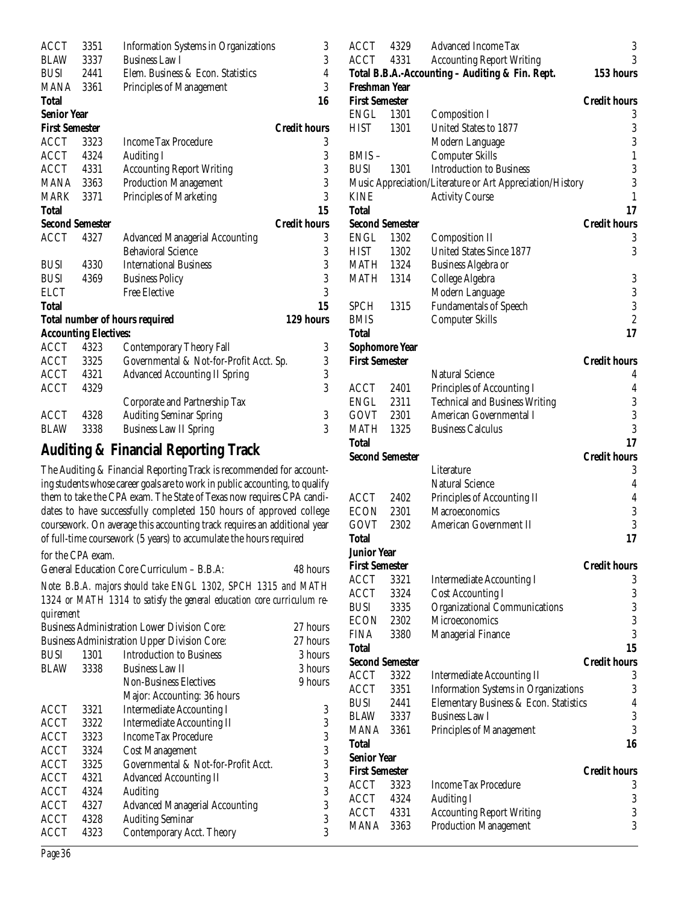| <b>ACCT</b>           | 3351                         | <b>Information Systems in Organizations</b> | 3                   |
|-----------------------|------------------------------|---------------------------------------------|---------------------|
| <b>BLAW</b>           | 3337                         | <b>Business Law I</b>                       | 3                   |
| <b>BUSI</b>           | 2441                         | Elem. Business & Econ. Statistics           | $\overline{4}$      |
| MANA                  | 3361                         | Principles of Management                    | 3                   |
| <b>Total</b>          |                              |                                             | 16                  |
| <b>Senior Year</b>    |                              |                                             |                     |
| <b>First Semester</b> |                              |                                             | <b>Credit hours</b> |
| <b>ACCT</b>           | 3323                         | <b>Income Tax Procedure</b>                 | 3                   |
| ACCT 4324             |                              | <b>Auditing I</b>                           |                     |
| ACCT 4331             |                              | <b>Accounting Report Writing</b>            |                     |
| <b>MANA</b> 3363      |                              | <b>Production Management</b>                | $\frac{3}{3}$       |
| MARK                  | 3371                         | Principles of Marketing                     | 3                   |
| <b>Total</b>          |                              |                                             | 15                  |
|                       | <b>Second Semester</b>       |                                             | <b>Credit hours</b> |
| <b>ACCT</b>           | 4327                         | <b>Advanced Managerial Accounting</b>       | 3                   |
|                       |                              | <b>Behavioral Science</b>                   |                     |
| <b>BUSI</b>           | 4330                         | <b>International Business</b>               | $\frac{3}{3}$       |
| <b>BUSI</b>           | 4369                         | <b>Business Policy</b>                      |                     |
| <b>ELCT</b>           |                              | <b>Free Elective</b>                        | 3                   |
| <b>Total</b>          |                              |                                             | 15                  |
|                       |                              | <b>Total number of hours required</b>       | 129 hours           |
|                       | <b>Accounting Electives:</b> |                                             |                     |
| <b>ACCT</b>           | 4323                         | <b>Contemporary Theory Fall</b>             | 3                   |
| ACCT                  | 3325                         | Governmental & Not-for-Profit Acct. Sp.     | 3                   |
| ACCT                  | 4321                         | <b>Advanced Accounting II Spring</b>        | 3                   |
| ACCT                  | 4329                         |                                             | 3                   |
|                       |                              | Corporate and Partnership Tax               |                     |
| ACCT                  | 4328                         | <b>Auditing Seminar Spring</b>              | 3                   |
| <b>BLAW</b>           | 3338                         | <b>Business Law II Spring</b>               | 3                   |

## **Auditing & Financial Reporting Track**

The Auditing & Financial Reporting Track is recommended for accounting students whose career goals are to work in public accounting, to qualify them to take the CPA exam. The State of Texas now requires CPA candidates to have successfully completed 150 hours of approved college coursework. On average this accounting track requires an additional year of full-time coursework (5 years) to accumulate the hours required

#### for the CPA exam.

General Education Core Curriculum – B.B.A: 48 hours

*Note: B.B.A. majors should take ENGL 1302, SPCH 1315 and MATH 1324 or MATH 1314 to satisfy the general education core curriculum requirement*

|             |      | <b>Business Administration Lower Division Core:</b> | 27 hours |
|-------------|------|-----------------------------------------------------|----------|
|             |      | <b>Business Administration Upper Division Core:</b> | 27 hours |
| <b>BUSI</b> | 1301 | <b>Introduction to Business</b>                     | 3 hours  |
| BLAW        | 3338 | <b>Business Law II</b>                              | 3 hours  |
|             |      | <b>Non-Business Electives</b>                       | 9 hours  |
|             |      | Major: Accounting: 36 hours                         |          |
| <b>ACCT</b> | 3321 | <b>Intermediate Accounting I</b>                    | 3        |
| <b>ACCT</b> | 3322 | <b>Intermediate Accounting II</b>                   | 3        |
| ACCT        | 3323 | <b>Income Tax Procedure</b>                         | 3        |
| <b>ACCT</b> | 3324 | <b>Cost Management</b>                              | 3        |
| <b>ACCT</b> | 3325 | Governmental & Not-for-Profit Acct.                 | 3        |
| ACCT        | 4321 | <b>Advanced Accounting II</b>                       | 3        |
| <b>ACCT</b> | 4324 | Auditing                                            | 3        |
| <b>ACCT</b> | 4327 | <b>Advanced Managerial Accounting</b>               | 3        |
| <b>ACCT</b> | 4328 | <b>Auditing Seminar</b>                             | 3        |
| ACCT        | 4323 | Contemporary Acct. Theory                           | 3        |
|             |      |                                                     |          |

| ACCT                   | 4329 | <b>Advanced Income Tax</b>                                | 3                   |
|------------------------|------|-----------------------------------------------------------|---------------------|
| ACCT                   | 4331 | <b>Accounting Report Writing</b>                          | 3                   |
|                        |      | Total B.B.A.-Accounting - Auditing & Fin. Rept.           | 153 hours           |
| Freshman Year          |      |                                                           |                     |
| <b>First Semester</b>  |      |                                                           | <b>Credit hours</b> |
| ENGL 1301              |      | <b>Composition I</b>                                      | 3                   |
| <b>HIST</b>            | 1301 | United States to 1877                                     | 3                   |
|                        |      | Modern Language                                           | 3                   |
| BMIS-                  |      | <b>Computer Skills</b>                                    | $\mathbf{1}$        |
| <b>BUSI</b>            | 1301 | <b>Introduction to Business</b>                           | 3                   |
|                        |      | Music Appreciation/Literature or Art Appreciation/History | 3                   |
| KINE                   |      |                                                           | 1                   |
| <b>Total</b>           |      | <b>Activity Course</b>                                    | 17                  |
| <b>Second Semester</b> |      |                                                           | <b>Credit hours</b> |
| ENGL                   |      |                                                           |                     |
|                        | 1302 | <b>Composition II</b><br><b>United States Since 1877</b>  | 3<br>3              |
| HIST 1302              |      |                                                           |                     |
| MATH 1324              |      | Business Algebra or                                       |                     |
| <b>MATH 1314</b>       |      | College Algebra                                           | 3                   |
|                        |      | Modern Language                                           | $\overline{3}$      |
| SPCH                   | 1315 | <b>Fundamentals of Speech</b>                             | $\overline{3}$      |
| <b>BMIS</b>            |      | <b>Computer Skills</b>                                    | $\overline{c}$      |
| Total                  |      |                                                           | 17                  |
| Sophomore Year         |      |                                                           |                     |
| <b>First Semester</b>  |      |                                                           | <b>Credit hours</b> |
|                        |      | <b>Natural Science</b>                                    | 4                   |
| ACCT 2401              |      | Principles of Accounting I                                | 4                   |
| ENGL 2311              |      | <b>Technical and Business Writing</b>                     | 3                   |
| GOVT 2301              |      | American Governmental I                                   | 3                   |
| MATH                   | 1325 | <b>Business Calculus</b>                                  | 3                   |
|                        |      |                                                           |                     |
| Total                  |      |                                                           | 17                  |
| <b>Second Semester</b> |      |                                                           | <b>Credit hours</b> |
|                        |      | Literature                                                | 3                   |
|                        |      | <b>Natural Science</b>                                    | $\boldsymbol{4}$    |
| ACCT                   | 2402 | Principles of Accounting II                               | $\overline{4}$      |
| ECON                   | 2301 | Macroeconomics                                            | 3                   |
| GOVT                   | 2302 | American Government II                                    | 3                   |
| Total                  |      |                                                           | 17                  |
| <b>Junior Year</b>     |      |                                                           |                     |
| <b>First Semester</b>  |      |                                                           | <b>Credit hours</b> |
| <b>ACCT</b>            | 3321 | <b>Intermediate Accounting I</b>                          | 3                   |
| ACCT                   | 3324 | <b>Cost Accounting I</b>                                  | 3                   |
| <b>BUSI</b>            | 3335 | Organizational Communications                             | 3                   |
| <b>ECON</b>            | 2302 | <b>Microeconomics</b>                                     | 3                   |
| <b>FINA</b>            | 3380 | <b>Managerial Finance</b>                                 | 3                   |
| Total                  |      |                                                           | 15                  |
| <b>Second Semester</b> |      |                                                           | <b>Credit hours</b> |
| <b>ACCT</b>            | 3322 | <b>Intermediate Accounting II</b>                         | 3                   |
| ACCT                   | 3351 | <b>Information Systems in Organizations</b>               | 3                   |
| <b>BUSI</b>            | 2441 | Elementary Business & Econ. Statistics                    | $\overline{4}$      |
| <b>BLAW</b>            | 3337 | <b>Business Law I</b>                                     | 3                   |
| MANA                   | 3361 | Principles of Management                                  | 3                   |
| Total                  |      |                                                           | 16                  |
| <b>Senior Year</b>     |      |                                                           |                     |
| <b>First Semester</b>  |      |                                                           | <b>Credit hours</b> |
| ACCT                   | 3323 | <b>Income Tax Procedure</b>                               | 3                   |
| ACCT                   | 4324 | <b>Auditing I</b>                                         | $\sqrt{3}$          |
| ACCT                   | 4331 | <b>Accounting Report Writing</b>                          | $\boldsymbol{3}$    |
| MANA                   | 3363 | <b>Production Management</b>                              | 3                   |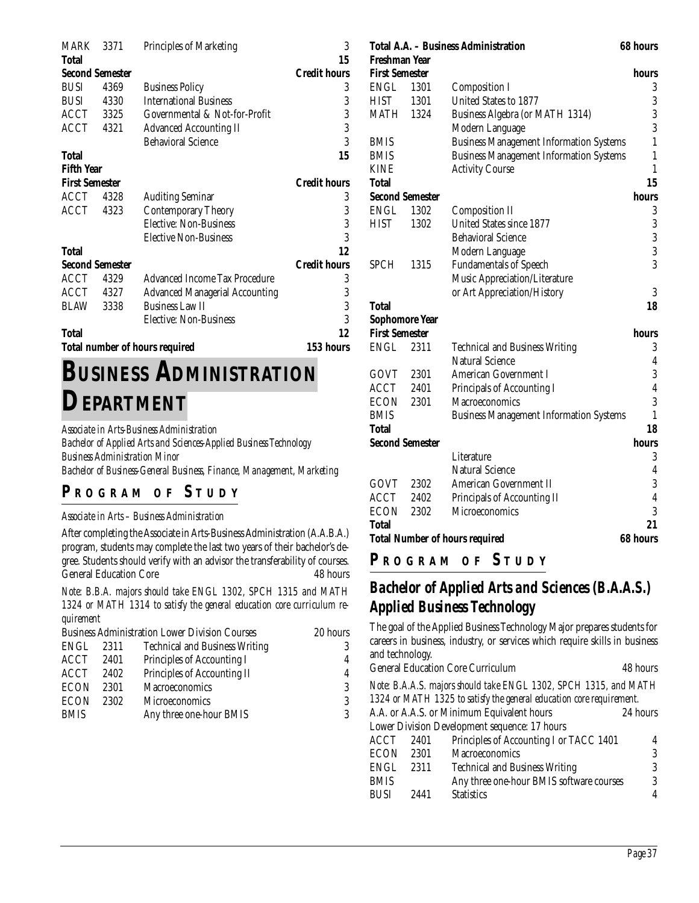| MARK                  | 3371                                  | <b>Principles of Marketing</b>        | 3                   |  |
|-----------------------|---------------------------------------|---------------------------------------|---------------------|--|
| Total                 |                                       |                                       | 15                  |  |
|                       | <b>Second Semester</b>                |                                       | <b>Credit hours</b> |  |
| <b>BUSI</b>           | 4369                                  | <b>Business Policy</b>                | 3                   |  |
| <b>BUSI</b>           | 4330                                  | <b>International Business</b>         | 3                   |  |
| ACCT 3325             |                                       | Governmental & Not-for-Profit         | 3                   |  |
| ACCT                  | 4321                                  | <b>Advanced Accounting II</b>         | 3                   |  |
|                       |                                       | <b>Behavioral Science</b>             | 3                   |  |
| <b>Total</b>          |                                       |                                       | 15                  |  |
| <b>Fifth Year</b>     |                                       |                                       |                     |  |
| <b>First Semester</b> |                                       |                                       | <b>Credit hours</b> |  |
| ACCT                  | 4328                                  | <b>Auditing Seminar</b>               | 3                   |  |
| ACCT                  | 4323                                  | <b>Contemporary Theory</b>            | 3                   |  |
|                       |                                       | Elective: Non-Business                | 3                   |  |
|                       |                                       | <b>Elective Non-Business</b>          | 3                   |  |
| Total                 |                                       |                                       | 12                  |  |
|                       | <b>Second Semester</b>                |                                       | <b>Credit hours</b> |  |
| ACCT                  | 4329                                  | Advanced Income Tax Procedure         | 3                   |  |
| ACCT                  | 4327                                  | <b>Advanced Managerial Accounting</b> | 3                   |  |
| BLAW                  | 3338                                  | <b>Business Law II</b>                | 3                   |  |
|                       |                                       | Elective: Non-Business                | 3                   |  |
| Total                 |                                       |                                       | 12                  |  |
|                       | <b>Total number of hours required</b> |                                       |                     |  |

# **BUSINESS ADMINISTRATION DEPARTMENT**

*Associate in Arts-Business Administration*

*Bachelor of Applied Arts and Sciences-Applied Business Technology Business Administration Minor Bachelor of Business-General Business, Finance, Management, Marketing*

## **P R OGRAM O F S TUDY**

#### *Associate in Arts – Business Administration*

After completing the Associate in Arts-Business Administration (A.A.B.A.) program, students may complete the last two years of their bachelor's degree. Students should verify with an advisor the transferability of courses. General Education Core 48 hours

*Note: B.B.A. majors should take ENGL 1302, SPCH 1315 and MATH 1324 or MATH 1314 to satisfy the general education core curriculum requirement*

|             |      | <b>Business Administration Lower Division Courses</b> | 20 hours |
|-------------|------|-------------------------------------------------------|----------|
| ENGL        | 2311 | <b>Technical and Business Writing</b>                 | 3        |
| ACCT        | 2401 | Principles of Accounting I                            | 4        |
| ACCT        | 2402 | Principles of Accounting II                           | 4        |
| <b>ECON</b> | 2301 | Macroeconomics                                        | 3        |
| <b>ECON</b> | 2302 | <b>Microeconomics</b>                                 | 3        |
| <b>BMIS</b> |      | Any three one-hour BMIS                               | 3        |
|             |      |                                                       |          |

| Freshman Year          |      | Total A.A. – Business Administration           | 68 hours         |
|------------------------|------|------------------------------------------------|------------------|
| <b>First Semester</b>  |      |                                                | hours            |
| <b>ENGL</b>            | 1301 | <b>Composition I</b>                           | 3                |
| <b>HIST</b>            | 1301 | <b>United States to 1877</b>                   | 3                |
| MATH                   | 1324 | Business Algebra (or MATH 1314)                | 3                |
|                        |      | Modern Language                                | 3                |
| <b>BMIS</b>            |      | <b>Business Management Information Systems</b> | $\mathbf{1}$     |
| <b>BMIS</b>            |      | <b>Business Management Information Systems</b> | $\mathbf{1}$     |
| <b>KINE</b>            |      | <b>Activity Course</b>                         | $\mathbf{1}$     |
| Total                  |      |                                                | 15               |
| <b>Second Semester</b> |      |                                                | hours            |
| <b>ENGL</b>            | 1302 | <b>Composition II</b>                          | 3                |
| <b>HIST</b>            | 1302 | United States since 1877                       | $\boldsymbol{3}$ |
|                        |      | <b>Behavioral Science</b>                      | $\boldsymbol{3}$ |
|                        |      | Modern Language                                | 3                |
| <b>SPCH</b>            | 1315 | <b>Fundamentals of Speech</b>                  | 3                |
|                        |      | Music Appreciation/Literature                  |                  |
|                        |      | or Art Appreciation/History                    | 3                |
| <b>Total</b>           |      |                                                | 18               |
| <b>Sophomore Year</b>  |      |                                                |                  |
| <b>First Semester</b>  |      |                                                | hours            |
| <b>ENGL</b>            | 2311 | <b>Technical and Business Writing</b>          | 3                |
|                        |      | Natural Science                                | 4                |
| GOVT                   | 2301 | <b>American Government I</b>                   | 3                |
| ACCT                   | 2401 | Principals of Accounting I                     | $\overline{4}$   |
| ECON                   | 2301 | Macroeconomics                                 | 3                |
| <b>BMIS</b>            |      | <b>Business Management Information Systems</b> | $\mathbf{1}$     |
| Total                  |      |                                                | 18               |
| <b>Second Semester</b> |      |                                                | hours            |
|                        |      | Literature                                     | 3                |
|                        |      | <b>Natural Science</b>                         | $\overline{4}$   |
| GOVT                   | 2302 | American Government II                         | $\overline{3}$   |
| ACCT                   | 2402 | Principals of Accounting II                    | $\overline{4}$   |
| <b>ECON</b>            | 2302 | Microeconomics                                 | 3                |
| Total                  |      |                                                | 21               |
|                        |      | <b>Total Number of hours required</b>          | <b>68 hours</b>  |

## *Bachelor of Applied Arts and Sciences (B.A.A.S.) Applied Business Technology*

The goal of the Applied Business Technology Major prepares students for careers in business, industry, or services which require skills in business and technology. General Education Core Curriculum 48 hours *Note: B.A.A.S. majors should take ENGL 1302, SPCH 1315, and MATH*

- *1324 or MATH 1325 to satisfy the general education core requirement.*
- A.A. or A.A.S. or Minimum Equivalent hours 24 hours Lower Division Development sequence: 17 hours

| ACCT | 2401 | Principles of Accounting I or TACC 1401  |   |
|------|------|------------------------------------------|---|
| ECON | 2301 | <b>Macroeconomics</b>                    |   |
| ENGL | 2311 | <b>Technical and Business Writing</b>    |   |
| BMIS |      | Any three one-hour BMIS software courses | 2 |
| BUSI | 2441 | <b>Statistics</b>                        |   |
|      |      |                                          |   |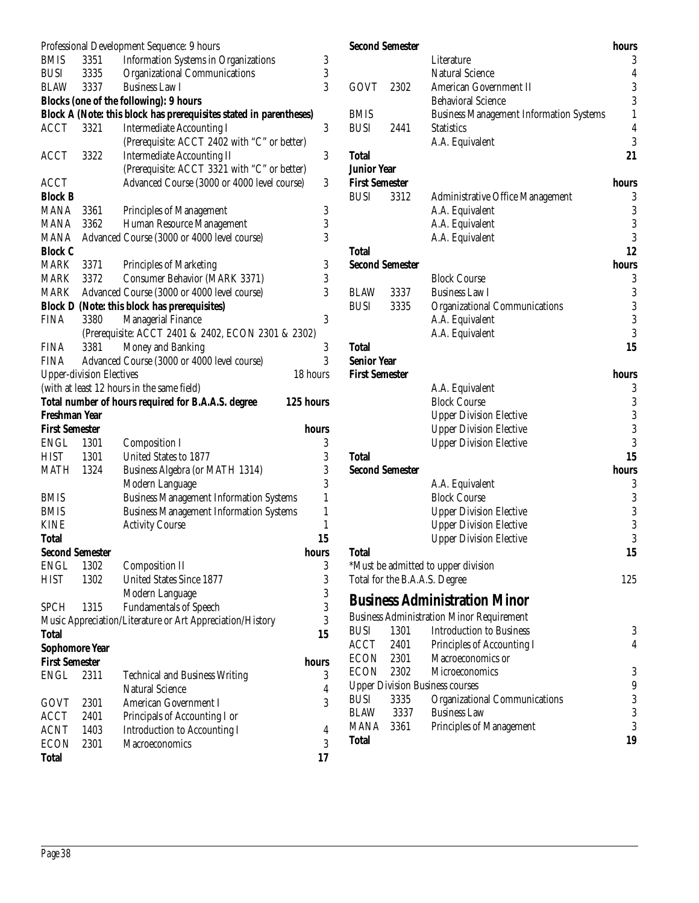|                        |                                 | Professional Development Sequence: 9 hours                         |              |
|------------------------|---------------------------------|--------------------------------------------------------------------|--------------|
| <b>BMIS</b>            | 3351                            | <b>Information Systems in Organizations</b>                        | 3            |
| <b>BUSI</b>            | 3335                            | <b>Organizational Communications</b>                               | 3            |
| BLAW                   | 3337                            | <b>Business Law I</b>                                              | 3            |
|                        |                                 | <b>Blocks (one of the following): 9 hours</b>                      |              |
|                        |                                 | Block A (Note: this block has prerequisites stated in parentheses) |              |
| ACCT                   | 3321                            | <b>Intermediate Accounting I</b>                                   | 3            |
|                        |                                 | (Prerequisite: ACCT 2402 with "C" or better)                       |              |
| <b>ACCT</b>            | 3322                            | <b>Intermediate Accounting II</b>                                  | 3            |
|                        |                                 | (Prerequisite: ACCT 3321 with "C" or better)                       |              |
| ACCT                   |                                 | Advanced Course (3000 or 4000 level course)                        | 3            |
| <b>Block B</b>         |                                 |                                                                    |              |
| <b>MANA</b>            | 3361                            | <b>Principles of Management</b>                                    | 3            |
| MANA                   | 3362                            | Human Resource Management                                          | 3            |
| <b>MANA</b>            |                                 | Advanced Course (3000 or 4000 level course)                        | 3            |
| <b>Block C</b>         |                                 |                                                                    |              |
| MARK                   | 3371                            | Principles of Marketing                                            | 3            |
| MARK                   | 3372                            | Consumer Behavior (MARK 3371)                                      | 3            |
| MARK                   |                                 | Advanced Course (3000 or 4000 level course)                        | 3            |
|                        |                                 | <b>Block D (Note: this block has prerequisites)</b>                |              |
| <b>FINA</b>            | 3380                            | Managerial Finance                                                 | 3            |
|                        |                                 | (Prerequisite: ACCT 2401 & 2402, ECON 2301 & 2302)                 |              |
| <b>FINA</b>            | 3381                            | Money and Banking                                                  | 3            |
| FINA                   |                                 | Advanced Course (3000 or 4000 level course)                        | 3            |
|                        | <b>Upper-division Electives</b> | 18 hours                                                           |              |
|                        |                                 | (with at least 12 hours in the same field)                         |              |
|                        |                                 | Total number of hours required for B.A.A.S. degree<br>125 hours    |              |
| Freshman Year          |                                 |                                                                    |              |
| <b>First Semester</b>  |                                 | hours                                                              |              |
| ENGL                   | 1301                            | <b>Composition I</b>                                               | 3            |
| HIST                   | 1301                            | United States to 1877                                              | 3            |
| <b>MATH 1324</b>       |                                 | Business Algebra (or MATH 1314)                                    | 3            |
|                        |                                 | Modern Language                                                    | 3            |
| <b>BMIS</b>            |                                 | <b>Business Management Information Systems</b>                     | $\mathbf{1}$ |
| <b>BMIS</b>            |                                 | <b>Business Management Information Systems</b>                     | $\mathbf{1}$ |
| <b>KINE</b>            |                                 | <b>Activity Course</b>                                             | $\mathbf{1}$ |
| <b>Total</b>           |                                 |                                                                    | 15           |
| <b>Second Semester</b> |                                 | hours                                                              |              |
| <b>ENGL</b>            | 1302                            | <b>Composition II</b>                                              | 3            |
| <b>HIST</b>            | 1302                            | <b>United States Since 1877</b>                                    | 3            |
|                        |                                 | Modern Language                                                    | 3            |
| <b>SPCH</b>            | 1315                            | <b>Fundamentals of Speech</b>                                      | 3            |
|                        |                                 | Music Appreciation/Literature or Art Appreciation/History          | 3            |
| <b>Total</b>           |                                 |                                                                    | 15           |
| <b>Sophomore Year</b>  |                                 |                                                                    |              |
| <b>First Semester</b>  |                                 | hours                                                              |              |
| ENGL                   | 2311                            | <b>Technical and Business Writing</b>                              | 3            |
|                        |                                 | <b>Natural Science</b>                                             | 4            |
| GOVT                   | 2301                            | <b>American Government I</b>                                       | 3            |
| <b>ACCT</b>            | 2401                            | Principals of Accounting I or                                      |              |
| <b>ACNT</b>            | 1403                            | <b>Introduction to Accounting I</b>                                | 4            |
| <b>ECON</b>            | 2301                            | <b>Macroeconomics</b>                                              | 3            |
| <b>Total</b>           |                                 |                                                                    | 17           |
|                        |                                 |                                                                    |              |

| <b>Second Semester</b> |                               |                                                  | hours            |
|------------------------|-------------------------------|--------------------------------------------------|------------------|
|                        |                               | Literature                                       | 3                |
|                        |                               | <b>Natural Science</b>                           | 4                |
| GOVT                   | 2302                          | American Government II                           | 3                |
|                        |                               | <b>Behavioral Science</b>                        | 3                |
| <b>BMIS</b>            |                               | <b>Business Management Information Systems</b>   | 1                |
| <b>BUSI</b>            | 2441                          | <b>Statistics</b>                                | $\overline{4}$   |
|                        |                               | A.A. Equivalent                                  | $\overline{3}$   |
| <b>Total</b>           |                               |                                                  | 21               |
| <b>Junior Year</b>     |                               |                                                  |                  |
| <b>First Semester</b>  |                               |                                                  | hours            |
| <b>BUSI</b>            | 3312                          | Administrative Office Management                 | 3                |
|                        |                               | A.A. Equivalent                                  | $\boldsymbol{3}$ |
|                        |                               | A.A. Equivalent                                  | 3                |
|                        |                               | A.A. Equivalent                                  | 3                |
| <b>Total</b>           |                               |                                                  | 12               |
| <b>Second Semester</b> |                               |                                                  | hours            |
|                        |                               | <b>Block Course</b>                              | 3                |
| <b>BLAW</b>            | 3337                          | <b>Business Law I</b>                            | $\boldsymbol{3}$ |
| <b>BUSI</b>            | 3335                          | Organizational Communications                    | $\overline{3}$   |
|                        |                               | A.A. Equivalent                                  | 3                |
|                        |                               | A.A. Equivalent                                  | 3                |
| <b>Total</b>           |                               |                                                  | 15               |
| <b>Senior Year</b>     |                               |                                                  |                  |
| <b>First Semester</b>  |                               |                                                  | hours            |
|                        |                               | A.A. Equivalent                                  | 3                |
|                        |                               | <b>Block Course</b>                              | 3                |
|                        |                               | <b>Upper Division Elective</b>                   | 3                |
|                        |                               | <b>Upper Division Elective</b>                   | 3                |
|                        |                               | <b>Upper Division Elective</b>                   | 3                |
| <b>Total</b>           |                               |                                                  | 15               |
| <b>Second Semester</b> |                               |                                                  | hours            |
|                        |                               | A.A. Equivalent                                  | 3                |
|                        |                               | <b>Block Course</b>                              | 3                |
|                        |                               | <b>Upper Division Elective</b>                   | 3                |
|                        |                               | <b>Upper Division Elective</b>                   | 3                |
|                        |                               | <b>Upper Division Elective</b>                   | 3                |
| Total                  |                               |                                                  | 15               |
|                        |                               | *Must be admitted to upper division              |                  |
|                        | Total for the B.A.A.S. Degree |                                                  | 125              |
|                        |                               | <b>Business Administration Minor</b>             |                  |
|                        |                               | <b>Business Administration Minor Requirement</b> |                  |
| <b>BUSI</b>            | 1301                          | <b>Introduction to Business</b>                  | 3                |
| ACCT                   | 2401                          | Principles of Accounting I                       | 4                |
| <b>ECON</b>            | 2301                          | Macroeconomics or                                |                  |
| <b>ECON</b>            | 2302                          | <b>Microeconomics</b>                            | 3                |
|                        |                               | <b>Upper Division Business courses</b>           | 9                |
| <b>BUSI</b>            | 3335                          | Organizational Communications                    | 3                |
| <b>BLAW</b>            | 3337                          | <b>Business Law</b>                              | $\overline{3}$   |
| MANA                   | 3361                          | Principles of Management                         | 3                |
| <b>Total</b>           |                               |                                                  | 19               |
|                        |                               |                                                  |                  |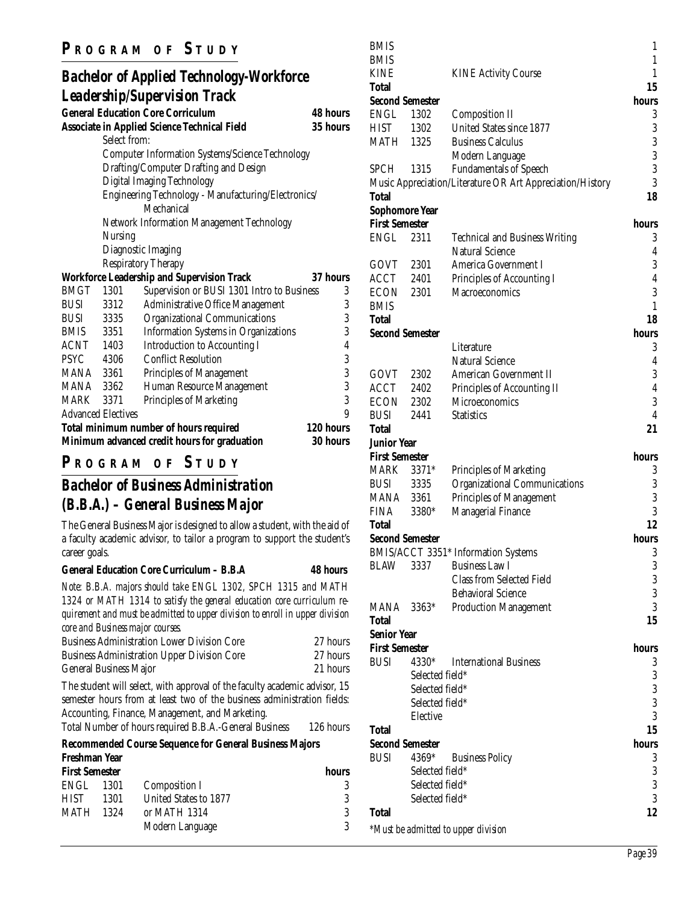### **P R OGRAM O F S TUDY**

#### *Bachelor of Applied Technology-Workforce Leadership/Supervision Track* **General Education Core Corriculum 48 hours**

|             |                           | General Equcation Core Corriculum                      | 48 nours        |
|-------------|---------------------------|--------------------------------------------------------|-----------------|
|             |                           | <b>Associate in Applied Science Technical Field</b>    | 35 hours        |
|             | Select from:              |                                                        |                 |
|             |                           | <b>Computer Information Systems/Science Technology</b> |                 |
|             |                           | Drafting/Computer Drafting and Design                  |                 |
|             |                           | Digital Imaging Technology                             |                 |
|             |                           | Engineering Technology - Manufacturing/Electronics/    |                 |
|             |                           | Mechanical                                             |                 |
|             |                           | <b>Network Information Management Technology</b>       |                 |
|             | Nursing                   |                                                        |                 |
|             |                           | Diagnostic Imaging                                     |                 |
|             |                           | <b>Respiratory Therapy</b>                             |                 |
|             |                           | <b>Workforce Leadership and Supervision Track</b>      | 37 hours        |
| <b>BMGT</b> | 1301                      | Supervision or BUSI 1301 Intro to Business             | 3               |
| BUSI        | 3312                      | Administrative Office Management                       | 3               |
| <b>BUSI</b> | 3335                      | Organizational Communications                          | 3               |
| BMIS 3351   |                           | <b>Information Systems in Organizations</b>            | 3               |
| ACNT 1403   |                           | <b>Introduction to Accounting I</b>                    | $\overline{4}$  |
| <b>PSYC</b> | 4306                      | <b>Conflict Resolution</b>                             | 3               |
| MANA 3361   |                           | Principles of Management                               | 3               |
| MANA 3362   |                           | Human Resource Management                              | 3               |
| MARK        | 3371                      | Principles of Marketing                                | 3               |
|             | <b>Advanced Electives</b> |                                                        | 9               |
|             |                           | Total minimum number of hours required                 | 120 hours       |
|             |                           | Minimum advanced credit hours for graduation           | <b>30 hours</b> |

## **P R OGRAM O F S TUDY**

## *Bachelor of Business Administration (B.B.A.) – General Business Major*

The General Business Major is designed to allow a student, with the aid of a faculty academic advisor, to tailor a program to support the student's career goals.

#### **General Education Core Curriculum – B.B.A 48 hours**

*Note: B.B.A. majors should take ENGL 1302, SPCH 1315 and MATH 1324 or MATH 1314 to satisfy the general education core curriculum requirement and must be admitted to upper division to enroll in upper division core and Business major courses.*

| <b>Business Administration Lower Division Core</b> | 27 hours |
|----------------------------------------------------|----------|
| <b>Business Administration Upper Division Core</b> | 27 hours |
| <b>General Business Major</b>                      | 21 hours |

The student will select, with approval of the faculty academic advisor, 15 semester hours from at least two of the business administration fields: Accounting, Finance, Management, and Marketing.

Total Number of hours required B.B.A.-General Business 126 hours

#### **Recommended Course Sequence for General Business Majors**

| hours |
|-------|
|       |
| 3     |
| 3     |
| 3     |
|       |

| BMIS                  |                        |                                                           | 1              |
|-----------------------|------------------------|-----------------------------------------------------------|----------------|
| <b>BMIS</b>           |                        |                                                           | $\mathbf{1}$   |
| <b>KINE</b>           |                        | <b>KINE Activity Course</b>                               | 1              |
| Total                 |                        |                                                           | 15             |
|                       | <b>Second Semester</b> |                                                           | hours          |
| ENGL                  | 1302                   | <b>Composition II</b>                                     | 3              |
| <b>HIST</b>           | 1302                   | United States since 1877                                  | 3              |
| <b>MATH 1325</b>      |                        | <b>Business Calculus</b>                                  | 3              |
|                       |                        | Modern Language                                           | 3              |
| <b>SPCH</b>           | 1315                   | <b>Fundamentals of Speech</b>                             | 3              |
|                       |                        | Music Appreciation/Literature OR Art Appreciation/History | 3              |
| Total                 |                        |                                                           | 18             |
|                       | <b>Sophomore Year</b>  |                                                           |                |
| <b>First Semester</b> |                        |                                                           | hours          |
| <b>ENGL</b>           | 2311                   | <b>Technical and Business Writing</b>                     | 3              |
|                       |                        | <b>Natural Science</b>                                    | 4              |
| GOVT 2301             |                        | America Government I                                      | 3              |
| ACCT 2401             |                        | Principles of Accounting I                                | 4              |
| ECON                  | 2301                   | <b>Macroeconomics</b>                                     | 3              |
| <b>BMIS</b>           |                        |                                                           | 1              |
| Total                 |                        |                                                           | 18             |
|                       | <b>Second Semester</b> |                                                           | hours          |
|                       |                        | Literature                                                | 3              |
|                       |                        | <b>Natural Science</b>                                    | 4              |
| GOVT 2302             |                        | American Government II                                    | 3              |
| ACCT 2402             |                        | Principles of Accounting II                               | 4              |
| ECON                  | 2302                   | Microeconomics                                            | 3              |
| <b>BUSI</b>           | 2441                   | <b>Statistics</b>                                         | $\overline{4}$ |
| Total                 |                        |                                                           | 21             |
| <b>Junior Year</b>    |                        |                                                           |                |
| <b>First Semester</b> |                        |                                                           | hours          |
| MARK                  | $3371*$                | Principles of Marketing                                   | 3              |
| <b>BUSI</b>           | 3335                   | <b>Organizational Communications</b>                      | 3              |
| MANA 3361             |                        | <b>Principles of Management</b>                           | 3              |
| <b>FINA</b>           | 3380*                  | Managerial Finance                                        | 3              |
| Total                 |                        |                                                           | 12             |
|                       | <b>Second Semester</b> |                                                           | hours          |
|                       |                        | BMIS/ACCT 3351* Information Systems                       | 3              |
| <b>BLAW</b>           | 3337                   | <b>Business Law I</b>                                     | 3              |
|                       |                        | <b>Class from Selected Field</b>                          | 3              |
|                       |                        | <b>Behavioral Science</b>                                 | 3              |
| MANA                  | 3363*                  | <b>Production Management</b>                              | 3              |
| Total                 |                        |                                                           | 15             |
| <b>Senior Year</b>    |                        |                                                           |                |
| <b>First Semester</b> |                        |                                                           | hours          |
| <b>BUSI</b>           | 4330*                  | <b>International Business</b>                             | 3              |
|                       | Selected field*        |                                                           | 3              |
|                       | Selected field*        |                                                           | 3              |
|                       | Selected field*        |                                                           | 3              |
|                       | Elective               |                                                           | 3              |
| Total                 |                        |                                                           | 15             |
|                       | <b>Second Semester</b> |                                                           | hours          |
| <b>BUSI</b>           | 4369*                  | <b>Business Policy</b>                                    | 3              |
|                       | Selected field*        |                                                           | 3              |
|                       | Selected field*        |                                                           | 3              |
|                       | Selected field*        |                                                           | 3              |
| <b>Total</b>          |                        |                                                           | 12             |
|                       |                        | *Must be admitted to upper division                       |                |
|                       |                        |                                                           |                |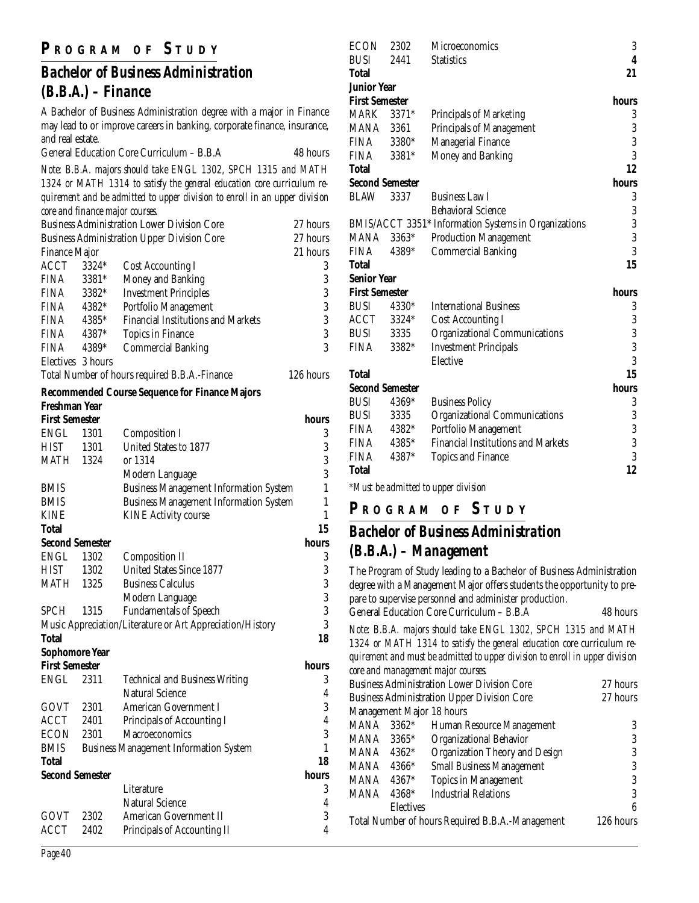## **P R OGRAM O F S TUDY**

## *Bachelor of Business Administration (B.B.A.) – Finance*

A Bachelor of Business Administration degree with a major in Finance may lead to or improve careers in banking, corporate finance, insurance, and real estate.

| General Education Core Curriculum - B.B.A | 48 hours |
|-------------------------------------------|----------|
|                                           |          |

*Note: B.B.A. majors should take ENGL 1302, SPCH 1315 and MATH 1324 or MATH 1314 to satisfy the general education core curriculum requirement and be admitted to upper division to enroll in an upper division core and finance major courses.*

| <b>Business Administration Lower Division Core</b> |         |                                                    | 27 hours  |
|----------------------------------------------------|---------|----------------------------------------------------|-----------|
|                                                    |         | <b>Business Administration Upper Division Core</b> | 27 hours  |
| <b>Finance Major</b>                               |         |                                                    | 21 hours  |
| ACCT                                               | $3324*$ | <b>Cost Accounting I</b>                           | 3         |
| <b>FINA</b>                                        | 3381*   | Money and Banking                                  | 3         |
| <b>FINA</b>                                        | $3382*$ | <b>Investment Principles</b>                       | 3         |
| <b>FINA</b>                                        | 4382*   | Portfolio Management                               | 3         |
| <b>FINA</b>                                        | 4385*   | <b>Financial Institutions and Markets</b>          | 3         |
| <b>FINA</b>                                        | 4387*   | Topics in Finance                                  | 3         |
| <b>FINA</b>                                        | 4389*   | <b>Commercial Banking</b>                          | 3         |
| Electives 3 hours                                  |         |                                                    |           |
| Total Number of hours required B.B.A.-Finance      |         |                                                    | 126 hours |

#### **Recommended Course Sequence for Finance Majors Freshman Year**

| <b>First Semester</b> |                        |                                                           | hours          |
|-----------------------|------------------------|-----------------------------------------------------------|----------------|
| <b>ENGL</b>           | 1301                   | <b>Composition I</b>                                      | 3              |
| <b>HIST</b>           | 1301                   | United States to 1877                                     |                |
| MATH                  | 1324                   | or 1314                                                   | $\frac{3}{3}$  |
|                       |                        | Modern Language                                           |                |
| <b>BMIS</b>           |                        | <b>Business Management Information System</b>             | $\mathbf{1}$   |
| <b>BMIS</b>           |                        | <b>Business Management Information System</b>             | $\mathbf{1}$   |
| <b>KINE</b>           |                        | <b>KINE Activity course</b>                               | $\mathbf{1}$   |
| <b>Total</b>          |                        |                                                           | 15             |
|                       | <b>Second Semester</b> |                                                           | hours          |
| <b>ENGL</b>           | 1302                   | <b>Composition II</b>                                     | 3              |
| <b>HIST</b>           | 1302                   | <b>United States Since 1877</b>                           | 3              |
| <b>MATH 1325</b>      |                        | <b>Business Calculus</b>                                  | $\frac{3}{3}$  |
|                       |                        | Modern Language                                           |                |
| <b>SPCH</b>           | 1315                   | <b>Fundamentals of Speech</b>                             |                |
|                       |                        | Music Appreciation/Literature or Art Appreciation/History | 3              |
| <b>Total</b>          |                        |                                                           | 18             |
|                       | <b>Sophomore Year</b>  |                                                           |                |
| <b>First Semester</b> |                        |                                                           | hours          |
| ENGL                  | 2311                   | <b>Technical and Business Writing</b>                     | 3              |
|                       |                        | Natural Science                                           | $\overline{4}$ |
| GOVT                  | 2301                   | <b>American Government I</b>                              | 3              |
| ACCT                  | 2401                   | Principals of Accounting I                                | $\overline{4}$ |
| ECON                  | 2301                   | Macroeconomics                                            | 3              |
| <b>BMIS</b>           |                        | <b>Business Management Information System</b>             | 1              |
| <b>Total</b>          |                        |                                                           | 18             |
|                       | <b>Second Semester</b> |                                                           | hours          |
|                       |                        | Literature                                                | 3              |
|                       |                        | <b>Natural Science</b>                                    | $\overline{4}$ |
| GOVT                  | 2302                   | <b>American Government II</b>                             | 3              |
| <b>ACCT</b>           | 2402                   | Principals of Accounting II                               | $\overline{4}$ |

| ECON                  | 2302                              | Microeconomics                                       | 3              |
|-----------------------|-----------------------------------|------------------------------------------------------|----------------|
| <b>BUSI</b>           | 2441                              | <b>Statistics</b>                                    | $\overline{4}$ |
| Total                 |                                   |                                                      | 21             |
| <b>Junior Year</b>    |                                   |                                                      |                |
| <b>First Semester</b> |                                   |                                                      | hours          |
| <b>MARK</b>           | $3371*$                           | Principals of Marketing                              | 3              |
| MANA                  | 3361                              | Principals of Management                             | 3              |
| <b>FINA</b>           | 3380*                             | <b>Managerial Finance</b>                            | 3              |
| <b>FINA</b>           | 3381*                             | Money and Banking                                    | 3              |
| Total                 |                                   |                                                      | 12             |
|                       | <b>Second Semester</b>            |                                                      | hours          |
| <b>BLAW</b>           | 3337                              | <b>Business Law I</b>                                | 3              |
|                       |                                   | <b>Behavioral Science</b>                            | 3              |
|                       |                                   | BMIS/ACCT 3351* Information Systems in Organizations | 3              |
| MANA                  | 3363*                             | <b>Production Management</b>                         | 3              |
| <b>FINA</b>           | 4389*                             | <b>Commercial Banking</b>                            | 3              |
| <b>Total</b>          |                                   |                                                      | 15             |
| <b>Senior Year</b>    |                                   |                                                      |                |
| <b>First Semester</b> |                                   |                                                      | hours          |
| <b>BUSI</b>           | 4330*                             | <b>International Business</b>                        | 3              |
| ACCT                  | 3324*                             | <b>Cost Accounting I</b>                             | 3              |
| BUSI                  | 3335                              | <b>Organizational Communications</b>                 | $\frac{3}{3}$  |
| FINA                  | 3382*                             | <b>Investment Principals</b>                         |                |
|                       |                                   | Elective                                             | 3              |
| <b>Total</b>          |                                   |                                                      | 15             |
|                       | <b>Second Semester</b>            |                                                      | hours          |
| <b>BUSI</b>           | 4369*                             | <b>Business Policy</b>                               | 3              |
| <b>BUSI</b>           | 3335                              | <b>Organizational Communications</b>                 | 3              |
| FINA                  | 4382*                             | Portfolio Management                                 | 3              |
| <b>FINA</b>           | 4385*                             | <b>Financial Institutions and Markets</b>            | $\overline{3}$ |
| <b>FINA</b>           | 4387*                             | <b>Topics and Finance</b>                            | 3              |
| <b>Total</b>          |                                   |                                                      | 12             |
|                       | $\forall x \in \{1, 1, 1, 1, 1\}$ |                                                      |                |

*\*Must be admitted to upper division*

**P R OGRAM O F S TUDY**

## *Bachelor of Business Administration (B.B.A.) – Management*

The Program of Study leading to a Bachelor of Business Administration degree with a Management Major offers students the opportunity to prepare to supervise personnel and administer production.

|  | General Education Core Curriculum – B.B.A | 48 hours |
|--|-------------------------------------------|----------|

*Note: B.B.A. majors should take ENGL 1302, SPCH 1315 and MATH 1324 or MATH 1314 to satisfy the general education core curriculum requirement and must be admitted to upper division to enroll in upper division core and management major courses.*

|                                                    |                                                  | core ana management major courses.                 |          |
|----------------------------------------------------|--------------------------------------------------|----------------------------------------------------|----------|
| <b>Business Administration Lower Division Core</b> |                                                  |                                                    | 27 hours |
|                                                    |                                                  | <b>Business Administration Upper Division Core</b> | 27 hours |
| Management Major 18 hours                          |                                                  |                                                    |          |
| <b>MANA</b>                                        | $3362*$                                          | Human Resource Management                          | 3        |
| MANA                                               | $3365*$                                          | <b>Organizational Behavior</b>                     | 3        |
| MANA                                               | 4362*                                            | Organization Theory and Design                     | 3        |
| MANA                                               | 4366*                                            | <b>Small Business Management</b>                   | 3        |
| <b>MANA</b>                                        | 4367*                                            | <b>Topics in Management</b>                        | 3        |
| <b>MANA</b>                                        | 4368*                                            | <b>Industrial Relations</b>                        | 3        |
|                                                    | <b>Electives</b>                                 |                                                    | 6        |
|                                                    | Total Number of hours Required B.B.A.-Management |                                                    |          |
|                                                    |                                                  |                                                    |          |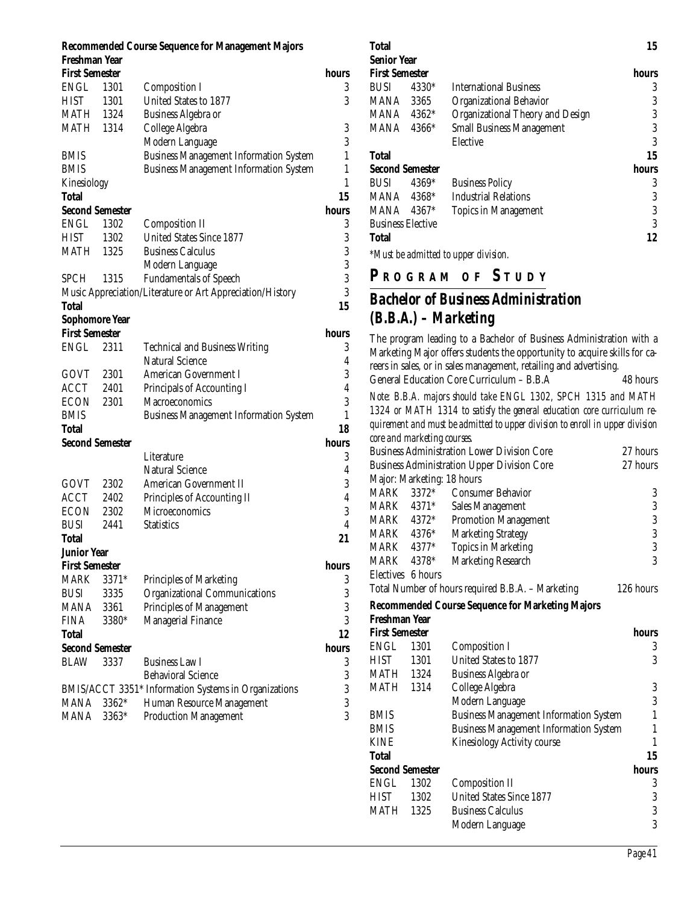#### **Recommended Course Sequence for Management Majors Freshman Year First Semester hours** ENGL 1301 Composition I 3 HIST 1301 United States to 1877 3 MATH 1324 Business Algebra or MATH 1314 College Algebra 3 Modern Language 3 BMIS Business Management Information System 1 BMIS Business Management Information System 1 Kinesiology 1 **Total 15 Second Semester hours** hours ENGL 1302 Composition II 3 HIST 1302 United States Since 1877 3 MATH 1325 Business Calculus 3 Modern Language 3 SPCH 1315 Fundamentals of Speech 3 Music Appreciation/Literature or Art Appreciation/History 3 **Total 15 Sophomore Year First Semester hours** ENGL 2311 Technical and Business Writing 3 Natural Science 4 GOVT 2301 American Government I 3 ACCT 2401 Principals of Accounting I 4 ECON 2301 Macroeconomics 3 BMIS Business Management Information System 1 **Total 18 Second Semester hours** hours Literature 3 Natural Science 4 GOVT 2302 American Government II 3 ACCT 2402 Principles of Accounting II 4 ECON 2302 Microeconomics 3 BUSI 2441 Statistics 4 **Total 21 Junior Year First Semester hours** MARK 3371\* Principles of Marketing 3 BUSI 3335 Organizational Communications 3 MANA 3361 Principles of Management 3 FINA 3380\* Managerial Finance 3 **Total 12 Second Semester hours** BLAW 3337 Business Law I 3 Behavioral Science 3 BMIS/ACCT 3351\* Information Systems in Organizations 3 MANA 3362\* Human Resource Management 3 MANA 3363\* Production Management 3

#### **First Semester hours** BUSI 4330\* International Business 3 MANA 3365 Organizational Behavior 3 MANA 4362<sup>\*</sup> Organizational Theory and Design 3 MANA 4366\* Small Business Management 3 Elective 3 **Total 15 Second Semester hours** BUSI 4369\* Business Policy 3 MANA 4368\* Industrial Relations 3 MANA 4367<sup>\*</sup> Topics in Management 3 Business Elective 3 **Total 12** *\*Must be admitted to upper division.* **P R OGRAM O F S TUDY** *Bachelor of Business Administration (B.B.A.) – Marketing* The program leading to a Bachelor of Business Administration with a Marketing Major offers students the opportunity to acquire skills for careers in sales, or in sales management, retailing and advertising. General Education Core Curriculum – B.B.A 48 hours *Note: B.B.A. majors should take ENGL 1302, SPCH 1315 and MATH 1324 or MATH 1314 to satisfy the general education core curriculum requirement and must be admitted to upper division to enroll in upper division core and marketing courses.* Business Administration Lower Division Core 27 hours<br>Business Administration Upper Division Core 27 hours Business Administration Upper Division Core Major: Marketing: 18 hours MARK 3372\* Consumer Behavior 3 MARK 4371\* Sales Management 3<br>MARK 4372\* Promotion Management 3 MARK 4372\* Promotion Management<br>MARK 4376\* Marketing Strategy MARK 4376\* Marketing Strategy 3 MARK 4377<sup>\*</sup> Topics in Marketing 3 MARK 4378\* Marketing Research 3 Electives 6 hours Total Number of hours required B.B.A. – Marketing 126 hours **Recommended Course Sequence for Marketing Majors Freshman Year First Semester hours** ENGL 1301 Composition I 3 HIST 1301 United States to 1877 3 MATH 1324 Business Algebra or MATH 1314 College Algebra 3 Modern Language 3 BMIS Business Management Information System 1 BMIS Business Management Information System 1 KINE Kinesiology Activity course 1 **Total 15 Second Semester hours** ENGL 1302 Composition II 3<br>HIST 1302 United States Since 1877 3 HIST 1302 United States Since 1877 MATH 1325 Business Calculus 3<br>3<br>3

Modern Language

**Total 15**

**Senior Year**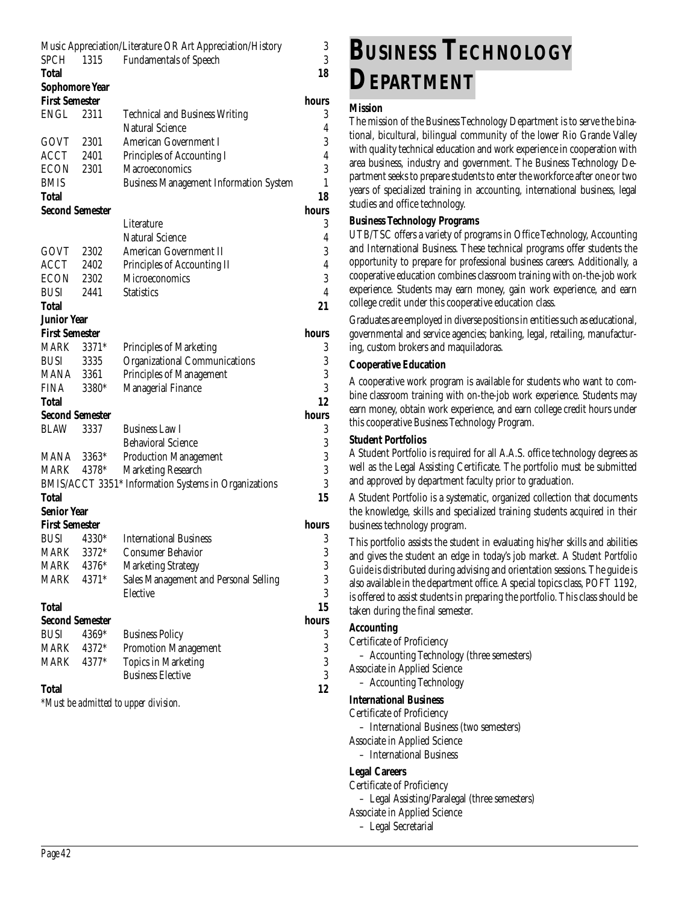|                       |                        | Music Appreciation/Literature OR Art Appreciation/History | 3              |
|-----------------------|------------------------|-----------------------------------------------------------|----------------|
| SPCH 1315             |                        | <b>Fundamentals of Speech</b>                             | 3              |
| <b>Total</b>          |                        |                                                           | 18             |
| <b>Sophomore Year</b> |                        |                                                           |                |
| <b>First Semester</b> |                        |                                                           | hours          |
| <b>ENGL</b>           | 2311                   | <b>Technical and Business Writing</b>                     | 3              |
|                       |                        | <b>Natural Science</b>                                    | 4              |
| GOVT                  | 2301                   | <b>American Government I</b>                              | 3              |
| ACCT                  | 2401                   | Principles of Accounting I                                | $\overline{4}$ |
| ECON                  | 2301                   | <b>Macroeconomics</b>                                     | 3              |
| <b>BMIS</b>           |                        | <b>Business Management Information System</b>             | 1              |
| Total                 |                        |                                                           | 18             |
|                       | <b>Second Semester</b> |                                                           | hours          |
|                       |                        | Literature                                                | 3              |
|                       |                        | <b>Natural Science</b>                                    | 4              |
| GOVT                  | 2302                   | American Government II                                    | 3              |
| ACCT                  | 2402                   | Principles of Accounting II                               | $\overline{4}$ |
| ECON                  | 2302                   | <b>Microeconomics</b>                                     | 3              |
| <b>BUSI</b>           | 2441                   | <b>Statistics</b>                                         | $\overline{4}$ |
| Total                 |                        |                                                           | 21             |
| Junior Year           |                        |                                                           |                |
| <b>First Semester</b> |                        |                                                           | hours          |
| MARK                  | $3371*$                | Principles of Marketing                                   | 3              |
| <b>BUSI</b>           | 3335                   | <b>Organizational Communications</b>                      | 3              |
| <b>MANA</b> 3361      |                        | Principles of Management                                  | 3              |
| <b>FINA</b>           | 3380*                  | <b>Managerial Finance</b>                                 | 3              |
| Total                 |                        |                                                           | 12             |
|                       | <b>Second Semester</b> |                                                           | hours          |
| <b>BLAW</b>           | 3337                   | <b>Business Law I</b>                                     | 3              |
|                       |                        | <b>Behavioral Science</b>                                 | 3              |
| MANA                  | 3363*                  | <b>Production Management</b>                              | 3              |
| MARK                  | 4378*                  | <b>Marketing Research</b>                                 | 3              |
|                       |                        | BMIS/ACCT 3351* Information Systems in Organizations      | 3              |
| Total                 |                        |                                                           | 15             |
| <b>Senior Year</b>    |                        |                                                           |                |
| <b>First Semester</b> |                        |                                                           | hours          |
| <b>BUSI</b>           | 4330*                  | <b>International Business</b>                             | 3              |
| <b>MARK</b>           | 3372*                  | <b>Consumer Behavior</b>                                  | 3              |
| MARK                  | 4376*                  | <b>Marketing Strategy</b>                                 | 3              |
| MARK                  | 4371*                  | Sales Management and Personal Selling                     | 3              |
|                       |                        | Elective                                                  | 3              |
| <b>Total</b>          |                        |                                                           | 15             |
|                       | <b>Second Semester</b> |                                                           | hours          |
| <b>BUSI</b>           | 4369*                  | <b>Business Policy</b>                                    | 3              |
| MARK                  | 4372*                  | <b>Promotion Management</b>                               | 3              |
| MARK                  | 4377*                  | <b>Topics in Marketing</b>                                | 3              |
|                       |                        | <b>Business Elective</b>                                  | 3              |
| <b>Total</b>          |                        |                                                           | 12             |
|                       |                        | *Must be admitted to upper division.                      |                |
|                       |                        |                                                           |                |

**BUSINESS TECHNOLOGY DEPARTMENT**

#### **Mission**

The mission of the Business Technology Department is to serve the binational, bicultural, bilingual community of the lower Rio Grande Valley with quality technical education and work experience in cooperation with area business, industry and government. The Business Technology Department seeks to prepare students to enter the workforce after one or two years of specialized training in accounting, international business, legal studies and office technology.

#### **Business Technology Programs**

UTB/TSC offers a variety of programs in Office Technology, Accounting and International Business. These technical programs offer students the opportunity to prepare for professional business careers. Additionally, a cooperative education combines classroom training with on-the-job work experience. Students may earn money, gain work experience, and earn college credit under this cooperative education class.

Graduates are employed in diverse positions in entities such as educational, governmental and service agencies; banking, legal, retailing, manufacturing, custom brokers and maquiladoras.

#### **Cooperative Education**

A cooperative work program is available for students who want to combine classroom training with on-the-job work experience. Students may earn money, obtain work experience, and earn college credit hours under this cooperative Business Technology Program.

#### **Student Portfolios**

A Student Portfolio is required for all A.A.S. office technology degrees as well as the Legal Assisting Certificate. The portfolio must be submitted and approved by department faculty prior to graduation.

A Student Portfolio is a systematic, organized collection that documents the knowledge, skills and specialized training students acquired in their business technology program.

This portfolio assists the student in evaluating his/her skills and abilities and gives the student an edge in today's job market. A *Student Portfolio Guide* is distributed during advising and orientation sessions. The guide is also available in the department office. A special topics class, POFT 1192, is offered to assist students in preparing the portfolio. This class should be taken during the final semester.

#### **Accounting**

- Certificate of Proficiency
- Accounting Technology (three semesters)
- Associate in Applied Science
- Accounting Technology

#### **International Business**

- Certificate of Proficiency
- International Business (two semesters)
- Associate in Applied Science
- International Business

#### **Legal Careers**

- Certificate of Proficiency – Legal Assisting/Paralegal (three semesters) Associate in Applied Science
	- Legal Secretarial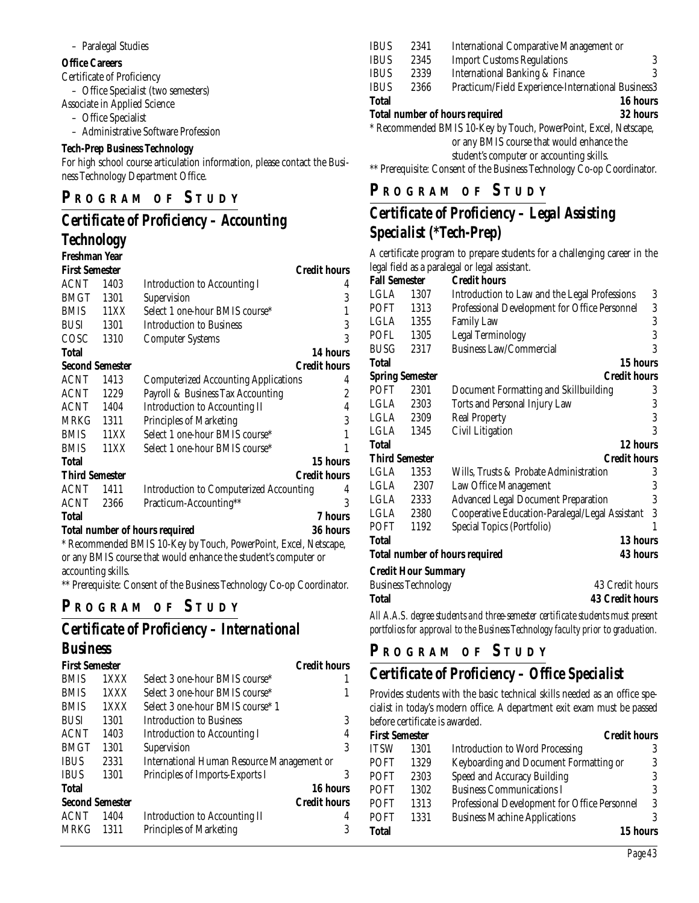#### – Paralegal Studies

#### **Office Careers**

Certificate of Proficiency

– Office Specialist (two semesters)

- Associate in Applied Science
	- Office Specialist
	- Administrative Software Profession

#### **Tech-Prep Business Technology**

For high school course articulation information, please contact the Business Technology Department Office.

#### **P R OGRAM O F S TUDY**

#### *Certificate of Proficiency – Accounting Technology*

#### **Freshman Year**

| ritoimman ruu          |                                                   |                                                                  |                     |  |
|------------------------|---------------------------------------------------|------------------------------------------------------------------|---------------------|--|
| <b>First Semester</b>  |                                                   |                                                                  | <b>Credit hours</b> |  |
| ACNT                   | 1403                                              | <b>Introduction to Accounting I</b>                              | 4                   |  |
| <b>BMGT</b>            | 1301                                              | Supervision                                                      | 3                   |  |
| <b>BMIS</b>            | 11XX                                              | Select 1 one-hour BMIS course*                                   | 1                   |  |
| <b>BUSI</b>            | 1301                                              | <b>Introduction to Business</b>                                  | 3                   |  |
| COSC                   | 1310                                              | <b>Computer Systems</b>                                          | 3                   |  |
| <b>Total</b>           |                                                   |                                                                  | 14 hours            |  |
| <b>Second Semester</b> |                                                   |                                                                  | <b>Credit hours</b> |  |
| <b>ACNT</b>            | 1413                                              | <b>Computerized Accounting Applications</b>                      | 4                   |  |
| <b>ACNT</b>            | 1229                                              | Payroll & Business Tax Accounting                                | $\overline{2}$      |  |
| <b>ACNT</b>            | 1404                                              | <b>Introduction to Accounting II</b>                             | 4                   |  |
| MRKG                   | 1311                                              | <b>Principles of Marketing</b>                                   | 3                   |  |
| <b>BMIS</b>            | 11XX                                              | Select 1 one-hour BMIS course*                                   | 1                   |  |
| <b>BMIS</b>            | 11XX                                              | Select 1 one-hour BMIS course*                                   | 1                   |  |
| <b>Total</b>           |                                                   |                                                                  | 15 hours            |  |
| <b>Third Semester</b>  |                                                   |                                                                  | <b>Credit hours</b> |  |
| <b>ACNT</b>            | 1411                                              | Introduction to Computerized Accounting                          | 4                   |  |
| ACNT                   | 2366                                              | Practicum-Accounting**                                           | 3                   |  |
| <b>Total</b>           |                                                   |                                                                  | <b>7 hours</b>      |  |
|                        | 36 hours<br><b>Total number of hours required</b> |                                                                  |                     |  |
|                        |                                                   | * Recommended BMIS 10-Key by Touch, PowerPoint, Excel, Netscape, |                     |  |
|                        |                                                   |                                                                  |                     |  |

or any BMIS course that would enhance the student's computer or accounting skills.

\*\* Prerequisite: Consent of the Business Technology Co-op Coordinator.

#### **P <sup>R</sup> OGRAM O F S TUDY**

## *Certificate of Proficiency – International*

#### *Business*

| <b>First Semester</b>  |      |                                                   | <b>Credit hours</b> |
|------------------------|------|---------------------------------------------------|---------------------|
| <b>BMIS</b>            | 1XXX | Select 3 one-hour BMIS course*                    |                     |
| <b>BMIS</b>            | 1XXX | Select 3 one-hour BMIS course*                    |                     |
| <b>BMIS</b>            | 1XXX | Select 3 one-hour BMIS course* 1                  |                     |
| <b>BUSI</b>            | 1301 | Introduction to Business                          | 3                   |
| <b>ACNT</b>            | 1403 | Introduction to Accounting I                      | 4                   |
| <b>BMGT</b>            | 1301 | Supervision                                       | 3                   |
| <b>IBUS</b>            | 2331 | <b>International Human Resource Management or</b> |                     |
| <b>IBUS</b>            | 1301 | Principles of Imports-Exports I                   | 3                   |
| <b>Total</b>           |      |                                                   | 16 hours            |
| <b>Second Semester</b> |      |                                                   | <b>Credit hours</b> |
| <b>ACNT</b>            | 1404 | <b>Introduction to Accounting II</b>              | 4                   |
| <b>MRKG</b>            | 1311 | <b>Principles of Marketing</b>                    | 3                   |

|                                                                  | or any <b>PMIS</b> course that would enhance the  |                                                    |          |  |
|------------------------------------------------------------------|---------------------------------------------------|----------------------------------------------------|----------|--|
| * Recommended BMIS 10-Key by Touch, PowerPoint, Excel, Netscape, |                                                   |                                                    |          |  |
|                                                                  | <b>Total number of hours required</b><br>32 hours |                                                    |          |  |
| <b>Total</b>                                                     |                                                   |                                                    | 16 hours |  |
| <b>IBUS</b>                                                      | 2366                                              | Practicum/Field Experience-International Business3 |          |  |
| <b>IBUS</b>                                                      | 2339                                              | <b>International Banking &amp; Finance</b>         |          |  |
| <b>IBUS</b>                                                      | 2345                                              | <b>Import Customs Regulations</b>                  |          |  |
| <b>IBUS</b>                                                      | 2341                                              | <b>International Comparative Management or</b>     |          |  |

or any BMIS course that would enhance the

student's computer or accounting skills.

\*\* Prerequisite: Consent of the Business Technology Co-op Coordinator.

### **P R OGRAM O F S TUDY**

## *Certificate of Proficiency – Legal Assisting Specialist (\*Tech-Prep)*

A certificate program to prepare students for a challenging career in the legal field as a paralegal or legal assistant.

| <b>Fall Semester</b>   |                            | <b>Credit hours</b>                                      |   |
|------------------------|----------------------------|----------------------------------------------------------|---|
| LGLA                   | 1307                       | Introduction to Law and the Legal Professions            | 3 |
| <b>POFT</b>            | 1313                       | Professional Development for Office Personnel            | 3 |
| LGLA                   | 1355                       | <b>Family Law</b>                                        | 3 |
| <b>POFL</b>            | 1305                       | Legal Terminology                                        | 3 |
| <b>BUSG</b>            | 2317                       | <b>Business Law/Commercial</b>                           | 3 |
| Total                  |                            | 15 hours                                                 |   |
| <b>Spring Semester</b> |                            | <b>Credit hours</b>                                      |   |
| <b>POFT</b>            | 2301                       | Document Formatting and Skillbuilding                    | 3 |
| LGLA                   | 2303                       | Torts and Personal Injury Law                            | 3 |
| LGLA                   | 2309                       | <b>Real Property</b>                                     | 3 |
| LGLA                   | 1345                       | Civil Litigation                                         | 3 |
| Total                  |                            | 12 hours                                                 |   |
| <b>Third Semester</b>  |                            | <b>Credit hours</b>                                      |   |
| LGLA                   | 1353                       | Wills, Trusts & Probate Administration                   | 3 |
| LGLA                   | 2307                       | Law Office Management                                    | 3 |
| LGLA                   | 2333                       | <b>Advanced Legal Document Preparation</b>               | 3 |
| LGLA                   | 2380                       | Cooperative Education-Paralegal/Legal Assistant          | 3 |
| POFT                   | 1192                       | Special Topics (Portfolio)                               | 1 |
| Total                  |                            | 13 hours                                                 |   |
|                        |                            | <b>43 hours</b><br><b>Total number of hours required</b> |   |
|                        | <b>Credit Hour Summary</b> |                                                          |   |
|                        | <b>Business Technology</b> | 43 Credit hours                                          |   |
| Total                  |                            | <b>43 Credit hours</b>                                   |   |

*All A.A.S. degree students and three-semester certificate students must present portfolios for approval to the Business Technology faculty prior to graduation.*

## **P <sup>R</sup> OGRAM O F S TUDY**

## *Certificate of Proficiency – Office Specialist*

Provides students with the basic technical skills needed as an office specialist in today's modern office. A department exit exam must be passed before certificate is awarded.

| <b>First Semester</b> |      | <b>Credit hours</b>                           |   |
|-----------------------|------|-----------------------------------------------|---|
| ITSW                  | 1301 | <b>Introduction to Word Processing</b>        |   |
| POFT                  | 1329 | Keyboarding and Document Formatting or        |   |
| <b>POFT</b>           | 2303 | Speed and Accuracy Building                   |   |
| <b>POFT</b>           | 1302 | <b>Business Communications I</b>              |   |
| <b>POFT</b>           | 1313 | Professional Development for Office Personnel | 3 |
| <b>POFT</b>           | 1331 | <b>Business Machine Applications</b>          |   |
| Total                 |      | 15 hours                                      |   |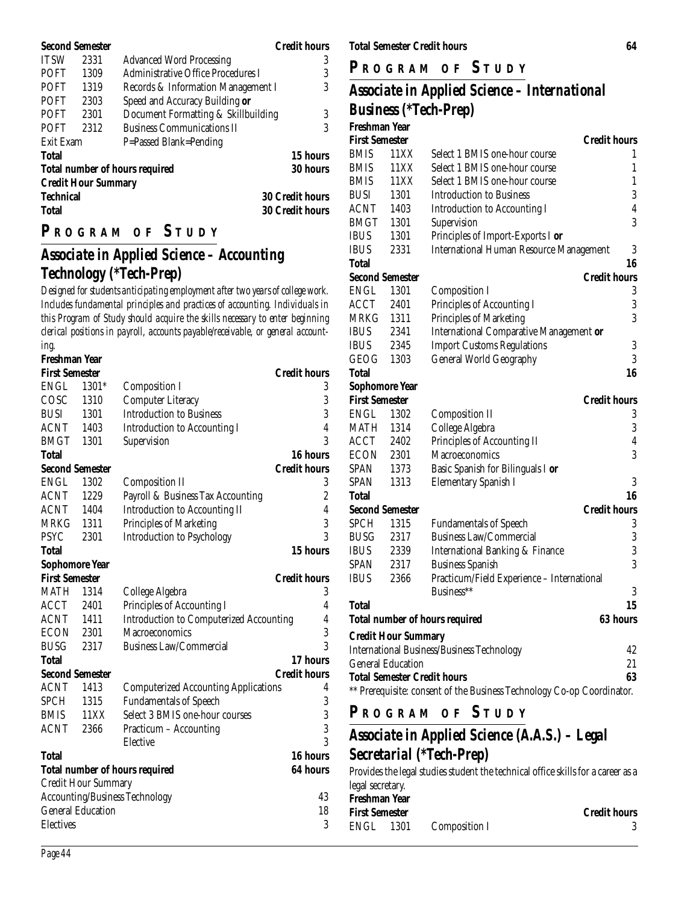| <b>Second Semester</b> |                            |                                       | <b>Credit hours</b>    |  |  |
|------------------------|----------------------------|---------------------------------------|------------------------|--|--|
| <b>ITSW</b>            | 2331                       | <b>Advanced Word Processing</b>       | 3                      |  |  |
| <b>POFT</b>            | 1309                       | Administrative Office Procedures I    | 3                      |  |  |
| <b>POFT</b>            | 1319                       | Records & Information Management I    | 3                      |  |  |
| <b>POFT</b>            | 2303                       | Speed and Accuracy Building or        |                        |  |  |
| <b>POFT</b>            | 2301                       | Document Formatting & Skillbuilding   | 3                      |  |  |
| <b>POFT</b>            | 2312                       | <b>Business Communications II</b>     | 3                      |  |  |
| Exit Exam              |                            | P=Passed Blank=Pending                |                        |  |  |
| <b>Total</b>           |                            |                                       | <b>15 hours</b>        |  |  |
|                        |                            | <b>Total number of hours required</b> | <b>30 hours</b>        |  |  |
|                        | <b>Credit Hour Summary</b> |                                       |                        |  |  |
| Technical              |                            | <b>30 Credit hours</b>                |                        |  |  |
| Total                  |                            |                                       | <b>30 Credit hours</b> |  |  |

#### **P R OGRAM O F S TUDY**

## *Associate in Applied Science – Accounting Technology (\*Tech-Prep)*

*Designed for students anticipating employment after two years of college work. Includes fundamental principles and practices of accounting. Individuals in this Program of Study should acquire the skills necessary to enter beginning clerical positions in payroll, accounts payable/receivable, or general accounting.*

**Freshman Year First Semester Credit hours** ENGL 1301\* Composition I 3 COSC 1310 Computer Literacy 3 BUSI 1301 Introduction to Business 3 ACNT 1403 Introduction to Accounting I 4 BMGT 1301 Supervision 3 **Total 16 hours Second Semester Credit hours** ENGL 1302 Composition II 3<br>ACNT 1229 Payroll & Business Tax Accounting 2 1229 Payroll & Business Tax Accounting 2 ACNT 1404 Introduction to Accounting II 4 MRKG 1311 Principles of Marketing 3 PSYC 2301 Introduction to Psychology 3 **Total 15 hours Sophomore Year First Semester Credit hours** MATH 1314 College Algebra 3 ACCT 2401 Principles of Accounting I 4 ACNT 1411 Introduction to Computerized Accounting 4 ECON 2301 Macroeconomics 3<br>RUSG 2317 Business Law/Commercial 3 BUSG 2317 Business Law/Commercial **Total 17 hours Second Semester Credit hours** ACNT 1413 Computerized Accounting Applications 4 SPCH 1315 Fundamentals of Speech 3<br>BMIS 11XX Select 3 BMIS one-hour courses 3 BMIS 11XX Select 3 BMIS one-hour courses ACNT 2366 Practicum – Accounting 3 Elective **Total 16 hours Total number of hours required 64 hours** Credit Hour Summary Accounting/Business Technology 43 General Education 18 Electives 3

**Total Semester Credit hours 64**

**P R OGRAM O F S TUDY**

#### *Associate in Applied Science – International Business (\*Tech-Prep)* **Freshman Year**

| гтсэннин тсаг         |                            |                                                                        |                         |
|-----------------------|----------------------------|------------------------------------------------------------------------|-------------------------|
| <b>First Semester</b> |                            |                                                                        | <b>Credit hours</b>     |
| BMIS                  | 11XX                       | Select 1 BMIS one-hour course                                          | 1                       |
| BMIS                  | 11XX                       | Select 1 BMIS one-hour course                                          | 1                       |
| <b>BMIS</b>           | 11XX                       | Select 1 BMIS one-hour course                                          | $\mathbf{1}$            |
| <b>BUSI</b>           | 1301                       | <b>Introduction to Business</b>                                        | 3                       |
| ACNT                  | 1403                       | <b>Introduction to Accounting I</b>                                    | $\overline{\mathbf{4}}$ |
| <b>BMGT</b>           | 1301                       | Supervision                                                            | 3                       |
| <b>IBUS</b>           | 1301                       | Principles of Import-Exports I or                                      |                         |
| <b>IBUS</b>           | 2331                       | <b>International Human Resource Management</b>                         | 3                       |
| <b>Total</b>          |                            |                                                                        | 16                      |
|                       | Second Semester            |                                                                        | <b>Credit hours</b>     |
| ENGL                  | 1301                       | <b>Composition I</b>                                                   | 3                       |
| <b>ACCT</b>           | 2401                       | Principles of Accounting I                                             | $\overline{3}$          |
| MRKG                  | 1311                       | Principles of Marketing                                                | 3                       |
| IBUS                  | 2341                       | <b>International Comparative Management or</b>                         |                         |
| <b>IBUS</b>           | 2345                       | <b>Import Customs Regulations</b>                                      | 3                       |
| GEOG                  | 1303                       | General World Geography                                                | 3                       |
| Total                 |                            |                                                                        | 16                      |
| <b>Sophomore Year</b> |                            |                                                                        |                         |
| <b>First Semester</b> |                            |                                                                        | <b>Credit hours</b>     |
| <b>ENGL</b>           | 1302                       | <b>Composition II</b>                                                  | 3                       |
| MATH                  | 1314                       | College Algebra                                                        | $\boldsymbol{3}$        |
| ACCT                  | 2402                       | Principles of Accounting II                                            | $\overline{4}$          |
| <b>ECON</b>           | 2301                       | Macroeconomics                                                         | 3                       |
| SPAN                  | 1373                       | Basic Spanish for Bilinguals I or                                      |                         |
| <b>SPAN</b>           | 1313                       | <b>Elementary Spanish I</b>                                            | 3                       |
| Total                 |                            |                                                                        | 16                      |
|                       | Second Semester            |                                                                        | <b>Credit hours</b>     |
| <b>SPCH</b>           | 1315                       | <b>Fundamentals of Speech</b>                                          | 3                       |
| BUSG                  | 2317                       | <b>Business Law/Commercial</b>                                         | 3                       |
| <b>IBUS</b>           | 2339                       | <b>International Banking &amp; Finance</b>                             | 3                       |
| SPAN                  | 2317                       | <b>Business Spanish</b>                                                | 3                       |
| <b>IBUS</b>           | 2366                       | Practicum/Field Experience - International                             |                         |
|                       |                            | Business**                                                             | 3                       |
| <b>Total</b>          |                            |                                                                        | 15                      |
|                       |                            | <b>Total number of hours required</b>                                  | 63 hours                |
|                       | <b>Credit Hour Summary</b> |                                                                        |                         |
|                       |                            | <b>International Business/Business Technology</b>                      | 42                      |
|                       | General Education          |                                                                        | 21                      |
|                       |                            | <b>Total Semester Credit hours</b>                                     | 63                      |
|                       |                            | ** Prerequisite: consent of the Business Technology Co-op Coordinator. |                         |
|                       |                            |                                                                        |                         |

**P <sup>R</sup> OGRAM O F S TUDY**

## *Associate in Applied Science (A.A.S.) – Legal Secretarial (\*Tech-Prep)*

Provides the legal studies student the technical office skills for a career as a legal secretary. **Freshman Year**

| 11wiiikui 10u         |               |                     |
|-----------------------|---------------|---------------------|
| <b>First Semester</b> |               | <b>Credit hours</b> |
| ENGL 1301             | Composition I |                     |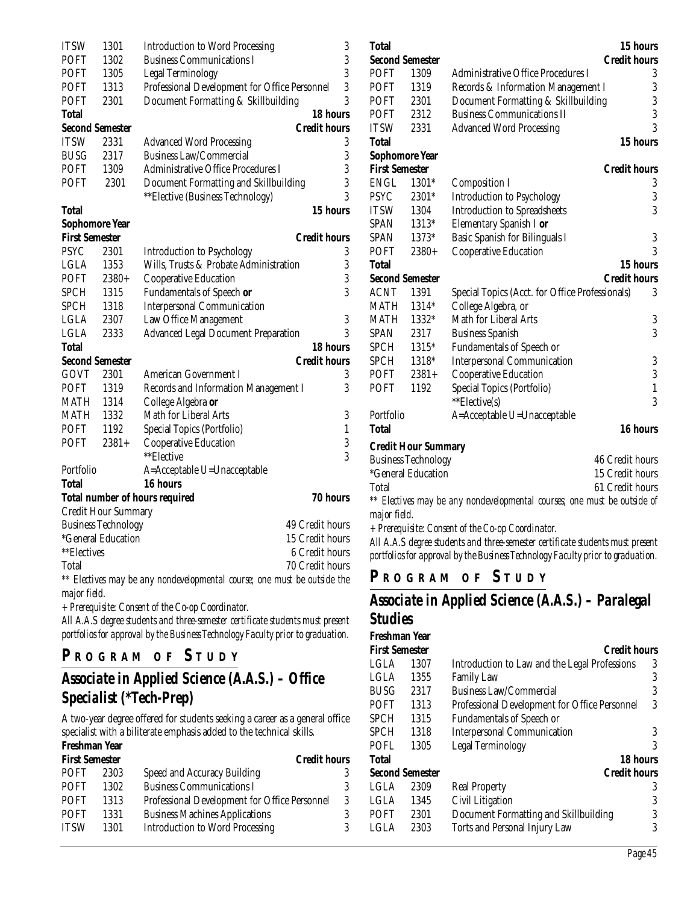| <b>ITSW</b>                | 1301                       | <b>Introduction to Word Processing</b>                                   | 3                   |
|----------------------------|----------------------------|--------------------------------------------------------------------------|---------------------|
| POFT                       | 1302                       | <b>Business Communications I</b>                                         | 3                   |
| <b>POFT</b>                | 1305                       | Legal Terminology                                                        | 3                   |
| <b>POFT</b>                | 1313                       | Professional Development for Office Personnel                            | 3                   |
| <b>POFT</b>                | 2301                       | Document Formatting & Skillbuilding                                      | 3                   |
| <b>Total</b>               |                            |                                                                          | 18 hours            |
| <b>Second Semester</b>     |                            |                                                                          | <b>Credit hours</b> |
| <b>ITSW</b>                | 2331                       | <b>Advanced Word Processing</b>                                          | 3                   |
| <b>BUSG</b>                | 2317                       | <b>Business Law/Commercial</b>                                           | 3                   |
| <b>POFT</b>                | 1309                       | <b>Administrative Office Procedures I</b>                                | 3                   |
| <b>POFT</b>                | 2301                       | Document Formatting and Skillbuilding                                    | 3                   |
|                            |                            | ** Elective (Business Technology)                                        | 3                   |
| Total                      |                            |                                                                          | 15 hours            |
| <b>Sophomore Year</b>      |                            |                                                                          |                     |
| <b>First Semester</b>      |                            |                                                                          | <b>Credit hours</b> |
| <b>PSYC</b>                | 2301                       | <b>Introduction to Psychology</b>                                        | 3                   |
| <b>LGLA</b>                | 1353                       | Wills, Trusts & Probate Administration                                   | 3                   |
| <b>POFT</b>                | $2380+$                    | Cooperative Education                                                    | 3                   |
| <b>SPCH</b>                | 1315                       | Fundamentals of Speech or                                                | 3                   |
| <b>SPCH</b>                | 1318                       | <b>Interpersonal Communication</b>                                       |                     |
| <b>LGLA</b>                | 2307                       | Law Office Management                                                    | 3                   |
| <b>LGLA</b>                | 2333                       | <b>Advanced Legal Document Preparation</b>                               | 3                   |
| Total                      |                            |                                                                          | 18 hours            |
| Second Semester            |                            |                                                                          | <b>Credit hours</b> |
| <b>GOVT</b>                | 2301                       | <b>American Government I</b>                                             | 3                   |
| <b>POFT</b>                | 1319                       | Records and Information Management I                                     | 3                   |
| MATH                       | 1314                       | College Algebra or                                                       |                     |
| <b>MATH</b>                | 1332                       | Math for Liberal Arts                                                    | 3                   |
| <b>POFT</b>                | 1192                       | Special Topics (Portfolio)                                               | $\mathbf{1}$        |
| <b>POFT</b>                | $2381+$                    | <b>Cooperative Education</b>                                             | 3                   |
|                            |                            | **Elective                                                               | 3                   |
| Portfolio                  |                            | A=Acceptable U=Unacceptable                                              |                     |
| <b>Total</b>               |                            | 16 hours                                                                 |                     |
|                            |                            | <b>Total number of hours required</b>                                    | 70 hours            |
|                            | <b>Credit Hour Summary</b> |                                                                          |                     |
| <b>Business Technology</b> |                            | 49 Credit hours                                                          |                     |
|                            | *General Education         |                                                                          | 15 Credit hours     |
| **Electives                |                            |                                                                          | 6 Credit hours      |
| Total                      |                            |                                                                          | 70 Credit hours     |
|                            |                            | ** Electives may be any nondevelopmental course; one must be outside the |                     |

*major field.*

*+ Prerequisite: Consent of the Co-op Coordinator.*

*All A.A.S degree students and three-semester certificate students must present portfolios for approval by the Business Technology Faculty prior to graduation.*

#### **P <sup>R</sup> OGRAM O F S TUDY**

## *Associate in Applied Science (A.A.S.) – Office Specialist (\*Tech-Prep)*

A two-year degree offered for students seeking a career as a general office specialist with a biliterate emphasis added to the technical skills.

#### **Freshman Year**

| 3                                                  |
|----------------------------------------------------|
|                                                    |
| 3                                                  |
| Professional Development for Office Personnel<br>3 |
| 3                                                  |
| 3                                                  |
|                                                    |

| Total                  |                            |                                                                          |                     | 15 hours         |
|------------------------|----------------------------|--------------------------------------------------------------------------|---------------------|------------------|
| <b>Second Semester</b> |                            |                                                                          | <b>Credit hours</b> |                  |
| <b>POFT</b>            | 1309                       | <b>Administrative Office Procedures I</b>                                |                     | 3                |
| <b>POFT</b>            | 1319                       | Records & Information Management I                                       |                     | 3                |
| POFT                   | 2301                       | Document Formatting & Skillbuilding                                      |                     | 3                |
| <b>POFT</b>            | 2312                       | <b>Business Communications II</b>                                        |                     | 3                |
| <b>ITSW</b>            | 2331                       | <b>Advanced Word Processing</b>                                          |                     | 3                |
| <b>Total</b>           |                            |                                                                          |                     | 15 hours         |
| <b>Sophomore Year</b>  |                            |                                                                          |                     |                  |
| <b>First Semester</b>  |                            |                                                                          | <b>Credit hours</b> |                  |
| <b>ENGL</b>            | 1301*                      | <b>Composition I</b>                                                     |                     | 3                |
| <b>PSYC</b>            | 2301*                      | Introduction to Psychology                                               |                     | $\boldsymbol{3}$ |
| <b>ITSW</b>            | 1304                       | <b>Introduction to Spreadsheets</b>                                      |                     | 3                |
| SPAN                   | 1313*                      | Elementary Spanish I or                                                  |                     |                  |
| <b>SPAN</b>            | 1373*                      | Basic Spanish for Bilinguals I                                           |                     | $\boldsymbol{3}$ |
| <b>POFT</b>            | $2380+$                    | <b>Cooperative Education</b>                                             |                     | 3                |
| <b>Total</b>           |                            |                                                                          |                     | 15 hours         |
| <b>Second Semester</b> |                            |                                                                          | <b>Credit hours</b> |                  |
| <b>ACNT</b>            | 1391                       | Special Topics (Acct. for Office Professionals)                          |                     | 3                |
| <b>MATH</b>            | 1314*                      | College Algebra, or                                                      |                     |                  |
| <b>MATH</b>            | 1332*                      | Math for Liberal Arts                                                    |                     | 3                |
| <b>SPAN</b>            | 2317                       | <b>Business Spanish</b>                                                  |                     | $\overline{3}$   |
| <b>SPCH</b>            | 1315*                      | <b>Fundamentals of Speech or</b>                                         |                     |                  |
| <b>SPCH</b>            | 1318*                      | <b>Interpersonal Communication</b>                                       |                     | $\sqrt{3}$       |
| <b>POFT</b>            | $2381+$                    | Cooperative Education                                                    |                     | 3                |
| <b>POFT</b>            | 1192                       | Special Topics (Portfolio)                                               |                     | $\mathbf{1}$     |
|                        |                            | **Elective(s)                                                            |                     | 3                |
| Portfolio              |                            | A=Acceptable U=Unacceptable                                              |                     |                  |
| <b>Total</b>           |                            |                                                                          |                     | 16 hours         |
|                        | <b>Credit Hour Summary</b> |                                                                          |                     |                  |
|                        | <b>Business Technology</b> |                                                                          | 46 Credit hours     |                  |
|                        | *General Education         |                                                                          | 15 Credit hours     |                  |
| Total                  |                            |                                                                          | 61 Credit hours     |                  |
|                        |                            | ** Electives may be any nondevelopmental courses; one must be outside of |                     |                  |
| major field.           |                            |                                                                          |                     |                  |
|                        |                            | + Prerequisite: Consent of the Co-op Coordinator.                        |                     |                  |

*All A.A.S degree students and three-semester certificate students must present portfolios for approval by the Business Technology Faculty prior to graduation.*

## **P R OGRAM O F S TUDY**

#### *Associate in Applied Science (A.A.S.) – Paralegal Studies*

| Freshman Year          |      |                                               |   |
|------------------------|------|-----------------------------------------------|---|
| <b>First Semester</b>  |      | <b>Credit hours</b>                           |   |
| <b>LGLA</b>            | 1307 | Introduction to Law and the Legal Professions | 3 |
| <b>LGLA</b>            | 1355 | <b>Family Law</b>                             | 3 |
| <b>BUSG</b>            | 2317 | <b>Business Law/Commercial</b>                | 3 |
| <b>POFT</b>            | 1313 | Professional Development for Office Personnel | 3 |
| <b>SPCH</b>            | 1315 | <b>Fundamentals of Speech or</b>              |   |
| <b>SPCH</b>            | 1318 | <b>Interpersonal Communication</b>            | 3 |
| <b>POFL</b>            | 1305 | Legal Terminology                             | 3 |
| <b>Total</b>           |      | 18 hours                                      |   |
| <b>Second Semester</b> |      | <b>Credit hours</b>                           |   |
| <b>LGLA</b>            | 2309 | <b>Real Property</b>                          | 3 |
| <b>LGLA</b>            | 1345 | Civil Litigation                              | 3 |
| <b>POFT</b>            | 2301 | Document Formatting and Skillbuilding         | 3 |
| LGLA                   | 2303 | Torts and Personal Injury Law                 | 3 |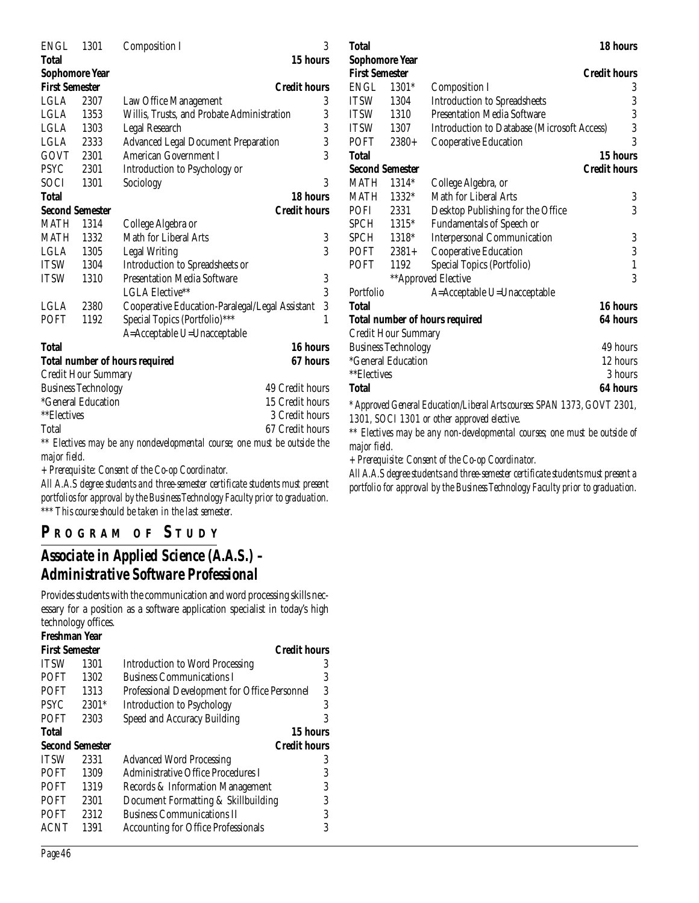| <b>ENGL</b>            | 1301                                                                     | <b>Composition I</b>                              | 3 |  |
|------------------------|--------------------------------------------------------------------------|---------------------------------------------------|---|--|
| <b>Total</b>           |                                                                          | 15 hours                                          |   |  |
| <b>Sophomore Year</b>  |                                                                          |                                                   |   |  |
| <b>First Semester</b>  |                                                                          | <b>Credit hours</b>                               |   |  |
| LGLA                   | 2307                                                                     | Law Office Management                             | 3 |  |
| LGLA                   | 1353                                                                     | Willis, Trusts, and Probate Administration        | 3 |  |
| <b>LGLA</b>            | 1303                                                                     | Legal Research                                    | 3 |  |
| LGLA                   | 2333                                                                     | <b>Advanced Legal Document Preparation</b>        | 3 |  |
| GOVT                   | 2301                                                                     | <b>American Government I</b>                      | 3 |  |
| <b>PSYC</b>            | 2301                                                                     | Introduction to Psychology or                     |   |  |
| SOCI                   | 1301                                                                     | Sociology                                         | 3 |  |
| <b>Total</b>           |                                                                          | 18 hours                                          |   |  |
| <b>Second Semester</b> |                                                                          | <b>Credit hours</b>                               |   |  |
| <b>MATH</b>            | 1314                                                                     | College Algebra or                                |   |  |
| <b>MATH</b>            | 1332                                                                     | Math for Liberal Arts                             | 3 |  |
| <b>LGLA</b>            | 1305                                                                     | <b>Legal Writing</b>                              | 3 |  |
| <b>ITSW</b>            | 1304                                                                     | Introduction to Spreadsheets or                   |   |  |
| <b>ITSW</b>            | 1310                                                                     | <b>Presentation Media Software</b>                | 3 |  |
|                        |                                                                          | LGLA Elective**                                   | 3 |  |
| <b>LGLA</b>            | 2380                                                                     | Cooperative Education-Paralegal/Legal Assistant   | 3 |  |
| <b>POFT</b>            | 1192                                                                     | Special Topics (Portfolio)***                     | 1 |  |
|                        |                                                                          | A=Acceptable U=Unacceptable                       |   |  |
| <b>Total</b>           |                                                                          | 16 hours                                          |   |  |
|                        |                                                                          | 67 hours<br><b>Total number of hours required</b> |   |  |
|                        | Credit Hour Summary                                                      |                                                   |   |  |
|                        | <b>Business Technology</b>                                               | 49 Credit hours                                   |   |  |
|                        | *General Education                                                       | 15 Credit hours                                   |   |  |
| **Electives            |                                                                          | 3 Credit hours                                    |   |  |
| Total                  |                                                                          | 67 Credit hours                                   |   |  |
|                        | ** Electives may be any nondevelopmental course; one must be outside the |                                                   |   |  |
| major field.           |                                                                          |                                                   |   |  |

*+ Prerequisite: Consent of the Co-op Coordinator.*

*All A.A.S degree students and three-semester certificate students must present portfolios for approval by the Business Technology Faculty prior to graduation. \*\*\* This course should be taken in the last semester.*

## **P R OGRAM O F S TUDY**

## *Associate in Applied Science (A.A.S.) – Administrative Software Professional*

Provides students with the communication and word processing skills necessary for a position as a software application specialist in today's high technology offices.

| Freshman Year                                |                                               |                                 |
|----------------------------------------------|-----------------------------------------------|---------------------------------|
| <b>Credit hours</b><br><b>First Semester</b> |                                               |                                 |
| 1301                                         | <b>Introduction to Word Processing</b>        | 3                               |
| 1302                                         | <b>Business Communications I</b>              | 3                               |
| 1313                                         | Professional Development for Office Personnel | 3                               |
| 2301*                                        | Introduction to Psychology                    | 3                               |
| 2303                                         | Speed and Accuracy Building                   | 3                               |
|                                              |                                               |                                 |
| <b>Second Semester</b>                       |                                               |                                 |
| 2331                                         | <b>Advanced Word Processing</b>               | 3                               |
| 1309                                         | Administrative Office Procedures I            | 3                               |
| 1319                                         | Records & Information Management              | 3                               |
| 2301                                         | Document Formatting & Skillbuilding           | 3                               |
| 2312                                         | <b>Business Communications II</b>             | 3                               |
| 1391                                         | <b>Accounting for Office Professionals</b>    | 3                               |
|                                              |                                               | 15 hours<br><b>Credit hours</b> |

| 'Iotal                 |                            |                                                                          | 18 hours            |
|------------------------|----------------------------|--------------------------------------------------------------------------|---------------------|
| Sophomore Year         |                            |                                                                          |                     |
| <b>First Semester</b>  |                            |                                                                          | <b>Credit hours</b> |
| <b>ENGL</b>            | 1301*                      | <b>Composition I</b>                                                     | 3                   |
| ITSW                   | 1304                       | <b>Introduction to Spreadsheets</b>                                      | 3                   |
| <b>ITSW</b>            | 1310                       | <b>Presentation Media Software</b>                                       | 3                   |
| <b>ITSW</b>            | 1307                       | <b>Introduction to Database (Microsoft Access)</b>                       | 3                   |
| POFT                   | $2380+$                    | Cooperative Education                                                    | 3                   |
| Total                  |                            |                                                                          | 15 hours            |
| <b>Second Semester</b> |                            |                                                                          | <b>Credit hours</b> |
| <b>MATH</b>            | 1314*                      | College Algebra, or                                                      |                     |
| MATH                   | 1332*                      | Math for Liberal Arts                                                    | 3                   |
| <b>POFI</b>            | 2331                       | Desktop Publishing for the Office                                        | 3                   |
| SPCH                   | 1315*                      | <b>Fundamentals of Speech or</b>                                         |                     |
| SPCH                   | 1318*                      | <b>Interpersonal Communication</b>                                       | 3                   |
| POFT                   | $2381+$                    | Cooperative Education                                                    | 3                   |
| POFT                   | 1192                       | Special Topics (Portfolio)                                               | $\mathbf{1}$        |
|                        |                            | **Approved Elective                                                      | 3                   |
| Portfolio              |                            | A=Acceptable U=Unacceptable                                              |                     |
| Total                  |                            |                                                                          | 16 hours            |
|                        |                            | <b>Total number of hours required</b>                                    | 64 hours            |
|                        | Credit Hour Summary        |                                                                          |                     |
|                        | <b>Business Technology</b> |                                                                          | 49 hours            |
|                        | <i>*General Education</i>  |                                                                          | 12 hours            |
| **Electives            |                            |                                                                          | 3 hours             |
| Total                  |                            |                                                                          | 64 hours            |
|                        |                            | * Approved General Education/Liberal Arts courses: SPAN 1373, GOVT 2301, |                     |

*1301, SOCI 1301 or other approved elective.*

*\*\* Electives may be any non-developmental courses; one must be outside of major field.*

*+ Prerequisite: Consent of the Co-op Coordinator.*

*All A.A.S degree students and three-semester certificate students must present a portfolio for approval by the Business Technology Faculty prior to graduation.*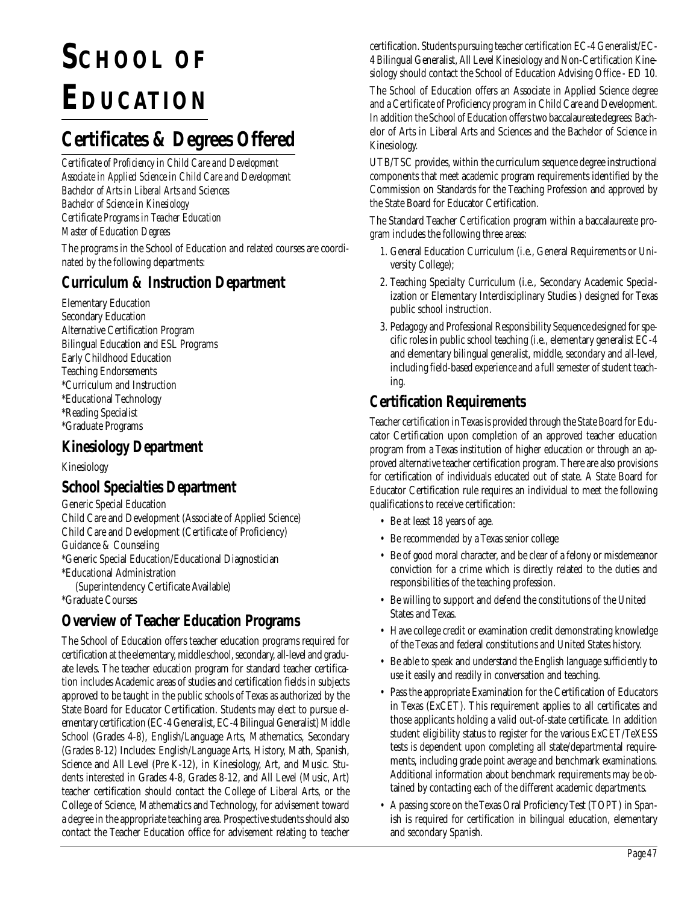# **SCHOOL OF EDUCATION**

## **Certificates & Degrees Offered**

*Certificate of Proficiency in Child Care and Development Associate in Applied Science in Child Care and Development Bachelor of Arts in Liberal Arts and Sciences Bachelor of Science in Kinesiology Certificate Programs in Teacher Education Master of Education Degrees*

The programs in the School of Education and related courses are coordinated by the following departments:

## **Curriculum & Instruction Department**

Elementary Education Secondary Education Alternative Certification Program Bilingual Education and ESL Programs Early Childhood Education Teaching Endorsements \*Curriculum and Instruction \*Educational Technology \*Reading Specialist \*Graduate Programs

## **Kinesiology Department**

Kinesiology

#### **School Specialties Department**

Generic Special Education Child Care and Development (Associate of Applied Science) Child Care and Development (Certificate of Proficiency) Guidance & Counseling \*Generic Special Education/Educational Diagnostician \*Educational Administration (Superintendency Certificate Available)

\*Graduate Courses

## **Overview of Teacher Education Programs**

The School of Education offers teacher education programs required for certification at the elementary, middle school, secondary, all-level and graduate levels. The teacher education program for standard teacher certification includes Academic areas of studies and certification fields in subjects approved to be taught in the public schools of Texas as authorized by the State Board for Educator Certification. Students may elect to pursue elementary certification (EC-4 Generalist, EC-4 Bilingual Generalist) Middle School (Grades 4-8), English/Language Arts, Mathematics, Secondary (Grades 8-12) Includes: English/Language Arts, History, Math, Spanish, Science and All Level (Pre K-12), in Kinesiology, Art, and Music. Students interested in Grades 4-8, Grades 8-12, and All Level (Music, Art) teacher certification should contact the College of Liberal Arts, or the College of Science, Mathematics and Technology, for advisement toward a degree in the appropriate teaching area. Prospective students should also contact the Teacher Education office for advisement relating to teacher

certification. Students pursuing teacher certification EC-4 Generalist/EC-4 Bilingual Generalist, All Level Kinesiology and Non-Certification Kinesiology should contact the School of Education Advising Office - ED 10.

The School of Education offers an Associate in Applied Science degree and a Certificate of Proficiency program in Child Care and Development. In addition the School of Education offers two baccalaureate degrees: Bachelor of Arts in Liberal Arts and Sciences and the Bachelor of Science in Kinesiology.

UTB/TSC provides, within the curriculum sequence degree instructional components that meet academic program requirements identified by the Commission on Standards for the Teaching Profession and approved by the State Board for Educator Certification.

The Standard Teacher Certification program within a baccalaureate program includes the following three areas:

- 1. General Education Curriculum (i.e., General Requirements or University College);
- 2. Teaching Specialty Curriculum (i.e., Secondary Academic Specialization or Elementary Interdisciplinary Studies ) designed for Texas public school instruction.
- 3. Pedagogy and Professional Responsibility Sequence designed for specific roles in public school teaching (i.e., elementary generalist EC-4 and elementary bilingual generalist, middle, secondary and all-level, including field-based experience and a full semester of student teaching.

## **Certification Requirements**

Teacher certification in Texas is provided through the State Board for Educator Certification upon completion of an approved teacher education program from a Texas institution of higher education or through an approved alternative teacher certification program. There are also provisions for certification of individuals educated out of state. A State Board for Educator Certification rule requires an individual to meet the following qualifications to receive certification:

- Be at least 18 years of age.
- Be recommended by a Texas senior college
- Be of good moral character, and be clear of a felony or misdemeanor conviction for a crime which is directly related to the duties and responsibilities of the teaching profession.
- Be willing to support and defend the constitutions of the United States and Texas.
- Have college credit or examination credit demonstrating knowledge of the Texas and federal constitutions and United States history.
- Be able to speak and understand the English language sufficiently to use it easily and readily in conversation and teaching.
- Pass the appropriate Examination for the Certification of Educators in Texas (ExCET). This requirement applies to all certificates and those applicants holding a valid out-of-state certificate. In addition student eligibility status to register for the various ExCET/TeXESS tests is dependent upon completing all state/departmental requirements, including grade point average and benchmark examinations. Additional information about benchmark requirements may be obtained by contacting each of the different academic departments.
- A passing score on the Texas Oral Proficiency Test (TOPT) in Spanish is required for certification in bilingual education, elementary and secondary Spanish.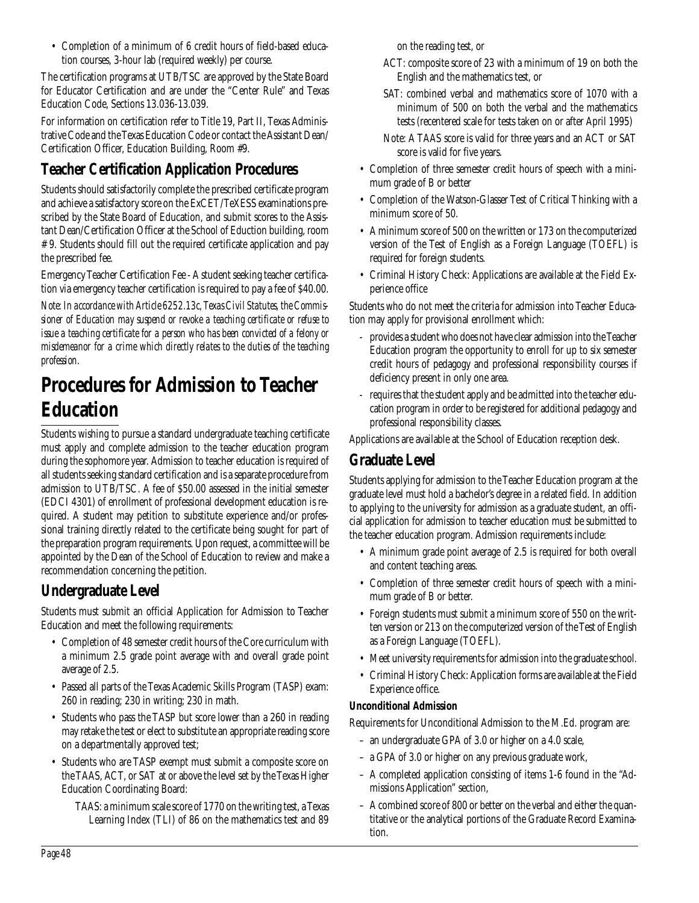• Completion of a minimum of 6 credit hours of field-based education courses, 3-hour lab (required weekly) per course.

The certification programs at UTB/TSC are approved by the State Board for Educator Certification and are under the "Center Rule" and Texas Education Code, Sections 13.036-13.039.

For information on certification refer to Title 19, Part II, Texas Administrative Code and the Texas Education Code or contact the Assistant Dean/ Certification Officer, Education Building, Room #9.

## **Teacher Certification Application Procedures**

Students should satisfactorily complete the prescribed certificate program and achieve a satisfactory score on the ExCET/TeXESS examinations prescribed by the State Board of Education, and submit scores to the Assistant Dean/Certification Officer at the School of Eduction building, room # 9. Students should fill out the required certificate application and pay the prescribed fee.

Emergency Teacher Certification Fee - A student seeking teacher certification via emergency teacher certification is required to pay a fee of \$40.00.

*Note: In accordance with Article 6252.13c, Texas Civil Statutes, the Commissioner of Education may suspend or revoke a teaching certificate or refuse to issue a teaching certificate for a person who has been convicted of a felony or misdemeanor for a crime which directly relates to the duties of the teaching profession.*

## **Procedures for Admission to Teacher Education**

Students wishing to pursue a standard undergraduate teaching certificate must apply and complete admission to the teacher education program during the sophomore year. Admission to teacher education is required of all students seeking standard certification and is a separate procedure from admission to UTB/TSC. A fee of \$50.00 assessed in the initial semester (EDCI 4301) of enrollment of professional development education is required. A student may petition to substitute experience and/or professional training directly related to the certificate being sought for part of the preparation program requirements. Upon request, a committee will be appointed by the Dean of the School of Education to review and make a recommendation concerning the petition.

## **Undergraduate Level**

Students must submit an official Application for Admission to Teacher Education and meet the following requirements:

- Completion of 48 semester credit hours of the Core curriculum with a minimum 2.5 grade point average with and overall grade point average of 2.5.
- Passed all parts of the Texas Academic Skills Program (TASP) exam: 260 in reading; 230 in writing; 230 in math.
- Students who pass the TASP but score lower than a 260 in reading may retake the test or elect to substitute an appropriate reading score on a departmentally approved test;
- Students who are TASP exempt must submit a composite score on the TAAS, ACT, or SAT at or above the level set by the Texas Higher Education Coordinating Board:
	- TAAS: a minimum scale score of 1770 on the writing test, a Texas Learning Index (TLI) of 86 on the mathematics test and 89

on the reading test, or

- ACT: composite score of 23 with a minimum of 19 on both the English and the mathematics test, or
- SAT: combined verbal and mathematics score of 1070 with a minimum of 500 on both the verbal and the mathematics tests (recentered scale for tests taken on or after April 1995)
- Note: A TAAS score is valid for three years and an ACT or SAT score is valid for five years.
- Completion of three semester credit hours of speech with a minimum grade of B or better
- Completion of the Watson-Glasser Test of Critical Thinking with a minimum score of 50.
- A minimum score of 500 on the written or 173 on the computerized version of the Test of English as a Foreign Language (TOEFL) is required for foreign students.
- Criminal History Check: Applications are available at the Field Experience office

Students who do not meet the criteria for admission into Teacher Education may apply for provisional enrollment which:

- provides a student who does not have clear admission into the Teacher Education program the opportunity to enroll for up to six semester credit hours of pedagogy and professional responsibility courses if deficiency present in only one area.
- requires that the student apply and be admitted into the teacher education program in order to be registered for additional pedagogy and professional responsibility classes.

Applications are available at the School of Education reception desk.

## **Graduate Level**

Students applying for admission to the Teacher Education program at the graduate level must hold a bachelor's degree in a related field. In addition to applying to the university for admission as a graduate student, an official application for admission to teacher education must be submitted to the teacher education program. Admission requirements include:

- A minimum grade point average of 2.5 is required for both overall and content teaching areas.
- Completion of three semester credit hours of speech with a minimum grade of B or better.
- Foreign students must submit a minimum score of 550 on the written version or 213 on the computerized version of the Test of English as a Foreign Language (TOEFL).
- Meet university requirements for admission into the graduate school.
- Criminal History Check: Application forms are available at the Field Experience office.

#### **Unconditional Admission**

Requirements for Unconditional Admission to the M.Ed. program are:

- an undergraduate GPA of 3.0 or higher on a 4.0 scale,
- a GPA of 3.0 or higher on any previous graduate work,
- A completed application consisting of items 1-6 found in the "Admissions Application" section,
- A combined score of 800 or better on the verbal and either the quantitative or the analytical portions of the Graduate Record Examination.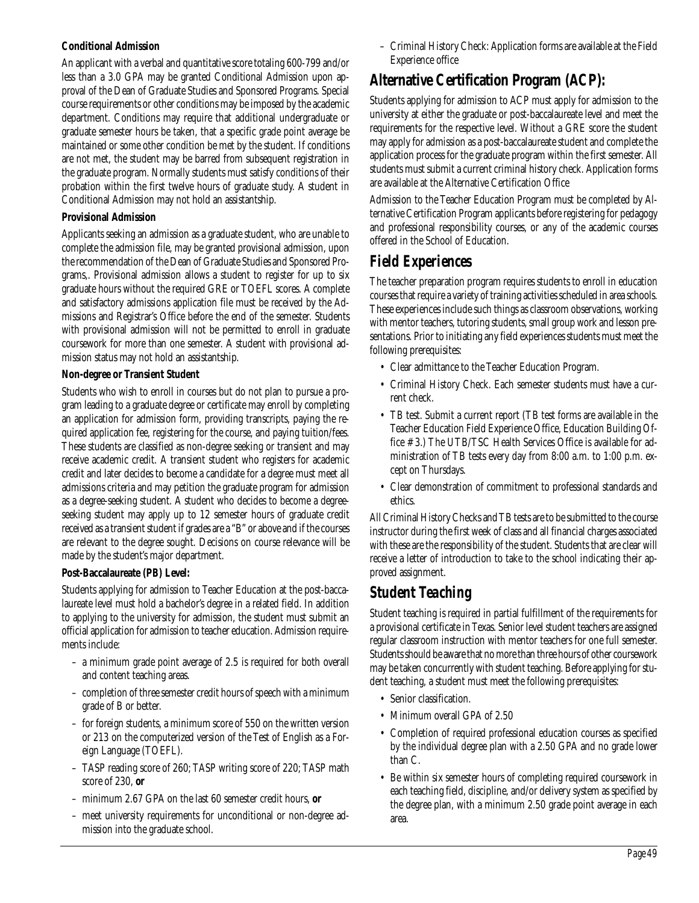#### **Conditional Admission**

An applicant with a verbal and quantitative score totaling 600-799 and/or less than a 3.0 GPA may be granted Conditional Admission upon approval of the Dean of Graduate Studies and Sponsored Programs. Special course requirements or other conditions may be imposed by the academic department. Conditions may require that additional undergraduate or graduate semester hours be taken, that a specific grade point average be maintained or some other condition be met by the student. If conditions are not met, the student may be barred from subsequent registration in the graduate program. Normally students must satisfy conditions of their probation within the first twelve hours of graduate study. A student in Conditional Admission may not hold an assistantship.

#### **Provisional Admission**

Applicants seeking an admission as a graduate student, who are unable to complete the admission file, may be granted provisional admission, upon the recommendation of the Dean of Graduate Studies and Sponsored Programs,. Provisional admission allows a student to register for up to six graduate hours without the required GRE or TOEFL scores. A complete and satisfactory admissions application file must be received by the Admissions and Registrar's Office before the end of the semester. Students with provisional admission will not be permitted to enroll in graduate coursework for more than one semester. A student with provisional admission status may not hold an assistantship.

#### **Non-degree or Transient Student**

Students who wish to enroll in courses but do not plan to pursue a program leading to a graduate degree or certificate may enroll by completing an application for admission form, providing transcripts, paying the required application fee, registering for the course, and paying tuition/fees. These students are classified as non-degree seeking or transient and may receive academic credit. A transient student who registers for academic credit and later decides to become a candidate for a degree must meet all admissions criteria and may petition the graduate program for admission as a degree-seeking student. A student who decides to become a degreeseeking student may apply up to 12 semester hours of graduate credit received as a transient student if grades are a "B" or above and if the courses are relevant to the degree sought. Decisions on course relevance will be made by the student's major department.

#### **Post-Baccalaureate (PB) Level:**

Students applying for admission to Teacher Education at the post-baccalaureate level must hold a bachelor's degree in a related field. In addition to applying to the university for admission, the student must submit an official application for admission to teacher education. Admission requirements include:

- a minimum grade point average of 2.5 is required for both overall and content teaching areas.
- completion of three semester credit hours of speech with a minimum grade of B or better.
- for foreign students, a minimum score of 550 on the written version or 213 on the computerized version of the Test of English as a Foreign Language (TOEFL).
- TASP reading score of 260; TASP writing score of 220; TASP math score of 230, **or**
- minimum 2.67 GPA on the last 60 semester credit hours, **or**
- meet university requirements for unconditional or non-degree admission into the graduate school.

– Criminal History Check: Application forms are available at the Field Experience office

### **Alternative Certification Program (ACP):**

Students applying for admission to ACP must apply for admission to the university at either the graduate or post-baccalaureate level and meet the requirements for the respective level. Without a GRE score the student may apply for admission as a post-baccalaureate student and complete the application process for the graduate program within the first semester. All students must submit a current criminal history check. Application forms are available at the Alternative Certification Office

Admission to the Teacher Education Program must be completed by Alternative Certification Program applicants before registering for pedagogy and professional responsibility courses, or any of the academic courses offered in the School of Education.

## *Field Experiences*

The teacher preparation program requires students to enroll in education courses that require a variety of training activities scheduled in area schools. These experiences include such things as classroom observations, working with mentor teachers, tutoring students, small group work and lesson presentations. Prior to initiating any field experiences students must meet the following prerequisites:

- Clear admittance to the Teacher Education Program.
- Criminal History Check. Each semester students must have a current check.
- TB test. Submit a current report (TB test forms are available in the Teacher Education Field Experience Office, Education Building Office # 3.) The UTB/TSC Health Services Office is available for administration of TB tests every day from 8:00 a.m. to 1:00 p.m. except on Thursdays.
- Clear demonstration of commitment to professional standards and ethics.

All Criminal History Checks and TB tests are to be submitted to the course instructor during the first week of class and all financial charges associated with these are the responsibility of the student. Students that are clear will receive a letter of introduction to take to the school indicating their approved assignment.

## *Student Teaching*

Student teaching is required in partial fulfillment of the requirements for a provisional certificate in Texas. Senior level student teachers are assigned regular classroom instruction with mentor teachers for one full semester. Students should be aware that no more than three hours of other coursework may be taken concurrently with student teaching. Before applying for student teaching, a student must meet the following prerequisites:

- Senior classification.
- Minimum overall GPA of 2.50
- Completion of required professional education courses as specified by the individual degree plan with a 2.50 GPA and no grade lower than C.
- Be within six semester hours of completing required coursework in each teaching field, discipline, and/or delivery system as specified by the degree plan, with a minimum 2.50 grade point average in each area.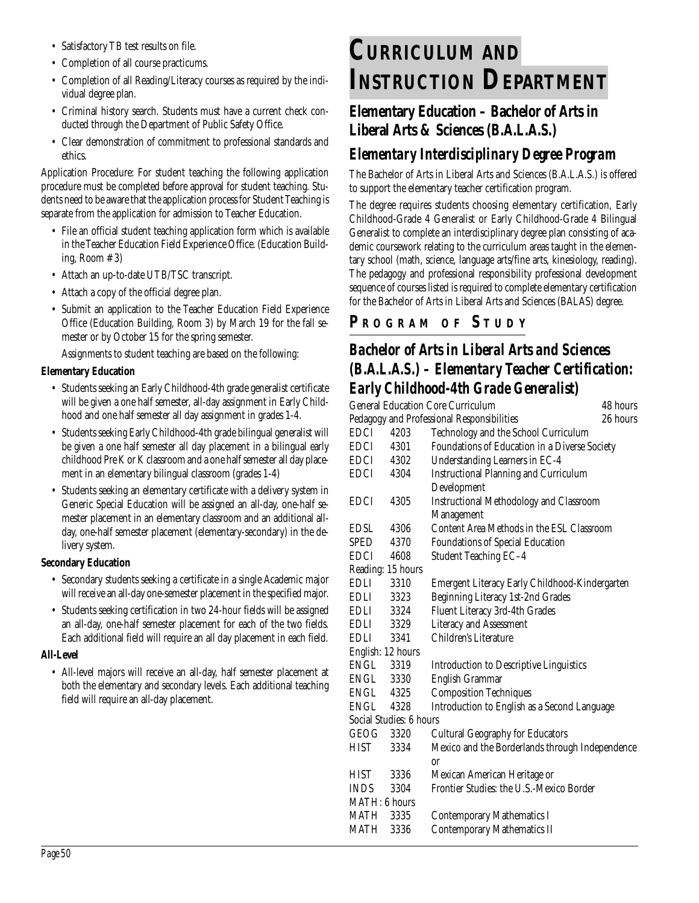- Satisfactory TB test results on file.
- Completion of all course practicums.
- Completion of all Reading/Literacy courses as required by the individual degree plan.
- Criminal history search. Students must have a current check conducted through the Department of Public Safety Office.
- Clear demonstration of commitment to professional standards and ethics.

Application Procedure: For student teaching the following application procedure must be completed before approval for student teaching. Students need to be aware that the application process for Student Teaching is separate from the application for admission to Teacher Education.

- File an official student teaching application form which is available in the Teacher Education Field Experience Office. (Education Building, Room # 3)
- Attach an up-to-date UTB/TSC transcript.
- Attach a copy of the official degree plan.
- Submit an application to the Teacher Education Field Experience Office (Education Building, Room 3) by March 19 for the fall semester or by October 15 for the spring semester.

Assignments to student teaching are based on the following:

#### **Elementary Education**

- Students seeking an Early Childhood-4th grade generalist certificate will be given a one half semester, all-day assignment in Early Childhood and one half semester all day assignment in grades 1-4.
- Students seeking Early Childhood-4th grade bilingual generalist will be given a one half semester all day placement in a bilingual early childhood Pre K or K classroom and a one half semester all day placement in an elementary bilingual classroom (grades 1-4)
- Students seeking an elementary certificate with a delivery system in Generic Special Education will be assigned an all-day, one-half semester placement in an elementary classroom and an additional allday, one-half semester placement (elementary-secondary) in the delivery system.

#### **Secondary Education**

- Secondary students seeking a certificate in a single Academic major will receive an all-day one-semester placement in the specified major.
- Students seeking certification in two 24-hour fields will be assigned an all-day, one-half semester placement for each of the two fields. Each additional field will require an all day placement in each field.

#### **All-Level**

• All-level majors will receive an all-day, half semester placement at both the elementary and secondary levels. Each additional teaching field will require an all-day placement.

# **CURRICULUM AND INSTRUCTION DEPARTMENT**

## **Elementary Education – Bachelor of Arts in Liberal Arts & Sciences (B.A.L.A.S.)**

## *Elementary Interdisciplinary Degree Program*

The Bachelor of Arts in Liberal Arts and Sciences (B.A.L.A.S.) is offered to support the elementary teacher certification program.

The degree requires students choosing elementary certification, Early Childhood-Grade 4 Generalist or Early Childhood-Grade 4 Bilingual Generalist to complete an interdisciplinary degree plan consisting of academic coursework relating to the curriculum areas taught in the elementary school (math, science, language arts/fine arts, kinesiology, reading). The pedagogy and professional responsibility professional development sequence of courses listed is required to complete elementary certification for the Bachelor of Arts in Liberal Arts and Sciences (BALAS) degree.

## **P R OGRAM O F S TUDY**

## *Bachelor of Arts in Liberal Arts and Sciences (B.A.L.A.S.) – Elementary Teacher Certification: Early Childhood-4th Grade Generalist)*

|                                            | <b>General Education Core Curriculum</b><br>48 hours |                                                 |          |
|--------------------------------------------|------------------------------------------------------|-------------------------------------------------|----------|
| Pedagogy and Professional Responsibilities |                                                      |                                                 | 26 hours |
| <b>EDCI</b>                                | 4203                                                 | Technology and the School Curriculum            |          |
| EDCI                                       | 4301                                                 | Foundations of Education in a Diverse Society   |          |
| EDCI                                       | 4302                                                 | Understanding Learners in EC-4                  |          |
| EDCI                                       | 4304                                                 | <b>Instructional Planning and Curriculum</b>    |          |
|                                            |                                                      | Development                                     |          |
| <b>EDCI</b>                                | 4305                                                 | <b>Instructional Methodology and Classroom</b>  |          |
|                                            |                                                      | Management                                      |          |
| EDSL                                       | 4306                                                 | Content Area Methods in the ESL Classroom       |          |
| <b>SPED</b>                                | 4370                                                 | <b>Foundations of Special Education</b>         |          |
| <b>EDCI</b>                                | 4608                                                 | Student Teaching EC-4                           |          |
| Reading: 15 hours                          |                                                      |                                                 |          |
| <b>EDLI</b>                                | 3310                                                 | Emergent Literacy Early Childhood-Kindergarten  |          |
| EDLI                                       | 3323                                                 | Beginning Literacy 1st-2nd Grades               |          |
| EDLI                                       | 3324                                                 | Fluent Literacy 3rd-4th Grades                  |          |
| EDLI                                       | 3329                                                 | <b>Literacy and Assessment</b>                  |          |
| EDLI                                       | 3341                                                 | Children's Literature                           |          |
| English: 12 hours                          |                                                      |                                                 |          |
| ENGL                                       | 3319                                                 | <b>Introduction to Descriptive Linguistics</b>  |          |
| ENGL                                       | 3330                                                 | <b>English Grammar</b>                          |          |
| ENGL 4325                                  |                                                      | <b>Composition Techniques</b>                   |          |
| ENGL                                       | 4328                                                 | Introduction to English as a Second Language    |          |
|                                            | Social Studies: 6 hours                              |                                                 |          |
| GEOG                                       | 3320                                                 | <b>Cultural Geography for Educators</b>         |          |
| <b>HIST</b>                                | 3334                                                 | Mexico and the Borderlands through Independence |          |
|                                            |                                                      | or                                              |          |
| <b>HIST</b>                                | 3336                                                 | Mexican American Heritage or                    |          |
| <b>INDS</b>                                | 3304                                                 | Frontier Studies: the U.S.-Mexico Border        |          |
| MATH: 6 hours                              |                                                      |                                                 |          |
| MATH                                       | 3335                                                 | <b>Contemporary Mathematics I</b>               |          |
| <b>MATH</b>                                | 3336                                                 | <b>Contemporary Mathematics II</b>              |          |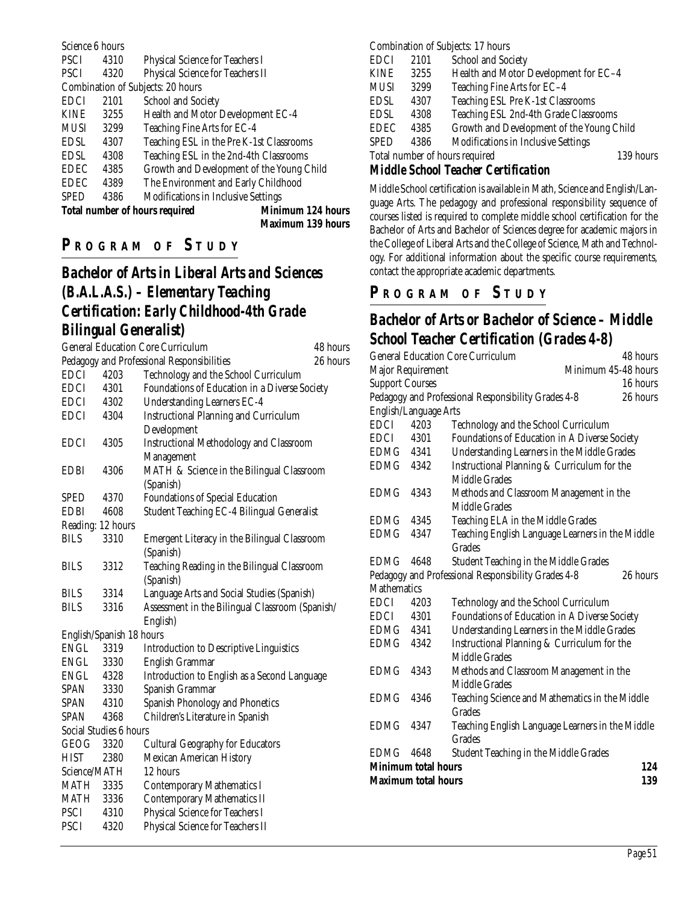| Science 6 hours                                                   |      |                                            |  |
|-------------------------------------------------------------------|------|--------------------------------------------|--|
| <b>PSCI</b>                                                       | 4310 | <b>Physical Science for Teachers I</b>     |  |
| <b>PSCI</b>                                                       | 4320 | Physical Science for Teachers II           |  |
|                                                                   |      | Combination of Subjects: 20 hours          |  |
| <b>EDCI</b>                                                       | 2101 | <b>School and Society</b>                  |  |
| <b>KINE</b>                                                       | 3255 | Health and Motor Development EC-4          |  |
| <b>MUSI</b>                                                       | 3299 | Teaching Fine Arts for EC-4                |  |
| <b>EDSL</b>                                                       | 4307 | Teaching ESL in the Pre K-1st Classrooms   |  |
| <b>EDSL</b>                                                       | 4308 | Teaching ESL in the 2nd-4th Classrooms     |  |
| <b>EDEC</b>                                                       | 4385 | Growth and Development of the Young Child  |  |
| <b>EDEC</b>                                                       | 4389 | The Environment and Early Childhood        |  |
| <b>SPED</b>                                                       | 4386 | <b>Modifications in Inclusive Settings</b> |  |
| <b>Minimum 124 hours</b><br><b>Total number of hours required</b> |      |                                            |  |
|                                                                   |      |                                            |  |

#### **Maximum 139 hours**

## **P R OGRAM O F S TUDY**

## *Bachelor of Arts in Liberal Arts and Sciences (B.A.L.A.S.) – Elementary Teaching Certification: Early Childhood-4th Grade Bilingual Generalist)*

|                   |                          | <b>General Education Core Curriculum</b>        | 48 hours |
|-------------------|--------------------------|-------------------------------------------------|----------|
|                   |                          | Pedagogy and Professional Responsibilities      | 26 hours |
| <b>EDCI</b>       | 4203                     | Technology and the School Curriculum            |          |
| <b>EDCI</b>       | 4301                     | Foundations of Education in a Diverse Society   |          |
| EDCI              | 4302                     | <b>Understanding Learners EC-4</b>              |          |
| <b>EDCI</b>       | 4304                     | <b>Instructional Planning and Curriculum</b>    |          |
|                   |                          | Development                                     |          |
| <b>EDCI</b>       | 4305                     | <b>Instructional Methodology and Classroom</b>  |          |
|                   |                          | Management                                      |          |
| <b>EDBI</b>       | 4306                     | MATH & Science in the Bilingual Classroom       |          |
|                   |                          | (Spanish)                                       |          |
| SPED              | 4370                     | <b>Foundations of Special Education</b>         |          |
| <b>EDBI</b>       | 4608                     | Student Teaching EC-4 Bilingual Generalist      |          |
| Reading: 12 hours |                          |                                                 |          |
| <b>BILS</b>       | 3310                     | Emergent Literacy in the Bilingual Classroom    |          |
|                   |                          | (Spanish)                                       |          |
| <b>BILS</b>       | 3312                     | Teaching Reading in the Bilingual Classroom     |          |
|                   |                          | (Spanish)                                       |          |
| <b>BILS</b>       | 3314                     | Language Arts and Social Studies (Spanish)      |          |
| <b>BILS</b>       | 3316                     | Assessment in the Bilingual Classroom (Spanish/ |          |
|                   |                          | English)                                        |          |
|                   | English/Spanish 18 hours |                                                 |          |
| ENGL              | 3319                     | <b>Introduction to Descriptive Linguistics</b>  |          |
| ENGL              | 3330                     | <b>English Grammar</b>                          |          |
| ENGL              | 4328                     | Introduction to English as a Second Language    |          |
| SPAN              | 3330                     | Spanish Grammar                                 |          |
| <b>SPAN</b>       | 4310                     | Spanish Phonology and Phonetics                 |          |
| <b>SPAN</b>       | 4368                     | Children's Literature in Spanish                |          |
|                   | Social Studies 6 hours   |                                                 |          |
| GEOG              | 3320                     | <b>Cultural Geography for Educators</b>         |          |
| <b>HIST</b>       | 2380                     | <b>Mexican American History</b>                 |          |
| Science/MATH      |                          | 12 hours                                        |          |
| MATH              | 3335                     | <b>Contemporary Mathematics I</b>               |          |
| MATH              | 3336                     | <b>Contemporary Mathematics II</b>              |          |
| <b>PSCI</b>       | 4310                     | Physical Science for Teachers I                 |          |
| <b>PSCI</b>       | 4320                     | Physical Science for Teachers II                |          |
|                   |                          |                                                 |          |

#### Combination of Subjects: 17 hours

| EDCI                                                                                                                                                                                                                                                                                        | 2101 | School and Society                         |           |  |
|---------------------------------------------------------------------------------------------------------------------------------------------------------------------------------------------------------------------------------------------------------------------------------------------|------|--------------------------------------------|-----------|--|
| KINE                                                                                                                                                                                                                                                                                        | 3255 | Health and Motor Development for EC-4      |           |  |
| MUSI                                                                                                                                                                                                                                                                                        | 3299 | Teaching Fine Arts for EC-4                |           |  |
| EDSL                                                                                                                                                                                                                                                                                        | 4307 | Teaching ESL Pre K-1st Classrooms          |           |  |
| EDSL                                                                                                                                                                                                                                                                                        | 4308 | Teaching ESL 2nd-4th Grade Classrooms      |           |  |
| EDEC                                                                                                                                                                                                                                                                                        | 4385 | Growth and Development of the Young Child  |           |  |
| SPED                                                                                                                                                                                                                                                                                        | 4386 | <b>Modifications in Inclusive Settings</b> |           |  |
| Total number of hours required                                                                                                                                                                                                                                                              |      |                                            | 139 hours |  |
| $\mathbf{M}$ is the state of $\mathbf{M}$ and $\mathbf{M}$ and $\mathbf{M}$ and $\mathbf{M}$ and $\mathbf{M}$ and $\mathbf{M}$ and $\mathbf{M}$ and $\mathbf{M}$ and $\mathbf{M}$ and $\mathbf{M}$ and $\mathbf{M}$ and $\mathbf{M}$ and $\mathbf{M}$ and $\mathbf{M}$ and $\mathbf{M}$ and |      |                                            |           |  |

#### *Middle School Teacher Certification*

Middle School certification is available in Math, Science and English/Language Arts. The pedagogy and professional responsibility sequence of courses listed is required to complete middle school certification for the Bachelor of Arts and Bachelor of Sciences degree for academic majors in the College of Liberal Arts and the College of Science, Math and Technology. For additional information about the specific course requirements, contact the appropriate academic departments.

#### **P R OGRAM O F S TUDY**

## *Bachelor of Arts or Bachelor of Science – Middle School Teacher Certification (Grades 4-8)*

| 48 hours                                                        |  |  |  |
|-----------------------------------------------------------------|--|--|--|
| Minimum 45-48 hours                                             |  |  |  |
| 16 hours                                                        |  |  |  |
| Pedagogy and Professional Responsibility Grades 4-8<br>26 hours |  |  |  |
|                                                                 |  |  |  |
| Technology and the School Curriculum                            |  |  |  |
| Foundations of Education in A Diverse Society                   |  |  |  |
| Understanding Learners in the Middle Grades                     |  |  |  |
| Instructional Planning & Curriculum for the                     |  |  |  |
|                                                                 |  |  |  |
| Methods and Classroom Management in the                         |  |  |  |
|                                                                 |  |  |  |
| Teaching ELA in the Middle Grades                               |  |  |  |
| Teaching English Language Learners in the Middle                |  |  |  |
|                                                                 |  |  |  |
| <b>Student Teaching in the Middle Grades</b>                    |  |  |  |
| Pedagogy and Professional Responsibility Grades 4-8<br>26 hours |  |  |  |
|                                                                 |  |  |  |
| Technology and the School Curriculum                            |  |  |  |
| Foundations of Education in A Diverse Society                   |  |  |  |
| Understanding Learners in the Middle Grades                     |  |  |  |
| Instructional Planning & Curriculum for the                     |  |  |  |
|                                                                 |  |  |  |
| Methods and Classroom Management in the                         |  |  |  |
|                                                                 |  |  |  |
| Teaching Science and Mathematics in the Middle                  |  |  |  |
|                                                                 |  |  |  |
| Teaching English Language Learners in the Middle                |  |  |  |
|                                                                 |  |  |  |
| <b>Student Teaching in the Middle Grades</b>                    |  |  |  |
| <b>Minimum total hours</b><br>124                               |  |  |  |
| 139                                                             |  |  |  |
|                                                                 |  |  |  |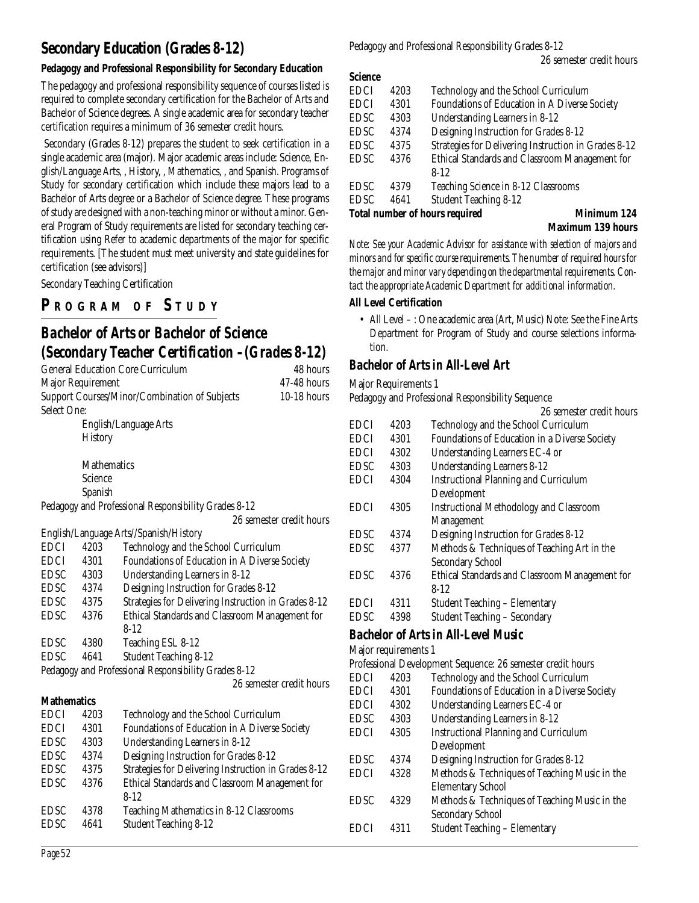## **Secondary Education (Grades 8-12)**

#### **Pedagogy and Professional Responsibility for Secondary Education**

The pedagogy and professional responsibility sequence of courses listed is required to complete secondary certification for the Bachelor of Arts and Bachelor of Science degrees. A single academic area for secondary teacher certification requires a minimum of 36 semester credit hours.

Secondary (Grades 8-12) prepares the student to seek certification in a single academic area (major). Major academic areas include: Science, English/Language Arts, , History, , Mathematics, , and Spanish. Programs of Study for secondary certification which include these majors lead to a Bachelor of Arts degree or a Bachelor of Science degree. These programs of study are designed with a non-teaching minor or without a minor. General Program of Study requirements are listed for secondary teaching certification using Refer to academic departments of the major for specific requirements. [The student must meet university and state guidelines for certification (see advisors)]

Secondary Teaching Certification

## **P R OGRAM O F S TUDY**

## *Bachelor of Arts or Bachelor of Science (Secondary Teacher Certification –(Grades 8-12)*

| <b>General Education Core Curriculum</b><br>48 hours |                |                                                      |                          |
|------------------------------------------------------|----------------|------------------------------------------------------|--------------------------|
| <b>Major Requirement</b>                             |                |                                                      | 47-48 hours              |
|                                                      |                | Support Courses/Minor/Combination of Subjects        | 10-18 hours              |
| <b>Select One:</b>                                   |                |                                                      |                          |
|                                                      |                | English/Language Arts                                |                          |
|                                                      | <b>History</b> |                                                      |                          |
|                                                      |                |                                                      |                          |
|                                                      | Mathematics    |                                                      |                          |
|                                                      | Science        |                                                      |                          |
|                                                      | Spanish        |                                                      |                          |
|                                                      |                | Pedagogy and Professional Responsibility Grades 8-12 |                          |
|                                                      |                |                                                      | 26 semester credit hours |
|                                                      |                | English/Language Arts//Spanish/History               |                          |
| <b>EDCI</b>                                          | 4203           | Technology and the School Curriculum                 |                          |
| <b>EDCI</b>                                          | 4301           | Foundations of Education in A Diverse Society        |                          |
| <b>EDSC</b>                                          | 4303           | <b>Understanding Learners in 8-12</b>                |                          |
| <b>EDSC</b>                                          | 4374           | Designing Instruction for Grades 8-12                |                          |
| EDSC                                                 | 4375           | Strategies for Delivering Instruction in Grades 8-12 |                          |
| <b>EDSC</b>                                          | 4376           | Ethical Standards and Classroom Management for       |                          |
|                                                      |                | $8 - 12$                                             |                          |
| <b>EDSC</b>                                          | 4380           | Teaching ESL 8-12                                    |                          |
| <b>EDSC</b>                                          | 4641           | <b>Student Teaching 8-12</b>                         |                          |
|                                                      |                | Pedagogy and Professional Responsibility Grades 8-12 |                          |
|                                                      |                |                                                      | 26 semester credit hours |
| <b>Mathematics</b>                                   |                |                                                      |                          |
| <b>EDCI</b>                                          | 4203           | Technology and the School Curriculum                 |                          |
| <b>EDCI</b>                                          | 4301           | Foundations of Education in A Diverse Society        |                          |
| <b>EDSC</b>                                          | 4303           | <b>Understanding Learners in 8-12</b>                |                          |
| <b>EDSC</b>                                          | 4374           | Designing Instruction for Grades 8-12                |                          |
| EDSC                                                 | 4375           | Strategies for Delivering Instruction in Grades 8-12 |                          |
| <b>EDSC</b>                                          | 4376           | Ethical Standards and Classroom Management for       |                          |
|                                                      |                | $8-12$                                               |                          |
| <b>EDSC</b>                                          | 4378           | Teaching Mathematics in 8-12 Classrooms              |                          |

Pedagogy and Professional Responsibility Grades 8-12

#### **Science**

| <b>EDCI</b> | 4203 | Technology and the School Curriculum                        |
|-------------|------|-------------------------------------------------------------|
| <b>EDCI</b> | 4301 | Foundations of Education in A Diverse Society               |
| <b>EDSC</b> | 4303 | Understanding Learners in 8-12                              |
| <b>EDSC</b> | 4374 | Designing Instruction for Grades 8-12                       |
| <b>EDSC</b> | 4375 | Strategies for Delivering Instruction in Grades 8-12        |
| <b>EDSC</b> | 4376 | Ethical Standards and Classroom Management for              |
|             |      | $8-12$                                                      |
| <b>EDSC</b> | 4379 | Teaching Science in 8-12 Classrooms                         |
| <b>EDSC</b> | 4641 | <b>Student Teaching 8-12</b>                                |
|             |      | <b>Total number of hours required</b><br><b>Minimum 124</b> |
|             |      |                                                             |

**Maximum 139 hours**

*Note: See your Academic Advisor for assistance with selection of majors and minors and for specific course requirements. The number of required hours for the major and minor vary depending on the departmental requirements. Contact the appropriate Academic Department for additional information.*

#### **All Level Certification**

• All Level – : One academic area (Art, Music) Note: See the Fine Arts Department for Program of Study and course selections information.

#### *Bachelor of Arts in All-Level Art*

Major Requirements 1

Pedagogy and Professional Responsibility Sequence

|             |      | 26 semester credit hours                       |
|-------------|------|------------------------------------------------|
| <b>EDCI</b> | 4203 | Technology and the School Curriculum           |
| <b>EDCI</b> | 4301 | Foundations of Education in a Diverse Society  |
| <b>EDCI</b> | 4302 | Understanding Learners EC-4 or                 |
| <b>EDSC</b> | 4303 | <b>Understanding Learners 8-12</b>             |
| EDCI        | 4304 | <b>Instructional Planning and Curriculum</b>   |
|             |      | Development                                    |
| EDCI        | 4305 | <b>Instructional Methodology and Classroom</b> |
|             |      | <b>Management</b>                              |
| <b>EDSC</b> | 4374 | Designing Instruction for Grades 8-12          |
| <b>EDSC</b> | 4377 | Methods & Techniques of Teaching Art in the    |
|             |      | <b>Secondary School</b>                        |
| <b>EDSC</b> | 4376 | Ethical Standards and Classroom Management for |
|             |      | $8 - 12$                                       |
| EDCI        | 4311 | <b>Student Teaching - Elementary</b>           |
| EDSC        | 4398 | <b>Student Teaching - Secondary</b>            |

#### *Bachelor of Arts in All-Level Music*

Major requirements 1

Professional Development Sequence: 26 semester credit hours EDCI 4203 Technology and the School Curriculum EDCI 4301 Foundations of Education in a Diverse Society EDCI 4302 Understanding Learners EC-4 or EDSC 4303 Understanding Learners in 8-12 EDCI 4305 Instructional Planning and Curriculum Development EDSC 4374 Designing Instruction for Grades 8-12 EDCI 4328 Methods & Techniques of Teaching Music in the Elementary School EDSC 4329 Methods & Techniques of Teaching Music in the Secondary School EDCI 4311 Student Teaching – Elementary

EDSC 4641 Student Teaching 8-12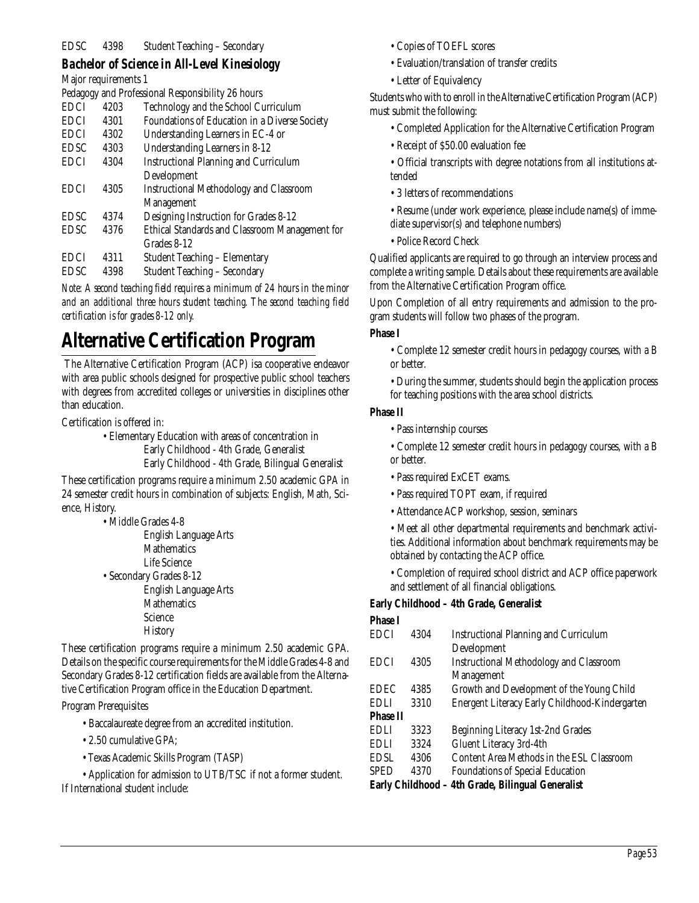#### *Bachelor of Science in All-Level Kinesiology*

Major requirements 1

|             |      | Pedagogy and Professional Responsibility 26 hours |
|-------------|------|---------------------------------------------------|
| <b>EDCI</b> | 4203 | Technology and the School Curriculum              |
| <b>EDCI</b> | 4301 | Foundations of Education in a Diverse Society     |
| <b>EDCI</b> | 4302 | Understanding Learners in EC-4 or                 |
| <b>EDSC</b> | 4303 | <b>Understanding Learners in 8-12</b>             |
| <b>EDCI</b> | 4304 | <b>Instructional Planning and Curriculum</b>      |
|             |      | Development                                       |
| <b>EDCI</b> | 4305 | <b>Instructional Methodology and Classroom</b>    |
|             |      | <b>Management</b>                                 |
| <b>EDSC</b> | 4374 | Designing Instruction for Grades 8-12             |
| <b>EDSC</b> | 4376 | Ethical Standards and Classroom Management for    |
|             |      | Grades 8-12                                       |
| <b>EDCI</b> | 4311 | <b>Student Teaching - Elementary</b>              |
| <b>EDSC</b> | 4398 | <b>Student Teaching - Secondary</b>               |

*Note: A second teaching field requires a minimum of 24 hours in the minor and an additional three hours student teaching. The second teaching field certification is for grades 8-12 only.*

## **Alternative Certification Program**

The Alternative Certification Program (ACP) isa cooperative endeavor with area public schools designed for prospective public school teachers with degrees from accredited colleges or universities in disciplines other than education.

Certification is offered in:

• Elementary Education with areas of concentration in Early Childhood - 4th Grade, Generalist

Early Childhood - 4th Grade, Bilingual Generalist

These certification programs require a minimum 2.50 academic GPA in 24 semester credit hours in combination of subjects: English, Math, Science, History.

• Middle Grades 4-8

| <b>English Language Arts</b> |
|------------------------------|
| <b>Mathematics</b>           |
| Life Science                 |
| • Secondary Grades 8-12      |
| <b>English Language Arts</b> |
| <b>Mathematics</b>           |
| Science                      |
| <b>History</b>               |
|                              |

These certification programs require a minimum 2.50 academic GPA. Details on the specific course requirements for the Middle Grades 4-8 and Secondary Grades 8-12 certification fields are available from the Alternative Certification Program office in the Education Department.

Program Prerequisites

- Baccalaureate degree from an accredited institution.
- 2.50 cumulative GPA;
- Texas Academic Skills Program (TASP)

• Application for admission to UTB/TSC if not a former student. If International student include:

- Copies of TOEFL scores
- Evaluation/translation of transfer credits
- Letter of Equivalency

Students who with to enroll in the Alternative Certification Program (ACP) must submit the following:

- Completed Application for the Alternative Certification Program
- Receipt of \$50.00 evaluation fee

• Official transcripts with degree notations from all institutions attended

- 3 letters of recommendations
- Resume (under work experience, please include name(s) of immediate supervisor(s) and telephone numbers)
- Police Record Check

Qualified applicants are required to go through an interview process and complete a writing sample. Details about these requirements are available from the Alternative Certification Program office.

Upon Completion of all entry requirements and admission to the program students will follow two phases of the program.

#### **Phase I**

- Complete 12 semester credit hours in pedagogy courses, with a B or better.
- During the summer, students should begin the application process for teaching positions with the area school districts.

#### **Phase II**

- Pass internship courses
- Complete 12 semester credit hours in pedagogy courses, with a B or better.
- Pass required ExCET exams.
- Pass required TOPT exam, if required
- Attendance ACP workshop, session, seminars

• Meet all other departmental requirements and benchmark activities. Additional information about benchmark requirements may be obtained by contacting the ACP office.

• Completion of required school district and ACP office paperwork and settlement of all financial obligations.

#### **Early Childhood – 4th Grade, Generalist**

| <b>Phase I</b>  |      |                                                   |
|-----------------|------|---------------------------------------------------|
| <b>EDCI</b>     | 4304 | <b>Instructional Planning and Curriculum</b>      |
|                 |      | Development                                       |
| <b>EDCI</b>     | 4305 | <b>Instructional Methodology and Classroom</b>    |
|                 |      | <b>Management</b>                                 |
| <b>EDEC</b>     | 4385 | Growth and Development of the Young Child         |
| <b>EDLI</b>     | 3310 | Energent Literacy Early Childhood-Kindergarten    |
| <b>Phase II</b> |      |                                                   |
| <b>EDLI</b>     | 3323 | Beginning Literacy 1st-2nd Grades                 |
| <b>EDLI</b>     | 3324 | Gluent Literacy 3rd-4th                           |
| <b>EDSL</b>     | 4306 | Content Area Methods in the ESL Classroom         |
| <b>SPED</b>     | 4370 | <b>Foundations of Special Education</b>           |
|                 |      | Early Childhood - 4th Grade, Bilingual Generalist |
|                 |      |                                                   |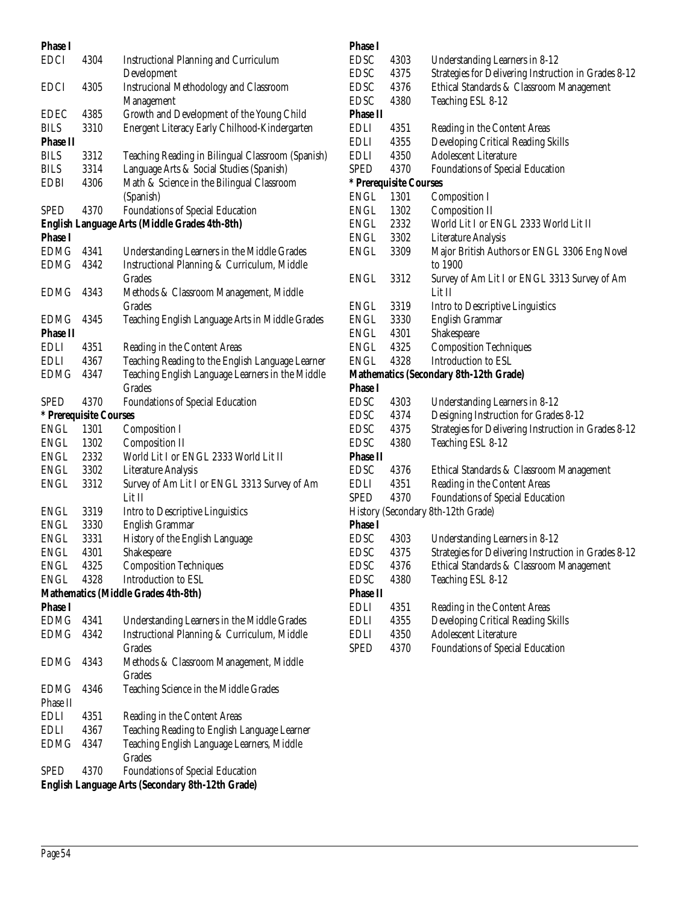| <b>Phase I</b>         |      |                                                                                            |
|------------------------|------|--------------------------------------------------------------------------------------------|
| <b>EDCI</b>            | 4304 | <b>Instructional Planning and Curriculum</b>                                               |
|                        |      | Development                                                                                |
| <b>EDCI</b>            | 4305 | <b>Instrucional Methodology and Classroom</b>                                              |
|                        |      | Management                                                                                 |
| <b>EDEC</b>            | 4385 | Growth and Development of the Young Child                                                  |
| <b>BILS</b>            | 3310 | Energent Literacy Early Chilhood-Kindergarten                                              |
| <b>Phase II</b>        |      |                                                                                            |
| BILS                   | 3312 | Teaching Reading in Bilingual Classroom (Spanish)                                          |
| BILS                   | 3314 | Language Arts & Social Studies (Spanish)                                                   |
| <b>EDBI</b>            | 4306 | Math & Science in the Bilingual Classroom                                                  |
|                        |      | (Spanish)                                                                                  |
| <b>SPED</b>            | 4370 | Foundations of Special Education<br><b>English Language Arts (Middle Grades 4th-8th)</b>   |
| <b>Phase I</b>         |      |                                                                                            |
| <b>EDMG</b>            | 4341 |                                                                                            |
| <b>EDMG</b>            | 4342 | Understanding Learners in the Middle Grades<br>Instructional Planning & Curriculum, Middle |
|                        |      | Grades                                                                                     |
| <b>EDMG</b>            | 4343 | Methods & Classroom Management, Middle                                                     |
|                        |      | <b>Grades</b>                                                                              |
| <b>EDMG</b>            | 4345 | Teaching English Language Arts in Middle Grades                                            |
| <b>Phase II</b>        |      |                                                                                            |
| EDLI                   | 4351 | Reading in the Content Areas                                                               |
| <b>EDLI</b>            | 4367 | Teaching Reading to the English Language Learner                                           |
| <b>EDMG</b>            | 4347 | Teaching English Language Learners in the Middle                                           |
|                        |      | <b>Grades</b>                                                                              |
| <b>SPED</b>            | 4370 | <b>Foundations of Special Education</b>                                                    |
| * Prerequisite Courses |      |                                                                                            |
| ENGL                   | 1301 | <b>Composition I</b>                                                                       |
| ENGL                   | 1302 | <b>Composition II</b>                                                                      |
| ENGL                   | 2332 | World Lit I or ENGL 2333 World Lit II                                                      |
| ENGL                   | 3302 | <b>Literature Analysis</b>                                                                 |
| ENGL                   | 3312 | Survey of Am Lit I or ENGL 3313 Survey of Am                                               |
|                        |      | Lit II                                                                                     |
| ENGL                   | 3319 | Intro to Descriptive Linguistics                                                           |
| ENGL                   | 3330 | <b>English Grammar</b>                                                                     |
| <b>ENGL</b>            | 3331 | History of the English Language                                                            |
| <b>ENGL</b>            | 4301 | Shakespeare                                                                                |
| ENGL                   | 4325 | <b>Composition Techniques</b>                                                              |
| <b>ENGL</b>            | 4328 | Introduction to ESL                                                                        |
|                        |      | <b>Mathematics (Middle Grades 4th-8th)</b>                                                 |
| <b>Phase I</b>         |      |                                                                                            |
| <b>EDMG</b>            | 4341 | Understanding Learners in the Middle Grades                                                |
| <b>EDMG</b>            | 4342 | Instructional Planning & Curriculum, Middle                                                |
|                        |      | <b>Grades</b>                                                                              |
| EDMG                   | 4343 | Methods & Classroom Management, Middle                                                     |
|                        |      | Grades                                                                                     |
| EDMG                   | 4346 | Teaching Science in the Middle Grades                                                      |
| Phase II               |      |                                                                                            |
| EDLI                   | 4351 | Reading in the Content Areas                                                               |
| EDLI                   | 4367 | Teaching Reading to English Language Learner                                               |
| EDMG                   | 4347 | Teaching English Language Learners, Middle<br>Grades                                       |
| SPED                   | 4370 | <b>Foundations of Special Education</b>                                                    |
|                        |      | English Language Arts (Secondary 8th-12th Grade)                                           |
|                        |      |                                                                                            |

| <b>Phase I</b>  |                        |                                                         |
|-----------------|------------------------|---------------------------------------------------------|
| <b>EDSC</b>     | 4303                   | Understanding Learners in 8-12                          |
| <b>EDSC</b>     | 4375                   | Strategies for Delivering Instruction in Grades 8-12    |
| <b>EDSC</b>     | 4376                   | Ethical Standards & Classroom Management                |
| <b>EDSC</b>     | 4380                   | Teaching ESL 8-12                                       |
| <b>Phase II</b> |                        |                                                         |
| EDLI            | 4351                   | Reading in the Content Areas                            |
| EDLI            | 4355                   | Developing Critical Reading Skills                      |
| EDLI            | 4350                   | <b>Adolescent Literature</b>                            |
| <b>SPED</b>     | 4370                   | <b>Foundations of Special Education</b>                 |
|                 | * Prerequisite Courses |                                                         |
| <b>ENGL</b>     | 1301                   | <b>Composition I</b>                                    |
| <b>ENGL</b>     | 1302                   | <b>Composition II</b>                                   |
| ENGL            | 2332                   | World Lit I or ENGL 2333 World Lit II                   |
| ENGL            | 3302                   | <b>Literature Analysis</b>                              |
| ENGL            | 3309                   | Major British Authors or ENGL 3306 Eng Novel<br>to 1900 |
| <b>ENGL</b>     | 3312                   | Survey of Am Lit I or ENGL 3313 Survey of Am<br>Lit II  |
| ENGL            | 3319                   | Intro to Descriptive Linguistics                        |
| <b>ENGL</b>     | 3330                   | English Grammar                                         |
| <b>ENGL</b>     | 4301                   | Shakespeare                                             |
| <b>ENGL</b>     | 4325                   | <b>Composition Techniques</b>                           |
| <b>ENGL</b>     | 4328                   | Introduction to ESL                                     |
|                 |                        | Mathematics (Secondary 8th-12th Grade)                  |
| <b>Phase I</b>  |                        |                                                         |
| <b>EDSC</b>     | 4303                   | Understanding Learners in 8-12                          |
| <b>EDSC</b>     | 4374                   | Designing Instruction for Grades 8-12                   |
| <b>EDSC</b>     | 4375                   | Strategies for Delivering Instruction in Grades 8-12    |
| <b>EDSC</b>     | 4380                   | Teaching ESL 8-12                                       |
| <b>Phase II</b> |                        |                                                         |
| <b>EDSC</b>     | 4376                   | Ethical Standards & Classroom Management                |
| EDLI            | 4351                   | Reading in the Content Areas                            |
| <b>SPED</b>     | 4370                   | Foundations of Special Education                        |
|                 |                        | History (Secondary 8th-12th Grade)                      |
| <b>Phase I</b>  |                        |                                                         |
| <b>EDSC</b>     | 4303                   | Understanding Learners in 8-12                          |
| <b>EDSC</b>     | 4375                   | Strategies for Delivering Instruction in Grades 8-12    |
| <b>EDSC</b>     | 4376                   | Ethical Standards & Classroom Management                |
| <b>EDSC</b>     | 4380                   | Teaching ESL 8-12                                       |
| <b>Phase II</b> |                        |                                                         |
| <b>EDLI</b>     | 4351                   | Reading in the Content Areas                            |
| <b>EDLI</b>     | 4355                   | Developing Critical Reading Skills                      |
| <b>EDLI</b>     | 4350                   | <b>Adolescent Literature</b>                            |
| <b>SPED</b>     | 4370                   | <b>Foundations of Special Education</b>                 |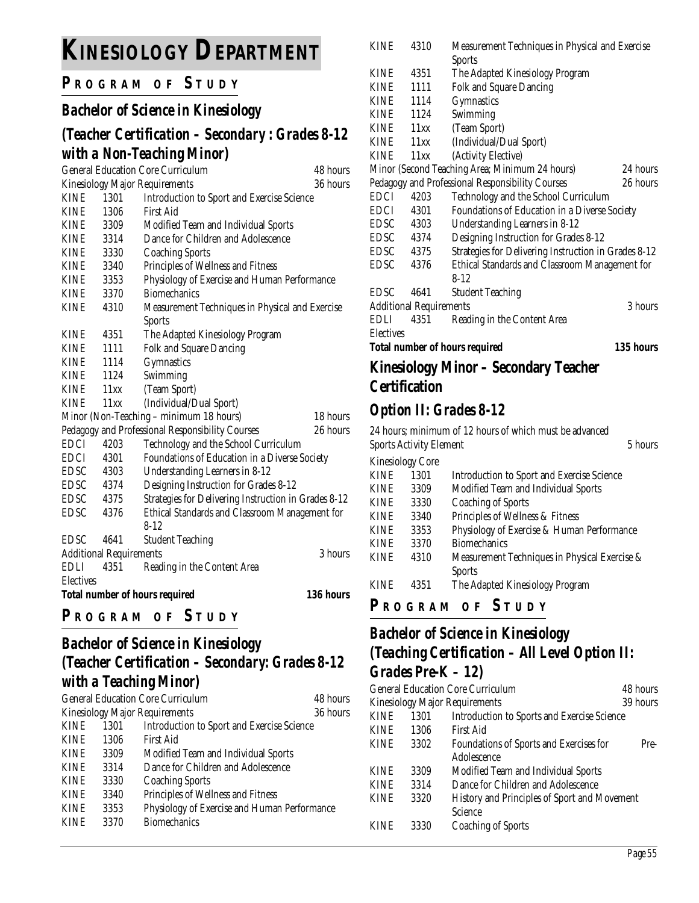# **KINESIOLOGY DEPARTMENT**

## **P R OGRAM O F S TUDY**

## *Bachelor of Science in Kinesiology*

## *(Teacher Certification – Secondary : Grades 8-12 with a Non-Teaching Minor)*

|                                           |      | <b>General Education Core Curriculum</b>             | 48 hours  |
|-------------------------------------------|------|------------------------------------------------------|-----------|
|                                           |      | Kinesiology Major Requirements                       | 36 hours  |
| <b>KINE</b>                               | 1301 | Introduction to Sport and Exercise Science           |           |
| <b>KINE</b>                               | 1306 | First Aid                                            |           |
| <b>KINE</b>                               | 3309 | Modified Team and Individual Sports                  |           |
| <b>KINE</b>                               | 3314 | Dance for Children and Adolescence                   |           |
| <b>KINE</b>                               | 3330 | <b>Coaching Sports</b>                               |           |
| <b>KINE</b>                               | 3340 | Principles of Wellness and Fitness                   |           |
| <b>KINE</b>                               | 3353 | Physiology of Exercise and Human Performance         |           |
| <b>KINE</b>                               | 3370 | <b>Biomechanics</b>                                  |           |
| <b>KINE</b>                               | 4310 | Measurement Techniques in Physical and Exercise      |           |
|                                           |      | <b>Sports</b>                                        |           |
| <b>KINE</b>                               | 4351 | The Adapted Kinesiology Program                      |           |
| <b>KINE</b>                               | 1111 | <b>Folk and Square Dancing</b>                       |           |
| <b>KINE</b>                               | 1114 | Gymnastics                                           |           |
| <b>KINE</b>                               | 1124 | Swimming                                             |           |
| <b>KINE</b>                               | 11xx | (Team Sport)                                         |           |
| <b>KINE</b>                               | 11xx | (Individual/Dual Sport)                              |           |
|                                           |      | Minor (Non-Teaching - minimum 18 hours)              | 18 hours  |
|                                           |      | Pedagogy and Professional Responsibility Courses     | 26 hours  |
| <b>EDCI</b>                               | 4203 | Technology and the School Curriculum                 |           |
| <b>EDCI</b>                               | 4301 | Foundations of Education in a Diverse Society        |           |
| <b>EDSC</b>                               | 4303 | Understanding Learners in 8-12                       |           |
| <b>EDSC</b>                               | 4374 | Designing Instruction for Grades 8-12                |           |
| <b>EDSC</b>                               | 4375 | Strategies for Delivering Instruction in Grades 8-12 |           |
| <b>EDSC</b>                               | 4376 | Ethical Standards and Classroom Management for       |           |
|                                           |      | $8 - 12$                                             |           |
| <b>EDSC</b>                               | 4641 | <b>Student Teaching</b>                              |           |
| <b>Additional Requirements</b><br>3 hours |      |                                                      |           |
| <b>EDLI</b>                               | 4351 | Reading in the Content Area                          |           |
| <b>Electives</b>                          |      |                                                      |           |
|                                           |      | <b>Total number of hours required</b>                | 136 hours |
|                                           |      |                                                      |           |

#### **P <sup>R</sup> OGRAM O F S TUDY**

## *Bachelor of Science in Kinesiology (Teacher Certification – Secondary: Grades 8-12 with a Teaching Minor)*

| <b>General Education Core Curriculum</b> |      |                                              | 48 hours |
|------------------------------------------|------|----------------------------------------------|----------|
| <b>Kinesiology Major Requirements</b>    |      |                                              | 36 hours |
| <b>KINE</b>                              | 1301 | Introduction to Sport and Exercise Science   |          |
| <b>KINE</b>                              | 1306 | First Aid                                    |          |
| <b>KINE</b>                              | 3309 | Modified Team and Individual Sports          |          |
| <b>KINE</b>                              | 3314 | Dance for Children and Adolescence           |          |
| <b>KINE</b>                              | 3330 | <b>Coaching Sports</b>                       |          |
| <b>KINE</b>                              | 3340 | Principles of Wellness and Fitness           |          |
| <b>KINE</b>                              | 3353 | Physiology of Exercise and Human Performance |          |
| <b>KINE</b>                              | 3370 | <b>Biomechanics</b>                          |          |

| <b>KINE</b>                                        | 4310                                      | Measurement Techniques in Physical and Exercise      |          |  |
|----------------------------------------------------|-------------------------------------------|------------------------------------------------------|----------|--|
|                                                    |                                           | <b>Sports</b>                                        |          |  |
| KINE                                               | 4351                                      | The Adapted Kinesiology Program                      |          |  |
| KINE                                               | 1111                                      | <b>Folk and Square Dancing</b>                       |          |  |
| KINE                                               | 1114                                      | Gymnastics                                           |          |  |
| KINE                                               | 1124                                      | Swimming                                             |          |  |
| KINE                                               | 11xx                                      | (Team Sport)                                         |          |  |
| KINE                                               | 11xx                                      | (Individual/Dual Sport)                              |          |  |
| <b>KINE</b>                                        | 11xx                                      | (Activity Elective)                                  |          |  |
|                                                    |                                           | Minor (Second Teaching Area; Minimum 24 hours)       | 24 hours |  |
|                                                    |                                           | Pedagogy and Professional Responsibility Courses     | 26 hours |  |
| EDCI                                               | 4203                                      | Technology and the School Curriculum                 |          |  |
| EDCI                                               | 4301                                      | Foundations of Education in a Diverse Society        |          |  |
| EDSC                                               | 4303                                      | Understanding Learners in 8-12                       |          |  |
| EDSC 4374                                          |                                           | Designing Instruction for Grades 8-12                |          |  |
| EDSC 4375                                          |                                           | Strategies for Delivering Instruction in Grades 8-12 |          |  |
| EDSC                                               | 4376                                      | Ethical Standards and Classroom Management for       |          |  |
|                                                    |                                           | $8-12$                                               |          |  |
| <b>EDSC</b>                                        | 4641                                      | <b>Student Teaching</b>                              |          |  |
|                                                    | 3 hours<br><b>Additional Requirements</b> |                                                      |          |  |
| EDLI                                               | 4351                                      | Reading in the Content Area                          |          |  |
| <b>Electives</b>                                   |                                           |                                                      |          |  |
| 135 hours<br><b>Total number of hours required</b> |                                           |                                                      |          |  |
| Kinesiology Minor – Secondary Teacher              |                                           |                                                      |          |  |
|                                                    | <b>Certification</b>                      |                                                      |          |  |
|                                                    |                                           |                                                      |          |  |

## *Option II: Grades 8-12*

| 24 hours; minimum of 12 hours of which must be advanced |                                           |                                               |  |  |  |
|---------------------------------------------------------|-------------------------------------------|-----------------------------------------------|--|--|--|
|                                                         | <b>Sports Activity Element</b><br>5 hours |                                               |  |  |  |
| <b>Kinesiology Core</b>                                 |                                           |                                               |  |  |  |
| <b>KINE</b>                                             | 1301                                      | Introduction to Sport and Exercise Science    |  |  |  |
| <b>KINE</b>                                             | 3309                                      | Modified Team and Individual Sports           |  |  |  |
| <b>KINE</b>                                             | 3330                                      | <b>Coaching of Sports</b>                     |  |  |  |
| <b>KINE</b>                                             | 3340                                      | Principles of Wellness & Fitness              |  |  |  |
| <b>KINE</b>                                             | 3353                                      | Physiology of Exercise & Human Performance    |  |  |  |
| <b>KINE</b>                                             | 3370                                      | <b>Biomechanics</b>                           |  |  |  |
| <b>KINE</b>                                             | 4310                                      | Measurement Techniques in Physical Exercise & |  |  |  |
|                                                         |                                           | <b>Sports</b>                                 |  |  |  |
| <b>KINE</b>                                             | 4351                                      | The Adapted Kinesiology Program               |  |  |  |
|                                                         |                                           |                                               |  |  |  |

### **P R OGRAM O F S TUDY**

## *Bachelor of Science in Kinesiology (Teaching Certification – All Level Option II: Grades Pre-K – 12)*

|             | <b>General Education Core Curriculum</b><br>48 hours |                                              |      |
|-------------|------------------------------------------------------|----------------------------------------------|------|
|             | 39 hours<br><b>Kinesiology Major Requirements</b>    |                                              |      |
| <b>KINE</b> | 1301                                                 | Introduction to Sports and Exercise Science  |      |
| <b>KINE</b> | 1306                                                 | <b>First Aid</b>                             |      |
| <b>KINE</b> | 3302                                                 | Foundations of Sports and Exercises for      | Pre- |
|             |                                                      | Adolescence                                  |      |
| <b>KINE</b> | 3309                                                 | Modified Team and Individual Sports          |      |
| <b>KINE</b> | 3314                                                 | Dance for Children and Adolescence           |      |
| <b>KINE</b> | 3320                                                 | History and Principles of Sport and Movement |      |
|             |                                                      | Science                                      |      |
| <b>KINE</b> | 3330                                                 | <b>Coaching of Sports</b>                    |      |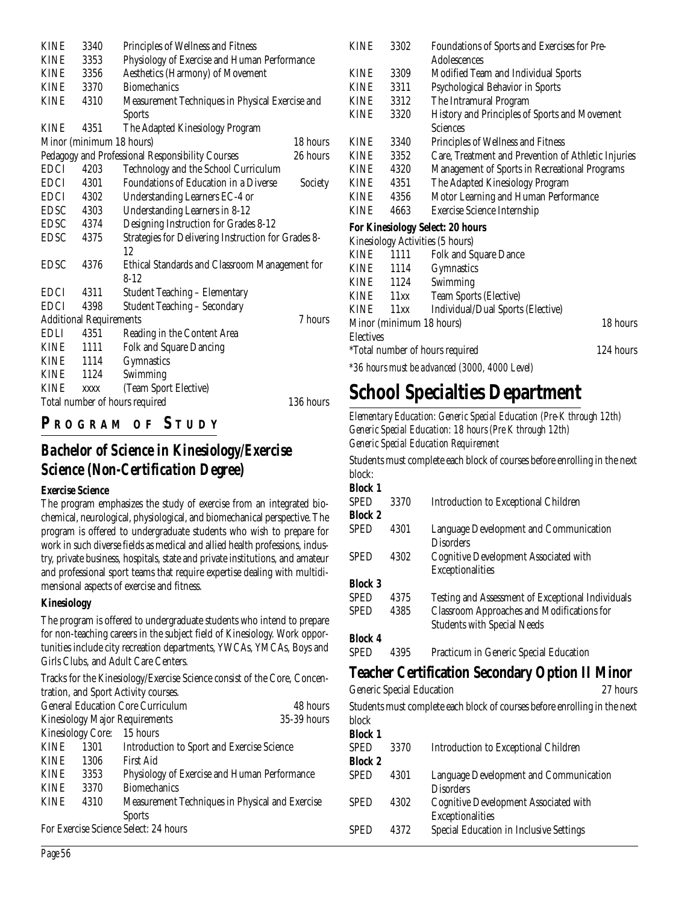| <b>KINE</b> | 3340<br>Principles of Wellness and Fitness  |                                                     |          |  |  |  |
|-------------|---------------------------------------------|-----------------------------------------------------|----------|--|--|--|
| <b>KINE</b> | 3353                                        | Physiology of Exercise and Human Performance        |          |  |  |  |
| <b>KINE</b> | 3356                                        | Aesthetics (Harmony) of Movement                    |          |  |  |  |
| <b>KINE</b> | 3370                                        | <b>Biomechanics</b>                                 |          |  |  |  |
| <b>KINE</b> | 4310                                        | Measurement Techniques in Physical Exercise and     |          |  |  |  |
|             |                                             | <b>Sports</b>                                       |          |  |  |  |
| <b>KINE</b> | 4351                                        | The Adapted Kinesiology Program                     |          |  |  |  |
|             | Minor (minimum 18 hours)                    |                                                     | 18 hours |  |  |  |
|             |                                             | Pedagogy and Professional Responsibility Courses    | 26 hours |  |  |  |
| <b>EDCI</b> | 4203                                        | Technology and the School Curriculum                |          |  |  |  |
| <b>EDCI</b> | 4301                                        | <b>Foundations of Education in a Diverse</b>        | Society  |  |  |  |
| EDCI        | 4302                                        | Understanding Learners EC-4 or                      |          |  |  |  |
| <b>EDSC</b> | 4303                                        | Understanding Learners in 8-12                      |          |  |  |  |
| <b>EDSC</b> | 4374                                        | Designing Instruction for Grades 8-12               |          |  |  |  |
| <b>EDSC</b> | 4375                                        | Strategies for Delivering Instruction for Grades 8- |          |  |  |  |
|             |                                             | 12                                                  |          |  |  |  |
| <b>EDSC</b> | 4376                                        | Ethical Standards and Classroom Management for      |          |  |  |  |
|             |                                             | $8 - 12$                                            |          |  |  |  |
| <b>EDCI</b> | 4311                                        | <b>Student Teaching - Elementary</b>                |          |  |  |  |
| <b>EDCI</b> | 4398                                        | <b>Student Teaching - Secondary</b>                 |          |  |  |  |
|             | <b>Additional Requirements</b><br>7 hours   |                                                     |          |  |  |  |
| EDLI        | 4351                                        | Reading in the Content Area                         |          |  |  |  |
| <b>KINE</b> | 1111                                        | Folk and Square Dancing                             |          |  |  |  |
| <b>KINE</b> | 1114                                        | Gymnastics                                          |          |  |  |  |
| <b>KINE</b> | 1124                                        | Swimming                                            |          |  |  |  |
| <b>KINE</b> | (Team Sport Elective)<br><b>XXXX</b>        |                                                     |          |  |  |  |
|             | 136 hours<br>Total number of hours required |                                                     |          |  |  |  |

## **P R OGRAM O F S TUDY**

### *Bachelor of Science in Kinesiology/Exercise Science (Non-Certification Degree)*

#### **Exercise Science**

The program emphasizes the study of exercise from an integrated biochemical, neurological, physiological, and biomechanical perspective. The program is offered to undergraduate students who wish to prepare for work in such diverse fields as medical and allied health professions, industry, private business, hospitals, state and private institutions, and amateur and professional sport teams that require expertise dealing with multidimensional aspects of exercise and fitness.

#### **Kinesiology**

The program is offered to undergraduate students who intend to prepare for non-teaching careers in the subject field of Kinesiology. Work opportunities include city recreation departments, YWCAs, YMCAs, Boys and Girls Clubs, and Adult Care Centers.

Tracks for the Kinesiology/Exercise Science consist of the Core, Concentration, and Sport Activity courses.

| <b>General Education Core Curriculum</b>                               |      |                                                   | 48 hours    |  |
|------------------------------------------------------------------------|------|---------------------------------------------------|-------------|--|
| <b>Kinesiology Major Requirements</b>                                  |      |                                                   | 35-39 hours |  |
| <b>Kinesiology Core:</b>                                               |      | 15 hours                                          |             |  |
| <b>KINE</b>                                                            | 1301 | <b>Introduction to Sport and Exercise Science</b> |             |  |
| <b>KINE</b>                                                            | 1306 | First Aid                                         |             |  |
| <b>KINE</b><br>Physiology of Exercise and Human Performance<br>3353    |      |                                                   |             |  |
| <b>KINE</b><br>3370                                                    |      | <b>Biomechanics</b>                               |             |  |
| Measurement Techniques in Physical and Exercise<br><b>KINE</b><br>4310 |      |                                                   |             |  |
|                                                                        |      | <b>Sports</b>                                     |             |  |
| For Exercise Science Select: 24 hours                                  |      |                                                   |             |  |

| KINE             | 3302                     | Foundations of Sports and Exercises for Pre-<br>Adolescences |                                               |  |  |  |
|------------------|--------------------------|--------------------------------------------------------------|-----------------------------------------------|--|--|--|
| <b>KINE</b>      | 3309                     | Modified Team and Individual Sports                          |                                               |  |  |  |
| <b>KINE</b>      | 3311                     | Psychological Behavior in Sports                             |                                               |  |  |  |
| KINE             | 3312                     | The Intramural Program                                       |                                               |  |  |  |
| <b>KINE</b>      | 3320                     | History and Principles of Sports and Movement                |                                               |  |  |  |
|                  |                          | Sciences                                                     |                                               |  |  |  |
| <b>KINE</b>      | 3340                     | Principles of Wellness and Fitness                           |                                               |  |  |  |
| <b>KINE</b>      | 3352                     | Care, Treatment and Prevention of Athletic Injuries          |                                               |  |  |  |
| KINE             | 4320                     | Management of Sports in Recreational Programs                |                                               |  |  |  |
| KINE             | 4351                     | The Adapted Kinesiology Program                              |                                               |  |  |  |
| KINE             | 4356                     | Motor Learning and Human Performance                         |                                               |  |  |  |
| <b>KINE</b>      | 4663                     | <b>Exercise Science Internship</b>                           |                                               |  |  |  |
|                  |                          | For Kinesiology Select: 20 hours                             |                                               |  |  |  |
|                  |                          | Kinesiology Activities (5 hours)                             |                                               |  |  |  |
| KINE             | 1111                     | Folk and Square Dance                                        |                                               |  |  |  |
|                  | KINE 1114                | Gymnastics                                                   |                                               |  |  |  |
|                  | KINE 1124                | Swimming                                                     |                                               |  |  |  |
|                  | KINE 11xx                | Team Sports (Elective)                                       |                                               |  |  |  |
|                  | KINE 11xx                | Individual/Dual Sports (Elective)                            |                                               |  |  |  |
|                  | Minor (minimum 18 hours) |                                                              | 18 hours                                      |  |  |  |
| <b>Electives</b> |                          |                                                              |                                               |  |  |  |
|                  |                          | *Total number of hours required                              | 124 hours                                     |  |  |  |
|                  |                          |                                                              | *36 hours must be advanced (3000, 4000 Level) |  |  |  |

## **School Specialties Department**

*Elementary Education: Generic Special Education (Pre-K through 12th) Generic Special Education: 18 hours (Pre K through 12th) Generic Special Education Requirement*

Students must complete each block of courses before enrolling in the next block:

| <b>Block 1</b> |      |                                                            |
|----------------|------|------------------------------------------------------------|
| <b>SPED</b>    | 3370 | <b>Introduction to Exceptional Children</b>                |
| <b>Block 2</b> |      |                                                            |
| <b>SPED</b>    | 4301 | Language Development and Communication<br><b>Disorders</b> |
| SPED           | 4302 | Cognitive Development Associated with                      |
|                |      | Exceptionalities                                           |
| <b>Block 3</b> |      |                                                            |
| <b>SPED</b>    | 4375 | Testing and Assessment of Exceptional Individuals          |
| <b>SPED</b>    | 4385 | <b>Classroom Approaches and Modifications for</b>          |
|                |      | <b>Students with Special Needs</b>                         |
| <b>Block 4</b> |      |                                                            |
| <b>SPED</b>    | 4395 | Practicum in Generic Special Education                     |
|                |      |                                                            |

#### **Teacher Certification Secondary Option II Minor**

Generic Special Education 27 hours

Students must complete each block of courses before enrolling in the next block

| <b>Block 1</b> |      |                                                            |
|----------------|------|------------------------------------------------------------|
| <b>SPED</b>    | 3370 | <b>Introduction to Exceptional Children</b>                |
| <b>Block 2</b> |      |                                                            |
| <b>SPED</b>    | 4301 | Language Development and Communication<br><b>Disorders</b> |
| <b>SPED</b>    | 4302 | Cognitive Development Associated with<br>Exceptionalities  |
| <b>SPED</b>    | 4372 | Special Education in Inclusive Settings                    |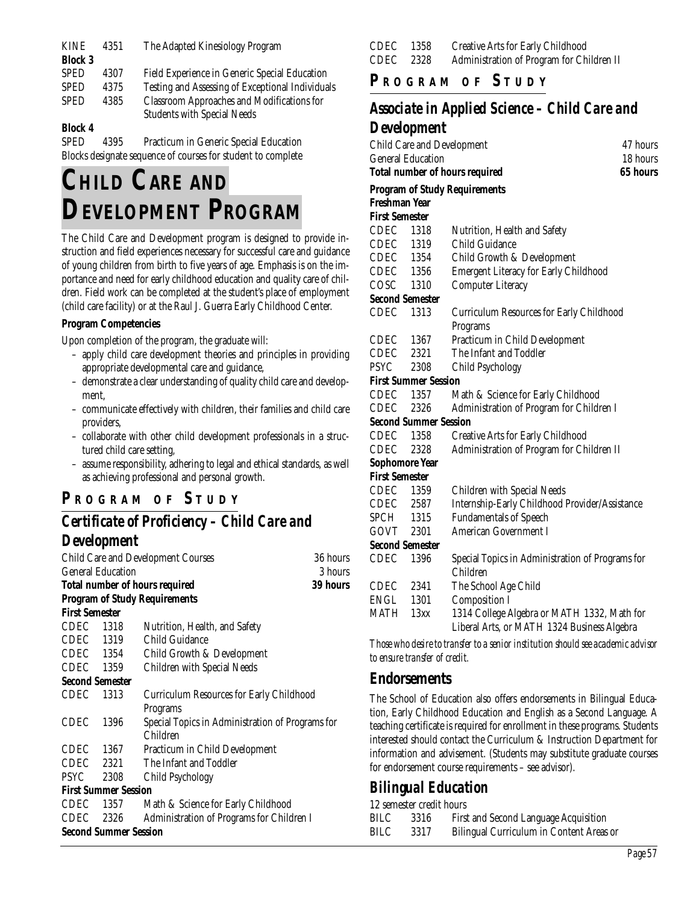| <b>KINE</b>    | 4351 | The Adapted Kinesiology Program                  |  |
|----------------|------|--------------------------------------------------|--|
| <b>Block 3</b> |      |                                                  |  |
| <b>SPED</b>    | 4307 | Field Experience in Generic Special Education    |  |
| <b>SPED</b>    | 4375 | Testing and Assessing of Exceptional Individuals |  |
| <b>SPED</b>    | 4385 | Classroom Approaches and Modifications for       |  |
|                |      | <b>Students with Special Needs</b>               |  |
|                |      |                                                  |  |

#### **Block 4**

SPED 4395 Practicum in Generic Special Education Blocks designate sequence of courses for student to complete

# **CHILD CARE AND DEVELOPMENT PROGRAM**

The Child Care and Development program is designed to provide instruction and field experiences necessary for successful care and guidance of young children from birth to five years of age. Emphasis is on the importance and need for early childhood education and quality care of children. Field work can be completed at the student's place of employment (child care facility) or at the Raul J. Guerra Early Childhood Center.

#### **Program Competencies**

Upon completion of the program, the graduate will:

- apply child care development theories and principles in providing appropriate developmental care and guidance,
- demonstrate a clear understanding of quality child care and development,
- communicate effectively with children, their families and child care providers,
- collaborate with other child development professionals in a structured child care setting,
- assume responsibility, adhering to legal and ethical standards, as well as achieving professional and personal growth.

## **P R OGRAM O F S TUDY**

## *Certificate of Proficiency – Child Care and Development*

|                       |                              | <b>Child Care and Development Courses</b>        | 36 hours |  |  |
|-----------------------|------------------------------|--------------------------------------------------|----------|--|--|
|                       | <b>General Education</b>     |                                                  |          |  |  |
|                       |                              | <b>Total number of hours required</b>            | 39 hours |  |  |
|                       |                              | <b>Program of Study Requirements</b>             |          |  |  |
| <b>First Semester</b> |                              |                                                  |          |  |  |
| CDEC 1318             |                              | Nutrition, Health, and Safety                    |          |  |  |
| CDEC 1319             |                              | Child Guidance                                   |          |  |  |
|                       | CDEC 1354                    | Child Growth & Development                       |          |  |  |
|                       | CDEC 1359                    | Children with Special Needs                      |          |  |  |
|                       | <b>Second Semester</b>       |                                                  |          |  |  |
| <b>CDEC</b>           | 1313                         | <b>Curriculum Resources for Early Childhood</b>  |          |  |  |
|                       |                              | Programs                                         |          |  |  |
| <b>CDEC</b>           | 1396                         | Special Topics in Administration of Programs for |          |  |  |
|                       |                              | Children                                         |          |  |  |
|                       | CDEC 1367                    | Practicum in Child Development                   |          |  |  |
|                       | CDEC 2321                    | The Infant and Toddler                           |          |  |  |
|                       | PSYC 2308                    | Child Psychology                                 |          |  |  |
|                       | <b>First Summer Session</b>  |                                                  |          |  |  |
| CDEC                  | 1357                         | Math & Science for Early Childhood               |          |  |  |
| CDEC                  | 2326                         | Administration of Programs for Children I        |          |  |  |
|                       | <b>Second Summer Session</b> |                                                  |          |  |  |
|                       |                              |                                                  |          |  |  |

| CDEC 1358 | Creative Arts for Early Childhood         |
|-----------|-------------------------------------------|
| CDEC 2328 | Administration of Program for Children II |

## **P R OGRAM O F S TUDY**

## *Associate in Applied Science – Child Care and Development*

|                        |                                                   | 47 hours<br><b>Child Care and Development</b>                                              |  |  |  |
|------------------------|---------------------------------------------------|--------------------------------------------------------------------------------------------|--|--|--|
|                        | <b>General Education</b><br>18 hours              |                                                                                            |  |  |  |
|                        | 65 hours<br><b>Total number of hours required</b> |                                                                                            |  |  |  |
|                        |                                                   | <b>Program of Study Requirements</b>                                                       |  |  |  |
| <b>Freshman Year</b>   |                                                   |                                                                                            |  |  |  |
| <b>First Semester</b>  |                                                   |                                                                                            |  |  |  |
| CDEC 1318              |                                                   | Nutrition, Health and Safety                                                               |  |  |  |
| CDEC 1319              |                                                   | Child Guidance                                                                             |  |  |  |
| CDEC 1354<br>CDEC 1356 |                                                   | Child Growth & Development                                                                 |  |  |  |
|                        |                                                   | <b>Emergent Literacy for Early Childhood</b>                                               |  |  |  |
| COSC 1310              |                                                   | <b>Computer Literacy</b>                                                                   |  |  |  |
|                        | <b>Second Semester</b>                            |                                                                                            |  |  |  |
| CDEC                   | 1313                                              | <b>Curriculum Resources for Early Childhood</b>                                            |  |  |  |
|                        |                                                   | Programs                                                                                   |  |  |  |
| CDEC 1367              |                                                   | Practicum in Child Development                                                             |  |  |  |
| CDEC 2321              |                                                   | The Infant and Toddler                                                                     |  |  |  |
| <b>PSYC</b>            | 2308<br>Child Psychology                          |                                                                                            |  |  |  |
|                        | <b>First Summer Session</b>                       |                                                                                            |  |  |  |
| CDEC 1357              |                                                   | Math & Science for Early Childhood                                                         |  |  |  |
| CDEC                   | 2326                                              | Administration of Program for Children I                                                   |  |  |  |
|                        | <b>Second Summer Session</b>                      |                                                                                            |  |  |  |
| CDEC                   | 1358                                              | <b>Creative Arts for Early Childhood</b>                                                   |  |  |  |
| CDEC                   | Administration of Program for Children II<br>2328 |                                                                                            |  |  |  |
| <b>Sophomore Year</b>  |                                                   |                                                                                            |  |  |  |
| <b>First Semester</b>  |                                                   |                                                                                            |  |  |  |
| CDEC 1359              |                                                   | Children with Special Needs                                                                |  |  |  |
| CDEC 2587              |                                                   | Internship-Early Childhood Provider/Assistance                                             |  |  |  |
| SPCH 1315              |                                                   | <b>Fundamentals of Speech</b>                                                              |  |  |  |
|                        | GOVT 2301<br><b>American Government I</b>         |                                                                                            |  |  |  |
|                        | <b>Second Semester</b>                            |                                                                                            |  |  |  |
| CDEC                   | 1396                                              | Special Topics in Administration of Programs for<br>Children                               |  |  |  |
| CDEC                   | 2341                                              | The School Age Child                                                                       |  |  |  |
| ENGL 1301              |                                                   | <b>Composition I</b>                                                                       |  |  |  |
| MATH 13xx              |                                                   | 1314 College Algebra or MATH 1332, Math for<br>Liberal Arts, or MATH 1324 Business Algebra |  |  |  |
| $\mathbf{m}$           |                                                   |                                                                                            |  |  |  |

*Those who desire to transfer to a senior institution should see academic advisor to ensure transfer of credit.*

#### **Endorsements**

The School of Education also offers endorsements in Bilingual Education, Early Childhood Education and English as a Second Language. A teaching certificate is required for enrollment in these programs. Students interested should contact the Curriculum & Instruction Department for information and advisement. (Students may substitute graduate courses for endorsement course requirements – see advisor).

#### *Bilingual Education*

| 12 semester credit hours |  |
|--------------------------|--|
|                          |  |

| BILC | 3316 | First and Second Language Acquisition    |
|------|------|------------------------------------------|
| BILC | 3317 | Bilingual Curriculum in Content Areas or |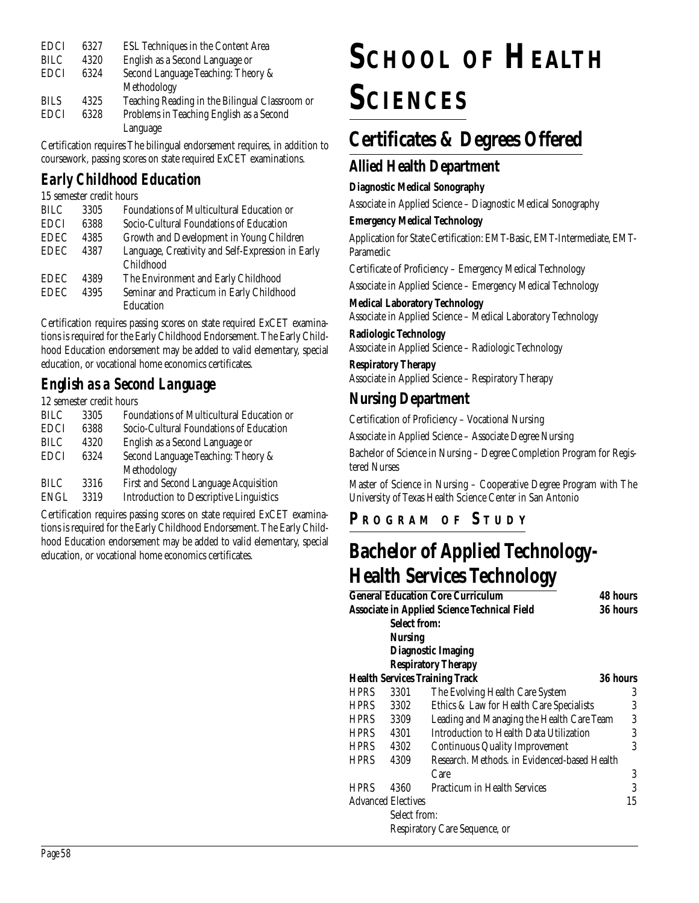| <b>EDCI</b> | 6327 | ESL Techniques in the Content Area             |
|-------------|------|------------------------------------------------|
| BILC        | 4320 | English as a Second Language or                |
| <b>EDCI</b> | 6324 | Second Language Teaching: Theory &             |
|             |      | Methodology                                    |
| <b>BILS</b> | 4325 | Teaching Reading in the Bilingual Classroom or |
| <b>EDCI</b> | 6328 | Problems in Teaching English as a Second       |
|             |      | Language                                       |

Certification requires The bilingual endorsement requires, in addition to coursework, passing scores on state required ExCET examinations.

## *Early Childhood Education*

| 15 semester credit hours |      |                                                   |
|--------------------------|------|---------------------------------------------------|
| <b>BILC</b>              | 3305 | <b>Foundations of Multicultural Education or</b>  |
| <b>EDCI</b>              | 6388 | Socio-Cultural Foundations of Education           |
| <b>EDEC</b>              | 4385 | Growth and Development in Young Children          |
| <b>EDEC</b>              | 4387 | Language, Creativity and Self-Expression in Early |
|                          |      | Childhood                                         |
| <b>EDEC</b>              | 4389 | The Environment and Early Childhood               |
| <b>EDEC</b>              | 4395 | Seminar and Practicum in Early Childhood          |
|                          |      | Education                                         |

Certification requires passing scores on state required ExCET examinations is required for the Early Childhood Endorsement. The Early Childhood Education endorsement may be added to valid elementary, special education, or vocational home economics certificates.

## *English as a Second Language*

12 semester credit hours

| <b>BILC</b> | 3305 | Foundations of Multicultural Education or      |
|-------------|------|------------------------------------------------|
| <b>EDCI</b> | 6388 | Socio-Cultural Foundations of Education        |
| <b>BILC</b> | 4320 | English as a Second Language or                |
| <b>EDCI</b> | 6324 | Second Language Teaching: Theory &             |
|             |      | Methodology                                    |
| <b>BILC</b> | 3316 | First and Second Language Acquisition          |
| ENGL        | 3319 | <b>Introduction to Descriptive Linguistics</b> |
|             |      |                                                |

Certification requires passing scores on state required ExCET examinations is required for the Early Childhood Endorsement. The Early Childhood Education endorsement may be added to valid elementary, special education, or vocational home economics certificates.

# **SCHOOL OF HEALTH SCIENCES**

## **Certificates & Degrees Offered**

## **Allied Health Department**

#### **Diagnostic Medical Sonography**

Associate in Applied Science – Diagnostic Medical Sonography

#### **Emergency Medical Technology**

Application for State Certification: EMT-Basic, EMT-Intermediate, EMT-Paramedic

Certificate of Proficiency – Emergency Medical Technology

Associate in Applied Science – Emergency Medical Technology

## **Medical Laboratory Technology**

Associate in Applied Science – Medical Laboratory Technology

**Radiologic Technology** Associate in Applied Science – Radiologic Technology

**Respiratory Therapy** Associate in Applied Science – Respiratory Therapy

## **Nursing Department**

Certification of Proficiency – Vocational Nursing

Associate in Applied Science – Associate Degree Nursing

Bachelor of Science in Nursing – Degree Completion Program for Registered Nurses

Master of Science in Nursing – Cooperative Degree Program with The University of Texas Health Science Center in San Antonio

## **P R OGRAM O F S TUDY**

## **Bachelor of Applied Technology-Health Services Technology**

|             |                                                     | <b>General Education Core Curriculum</b>     | <b>48 hours</b> |
|-------------|-----------------------------------------------------|----------------------------------------------|-----------------|
|             | <b>Associate in Applied Science Technical Field</b> |                                              |                 |
|             | <b>Select from:</b>                                 |                                              |                 |
|             | <b>Nursing</b>                                      |                                              |                 |
|             |                                                     | <b>Diagnostic Imaging</b>                    |                 |
|             |                                                     | <b>Respiratory Therapy</b>                   |                 |
|             |                                                     | <b>Health Services Training Track</b>        | <b>36 hours</b> |
| <b>HPRS</b> | 3301                                                | The Evolving Health Care System              | 3               |
| <b>HPRS</b> | 3302                                                | Ethics & Law for Health Care Specialists     | 3               |
| HPRS        | 3309                                                | Leading and Managing the Health Care Team    | 3               |
| <b>HPRS</b> | 4301                                                | Introduction to Health Data Utilization      | 3               |
| <b>HPRS</b> | 4302                                                | <b>Continuous Quality Improvement</b>        | 3               |
| <b>HPRS</b> | 4309                                                | Research, Methods, in Evidenced-based Health |                 |
|             |                                                     | Care                                         | 3               |
| <b>HPRS</b> | 4360                                                | <b>Practicum in Health Services</b>          | 3               |
|             | <b>Advanced Electives</b>                           |                                              | 15              |
|             | Select from:                                        |                                              |                 |
|             |                                                     | Respiratory Care Sequence, or                |                 |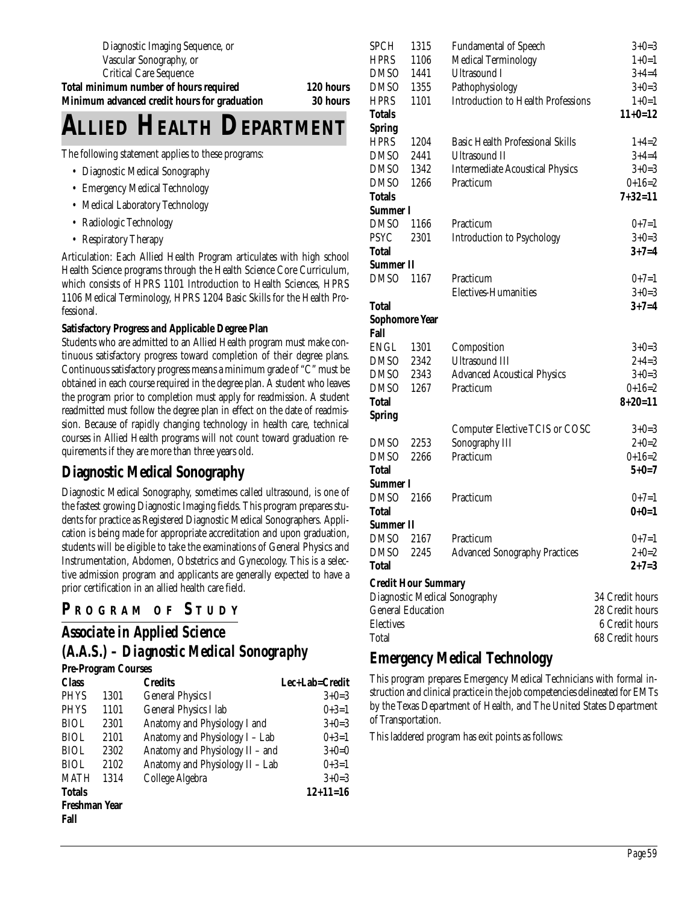Diagnostic Imaging Sequence, or Vascular Sonography, or Critical Care Sequence

**Total minimum number of hours required 120 hours Minimum advanced credit hours for graduation 30 hours**

# **ALLIED HEALTH DEPARTMENT**

The following statement applies to these programs:

- Diagnostic Medical Sonography
- Emergency Medical Technology
- Medical Laboratory Technology
- Radiologic Technology
- Respiratory Therapy

Articulation: Each Allied Health Program articulates with high school Health Science programs through the Health Science Core Curriculum, which consists of HPRS 1101 Introduction to Health Sciences, HPRS 1106 Medical Terminology, HPRS 1204 Basic Skills for the Health Professional.

#### **Satisfactory Progress and Applicable Degree Plan**

Students who are admitted to an Allied Health program must make continuous satisfactory progress toward completion of their degree plans. Continuous satisfactory progress means a minimum grade of "C" must be obtained in each course required in the degree plan. A student who leaves the program prior to completion must apply for readmission. A student readmitted must follow the degree plan in effect on the date of readmission. Because of rapidly changing technology in health care, technical courses in Allied Health programs will not count toward graduation requirements if they are more than three years old.

## **Diagnostic Medical Sonography**

Diagnostic Medical Sonography, sometimes called ultrasound, is one of the fastest growing Diagnostic Imaging fields. This program prepares students for practice as Registered Diagnostic Medical Sonographers. Application is being made for appropriate accreditation and upon graduation, students will be eligible to take the examinations of General Physics and Instrumentation, Abdomen, Obstetrics and Gynecology. This is a selective admission program and applicants are generally expected to have a prior certification in an allied health care field.

#### **P <sup>R</sup> OGRAM O F S TUDY**

## *Associate in Applied Science (A.A.S.) – Diagnostic Medical Sonography*

#### **Pre-Program Courses**

| <b>Class</b>  |      | <b>Credits</b>                  | Lec+Lab=Credit |
|---------------|------|---------------------------------|----------------|
| <b>PHYS</b>   | 1301 | <b>General Physics I</b>        | $3+0=3$        |
| <b>PHYS</b>   | 1101 | General Physics I lab           | $0+3=1$        |
| <b>BIOL</b>   | 2301 | Anatomy and Physiology I and    | $3+0=3$        |
| <b>BIOL</b>   | 2101 | Anatomy and Physiology I - Lab  | $0+3=1$        |
| <b>BIOL</b>   | 2302 | Anatomy and Physiology II - and | $3+0=0$        |
| <b>BIOL</b>   | 2102 | Anatomy and Physiology II - Lab | $0+3=1$        |
| <b>MATH</b>   | 1314 | College Algebra                 | $3+0=3$        |
| <b>Totals</b> |      |                                 | $12+11=16$     |
| Freshman Year |      |                                 |                |
| Fall          |      |                                 |                |
|               |      |                                 |                |

| <b>SPCH</b>           | 1315                       | <b>Fundamental of Speech</b>              | $3+0=3$         |
|-----------------------|----------------------------|-------------------------------------------|-----------------|
| <b>HPRS</b>           | 1106                       | <b>Medical Terminology</b>                | $1+0=1$         |
| <b>DMSO</b>           | 1441                       | <b>Ultrasound I</b>                       | $3+4=4$         |
| <b>DMSO</b>           | 1355                       | Pathophysiology                           | $3+0=3$         |
| <b>HPRS</b>           | 1101                       | <b>Introduction to Health Professions</b> | $1+0=1$         |
| <b>Totals</b>         |                            |                                           | $11+0=12$       |
| <b>Spring</b>         |                            |                                           |                 |
| <b>HPRS</b>           | 1204                       | <b>Basic Health Professional Skills</b>   | $1+4=2$         |
| <b>DMSO</b>           | 2441                       | <b>Ultrasound II</b>                      | $3+4=4$         |
| <b>DMSO</b>           | 1342                       | <b>Intermediate Acoustical Physics</b>    | $3+0=3$         |
| <b>DMSO</b>           | 1266                       | Practicum                                 | $0+16=2$        |
| <b>Totals</b>         |                            |                                           | $7 + 32 = 11$   |
| Summer I              |                            |                                           |                 |
| <b>DMSO</b>           | 1166                       | Practicum                                 | $0+7=1$         |
| <b>PSYC</b>           | 2301                       | Introduction to Psychology                | $3+0=3$         |
| <b>Total</b>          |                            |                                           | $3 + 7 = 4$     |
| <b>Summer II</b>      |                            |                                           |                 |
| <b>DMSO</b>           | 1167                       | Practicum                                 | $0+7=1$         |
|                       |                            | Electives-Humanities                      | $3+0=3$         |
| <b>Total</b>          |                            |                                           | $3 + 7 = 4$     |
| <b>Sophomore Year</b> |                            |                                           |                 |
| Fall                  |                            |                                           |                 |
| <b>ENGL</b>           | 1301                       | Composition                               | $3+0=3$         |
| <b>DMSO</b>           | 2342                       | <b>Ultrasound III</b>                     | $2+4=3$         |
| <b>DMSO</b>           | 2343                       | <b>Advanced Acoustical Physics</b>        | $3+0=3$         |
| <b>DMSO</b>           | 1267                       | Practicum                                 | $0+16=2$        |
| <b>Total</b>          |                            |                                           | $8 + 20 = 11$   |
| <b>Spring</b>         |                            |                                           |                 |
|                       |                            | <b>Computer Elective TCIS or COSC</b>     | $3+0=3$         |
| <b>DMSO</b>           | 2253                       | Sonography III                            | $2+0=2$         |
| <b>DMSO</b>           | 2266                       | Practicum                                 | $0+16=2$        |
| <b>Total</b>          |                            |                                           | $5 + 0 = 7$     |
| Summer I              |                            |                                           |                 |
| <b>DMSO</b>           | 2166                       | Practicum                                 | $0+7=1$         |
| <b>Total</b>          |                            |                                           | $0+0=1$         |
| Summer II             |                            |                                           |                 |
| <b>DMSO</b>           | 2167                       | Practicum                                 | $0+7=1$         |
| DMSO 2245             |                            | <b>Advanced Sonography Practices</b>      | $2+0=2$         |
| <b>Total</b>          |                            |                                           | $2 + 7 = 3$     |
|                       | <b>Credit Hour Summary</b> |                                           |                 |
|                       |                            | Diagnostic Medical Sonography             | 34 Credit hours |
|                       | <b>General Education</b>   |                                           | 28 Credit hours |
| <b>Electives</b>      |                            |                                           | 6 Credit hours  |
| Total                 |                            |                                           | 68 Credit hours |
|                       |                            |                                           |                 |

## **Emergency Medical Technology**

This program prepares Emergency Medical Technicians with formal instruction and clinical practice in the job competencies delineated for EMTs by the Texas Department of Health, and The United States Department of Transportation.

This laddered program has exit points as follows: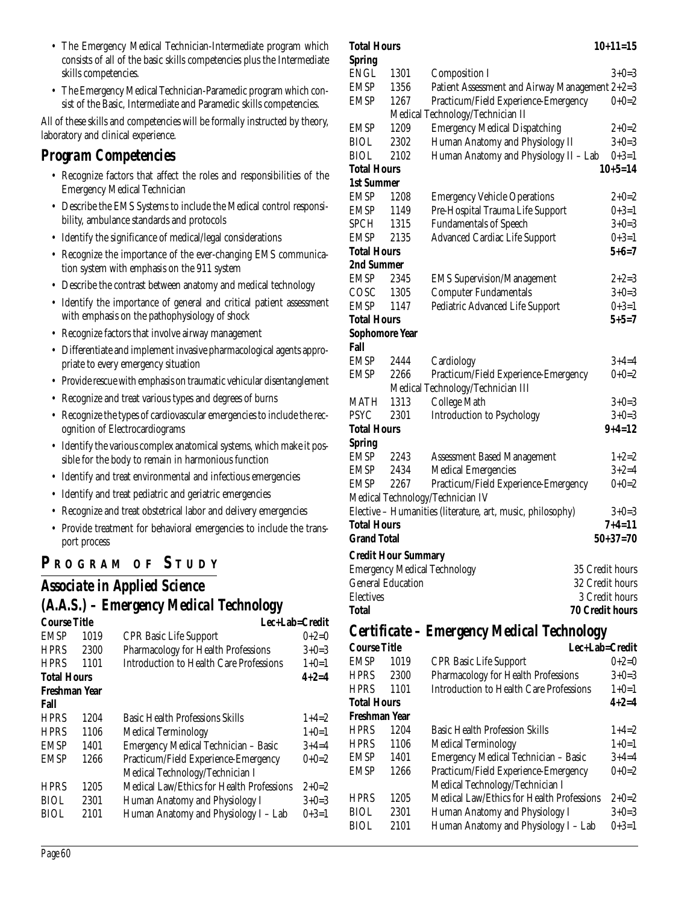- The Emergency Medical Technician-Intermediate program which consists of all of the basic skills competencies plus the Intermediate skills competencies.
- The Emergency Medical Technician-Paramedic program which consist of the Basic, Intermediate and Paramedic skills competencies.

All of these skills and competencies will be formally instructed by theory, laboratory and clinical experience.

## *Program Competencies*

- Recognize factors that affect the roles and responsibilities of the Emergency Medical Technician
- Describe the EMS Systems to include the Medical control responsibility, ambulance standards and protocols
- Identify the significance of medical/legal considerations
- Recognize the importance of the ever-changing EMS communication system with emphasis on the 911 system
- Describe the contrast between anatomy and medical technology
- Identify the importance of general and critical patient assessment with emphasis on the pathophysiology of shock
- Recognize factors that involve airway management
- Differentiate and implement invasive pharmacological agents appropriate to every emergency situation
- Provide rescue with emphasis on traumatic vehicular disentanglement
- Recognize and treat various types and degrees of burns
- Recognize the types of cardiovascular emergencies to include the recognition of Electrocardiograms
- Identify the various complex anatomical systems, which make it possible for the body to remain in harmonious function
- Identify and treat environmental and infectious emergencies
- Identify and treat pediatric and geriatric emergencies
- Recognize and treat obstetrical labor and delivery emergencies
- Provide treatment for behavioral emergencies to include the transport process

## **P R OGRAM O F S TUDY**

## *Associate in Applied Science (A.A.S.) – Emergency Medical Technology*

| Course Title       |      | Lec+Lab=Credit                            |             |
|--------------------|------|-------------------------------------------|-------------|
| <b>EMSP</b>        | 1019 | <b>CPR Basic Life Support</b>             | $0+2=0$     |
| <b>HPRS</b>        | 2300 | Pharmacology for Health Professions       | $3+0=3$     |
| <b>HPRS</b>        | 1101 | Introduction to Health Care Professions   | $1+0=1$     |
| <b>Total Hours</b> |      |                                           | $4 + 2 = 4$ |
| Freshman Year      |      |                                           |             |
| Fall               |      |                                           |             |
| <b>HPRS</b>        | 1204 | <b>Basic Health Professions Skills</b>    | $1+4=2$     |
| <b>HPRS</b>        | 1106 | <b>Medical Terminology</b>                | $1+0=1$     |
| <b>EMSP</b>        | 1401 | Emergency Medical Technician - Basic      | $3+4=4$     |
| <b>EMSP</b>        | 1266 | Practicum/Field Experience-Emergency      | $0+0=2$     |
|                    |      | Medical Technology/Technician I           |             |
| <b>HPRS</b>        | 1205 | Medical Law/Ethics for Health Professions | $2+0=2$     |
| <b>BIOL</b>        | 2301 | Human Anatomy and Physiology I            | $3+0=3$     |
| <b>BIOL</b>        | 2101 | Human Anatomy and Physiology I - Lab      | $0+3=1$     |
|                    |      |                                           |             |

| <b>Spring</b>                 |                            |                                                            |                        |
|-------------------------------|----------------------------|------------------------------------------------------------|------------------------|
| <b>ENGL</b>                   | 1301                       | <b>Composition I</b>                                       | $3+0=3$                |
| <b>EMSP</b>                   | 1356                       | Patient Assessment and Airway Management 2+2=3             |                        |
| <b>EMSP</b>                   | 1267                       | Practicum/Field Experience-Emergency                       | $0+0=2$                |
|                               |                            | Medical Technology/Technician II                           |                        |
| <b>EMSP</b>                   | 1209                       | <b>Emergency Medical Dispatching</b>                       | $2+0=2$                |
| <b>BIOL</b>                   | 2302                       | Human Anatomy and Physiology II                            | $3+0=3$                |
| <b>BIOL</b>                   | 2102                       | Human Anatomy and Physiology II - Lab                      | $0+3=1$                |
| <b>Total Hours</b>            |                            |                                                            | $10+5=14$              |
| <b>1st Summer</b>             |                            |                                                            |                        |
| EMSP                          | 1208                       | <b>Emergency Vehicle Operations</b>                        | $2+0=2$                |
| EMSP                          | 1149                       | Pre-Hospital Trauma Life Support                           | $0+3=1$                |
| SPCH                          | 1315                       | <b>Fundamentals of Speech</b>                              | $3+0=3$                |
| EMSP                          | 2135                       | <b>Advanced Cardiac Life Support</b>                       | $0+3=1$                |
| <b>Total Hours</b>            |                            |                                                            | $5 + 6 = 7$            |
| 2nd Summer                    |                            |                                                            |                        |
| EMSP                          | 2345                       | <b>EMS</b> Supervision/Management                          | 2+2=3                  |
| COSC                          | 1305                       | <b>Computer Fundamentals</b>                               | $3+0=3$                |
| <b>EMSP</b>                   | 1147                       | Pediatric Advanced Life Support                            | $0+3=1$<br>$5 + 5 = 7$ |
| <b>Total Hours</b>            |                            |                                                            |                        |
| <b>Sophomore Year</b><br>Fall |                            |                                                            |                        |
| <b>EMSP</b>                   | 2444                       | Cardiology                                                 | $3+4=4$                |
| EMSP                          | 2266                       | Practicum/Field Experience-Emergency                       | $0+0=2$                |
|                               |                            | Medical Technology/Technician III                          |                        |
| MATH                          | 1313                       | College Math                                               | $3+0=3$                |
| <b>PSYC</b>                   | 2301                       | Introduction to Psychology                                 | $3+0=3$                |
| <b>Total Hours</b>            |                            |                                                            | $9+4=12$               |
| <b>Spring</b>                 |                            |                                                            |                        |
| EMSP                          | 2243                       | <b>Assessment Based Management</b>                         | $1+2=2$                |
| <b>EMSP</b>                   | 2434                       | <b>Medical Emergencies</b>                                 | $3+2=4$                |
| EMSP                          | 2267                       | Practicum/Field Experience-Emergency                       | $0+0=2$                |
|                               |                            | Medical Technology/Technician IV                           |                        |
|                               |                            | Elective - Humanities (literature, art, music, philosophy) | $3+0=3$                |
| <b>Total Hours</b>            |                            |                                                            | $7 + 4 = 11$           |
| <b>Grand Total</b>            |                            |                                                            | $50+37=70$             |
|                               | <b>Credit Hour Summary</b> |                                                            |                        |
|                               |                            | <b>Emergency Medical Technology</b><br>35 Credit hours     |                        |
| <b>General Education</b>      |                            | 32 Credit hours                                            |                        |
| <b>Electives</b>              |                            | 3 Credit hours                                             |                        |
| Total                         |                            | <b>70 Credit hours</b>                                     |                        |
|                               |                            |                                                            |                        |
|                               |                            | Certificate - Emergency Medical Technology                 |                        |

**Total Hours 10+11=15**

| <b>Course Title</b> |      | Lec+Lab=Credit                                   |             |
|---------------------|------|--------------------------------------------------|-------------|
| <b>EMSP</b>         | 1019 | <b>CPR Basic Life Support</b>                    | $0+2=0$     |
| <b>HPRS</b>         | 2300 | Pharmacology for Health Professions              | $3+0=3$     |
| <b>HPRS</b>         | 1101 | <b>Introduction to Health Care Professions</b>   | $1+0=1$     |
| <b>Total Hours</b>  |      |                                                  | $4 + 2 = 4$ |
| Freshman Year       |      |                                                  |             |
| <b>HPRS</b>         | 1204 | <b>Basic Health Profession Skills</b>            | $1+4=2$     |
| <b>HPRS</b>         | 1106 | <b>Medical Terminology</b>                       | $1+0=1$     |
| <b>EMSP</b>         | 1401 | Emergency Medical Technician - Basic             | $3+4=4$     |
| <b>EMSP</b>         | 1266 | Practicum/Field Experience-Emergency             | $0+0=2$     |
|                     |      | Medical Technology/Technician I                  |             |
| <b>HPRS</b>         | 1205 | <b>Medical Law/Ethics for Health Professions</b> | $2+0=2$     |
| <b>BIOL</b>         | 2301 | Human Anatomy and Physiology I                   | $3+0=3$     |
| BIOL                | 2101 | Human Anatomy and Physiology I - Lab             | $0+3=1$     |
|                     |      |                                                  |             |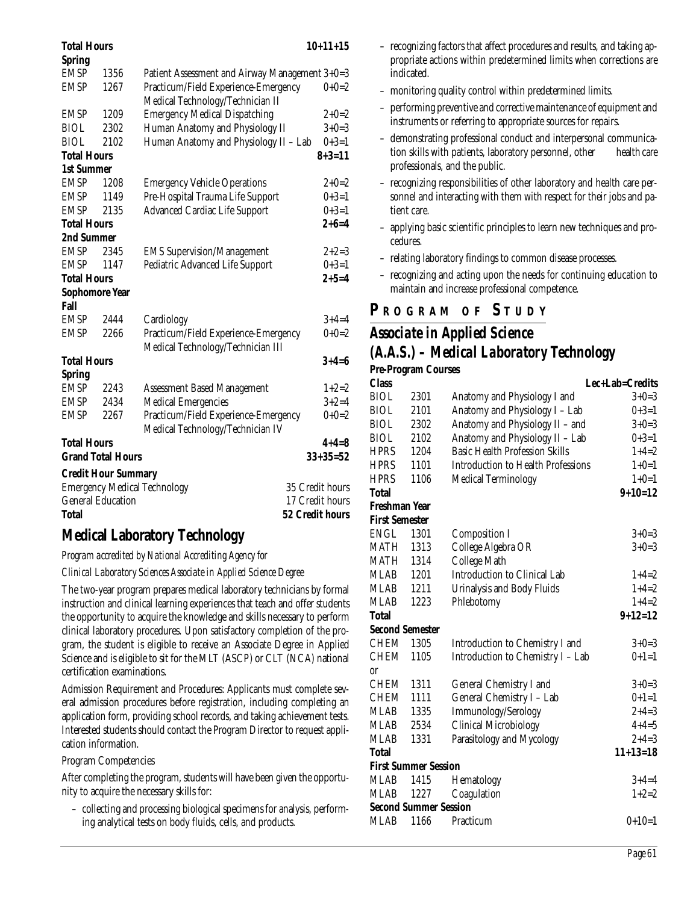| 'Iotal Hours       |                            |                                                | $10+11+15$      |
|--------------------|----------------------------|------------------------------------------------|-----------------|
| <b>Spring</b>      |                            |                                                |                 |
| <b>EMSP</b>        | 1356                       | Patient Assessment and Airway Management 3+0=3 |                 |
| <b>EMSP</b>        | 1267                       | Practicum/Field Experience-Emergency           | $0+0=2$         |
|                    |                            | Medical Technology/Technician II               |                 |
| <b>EMSP</b>        | 1209                       | <b>Emergency Medical Dispatching</b>           | $2+0=2$         |
| <b>BIOL</b>        | 2302                       | Human Anatomy and Physiology II                | $3+0=3$         |
| <b>BIOL</b>        | 2102                       | Human Anatomy and Physiology II - Lab          | $0+3=1$         |
| <b>Total Hours</b> |                            |                                                | $8 + 3 = 11$    |
| <b>1st Summer</b>  |                            |                                                |                 |
| <b>EMSP</b>        | 1208                       | <b>Emergency Vehicle Operations</b>            | $2+0=2$         |
| <b>EMSP</b>        | 1149                       | Pre-Hospital Trauma Life Support               | $0+3=1$         |
| <b>EMSP</b>        | 2135                       | <b>Advanced Cardiac Life Support</b>           | $0+3=1$         |
| <b>Total Hours</b> |                            |                                                | $2 + 6 = 4$     |
| 2nd Summer         |                            |                                                |                 |
| <b>EMSP</b>        | 2345                       | <b>EMS Supervision/Management</b>              | $2+2=3$         |
| <b>EMSP</b>        | 1147                       | Pediatric Advanced Life Support                | $0+3=1$         |
| <b>Total Hours</b> |                            |                                                | $2 + 5 = 4$     |
|                    | <b>Sophomore Year</b>      |                                                |                 |
| Fall               |                            |                                                |                 |
| <b>EMSP</b>        | 2444                       | Cardiology                                     | $3 + 4 = 4$     |
| <b>EMSP</b>        | 2266                       | Practicum/Field Experience-Emergency           | $0+0=2$         |
|                    |                            | Medical Technology/Technician III              |                 |
| <b>Total Hours</b> |                            |                                                | $3 + 4 = 6$     |
| <b>Spring</b>      |                            |                                                |                 |
| <b>EMSP</b>        | 2243                       | <b>Assessment Based Management</b>             | $1+2=2$         |
| <b>EMSP</b>        | 2434                       | <b>Medical Emergencies</b>                     | $3 + 2 = 4$     |
| <b>EMSP</b>        | 2267                       | Practicum/Field Experience-Emergency           | $0+0=2$         |
|                    |                            | Medical Technology/Technician IV               |                 |
| <b>Total Hours</b> |                            |                                                | $4 + 4 = 8$     |
|                    | <b>Grand Total Hours</b>   |                                                | $33 + 35 = 52$  |
|                    | <b>Credit Hour Summary</b> |                                                |                 |
|                    |                            | <b>Emergency Medical Technology</b>            | 35 Credit hours |
|                    | <b>General Education</b>   |                                                | 17 Credit hours |
| <b>Total</b>       |                            |                                                | 52 Credit hours |
|                    |                            |                                                |                 |

## **Medical Laboratory Technology**

#### *Program accredited by National Accrediting Agency for*

*Clinical Laboratory Sciences Associate in Applied Science Degree*

The two-year program prepares medical laboratory technicians by formal instruction and clinical learning experiences that teach and offer students the opportunity to acquire the knowledge and skills necessary to perform clinical laboratory procedures. Upon satisfactory completion of the program, the student is eligible to receive an Associate Degree in Applied Science and is eligible to sit for the MLT (ASCP) or CLT (NCA) national certification examinations.

Admission Requirement and Procedures: Applicants must complete several admission procedures before registration, including completing an application form, providing school records, and taking achievement tests. Interested students should contact the Program Director to request application information.

#### Program Competencies

After completing the program, students will have been given the opportunity to acquire the necessary skills for:

– collecting and processing biological specimens for analysis, performing analytical tests on body fluids, cells, and products.

- recognizing factors that affect procedures and results, and taking appropriate actions within predetermined limits when corrections are indicated.
- monitoring quality control within predetermined limits.
- performing preventive and corrective maintenance of equipment and instruments or referring to appropriate sources for repairs.
- demonstrating professional conduct and interpersonal communication skills with patients, laboratory personnel, other health care professionals, and the public.
- recognizing responsibilities of other laboratory and health care personnel and interacting with them with respect for their jobs and patient care.
- applying basic scientific principles to learn new techniques and procedures.
- relating laboratory findings to common disease processes.
- recognizing and acting upon the needs for continuing education to maintain and increase professional competence.

## **P R OGRAM O F S TUDY**

#### *Associate in Applied Science (A.A.S.) – Medical Laboratory Technology* **Pre-Program Courses**

| <b>Class</b>                 |      |                                           | Lec+Lab=Credits |
|------------------------------|------|-------------------------------------------|-----------------|
| <b>BIOL</b>                  | 2301 | Anatomy and Physiology I and              | $3+0=3$         |
| <b>BIOL</b>                  | 2101 | Anatomy and Physiology I - Lab            | $0+3=1$         |
| <b>BIOL</b>                  | 2302 | Anatomy and Physiology II - and           | $3+0=3$         |
| <b>BIOL</b>                  | 2102 | Anatomy and Physiology II - Lab           | $0+3=1$         |
| <b>HPRS</b>                  | 1204 | <b>Basic Health Profession Skills</b>     | $1+4=2$         |
| <b>HPRS</b>                  | 1101 | <b>Introduction to Health Professions</b> | $1+0=1$         |
| <b>HPRS</b>                  | 1106 | <b>Medical Terminology</b>                | $1+0=1$         |
| Total                        |      |                                           | $9+10=12$       |
| Freshman Year                |      |                                           |                 |
| <b>First Semester</b>        |      |                                           |                 |
| <b>ENGL</b>                  | 1301 | <b>Composition I</b>                      | $3+0=3$         |
| MATH                         | 1313 | College Algebra OR                        | $3+0=3$         |
| MATH                         | 1314 | College Math                              |                 |
| <b>MLAB</b>                  | 1201 | Introduction to Clinical Lab              | $1+4=2$         |
| MLAB                         | 1211 | Urinalysis and Body Fluids                | $1+4=2$         |
| <b>MLAB</b>                  | 1223 | Phlebotomy                                | $1+4=2$         |
| Total                        |      |                                           | $9+12=12$       |
| <b>Second Semester</b>       |      |                                           |                 |
| <b>CHEM</b>                  | 1305 | Introduction to Chemistry I and           | $3+0=3$         |
| <b>CHEM</b>                  | 1105 | Introduction to Chemistry I - Lab         | $0+1=1$         |
| or                           |      |                                           |                 |
| <b>CHEM</b>                  | 1311 | General Chemistry I and                   | $3+0=3$         |
| <b>CHEM</b>                  | 1111 | General Chemistry I - Lab                 | $0+1=1$         |
| <b>MLAB</b>                  | 1335 | Immunology/Serology                       | $2+4=3$         |
| MLAB                         | 2534 | <b>Clinical Microbiology</b>              | $4 + 4 = 5$     |
| MLAB                         | 1331 | Parasitology and Mycology                 | $2+4=3$         |
| Total                        |      |                                           | $11+13=18$      |
| <b>First Summer Session</b>  |      |                                           |                 |
| MLAB                         | 1415 | Hematology                                | $3+4=4$         |
| <b>MLAB</b>                  | 1227 | Coagulation                               | $1+2=2$         |
| <b>Second Summer Session</b> |      |                                           |                 |
| <b>MLAB</b>                  | 1166 | Practicum                                 | $0+10=1$        |
|                              |      |                                           |                 |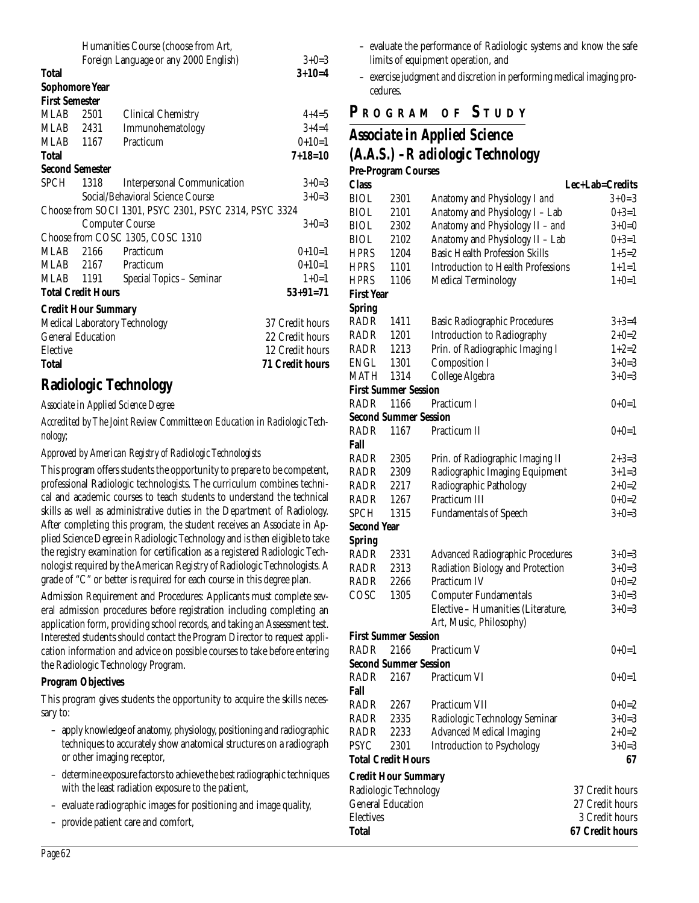|                            |      | Humanities Course (choose from Art,                    |                        |
|----------------------------|------|--------------------------------------------------------|------------------------|
|                            |      | Foreign Language or any 2000 English)                  | $3+0=3$                |
| Total                      |      |                                                        | $3+10=4$               |
| <b>Sophomore Year</b>      |      |                                                        |                        |
| <b>First Semester</b>      |      |                                                        |                        |
| MLAB                       | 2501 | <b>Clinical Chemistry</b>                              | $4+4=5$                |
| MLAB 2431                  |      | Immunohematology                                       | $3+4=4$                |
| MLAB 1167                  |      | Practicum                                              | $0+10=1$               |
| Total                      |      |                                                        | $7 + 18 = 10$          |
| <b>Second Semester</b>     |      |                                                        |                        |
| <b>SPCH</b>                | 1318 | <b>Interpersonal Communication</b>                     | $3+0=3$                |
|                            |      | Social/Behavioral Science Course                       | $3+0=3$                |
|                            |      | Choose from SOCI 1301, PSYC 2301, PSYC 2314, PSYC 3324 |                        |
|                            |      | <b>Computer Course</b>                                 | $3+0=3$                |
|                            |      | Choose from COSC 1305, COSC 1310                       |                        |
| MLAB                       |      | 2166 Practicum                                         | $0+10=1$               |
| MLAB 2167                  |      | Practicum                                              | $0+10=1$               |
| MLAB 1191                  |      | Special Topics - Seminar                               | $1+0=1$                |
| <b>Total Credit Hours</b>  |      |                                                        | $53+91=71$             |
| <b>Credit Hour Summary</b> |      |                                                        |                        |
|                            |      | <b>Medical Laboratory Technology</b>                   | 37 Credit hours        |
| <b>General Education</b>   |      |                                                        | 22 Credit hours        |
| Elective                   |      |                                                        | 12 Credit hours        |
| <b>Total</b>               |      |                                                        | <b>71 Credit hours</b> |

## **Radiologic Technology**

*Associate in Applied Science Degree*

*Accredited by The Joint Review Committee on Education in Radiologic Technology;*

*Approved by American Registry of Radiologic Technologists*

This program offers students the opportunity to prepare to be competent, professional Radiologic technologists. The curriculum combines technical and academic courses to teach students to understand the technical skills as well as administrative duties in the Department of Radiology. After completing this program, the student receives an Associate in Applied Science Degree in Radiologic Technology and is then eligible to take the registry examination for certification as a registered Radiologic Technologist required by the American Registry of Radiologic Technologists. A grade of "C" or better is required for each course in this degree plan.

Admission Requirement and Procedures: Applicants must complete several admission procedures before registration including completing an application form, providing school records, and taking an Assessment test. Interested students should contact the Program Director to request application information and advice on possible courses to take before entering the Radiologic Technology Program.

#### **Program Objectives**

This program gives students the opportunity to acquire the skills necessary to:

- apply knowledge of anatomy, physiology, positioning and radiographic techniques to accurately show anatomical structures on a radiograph or other imaging receptor,
- determine exposure factors to achieve the best radiographic techniques with the least radiation exposure to the patient,
- evaluate radiographic images for positioning and image quality,
- provide patient care and comfort,
- evaluate the performance of Radiologic systems and know the safe limits of equipment operation, and
- exercise judgment and discretion in performing medical imaging procedures.

#### **P R OGRAM O F S TUDY**

# *Associate in Applied Science*

|                    |                              | Associate in Applied Science            |                 |
|--------------------|------------------------------|-----------------------------------------|-----------------|
|                    |                              | (A.A.S.) - R adiologic Technology       |                 |
|                    | <b>Pre-Program Courses</b>   |                                         |                 |
| <b>Class</b>       |                              |                                         | Lec+Lab=Credits |
| <b>BIOL</b>        | 2301                         | Anatomy and Physiology I and            | $3 + 0 = 3$     |
| <b>BIOL</b>        | 2101                         | Anatomy and Physiology I - Lab          | $0+3=1$         |
| <b>BIOL</b>        | 2302                         | Anatomy and Physiology II - and         | $3+0=0$         |
| <b>BIOL</b>        | 2102                         | Anatomy and Physiology II - Lab         | $0+3=1$         |
| <b>HPRS</b>        | 1204                         | <b>Basic Health Profession Skills</b>   | $1+5=2$         |
| <b>HPRS</b>        | 1101                         | Introduction to Health Professions      | $1+1=1$         |
| <b>HPRS</b>        | 1106                         | <b>Medical Terminology</b>              | $1+0=1$         |
| <b>First Year</b>  |                              |                                         |                 |
| <b>Spring</b>      |                              |                                         |                 |
| RADR               | 1411                         | <b>Basic Radiographic Procedures</b>    | $3+3=4$         |
| RADR               | 1201                         | <b>Introduction to Radiography</b>      | $2 + 0 = 2$     |
| RADR               | 1213                         | Prin. of Radiographic Imaging I         | $1+2=2$         |
| ENGL               | 1301                         | <b>Composition I</b>                    | $3 + 0 = 3$     |
| MATH               | 1314                         | College Algebra                         | $3+0=3$         |
|                    | <b>First Summer Session</b>  |                                         |                 |
| RADR               | 1166                         | Practicum I                             | $0+0=1$         |
|                    | <b>Second Summer Session</b> |                                         |                 |
| <b>RADR</b>        | 1167                         | Practicum II                            | $0+0=1$         |
| Fall               |                              |                                         |                 |
| RADR               | 2305                         | Prin. of Radiographic Imaging II        | $2 + 3 = 3$     |
| RADR               | 2309                         | Radiographic Imaging Equipment          | $3+1=3$         |
| RADR               | 2217                         | Radiographic Pathology                  | $2+0=2$         |
| RADR               | 1267                         | Practicum III                           | $0+0=2$         |
| <b>SPCH</b>        | 1315                         | <b>Fundamentals of Speech</b>           | $3+0=3$         |
| <b>Second Year</b> |                              |                                         |                 |
| <b>Spring</b>      |                              |                                         |                 |
| RADR               | 2331                         | <b>Advanced Radiographic Procedures</b> | $3+0=3$         |
| <b>DAND</b>        | 9919                         | Dadiation Piology and Protection        | $9.0-2$         |

| RADR                         | 2331 | <b>Advanced Radiographic Procedures</b> | $3+0=3$         |
|------------------------------|------|-----------------------------------------|-----------------|
| RADR                         | 2313 | Radiation Biology and Protection        |                 |
|                              |      |                                         | $3+0=3$         |
| RADR                         | 2266 | Practicum IV                            | $0+0=2$         |
| COSC                         | 1305 | <b>Computer Fundamentals</b>            | $3+0=3$         |
|                              |      | Elective – Humanities (Literature,      | $3+0=3$         |
|                              |      | Art, Music, Philosophy)                 |                 |
| <b>First Summer Session</b>  |      |                                         |                 |
| RADR                         | 2166 | Practicum V                             | $0+0=1$         |
| <b>Second Summer Session</b> |      |                                         |                 |
| <b>RADR</b>                  | 2167 | Practicum VI                            | $0+0=1$         |
| Fall                         |      |                                         |                 |
| RADR                         | 2267 | Practicum VII                           | $0+0=2$         |
| RADR                         | 2335 | Radiologic Technology Seminar           | $3+0=3$         |
| RADR                         | 2233 | <b>Advanced Medical Imaging</b>         | $2+0=2$         |
| <b>PSYC</b>                  | 2301 | <b>Introduction to Psychology</b>       | $3+0=3$         |
| <b>Total Credit Hours</b>    |      |                                         | 67              |
| <b>Credit Hour Summary</b>   |      |                                         |                 |
| Radiologic Technology        |      |                                         | 37 Credit hours |
| <b>General Education</b>     |      |                                         | 27 Credit hours |
| <b>Electives</b>             |      |                                         | 3 Credit hours  |

**Total 67 Credit hours**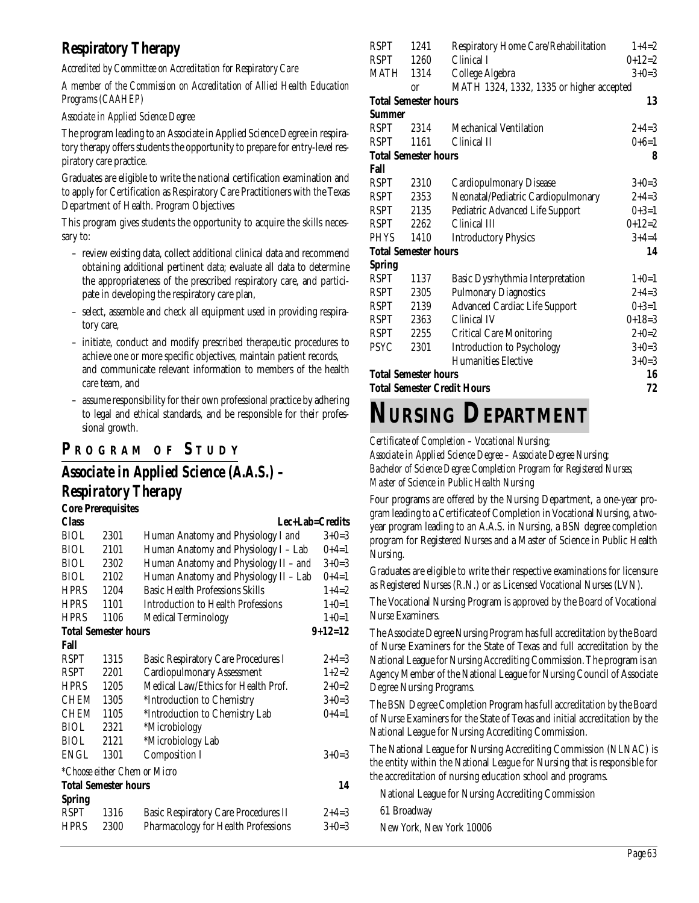## **Respiratory Therapy**

*Accredited by Committee on Accreditation for Respiratory Care*

*A member of the Commission on Accreditation of Allied Health Education Programs (CAAHEP)*

#### *Associate in Applied Science Degree*

The program leading to an Associate in Applied Science Degree in respiratory therapy offers students the opportunity to prepare for entry-level respiratory care practice.

Graduates are eligible to write the national certification examination and to apply for Certification as Respiratory Care Practitioners with the Texas Department of Health. Program Objectives

This program gives students the opportunity to acquire the skills necessary to:

- review existing data, collect additional clinical data and recommend obtaining additional pertinent data; evaluate all data to determine the appropriateness of the prescribed respiratory care, and participate in developing the respiratory care plan,
- select, assemble and check all equipment used in providing respiratory care,
- initiate, conduct and modify prescribed therapeutic procedures to achieve one or more specific objectives, maintain patient records, and communicate relevant information to members of the health care team, and
- assume responsibility for their own professional practice by adhering to legal and ethical standards, and be responsible for their professional growth.

## **P R OGRAM O F S TUDY**

## *Associate in Applied Science (A.A.S.) – Respiratory Therapy*

|               | <b>Core Prerequisites</b>   |                                             |             |
|---------------|-----------------------------|---------------------------------------------|-------------|
| <b>Class</b>  |                             | Lec+Lab=Credits                             |             |
| <b>BIOL</b>   | 2301                        | Human Anatomy and Physiology I and          | $3+0=3$     |
| <b>BIOL</b>   | 2101                        | Human Anatomy and Physiology I - Lab        | $0+4=1$     |
| <b>BIOL</b>   | 2302                        | Human Anatomy and Physiology II - and       | $3+0=3$     |
| <b>BIOL</b>   | 2102                        | Human Anatomy and Physiology II - Lab       | $0+4=1$     |
| <b>HPRS</b>   | 1204                        | <b>Basic Health Professions Skills</b>      | $1+4=2$     |
| <b>HPRS</b>   | 1101                        | <b>Introduction to Health Professions</b>   | $1+0=1$     |
| <b>HPRS</b>   | 1106                        | <b>Medical Terminology</b>                  | $1+0=1$     |
|               | <b>Total Semester hours</b> |                                             | $9+12=12$   |
| Fall          |                             |                                             |             |
| <b>RSPT</b>   | 1315                        | <b>Basic Respiratory Care Procedures I</b>  | $2+4=3$     |
| <b>RSPT</b>   | 2201                        | <b>Cardiopulmonary Assessment</b>           | $1+2=2$     |
| <b>HPRS</b>   | 1205                        | Medical Law/Ethics for Health Prof.         | $2 + 0 = 2$ |
| CHEM          | 1305                        | *Introduction to Chemistry                  | $3+0=3$     |
| CHEM          | 1105                        | *Introduction to Chemistry Lab              | $0+4=1$     |
| <b>BIOL</b>   | 2321                        | *Microbiology                               |             |
| <b>BIOL</b>   | 2121                        | *Microbiology Lab                           |             |
| ENGL          | 1301                        | <b>Composition I</b>                        | $3+0=3$     |
|               |                             | *Choose either Chem or Micro                |             |
|               | <b>Total Semester hours</b> |                                             | 14          |
| <b>Spring</b> |                             |                                             |             |
| <b>RSPT</b>   | 1316                        | <b>Basic Respiratory Care Procedures II</b> | $2+4=3$     |
| <b>HPRS</b>   | 2300                        | Pharmacology for Health Professions         | $3+0=3$     |

| <b>RSPT</b>                 | 1241          | Respiratory Home Care/Rehabilitation     | $1+4=2$  |
|-----------------------------|---------------|------------------------------------------|----------|
| <b>RSPT</b>                 | 1260          | Clinical I                               | $0+12=2$ |
| MATH                        | 1314          | College Algebra                          | $3+0=3$  |
|                             | <sub>or</sub> | MATH 1324, 1332, 1335 or higher accepted |          |
| <b>Total Semester hours</b> |               |                                          | 13       |
| Summer                      |               |                                          |          |
| <b>RSPT</b>                 | 2314          | <b>Mechanical Ventilation</b>            | $2+4=3$  |
| <b>RSPT</b>                 | 1161          | Clinical II                              | $0+6=1$  |
| <b>Total Semester hours</b> |               |                                          | 8        |
| Fall                        |               |                                          |          |
| <b>RSPT</b>                 | 2310          | <b>Cardiopulmonary Disease</b>           | $3+0=3$  |
| <b>RSPT</b>                 | 2353          | Neonatal/Pediatric Cardiopulmonary       | $2+4=3$  |
| RSPT                        | 2135          | Pediatric Advanced Life Support          | $0+3=1$  |
| <b>RSPT</b>                 | 2262          | Clinical III                             | $0+12=2$ |
| <b>PHYS</b>                 | 1410          | <b>Introductory Physics</b>              | $3+4=4$  |
| <b>Total Semester hours</b> |               |                                          | 14       |
| <b>Spring</b>               |               |                                          |          |
| <b>RSPT</b>                 | 1137          | <b>Basic Dysrhythmia Interpretation</b>  | $1+0=1$  |
| <b>RSPT</b>                 | 2305          | <b>Pulmonary Diagnostics</b>             | $2+4=3$  |
| <b>RSPT</b>                 | 2139          | <b>Advanced Cardiac Life Support</b>     | $0+3=1$  |
| <b>RSPT</b>                 | 2363          | Clinical IV                              | $0+18=3$ |
| <b>RSPT</b>                 | 2255          | <b>Critical Care Monitoring</b>          | $2+0=2$  |
| <b>PSYC</b>                 | 2301          | <b>Introduction to Psychology</b>        | $3+0=3$  |
|                             |               | <b>Humanities Elective</b>               | $3+0=3$  |
| <b>Total Semester hours</b> |               |                                          | 16       |
|                             |               | <b>Total Semester Credit Hours</b>       | 72       |

# **NURSING DEPARTMENT**

*Certificate of Completion – Vocational Nursing; Associate in Applied Science Degree – Associate Degree Nursing; Bachelor of Science Degree Completion Program for Registered Nurses; Master of Science in Public Health Nursing*

Four programs are offered by the Nursing Department, a one-year program leading to a Certificate of Completion in Vocational Nursing, a twoyear program leading to an A.A.S. in Nursing, a BSN degree completion program for Registered Nurses and a Master of Science in Public Health Nursing.

Graduates are eligible to write their respective examinations for licensure as Registered Nurses (R.N.) or as Licensed Vocational Nurses (LVN).

The Vocational Nursing Program is approved by the Board of Vocational Nurse Examiners.

The Associate Degree Nursing Program has full accreditation by the Board of Nurse Examiners for the State of Texas and full accreditation by the National League for Nursing Accrediting Commission. The program is an Agency Member of the National League for Nursing Council of Associate Degree Nursing Programs.

The BSN Degree Completion Program has full accreditation by the Board of Nurse Examiners for the State of Texas and initial accreditation by the National League for Nursing Accrediting Commission.

The National League for Nursing Accrediting Commission (NLNAC) is the entity within the National League for Nursing that is responsible for the accreditation of nursing education school and programs.

National League for Nursing Accrediting Commission

61 Broadway

New York, New York 10006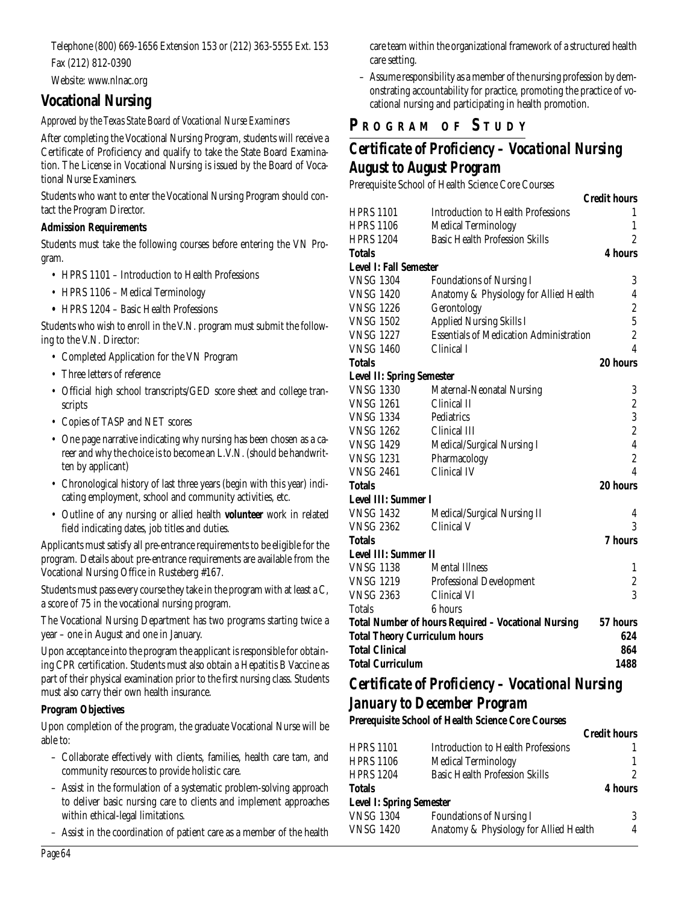Telephone (800) 669-1656 Extension 153 or (212) 363-5555 Ext. 153 Fax (212) 812-0390

Website: www.nlnac.org

### **Vocational Nursing**

#### *Approved by the Texas State Board of Vocational Nurse Examiners*

After completing the Vocational Nursing Program, students will receive a Certificate of Proficiency and qualify to take the State Board Examination. The License in Vocational Nursing is issued by the Board of Vocational Nurse Examiners.

Students who want to enter the Vocational Nursing Program should contact the Program Director.

#### **Admission Requirements**

Students must take the following courses before entering the VN Program.

- HPRS 1101 Introduction to Health Professions
- HPRS 1106 Medical Terminology
- **•** HPRS 1204 Basic Health Professions

Students who wish to enroll in the V.N. program must submit the following to the V.N. Director:

- Completed Application for the VN Program
- Three letters of reference
- Official high school transcripts/GED score sheet and college transcripts
- Copies of TASP and NET scores
- One page narrative indicating why nursing has been chosen as a career and why the choice is to become an L.V.N. (should be handwritten by applicant)
- Chronological history of last three years (begin with this year) indicating employment, school and community activities, etc.
- Outline of any nursing or allied health **volunteer** work in related field indicating dates, job titles and duties.

Applicants must satisfy all pre-entrance requirements to be eligible for the program. Details about pre-entrance requirements are available from the Vocational Nursing Office in Rusteberg #167.

Students must pass every course they take in the program with at least a C, a score of 75 in the vocational nursing program.

The Vocational Nursing Department has two programs starting twice a year – one in August and one in January.

Upon acceptance into the program the applicant is responsible for obtaining CPR certification. Students must also obtain a Hepatitis B Vaccine as part of their physical examination prior to the first nursing class. Students must also carry their own health insurance.

#### **Program Objectives**

Upon completion of the program, the graduate Vocational Nurse will be able to:

- Collaborate effectively with clients, families, health care tam, and community resources to provide holistic care.
- Assist in the formulation of a systematic problem-solving approach to deliver basic nursing care to clients and implement approaches within ethical-legal limitations.
- Assist in the coordination of patient care as a member of the health

care team within the organizational framework of a structured health care setting.

– Assume responsibility as a member of the nursing profession by demonstrating accountability for practice, promoting the practice of vocational nursing and participating in health promotion.

## **P R OGRAM O F S TUDY**

## *Certificate of Proficiency – Vocational Nursing August to August Program*

Prerequisite School of Health Science Core Courses

|                                      |                                                     | <b>Credit hours</b>     |
|--------------------------------------|-----------------------------------------------------|-------------------------|
| <b>HPRS 1101</b>                     | <b>Introduction to Health Professions</b>           | 1                       |
| <b>HPRS 1106</b>                     | <b>Medical Terminology</b>                          | $\mathbf{1}$            |
| <b>HPRS 1204</b>                     | <b>Basic Health Profession Skills</b>               | $\overline{2}$          |
| Totals                               |                                                     | 4 hours                 |
| <b>Level I: Fall Semester</b>        |                                                     |                         |
| <b>VNSG 1304</b>                     | <b>Foundations of Nursing I</b>                     | 3                       |
| <b>VNSG 1420</b>                     | Anatomy & Physiology for Allied Health              | 4                       |
| <b>VNSG 1226</b>                     | Gerontology                                         | $\boldsymbol{2}$        |
| <b>VNSG 1502</b>                     | <b>Applied Nursing Skills I</b>                     | $\overline{5}$          |
| <b>VNSG 1227</b>                     | <b>Essentials of Medication Administration</b>      | $\overline{c}$          |
| <b>VNSG 1460</b>                     | Clinical I                                          | $\overline{\mathbf{4}}$ |
| Totals                               |                                                     | 20 hours                |
| <b>Level II: Spring Semester</b>     |                                                     |                         |
| <b>VNSG 1330</b>                     | Maternal-Neonatal Nursing                           | 3                       |
| <b>VNSG 1261</b>                     | Clinical II                                         | $\boldsymbol{2}$        |
| <b>VNSG 1334</b>                     | Pediatrics                                          | 3                       |
| <b>VNSG 1262</b>                     | Clinical III                                        | $\boldsymbol{2}$        |
| <b>VNSG 1429</b>                     | Medical/Surgical Nursing I                          | $\overline{4}$          |
| <b>VNSG 1231</b>                     | Pharmacology                                        | $\overline{\mathbf{2}}$ |
| VNSG 2461                            | Clinical IV                                         | $\overline{4}$          |
| Totals                               |                                                     | 20 hours                |
| <b>Level III: Summer I</b>           |                                                     |                         |
| <b>VNSG 1432</b>                     | Medical/Surgical Nursing II                         | 4                       |
| <b>VNSG 2362</b>                     | Clinical V                                          | 3                       |
| Totals                               |                                                     | 7 hours                 |
| <b>Level III: Summer II</b>          |                                                     |                         |
| <b>VNSG 1138</b>                     | <b>Mental Illness</b>                               | $\mathbf{1}$            |
| <b>VNSG 1219</b>                     | <b>Professional Development</b>                     | $\boldsymbol{2}$        |
| <b>VNSG 2363</b>                     | Clinical VI                                         | 3                       |
| Totals                               | 6 hours                                             |                         |
|                                      | Total Number of hours Required - Vocational Nursing | 57 hours                |
| <b>Total Theory Curriculum hours</b> |                                                     | 624                     |
| <b>Total Clinical</b>                |                                                     | 864                     |
| <b>Total Curriculum</b>              |                                                     | 1488                    |
|                                      |                                                     |                         |

#### *Certificate of Proficiency – Vocational Nursing January to December Program*

**Prerequisite School of Health Science Core Courses**

|                                 |                                        | <b>Credit hours</b> |
|---------------------------------|----------------------------------------|---------------------|
| HPRS 1101                       | Introduction to Health Professions     |                     |
| HPRS 1106                       | <b>Medical Terminology</b>             |                     |
| HPRS 1204                       | <b>Basic Health Profession Skills</b>  |                     |
| Totals                          |                                        | 4 hours             |
| <b>Level I: Spring Semester</b> |                                        |                     |
| <b>VNSG 1304</b>                | <b>Foundations of Nursing I</b>        | 3                   |
| <b>VNSG 1420</b>                | Anatomy & Physiology for Allied Health | 4                   |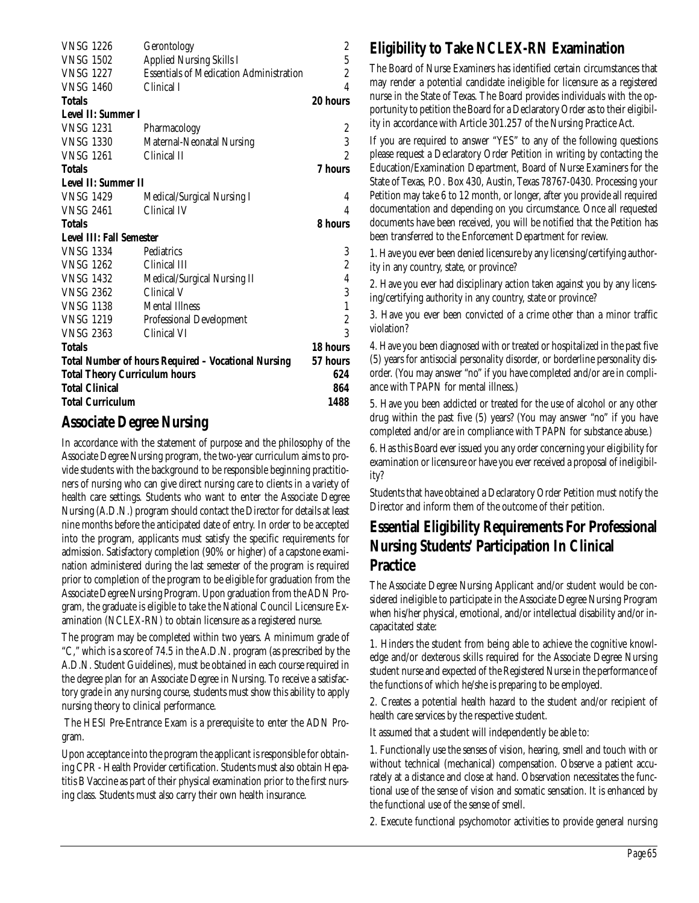| <b>VNSG 1226</b>                     | Gerontology                                                | $\overline{c}$ |
|--------------------------------------|------------------------------------------------------------|----------------|
| <b>VNSG 1502</b>                     | <b>Applied Nursing Skills I</b>                            | $\overline{5}$ |
| <b>VNSG 1227</b>                     | <b>Essentials of Medication Administration</b>             | $\overline{c}$ |
| <b>VNSG 1460</b>                     | Clinical I                                                 | $\overline{4}$ |
| <b>Totals</b>                        |                                                            | 20 hours       |
| <b>Level II: Summer I</b>            |                                                            |                |
| <b>VNSG 1231</b>                     | Pharmacology                                               | $\overline{c}$ |
| <b>VNSG 1330</b>                     | Maternal-Neonatal Nursing                                  | 3              |
| <b>VNSG 1261</b>                     | Clinical II                                                | $\overline{2}$ |
| <b>Totals</b>                        |                                                            | 7 hours        |
| Level II: Summer II                  |                                                            |                |
| <b>VNSG 1429</b>                     | Medical/Surgical Nursing I                                 |                |
| <b>VNSG 2461</b>                     | Clinical IV                                                | 4              |
| <b>Totals</b>                        |                                                            | 8 hours        |
| <b>Level III: Fall Semester</b>      |                                                            |                |
| <b>VNSG 1334</b>                     | Pediatrics                                                 | 3              |
| <b>VNSG 1262</b>                     | Clinical III                                               | $\overline{c}$ |
| <b>VNSG 1432</b>                     | Medical/Surgical Nursing II                                | $\overline{4}$ |
| <b>VNSG 2362</b>                     | Clinical V                                                 | 3              |
| <b>VNSG 1138</b>                     | <b>Mental Illness</b>                                      | $\mathbf{1}$   |
| <b>VNSG 1219</b>                     | <b>Professional Development</b>                            | $\overline{c}$ |
| <b>VNSG 2363</b>                     | Clinical VI                                                | 3              |
| <b>Totals</b>                        |                                                            | 18 hours       |
|                                      | <b>Total Number of hours Required - Vocational Nursing</b> | 57 hours       |
| <b>Total Theory Curriculum hours</b> |                                                            | 624            |
| <b>Total Clinical</b>                |                                                            | 864            |
| <b>Total Curriculum</b>              |                                                            | 1488           |
|                                      |                                                            |                |

## **Associate Degree Nursing**

In accordance with the statement of purpose and the philosophy of the Associate Degree Nursing program, the two-year curriculum aims to provide students with the background to be responsible beginning practitioners of nursing who can give direct nursing care to clients in a variety of health care settings. Students who want to enter the Associate Degree Nursing (A.D.N.) program should contact the Director for details at least nine months before the anticipated date of entry. In order to be accepted into the program, applicants must satisfy the specific requirements for admission. Satisfactory completion (90% or higher) of a capstone examination administered during the last semester of the program is required prior to completion of the program to be eligible for graduation from the Associate Degree Nursing Program. Upon graduation from the ADN Program, the graduate is eligible to take the National Council Licensure Examination (NCLEX-RN) to obtain licensure as a registered nurse.

The program may be completed within two years. A minimum grade of "C," which is a score of 74.5 in the A.D.N. program (as prescribed by the A.D.N. Student Guidelines), must be obtained in each course required in the degree plan for an Associate Degree in Nursing. To receive a satisfactory grade in any nursing course, students must show this ability to apply nursing theory to clinical performance.

The HESI Pre-Entrance Exam is a prerequisite to enter the ADN Program.

Upon acceptance into the program the applicant is responsible for obtaining CPR - Health Provider certification. Students must also obtain Hepatitis B Vaccine as part of their physical examination prior to the first nursing class. Students must also carry their own health insurance.

## **Eligibility to Take NCLEX-RN Examination**

The Board of Nurse Examiners has identified certain circumstances that may render a potential candidate ineligible for licensure as a registered nurse in the State of Texas. The Board provides individuals with the opportunity to petition the Board for a Declaratory Order as to their eligibility in accordance with Article 301.257 of the Nursing Practice Act.

If you are required to answer "YES" to any of the following questions please request a Declaratory Order Petition in writing by contacting the Education/Examination Department, Board of Nurse Examiners for the State of Texas, P.O. Box 430, Austin, Texas 78767-0430. Processing your Petition may take 6 to 12 month, or longer, after you provide all required documentation and depending on you circumstance. Once all requested documents have been received, you will be notified that the Petition has been transferred to the Enforcement Department for review.

1. Have you ever been denied licensure by any licensing/certifying authority in any country, state, or province?

2. Have you ever had disciplinary action taken against you by any licensing/certifying authority in any country, state or province?

3. Have you ever been convicted of a crime other than a minor traffic violation?

4. Have you been diagnosed with or treated or hospitalized in the past five (5) years for antisocial personality disorder, or borderline personality disorder. (You may answer "no" if you have completed and/or are in compliance with TPAPN for mental illness.)

5. Have you been addicted or treated for the use of alcohol or any other drug within the past five (5) years? (You may answer "no" if you have completed and/or are in compliance with TPAPN for substance abuse.)

6. Has this Board ever issued you any order concerning your eligibility for examination or licensure or have you ever received a proposal of ineligibility?

Students that have obtained a Declaratory Order Petition must notify the Director and inform them of the outcome of their petition.

### **Essential Eligibility Requirements For Professional Nursing Students' Participation In Clinical Practice**

The Associate Degree Nursing Applicant and/or student would be considered ineligible to participate in the Associate Degree Nursing Program when his/her physical, emotional, and/or intellectual disability and/or incapacitated state:

1. Hinders the student from being able to achieve the cognitive knowledge and/or dexterous skills required for the Associate Degree Nursing student nurse and expected of the Registered Nurse in the performance of the functions of which he/she is preparing to be employed.

2. Creates a potential health hazard to the student and/or recipient of health care services by the respective student.

It assumed that a student will independently be able to:

1. Functionally use the senses of vision, hearing, smell and touch with or without technical (mechanical) compensation. Observe a patient accurately at a distance and close at hand. Observation necessitates the functional use of the sense of vision and somatic sensation. It is enhanced by the functional use of the sense of smell.

2. Execute functional psychomotor activities to provide general nursing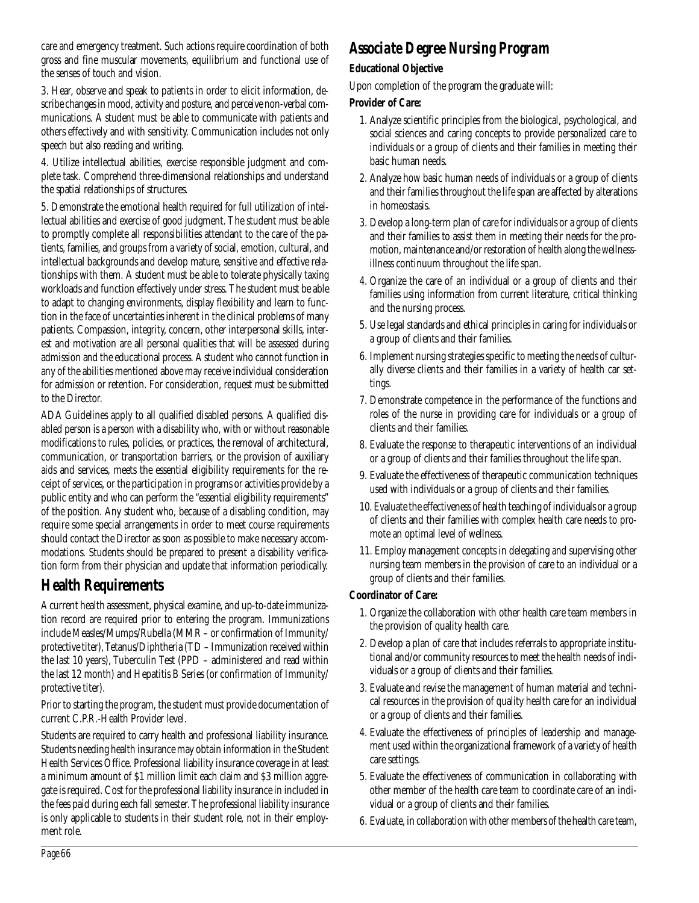care and emergency treatment. Such actions require coordination of both gross and fine muscular movements, equilibrium and functional use of the senses of touch and vision.

3. Hear, observe and speak to patients in order to elicit information, describe changes in mood, activity and posture, and perceive non-verbal communications. A student must be able to communicate with patients and others effectively and with sensitivity. Communication includes not only speech but also reading and writing.

4. Utilize intellectual abilities, exercise responsible judgment and complete task. Comprehend three-dimensional relationships and understand the spatial relationships of structures.

5. Demonstrate the emotional health required for full utilization of intellectual abilities and exercise of good judgment. The student must be able to promptly complete all responsibilities attendant to the care of the patients, families, and groups from a variety of social, emotion, cultural, and intellectual backgrounds and develop mature, sensitive and effective relationships with them. A student must be able to tolerate physically taxing workloads and function effectively under stress. The student must be able to adapt to changing environments, display flexibility and learn to function in the face of uncertainties inherent in the clinical problems of many patients. Compassion, integrity, concern, other interpersonal skills, interest and motivation are all personal qualities that will be assessed during admission and the educational process. A student who cannot function in any of the abilities mentioned above may receive individual consideration for admission or retention. For consideration, request must be submitted to the Director.

ADA Guidelines apply to all qualified disabled persons. A qualified disabled person is a person with a disability who, with or without reasonable modifications to rules, policies, or practices, the removal of architectural, communication, or transportation barriers, or the provision of auxiliary aids and services, meets the essential eligibility requirements for the receipt of services, or the participation in programs or activities provide by a public entity and who can perform the "essential eligibility requirements" of the position. Any student who, because of a disabling condition, may require some special arrangements in order to meet course requirements should contact the Director as soon as possible to make necessary accommodations. Students should be prepared to present a disability verification form from their physician and update that information periodically.

## **Health Requirements**

A current health assessment, physical examine, and up-to-date immunization record are required prior to entering the program. Immunizations include Measles/Mumps/Rubella (MMR – or confirmation of Immunity/ protective titer), Tetanus/Diphtheria (TD – Immunization received within the last 10 years), Tuberculin Test (PPD – administered and read within the last 12 month) and Hepatitis B Series (or confirmation of Immunity/ protective titer).

Prior to starting the program, the student must provide documentation of current C.P.R.-Health Provider level.

Students are required to carry health and professional liability insurance. Students needing health insurance may obtain information in the Student Health Services Office. Professional liability insurance coverage in at least a minimum amount of \$1 million limit each claim and \$3 million aggregate is required. Cost for the professional liability insurance in included in the fees paid during each fall semester. The professional liability insurance is only applicable to students in their student role, not in their employment role.

## *Associate Degree Nursing Program*

#### **Educational Objective**

Upon completion of the program the graduate will:

#### **Provider of Care:**

- 1. Analyze scientific principles from the biological, psychological, and social sciences and caring concepts to provide personalized care to individuals or a group of clients and their families in meeting their basic human needs.
- 2. Analyze how basic human needs of individuals or a group of clients and their families throughout the life span are affected by alterations in homeostasis.
- 3. Develop a long-term plan of care for individuals or a group of clients and their families to assist them in meeting their needs for the promotion, maintenance and/or restoration of health along the wellnessillness continuum throughout the life span.
- 4. Organize the care of an individual or a group of clients and their families using information from current literature, critical thinking and the nursing process.
- 5. Use legal standards and ethical principles in caring for individuals or a group of clients and their families.
- 6. Implement nursing strategies specific to meeting the needs of culturally diverse clients and their families in a variety of health car settings.
- 7. Demonstrate competence in the performance of the functions and roles of the nurse in providing care for individuals or a group of clients and their families.
- 8. Evaluate the response to therapeutic interventions of an individual or a group of clients and their families throughout the life span.
- 9. Evaluate the effectiveness of therapeutic communication techniques used with individuals or a group of clients and their families.
- 10. Evaluate the effectiveness of health teaching of individuals or a group of clients and their families with complex health care needs to promote an optimal level of wellness.
- 11. Employ management concepts in delegating and supervising other nursing team members in the provision of care to an individual or a group of clients and their families.

#### **Coordinator of Care:**

- 1. Organize the collaboration with other health care team members in the provision of quality health care.
- 2. Develop a plan of care that includes referrals to appropriate institutional and/or community resources to meet the health needs of individuals or a group of clients and their families.
- 3. Evaluate and revise the management of human material and technical resources in the provision of quality health care for an individual or a group of clients and their families.
- 4. Evaluate the effectiveness of principles of leadership and management used within the organizational framework of a variety of health care settings.
- 5. Evaluate the effectiveness of communication in collaborating with other member of the health care team to coordinate care of an individual or a group of clients and their families.
- 6. Evaluate, in collaboration with other members of the health care team,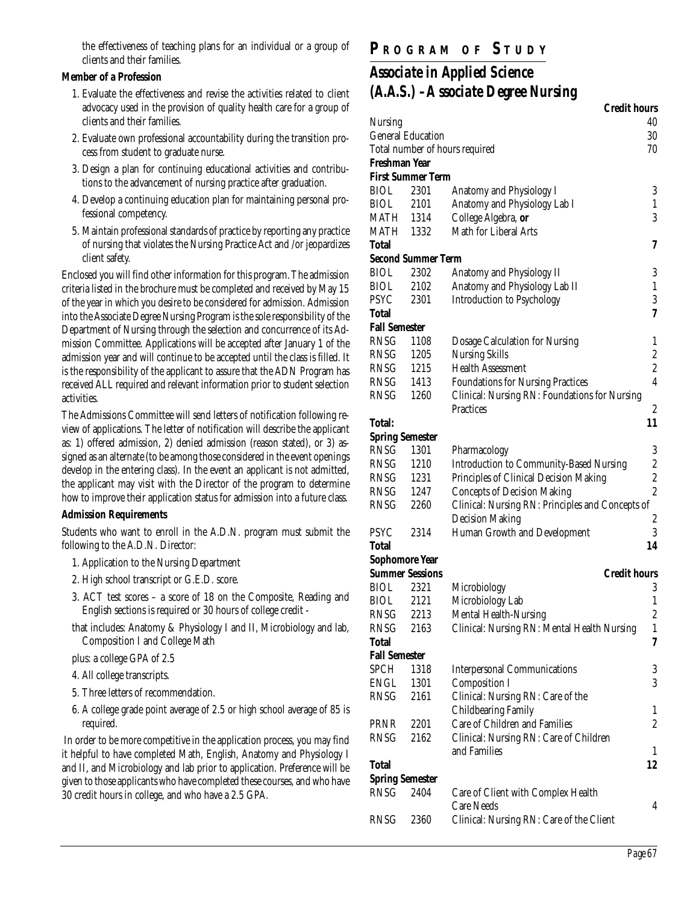the effectiveness of teaching plans for an individual or a group of clients and their families.

#### **Member of a Profession**

- 1. Evaluate the effectiveness and revise the activities related to client advocacy used in the provision of quality health care for a group of clients and their families.
- 2. Evaluate own professional accountability during the transition process from student to graduate nurse.
- 3. Design a plan for continuing educational activities and contributions to the advancement of nursing practice after graduation.
- 4. Develop a continuing education plan for maintaining personal professional competency.
- 5. Maintain professional standards of practice by reporting any practice of nursing that violates the Nursing Practice Act and /or jeopardizes client safety.

Enclosed you will find other information for this program. The admission criteria listed in the brochure must be completed and received by May 15 of the year in which you desire to be considered for admission. Admission into the Associate Degree Nursing Program is the sole responsibility of the Department of Nursing through the selection and concurrence of its Admission Committee. Applications will be accepted after January 1 of the admission year and will continue to be accepted until the class is filled. It is the responsibility of the applicant to assure that the ADN Program has received ALL required and relevant information prior to student selection activities.

The Admissions Committee will send letters of notification following review of applications. The letter of notification will describe the applicant as: 1) offered admission, 2) denied admission (reason stated), or 3) assigned as an alternate (to be among those considered in the event openings develop in the entering class). In the event an applicant is not admitted, the applicant may visit with the Director of the program to determine how to improve their application status for admission into a future class.

#### **Admission Requirements**

Students who want to enroll in the A.D.N. program must submit the following to the A.D.N. Director:

- 1. Application to the Nursing Department
- 2. High school transcript or G.E.D. score.
- 3. ACT test scores a score of 18 on the Composite, Reading and English sections is required or 30 hours of college credit -
- that includes: Anatomy & Physiology I and II, Microbiology and lab, Composition I and College Math
- plus: a college GPA of 2.5
- 4. All college transcripts.
- 5. Three letters of recommendation.
- 6. A college grade point average of 2.5 or high school average of 85 is required.

In order to be more competitive in the application process, you may find it helpful to have completed Math, English, Anatomy and Physiology I and II, and Microbiology and lab prior to application. Preference will be given to those applicants who have completed these courses, and who have 30 credit hours in college, and who have a 2.5 GPA.

## **P R OGRAM O F S TUDY**

## *Associate in Applied Science (A.A.S.) –A ssociate Degree Nursing*

|                      |                           | <b>Credit hours</b>                                     |                         |
|----------------------|---------------------------|---------------------------------------------------------|-------------------------|
| Nursing              |                           |                                                         | 40                      |
|                      | <b>General Education</b>  |                                                         | 30                      |
|                      |                           | Total number of hours required                          | 70                      |
| Freshman Year        |                           |                                                         |                         |
|                      | <b>First Summer Term</b>  |                                                         |                         |
| BIOL                 | 2301                      | Anatomy and Physiology I                                | 3                       |
| BIOL                 | 2101                      | Anatomy and Physiology Lab I                            | 1                       |
| MATH                 | 1314                      | College Algebra, or                                     | 3                       |
| MATH                 | 1332                      | Math for Liberal Arts                                   |                         |
| Total                |                           |                                                         | 7                       |
|                      | <b>Second Summer Term</b> |                                                         |                         |
| BIOL                 | 2302                      | Anatomy and Physiology II                               | 3                       |
| BIOL                 | 2102                      | Anatomy and Physiology Lab II                           | $\mathbf{1}$            |
| PSYC                 | 2301                      | <b>Introduction to Psychology</b>                       | $\overline{3}$          |
| Total                |                           |                                                         | 7                       |
| <b>Fall Semester</b> |                           |                                                         |                         |
| RNSG                 | 1108                      | Dosage Calculation for Nursing                          | 1                       |
| RNSG                 | 1205                      | <b>Nursing Skills</b>                                   | $\overline{\mathbf{c}}$ |
| RNSG                 | 1215                      | <b>Health Assessment</b>                                | $\boldsymbol{2}$        |
| RNSG                 | 1413                      | <b>Foundations for Nursing Practices</b>                | $\overline{4}$          |
| RNSG                 | 1260                      | Clinical: Nursing RN: Foundations for Nursing           |                         |
|                      |                           | Practices                                               | $\boldsymbol{2}$        |
| Total:               |                           |                                                         | 11                      |
| Spring Semester      |                           |                                                         |                         |
| RNSG                 | 1301                      | Pharmacology                                            | 3                       |
| RNSG                 | 1210                      | <b>Introduction to Community-Based Nursing</b>          | $\boldsymbol{2}$        |
| RNSG                 | 1231                      | Principles of Clinical Decision Making                  | $\overline{c}$          |
| RNSG                 | 1247                      | <b>Concepts of Decision Making</b>                      | $\overline{c}$          |
| RNSG                 | 2260                      | Clinical: Nursing RN: Principles and Concepts of        |                         |
|                      |                           | <b>Decision Making</b>                                  | 2                       |
| PSYC                 | 2314                      | Human Growth and Development                            | 3                       |
| Total                |                           |                                                         | 14                      |
| Sophomore Year       |                           |                                                         |                         |
|                      | Summer Sessions           | <b>Credit hours</b>                                     |                         |
| BIOL                 | 2321                      | Microbiology                                            | 3                       |
| BIOL                 | 2121                      | Microbiology Lab                                        | 1                       |
| <b>RNSG</b>          | 2213                      | Mental Health-Nursing                                   | $\boldsymbol{2}$        |
| RNSG                 | 2163                      | Clinical: Nursing RN: Mental Health Nursing             | 1                       |
| Total                |                           |                                                         | 7                       |
| <b>Fall Semester</b> |                           |                                                         |                         |
| SPCH                 | 1318                      | <b>Interpersonal Communications</b>                     | 3                       |
| ENGL                 | 1301                      | <b>Composition I</b>                                    | 3                       |
| RNSG                 | 2161                      | Clinical: Nursing RN: Care of the                       |                         |
|                      |                           | <b>Childbearing Family</b>                              | 1                       |
| PRNR                 | 2201                      | Care of Children and Families                           | 2                       |
| RNSG                 | 2162                      | Clinical: Nursing RN: Care of Children                  |                         |
|                      |                           | and Families                                            | 1                       |
| Total                |                           |                                                         | 12                      |
| Spring Semester      |                           |                                                         |                         |
| RNSG                 | 2404                      | Care of Client with Complex Health<br><b>Care Needs</b> |                         |
| RNSG                 | 2360                      | Clinical: Nursing RN: Care of the Client                | 4                       |
|                      |                           |                                                         |                         |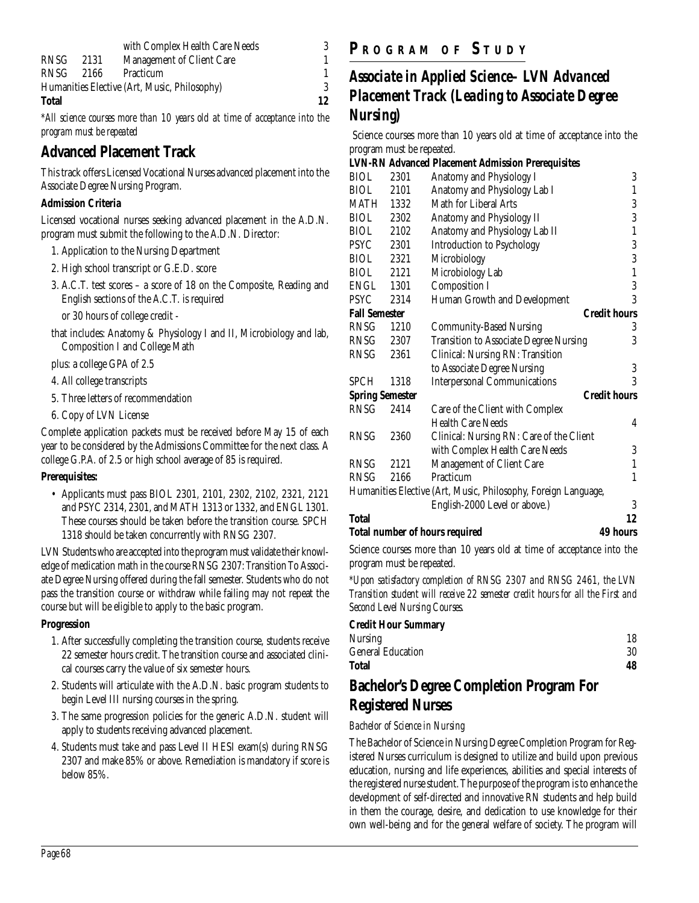|              |      | with Complex Health Care Needs               |    |
|--------------|------|----------------------------------------------|----|
| RNSG         | 2131 | Management of Client Care                    |    |
| <b>RNSG</b>  | 2166 | Practicum                                    |    |
|              |      | Humanities Elective (Art, Music, Philosophy) | 3  |
| <b>Total</b> |      |                                              | 12 |

*\*All science courses more than 10 years old at time of acceptance into the program must be repeated*

## **Advanced Placement Track**

This track offers Licensed Vocational Nurses advanced placement into the Associate Degree Nursing Program.

#### **Admission Criteria**

Licensed vocational nurses seeking advanced placement in the A.D.N. program must submit the following to the A.D.N. Director:

- 1. Application to the Nursing Department
- 2. High school transcript or G.E.D. score
- 3. A.C.T. test scores a score of 18 on the Composite, Reading and English sections of the A.C.T. is required

or 30 hours of college credit -

that includes: Anatomy & Physiology I and II, Microbiology and lab, Composition I and College Math

plus: a college GPA of 2.5

- 4. All college transcripts
- 5. Three letters of recommendation
- 6. Copy of LVN License

Complete application packets must be received before May 15 of each year to be considered by the Admissions Committee for the next class. A college G.P.A. of 2.5 or high school average of 85 is required.

#### **Prerequisites:**

• Applicants must pass BIOL 2301, 2101, 2302, 2102, 2321, 2121 and PSYC 2314, 2301, and MATH 1313 or 1332, and ENGL 1301. These courses should be taken before the transition course. SPCH 1318 should be taken concurrently with RNSG 2307.

LVN Students who are accepted into the program must validate their knowledge of medication math in the course RNSG 2307: Transition To Associate Degree Nursing offered during the fall semester. Students who do not pass the transition course or withdraw while failing may not repeat the course but will be eligible to apply to the basic program.

#### **Progression**

- 1. After successfully completing the transition course, students receive 22 semester hours credit. The transition course and associated clinical courses carry the value of six semester hours.
- 2. Students will articulate with the A.D.N. basic program students to begin Level III nursing courses in the spring.
- 3. The same progression policies for the generic A.D.N. student will apply to students receiving advanced placement.
- 4. Students must take and pass Level II HESI exam(s) during RNSG 2307 and make 85% or above. Remediation is mandatory if score is below 85%.

## **P R OGRAM O F S TUDY**

## *Associate in Applied Science– LVN Advanced Placement Track (Leading to Associate Degree Nursing)*

Science courses more than 10 years old at time of acceptance into the program must be repeated.

#### **LVN-RN Advanced Placement Admission Prerequisites**

| <b>Total number of hours required</b> |      |                                                                | 49 hours            |
|---------------------------------------|------|----------------------------------------------------------------|---------------------|
| Total                                 |      |                                                                | 12                  |
|                                       |      | English-2000 Level or above.)                                  | 3                   |
|                                       |      | Humanities Elective (Art, Music, Philosophy, Foreign Language, |                     |
| RNSG                                  | 2166 | Practicum                                                      | 1                   |
| RNSG                                  | 2121 | Management of Client Care                                      | 1                   |
|                                       |      | with Complex Health Care Needs                                 | 3                   |
| RNSG                                  | 2360 | Clinical: Nursing RN: Care of the Client                       |                     |
|                                       |      | <b>Health Care Needs</b>                                       | 4                   |
| RNSG                                  | 2414 | Care of the Client with Complex                                |                     |
| <b>Spring Semester</b>                |      |                                                                | <b>Credit hours</b> |
| SPCH                                  | 1318 | <b>Interpersonal Communications</b>                            | 3                   |
|                                       |      | to Associate Degree Nursing                                    | 3                   |
| RNSG                                  | 2361 | Clinical: Nursing RN: Transition                               |                     |
| RNSG                                  | 2307 | <b>Transition to Associate Degree Nursing</b>                  | 3                   |
| RNSG                                  | 1210 | <b>Community-Based Nursing</b>                                 | 3                   |
| <b>Fall Semester</b>                  |      |                                                                | <b>Credit hours</b> |
| PSYC                                  | 2314 | Human Growth and Development                                   | 3                   |
| ENGL                                  | 1301 | <b>Composition I</b>                                           | $\overline{3}$      |
| BIOL                                  | 2121 | Microbiology Lab                                               | $\mathbf{1}$        |
| <b>BIOL</b>                           | 2321 | Microbiology                                                   | 3                   |
| PSYC                                  | 2301 | <b>Introduction to Psychology</b>                              | 3                   |
| BIOL                                  | 2102 | Anatomy and Physiology Lab II                                  | 1                   |
| BIOL                                  | 2302 | Anatomy and Physiology II                                      | $\overline{3}$      |
| MATH                                  | 1332 | Math for Liberal Arts                                          | $\boldsymbol{3}$    |
| BIOL                                  | 2101 | Anatomy and Physiology Lab I                                   | 1                   |
| BIOL                                  | 2301 | Anatomy and Physiology I                                       | 3                   |

Science courses more than 10 years old at time of acceptance into the program must be repeated.

*\*Upon satisfactory completion of RNSG 2307 and RNSG 2461, the LVN Transition student will receive 22 semester credit hours for all the First and Second Level Nursing Courses.*

#### **Credit Hour Summary**

| Total                    | 48 |
|--------------------------|----|
| <b>General Education</b> | 30 |
| Nursing                  | 18 |

### **Bachelor's Degree Completion Program For Registered Nurses**

#### *Bachelor of Science in Nursing*

The Bachelor of Science in Nursing Degree Completion Program for Registered Nurses curriculum is designed to utilize and build upon previous education, nursing and life experiences, abilities and special interests of the registered nurse student. The purpose of the program is to enhance the development of self-directed and innovative RN students and help build in them the courage, desire, and dedication to use knowledge for their own well-being and for the general welfare of society. The program will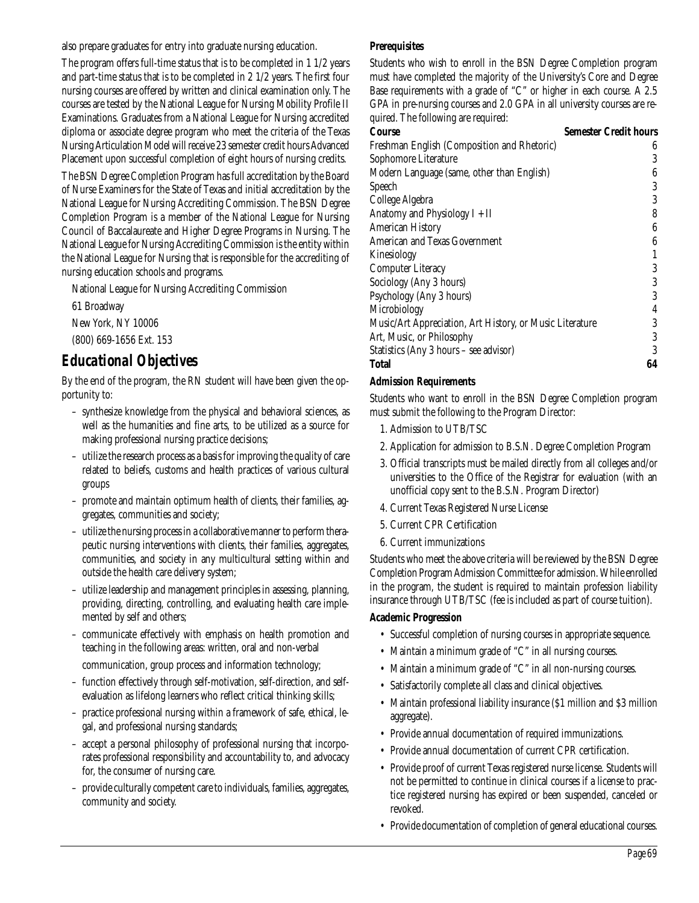also prepare graduates for entry into graduate nursing education.

The program offers full-time status that is to be completed in 1 1/2 years and part-time status that is to be completed in 2 1/2 years. The first four nursing courses are offered by written and clinical examination only. The courses are tested by the National League for Nursing Mobility Profile II Examinations. Graduates from a National League for Nursing accredited diploma or associate degree program who meet the criteria of the Texas Nursing Articulation Model will receive 23 semester credit hours Advanced Placement upon successful completion of eight hours of nursing credits.

The BSN Degree Completion Program has full accreditation by the Board of Nurse Examiners for the State of Texas and initial accreditation by the National League for Nursing Accrediting Commission. The BSN Degree Completion Program is a member of the National League for Nursing Council of Baccalaureate and Higher Degree Programs in Nursing. The National League for Nursing Accrediting Commission is the entity within the National League for Nursing that is responsible for the accrediting of nursing education schools and programs.

National League for Nursing Accrediting Commission

61 Broadway

New York, NY 10006

(800) 669-1656 Ext. 153

## *Educational Objectives*

By the end of the program, the RN student will have been given the opportunity to:

- synthesize knowledge from the physical and behavioral sciences, as well as the humanities and fine arts, to be utilized as a source for making professional nursing practice decisions;
- utilize the research process as a basis for improving the quality of care related to beliefs, customs and health practices of various cultural groups
- promote and maintain optimum health of clients, their families, aggregates, communities and society;
- utilize the nursing process in a collaborative manner to perform therapeutic nursing interventions with clients, their families, aggregates, communities, and society in any multicultural setting within and outside the health care delivery system;
- utilize leadership and management principles in assessing, planning, providing, directing, controlling, and evaluating health care implemented by self and others;
- communicate effectively with emphasis on health promotion and teaching in the following areas: written, oral and non-verbal communication, group process and information technology;
- function effectively through self-motivation, self-direction, and selfevaluation as lifelong learners who reflect critical thinking skills;
- practice professional nursing within a framework of safe, ethical, legal, and professional nursing standards;
- accept a personal philosophy of professional nursing that incorporates professional responsibility and accountability to, and advocacy for, the consumer of nursing care.
- provide culturally competent care to individuals, families, aggregates, community and society.

#### **Prerequisites**

Students who wish to enroll in the BSN Degree Completion program must have completed the majority of the University's Core and Degree Base requirements with a grade of "C" or higher in each course. A 2.5 GPA in pre-nursing courses and 2.0 GPA in all university courses are required. The following are required:

| Course                                                   | <b>Semester Credit hours</b> |
|----------------------------------------------------------|------------------------------|
| Freshman English (Composition and Rhetoric)              | 6                            |
| Sophomore Literature                                     | 3                            |
| Modern Language (same, other than English)               | 6                            |
| <b>Speech</b>                                            | 3                            |
| College Algebra                                          | 3                            |
| Anatomy and Physiology $I + II$                          | 8                            |
| <b>American History</b>                                  | 6                            |
| American and Texas Government                            | 6                            |
| Kinesiology                                              |                              |
| <b>Computer Literacy</b>                                 | 3                            |
| Sociology (Any 3 hours)                                  | 3                            |
| Psychology (Any 3 hours)                                 | 3                            |
| Microbiology                                             | 4                            |
| Music/Art Appreciation, Art History, or Music Literature | 3                            |
| Art, Music, or Philosophy                                | 3                            |
| Statistics (Any 3 hours – see advisor)                   | 3                            |
| <b>Total</b>                                             | 64                           |

#### **Admission Requirements**

Students who want to enroll in the BSN Degree Completion program must submit the following to the Program Director:

- 1. Admission to UTB/TSC
- 2. Application for admission to B.S.N. Degree Completion Program
- 3. Official transcripts must be mailed directly from all colleges and/or universities to the Office of the Registrar for evaluation (with an unofficial copy sent to the B.S.N. Program Director)
- 4. Current Texas Registered Nurse License
- 5. Current CPR Certification
- 6. Current immunizations

Students who meet the above criteria will be reviewed by the BSN Degree Completion Program Admission Committee for admission. While enrolled in the program, the student is required to maintain profession liability insurance through UTB/TSC (fee is included as part of course tuition).

#### **Academic Progression**

- Successful completion of nursing courses in appropriate sequence.
- Maintain a minimum grade of "C" in all nursing courses.
- Maintain a minimum grade of "C" in all non-nursing courses.
- Satisfactorily complete all class and clinical objectives.
- Maintain professional liability insurance (\$1 million and \$3 million aggregate).
- Provide annual documentation of required immunizations.
- Provide annual documentation of current CPR certification.
- Provide proof of current Texas registered nurse license. Students will not be permitted to continue in clinical courses if a license to practice registered nursing has expired or been suspended, canceled or revoked.
- Provide documentation of completion of general educational courses.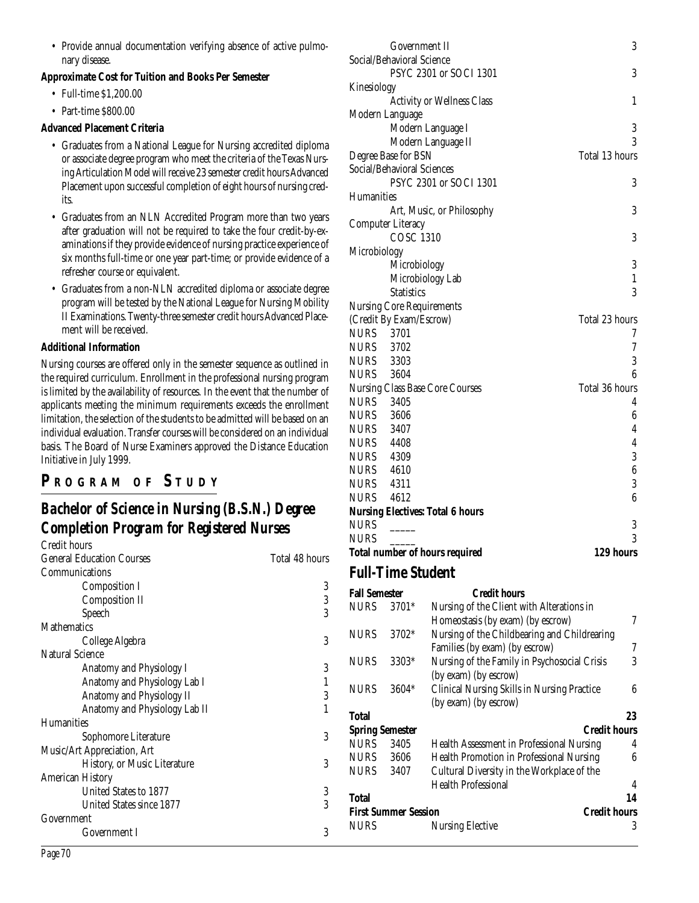• Provide annual documentation verifying absence of active pulmonary disease.

#### **Approximate Cost for Tuition and Books Per Semester**

- Full-time \$1,200.00
- Part-time \$800.00

#### **Advanced Placement Criteria**

- Graduates from a National League for Nursing accredited diploma or associate degree program who meet the criteria of the Texas Nursing Articulation Model will receive 23 semester credit hours Advanced Placement upon successful completion of eight hours of nursing credits.
- Graduates from an NLN Accredited Program more than two years after graduation will not be required to take the four credit-by-examinations if they provide evidence of nursing practice experience of six months full-time or one year part-time; or provide evidence of a refresher course or equivalent.
- Graduates from a non-NLN accredited diploma or associate degree program will be tested by the National League for Nursing Mobility II Examinations. Twenty-three semester credit hours Advanced Placement will be received.

#### **Additional Information**

Nursing courses are offered only in the semester sequence as outlined in the required curriculum. Enrollment in the professional nursing program is limited by the availability of resources. In the event that the number of applicants meeting the minimum requirements exceeds the enrollment limitation, the selection of the students to be admitted will be based on an individual evaluation. Transfer courses will be considered on an individual basis. The Board of Nurse Examiners approved the Distance Education Initiative in July 1999.

## **P R OGRAM O F S TUDY**

## *Bachelor of Science in Nursing (B.S.N.) Degree Completion Program for Registered Nurses*

| Credit hours                     |                |
|----------------------------------|----------------|
| <b>General Education Courses</b> | Total 48 hours |
| Communications                   |                |
| Composition I                    | 3              |
| <b>Composition II</b>            | 3              |
| Speech                           | 3              |
| <b>Mathematics</b>               |                |
| College Algebra                  | 3              |
| <b>Natural Science</b>           |                |
| Anatomy and Physiology I         | 3              |
| Anatomy and Physiology Lab I     |                |
| Anatomy and Physiology II        | 3              |
| Anatomy and Physiology Lab II    | 1              |
| <b>Humanities</b>                |                |
| Sophomore Literature             | 3              |
| Music/Art Appreciation, Art      |                |
| History, or Music Literature     | 3              |
| <b>American History</b>          |                |
| United States to 1877            | 3              |
| United States since 1877         | 3              |
| Government                       |                |
| Government I                     | 3              |

| Government II                           | 3                |  |  |
|-----------------------------------------|------------------|--|--|
| Social/Behavioral Science               |                  |  |  |
| PSYC 2301 or SOCI 1301                  | 3                |  |  |
| Kinesiology                             |                  |  |  |
| <b>Activity or Wellness Class</b>       | 1                |  |  |
| Modern Language                         |                  |  |  |
| Modern Language I                       | 3                |  |  |
| Modern Language II                      | 3                |  |  |
| Degree Base for BSN                     | Total 13 hours   |  |  |
| Social/Behavioral Sciences              |                  |  |  |
| PSYC 2301 or SOCI 1301                  | 3                |  |  |
| Humanities                              |                  |  |  |
| Art, Music, or Philosophy               | 3                |  |  |
| <b>Computer Literacy</b>                |                  |  |  |
| <b>COSC 1310</b>                        | 3                |  |  |
| Microbiology                            |                  |  |  |
| Microbiology                            | 3                |  |  |
| Microbiology Lab                        | $\mathbf{1}$     |  |  |
| <b>Statistics</b>                       | 3                |  |  |
| <b>Nursing Core Requirements</b>        |                  |  |  |
| (Credit By Exam/Escrow)                 | Total 23 hours   |  |  |
| <b>NURS</b> 3701                        | 7                |  |  |
| <b>NURS</b> 3702                        | 7                |  |  |
| <b>NURS</b> 3303                        | 3                |  |  |
| <b>NURS</b> 3604                        | 6                |  |  |
| <b>Nursing Class Base Core Courses</b>  | Total 36 hours   |  |  |
| <b>NURS</b> 3405                        | 4                |  |  |
| <b>NURS</b> 3606                        | $\boldsymbol{6}$ |  |  |
| <b>NURS</b> 3407                        | 4                |  |  |
| <b>NURS</b> 4408                        | $\overline{4}$   |  |  |
| <b>NURS</b> 4309                        | 3                |  |  |
| NURS 4610                               | $\boldsymbol{6}$ |  |  |
| <b>NURS</b><br>4311                     | 3                |  |  |
| <b>NURS</b> 4612                        | 6                |  |  |
| <b>Nursing Electives: Total 6 hours</b> |                  |  |  |
| <b>NURS</b>                             | 3                |  |  |
| <b>NURS</b>                             | 3                |  |  |
| <b>Total number of hours required</b>   | 129 hours        |  |  |
|                                         |                  |  |  |

#### **Full-Time Student**

| <b>Fall Semester</b>   |                             | <b>Credit hours</b>                                |    |
|------------------------|-----------------------------|----------------------------------------------------|----|
| <b>NURS</b>            | 3701*                       | Nursing of the Client with Alterations in          |    |
|                        |                             | Homeostasis (by exam) (by escrow)                  | 7  |
| <b>NURS</b>            | 3702*                       | Nursing of the Childbearing and Childrearing       |    |
|                        |                             | Families (by exam) (by escrow)                     | 7  |
| <b>NURS</b>            | 3303*                       | Nursing of the Family in Psychosocial Crisis       | 3  |
|                        |                             | (by exam) (by escrow)                              |    |
| <b>NURS</b>            | $3604*$                     | <b>Clinical Nursing Skills in Nursing Practice</b> | 6  |
|                        |                             | (by exam) (by escrow)                              |    |
| Total                  |                             |                                                    | 23 |
| <b>Spring Semester</b> |                             | <b>Credit hours</b>                                |    |
| <b>NURS</b>            | 3405                        | Health Assessment in Professional Nursing          | 4  |
| NURS                   | 3606                        | <b>Health Promotion in Professional Nursing</b>    | ĥ  |
| <b>NURS</b>            | 3407                        | Cultural Diversity in the Workplace of the         |    |
|                        |                             | <b>Health Professional</b>                         | 4  |
| Total                  |                             |                                                    | 14 |
|                        | <b>First Summer Session</b> | <b>Credit hours</b>                                |    |
| <b>NURS</b>            |                             | <b>Nursing Elective</b>                            | 3  |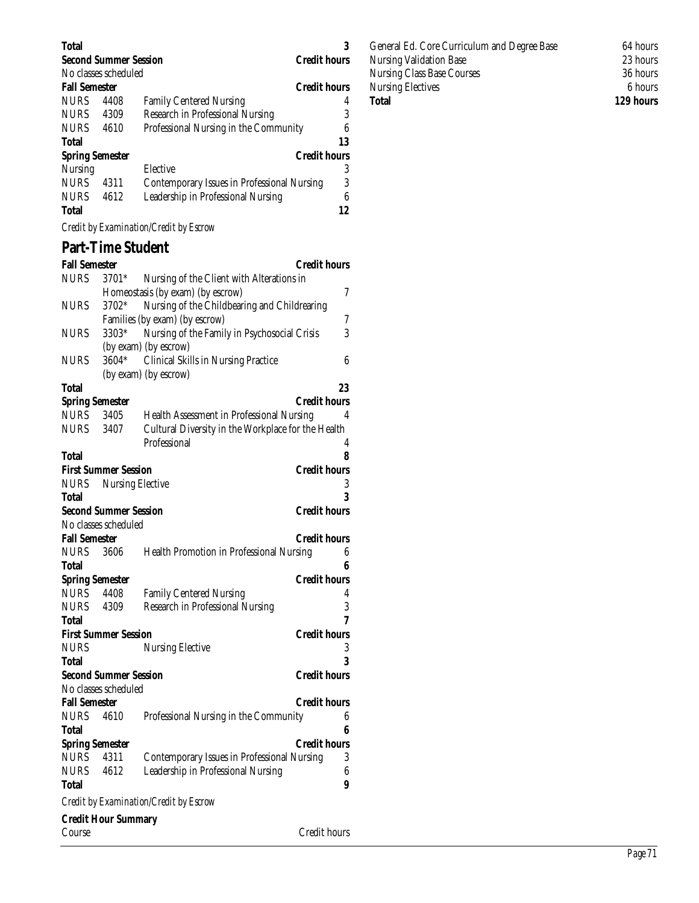| <b>Total</b>           |                              |                                             |                     |
|------------------------|------------------------------|---------------------------------------------|---------------------|
|                        | <b>Second Summer Session</b> |                                             | <b>Credit hours</b> |
|                        | No classes scheduled         |                                             |                     |
| <b>Fall Semester</b>   |                              |                                             | <b>Credit hours</b> |
| <b>NURS</b>            | 4408                         | <b>Family Centered Nursing</b>              | 4                   |
| <b>NURS</b>            | 4309                         | Research in Professional Nursing            | 3                   |
| <b>NURS</b>            | 4610                         | Professional Nursing in the Community       | 6                   |
| <b>Total</b>           |                              |                                             | 13                  |
| <b>Spring Semester</b> |                              |                                             | <b>Credit hours</b> |
| Nursing                |                              | Elective                                    | 3                   |
| <b>NURS</b>            | 4311                         | Contemporary Issues in Professional Nursing | 3                   |
| <b>NURS</b>            | 4612                         | Leadership in Professional Nursing          | 6                   |
| <b>Total</b>           |                              |                                             | 12                  |
|                        | $\sim$                       |                                             |                     |

*Credit by Examination/Credit by Escrow*

## **Part-Time Student**

| <b>Fall Semester</b>   |                              |                                                    | <b>Credit hours</b> |
|------------------------|------------------------------|----------------------------------------------------|---------------------|
| <b>NURS</b>            | 3701*                        | Nursing of the Client with Alterations in          |                     |
|                        |                              | Homeostasis (by exam) (by escrow)                  | 7                   |
| <b>NURS</b>            | 3702*                        | Nursing of the Childbearing and Childrearing       |                     |
|                        |                              | Families (by exam) (by escrow)                     | 7                   |
| NURS                   | 3303*                        | Nursing of the Family in Psychosocial Crisis       | 3                   |
|                        |                              | (by exam) (by escrow)                              |                     |
| NURS                   | 3604*                        | <b>Clinical Skills in Nursing Practice</b>         | 6                   |
|                        |                              | (by exam) (by escrow)                              |                     |
| Total                  |                              |                                                    | 23                  |
| <b>Spring Semester</b> |                              |                                                    | Credit hours        |
| <b>NURS</b>            | 3405                         | Health Assessment in Professional Nursing          | 4                   |
| <b>NURS</b>            | 3407                         | Cultural Diversity in the Workplace for the Health |                     |
|                        |                              | Professional                                       | 4                   |
| <b>Total</b>           |                              |                                                    | 8                   |
|                        | <b>First Summer Session</b>  |                                                    | <b>Credit hours</b> |
| <b>NURS</b>            | <b>Nursing Elective</b>      |                                                    | 3                   |
| Total                  |                              |                                                    | 3                   |
|                        | <b>Second Summer Session</b> |                                                    | <b>Credit hours</b> |
|                        | No classes scheduled         |                                                    |                     |
| <b>Fall Semester</b>   |                              |                                                    | <b>Credit hours</b> |
| <b>NURS</b>            | 3606                         | <b>Health Promotion in Professional Nursing</b>    | 6                   |
| Total                  |                              |                                                    | 6                   |
| <b>Spring Semester</b> |                              |                                                    | <b>Credit hours</b> |
| <b>NURS</b>            | 4408                         | <b>Family Centered Nursing</b>                     | 4<br>3              |
| <b>NURS</b>            | 4309                         | Research in Professional Nursing                   | 7                   |
| Total                  | <b>First Summer Session</b>  |                                                    | <b>Credit hours</b> |
| <b>NURS</b>            |                              | <b>Nursing Elective</b>                            | 3                   |
| Total                  |                              |                                                    | 3                   |
|                        | <b>Second Summer Session</b> |                                                    | <b>Credit hours</b> |
|                        | No classes scheduled         |                                                    |                     |
| <b>Fall Semester</b>   |                              |                                                    | <b>Credit hours</b> |
| NURS                   | 4610                         | Professional Nursing in the Community              | 6                   |
| Total                  |                              |                                                    | 6                   |
| <b>Spring Semester</b> |                              |                                                    | <b>Credit hours</b> |
| <b>NURS</b>            | 4311                         | <b>Contemporary Issues in Professional Nursing</b> | 3                   |
| <b>NURS</b>            | 4612                         | Leadership in Professional Nursing                 | 6                   |
| Total                  |                              |                                                    | 9                   |
|                        |                              | Credit by Examination/Credit by Escrow             |                     |
|                        | <b>Credit Hour Summary</b>   |                                                    |                     |

General Ed. Core Curriculum and Degree Base 64 hours<br>Nursing Validation Base 23 hours Nursing Validation Base Nursing Class Base Courses 36 hours<br>Nursing Electives 6 hours 36 hours Nursing Electives<br>Total

129 hours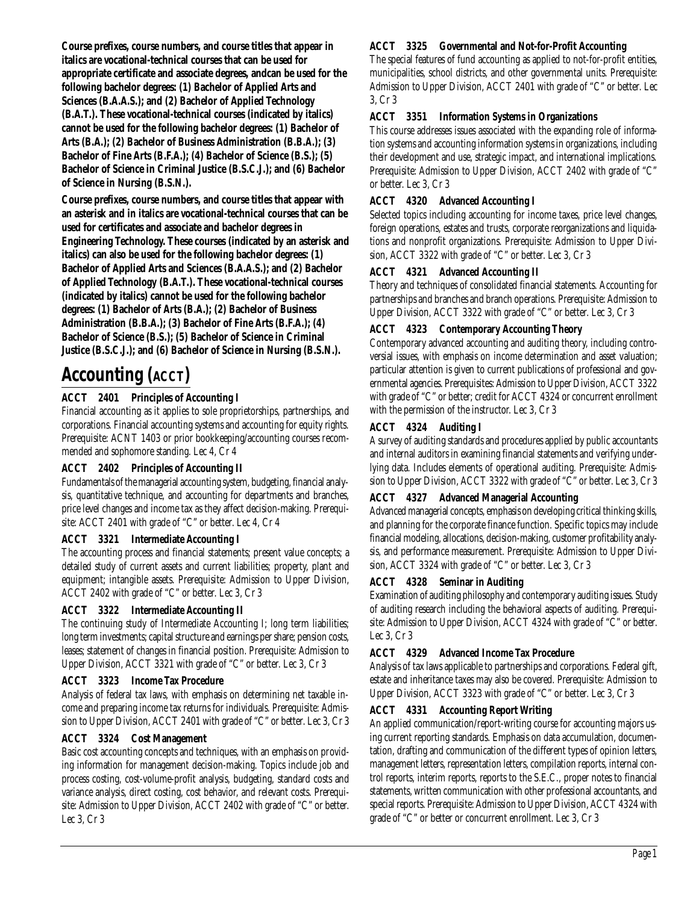**Course prefixes, course numbers, and course titles that appear in italics are vocational-technical courses that can be used for appropriate certificate and associate degrees, andcan be used for the following bachelor degrees: (1) Bachelor of Applied Arts and Sciences (B.A.A.S.); and (2) Bachelor of Applied Technology (B.A.T.). These vocational-technical courses (indicated by italics) cannot be used for the following bachelor degrees: (1) Bachelor of Arts (B.A.); (2) Bachelor of Business Administration (B.B.A.); (3) Bachelor of Fine Arts (B.F.A.); (4) Bachelor of Science (B.S.); (5) Bachelor of Science in Criminal Justice (B.S.C.J.); and (6) Bachelor of Science in Nursing (B.S.N.).**

**Course prefixes, course numbers, and course titles that appear with an asterisk and in italics are vocational-technical courses that can be used for certificates and associate and bachelor degrees in Engineering Technology. These courses (indicated by an asterisk and italics) can also be used for the following bachelor degrees: (1) Bachelor of Applied Arts and Sciences (B.A.A.S.); and (2) Bachelor of Applied Technology (B.A.T.). These vocational-technical courses (indicated by italics) cannot be used for the following bachelor degrees: (1) Bachelor of Arts (B.A.); (2) Bachelor of Business Administration (B.B.A.); (3) Bachelor of Fine Arts (B.F.A.); (4) Bachelor of Science (B.S.); (5) Bachelor of Science in Criminal Justice (B.S.C.J.); and (6) Bachelor of Science in Nursing (B.S.N.).**

## **Accounting (ACCT)**

#### **ACCT 2401 Principles of Accounting I**

Financial accounting as it applies to sole proprietorships, partnerships, and corporations. Financial accounting systems and accounting for equity rights. Prerequisite: ACNT 1403 or prior bookkeeping/accounting courses recommended and sophomore standing. Lec 4, Cr 4

#### **ACCT 2402 Principles of Accounting II**

Fundamentals of the managerial accounting system, budgeting, financial analysis, quantitative technique, and accounting for departments and branches, price level changes and income tax as they affect decision-making. Prerequisite: ACCT 2401 with grade of "C" or better. Lec 4, Cr 4

#### **ACCT 3321 Intermediate Accounting I**

The accounting process and financial statements; present value concepts; a detailed study of current assets and current liabilities; property, plant and equipment; intangible assets. Prerequisite: Admission to Upper Division, ACCT 2402 with grade of "C" or better. Lec 3, Cr 3

#### **ACCT 3322 Intermediate Accounting II**

The continuing study of Intermediate Accounting I; long term liabilities; long term investments; capital structure and earnings per share; pension costs, leases; statement of changes in financial position. Prerequisite: Admission to Upper Division, ACCT 3321 with grade of "C" or better. Lec 3, Cr 3

#### **ACCT 3323 Income Tax Procedure**

Analysis of federal tax laws, with emphasis on determining net taxable income and preparing income tax returns for individuals. Prerequisite: Admission to Upper Division, ACCT 2401 with grade of "C" or better. Lec 3, Cr 3

#### **ACCT 3324 Cost Management**

Basic cost accounting concepts and techniques, with an emphasis on providing information for management decision-making. Topics include job and process costing, cost-volume-profit analysis, budgeting, standard costs and variance analysis, direct costing, cost behavior, and relevant costs. Prerequisite: Admission to Upper Division, ACCT 2402 with grade of "C" or better. Lec 3, Cr 3

#### **ACCT 3325 Governmental and Not-for-Profit Accounting**

The special features of fund accounting as applied to not-for-profit entities, municipalities, school districts, and other governmental units. Prerequisite: Admission to Upper Division, ACCT 2401 with grade of "C" or better. Lec 3, Cr 3

#### **ACCT 3351 Information Systems in Organizations**

This course addresses issues associated with the expanding role of information systems and accounting information systems in organizations, including their development and use, strategic impact, and international implications. Prerequisite: Admission to Upper Division, ACCT 2402 with grade of "C" or better. Lec 3, Cr 3

#### **ACCT 4320 Advanced Accounting I**

Selected topics including accounting for income taxes, price level changes, foreign operations, estates and trusts, corporate reorganizations and liquidations and nonprofit organizations. Prerequisite: Admission to Upper Division, ACCT 3322 with grade of "C" or better. Lec 3, Cr 3

#### **ACCT 4321 Advanced Accounting II**

Theory and techniques of consolidated financial statements. Accounting for partnerships and branches and branch operations. Prerequisite: Admission to Upper Division, ACCT 3322 with grade of "C" or better. Lec 3, Cr 3

#### **ACCT 4323 Contemporary Accounting Theory**

Contemporary advanced accounting and auditing theory, including controversial issues, with emphasis on income determination and asset valuation; particular attention is given to current publications of professional and governmental agencies. Prerequisites: Admission to Upper Division, ACCT 3322 with grade of "C" or better; credit for ACCT 4324 or concurrent enrollment with the permission of the instructor. Lec 3, Cr 3

#### **ACCT 4324 Auditing I**

A survey of auditing standards and procedures applied by public accountants and internal auditors in examining financial statements and verifying underlying data. Includes elements of operational auditing. Prerequisite: Admission to Upper Division, ACCT 3322 with grade of "C" or better. Lec 3, Cr 3

#### **ACCT 4327 Advanced Managerial Accounting**

Advanced managerial concepts, emphasis on developing critical thinking skills, and planning for the corporate finance function. Specific topics may include financial modeling, allocations, decision-making, customer profitability analysis, and performance measurement. Prerequisite: Admission to Upper Division, ACCT 3324 with grade of "C" or better. Lec 3, Cr 3

#### **ACCT 4328 Seminar in Auditing**

Examination of auditing philosophy and contemporary auditing issues. Study of auditing research including the behavioral aspects of auditing. Prerequisite: Admission to Upper Division, ACCT 4324 with grade of "C" or better. Lec 3, Cr 3

#### **ACCT 4329 Advanced Income Tax Procedure**

Analysis of tax laws applicable to partnerships and corporations. Federal gift, estate and inheritance taxes may also be covered. Prerequisite: Admission to Upper Division, ACCT 3323 with grade of "C" or better. Lec 3, Cr 3

#### **ACCT 4331 Accounting Report Writing**

An applied communication/report-writing course for accounting majors using current reporting standards. Emphasis on data accumulation, documentation, drafting and communication of the different types of opinion letters, management letters, representation letters, compilation reports, internal control reports, interim reports, reports to the S.E.C., proper notes to financial statements, written communication with other professional accountants, and special reports. Prerequisite: Admission to Upper Division, ACCT 4324 with grade of "C" or better or concurrent enrollment. Lec 3, Cr 3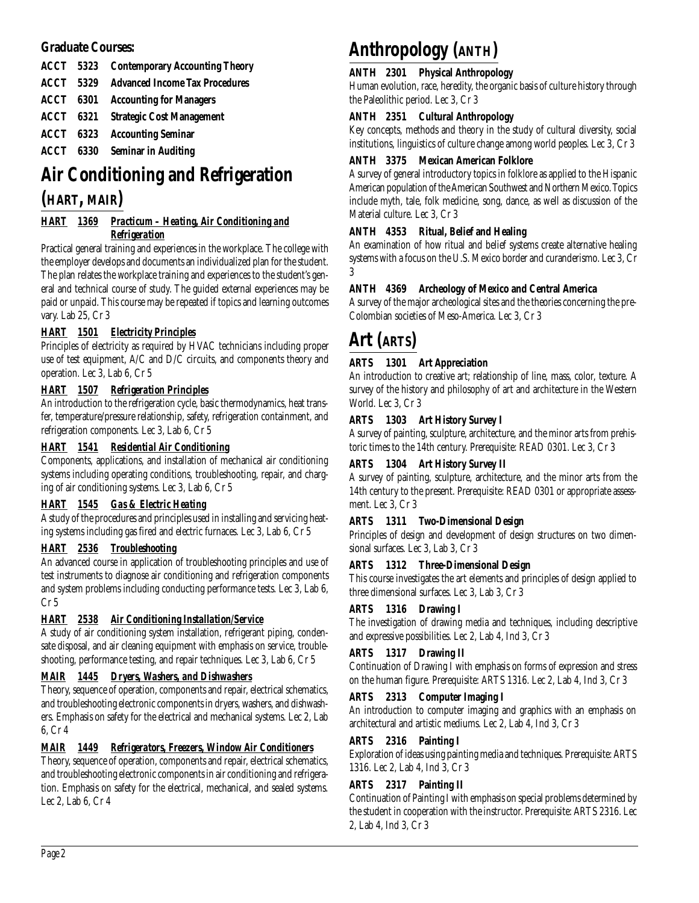# **Graduate Courses:**

|  | <b>ACCT</b> 5323 Contemporary Accounting Theory |
|--|-------------------------------------------------|
|  | <b>ACCT</b> 5329 Advanced Income Tax Procedures |
|  | <b>ACCT</b> 6301 Accounting for Managers        |
|  | <b>ACCT</b> 6321 Strategic Cost Management      |
|  | <b>ACCT</b> 6323 Accounting Seminar             |
|  | <b>ACCT</b> 6330 Seminar in Auditing            |

# **Air Conditioning and Refrigeration (HART, MAIR)**

# *HART 1369 Practicum – Heating, Air Conditioning and Refrigeration*

Practical general training and experiences in the workplace. The college with the employer develops and documents an individualized plan for the student. The plan relates the workplace training and experiences to the student's general and technical course of study. The guided external experiences may be paid or unpaid. This course may be repeated if topics and learning outcomes vary. Lab 25, Cr 3

# *HART 1501 Electricity Principles*

Principles of electricity as required by HVAC technicians including proper use of test equipment, A/C and D/C circuits, and components theory and operation. Lec 3, Lab 6, Cr 5

## *HART 1507 Refrigeration Principles*

An introduction to the refrigeration cycle, basic thermodynamics, heat transfer, temperature/pressure relationship, safety, refrigeration containment, and refrigeration components. Lec 3, Lab 6, Cr 5

### *HART 1541 Residential Air Conditioning*

Components, applications, and installation of mechanical air conditioning systems including operating conditions, troubleshooting, repair, and charging of air conditioning systems. Lec 3, Lab 6, Cr 5

## *HART 1545 Gas & Electric Heating*

A study of the procedures and principles used in installing and servicing heating systems including gas fired and electric furnaces. Lec 3, Lab 6, Cr 5

## *HART 2536 Troubleshooting*

An advanced course in application of troubleshooting principles and use of test instruments to diagnose air conditioning and refrigeration components and system problems including conducting performance tests. Lec 3, Lab 6, Cr 5

## *HART 2538 Air Conditioning Installation/Service*

A study of air conditioning system installation, refrigerant piping, condensate disposal, and air cleaning equipment with emphasis on service, troubleshooting, performance testing, and repair techniques. Lec 3, Lab 6, Cr 5

## *MAIR 1445 Dryers, Washers, and Dishwashers*

Theory, sequence of operation, components and repair, electrical schematics, and troubleshooting electronic components in dryers, washers, and dishwashers. Emphasis on safety for the electrical and mechanical systems. Lec 2, Lab 6, Cr 4

### *MAIR 1449 Refrigerators, Freezers, Window Air Conditioners*

Theory, sequence of operation, components and repair, electrical schematics, and troubleshooting electronic components in air conditioning and refrigeration. Emphasis on safety for the electrical, mechanical, and sealed systems. Lec 2, Lab 6, Cr 4

# **Anthropology (ANTH)**

### **ANTH 2301 Physical Anthropology**

Human evolution, race, heredity, the organic basis of culture history through the Paleolithic period. Lec 3, Cr 3

### **ANTH 2351 Cultural Anthropology**

Key concepts, methods and theory in the study of cultural diversity, social institutions, linguistics of culture change among world peoples. Lec 3, Cr 3

### **ANTH 3375 Mexican American Folklore**

A survey of general introductory topics in folklore as applied to the Hispanic American population of the American Southwest and Northern Mexico. Topics include myth, tale, folk medicine, song, dance, as well as discussion of the Material culture. Lec 3, Cr 3

### **ANTH 4353 Ritual, Belief and Healing**

An examination of how ritual and belief systems create alternative healing systems with a focus on the U.S. Mexico border and curanderismo. Lec 3, Cr 3

### **ANTH 4369 Archeology of Mexico and Central America**

A survey of the major archeological sites and the theories concerning the pre-Colombian societies of Meso-America. Lec 3, Cr 3

# **Art (ARTS)**

## **ARTS 1301 Art Appreciation**

An introduction to creative art; relationship of line, mass, color, texture. A survey of the history and philosophy of art and architecture in the Western World. Lec 3, Cr 3

## **ARTS 1303 Art History Survey I**

A survey of painting, sculpture, architecture, and the minor arts from prehistoric times to the 14th century. Prerequisite: READ 0301. Lec 3, Cr 3

## **ARTS 1304 Art History Survey II**

A survey of painting, sculpture, architecture, and the minor arts from the 14th century to the present. Prerequisite: READ 0301 or appropriate assessment. Lec 3, Cr 3

### **ARTS 1311 Two-Dimensional Design**

Principles of design and development of design structures on two dimensional surfaces. Lec 3, Lab 3, Cr 3

### **ARTS 1312 Three-Dimensional Design**

This course investigates the art elements and principles of design applied to three dimensional surfaces. Lec 3, Lab 3, Cr 3

### **ARTS 1316 Drawing I**

The investigation of drawing media and techniques, including descriptive and expressive possibilities. Lec 2, Lab 4, Ind 3, Cr 3

### **ARTS 1317 Drawing II**

Continuation of Drawing I with emphasis on forms of expression and stress on the human figure. Prerequisite: ARTS 1316. Lec 2, Lab 4, Ind 3, Cr 3

### **ARTS 2313 Computer Imaging I**

An introduction to computer imaging and graphics with an emphasis on architectural and artistic mediums. Lec 2, Lab 4, Ind 3, Cr 3

### **ARTS 2316 Painting I**

Exploration of ideas using painting media and techniques. Prerequisite: ARTS 1316. Lec 2, Lab 4, Ind 3, Cr 3

### **ARTS 2317 Painting II**

Continuation of Painting I with emphasis on special problems determined by the student in cooperation with the instructor. Prerequisite: ARTS 2316. Lec 2, Lab 4, Ind 3, Cr 3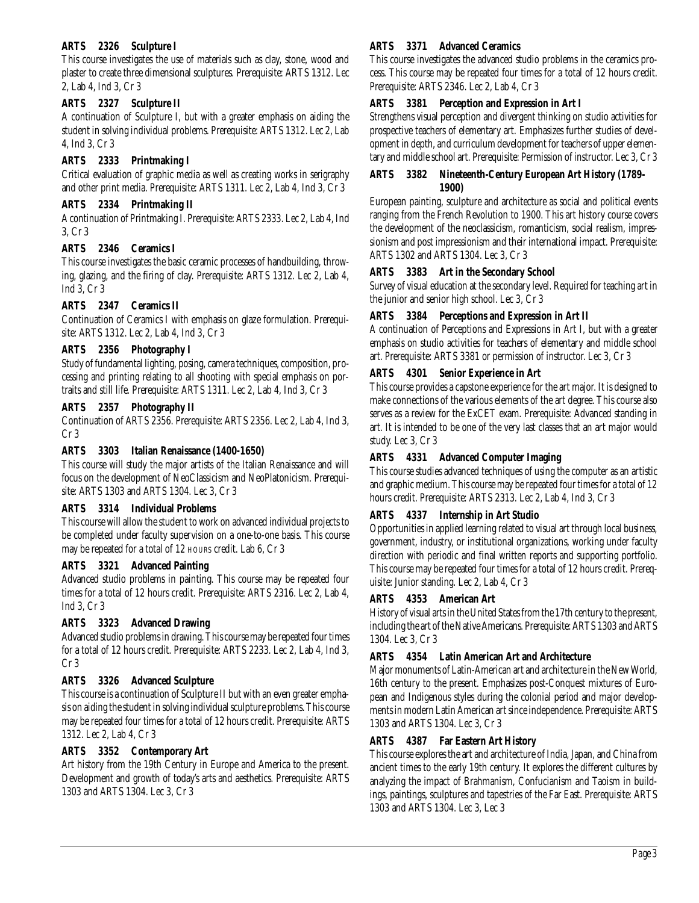### **ARTS 2326 Sculpture I**

This course investigates the use of materials such as clay, stone, wood and plaster to create three dimensional sculptures. Prerequisite: ARTS 1312. Lec 2, Lab 4, Ind 3, Cr 3

### **ARTS 2327 Sculpture II**

A continuation of Sculpture I, but with a greater emphasis on aiding the student in solving individual problems. Prerequisite: ARTS 1312. Lec 2, Lab 4, Ind 3, Cr 3

## **ARTS 2333 Printmaking I**

Critical evaluation of graphic media as well as creating works in serigraphy and other print media. Prerequisite: ARTS 1311. Lec 2, Lab 4, Ind 3, Cr 3

### **ARTS 2334 Printmaking II**

A continuation of Printmaking I. Prerequisite: ARTS 2333. Lec 2, Lab 4, Ind 3, Cr 3

### **ARTS 2346 Ceramics I**

This course investigates the basic ceramic processes of handbuilding, throwing, glazing, and the firing of clay. Prerequisite: ARTS 1312. Lec 2, Lab 4, Ind 3, Cr 3

### **ARTS 2347 Ceramics II**

Continuation of Ceramics I with emphasis on glaze formulation. Prerequisite: ARTS 1312. Lec 2, Lab 4, Ind 3, Cr 3

### **ARTS 2356 Photography I**

Study of fundamental lighting, posing, camera techniques, composition, processing and printing relating to all shooting with special emphasis on portraits and still life. Prerequisite: ARTS 1311. Lec 2, Lab 4, Ind 3, Cr 3

### **ARTS 2357 Photography II**

Continuation of ARTS 2356. Prerequisite: ARTS 2356. Lec 2, Lab 4, Ind 3, Cr 3

### **ARTS 3303 Italian Renaissance (1400-1650)**

This course will study the major artists of the Italian Renaissance and will focus on the development of NeoClassicism and NeoPlatonicism. Prerequisite: ARTS 1303 and ARTS 1304. Lec 3, Cr 3

### **ARTS 3314 Individual Problems**

This course will allow the student to work on advanced individual projects to be completed under faculty supervision on a one-to-one basis. This course may be repeated for a total of 12 HOURS credit. Lab 6, Cr 3

### **ARTS 3321 Advanced Painting**

Advanced studio problems in painting. This course may be repeated four times for a total of 12 hours credit. Prerequisite: ARTS 2316. Lec 2, Lab 4, Ind 3, Cr 3

## **ARTS 3323 Advanced Drawing**

Advanced studio problems in drawing. This course may be repeated four times for a total of 12 hours credit. Prerequisite: ARTS 2233. Lec 2, Lab 4, Ind 3, Cr 3

### **ARTS 3326 Advanced Sculpture**

This course is a continuation of Sculpture II but with an even greater emphasis on aiding the student in solving individual sculpture problems. This course may be repeated four times for a total of 12 hours credit. Prerequisite: ARTS 1312. Lec 2, Lab 4, Cr 3

### **ARTS 3352 Contemporary Art**

Art history from the 19th Century in Europe and America to the present. Development and growth of today's arts and aesthetics. Prerequisite: ARTS 1303 and ARTS 1304. Lec 3, Cr 3

### **ARTS 3371 Advanced Ceramics**

This course investigates the advanced studio problems in the ceramics process. This course may be repeated four times for a total of 12 hours credit. Prerequisite: ARTS 2346. Lec 2, Lab 4, Cr 3

### **ARTS 3381 Perception and Expression in Art I**

Strengthens visual perception and divergent thinking on studio activities for prospective teachers of elementary art. Emphasizes further studies of development in depth, and curriculum development for teachers of upper elementary and middle school art. Prerequisite: Permission of instructor. Lec 3, Cr 3

### **ARTS 3382 Nineteenth-Century European Art History (1789- 1900)**

European painting, sculpture and architecture as social and political events ranging from the French Revolution to 1900. This art history course covers the development of the neoclassicism, romanticism, social realism, impressionism and post impressionism and their international impact. Prerequisite: ARTS 1302 and ARTS 1304. Lec 3, Cr 3

### **ARTS 3383 Art in the Secondary School**

Survey of visual education at the secondary level. Required for teaching art in the junior and senior high school. Lec 3, Cr 3

### **ARTS 3384 Perceptions and Expression in Art II**

A continuation of Perceptions and Expressions in Art I, but with a greater emphasis on studio activities for teachers of elementary and middle school art. Prerequisite: ARTS 3381 or permission of instructor. Lec 3, Cr 3

### **ARTS 4301 Senior Experience in Art**

This course provides a capstone experience for the art major. It is designed to make connections of the various elements of the art degree. This course also serves as a review for the ExCET exam. Prerequisite: Advanced standing in art. It is intended to be one of the very last classes that an art major would study. Lec 3, Cr 3

### **ARTS 4331 Advanced Computer Imaging**

This course studies advanced techniques of using the computer as an artistic and graphic medium. This course may be repeated four times for a total of 12 hours credit. Prerequisite: ARTS 2313. Lec 2, Lab 4, Ind 3, Cr 3

### **ARTS 4337 Internship in Art Studio**

Opportunities in applied learning related to visual art through local business, government, industry, or institutional organizations, working under faculty direction with periodic and final written reports and supporting portfolio. This course may be repeated four times for a total of 12 hours credit. Prerequisite: Junior standing. Lec 2, Lab 4, Cr 3

### **ARTS 4353 American Art**

History of visual arts in the United States from the 17th century to the present, including the art of the Native Americans. Prerequisite: ARTS 1303 and ARTS 1304. Lec 3, Cr 3

### **ARTS 4354 Latin American Art and Architecture**

Major monuments of Latin-American art and architecture in the New World, 16th century to the present. Emphasizes post-Conquest mixtures of European and Indigenous styles during the colonial period and major developments in modern Latin American art since independence. Prerequisite: ARTS 1303 and ARTS 1304. Lec 3, Cr 3

### **ARTS 4387 Far Eastern Art History**

This course explores the art and architecture of India, Japan, and China from ancient times to the early 19th century. It explores the different cultures by analyzing the impact of Brahmanism, Confucianism and Taoism in buildings, paintings, sculptures and tapestries of the Far East. Prerequisite: ARTS 1303 and ARTS 1304. Lec 3, Lec 3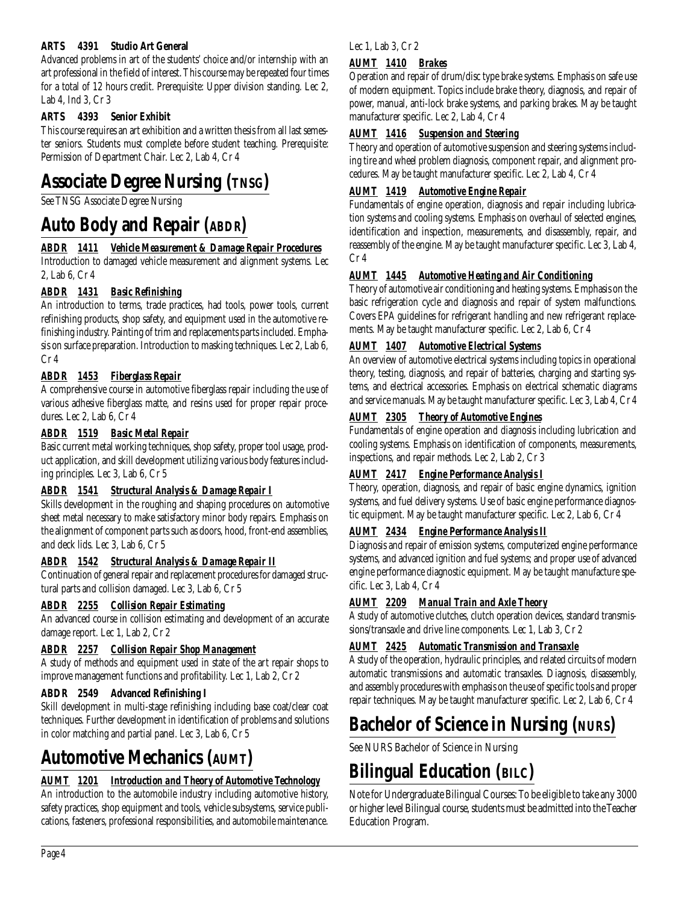## **ARTS 4391 Studio Art General**

Advanced problems in art of the students' choice and/or internship with an art professional in the field of interest. This course may be repeated four times for a total of 12 hours credit. Prerequisite: Upper division standing. Lec 2, Lab 4, Ind 3, Cr 3

# **ARTS 4393 Senior Exhibit**

This course requires an art exhibition and a written thesis from all last semester seniors. Students must complete before student teaching. Prerequisite: Permission of Department Chair. Lec 2, Lab 4, Cr 4

# **Associate Degree Nursing (TNSG)**

See TNSG Associate Degree Nursing

# **Auto Body and Repair** *(ABDR)*

# *ABDR 1411 Vehicle Measurement & Damage Repair Procedures*

Introduction to damaged vehicle measurement and alignment systems. Lec 2, Lab 6, Cr 4

# *ABDR 1431 Basic Refinishing*

An introduction to terms, trade practices, had tools, power tools, current refinishing products, shop safety, and equipment used in the automotive refinishing industry. Painting of trim and replacements parts included. Emphasis on surface preparation. Introduction to masking techniques. Lec 2, Lab 6, Cr 4

# *ABDR 1453 Fiberglass Repair*

A comprehensive course in automotive fiberglass repair including the use of various adhesive fiberglass matte, and resins used for proper repair procedures. Lec 2, Lab 6, Cr 4

# *ABDR 1519 Basic Metal Repair*

Basic current metal working techniques, shop safety, proper tool usage, product application, and skill development utilizing various body features including principles. Lec 3, Lab 6, Cr 5

# *ABDR 1541 Structural Analysis & Damage Repair I*

Skills development in the roughing and shaping procedures on automotive sheet metal necessary to make satisfactory minor body repairs. Emphasis on the alignment of component parts such as doors, hood, front-end assemblies, and deck lids. Lec 3, Lab 6, Cr 5

# *ABDR 1542 Structural Analysis & Damage Repair II*

Continuation of general repair and replacement procedures for damaged structural parts and collision damaged. Lec 3, Lab 6, Cr 5

# *ABDR 2255 Collision Repair Estimating*

An advanced course in collision estimating and development of an accurate damage report. Lec 1, Lab 2, Cr 2

# *ABDR 2257 Collision Repair Shop Management*

A study of methods and equipment used in state of the art repair shops to improve management functions and profitability. Lec 1, Lab 2, Cr 2

# **ABDR 2549 Advanced Refinishing I**

Skill development in multi-stage refinishing including base coat/clear coat techniques. Further development in identification of problems and solutions in color matching and partial panel. Lec 3, Lab 6, Cr 5

# **Automotive Mechanics (AUMT)**

# *AUMT 1201 Introduction and Theory of Automotive Technology*

An introduction to the automobile industry including automotive history, safety practices, shop equipment and tools, vehicle subsystems, service publications, fasteners, professional responsibilities, and automobile maintenance.

# Lec 1, Lab 3, Cr 2

# *AUMT 1410 Brakes*

Operation and repair of drum/disc type brake systems. Emphasis on safe use of modern equipment. Topics include brake theory, diagnosis, and repair of power, manual, anti-lock brake systems, and parking brakes. May be taught manufacturer specific. Lec 2, Lab 4, Cr 4

# *AUMT 1416 Suspension and Steering*

Theory and operation of automotive suspension and steering systems including tire and wheel problem diagnosis, component repair, and alignment procedures. May be taught manufacturer specific. Lec 2, Lab 4, Cr 4

# *AUMT 1419 Automotive Engine Repair*

Fundamentals of engine operation, diagnosis and repair including lubrication systems and cooling systems. Emphasis on overhaul of selected engines, identification and inspection, measurements, and disassembly, repair, and reassembly of the engine. May be taught manufacturer specific. Lec 3, Lab 4, Cr 4

# *AUMT 1445 Automotive Heating and Air Conditioning*

Theory of automotive air conditioning and heating systems. Emphasis on the basic refrigeration cycle and diagnosis and repair of system malfunctions. Covers EPA guidelines for refrigerant handling and new refrigerant replacements. May be taught manufacturer specific. Lec 2, Lab 6, Cr 4

# *AUMT 1407 Automotive Electrical Systems*

An overview of automotive electrical systems including topics in operational theory, testing, diagnosis, and repair of batteries, charging and starting systems, and electrical accessories. Emphasis on electrical schematic diagrams and service manuals. May be taught manufacturer specific. Lec 3, Lab 4, Cr 4

# *AUMT 2305 Theory of Automotive Engines*

Fundamentals of engine operation and diagnosis including lubrication and cooling systems. Emphasis on identification of components, measurements, inspections, and repair methods. Lec 2, Lab 2, Cr 3

# *AUMT 2417 Engine Performance Analysis I*

Theory, operation, diagnosis, and repair of basic engine dynamics, ignition systems, and fuel delivery systems. Use of basic engine performance diagnostic equipment. May be taught manufacturer specific. Lec 2, Lab 6, Cr 4

# *AUMT 2434 Engine Performance Analysis II*

Diagnosis and repair of emission systems, computerized engine performance systems, and advanced ignition and fuel systems; and proper use of advanced engine performance diagnostic equipment. May be taught manufacture specific. Lec 3, Lab 4, Cr 4

# *AUMT 2209 Manual Train and Axle Theory*

A study of automotive clutches, clutch operation devices, standard transmissions/transaxle and drive line components. Lec 1, Lab 3, Cr 2

# *AUMT 2425 Automatic Transmission and Transaxle*

A study of the operation, hydraulic principles, and related circuits of modern automatic transmissions and automatic transaxles. Diagnosis, disassembly, and assembly procedures with emphasis on the use of specific tools and proper repair techniques. May be taught manufacturer specific. Lec 2, Lab 6, Cr 4

# **Bachelor of Science in Nursing (NURS)**

See NURS Bachelor of Science in Nursing

# **Bilingual Education (BILC)**

Note for Undergraduate Bilingual Courses: To be eligible to take any 3000 or higher level Bilingual course, students must be admitted into the Teacher Education Program.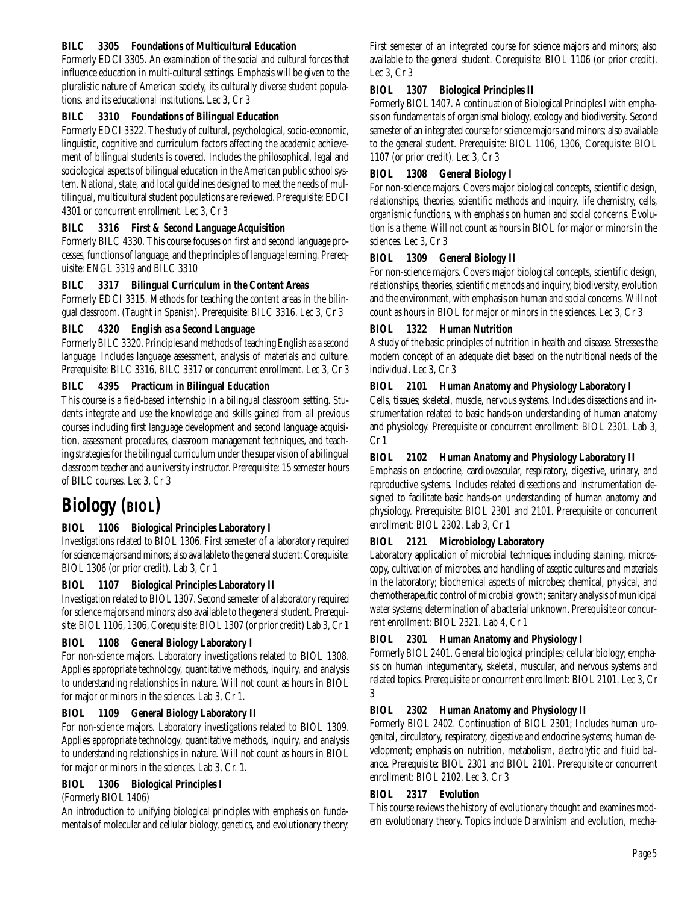### **BILC 3305 Foundations of Multicultural Education**

Formerly EDCI 3305. An examination of the social and cultural forces that influence education in multi-cultural settings. Emphasis will be given to the pluralistic nature of American society, its culturally diverse student populations, and its educational institutions. Lec 3, Cr 3

### **BILC 3310 Foundations of Bilingual Education**

Formerly EDCI 3322. The study of cultural, psychological, socio-economic, linguistic, cognitive and curriculum factors affecting the academic achievement of bilingual students is covered. Includes the philosophical, legal and sociological aspects of bilingual education in the American public school system. National, state, and local guidelines designed to meet the needs of multilingual, multicultural student populations are reviewed. Prerequisite: EDCI 4301 or concurrent enrollment. Lec 3, Cr 3

### **BILC 3316 First & Second Language Acquisition**

Formerly BILC 4330. This course focuses on first and second language processes, functions of language, and the principles of language learning. Prerequisite: ENGL 3319 and BILC 3310

### **BILC 3317 Bilingual Curriculum in the Content Areas**

Formerly EDCI 3315. Methods for teaching the content areas in the bilingual classroom. (Taught in Spanish). Prerequisite: BILC 3316. Lec 3, Cr 3

### **BILC 4320 English as a Second Language**

Formerly BILC 3320. Principles and methods of teaching English as a second language. Includes language assessment, analysis of materials and culture. Prerequisite: BILC 3316, BILC 3317 or concurrent enrollment. Lec 3, Cr 3

### **BILC 4395 Practicum in Bilingual Education**

This course is a field-based internship in a bilingual classroom setting. Students integrate and use the knowledge and skills gained from all previous courses including first language development and second language acquisition, assessment procedures, classroom management techniques, and teaching strategies for the bilingual curriculum under the supervision of a bilingual classroom teacher and a university instructor. Prerequisite: 15 semester hours of BILC courses. Lec 3, Cr 3

# **Biology (BIOL)**

## **BIOL 1106 Biological Principles Laboratory I**

Investigations related to BIOL 1306. First semester of a laboratory required for science majors and minors; also available to the general student: Corequisite: BIOL 1306 (or prior credit). Lab 3, Cr 1

### **BIOL 1107 Biological Principles Laboratory II**

Investigation related to BIOL 1307. Second semester of a laboratory required for science majors and minors; also available to the general student. Prerequisite: BIOL 1106, 1306, Corequisite: BIOL 1307 (or prior credit) Lab 3, Cr 1

### **BIOL 1108 General Biology Laboratory I**

For non-science majors. Laboratory investigations related to BIOL 1308. Applies appropriate technology, quantitative methods, inquiry, and analysis to understanding relationships in nature. Will not count as hours in BIOL for major or minors in the sciences. Lab 3, Cr 1.

### **BIOL 1109 General Biology Laboratory II**

For non-science majors. Laboratory investigations related to BIOL 1309. Applies appropriate technology, quantitative methods, inquiry, and analysis to understanding relationships in nature. Will not count as hours in BIOL for major or minors in the sciences. Lab 3, Cr. 1.

### **BIOL 1306 Biological Principles I**

(Formerly BIOL 1406)

An introduction to unifying biological principles with emphasis on fundamentals of molecular and cellular biology, genetics, and evolutionary theory. First semester of an integrated course for science majors and minors; also available to the general student. Corequisite: BIOL 1106 (or prior credit). Lec 3, Cr 3

### **BIOL 1307 Biological Principles II**

Formerly BIOL 1407. A continuation of Biological Principles I with emphasis on fundamentals of organismal biology, ecology and biodiversity. Second semester of an integrated course for science majors and minors; also available to the general student. Prerequisite: BIOL 1106, 1306, Corequisite: BIOL 1107 (or prior credit). Lec 3, Cr 3

### **BIOL 1308 General Biology I**

For non-science majors. Covers major biological concepts, scientific design, relationships, theories, scientific methods and inquiry, life chemistry, cells, organismic functions, with emphasis on human and social concerns. Evolution is a theme. Will not count as hours in BIOL for major or minors in the sciences. Lec 3, Cr 3

### **BIOL 1309 General Biology II**

For non-science majors. Covers major biological concepts, scientific design, relationships, theories, scientific methods and inquiry, biodiversity, evolution and the environment, with emphasis on human and social concerns. Will not count as hours in BIOL for major or minors in the sciences. Lec 3, Cr 3

### **BIOL 1322 Human Nutrition**

A study of the basic principles of nutrition in health and disease. Stresses the modern concept of an adequate diet based on the nutritional needs of the individual. Lec 3, Cr 3

### **BIOL 2101 Human Anatomy and Physiology Laboratory I**

Cells, tissues; skeletal, muscle, nervous systems. Includes dissections and instrumentation related to basic hands-on understanding of human anatomy and physiology. Prerequisite or concurrent enrollment: BIOL 2301. Lab 3, Cr 1

### **BIOL 2102 Human Anatomy and Physiology Laboratory II**

Emphasis on endocrine, cardiovascular, respiratory, digestive, urinary, and reproductive systems. Includes related dissections and instrumentation designed to facilitate basic hands-on understanding of human anatomy and physiology. Prerequisite: BIOL 2301 and 2101. Prerequisite or concurrent enrollment: BIOL 2302. Lab 3, Cr 1

### **BIOL 2121 Microbiology Laboratory**

Laboratory application of microbial techniques including staining, microscopy, cultivation of microbes, and handling of aseptic cultures and materials in the laboratory; biochemical aspects of microbes; chemical, physical, and chemotherapeutic control of microbial growth; sanitary analysis of municipal water systems; determination of a bacterial unknown. Prerequisite or concurrent enrollment: BIOL 2321. Lab 4, Cr 1

### **BIOL 2301 Human Anatomy and Physiology I**

Formerly BIOL 2401. General biological principles; cellular biology; emphasis on human integumentary, skeletal, muscular, and nervous systems and related topics. Prerequisite or concurrent enrollment: BIOL 2101. Lec 3, Cr 3

### **BIOL 2302 Human Anatomy and Physiology II**

Formerly BIOL 2402. Continuation of BIOL 2301; Includes human urogenital, circulatory, respiratory, digestive and endocrine systems; human development; emphasis on nutrition, metabolism, electrolytic and fluid balance. Prerequisite: BIOL 2301 and BIOL 2101. Prerequisite or concurrent enrollment: BIOL 2102. Lec 3, Cr 3

### **BIOL 2317 Evolution**

This course reviews the history of evolutionary thought and examines modern evolutionary theory. Topics include Darwinism and evolution, mecha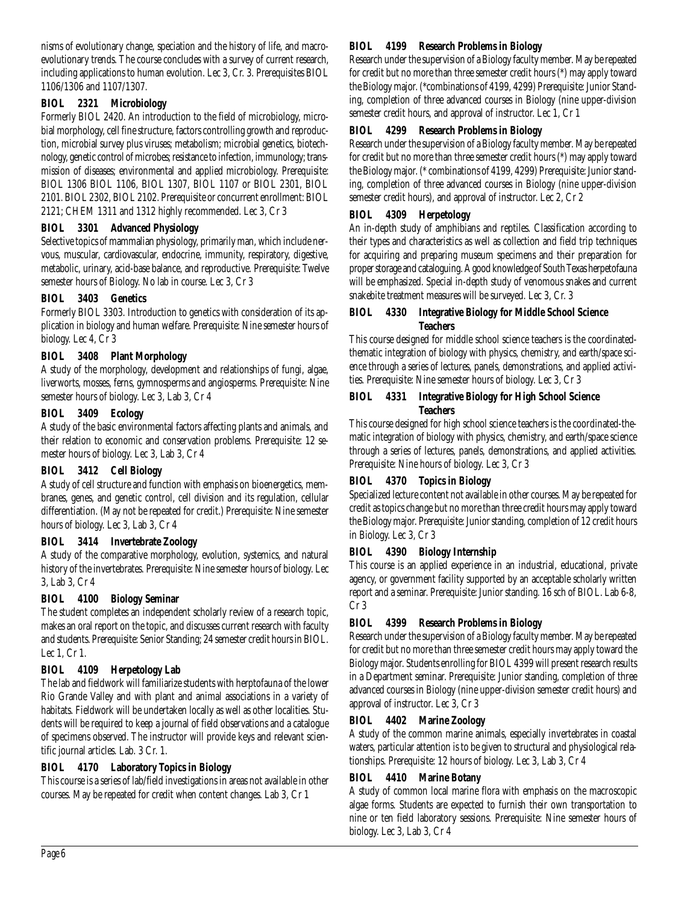nisms of evolutionary change, speciation and the history of life, and macroevolutionary trends. The course concludes with a survey of current research, including applications to human evolution. Lec 3, Cr. 3. Prerequisites BIOL 1106/1306 and 1107/1307.

# **BIOL 2321 Microbiology**

Formerly BIOL 2420. An introduction to the field of microbiology, microbial morphology, cell fine structure, factors controlling growth and reproduction, microbial survey plus viruses; metabolism; microbial genetics, biotechnology, genetic control of microbes; resistance to infection, immunology; transmission of diseases; environmental and applied microbiology. Prerequisite: BIOL 1306 BIOL 1106, BIOL 1307, BIOL 1107 or BIOL 2301, BIOL 2101. BIOL 2302, BIOL 2102. Prerequisite or concurrent enrollment: BIOL 2121; CHEM 1311 and 1312 highly recommended. Lec 3, Cr 3

## **BIOL 3301 Advanced Physiology**

Selective topics of mammalian physiology, primarily man, which include nervous, muscular, cardiovascular, endocrine, immunity, respiratory, digestive, metabolic, urinary, acid-base balance, and reproductive. Prerequisite: Twelve semester hours of Biology. No lab in course. Lec 3, Cr 3

## **BIOL 3403 Genetics**

Formerly BIOL 3303. Introduction to genetics with consideration of its application in biology and human welfare. Prerequisite: Nine semester hours of biology. Lec 4, Cr 3

# **BIOL 3408 Plant Morphology**

A study of the morphology, development and relationships of fungi, algae, liverworts, mosses, ferns, gymnosperms and angiosperms. Prerequisite: Nine semester hours of biology. Lec 3, Lab 3, Cr 4

## **BIOL 3409 Ecology**

A study of the basic environmental factors affecting plants and animals, and their relation to economic and conservation problems. Prerequisite: 12 semester hours of biology. Lec 3, Lab 3, Cr 4

# **BIOL 3412 Cell Biology**

A study of cell structure and function with emphasis on bioenergetics, membranes, genes, and genetic control, cell division and its regulation, cellular differentiation. (May not be repeated for credit.) Prerequisite: Nine semester hours of biology. Lec 3, Lab 3, Cr 4

## **BIOL 3414 Invertebrate Zoology**

A study of the comparative morphology, evolution, systemics, and natural history of the invertebrates. Prerequisite: Nine semester hours of biology. Lec 3, Lab 3, Cr 4

## **BIOL 4100 Biology Seminar**

The student completes an independent scholarly review of a research topic, makes an oral report on the topic, and discusses current research with faculty and students. Prerequisite: Senior Standing; 24 semester credit hours in BIOL. Lec 1, Cr 1.

## **BIOL 4109 Herpetology Lab**

The lab and fieldwork will familiarize students with herptofauna of the lower Rio Grande Valley and with plant and animal associations in a variety of habitats. Fieldwork will be undertaken locally as well as other localities. Students will be required to keep a journal of field observations and a catalogue of specimens observed. The instructor will provide keys and relevant scientific journal articles. Lab. 3 Cr. 1.

# **BIOL 4170 Laboratory Topics in Biology**

This course is a series of lab/field investigations in areas not available in other courses. May be repeated for credit when content changes. Lab 3, Cr 1

### **BIOL 4199 Research Problems in Biology**

Research under the supervision of a Biology faculty member. May be repeated for credit but no more than three semester credit hours (\*) may apply toward the Biology major. (\*combinations of 4199, 4299) Prerequisite: Junior Standing, completion of three advanced courses in Biology (nine upper-division semester credit hours, and approval of instructor. Lec 1, Cr 1

### **BIOL 4299 Research Problems in Biology**

Research under the supervision of a Biology faculty member. May be repeated for credit but no more than three semester credit hours (\*) may apply toward the Biology major. (\* combinations of 4199, 4299) Prerequisite: Junior standing, completion of three advanced courses in Biology (nine upper-division semester credit hours), and approval of instructor. Lec 2, Cr 2

## **BIOL 4309 Herpetology**

An in-depth study of amphibians and reptiles. Classification according to their types and characteristics as well as collection and field trip techniques for acquiring and preparing museum specimens and their preparation for proper storage and cataloguing. A good knowledge of South Texas herpetofauna will be emphasized. Special in-depth study of venomous snakes and current snakebite treatment measures will be surveyed. Lec 3, Cr. 3

### **BIOL 4330 Integrative Biology for Middle School Science Teachers**

This course designed for middle school science teachers is the coordinatedthematic integration of biology with physics, chemistry, and earth/space science through a series of lectures, panels, demonstrations, and applied activities. Prerequisite: Nine semester hours of biology. Lec 3, Cr 3

### **BIOL 4331 Integrative Biology for High School Science Teachers**

This course designed for high school science teachers is the coordinated-thematic integration of biology with physics, chemistry, and earth/space science through a series of lectures, panels, demonstrations, and applied activities. Prerequisite: Nine hours of biology. Lec 3, Cr 3

## **BIOL 4370 Topics in Biology**

Specialized lecture content not available in other courses. May be repeated for credit as topics change but no more than three credit hours may apply toward the Biology major. Prerequisite: Junior standing, completion of 12 credit hours in Biology. Lec 3, Cr 3

## **BIOL 4390 Biology Internship**

This course is an applied experience in an industrial, educational, private agency, or government facility supported by an acceptable scholarly written report and a seminar. Prerequisite: Junior standing. 16 sch of BIOL. Lab 6-8, Cr 3

## **BIOL 4399 Research Problems in Biology**

Research under the supervision of a Biology faculty member. May be repeated for credit but no more than three semester credit hours may apply toward the Biology major. Students enrolling for BIOL 4399 will present research results in a Department seminar. Prerequisite: Junior standing, completion of three advanced courses in Biology (nine upper-division semester credit hours) and approval of instructor. Lec 3, Cr 3

## **BIOL 4402 Marine Zoology**

A study of the common marine animals, especially invertebrates in coastal waters, particular attention is to be given to structural and physiological relationships. Prerequisite: 12 hours of biology. Lec 3, Lab 3, Cr 4

## **BIOL 4410 Marine Botany**

A study of common local marine flora with emphasis on the macroscopic algae forms. Students are expected to furnish their own transportation to nine or ten field laboratory sessions. Prerequisite: Nine semester hours of biology. Lec 3, Lab 3, Cr 4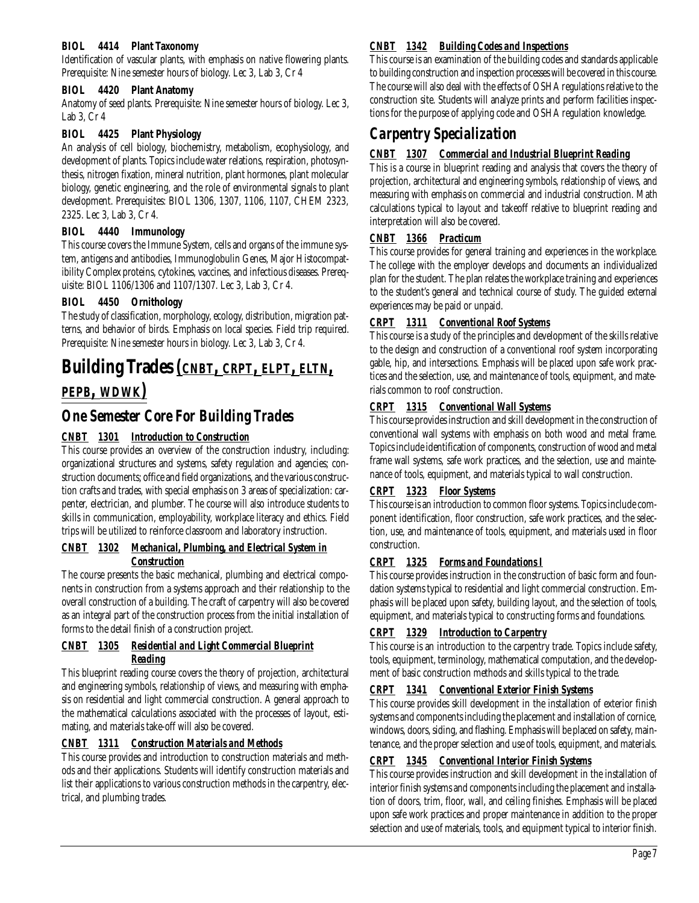### **BIOL 4414 Plant Taxonomy**

Identification of vascular plants, with emphasis on native flowering plants. Prerequisite: Nine semester hours of biology. Lec 3, Lab 3, Cr 4

### **BIOL 4420 Plant Anatomy**

Anatomy of seed plants. Prerequisite: Nine semester hours of biology. Lec 3, Lab 3, Cr 4

### **BIOL 4425 Plant Physiology**

An analysis of cell biology, biochemistry, metabolism, ecophysiology, and development of plants. Topics include water relations, respiration, photosynthesis, nitrogen fixation, mineral nutrition, plant hormones, plant molecular biology, genetic engineering, and the role of environmental signals to plant development. Prerequisites: BIOL 1306, 1307, 1106, 1107, CHEM 2323, 2325. Lec 3, Lab 3, Cr 4.

### **BIOL 4440 Immunology**

This course covers the Immune System, cells and organs of the immune system, antigens and antibodies, Immunoglobulin Genes, Major Histocompatibility Complex proteins, cytokines, vaccines, and infectious diseases. Prerequisite: BIOL 1106/1306 and 1107/1307. Lec 3, Lab 3, Cr 4.

### **BIOL 4450 Ornithology**

The study of classification, morphology, ecology, distribution, migration patterns, and behavior of birds. Emphasis on local species. Field trip required. Prerequisite: Nine semester hours in biology. Lec 3, Lab 3, Cr 4.

# **Building Trades** *(CNBT, CRPT, ELPT, ELTN, PEPB, WDWK)*

# *One Semester Core For Building Trades*

## *CNBT 1301 Introduction to Construction*

This course provides an overview of the construction industry, including: organizational structures and systems, safety regulation and agencies; construction documents; office and field organizations, and the various construction crafts and trades, with special emphasis on 3 areas of specialization: carpenter, electrician, and plumber. The course will also introduce students to skills in communication, employability, workplace literacy and ethics. Field trips will be utilized to reinforce classroom and laboratory instruction.

### *CNBT 1302 Mechanical, Plumbing, and Electrical System in Construction*

The course presents the basic mechanical, plumbing and electrical components in construction from a systems approach and their relationship to the overall construction of a building. The craft of carpentry will also be covered as an integral part of the construction process from the initial installation of forms to the detail finish of a construction project.

### *CNBT 1305 Residential and Light Commercial Blueprint Reading*

This blueprint reading course covers the theory of projection, architectural and engineering symbols, relationship of views, and measuring with emphasis on residential and light commercial construction. A general approach to the mathematical calculations associated with the processes of layout, estimating, and materials take-off will also be covered.

### *CNBT 1311 Construction Materials and Methods*

This course provides and introduction to construction materials and methods and their applications. Students will identify construction materials and list their applications to various construction methods in the carpentry, electrical, and plumbing trades.

### *CNBT 1342 Building Codes and Inspections*

This course is an examination of the building codes and standards applicable to building construction and inspection processes will be covered in this course. The course will also deal with the effects of OSHA regulations relative to the construction site. Students will analyze prints and perform facilities inspections for the purpose of applying code and OSHA regulation knowledge.

# *Carpentry Specialization*

### *CNBT 1307 Commercial and Industrial Blueprint Reading*

This is a course in blueprint reading and analysis that covers the theory of projection, architectural and engineering symbols, relationship of views, and measuring with emphasis on commercial and industrial construction. Math calculations typical to layout and takeoff relative to blueprint reading and interpretation will also be covered.

### *CNBT 1366 Practicum*

This course provides for general training and experiences in the workplace. The college with the employer develops and documents an individualized plan for the student. The plan relates the workplace training and experiences to the student's general and technical course of study. The guided external experiences may be paid or unpaid.

### *CRPT 1311 Conventional Roof Systems*

This course is a study of the principles and development of the skills relative to the design and construction of a conventional roof system incorporating gable, hip, and intersections. Emphasis will be placed upon safe work practices and the selection, use, and maintenance of tools, equipment, and materials common to roof construction.

### *CRPT 1315 Conventional Wall Systems*

This course provides instruction and skill development in the construction of conventional wall systems with emphasis on both wood and metal frame. Topics include identification of components, construction of wood and metal frame wall systems, safe work practices, and the selection, use and maintenance of tools, equipment, and materials typical to wall construction.

### *CRPT 1323 Floor Systems*

This course is an introduction to common floor systems. Topics include component identification, floor construction, safe work practices, and the selection, use, and maintenance of tools, equipment, and materials used in floor construction.

### *CRPT 1325 Forms and Foundations I*

This course provides instruction in the construction of basic form and foundation systems typical to residential and light commercial construction. Emphasis will be placed upon safety, building layout, and the selection of tools, equipment, and materials typical to constructing forms and foundations.

## *CRPT 1329 Introduction to Carpentry*

This course is an introduction to the carpentry trade. Topics include safety, tools, equipment, terminology, mathematical computation, and the development of basic construction methods and skills typical to the trade.

### *CRPT 1341 Conventional Exterior Finish Systems*

This course provides skill development in the installation of exterior finish systems and components including the placement and installation of cornice, windows, doors, siding, and flashing. Emphasis will be placed on safety, maintenance, and the proper selection and use of tools, equipment, and materials.

### *CRPT 1345 Conventional Interior Finish Systems*

This course provides instruction and skill development in the installation of interior finish systems and components including the placement and installation of doors, trim, floor, wall, and ceiling finishes. Emphasis will be placed upon safe work practices and proper maintenance in addition to the proper selection and use of materials, tools, and equipment typical to interior finish.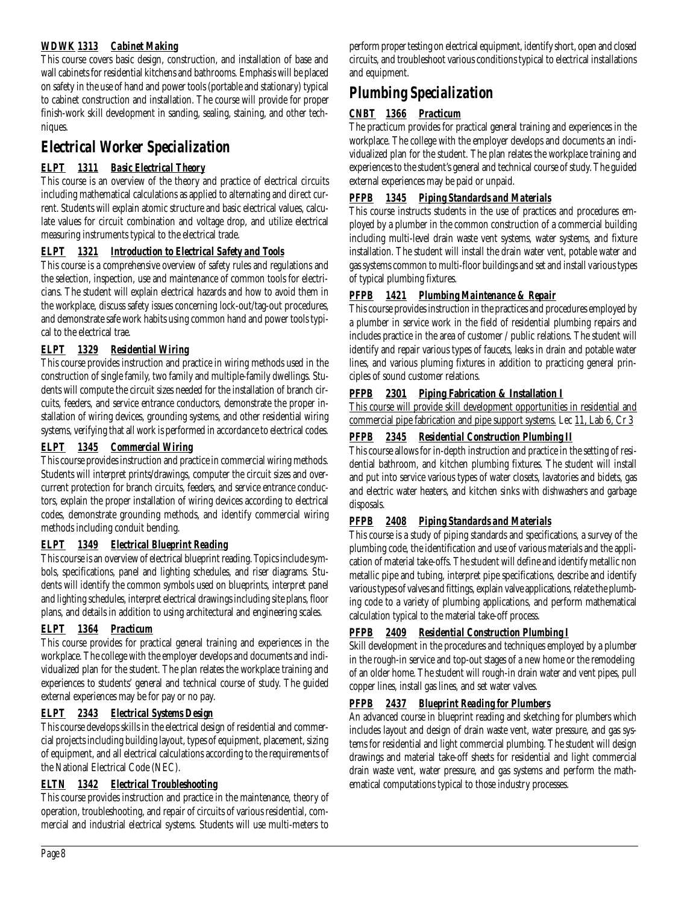# *WDWK 1313 Cabinet Making*

This course covers basic design, construction, and installation of base and wall cabinets for residential kitchens and bathrooms. Emphasis will be placed on safety in the use of hand and power tools (portable and stationary) typical to cabinet construction and installation. The course will provide for proper finish-work skill development in sanding, sealing, staining, and other techniques.

# *Electrical Worker Specialization*

# *ELPT 1311 Basic Electrical Theory*

This course is an overview of the theory and practice of electrical circuits including mathematical calculations as applied to alternating and direct current. Students will explain atomic structure and basic electrical values, calculate values for circuit combination and voltage drop, and utilize electrical measuring instruments typical to the electrical trade.

# *ELPT 1321 Introduction to Electrical Safety and Tools*

This course is a comprehensive overview of safety rules and regulations and the selection, inspection, use and maintenance of common tools for electricians. The student will explain electrical hazards and how to avoid them in the workplace, discuss safety issues concerning lock-out/tag-out procedures, and demonstrate safe work habits using common hand and power tools typical to the electrical trae.

# *ELPT 1329 Residential Wiring*

This course provides instruction and practice in wiring methods used in the construction of single family, two family and multiple-family dwellings. Students will compute the circuit sizes needed for the installation of branch circuits, feeders, and service entrance conductors, demonstrate the proper installation of wiring devices, grounding systems, and other residential wiring systems, verifying that all work is performed in accordance to electrical codes.

## *ELPT 1345 Commercial Wiring*

This course provides instruction and practice in commercial wiring methods. Students will interpret prints/drawings, computer the circuit sizes and overcurrent protection for branch circuits, feeders, and service entrance conductors, explain the proper installation of wiring devices according to electrical codes, demonstrate grounding methods, and identify commercial wiring methods including conduit bending.

## *ELPT 1349 Electrical Blueprint Reading*

This course is an overview of electrical blueprint reading. Topics include symbols, specifications, panel and lighting schedules, and riser diagrams. Students will identify the common symbols used on blueprints, interpret panel and lighting schedules, interpret electrical drawings including site plans, floor plans, and details in addition to using architectural and engineering scales.

# *ELPT 1364 Practicum*

This course provides for practical general training and experiences in the workplace. The college with the employer develops and documents and individualized plan for the student. The plan relates the workplace training and experiences to students' general and technical course of study. The guided external experiences may be for pay or no pay.

## *ELPT 2343 Electrical Systems Design*

This course develops skills in the electrical design of residential and commercial projects including building layout, types of equipment, placement, sizing of equipment, and all electrical calculations according to the requirements of the National Electrical Code (NEC).

## *ELTN 1342 Electrical Troubleshooting*

This course provides instruction and practice in the maintenance, theory of operation, troubleshooting, and repair of circuits of various residential, commercial and industrial electrical systems. Students will use multi-meters to

perform proper testing on electrical equipment, identify short, open and closed circuits, and troubleshoot various conditions typical to electrical installations and equipment.

# *Plumbing Specialization*

# *CNBT 1366 Practicum*

The practicum provides for practical general training and experiences in the workplace. The college with the employer develops and documents an individualized plan for the student. The plan relates the workplace training and experiences to the student's general and technical course of study. The guided external experiences may be paid or unpaid.

# *PFPB 1345 Piping Standards and Materials*

This course instructs students in the use of practices and procedures employed by a plumber in the common construction of a commercial building including multi-level drain waste vent systems, water systems, and fixture installation. The student will install the drain water vent, potable water and gas systems common to multi-floor buildings and set and install various types of typical plumbing fixtures.

# *PFPB 1421 Plumbing Maintenance & Repair*

This course provides instruction in the practices and procedures employed by a plumber in service work in the field of residential plumbing repairs and includes practice in the area of customer / public relations. The student will identify and repair various types of faucets, leaks in drain and potable water lines, and various pluming fixtures in addition to practicing general principles of sound customer relations.

## **PFPB 2301 Piping Fabrication & Installation I**

This course will provide skill development opportunities in residential and commercial pipe fabrication and pipe support systems. Lec 11, Lab 6, Cr 3

# *PFPB 2345 Residential Construction Plumbing II*

This course allows for in-depth instruction and practice in the setting of residential bathroom, and kitchen plumbing fixtures. The student will install and put into service various types of water closets, lavatories and bidets, gas and electric water heaters, and kitchen sinks with dishwashers and garbage disposals.

# *PFPB 2408 Piping Standards and Materials*

This course is a study of piping standards and specifications, a survey of the plumbing code, the identification and use of various materials and the application of material take-offs. The student will define and identify metallic non metallic pipe and tubing, interpret pipe specifications, describe and identify various types of valves and fittings, explain valve applications, relate the plumbing code to a variety of plumbing applications, and perform mathematical calculation typical to the material take-off process.

# *PFPB 2409 Residential Construction Plumbing I*

Skill development in the procedures and techniques employed by a plumber in the rough-in service and top-out stages of a new home or the remodeling of an older home. The student will rough-in drain water and vent pipes, pull copper lines, install gas lines, and set water valves.

## *PFPB 2437 Blueprint Reading for Plumbers*

An advanced course in blueprint reading and sketching for plumbers which includes layout and design of drain waste vent, water pressure, and gas systems for residential and light commercial plumbing. The student will design drawings and material take-off sheets for residential and light commercial drain waste vent, water pressure, and gas systems and perform the mathematical computations typical to those industry processes.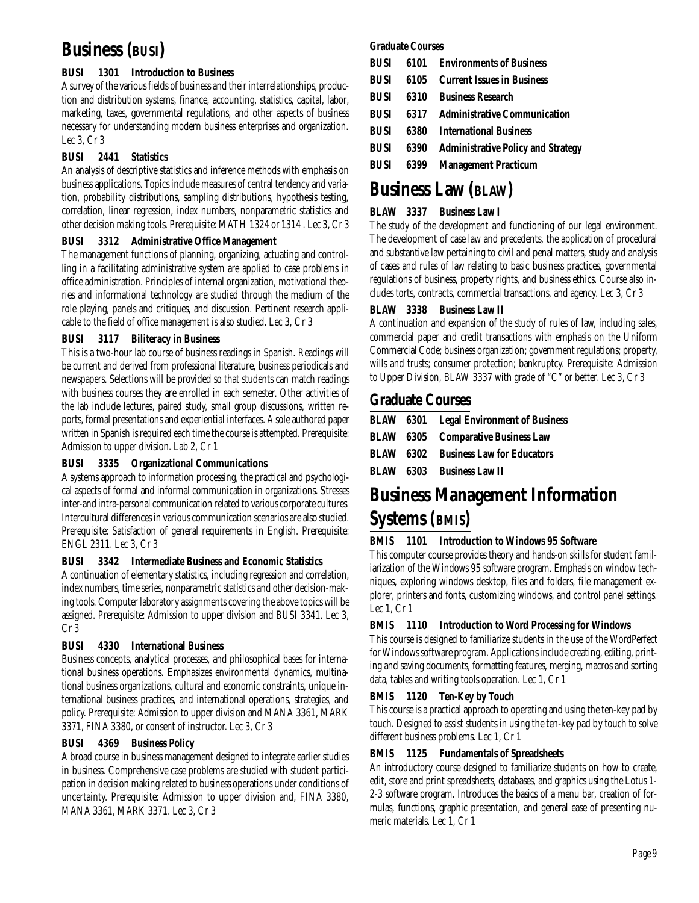# **Business (BUSI)**

# **BUSI 1301 Introduction to Business**

A survey of the various fields of business and their interrelationships, production and distribution systems, finance, accounting, statistics, capital, labor, marketing, taxes, governmental regulations, and other aspects of business necessary for understanding modern business enterprises and organization. Lec 3, Cr 3

# **BUSI 2441 Statistics**

An analysis of descriptive statistics and inference methods with emphasis on business applications. Topics include measures of central tendency and variation, probability distributions, sampling distributions, hypothesis testing, correlation, linear regression, index numbers, nonparametric statistics and other decision making tools. Prerequisite: MATH 1324 or 1314 . Lec 3, Cr 3

## **BUSI 3312 Administrative Office Management**

The management functions of planning, organizing, actuating and controlling in a facilitating administrative system are applied to case problems in office administration. Principles of internal organization, motivational theories and informational technology are studied through the medium of the role playing, panels and critiques, and discussion. Pertinent research applicable to the field of office management is also studied. Lec 3, Cr 3

## **BUSI 3117 Biliteracy in Business**

This is a two-hour lab course of business readings in Spanish. Readings will be current and derived from professional literature, business periodicals and newspapers. Selections will be provided so that students can match readings with business courses they are enrolled in each semester. Other activities of the lab include lectures, paired study, small group discussions, written reports, formal presentations and experiential interfaces. A sole authored paper written in Spanish is required each time the course is attempted. Prerequisite: Admission to upper division. Lab 2, Cr 1

## **BUSI 3335 Organizational Communications**

A systems approach to information processing, the practical and psychological aspects of formal and informal communication in organizations. Stresses inter-and intra-personal communication related to various corporate cultures. Intercultural differences in various communication scenarios are also studied. Prerequisite: Satisfaction of general requirements in English. Prerequisite: ENGL 2311. Lec 3, Cr 3

## **BUSI 3342 Intermediate Business and Economic Statistics**

A continuation of elementary statistics, including regression and correlation, index numbers, time series, nonparametric statistics and other decision-making tools. Computer laboratory assignments covering the above topics will be assigned. Prerequisite: Admission to upper division and BUSI 3341. Lec 3, Cr 3

# **BUSI 4330 International Business**

Business concepts, analytical processes, and philosophical bases for international business operations. Emphasizes environmental dynamics, multinational business organizations, cultural and economic constraints, unique international business practices, and international operations, strategies, and policy. Prerequisite: Admission to upper division and MANA 3361, MARK 3371, FINA 3380, or consent of instructor. Lec 3, Cr 3

## **BUSI 4369 Business Policy**

A broad course in business management designed to integrate earlier studies in business. Comprehensive case problems are studied with student participation in decision making related to business operations under conditions of uncertainty. Prerequisite: Admission to upper division and, FINA 3380, MANA 3361, MARK 3371. Lec 3, Cr 3

### **Graduate Courses**

|  | <b>BUSI</b> 6101 Environments of Business           |
|--|-----------------------------------------------------|
|  | <b>BUSI</b> 6105 Current Issues in Business         |
|  | <b>BUSI</b> 6310 Business Research                  |
|  | <b>BUSI</b> 6317 Administrative Communication       |
|  | <b>BUSI</b> 6380 International Business             |
|  | <b>BUSI</b> 6390 Administrative Policy and Strategy |
|  | <b>BUSI</b> 6399 Management Practicum               |

# **Business Law (BLAW)**

# **BLAW 3337 Business Law I**

The study of the development and functioning of our legal environment. The development of case law and precedents, the application of procedural and substantive law pertaining to civil and penal matters, study and analysis of cases and rules of law relating to basic business practices, governmental regulations of business, property rights, and business ethics. Course also includes torts, contracts, commercial transactions, and agency. Lec 3, Cr 3

## **BLAW 3338 Business Law II**

A continuation and expansion of the study of rules of law, including sales, commercial paper and credit transactions with emphasis on the Uniform Commercial Code; business organization; government regulations; property, wills and trusts; consumer protection; bankruptcy. Prerequisite: Admission to Upper Division, BLAW 3337 with grade of "C" or better. Lec 3, Cr 3

# **Graduate Courses**

|  | <b>BLAW</b> 6301 Legal Environment of Business |
|--|------------------------------------------------|
|  | <b>BLAW</b> 6305 Comparative Business Law      |
|  | <b>BLAW</b> 6302 Business Law for Educators    |
|  | <b>BLAW</b> 6303 Business Law II               |

# **Business Management Information Systems (BMIS)**

## **BMIS 1101 Introduction to Windows 95 Software**

This computer course provides theory and hands-on skills for student familiarization of the Windows 95 software program. Emphasis on window techniques, exploring windows desktop, files and folders, file management explorer, printers and fonts, customizing windows, and control panel settings. Lec 1, Cr 1

## **BMIS 1110 Introduction to Word Processing for Windows**

This course is designed to familiarize students in the use of the WordPerfect for Windows software program. Applications include creating, editing, printing and saving documents, formatting features, merging, macros and sorting data, tables and writing tools operation. Lec 1, Cr 1

## **BMIS 1120 Ten-Key by Touch**

This course is a practical approach to operating and using the ten-key pad by touch. Designed to assist students in using the ten-key pad by touch to solve different business problems. Lec 1, Cr 1

## **BMIS 1125 Fundamentals of Spreadsheets**

An introductory course designed to familiarize students on how to create, edit, store and print spreadsheets, databases, and graphics using the Lotus 1- 2-3 software program. Introduces the basics of a menu bar, creation of formulas, functions, graphic presentation, and general ease of presenting numeric materials. Lec 1, Cr 1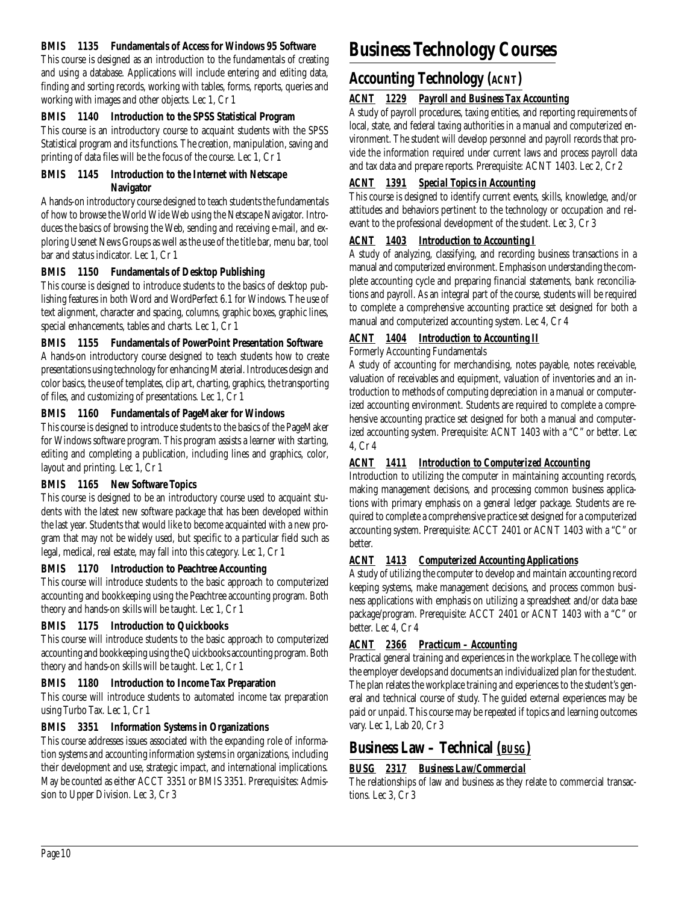### **BMIS 1135 Fundamentals of Access for Windows 95 Software**

This course is designed as an introduction to the fundamentals of creating and using a database. Applications will include entering and editing data, finding and sorting records, working with tables, forms, reports, queries and working with images and other objects. Lec 1, Cr 1

# **BMIS 1140 Introduction to the SPSS Statistical Program**

This course is an introductory course to acquaint students with the SPSS Statistical program and its functions. The creation, manipulation, saving and printing of data files will be the focus of the course. Lec 1, Cr 1

# **BMIS 1145 Introduction to the Internet with Netscape Navigator**

A hands-on introductory course designed to teach students the fundamentals of how to browse the World Wide Web using the Netscape Navigator. Introduces the basics of browsing the Web, sending and receiving e-mail, and exploring Usenet News Groups as well as the use of the title bar, menu bar, tool bar and status indicator. Lec 1, Cr 1

# **BMIS 1150 Fundamentals of Desktop Publishing**

This course is designed to introduce students to the basics of desktop publishing features in both Word and WordPerfect 6.1 for Windows. The use of text alignment, character and spacing, columns, graphic boxes, graphic lines, special enhancements, tables and charts. Lec 1, Cr 1

# **BMIS 1155 Fundamentals of PowerPoint Presentation Software**

A hands-on introductory course designed to teach students how to create presentations using technology for enhancing Material. Introduces design and color basics, the use of templates, clip art, charting, graphics, the transporting of files, and customizing of presentations. Lec 1, Cr 1

# **BMIS 1160 Fundamentals of PageMaker for Windows**

This course is designed to introduce students to the basics of the PageMaker for Windows software program. This program assists a learner with starting, editing and completing a publication, including lines and graphics, color, layout and printing. Lec 1, Cr 1

# **BMIS 1165 New Software Topics**

This course is designed to be an introductory course used to acquaint students with the latest new software package that has been developed within the last year. Students that would like to become acquainted with a new program that may not be widely used, but specific to a particular field such as legal, medical, real estate, may fall into this category. Lec 1, Cr 1

# **BMIS 1170 Introduction to Peachtree Accounting**

This course will introduce students to the basic approach to computerized accounting and bookkeeping using the Peachtree accounting program. Both theory and hands-on skills will be taught. Lec 1, Cr 1

# **BMIS 1175 Introduction to Quickbooks**

This course will introduce students to the basic approach to computerized accounting and bookkeeping using the Quickbooks accounting program. Both theory and hands-on skills will be taught. Lec 1, Cr 1

# **BMIS 1180 Introduction to Income Tax Preparation**

This course will introduce students to automated income tax preparation using Turbo Tax. Lec 1, Cr 1

# **BMIS 3351 Information Systems in Organizations**

This course addresses issues associated with the expanding role of information systems and accounting information systems in organizations, including their development and use, strategic impact, and international implications. May be counted as either ACCT 3351 or BMIS 3351. Prerequisites: Admission to Upper Division. Lec 3, Cr 3

# **Business Technology Courses**

# **Accounting Technology** *(ACNT)*

# *ACNT 1229 Payroll and Business Tax Accounting*

A study of payroll procedures, taxing entities, and reporting requirements of local, state, and federal taxing authorities in a manual and computerized environment. The student will develop personnel and payroll records that provide the information required under current laws and process payroll data and tax data and prepare reports. Prerequisite: ACNT 1403. Lec 2, Cr 2

# *ACNT 1391 Special Topics in Accounting*

This course is designed to identify current events, skills, knowledge, and/or attitudes and behaviors pertinent to the technology or occupation and relevant to the professional development of the student. Lec 3, Cr 3

# *ACNT 1403 Introduction to Accounting I*

A study of analyzing, classifying, and recording business transactions in a manual and computerized environment. Emphasis on understanding the complete accounting cycle and preparing financial statements, bank reconciliations and payroll. As an integral part of the course, students will be required to complete a comprehensive accounting practice set designed for both a manual and computerized accounting system. Lec 4, Cr 4

# *ACNT 1404 Introduction to Accounting II*

Formerly Accounting Fundamentals

A study of accounting for merchandising, notes payable, notes receivable, valuation of receivables and equipment, valuation of inventories and an introduction to methods of computing depreciation in a manual or computerized accounting environment. Students are required to complete a comprehensive accounting practice set designed for both a manual and computerized accounting system. Prerequisite: ACNT 1403 with a "C" or better. Lec 4, Cr 4

# *ACNT 1411 Introduction to Computerized Accounting*

Introduction to utilizing the computer in maintaining accounting records, making management decisions, and processing common business applications with primary emphasis on a general ledger package. Students are required to complete a comprehensive practice set designed for a computerized accounting system. Prerequisite: ACCT 2401 or ACNT 1403 with a "C" or better.

# *ACNT 1413 Computerized Accounting Applications*

A study of utilizing the computer to develop and maintain accounting record keeping systems, make management decisions, and process common business applications with emphasis on utilizing a spreadsheet and/or data base package/program. Prerequisite: ACCT 2401 or ACNT 1403 with a "C" or better. Lec 4, Cr 4

# *ACNT 2366 Practicum – Accounting*

Practical general training and experiences in the workplace. The college with the employer develops and documents an individualized plan for the student. The plan relates the workplace training and experiences to the student's general and technical course of study. The guided external experiences may be paid or unpaid. This course may be repeated if topics and learning outcomes vary. Lec 1, Lab 20, Cr 3

# **Business Law – Technical** *(BUSG)*

# *BUSG 2317 Business Law/Commercial*

The relationships of law and business as they relate to commercial transactions. Lec 3, Cr 3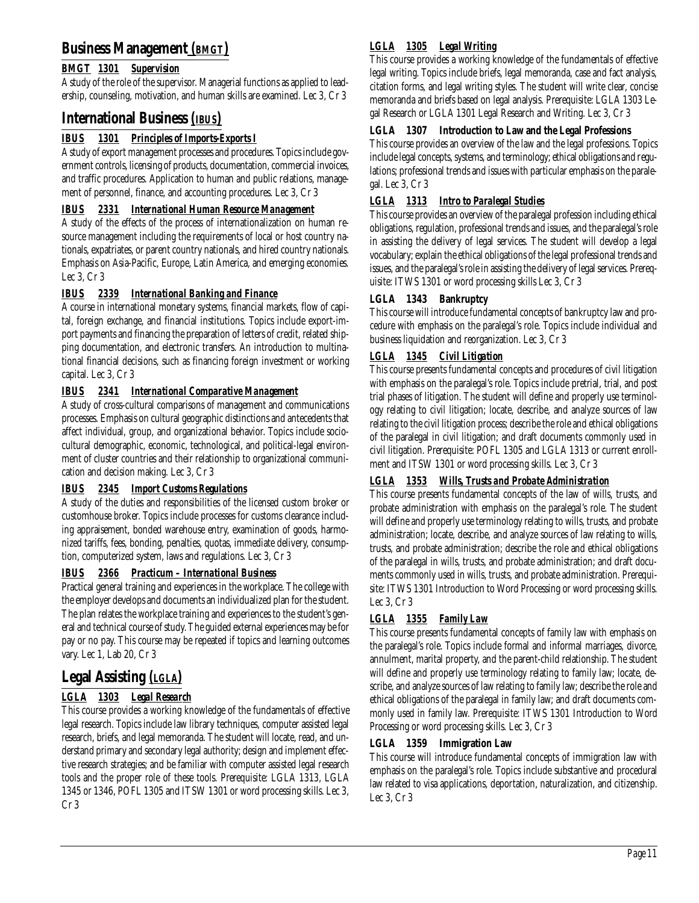# **Business Management** *(BMGT)*

# *BMGT 1301 Supervision*

A study of the role of the supervisor. Managerial functions as applied to leadership, counseling, motivation, and human skills are examined. Lec 3, Cr 3

# **International Business** *(IBUS)*

# *IBUS 1301 Principles of Imports-Exports I*

A study of export management processes and procedures. Topics include government controls, licensing of products, documentation, commercial invoices, and traffic procedures. Application to human and public relations, management of personnel, finance, and accounting procedures. Lec 3, Cr 3

# *IBUS 2331 International Human Resource Management*

A study of the effects of the process of internationalization on human resource management including the requirements of local or host country nationals, expatriates, or parent country nationals, and hired country nationals. Emphasis on Asia-Pacific, Europe, Latin America, and emerging economies. Lec 3, Cr 3

# *IBUS 2339 International Banking and Finance*

A course in international monetary systems, financial markets, flow of capital, foreign exchange, and financial institutions. Topics include export-import payments and financing the preparation of letters of credit, related shipping documentation, and electronic transfers. An introduction to multinational financial decisions, such as financing foreign investment or working capital. Lec 3, Cr 3

# *IBUS 2341 International Comparative Management*

A study of cross-cultural comparisons of management and communications processes. Emphasis on cultural geographic distinctions and antecedents that affect individual, group, and organizational behavior. Topics include sociocultural demographic, economic, technological, and political-legal environment of cluster countries and their relationship to organizational communication and decision making. Lec 3, Cr 3

## *IBUS 2345 Import Customs Regulations*

A study of the duties and responsibilities of the licensed custom broker or customhouse broker. Topics include processes for customs clearance including appraisement, bonded warehouse entry, examination of goods, harmonized tariffs, fees, bonding, penalties, quotas, immediate delivery, consumption, computerized system, laws and regulations. Lec 3, Cr 3

## *IBUS 2366 Practicum – International Business*

Practical general training and experiences in the workplace. The college with the employer develops and documents an individualized plan for the student. The plan relates the workplace training and experiences to the student's general and technical course of study. The guided external experiences may be for pay or no pay. This course may be repeated if topics and learning outcomes vary. Lec 1, Lab 20, Cr 3

# **Legal Assisting** *(LGLA)*

# *LGLA 1303 Legal Research*

This course provides a working knowledge of the fundamentals of effective legal research. Topics include law library techniques, computer assisted legal research, briefs, and legal memoranda. The student will locate, read, and understand primary and secondary legal authority; design and implement effective research strategies; and be familiar with computer assisted legal research tools and the proper role of these tools. Prerequisite: LGLA 1313, LGLA 1345 or 1346, POFL 1305 and ITSW 1301 or word processing skills. Lec 3, Cr 3

# *LGLA 1305 Legal Writing*

This course provides a working knowledge of the fundamentals of effective legal writing. Topics include briefs, legal memoranda, case and fact analysis, citation forms, and legal writing styles. The student will write clear, concise memoranda and briefs based on legal analysis. Prerequisite: LGLA 1303 Legal Research or LGLA 1301 Legal Research and Writing. Lec 3, Cr 3

# **LGLA 1307 Introduction to Law and the Legal Professions**

This course provides an overview of the law and the legal professions. Topics include legal concepts, systems, and terminology; ethical obligations and regulations; professional trends and issues with particular emphasis on the paralegal. Lec 3, Cr 3

# *LGLA 1313 Intro to Paralegal Studies*

This course provides an overview of the paralegal profession including ethical obligations, regulation, professional trends and issues, and the paralegal's role in assisting the delivery of legal services. The student will develop a legal vocabulary; explain the ethical obligations of the legal professional trends and issues, and the paralegal's role in assisting the delivery of legal services. Prerequisite: ITWS 1301 or word processing skills Lec 3, Cr 3

## **LGLA 1343 Bankruptcy**

This course will introduce fundamental concepts of bankruptcy law and procedure with emphasis on the paralegal's role. Topics include individual and business liquidation and reorganization. Lec 3, Cr 3

# *LGLA 1345 Civil Litigation*

This course presents fundamental concepts and procedures of civil litigation with emphasis on the paralegal's role. Topics include pretrial, trial, and post trial phases of litigation. The student will define and properly use terminology relating to civil litigation; locate, describe, and analyze sources of law relating to the civil litigation process; describe the role and ethical obligations of the paralegal in civil litigation; and draft documents commonly used in civil litigation. Prerequisite: POFL 1305 and LGLA 1313 or current enrollment and ITSW 1301 or word processing skills. Lec 3, Cr 3

# *LGLA 1353 Wills, Trusts and Probate Administration*

This course presents fundamental concepts of the law of wills, trusts, and probate administration with emphasis on the paralegal's role. The student will define and properly use terminology relating to wills, trusts, and probate administration; locate, describe, and analyze sources of law relating to wills, trusts, and probate administration; describe the role and ethical obligations of the paralegal in wills, trusts, and probate administration; and draft documents commonly used in wills, trusts, and probate administration. Prerequisite: ITWS 1301 Introduction to Word Processing or word processing skills. Lec 3, Cr 3

# *LGLA 1355 Family Law*

This course presents fundamental concepts of family law with emphasis on the paralegal's role. Topics include formal and informal marriages, divorce, annulment, marital property, and the parent-child relationship. The student will define and properly use terminology relating to family law; locate, describe, and analyze sources of law relating to family law; describe the role and ethical obligations of the paralegal in family law; and draft documents commonly used in family law. Prerequisite: ITWS 1301 Introduction to Word Processing or word processing skills. Lec 3, Cr 3

## **LGLA 1359 Immigration Law**

This course will introduce fundamental concepts of immigration law with emphasis on the paralegal's role. Topics include substantive and procedural law related to visa applications, deportation, naturalization, and citizenship. Lec 3, Cr 3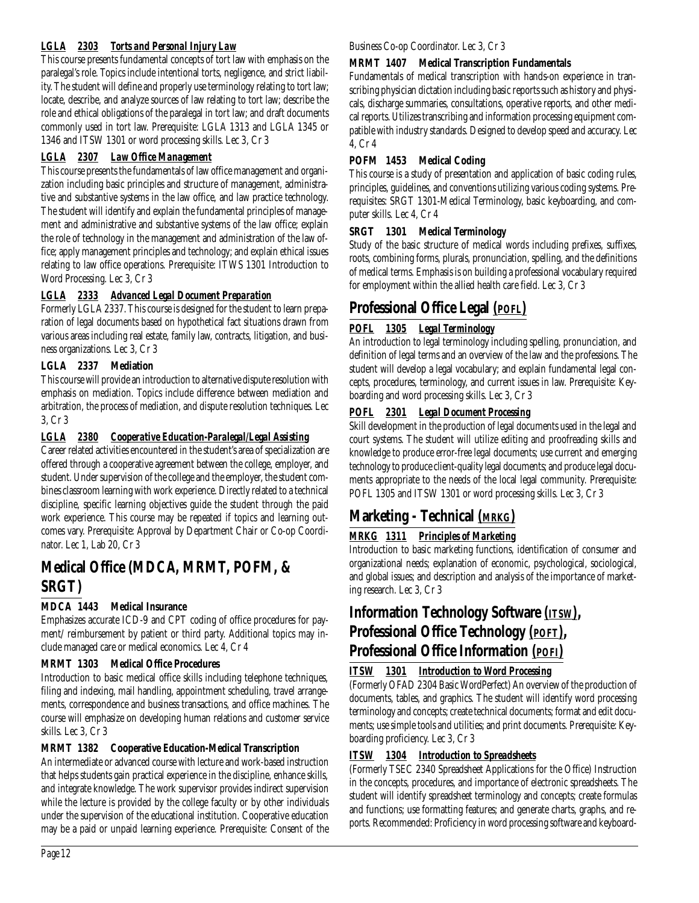# *LGLA 2303 Torts and Personal Injury Law*

This course presents fundamental concepts of tort law with emphasis on the paralegal's role. Topics include intentional torts, negligence, and strict liability. The student will define and properly use terminology relating to tort law; locate, describe, and analyze sources of law relating to tort law; describe the role and ethical obligations of the paralegal in tort law; and draft documents commonly used in tort law. Prerequisite: LGLA 1313 and LGLA 1345 or 1346 and ITSW 1301 or word processing skills. Lec 3, Cr 3

# *LGLA 2307 Law Office Management*

This course presents the fundamentals of law office management and organization including basic principles and structure of management, administrative and substantive systems in the law office, and law practice technology. The student will identify and explain the fundamental principles of management and administrative and substantive systems of the law office; explain the role of technology in the management and administration of the law office; apply management principles and technology; and explain ethical issues relating to law office operations. Prerequisite: ITWS 1301 Introduction to Word Processing. Lec 3, Cr 3

# *LGLA 2333 Advanced Legal Document Preparation*

Formerly LGLA 2337. This course is designed for the student to learn preparation of legal documents based on hypothetical fact situations drawn from various areas including real estate, family law, contracts, litigation, and business organizations. Lec 3, Cr 3

# **LGLA 2337 Mediation**

This course will provide an introduction to alternative dispute resolution with emphasis on mediation. Topics include difference between mediation and arbitration, the process of mediation, and dispute resolution techniques. Lec 3, Cr 3

# *LGLA 2380 Cooperative Education-Paralegal/Legal Assisting*

Career related activities encountered in the student's area of specialization are offered through a cooperative agreement between the college, employer, and student. Under supervision of the college and the employer, the student combines classroom learning with work experience. Directly related to a technical discipline, specific learning objectives guide the student through the paid work experience. This course may be repeated if topics and learning outcomes vary. Prerequisite: Approval by Department Chair or Co-op Coordinator. Lec 1, Lab 20, Cr 3

# **Medical Office (MDCA, MRMT, POFM, & SRGT)**

# **MDCA 1443 Medical Insurance**

Emphasizes accurate ICD-9 and CPT coding of office procedures for payment/ reimbursement by patient or third party. Additional topics may include managed care or medical economics. Lec 4, Cr 4

## **MRMT 1303 Medical Office Procedures**

Introduction to basic medical office skills including telephone techniques, filing and indexing, mail handling, appointment scheduling, travel arrangements, correspondence and business transactions, and office machines. The course will emphasize on developing human relations and customer service skills. Lec 3, Cr 3

## **MRMT 1382 Cooperative Education-Medical Transcription**

An intermediate or advanced course with lecture and work-based instruction that helps students gain practical experience in the discipline, enhance skills, and integrate knowledge. The work supervisor provides indirect supervision while the lecture is provided by the college faculty or by other individuals under the supervision of the educational institution. Cooperative education may be a paid or unpaid learning experience. Prerequisite: Consent of the

### Business Co-op Coordinator. Lec 3, Cr 3

# **MRMT 1407 Medical Transcription Fundamentals**

Fundamentals of medical transcription with hands-on experience in transcribing physician dictation including basic reports such as history and physicals, discharge summaries, consultations, operative reports, and other medical reports. Utilizes transcribing and information processing equipment compatible with industry standards. Designed to develop speed and accuracy. Lec 4, Cr 4

# **POFM 1453 Medical Coding**

This course is a study of presentation and application of basic coding rules, principles, guidelines, and conventions utilizing various coding systems. Prerequisites: SRGT 1301-Medical Terminology, basic keyboarding, and computer skills. Lec 4, Cr 4

# **SRGT 1301 Medical Terminology**

Study of the basic structure of medical words including prefixes, suffixes, roots, combining forms, plurals, pronunciation, spelling, and the definitions of medical terms. Emphasis is on building a professional vocabulary required for employment within the allied health care field. Lec 3, Cr 3

# **Professional Office Legal** *(POFL)*

# *POFL 1305 Legal Terminology*

An introduction to legal terminology including spelling, pronunciation, and definition of legal terms and an overview of the law and the professions. The student will develop a legal vocabulary; and explain fundamental legal concepts, procedures, terminology, and current issues in law. Prerequisite: Keyboarding and word processing skills. Lec 3, Cr 3

# *POFL 2301 Legal Document Processing*

Skill development in the production of legal documents used in the legal and court systems. The student will utilize editing and proofreading skills and knowledge to produce error-free legal documents; use current and emerging technology to produce client-quality legal documents; and produce legal documents appropriate to the needs of the local legal community. Prerequisite: POFL 1305 and ITSW 1301 or word processing skills. Lec 3, Cr 3

# **Marketing - Technical** *(MRKG)*

# *MRKG 1311 Principles of Marketing*

Introduction to basic marketing functions, identification of consumer and organizational needs; explanation of economic, psychological, sociological, and global issues; and description and analysis of the importance of marketing research. Lec 3, Cr 3

# **Information Technology Software** *(ITSW)***, Professional Office Technology** *(POFT)***, Professional Office Information** *(POFI)*

# *ITSW 1301 Introduction to Word Processing*

(Formerly OFAD 2304 Basic WordPerfect) An overview of the production of documents, tables, and graphics. The student will identify word processing terminology and concepts; create technical documents; format and edit documents; use simple tools and utilities; and print documents. Prerequisite: Keyboarding proficiency. Lec 3, Cr 3

# *ITSW 1304 Introduction to Spreadsheets*

(Formerly TSEC 2340 Spreadsheet Applications for the Office) Instruction in the concepts, procedures, and importance of electronic spreadsheets. The student will identify spreadsheet terminology and concepts; create formulas and functions; use formatting features; and generate charts, graphs, and reports. Recommended: Proficiency in word processing software and keyboard-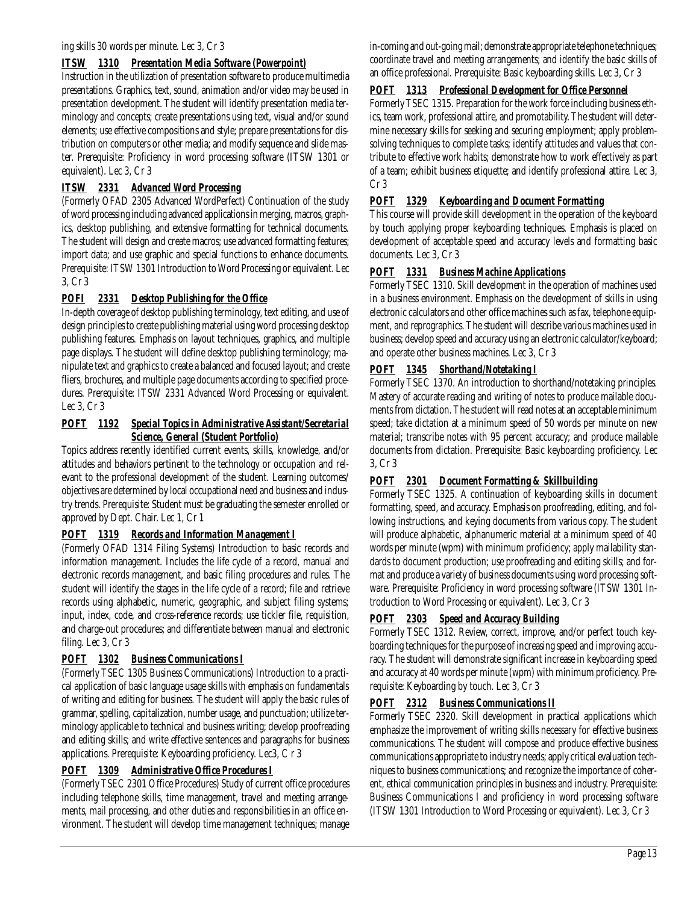## *ITSW 1310 Presentation Media Software (Powerpoint)*

Instruction in the utilization of presentation software to produce multimedia presentations. Graphics, text, sound, animation and/or video may be used in presentation development. The student will identify presentation media terminology and concepts; create presentations using text, visual and/or sound elements; use effective compositions and style; prepare presentations for distribution on computers or other media; and modify sequence and slide master. Prerequisite: Proficiency in word processing software (ITSW 1301 or equivalent). Lec 3, Cr 3

### *ITSW 2331 Advanced Word Processing*

(Formerly OFAD 2305 Advanced WordPerfect) Continuation of the study of word processing including advanced applications in merging, macros, graphics, desktop publishing, and extensive formatting for technical documents. The student will design and create macros; use advanced formatting features; import data; and use graphic and special functions to enhance documents. Prerequisite: ITSW 1301 Introduction to Word Processing or equivalent. Lec 3, Cr 3

### *POFI 2331 Desktop Publishing for the Office*

In-depth coverage of desktop publishing terminology, text editing, and use of design principles to create publishing material using word processing desktop publishing features. Emphasis on layout techniques, graphics, and multiple page displays. The student will define desktop publishing terminology; manipulate text and graphics to create a balanced and focused layout; and create fliers, brochures, and multiple page documents according to specified procedures. Prerequisite: ITSW 2331 Advanced Word Processing or equivalent. Lec 3, Cr 3

### *POFT 1192 Special Topics in Administrative Assistant/Secretarial Science, General (Student Portfolio)*

Topics address recently identified current events, skills, knowledge, and/or attitudes and behaviors pertinent to the technology or occupation and relevant to the professional development of the student. Learning outcomes/ objectives are determined by local occupational need and business and industry trends. Prerequisite: Student must be graduating the semester enrolled or approved by Dept. Chair. Lec 1, Cr 1

## *POFT 1319 Records and Information Management I*

(Formerly OFAD 1314 Filing Systems) Introduction to basic records and information management. Includes the life cycle of a record, manual and electronic records management, and basic filing procedures and rules. The student will identify the stages in the life cycle of a record; file and retrieve records using alphabetic, numeric, geographic, and subject filing systems; input, index, code, and cross-reference records; use tickler file, requisition, and charge-out procedures; and differentiate between manual and electronic filing. Lec 3, Cr 3

## *POFT 1302 Business Communications I*

(Formerly TSEC 1305 Business Communications) Introduction to a practical application of basic language usage skills with emphasis on fundamentals of writing and editing for business. The student will apply the basic rules of grammar, spelling, capitalization, number usage, and punctuation; utilize terminology applicable to technical and business writing; develop proofreading and editing skills; and write effective sentences and paragraphs for business applications. Prerequisite: Keyboarding proficiency. Lec3, C r 3

## *POFT 1309 Administrative Office Procedures I*

(Formerly TSEC 2301 Office Procedures) Study of current office procedures including telephone skills, time management, travel and meeting arrangements, mail processing, and other duties and responsibilities in an office environment. The student will develop time management techniques; manage in-coming and out-going mail; demonstrate appropriate telephone techniques; coordinate travel and meeting arrangements; and identify the basic skills of an office professional. Prerequisite: Basic keyboarding skills. Lec 3, Cr 3

### *POFT 1313 Professional Development for Office Personnel*

Formerly TSEC 1315. Preparation for the work force including business ethics, team work, professional attire, and promotability. The student will determine necessary skills for seeking and securing employment; apply problemsolving techniques to complete tasks; identify attitudes and values that contribute to effective work habits; demonstrate how to work effectively as part of a team; exhibit business etiquette; and identify professional attire. Lec 3, Cr 3

# *POFT 1329 Keyboarding and Document Formatting*

This course will provide skill development in the operation of the keyboard by touch applying proper keyboarding techniques. Emphasis is placed on development of acceptable speed and accuracy levels and formatting basic documents. Lec 3, Cr 3

### *POFT 1331 Business Machine Applications*

Formerly TSEC 1310. Skill development in the operation of machines used in a business environment. Emphasis on the development of skills in using electronic calculators and other office machines such as fax, telephone equipment, and reprographics. The student will describe various machines used in business; develop speed and accuracy using an electronic calculator/keyboard; and operate other business machines. Lec 3, Cr 3

## *POFT 1345 Shorthand/Notetaking I*

Formerly TSEC 1370. An introduction to shorthand/notetaking principles. Mastery of accurate reading and writing of notes to produce mailable documents from dictation. The student will read notes at an acceptable minimum speed; take dictation at a minimum speed of 50 words per minute on new material; transcribe notes with 95 percent accuracy; and produce mailable documents from dictation. Prerequisite: Basic keyboarding proficiency. Lec 3, Cr 3

## *POFT 2301 Document Formatting & Skillbuilding*

Formerly TSEC 1325. A continuation of keyboarding skills in document formatting, speed, and accuracy. Emphasis on proofreading, editing, and following instructions, and keying documents from various copy. The student will produce alphabetic, alphanumeric material at a minimum speed of 40 words per minute (wpm) with minimum proficiency; apply mailability standards to document production; use proofreading and editing skills; and format and produce a variety of business documents using word processing software. Prerequisite: Proficiency in word processing software (ITSW 1301 Introduction to Word Processing or equivalent). Lec 3, Cr 3

## *POFT 2303 Speed and Accuracy Building*

Formerly TSEC 1312. Review, correct, improve, and/or perfect touch keyboarding techniques for the purpose of increasing speed and improving accuracy. The student will demonstrate significant increase in keyboarding speed and accuracy at 40 words per minute (wpm) with minimum proficiency. Prerequisite: Keyboarding by touch. Lec 3, Cr 3

## *POFT 2312 Business Communications II*

Formerly TSEC 2320. Skill development in practical applications which emphasize the improvement of writing skills necessary for effective business communications. The student will compose and produce effective business communications appropriate to industry needs; apply critical evaluation techniques to business communications; and recognize the importance of coherent, ethical communication principles in business and industry. Prerequisite: Business Communications I and proficiency in word processing software (ITSW 1301 Introduction to Word Processing or equivalent). Lec 3, Cr 3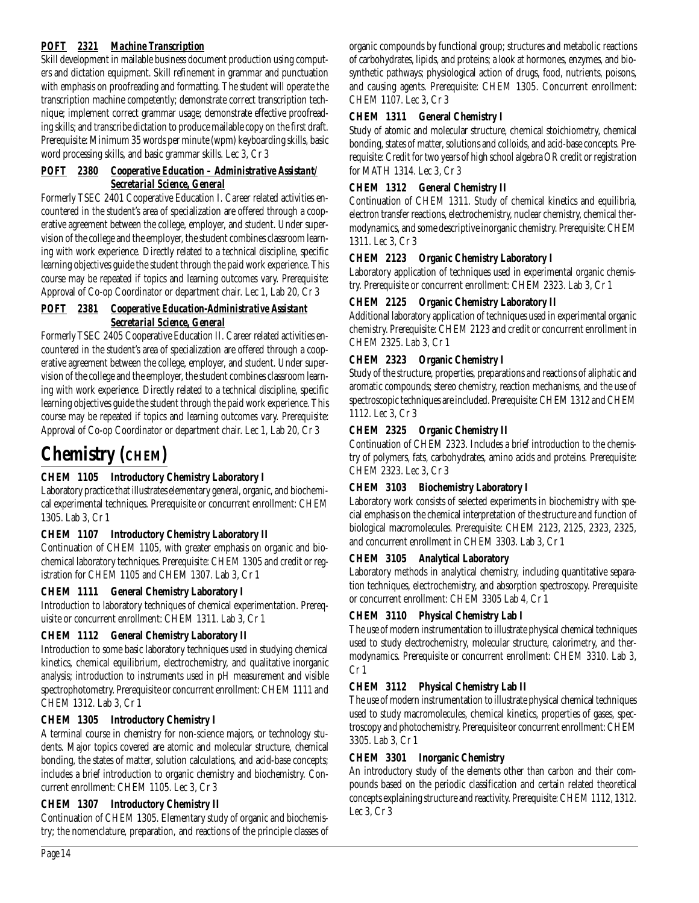# *POFT 2321 Machine Transcription*

Skill development in mailable business document production using computers and dictation equipment. Skill refinement in grammar and punctuation with emphasis on proofreading and formatting. The student will operate the transcription machine competently; demonstrate correct transcription technique; implement correct grammar usage; demonstrate effective proofreading skills; and transcribe dictation to produce mailable copy on the first draft. Prerequisite: Minimum 35 words per minute (wpm) keyboarding skills, basic word processing skills, and basic grammar skills. Lec 3, Cr 3

### *POFT 2380 Cooperative Education – Administrative Assistant/ Secretarial Science, General*

Formerly TSEC 2401 Cooperative Education I. Career related activities encountered in the student's area of specialization are offered through a cooperative agreement between the college, employer, and student. Under supervision of the college and the employer, the student combines classroom learning with work experience. Directly related to a technical discipline, specific learning objectives guide the student through the paid work experience. This course may be repeated if topics and learning outcomes vary. Prerequisite: Approval of Co-op Coordinator or department chair. Lec 1, Lab 20, Cr 3

### *POFT 2381 Cooperative Education-Administrative Assistant Secretarial Science, General*

Formerly TSEC 2405 Cooperative Education II. Career related activities encountered in the student's area of specialization are offered through a cooperative agreement between the college, employer, and student. Under supervision of the college and the employer, the student combines classroom learning with work experience. Directly related to a technical discipline, specific learning objectives guide the student through the paid work experience. This course may be repeated if topics and learning outcomes vary. Prerequisite: Approval of Co-op Coordinator or department chair. Lec 1, Lab 20, Cr 3

# **Chemistry (CHEM)**

# **CHEM 1105 Introductory Chemistry Laboratory I**

Laboratory practice that illustrates elementary general, organic, and biochemical experimental techniques. Prerequisite or concurrent enrollment: CHEM 1305. Lab 3, Cr 1

## **CHEM 1107 Introductory Chemistry Laboratory II**

Continuation of CHEM 1105, with greater emphasis on organic and biochemical laboratory techniques. Prerequisite: CHEM 1305 and credit or registration for CHEM 1105 and CHEM 1307. Lab 3, Cr 1

# **CHEM 1111 General Chemistry Laboratory I**

Introduction to laboratory techniques of chemical experimentation. Prerequisite or concurrent enrollment: CHEM 1311. Lab 3, Cr 1

# **CHEM 1112 General Chemistry Laboratory II**

Introduction to some basic laboratory techniques used in studying chemical kinetics, chemical equilibrium, electrochemistry, and qualitative inorganic analysis; introduction to instruments used in pH measurement and visible spectrophotometry. Prerequisite or concurrent enrollment: CHEM 1111 and CHEM 1312. Lab 3, Cr 1

## **CHEM 1305 Introductory Chemistry I**

A terminal course in chemistry for non-science majors, or technology students. Major topics covered are atomic and molecular structure, chemical bonding, the states of matter, solution calculations, and acid-base concepts; includes a brief introduction to organic chemistry and biochemistry. Concurrent enrollment: CHEM 1105. Lec 3, Cr 3

## **CHEM 1307 Introductory Chemistry II**

Continuation of CHEM 1305. Elementary study of organic and biochemistry; the nomenclature, preparation, and reactions of the principle classes of organic compounds by functional group; structures and metabolic reactions of carbohydrates, lipids, and proteins; a look at hormones, enzymes, and biosynthetic pathways; physiological action of drugs, food, nutrients, poisons, and causing agents. Prerequisite: CHEM 1305. Concurrent enrollment: CHEM 1107. Lec 3, Cr 3

# **CHEM 1311 General Chemistry I**

Study of atomic and molecular structure, chemical stoichiometry, chemical bonding, states of matter, solutions and colloids, and acid-base concepts. Prerequisite: Credit for two years of high school algebra OR credit or registration for MATH 1314. Lec 3, Cr 3

# **CHEM 1312 General Chemistry II**

Continuation of CHEM 1311. Study of chemical kinetics and equilibria, electron transfer reactions, electrochemistry, nuclear chemistry, chemical thermodynamics, and some descriptive inorganic chemistry. Prerequisite: CHEM 1311. Lec 3, Cr 3

### **CHEM 2123 Organic Chemistry Laboratory I**

Laboratory application of techniques used in experimental organic chemistry. Prerequisite or concurrent enrollment: CHEM 2323. Lab 3, Cr 1

## **CHEM 2125 Organic Chemistry Laboratory II**

Additional laboratory application of techniques used in experimental organic chemistry. Prerequisite: CHEM 2123 and credit or concurrent enrollment in CHEM 2325. Lab 3, Cr 1

## **CHEM 2323 Organic Chemistry I**

Study of the structure, properties, preparations and reactions of aliphatic and aromatic compounds; stereo chemistry, reaction mechanisms, and the use of spectroscopic techniques are included. Prerequisite: CHEM 1312 and CHEM 1112. Lec 3, Cr 3

## **CHEM 2325 Organic Chemistry II**

Continuation of CHEM 2323. Includes a brief introduction to the chemistry of polymers, fats, carbohydrates, amino acids and proteins. Prerequisite: CHEM 2323. Lec 3, Cr 3

## **CHEM 3103 Biochemistry Laboratory I**

Laboratory work consists of selected experiments in biochemistry with special emphasis on the chemical interpretation of the structure and function of biological macromolecules. Prerequisite: CHEM 2123, 2125, 2323, 2325, and concurrent enrollment in CHEM 3303. Lab 3, Cr 1

## **CHEM 3105 Analytical Laboratory**

Laboratory methods in analytical chemistry, including quantitative separation techniques, electrochemistry, and absorption spectroscopy. Prerequisite or concurrent enrollment: CHEM 3305 Lab 4, Cr 1

## **CHEM 3110 Physical Chemistry Lab I**

The use of modern instrumentation to illustrate physical chemical techniques used to study electrochemistry, molecular structure, calorimetry, and thermodynamics. Prerequisite or concurrent enrollment: CHEM 3310. Lab 3, Cr 1

## **CHEM 3112 Physical Chemistry Lab II**

The use of modern instrumentation to illustrate physical chemical techniques used to study macromolecules, chemical kinetics, properties of gases, spectroscopy and photochemistry. Prerequisite or concurrent enrollment: CHEM 3305. Lab 3, Cr 1

## **CHEM 3301 Inorganic Chemistry**

An introductory study of the elements other than carbon and their compounds based on the periodic classification and certain related theoretical concepts explaining structure and reactivity. Prerequisite: CHEM 1112, 1312. Lec 3, Cr 3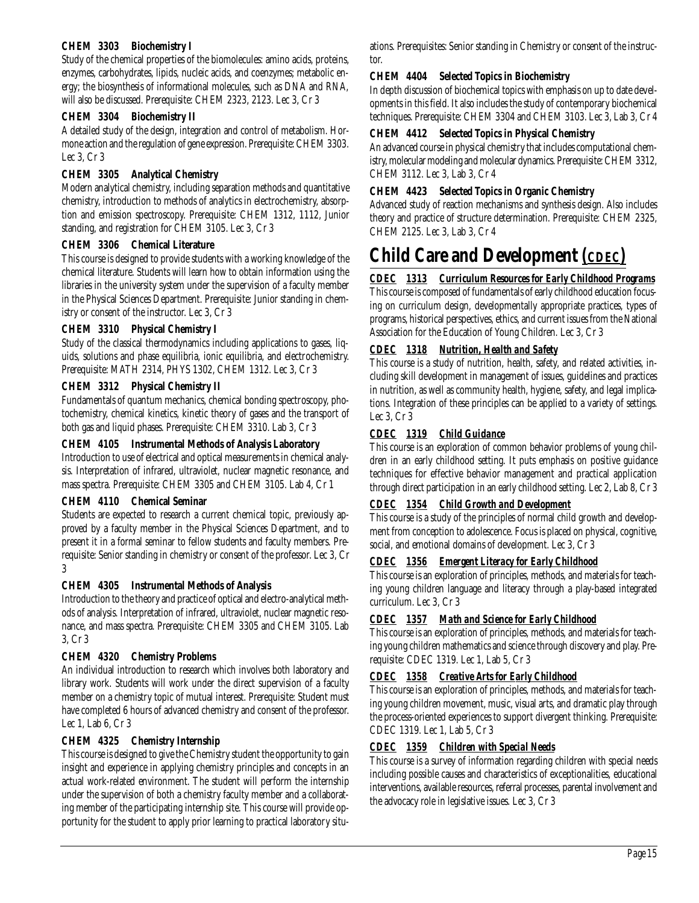### **CHEM 3303 Biochemistry I**

Study of the chemical properties of the biomolecules: amino acids, proteins, enzymes, carbohydrates, lipids, nucleic acids, and coenzymes; metabolic energy; the biosynthesis of informational molecules, such as DNA and RNA, will also be discussed. Prerequisite: CHEM 2323, 2123. Lec 3, Cr 3

### **CHEM 3304 Biochemistry II**

A detailed study of the design, integration and control of metabolism. Hormone action and the regulation of gene expression. Prerequisite: CHEM 3303. Lec 3, Cr 3

### **CHEM 3305 Analytical Chemistry**

Modern analytical chemistry, including separation methods and quantitative chemistry, introduction to methods of analytics in electrochemistry, absorption and emission spectroscopy. Prerequisite: CHEM 1312, 1112, Junior standing, and registration for CHEM 3105. Lec 3, Cr 3

### **CHEM 3306 Chemical Literature**

This course is designed to provide students with a working knowledge of the chemical literature. Students will learn how to obtain information using the libraries in the university system under the supervision of a faculty member in the Physical Sciences Department. Prerequisite: Junior standing in chemistry or consent of the instructor. Lec 3, Cr 3

### **CHEM 3310 Physical Chemistry I**

Study of the classical thermodynamics including applications to gases, liquids, solutions and phase equilibria, ionic equilibria, and electrochemistry. Prerequisite: MATH 2314, PHYS 1302, CHEM 1312. Lec 3, Cr 3

### **CHEM 3312 Physical Chemistry II**

Fundamentals of quantum mechanics, chemical bonding spectroscopy, photochemistry, chemical kinetics, kinetic theory of gases and the transport of both gas and liquid phases. Prerequisite: CHEM 3310. Lab 3, Cr 3

### **CHEM 4105 Instrumental Methods of Analysis Laboratory**

Introduction to use of electrical and optical measurements in chemical analysis. Interpretation of infrared, ultraviolet, nuclear magnetic resonance, and mass spectra. Prerequisite: CHEM 3305 and CHEM 3105. Lab 4, Cr 1

### **CHEM 4110 Chemical Seminar**

Students are expected to research a current chemical topic, previously approved by a faculty member in the Physical Sciences Department, and to present it in a formal seminar to fellow students and faculty members. Prerequisite: Senior standing in chemistry or consent of the professor. Lec 3, Cr 3

### **CHEM 4305 Instrumental Methods of Analysis**

Introduction to the theory and practice of optical and electro-analytical methods of analysis. Interpretation of infrared, ultraviolet, nuclear magnetic resonance, and mass spectra. Prerequisite: CHEM 3305 and CHEM 3105. Lab 3, Cr 3

### **CHEM 4320 Chemistry Problems**

An individual introduction to research which involves both laboratory and library work. Students will work under the direct supervision of a faculty member on a chemistry topic of mutual interest. Prerequisite: Student must have completed 6 hours of advanced chemistry and consent of the professor. Lec 1, Lab 6, Cr 3

### **CHEM 4325 Chemistry Internship**

This course is designed to give the Chemistry student the opportunity to gain insight and experience in applying chemistry principles and concepts in an actual work-related environment. The student will perform the internship under the supervision of both a chemistry faculty member and a collaborating member of the participating internship site. This course will provide opportunity for the student to apply prior learning to practical laboratory situations. Prerequisites: Senior standing in Chemistry or consent of the instructor.

### **CHEM 4404 Selected Topics in Biochemistry**

In depth discussion of biochemical topics with emphasis on up to date developments in this field. It also includes the study of contemporary biochemical techniques. Prerequisite: CHEM 3304 and CHEM 3103. Lec 3, Lab 3, Cr 4

### **CHEM 4412 Selected Topics in Physical Chemistry**

An advanced course in physical chemistry that includes computational chemistry, molecular modeling and molecular dynamics. Prerequisite: CHEM 3312, CHEM 3112. Lec 3, Lab 3, Cr 4

### **CHEM 4423 Selected Topics in Organic Chemistry**

Advanced study of reaction mechanisms and synthesis design. Also includes theory and practice of structure determination. Prerequisite: CHEM 2325, CHEM 2125. Lec 3, Lab 3, Cr 4

# **Child Care and Development** *(CDEC)*

## *CDEC 1313 Curriculum Resources for Early Childhood Programs*

This course is composed of fundamentals of early childhood education focusing on curriculum design, developmentally appropriate practices, types of programs, historical perspectives, ethics, and current issues from the National Association for the Education of Young Children. Lec 3, Cr 3

### *CDEC 1318 Nutrition, Health and Safety*

This course is a study of nutrition, health, safety, and related activities, including skill development in management of issues, guidelines and practices in nutrition, as well as community health, hygiene, safety, and legal implications. Integration of these principles can be applied to a variety of settings. Lec 3, Cr 3

### *CDEC 1319 Child Guidance*

This course is an exploration of common behavior problems of young children in an early childhood setting. It puts emphasis on positive guidance techniques for effective behavior management and practical application through direct participation in an early childhood setting. Lec 2, Lab 8, Cr 3

### *CDEC 1354 Child Growth and Development*

This course is a study of the principles of normal child growth and development from conception to adolescence. Focus is placed on physical, cognitive, social, and emotional domains of development. Lec 3, Cr 3

### *CDEC 1356 Emergent Literacy for Early Childhood*

This course is an exploration of principles, methods, and materials for teaching young children language and literacy through a play-based integrated curriculum. Lec 3, Cr 3

### *CDEC 1357 Math and Science for Early Childhood*

This course is an exploration of principles, methods, and materials for teaching young children mathematics and science through discovery and play. Prerequisite: CDEC 1319. Lec 1, Lab 5, Cr 3

### *CDEC 1358 Creative Arts for Early Childhood*

This course is an exploration of principles, methods, and materials for teaching young children movement, music, visual arts, and dramatic play through the process-oriented experiences to support divergent thinking. Prerequisite: CDEC 1319. Lec 1, Lab 5, Cr 3

## *CDEC 1359 Children with Special Needs*

This course is a survey of information regarding children with special needs including possible causes and characteristics of exceptionalities, educational interventions, available resources, referral processes, parental involvement and the advocacy role in legislative issues. Lec 3, Cr 3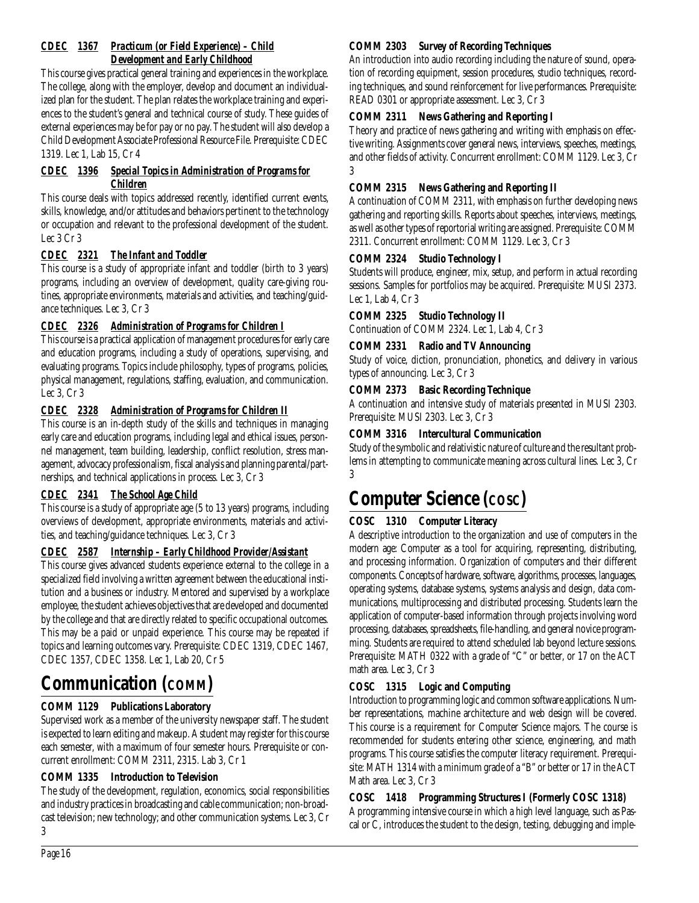## *CDEC 1367 Practicum (or Field Experience) – Child Development and Early Childhood*

This course gives practical general training and experiences in the workplace. The college, along with the employer, develop and document an individualized plan for the student. The plan relates the workplace training and experiences to the student's general and technical course of study. These guides of external experiences may be for pay or no pay. The student will also develop a Child Development Associate Professional Resource File. Prerequisite: CDEC 1319. Lec 1, Lab 15, Cr 4

# *CDEC 1396 Special Topics in Administration of Programs for Children*

This course deals with topics addressed recently, identified current events, skills, knowledge, and/or attitudes and behaviors pertinent to the technology or occupation and relevant to the professional development of the student. Lec 3 Cr 3

# *CDEC 2321 The Infant and Toddler*

This course is a study of appropriate infant and toddler (birth to 3 years) programs, including an overview of development, quality care-giving routines, appropriate environments, materials and activities, and teaching/guidance techniques. Lec 3, Cr 3

# *CDEC 2326 Administration of Programs for Children I*

This course is a practical application of management procedures for early care and education programs, including a study of operations, supervising, and evaluating programs. Topics include philosophy, types of programs, policies, physical management, regulations, staffing, evaluation, and communication. Lec 3, Cr 3

# *CDEC 2328 Administration of Programs for Children II*

This course is an in-depth study of the skills and techniques in managing early care and education programs, including legal and ethical issues, personnel management, team building, leadership, conflict resolution, stress management, advocacy professionalism, fiscal analysis and planning parental/partnerships, and technical applications in process. Lec 3, Cr 3

# *CDEC 2341 The School Age Child*

This course is a study of appropriate age (5 to 13 years) programs, including overviews of development, appropriate environments, materials and activities, and teaching/guidance techniques. Lec 3, Cr 3

# *CDEC 2587 Internship – Early Childhood Provider/Assistant*

This course gives advanced students experience external to the college in a specialized field involving a written agreement between the educational institution and a business or industry. Mentored and supervised by a workplace employee, the student achieves objectives that are developed and documented by the college and that are directly related to specific occupational outcomes. This may be a paid or unpaid experience. This course may be repeated if topics and learning outcomes vary. Prerequisite: CDEC 1319, CDEC 1467, CDEC 1357, CDEC 1358. Lec 1, Lab 20, Cr 5

# **Communication (COMM)**

# **COMM 1129 Publications Laboratory**

Supervised work as a member of the university newspaper staff. The student is expected to learn editing and makeup. A student may register for this course each semester, with a maximum of four semester hours. Prerequisite or concurrent enrollment: COMM 2311, 2315. Lab 3, Cr 1

# **COMM 1335 Introduction to Television**

The study of the development, regulation, economics, social responsibilities and industry practices in broadcasting and cable communication; non-broadcast television; new technology; and other communication systems. Lec 3, Cr 3

# **COMM 2303 Survey of Recording Techniques**

An introduction into audio recording including the nature of sound, operation of recording equipment, session procedures, studio techniques, recording techniques, and sound reinforcement for live performances. Prerequisite: READ 0301 or appropriate assessment. Lec 3, Cr 3

# **COMM 2311 News Gathering and Reporting I**

Theory and practice of news gathering and writing with emphasis on effective writing. Assignments cover general news, interviews, speeches, meetings, and other fields of activity. Concurrent enrollment: COMM 1129. Lec 3, Cr 3

# **COMM 2315 News Gathering and Reporting II**

A continuation of COMM 2311, with emphasis on further developing news gathering and reporting skills. Reports about speeches, interviews, meetings, as well as other types of reportorial writing are assigned. Prerequisite: COMM 2311. Concurrent enrollment: COMM 1129. Lec 3, Cr 3

### **COMM 2324 Studio Technology I**

Students will produce, engineer, mix, setup, and perform in actual recording sessions. Samples for portfolios may be acquired. Prerequisite: MUSI 2373. Lec 1, Lab 4, Cr 3

## **COMM 2325 Studio Technology II**

Continuation of COMM 2324. Lec 1, Lab 4, Cr 3

### **COMM 2331 Radio and TV Announcing**

Study of voice, diction, pronunciation, phonetics, and delivery in various types of announcing. Lec 3, Cr 3

## **COMM 2373 Basic Recording Technique**

A continuation and intensive study of materials presented in MUSI 2303. Prerequisite: MUSI 2303. Lec 3, Cr 3

## **COMM 3316 Intercultural Communication**

Study of the symbolic and relativistic nature of culture and the resultant problems in attempting to communicate meaning across cultural lines. Lec 3, Cr 3

# **Computer Science (COSC)**

## **COSC 1310 Computer Literacy**

A descriptive introduction to the organization and use of computers in the modern age: Computer as a tool for acquiring, representing, distributing, and processing information. Organization of computers and their different components. Concepts of hardware, software, algorithms, processes, languages, operating systems, database systems, systems analysis and design, data communications, multiprocessing and distributed processing. Students learn the application of computer-based information through projects involving word processing, databases, spreadsheets, file-handling, and general novice programming. Students are required to attend scheduled lab beyond lecture sessions. Prerequisite: MATH 0322 with a grade of "C" or better, or 17 on the ACT math area. Lec 3, Cr 3

# **COSC 1315 Logic and Computing**

Introduction to programming logic and common software applications. Number representations, machine architecture and web design will be covered. This course is a requirement for Computer Science majors. The course is recommended for students entering other science, engineering, and math programs. This course satisfies the computer literacy requirement. Prerequisite: MATH 1314 with a minimum grade of a "B" or better or 17 in the ACT Math area. Lec 3, Cr 3

## **COSC 1418 Programming Structures I (Formerly COSC 1318)**

A programming intensive course in which a high level language, such as Pascal or C, introduces the student to the design, testing, debugging and imple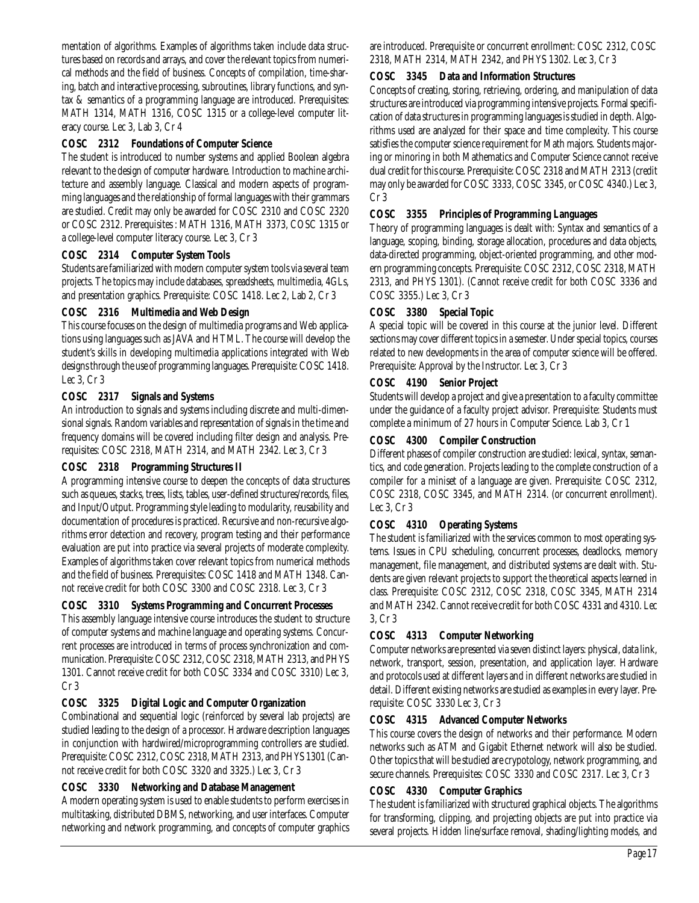mentation of algorithms. Examples of algorithms taken include data structures based on records and arrays, and cover the relevant topics from numerical methods and the field of business. Concepts of compilation, time-sharing, batch and interactive processing, subroutines, library functions, and syntax & semantics of a programming language are introduced. Prerequisites: MATH 1314, MATH 1316, COSC 1315 or a college-level computer literacy course. Lec 3, Lab 3, Cr 4

### **COSC 2312 Foundations of Computer Science**

The student is introduced to number systems and applied Boolean algebra relevant to the design of computer hardware. Introduction to machine architecture and assembly language. Classical and modern aspects of programming languages and the relationship of formal languages with their grammars are studied. Credit may only be awarded for COSC 2310 and COSC 2320 or COSC 2312. Prerequisites : MATH 1316, MATH 3373, COSC 1315 or a college-level computer literacy course. Lec 3, Cr 3

### **COSC 2314 Computer System Tools**

Students are familiarized with modern computer system tools via several team projects. The topics may include databases, spreadsheets, multimedia, 4GLs, and presentation graphics. Prerequisite: COSC 1418. Lec 2, Lab 2, Cr 3

### **COSC 2316 Multimedia and Web Design**

This course focuses on the design of multimedia programs and Web applications using languages such as JAVA and HTML. The course will develop the student's skills in developing multimedia applications integrated with Web designs through the use of programming languages. Prerequisite: COSC 1418. Lec 3, Cr 3

### **COSC 2317 Signals and Systems**

An introduction to signals and systems including discrete and multi-dimensional signals. Random variables and representation of signals in the time and frequency domains will be covered including filter design and analysis. Prerequisites: COSC 2318, MATH 2314, and MATH 2342. Lec 3, Cr 3

### **COSC 2318 Programming Structures II**

A programming intensive course to deepen the concepts of data structures such as queues, stacks, trees, lists, tables, user-defined structures/records, files, and Input/Output. Programming style leading to modularity, reusability and documentation of procedures is practiced. Recursive and non-recursive algorithms error detection and recovery, program testing and their performance evaluation are put into practice via several projects of moderate complexity. Examples of algorithms taken cover relevant topics from numerical methods and the field of business. Prerequisites: COSC 1418 and MATH 1348. Cannot receive credit for both COSC 3300 and COSC 2318. Lec 3, Cr 3

## **COSC 3310 Systems Programming and Concurrent Processes**

This assembly language intensive course introduces the student to structure of computer systems and machine language and operating systems. Concurrent processes are introduced in terms of process synchronization and communication. Prerequisite: COSC 2312, COSC 2318, MATH 2313, and PHYS 1301. Cannot receive credit for both COSC 3334 and COSC 3310) Lec 3, Cr 3

## **COSC 3325 Digital Logic and Computer Organization**

Combinational and sequential logic (reinforced by several lab projects) are studied leading to the design of a processor. Hardware description languages in conjunction with hardwired/microprogramming controllers are studied. Prerequisite: COSC 2312, COSC 2318, MATH 2313, and PHYS 1301 (Cannot receive credit for both COSC 3320 and 3325.) Lec 3, Cr 3

### **COSC 3330 Networking and Database Management**

A modern operating system is used to enable students to perform exercises in multitasking, distributed DBMS, networking, and user interfaces. Computer networking and network programming, and concepts of computer graphics

are introduced. Prerequisite or concurrent enrollment: COSC 2312, COSC 2318, MATH 2314, MATH 2342, and PHYS 1302. Lec 3, Cr 3

### **COSC 3345 Data and Information Structures**

Concepts of creating, storing, retrieving, ordering, and manipulation of data structures are introduced via programming intensive projects. Formal specification of data structures in programming languages is studied in depth. Algorithms used are analyzed for their space and time complexity. This course satisfies the computer science requirement for Math majors. Students majoring or minoring in both Mathematics and Computer Science cannot receive dual credit for this course. Prerequisite: COSC 2318 and MATH 2313 (credit may only be awarded for COSC 3333, COSC 3345, or COSC 4340.) Lec 3, Cr 3

### **COSC 3355 Principles of Programming Languages**

Theory of programming languages is dealt with: Syntax and semantics of a language, scoping, binding, storage allocation, procedures and data objects, data-directed programming, object-oriented programming, and other modern programming concepts. Prerequisite: COSC 2312, COSC 2318, MATH 2313, and PHYS 1301). (Cannot receive credit for both COSC 3336 and COSC 3355.) Lec 3, Cr 3

### **COSC 3380 Special Topic**

A special topic will be covered in this course at the junior level. Different sections may cover different topics in a semester. Under special topics, courses related to new developments in the area of computer science will be offered. Prerequisite: Approval by the Instructor. Lec 3, Cr 3

### **COSC 4190 Senior Project**

Students will develop a project and give a presentation to a faculty committee under the guidance of a faculty project advisor. Prerequisite: Students must complete a minimum of 27 hours in Computer Science. Lab 3, Cr 1

### **COSC 4300 Compiler Construction**

Different phases of compiler construction are studied: lexical, syntax, semantics, and code generation. Projects leading to the complete construction of a compiler for a miniset of a language are given. Prerequisite: COSC 2312, COSC 2318, COSC 3345, and MATH 2314. (or concurrent enrollment). Lec 3, Cr 3

# **COSC 4310 Operating Systems**

The student is familiarized with the services common to most operating systems. Issues in CPU scheduling, concurrent processes, deadlocks, memory management, file management, and distributed systems are dealt with. Students are given relevant projects to support the theoretical aspects learned in class. Prerequisite: COSC 2312, COSC 2318, COSC 3345, MATH 2314 and MATH 2342. Cannot receive credit for both COSC 4331 and 4310. Lec 3, Cr 3

### **COSC 4313 Computer Networking**

Computer networks are presented via seven distinct layers: physical, data link, network, transport, session, presentation, and application layer. Hardware and protocols used at different layers and in different networks are studied in detail. Different existing networks are studied as examples in every layer. Prerequisite: COSC 3330 Lec 3, Cr 3

### **COSC 4315 Advanced Computer Networks**

This course covers the design of networks and their performance. Modern networks such as ATM and Gigabit Ethernet network will also be studied. Other topics that will be studied are crypotology, network programming, and secure channels. Prerequisites: COSC 3330 and COSC 2317. Lec 3, Cr 3

### **COSC 4330 Computer Graphics**

The student is familiarized with structured graphical objects. The algorithms for transforming, clipping, and projecting objects are put into practice via several projects. Hidden line/surface removal, shading/lighting models, and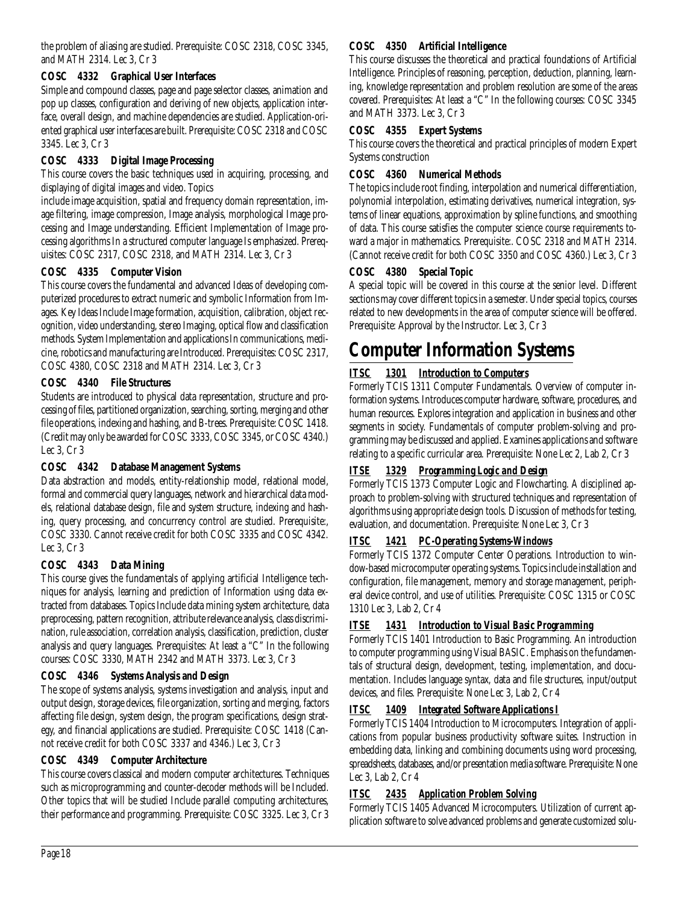the problem of aliasing are studied. Prerequisite: COSC 2318, COSC 3345, and MATH 2314. Lec 3, Cr 3

## **COSC 4332 Graphical User Interfaces**

Simple and compound classes, page and page selector classes, animation and pop up classes, configuration and deriving of new objects, application interface, overall design, and machine dependencies are studied. Application-oriented graphical user interfaces are built. Prerequisite: COSC 2318 and COSC 3345. Lec 3, Cr 3

# **COSC 4333 Digital Image Processing**

This course covers the basic techniques used in acquiring, processing, and displaying of digital images and video. Topics

include image acquisition, spatial and frequency domain representation, image filtering, image compression, Image analysis, morphological Image processing and Image understanding. Efficient Implementation of Image processing algorithms In a structured computer language Is emphasized. Prerequisites: COSC 2317, COSC 2318, and MATH 2314. Lec 3, Cr 3

## **COSC 4335 Computer Vision**

This course covers the fundamental and advanced Ideas of developing computerized procedures to extract numeric and symbolic Information from Images. Key Ideas Include Image formation, acquisition, calibration, object recognition, video understanding, stereo Imaging, optical flow and classification methods. System Implementation and applications In communications, medicine, robotics and manufacturing are Introduced. Prerequisites: COSC 2317, COSC 4380, COSC 2318 and MATH 2314. Lec 3, Cr 3

# **COSC 4340 File Structures**

Students are introduced to physical data representation, structure and processing of files, partitioned organization, searching, sorting, merging and other file operations, indexing and hashing, and B-trees. Prerequisite: COSC 1418. (Credit may only be awarded for COSC 3333, COSC 3345, or COSC 4340.) Lec 3, Cr 3

## **COSC 4342 Database Management Systems**

Data abstraction and models, entity-relationship model, relational model, formal and commercial query languages, network and hierarchical data models, relational database design, file and system structure, indexing and hashing, query processing, and concurrency control are studied. Prerequisite:, COSC 3330. Cannot receive credit for both COSC 3335 and COSC 4342. Lec 3, Cr 3

## **COSC 4343 Data Mining**

This course gives the fundamentals of applying artificial Intelligence techniques for analysis, learning and prediction of Information using data extracted from databases. Topics Include data mining system architecture, data preprocessing, pattern recognition, attribute relevance analysis, class discrimination, rule association, correlation analysis, classification, prediction, cluster analysis and query languages. Prerequisites: At least a "C" In the following courses: COSC 3330, MATH 2342 and MATH 3373. Lec 3, Cr 3

## **COSC 4346 Systems Analysis and Design**

The scope of systems analysis, systems investigation and analysis, input and output design, storage devices, file organization, sorting and merging, factors affecting file design, system design, the program specifications, design strategy, and financial applications are studied. Prerequisite: COSC 1418 (Cannot receive credit for both COSC 3337 and 4346.) Lec 3, Cr 3

## **COSC 4349 Computer Architecture**

This course covers classical and modern computer architectures. Techniques such as microprogramming and counter-decoder methods will be Included. Other topics that will be studied Include parallel computing architectures, their performance and programming. Prerequisite: COSC 3325. Lec 3, Cr 3

# **COSC 4350 Artificial Intelligence**

This course discusses the theoretical and practical foundations of Artificial Intelligence. Principles of reasoning, perception, deduction, planning, learning, knowledge representation and problem resolution are some of the areas covered. Prerequisites: At least a "C" In the following courses: COSC 3345 and MATH 3373. Lec 3, Cr 3

## **COSC 4355 Expert Systems**

This course covers the theoretical and practical principles of modern Expert Systems construction

## **COSC 4360 Numerical Methods**

The topics include root finding, interpolation and numerical differentiation, polynomial interpolation, estimating derivatives, numerical integration, systems of linear equations, approximation by spline functions, and smoothing of data. This course satisfies the computer science course requirements toward a major in mathematics. Prerequisite:. COSC 2318 and MATH 2314. (Cannot receive credit for both COSC 3350 and COSC 4360.) Lec 3, Cr 3

## **COSC 4380 Special Topic**

A special topic will be covered in this course at the senior level. Different sections may cover different topics in a semester. Under special topics, courses related to new developments in the area of computer science will be offered. Prerequisite: Approval by the Instructor. Lec 3, Cr 3

# **Computer Information Systems**

# *ITSC 1301 Introduction to Computers*

Formerly TCIS 1311 Computer Fundamentals. Overview of computer information systems. Introduces computer hardware, software, procedures, and human resources. Explores integration and application in business and other segments in society. Fundamentals of computer problem-solving and programming may be discussed and applied. Examines applications and software relating to a specific curricular area. Prerequisite: None Lec 2, Lab 2, Cr 3

# *ITSE 1329 Programming Logic and Design*

Formerly TCIS 1373 Computer Logic and Flowcharting. A disciplined approach to problem-solving with structured techniques and representation of algorithms using appropriate design tools. Discussion of methods for testing, evaluation, and documentation. Prerequisite: None Lec 3, Cr 3

## *ITSC 1421 PC-Operating Systems-Windows*

Formerly TCIS 1372 Computer Center Operations. Introduction to window-based microcomputer operating systems. Topics include installation and configuration, file management, memory and storage management, peripheral device control, and use of utilities. Prerequisite: COSC 1315 or COSC 1310 Lec 3, Lab 2, Cr 4

# *ITSE 1431 Introduction to Visual Basic Programming*

Formerly TCIS 1401 Introduction to Basic Programming. An introduction to computer programming using Visual BASIC. Emphasis on the fundamentals of structural design, development, testing, implementation, and documentation. Includes language syntax, data and file structures, input/output devices, and files. Prerequisite: None Lec 3, Lab 2, Cr 4

# *ITSC 1409 Integrated Software Applications I*

Formerly TCIS 1404 Introduction to Microcomputers. Integration of applications from popular business productivity software suites. Instruction in embedding data, linking and combining documents using word processing, spreadsheets, databases, and/or presentation media software. Prerequisite: None Lec 3, Lab 2, Cr 4

# *ITSC 2435 Application Problem Solving*

Formerly TCIS 1405 Advanced Microcomputers. Utilization of current application software to solve advanced problems and generate customized solu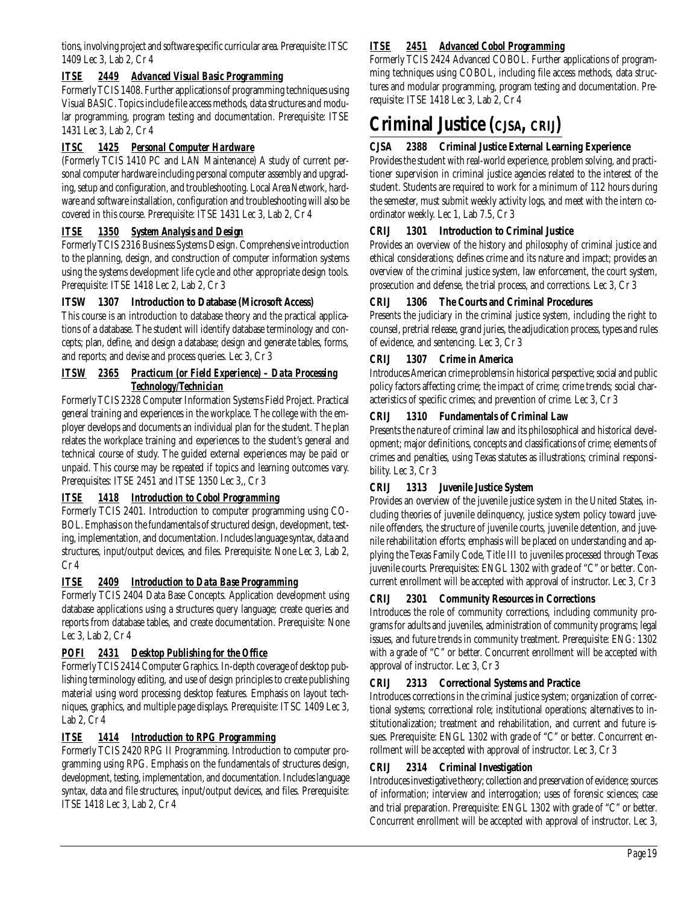tions, involving project and software specific curricular area. Prerequisite: ITSC 1409 Lec 3, Lab 2, Cr 4

## *ITSE 2449 Advanced Visual Basic Programming*

Formerly TCIS 1408. Further applications of programming techniques using Visual BASIC. Topics include file access methods, data structures and modular programming, program testing and documentation. Prerequisite: ITSE 1431 Lec 3, Lab 2, Cr 4

## *ITSC 1425 Personal Computer Hardware*

(Formerly TCIS 1410 PC and LAN Maintenance) A study of current personal computer hardware including personal computer assembly and upgrading, setup and configuration, and troubleshooting. Local Area Network, hardware and software installation, configuration and troubleshooting will also be covered in this course. Prerequisite: ITSE 1431 Lec 3, Lab 2, Cr 4

# *ITSE 1350 System Analysis and Design*

Formerly TCIS 2316 Business Systems Design. Comprehensive introduction to the planning, design, and construction of computer information systems using the systems development life cycle and other appropriate design tools. Prerequisite: ITSE 1418 Lec 2, Lab 2, Cr 3

## **ITSW 1307 Introduction to Database (Microsoft Access)**

This course is an introduction to database theory and the practical applications of a database. The student will identify database terminology and concepts; plan, define, and design a database; design and generate tables, forms, and reports; and devise and process queries. Lec 3, Cr 3

### *ITSW 2365 Practicum (or Field Experience) – Data Processing Technology/Technician*

Formerly TCIS 2328 Computer Information Systems Field Project. Practical general training and experiences in the workplace. The college with the employer develops and documents an individual plan for the student. The plan relates the workplace training and experiences to the student's general and technical course of study. The guided external experiences may be paid or unpaid. This course may be repeated if topics and learning outcomes vary. Prerequisites: ITSE 2451 and ITSE 1350 Lec 3,, Cr 3

## *ITSE 1418 Introduction to Cobol Programming*

Formerly TCIS 2401. Introduction to computer programming using CO-BOL. Emphasis on the fundamentals of structured design, development, testing, implementation, and documentation. Includes language syntax, data and structures, input/output devices, and files. Prerequisite: None Lec 3, Lab 2, Cr 4

## *ITSE 2409 Introduction to Data Base Programming*

Formerly TCIS 2404 Data Base Concepts. Application development using database applications using a structures query language; create queries and reports from database tables, and create documentation. Prerequisite: None Lec 3, Lab 2, Cr 4

## *POFI 2431 Desktop Publishing for the Office*

Formerly TCIS 2414 Computer Graphics. In-depth coverage of desktop publishing terminology editing, and use of design principles to create publishing material using word processing desktop features. Emphasis on layout techniques, graphics, and multiple page displays. Prerequisite: ITSC 1409 Lec 3, Lab 2, Cr 4

## *ITSE 1414 Introduction to RPG Programming*

Formerly TCIS 2420 RPG II Programming. Introduction to computer programming using RPG. Emphasis on the fundamentals of structures design, development, testing, implementation, and documentation. Includes language syntax, data and file structures, input/output devices, and files. Prerequisite: ITSE 1418 Lec 3, Lab 2, Cr 4

## *ITSE 2451 Advanced Cobol Programming*

Formerly TCIS 2424 Advanced COBOL. Further applications of programming techniques using COBOL, including file access methods, data structures and modular programming, program testing and documentation. Prerequisite: ITSE 1418 Lec 3, Lab 2, Cr 4

# **Criminal Justice (CJSA, CRIJ)**

### **CJSA 2388 Criminal Justice External Learning Experience**

Provides the student with real-world experience, problem solving, and practitioner supervision in criminal justice agencies related to the interest of the student. Students are required to work for a minimum of 112 hours during the semester, must submit weekly activity logs, and meet with the intern coordinator weekly. Lec 1, Lab 7.5, Cr 3

## **CRIJ 1301 Introduction to Criminal Justice**

Provides an overview of the history and philosophy of criminal justice and ethical considerations; defines crime and its nature and impact; provides an overview of the criminal justice system, law enforcement, the court system, prosecution and defense, the trial process, and corrections. Lec 3, Cr 3

## **CRIJ 1306 The Courts and Criminal Procedures**

Presents the judiciary in the criminal justice system, including the right to counsel, pretrial release, grand juries, the adjudication process, types and rules of evidence, and sentencing. Lec 3, Cr 3

# **CRIJ 1307 Crime in America**

Introduces American crime problems in historical perspective; social and public policy factors affecting crime; the impact of crime; crime trends; social characteristics of specific crimes; and prevention of crime. Lec 3, Cr 3

## **CRIJ 1310 Fundamentals of Criminal Law**

Presents the nature of criminal law and its philosophical and historical development; major definitions, concepts and classifications of crime; elements of crimes and penalties, using Texas statutes as illustrations; criminal responsibility. Lec 3, Cr 3

## **CRIJ 1313 Juvenile Justice System**

Provides an overview of the juvenile justice system in the United States, including theories of juvenile delinquency, justice system policy toward juvenile offenders, the structure of juvenile courts, juvenile detention, and juvenile rehabilitation efforts; emphasis will be placed on understanding and applying the Texas Family Code, Title III to juveniles processed through Texas juvenile courts. Prerequisites: ENGL 1302 with grade of "C" or better. Concurrent enrollment will be accepted with approval of instructor. Lec 3, Cr 3

### **CRIJ 2301 Community Resources in Corrections**

Introduces the role of community corrections, including community programs for adults and juveniles, administration of community programs; legal issues, and future trends in community treatment. Prerequisite: ENG: 1302 with a grade of "C" or better. Concurrent enrollment will be accepted with approval of instructor. Lec 3, Cr 3

## **CRIJ 2313 Correctional Systems and Practice**

Introduces corrections in the criminal justice system; organization of correctional systems; correctional role; institutional operations; alternatives to institutionalization; treatment and rehabilitation, and current and future issues. Prerequisite: ENGL 1302 with grade of "C" or better. Concurrent enrollment will be accepted with approval of instructor. Lec 3, Cr 3

### **CRIJ 2314 Criminal Investigation**

Introduces investigative theory; collection and preservation of evidence; sources of information; interview and interrogation; uses of forensic sciences; case and trial preparation. Prerequisite: ENGL 1302 with grade of "C" or better. Concurrent enrollment will be accepted with approval of instructor. Lec 3,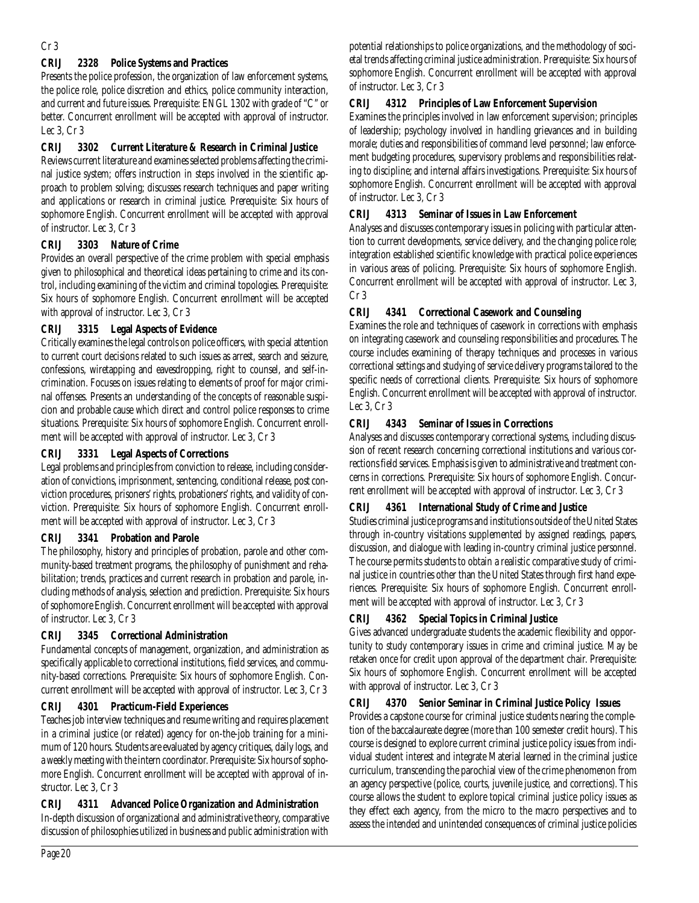### Cr 3

### **CRIJ 2328 Police Systems and Practices**

Presents the police profession, the organization of law enforcement systems, the police role, police discretion and ethics, police community interaction, and current and future issues. Prerequisite: ENGL 1302 with grade of "C" or better. Concurrent enrollment will be accepted with approval of instructor. Lec 3, Cr 3

### **CRIJ 3302 Current Literature & Research in Criminal Justice**

Reviews current literature and examines selected problems affecting the criminal justice system; offers instruction in steps involved in the scientific approach to problem solving; discusses research techniques and paper writing and applications or research in criminal justice. Prerequisite: Six hours of sophomore English. Concurrent enrollment will be accepted with approval of instructor. Lec 3, Cr 3

### **CRIJ 3303 Nature of Crime**

Provides an overall perspective of the crime problem with special emphasis given to philosophical and theoretical ideas pertaining to crime and its control, including examining of the victim and criminal topologies. Prerequisite: Six hours of sophomore English. Concurrent enrollment will be accepted with approval of instructor. Lec 3, Cr 3

## **CRIJ 3315 Legal Aspects of Evidence**

Critically examines the legal controls on police officers, with special attention to current court decisions related to such issues as arrest, search and seizure, confessions, wiretapping and eavesdropping, right to counsel, and self-incrimination. Focuses on issues relating to elements of proof for major criminal offenses. Presents an understanding of the concepts of reasonable suspicion and probable cause which direct and control police responses to crime situations. Prerequisite: Six hours of sophomore English. Concurrent enrollment will be accepted with approval of instructor. Lec 3, Cr 3

### **CRIJ 3331 Legal Aspects of Corrections**

Legal problems and principles from conviction to release, including consideration of convictions, imprisonment, sentencing, conditional release, post conviction procedures, prisoners' rights, probationers' rights, and validity of conviction. Prerequisite: Six hours of sophomore English. Concurrent enrollment will be accepted with approval of instructor. Lec 3, Cr 3

### **CRIJ 3341 Probation and Parole**

The philosophy, history and principles of probation, parole and other community-based treatment programs, the philosophy of punishment and rehabilitation; trends, practices and current research in probation and parole, including methods of analysis, selection and prediction. Prerequisite: Six hours of sophomore English. Concurrent enrollment will be accepted with approval of instructor. Lec 3, Cr 3

### **CRIJ 3345 Correctional Administration**

Fundamental concepts of management, organization, and administration as specifically applicable to correctional institutions, field services, and community-based corrections. Prerequisite: Six hours of sophomore English. Concurrent enrollment will be accepted with approval of instructor. Lec 3, Cr 3

## **CRIJ 4301 Practicum-Field Experiences**

Teaches job interview techniques and resume writing and requires placement in a criminal justice (or related) agency for on-the-job training for a minimum of 120 hours. Students are evaluated by agency critiques, daily logs, and a weekly meeting with the intern coordinator. Prerequisite: Six hours of sophomore English. Concurrent enrollment will be accepted with approval of instructor. Lec 3, Cr 3

### **CRIJ 4311 Advanced Police Organization and Administration**

In-depth discussion of organizational and administrative theory, comparative discussion of philosophies utilized in business and public administration with potential relationships to police organizations, and the methodology of societal trends affecting criminal justice administration. Prerequisite: Six hours of sophomore English. Concurrent enrollment will be accepted with approval of instructor. Lec 3, Cr 3

## **CRIJ 4312 Principles of Law Enforcement Supervision**

Examines the principles involved in law enforcement supervision; principles of leadership; psychology involved in handling grievances and in building morale; duties and responsibilities of command level personnel; law enforcement budgeting procedures, supervisory problems and responsibilities relating to discipline; and internal affairs investigations. Prerequisite: Six hours of sophomore English. Concurrent enrollment will be accepted with approval of instructor. Lec 3, Cr 3

### **CRIJ 4313 Seminar of Issues in Law Enforcement**

Analyses and discusses contemporary issues in policing with particular attention to current developments, service delivery, and the changing police role; integration established scientific knowledge with practical police experiences in various areas of policing. Prerequisite: Six hours of sophomore English. Concurrent enrollment will be accepted with approval of instructor. Lec 3, Cr 3

## **CRIJ 4341 Correctional Casework and Counseling**

Examines the role and techniques of casework in corrections with emphasis on integrating casework and counseling responsibilities and procedures. The course includes examining of therapy techniques and processes in various correctional settings and studying of service delivery programs tailored to the specific needs of correctional clients. Prerequisite: Six hours of sophomore English. Concurrent enrollment will be accepted with approval of instructor. Lec 3, Cr 3

## **CRIJ 4343 Seminar of Issues in Corrections**

Analyses and discusses contemporary correctional systems, including discussion of recent research concerning correctional institutions and various corrections field services. Emphasis is given to administrative and treatment concerns in corrections. Prerequisite: Six hours of sophomore English. Concurrent enrollment will be accepted with approval of instructor. Lec 3, Cr 3

## **CRIJ 4361 International Study of Crime and Justice**

Studies criminal justice programs and institutions outside of the United States through in-country visitations supplemented by assigned readings, papers, discussion, and dialogue with leading in-country criminal justice personnel. The course permits students to obtain a realistic comparative study of criminal justice in countries other than the United States through first hand experiences. Prerequisite: Six hours of sophomore English. Concurrent enrollment will be accepted with approval of instructor. Lec 3, Cr 3

## **CRIJ 4362 Special Topics in Criminal Justice**

Gives advanced undergraduate students the academic flexibility and opportunity to study contemporary issues in crime and criminal justice. May be retaken once for credit upon approval of the department chair. Prerequisite: Six hours of sophomore English. Concurrent enrollment will be accepted with approval of instructor. Lec 3, Cr 3

## **CRIJ 4370 Senior Seminar in Criminal Justice Policy Issues**

Provides a capstone course for criminal justice students nearing the completion of the baccalaureate degree (more than 100 semester credit hours). This course is designed to explore current criminal justice policy issues from individual student interest and integrate Material learned in the criminal justice curriculum, transcending the parochial view of the crime phenomenon from an agency perspective (police, courts, juvenile justice, and corrections). This course allows the student to explore topical criminal justice policy issues as they effect each agency, from the micro to the macro perspectives and to assess the intended and unintended consequences of criminal justice policies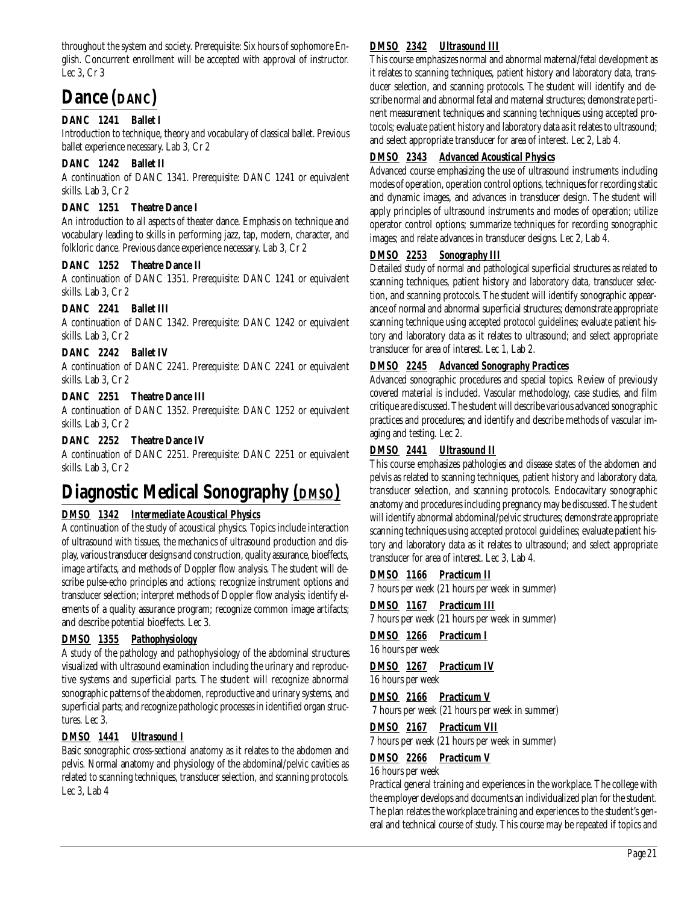throughout the system and society. Prerequisite: Six hours of sophomore English. Concurrent enrollment will be accepted with approval of instructor. Lec 3, Cr 3

# **Dance (DANC)**

# **DANC 1241 Ballet I**

Introduction to technique, theory and vocabulary of classical ballet. Previous ballet experience necessary. Lab 3, Cr 2

### **DANC 1242 Ballet II**

A continuation of DANC 1341. Prerequisite: DANC 1241 or equivalent skills. Lab 3, Cr 2

### **DANC 1251 Theatre Dance I**

An introduction to all aspects of theater dance. Emphasis on technique and vocabulary leading to skills in performing jazz, tap, modern, character, and folkloric dance. Previous dance experience necessary. Lab 3, Cr 2

### **DANC 1252 Theatre Dance II**

A continuation of DANC 1351. Prerequisite: DANC 1241 or equivalent skills. Lab 3, Cr 2

### **DANC 2241 Ballet III**

A continuation of DANC 1342. Prerequisite: DANC 1242 or equivalent skills. Lab 3, Cr 2

### **DANC 2242 Ballet IV**

A continuation of DANC 2241. Prerequisite: DANC 2241 or equivalent skills. Lab 3, Cr 2

### **DANC 2251 Theatre Dance III**

A continuation of DANC 1352. Prerequisite: DANC 1252 or equivalent skills. Lab 3, Cr 2

### **DANC 2252 Theatre Dance IV**

A continuation of DANC 2251. Prerequisite: DANC 2251 or equivalent skills. Lab 3, Cr 2

# **Diagnostic Medical Sonography** *(DMSO)*

## *DMSO 1342 Intermediate Acoustical Physics*

A continuation of the study of acoustical physics. Topics include interaction of ultrasound with tissues, the mechanics of ultrasound production and display, various transducer designs and construction, quality assurance, bioeffects, image artifacts, and methods of Doppler flow analysis. The student will describe pulse-echo principles and actions; recognize instrument options and transducer selection; interpret methods of Doppler flow analysis; identify elements of a quality assurance program; recognize common image artifacts; and describe potential bioeffects. Lec 3.

## *DMSO 1355 Pathophysiology*

A study of the pathology and pathophysiology of the abdominal structures visualized with ultrasound examination including the urinary and reproductive systems and superficial parts. The student will recognize abnormal sonographic patterns of the abdomen, reproductive and urinary systems, and superficial parts; and recognize pathologic processes in identified organ structures. Lec 3.

## *DMSO 1441 Ultrasound I*

Basic sonographic cross-sectional anatomy as it relates to the abdomen and pelvis. Normal anatomy and physiology of the abdominal/pelvic cavities as related to scanning techniques, transducer selection, and scanning protocols. Lec 3, Lab 4

## *DMSO 2342 Ultrasound III*

This course emphasizes normal and abnormal maternal/fetal development as it relates to scanning techniques, patient history and laboratory data, transducer selection, and scanning protocols. The student will identify and describe normal and abnormal fetal and maternal structures; demonstrate pertinent measurement techniques and scanning techniques using accepted protocols; evaluate patient history and laboratory data as it relates to ultrasound; and select appropriate transducer for area of interest. Lec 2, Lab 4.

# *DMSO 2343 Advanced Acoustical Physics*

Advanced course emphasizing the use of ultrasound instruments including modes of operation, operation control options, techniques for recording static and dynamic images, and advances in transducer design. The student will apply principles of ultrasound instruments and modes of operation; utilize operator control options; summarize techniques for recording sonographic images; and relate advances in transducer designs. Lec 2, Lab 4.

### *DMSO 2253 Sonography III*

Detailed study of normal and pathological superficial structures as related to scanning techniques, patient history and laboratory data, transducer selection, and scanning protocols. The student will identify sonographic appearance of normal and abnormal superficial structures; demonstrate appropriate scanning technique using accepted protocol guidelines; evaluate patient history and laboratory data as it relates to ultrasound; and select appropriate transducer for area of interest. Lec 1, Lab 2.

### *DMSO 2245 Advanced Sonography Practices*

Advanced sonographic procedures and special topics. Review of previously covered material is included. Vascular methodology, case studies, and film critique are discussed. The student will describe various advanced sonographic practices and procedures; and identify and describe methods of vascular imaging and testing. Lec 2.

### *DMSO 2441 Ultrasound II*

This course emphasizes pathologies and disease states of the abdomen and pelvis as related to scanning techniques, patient history and laboratory data, transducer selection, and scanning protocols. Endocavitary sonographic anatomy and procedures including pregnancy may be discussed. The student will identify abnormal abdominal/pelvic structures; demonstrate appropriate scanning techniques using accepted protocol guidelines; evaluate patient history and laboratory data as it relates to ultrasound; and select appropriate transducer for area of interest. Lec 3, Lab 4.

### *DMSO 1166 Practicum II*

7 hours per week (21 hours per week in summer)

- *DMSO 1167 Practicum III*
- 7 hours per week (21 hours per week in summer)
- *DMSO 1266 Practicum I*

16 hours per week

# *DMSO 1267 Practicum IV*

16 hours per week

*DMSO 2166 Practicum V* 7 hours per week (21 hours per week in summer)

## *DMSO 2167 Practicum VII*

7 hours per week (21 hours per week in summer)

## *DMSO 2266 Practicum V*

16 hours per week

Practical general training and experiences in the workplace. The college with the employer develops and documents an individualized plan for the student. The plan relates the workplace training and experiences to the student's general and technical course of study. This course may be repeated if topics and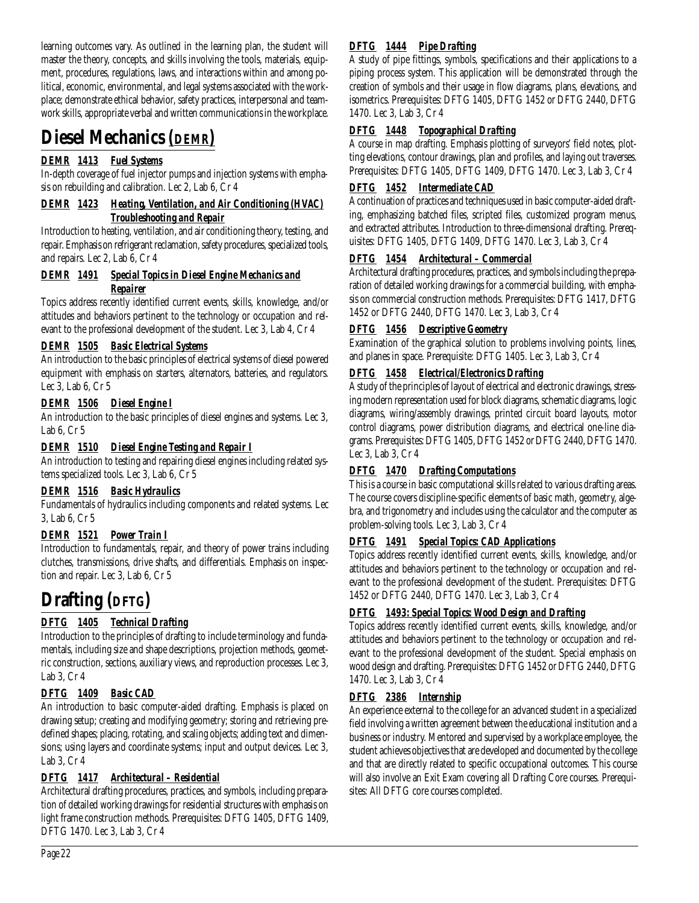learning outcomes vary. As outlined in the learning plan, the student will master the theory, concepts, and skills involving the tools, materials, equipment, procedures, regulations, laws, and interactions within and among political, economic, environmental, and legal systems associated with the workplace; demonstrate ethical behavior, safety practices, interpersonal and teamwork skills, appropriate verbal and written communications in the workplace.

# **Diesel Mechanics** *(DEMR)*

# *DEMR 1413 Fuel Systems*

In-depth coverage of fuel injector pumps and injection systems with emphasis on rebuilding and calibration. Lec 2, Lab 6, Cr 4

### *DEMR 1423 Heating, Ventilation, and Air Conditioning (HVAC) Troubleshooting and Repair*

Introduction to heating, ventilation, and air conditioning theory, testing, and repair. Emphasis on refrigerant reclamation, safety procedures, specialized tools, and repairs. Lec 2, Lab 6, Cr 4

# *DEMR 1491 Special Topics in Diesel Engine Mechanics and Repairer*

Topics address recently identified current events, skills, knowledge, and/or attitudes and behaviors pertinent to the technology or occupation and relevant to the professional development of the student. Lec 3, Lab 4, Cr 4

# *DEMR 1505 Basic Electrical Systems*

An introduction to the basic principles of electrical systems of diesel powered equipment with emphasis on starters, alternators, batteries, and regulators. Lec 3, Lab 6, Cr 5

# *DEMR 1506 Diesel Engine I*

An introduction to the basic principles of diesel engines and systems. Lec 3, Lab 6, Cr 5

# *DEMR 1510 Diesel Engine Testing and Repair I*

An introduction to testing and repairing diesel engines including related systems specialized tools. Lec 3, Lab 6, Cr 5

# *DEMR 1516 Basic Hydraulics*

Fundamentals of hydraulics including components and related systems. Lec 3, Lab 6, Cr 5

# *DEMR 1521 Power Train I*

Introduction to fundamentals, repair, and theory of power trains including clutches, transmissions, drive shafts, and differentials. Emphasis on inspection and repair. Lec 3, Lab 6, Cr 5

# **Drafting (DFTG)**

# *DFTG 1405 Technical Drafting*

Introduction to the principles of drafting to include terminology and fundamentals, including size and shape descriptions, projection methods, geometric construction, sections, auxiliary views, and reproduction processes. Lec 3, Lab 3, Cr 4

# *DFTG 1409 Basic CAD*

An introduction to basic computer-aided drafting. Emphasis is placed on drawing setup; creating and modifying geometry; storing and retrieving predefined shapes; placing, rotating, and scaling objects; adding text and dimensions; using layers and coordinate systems; input and output devices. Lec 3, Lab 3, Cr 4

# *DFTG 1417 Architectural – Residential*

Architectural drafting procedures, practices, and symbols, including preparation of detailed working drawings for residential structures with emphasis on light frame construction methods. Prerequisites: DFTG 1405, DFTG 1409, DFTG 1470. Lec 3, Lab 3, Cr 4

# *DFTG 1444 Pipe Drafting*

A study of pipe fittings, symbols, specifications and their applications to a piping process system. This application will be demonstrated through the creation of symbols and their usage in flow diagrams, plans, elevations, and isometrics. Prerequisites: DFTG 1405, DFTG 1452 or DFTG 2440, DFTG 1470. Lec 3, Lab 3, Cr 4

# *DFTG 1448 Topographical Drafting*

A course in map drafting. Emphasis plotting of surveyors' field notes, plotting elevations, contour drawings, plan and profiles, and laying out traverses. Prerequisites: DFTG 1405, DFTG 1409, DFTG 1470. Lec 3, Lab 3, Cr 4

# *DFTG 1452 Intermediate CAD*

A continuation of practices and techniques used in basic computer-aided drafting, emphasizing batched files, scripted files, customized program menus, and extracted attributes. Introduction to three-dimensional drafting. Prerequisites: DFTG 1405, DFTG 1409, DFTG 1470. Lec 3, Lab 3, Cr 4

# *DFTG 1454 Architectural – Commercial*

Architectural drafting procedures, practices, and symbols including the preparation of detailed working drawings for a commercial building, with emphasis on commercial construction methods. Prerequisites: DFTG 1417, DFTG 1452 or DFTG 2440, DFTG 1470. Lec 3, Lab 3, Cr 4

# *DFTG 1456 Descriptive Geometry*

Examination of the graphical solution to problems involving points, lines, and planes in space. Prerequisite: DFTG 1405. Lec 3, Lab 3, Cr 4

# *DFTG 1458 Electrical/Electronics Drafting*

A study of the principles of layout of electrical and electronic drawings, stressing modern representation used for block diagrams, schematic diagrams, logic diagrams, wiring/assembly drawings, printed circuit board layouts, motor control diagrams, power distribution diagrams, and electrical one-line diagrams. Prerequisites: DFTG 1405, DFTG 1452 or DFTG 2440, DFTG 1470. Lec 3, Lab 3, Cr 4

# *DFTG 1470 Drafting Computations*

This is a course in basic computational skills related to various drafting areas. The course covers discipline-specific elements of basic math, geometry, algebra, and trigonometry and includes using the calculator and the computer as problem-solving tools. Lec 3, Lab 3, Cr 4

# *DFTG 1491 Special Topics: CAD Applications*

Topics address recently identified current events, skills, knowledge, and/or attitudes and behaviors pertinent to the technology or occupation and relevant to the professional development of the student. Prerequisites: DFTG 1452 or DFTG 2440, DFTG 1470. Lec 3, Lab 3, Cr 4

# *DFTG 1493: Special Topics: Wood Design and Drafting*

Topics address recently identified current events, skills, knowledge, and/or attitudes and behaviors pertinent to the technology or occupation and relevant to the professional development of the student. Special emphasis on wood design and drafting. Prerequisites: DFTG 1452 or DFTG 2440, DFTG 1470. Lec 3, Lab 3, Cr 4

# *DFTG 2386 Internship*

An experience external to the college for an advanced student in a specialized field involving a written agreement between the educational institution and a business or industry. Mentored and supervised by a workplace employee, the student achieves objectives that are developed and documented by the college and that are directly related to specific occupational outcomes. This course will also involve an Exit Exam covering all Drafting Core courses. Prerequisites: All DFTG core courses completed.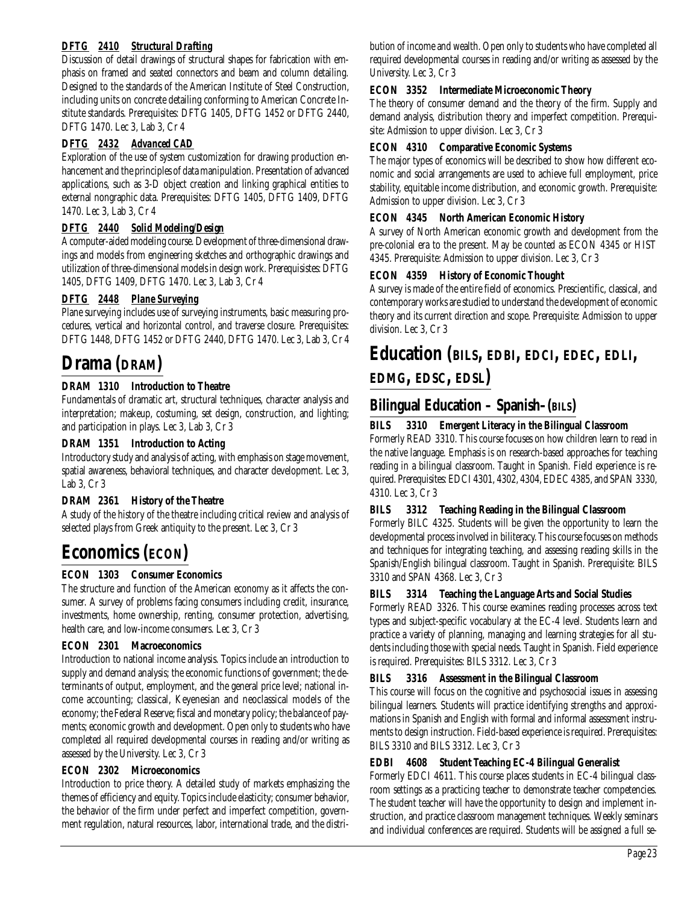# *DFTG 2410 Structural Drafting*

Discussion of detail drawings of structural shapes for fabrication with emphasis on framed and seated connectors and beam and column detailing. Designed to the standards of the American Institute of Steel Construction, including units on concrete detailing conforming to American Concrete Institute standards. Prerequisites: DFTG 1405, DFTG 1452 or DFTG 2440, DFTG 1470. Lec 3, Lab 3, Cr 4

## **D***FTG 2432 Advanced CAD*

Exploration of the use of system customization for drawing production enhancement and the principles of data manipulation. Presentation of advanced applications, such as 3-D object creation and linking graphical entities to external nongraphic data. Prerequisites: DFTG 1405, DFTG 1409, DFTG 1470. Lec 3, Lab 3, Cr 4

## *DFTG 2440 Solid Modeling/Design*

A computer-aided modeling course. Development of three-dimensional drawings and models from engineering sketches and orthographic drawings and utilization of three-dimensional models in design work. Prerequisistes: DFTG 1405, DFTG 1409, DFTG 1470. Lec 3, Lab 3, Cr 4

## *DFTG 2448 Plane Surveying*

Plane surveying includes use of surveying instruments, basic measuring procedures, vertical and horizontal control, and traverse closure. Prerequisites: DFTG 1448, DFTG 1452 or DFTG 2440, DFTG 1470. Lec 3, Lab 3, Cr 4

# **Drama (DRAM)**

## **DRAM 1310 Introduction to Theatre**

Fundamentals of dramatic art, structural techniques, character analysis and interpretation; makeup, costuming, set design, construction, and lighting; and participation in plays. Lec 3, Lab 3, Cr 3

### **DRAM 1351 Introduction to Acting**

Introductory study and analysis of acting, with emphasis on stage movement, spatial awareness, behavioral techniques, and character development. Lec 3, Lab 3, Cr 3

## **DRAM 2361 History of the Theatre**

A study of the history of the theatre including critical review and analysis of selected plays from Greek antiquity to the present. Lec 3, Cr 3

# **Economics (ECON)**

## **ECON 1303 Consumer Economics**

The structure and function of the American economy as it affects the consumer. A survey of problems facing consumers including credit, insurance, investments, home ownership, renting, consumer protection, advertising, health care, and low-income consumers. Lec 3, Cr 3

### **ECON 2301 Macroeconomics**

Introduction to national income analysis. Topics include an introduction to supply and demand analysis; the economic functions of government; the determinants of output, employment, and the general price level; national income accounting; classical, Keyenesian and neoclassical models of the economy; the Federal Reserve; fiscal and monetary policy; the balance of payments; economic growth and development. Open only to students who have completed all required developmental courses in reading and/or writing as assessed by the University. Lec 3, Cr 3

### **ECON 2302 Microeconomics**

Introduction to price theory. A detailed study of markets emphasizing the themes of efficiency and equity. Topics include elasticity; consumer behavior, the behavior of the firm under perfect and imperfect competition, government regulation, natural resources, labor, international trade, and the distribution of income and wealth. Open only to students who have completed all required developmental courses in reading and/or writing as assessed by the University. Lec 3, Cr 3

### **ECON 3352 Intermediate Microeconomic Theory**

The theory of consumer demand and the theory of the firm. Supply and demand analysis, distribution theory and imperfect competition. Prerequisite: Admission to upper division. Lec 3, Cr 3

#### **ECON 4310 Comparative Economic Systems**

The major types of economics will be described to show how different economic and social arrangements are used to achieve full employment, price stability, equitable income distribution, and economic growth. Prerequisite: Admission to upper division. Lec 3, Cr 3

### **ECON 4345 North American Economic History**

A survey of North American economic growth and development from the pre-colonial era to the present. May be counted as ECON 4345 or HIST 4345. Prerequisite: Admission to upper division. Lec 3, Cr 3

### **ECON 4359 History of Economic Thought**

A survey is made of the entire field of economics. Prescientific, classical, and contemporary works are studied to understand the development of economic theory and its current direction and scope. Prerequisite: Admission to upper division. Lec 3, Cr 3

# **Education (BILS, EDBI, EDCI, EDEC, EDLI, EDMG, EDSC, EDSL)**

# **Bilingual Education – Spanish–(BILS)**

## **BILS 3310 Emergent Literacy in the Bilingual Classroom**

Formerly READ 3310. This course focuses on how children learn to read in the native language. Emphasis is on research-based approaches for teaching reading in a bilingual classroom. Taught in Spanish. Field experience is required. Prerequisites: EDCI 4301, 4302, 4304, EDEC 4385, and SPAN 3330, 4310. Lec 3, Cr 3

### **BILS 3312 Teaching Reading in the Bilingual Classroom**

Formerly BILC 4325. Students will be given the opportunity to learn the developmental process involved in biliteracy. This course focuses on methods and techniques for integrating teaching, and assessing reading skills in the Spanish/English bilingual classroom. Taught in Spanish. Prerequisite: BILS 3310 and SPAN 4368. Lec 3, Cr 3

### **BILS 3314 Teaching the Language Arts and Social Studies**

Formerly READ 3326. This course examines reading processes across text types and subject-specific vocabulary at the EC-4 level. Students learn and practice a variety of planning, managing and learning strategies for all students including those with special needs. Taught in Spanish. Field experience is required. Prerequisites: BILS 3312. Lec 3, Cr 3

### **BILS 3316 Assessment in the Bilingual Classroom**

This course will focus on the cognitive and psychosocial issues in assessing bilingual learners. Students will practice identifying strengths and approximations in Spanish and English with formal and informal assessment instruments to design instruction. Field-based experience is required. Prerequisites: BILS 3310 and BILS 3312. Lec 3, Cr 3

### **EDBI 4608 Student Teaching EC-4 Bilingual Generalist**

Formerly EDCI 4611. This course places students in EC-4 bilingual classroom settings as a practicing teacher to demonstrate teacher competencies. The student teacher will have the opportunity to design and implement instruction, and practice classroom management techniques. Weekly seminars and individual conferences are required. Students will be assigned a full se-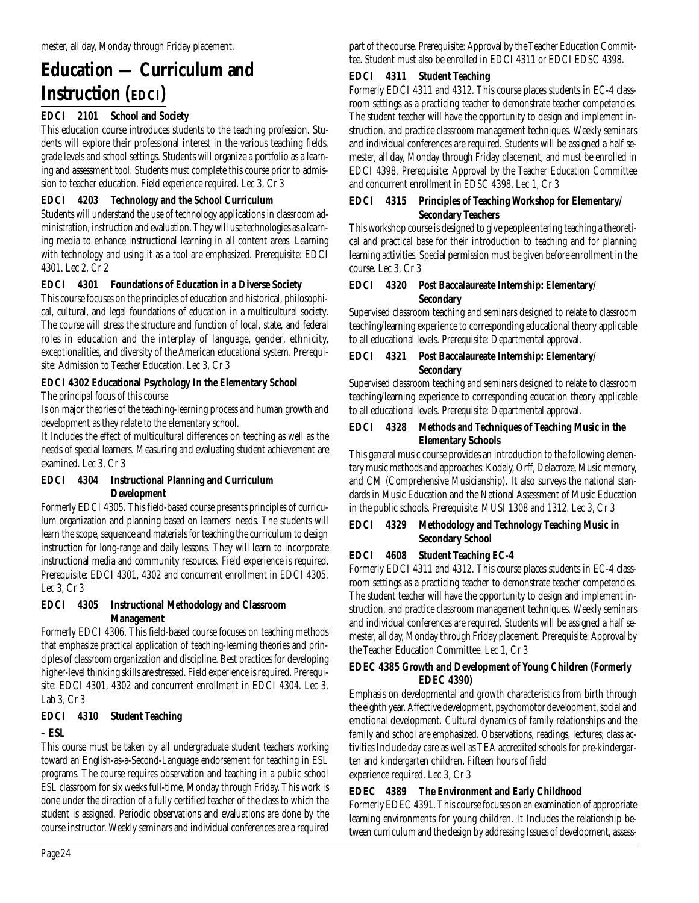# **Education — Curriculum and Instruction (EDCI)**

# **EDCI 2101 School and Society**

This education course introduces students to the teaching profession. Students will explore their professional interest in the various teaching fields, grade levels and school settings. Students will organize a portfolio as a learning and assessment tool. Students must complete this course prior to admission to teacher education. Field experience required. Lec 3, Cr 3

# **EDCI 4203 Technology and the School Curriculum**

Students will understand the use of technology applications in classroom administration, instruction and evaluation. They will use technologies as a learning media to enhance instructional learning in all content areas. Learning with technology and using it as a tool are emphasized. Prerequisite: EDCI 4301. Lec 2, Cr 2

# **EDCI 4301 Foundations of Education in a Diverse Society**

This course focuses on the principles of education and historical, philosophical, cultural, and legal foundations of education in a multicultural society. The course will stress the structure and function of local, state, and federal roles in education and the interplay of language, gender, ethnicity, exceptionalities, and diversity of the American educational system. Prerequisite: Admission to Teacher Education. Lec 3, Cr 3

# **EDCI 4302 Educational Psychology In the Elementary School**

The principal focus of this course

Is on major theories of the teaching-learning process and human growth and development as they relate to the elementary school.

It Includes the effect of multicultural differences on teaching as well as the needs of special learners. Measuring and evaluating student achievement are examined. Lec 3, Cr 3

## **EDCI 4304 Instructional Planning and Curriculum Development**

Formerly EDCI 4305. This field-based course presents principles of curriculum organization and planning based on learners' needs. The students will learn the scope, sequence and materials for teaching the curriculum to design instruction for long-range and daily lessons. They will learn to incorporate instructional media and community resources. Field experience is required. Prerequisite: EDCI 4301, 4302 and concurrent enrollment in EDCI 4305. Lec 3, Cr 3

## **EDCI 4305 Instructional Methodology and Classroom Management**

Formerly EDCI 4306. This field-based course focuses on teaching methods that emphasize practical application of teaching-learning theories and principles of classroom organization and discipline. Best practices for developing higher-level thinking skills are stressed. Field experience is required. Prerequisite: EDCI 4301, 4302 and concurrent enrollment in EDCI 4304. Lec 3, Lab 3, Cr 3

## **EDCI 4310 Student Teaching**

# **– ESL**

This course must be taken by all undergraduate student teachers working toward an English-as-a-Second-Language endorsement for teaching in ESL programs. The course requires observation and teaching in a public school ESL classroom for six weeks full-time, Monday through Friday. This work is done under the direction of a fully certified teacher of the class to which the student is assigned. Periodic observations and evaluations are done by the course instructor. Weekly seminars and individual conferences are a required

part of the course. Prerequisite: Approval by the Teacher Education Committee. Student must also be enrolled in EDCI 4311 or EDCI EDSC 4398.

# **EDCI 4311 Student Teaching**

Formerly EDCI 4311 and 4312. This course places students in EC-4 classroom settings as a practicing teacher to demonstrate teacher competencies. The student teacher will have the opportunity to design and implement instruction, and practice classroom management techniques. Weekly seminars and individual conferences are required. Students will be assigned a half semester, all day, Monday through Friday placement, and must be enrolled in EDCI 4398. Prerequisite: Approval by the Teacher Education Committee and concurrent enrollment in EDSC 4398. Lec 1, Cr 3

### **EDCI 4315 Principles of Teaching Workshop for Elementary/ Secondary Teachers**

This workshop course is designed to give people entering teaching a theoretical and practical base for their introduction to teaching and for planning learning activities. Special permission must be given before enrollment in the course. Lec 3, Cr 3

### **EDCI 4320 Post Baccalaureate Internship: Elementary/ Secondary**

Supervised classroom teaching and seminars designed to relate to classroom teaching/learning experience to corresponding educational theory applicable to all educational levels. Prerequisite: Departmental approval.

### **EDCI 4321 Post Baccalaureate Internship: Elementary/ Secondary**

Supervised classroom teaching and seminars designed to relate to classroom teaching/learning experience to corresponding education theory applicable to all educational levels. Prerequisite: Departmental approval.

### **EDCI 4328 Methods and Techniques of Teaching Music in the Elementary Schools**

This general music course provides an introduction to the following elementary music methods and approaches: Kodaly, Orff, Delacroze, Music memory, and CM (Comprehensive Musicianship). It also surveys the national standards in Music Education and the National Assessment of Music Education in the public schools. Prerequisite: MUSI 1308 and 1312. Lec 3, Cr 3

## **EDCI 4329 Methodology and Technology Teaching Music in Secondary School**

# **EDCI 4608 Student Teaching EC-4**

Formerly EDCI 4311 and 4312. This course places students in EC-4 classroom settings as a practicing teacher to demonstrate teacher competencies. The student teacher will have the opportunity to design and implement instruction, and practice classroom management techniques. Weekly seminars and individual conferences are required. Students will be assigned a half semester, all day, Monday through Friday placement. Prerequisite: Approval by the Teacher Education Committee. Lec 1, Cr 3

## **EDEC 4385 Growth and Development of Young Children (Formerly EDEC 4390)**

Emphasis on developmental and growth characteristics from birth through the eighth year. Affective development, psychomotor development, social and emotional development. Cultural dynamics of family relationships and the family and school are emphasized. Observations, readings, lectures; class activities Include day care as well as TEA accredited schools for pre-kindergarten and kindergarten children. Fifteen hours of field experience required. Lec 3, Cr 3

## **EDEC 4389 The Environment and Early Childhood**

Formerly EDEC 4391. This course focuses on an examination of appropriate learning environments for young children. It Includes the relationship between curriculum and the design by addressing Issues of development, assess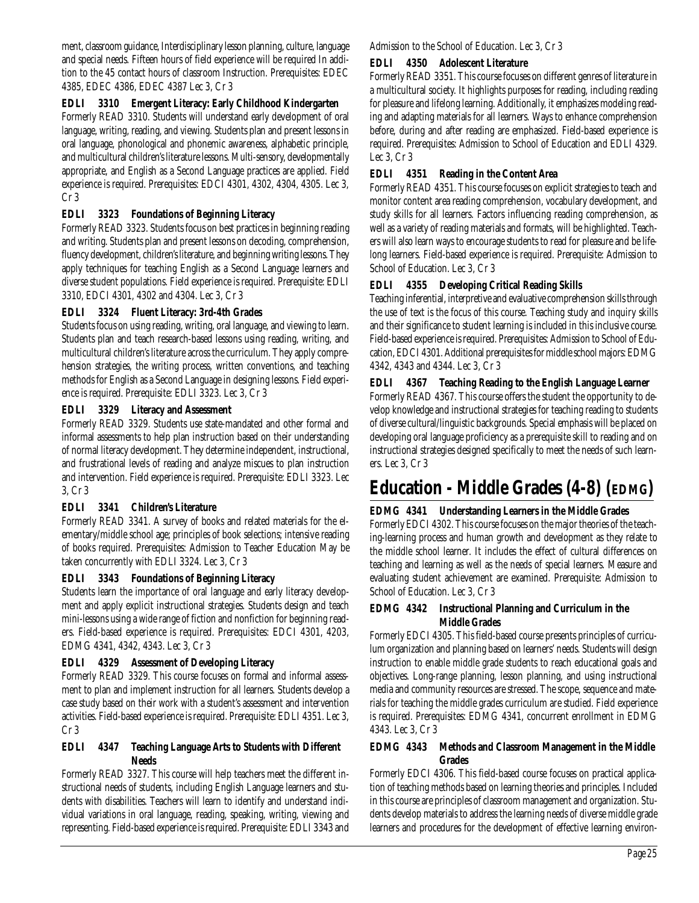ment, classroom guidance, Interdisciplinary lesson planning, culture, language and special needs. Fifteen hours of field experience will be required In addition to the 45 contact hours of classroom Instruction. Prerequisites: EDEC 4385, EDEC 4386, EDEC 4387 Lec 3, Cr 3

### **EDLI 3310 Emergent Literacy: Early Childhood Kindergarten**

Formerly READ 3310. Students will understand early development of oral language, writing, reading, and viewing. Students plan and present lessons in oral language, phonological and phonemic awareness, alphabetic principle, and multicultural children's literature lessons. Multi-sensory, developmentally appropriate, and English as a Second Language practices are applied. Field experience is required. Prerequisites: EDCI 4301, 4302, 4304, 4305. Lec 3, Cr 3

### **EDLI 3323 Foundations of Beginning Literacy**

Formerly READ 3323. Students focus on best practices in beginning reading and writing. Students plan and present lessons on decoding, comprehension, fluency development, children's literature, and beginning writing lessons. They apply techniques for teaching English as a Second Language learners and diverse student populations. Field experience is required. Prerequisite: EDLI 3310, EDCI 4301, 4302 and 4304. Lec 3, Cr 3

### **EDLI 3324 Fluent Literacy: 3rd-4th Grades**

Students focus on using reading, writing, oral language, and viewing to learn. Students plan and teach research-based lessons using reading, writing, and multicultural children's literature across the curriculum. They apply comprehension strategies, the writing process, written conventions, and teaching methods for English as a Second Language in designing lessons. Field experience is required. Prerequisite: EDLI 3323. Lec 3, Cr 3

### **EDLI 3329 Literacy and Assessment**

Formerly READ 3329. Students use state-mandated and other formal and informal assessments to help plan instruction based on their understanding of normal literacy development. They determine independent, instructional, and frustrational levels of reading and analyze miscues to plan instruction and intervention. Field experience is required. Prerequisite: EDLI 3323. Lec 3, Cr 3

### **EDLI 3341 Children's Literature**

Formerly READ 3341. A survey of books and related materials for the elementary/middle school age; principles of book selections; intensive reading of books required. Prerequisites: Admission to Teacher Education May be taken concurrently with EDLI 3324. Lec 3, Cr 3

### **EDLI 3343 Foundations of Beginning Literacy**

Students learn the importance of oral language and early literacy development and apply explicit instructional strategies. Students design and teach mini-lessons using a wide range of fiction and nonfiction for beginning readers. Field-based experience is required. Prerequisites: EDCI 4301, 4203, EDMG 4341, 4342, 4343. Lec 3, Cr 3

### **EDLI 4329 Assessment of Developing Literacy**

Formerly READ 3329. This course focuses on formal and informal assessment to plan and implement instruction for all learners. Students develop a case study based on their work with a student's assessment and intervention activities. Field-based experience is required. Prerequisite: EDLI 4351. Lec 3, Cr 3

### **EDLI 4347 Teaching Language Arts to Students with Different Needs**

Formerly READ 3327. This course will help teachers meet the different instructional needs of students, including English Language learners and students with disabilities. Teachers will learn to identify and understand individual variations in oral language, reading, speaking, writing, viewing and representing. Field-based experience is required. Prerequisite: EDLI 3343 and Admission to the School of Education. Lec 3, Cr 3

### **EDLI 4350 Adolescent Literature**

Formerly READ 3351. This course focuses on different genres of literature in a multicultural society. It highlights purposes for reading, including reading for pleasure and lifelong learning. Additionally, it emphasizes modeling reading and adapting materials for all learners. Ways to enhance comprehension before, during and after reading are emphasized. Field-based experience is required. Prerequisites: Admission to School of Education and EDLI 4329. Lec 3, Cr 3

### **EDLI 4351 Reading in the Content Area**

Formerly READ 4351. This course focuses on explicit strategies to teach and monitor content area reading comprehension, vocabulary development, and study skills for all learners. Factors influencing reading comprehension, as well as a variety of reading materials and formats, will be highlighted. Teachers will also learn ways to encourage students to read for pleasure and be lifelong learners. Field-based experience is required. Prerequisite: Admission to School of Education. Lec 3, Cr 3

## **EDLI 4355 Developing Critical Reading Skills**

Teaching inferential, interpretive and evaluative comprehension skills through the use of text is the focus of this course. Teaching study and inquiry skills and their significance to student learning is included in this inclusive course. Field-based experience is required. Prerequisites: Admission to School of Education, EDCI 4301. Additional prerequisites for middle school majors: EDMG 4342, 4343 and 4344. Lec 3, Cr 3

### **EDLI 4367 Teaching Reading to the English Language Learner**

Formerly READ 4367. This course offers the student the opportunity to develop knowledge and instructional strategies for teaching reading to students of diverse cultural/linguistic backgrounds. Special emphasis will be placed on developing oral language proficiency as a prerequisite skill to reading and on instructional strategies designed specifically to meet the needs of such learners. Lec 3, Cr 3

# **Education - Middle Grades (4-8) (EDMG)**

### **EDMG 4341 Understanding Learners in the Middle Grades**

Formerly EDCI 4302. This course focuses on the major theories of the teaching-learning process and human growth and development as they relate to the middle school learner. It includes the effect of cultural differences on teaching and learning as well as the needs of special learners. Measure and evaluating student achievement are examined. Prerequisite: Admission to School of Education. Lec 3, Cr 3

#### **EDMG 4342 Instructional Planning and Curriculum in the Middle Grades**

Formerly EDCI 4305. This field-based course presents principles of curriculum organization and planning based on learners' needs. Students will design instruction to enable middle grade students to reach educational goals and objectives. Long-range planning, lesson planning, and using instructional media and community resources are stressed. The scope, sequence and materials for teaching the middle grades curriculum are studied. Field experience is required. Prerequisites: EDMG 4341, concurrent enrollment in EDMG 4343. Lec 3, Cr 3

#### **EDMG 4343 Methods and Classroom Management in the Middle Grades**

Formerly EDCI 4306. This field-based course focuses on practical application of teaching methods based on learning theories and principles. Included in this course are principles of classroom management and organization. Students develop materials to address the learning needs of diverse middle grade learners and procedures for the development of effective learning environ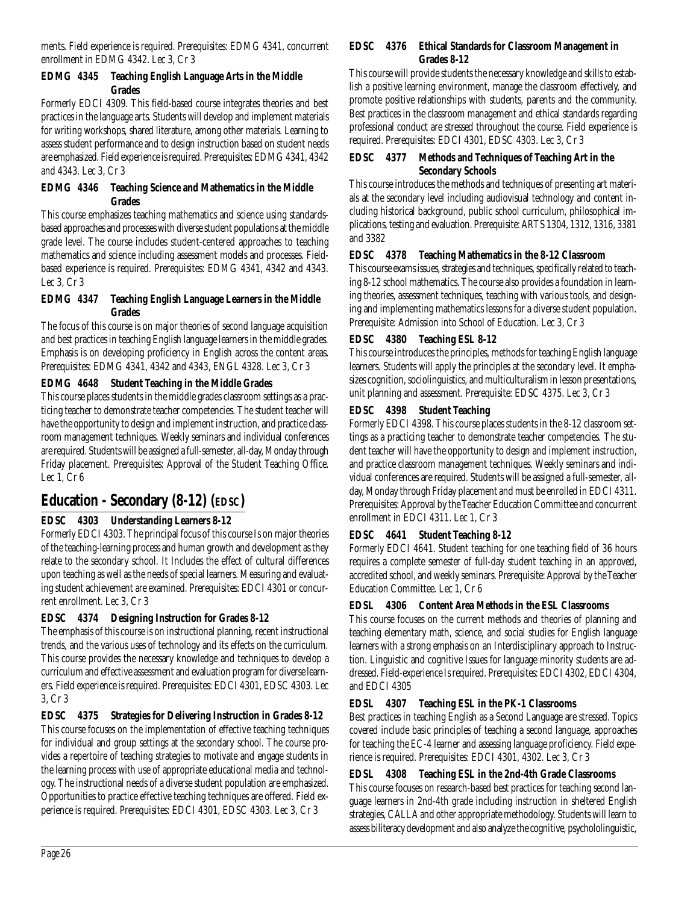ments. Field experience is required. Prerequisites: EDMG 4341, concurrent enrollment in EDMG 4342. Lec 3, Cr 3

### **EDMG 4345 Teaching English Language Arts in the Middle Grades**

Formerly EDCI 4309. This field-based course integrates theories and best practices in the language arts. Students will develop and implement materials for writing workshops, shared literature, among other materials. Learning to assess student performance and to design instruction based on student needs are emphasized. Field experience is required. Prerequisites: EDMG 4341, 4342 and 4343. Lec 3, Cr 3

### **EDMG 4346 Teaching Science and Mathematics in the Middle Grades**

This course emphasizes teaching mathematics and science using standardsbased approaches and processes with diverse student populations at the middle grade level. The course includes student-centered approaches to teaching mathematics and science including assessment models and processes. Fieldbased experience is required. Prerequisites: EDMG 4341, 4342 and 4343. Lec 3, Cr 3

### **EDMG 4347 Teaching English Language Learners in the Middle Grades**

The focus of this course is on major theories of second language acquisition and best practices in teaching English language learners in the middle grades. Emphasis is on developing proficiency in English across the content areas. Prerequisites: EDMG 4341, 4342 and 4343, ENGL 4328. Lec 3, Cr 3

# **EDMG 4648 Student Teaching in the Middle Grades**

This course places students in the middle grades classroom settings as a practicing teacher to demonstrate teacher competencies. The student teacher will have the opportunity to design and implement instruction, and practice classroom management techniques. Weekly seminars and individual conferences are required. Students will be assigned a full-semester, all-day, Monday through Friday placement. Prerequisites: Approval of the Student Teaching Office. Lec 1, Cr 6

# **Education - Secondary (8-12) (EDSC)**

# **EDSC 4303 Understanding Learners 8-12**

Formerly EDCI 4303. The principal focus of this course Is on major theories of the teaching-learning process and human growth and development as they relate to the secondary school. It Includes the effect of cultural differences upon teaching as well as the needs of special learners. Measuring and evaluating student achievement are examined. Prerequisites: EDCI 4301 or concurrent enrollment. Lec 3, Cr 3

# **EDSC 4374 Designing Instruction for Grades 8-12**

The emphasis of this course is on instructional planning, recent instructional trends, and the various uses of technology and its effects on the curriculum. This course provides the necessary knowledge and techniques to develop a curriculum and effective assessment and evaluation program for diverse learners. Field experience is required. Prerequisites: EDCI 4301, EDSC 4303. Lec 3, Cr 3

**EDSC 4375 Strategies for Delivering Instruction in Grades 8-12** This course focuses on the implementation of effective teaching techniques for individual and group settings at the secondary school. The course provides a repertoire of teaching strategies to motivate and engage students in the learning process with use of appropriate educational media and technology. The instructional needs of a diverse student population are emphasized. Opportunities to practice effective teaching techniques are offered. Field experience is required. Prerequisites: EDCI 4301, EDSC 4303. Lec 3, Cr 3

### **EDSC 4376 Ethical Standards for Classroom Management in Grades 8-12**

This course will provide students the necessary knowledge and skills to establish a positive learning environment, manage the classroom effectively, and promote positive relationships with students, parents and the community. Best practices in the classroom management and ethical standards regarding professional conduct are stressed throughout the course. Field experience is required. Prerequisites: EDCI 4301, EDSC 4303. Lec 3, Cr 3

## **EDSC 4377 Methods and Techniques of Teaching Art in the Secondary Schools**

This course introduces the methods and techniques of presenting art materials at the secondary level including audiovisual technology and content including historical background, public school curriculum, philosophical implications, testing and evaluation. Prerequisite: ARTS 1304, 1312, 1316, 3381 and 3382

## **EDSC 4378 Teaching Mathematics in the 8-12 Classroom**

This course exams issues, strategies and techniques, specifically related to teaching 8-12 school mathematics. The course also provides a foundation in learning theories, assessment techniques, teaching with various tools, and designing and implementing mathematics lessons for a diverse student population. Prerequisite: Admission into School of Education. Lec 3, Cr 3

# **EDSC 4380 Teaching ESL 8-12**

This course introduces the principles, methods for teaching English language learners. Students will apply the principles at the secondary level. It emphasizes cognition, sociolinguistics, and multiculturalism in lesson presentations, unit planning and assessment. Prerequisite: EDSC 4375. Lec 3, Cr 3

# **EDSC 4398 Student Teaching**

Formerly EDCI 4398. This course places students in the 8-12 classroom settings as a practicing teacher to demonstrate teacher competencies. The student teacher will have the opportunity to design and implement instruction, and practice classroom management techniques. Weekly seminars and individual conferences are required. Students will be assigned a full-semester, allday, Monday through Friday placement and must be enrolled in EDCI 4311. Prerequisites: Approval by the Teacher Education Committee and concurrent enrollment in EDCI 4311. Lec 1, Cr 3

# **EDSC 4641 Student Teaching 8-12**

Formerly EDCI 4641. Student teaching for one teaching field of 36 hours requires a complete semester of full-day student teaching in an approved, accredited school, and weekly seminars. Prerequisite: Approval by the Teacher Education Committee. Lec 1, Cr 6

# **EDSL 4306 Content Area Methods in the ESL Classrooms**

This course focuses on the current methods and theories of planning and teaching elementary math, science, and social studies for English language learners with a strong emphasis on an Interdisciplinary approach to Instruction. Linguistic and cognitive Issues for language minority students are addressed. Field-experience Is required. Prerequisites: EDCI 4302, EDCI 4304, and EDCI 4305

# **EDSL 4307 Teaching ESL in the PK-1 Classrooms**

Best practices in teaching English as a Second Language are stressed. Topics covered include basic principles of teaching a second language, approaches for teaching the EC-4 learner and assessing language proficiency. Field experience is required. Prerequisites: EDCI 4301, 4302. Lec 3, Cr 3

# **EDSL 4308 Teaching ESL in the 2nd-4th Grade Classrooms**

This course focuses on research-based best practices for teaching second language learners in 2nd-4th grade including instruction in sheltered English strategies, CALLA and other appropriate methodology. Students will learn to assess biliteracy development and also analyze the cognitive, psychololinguistic,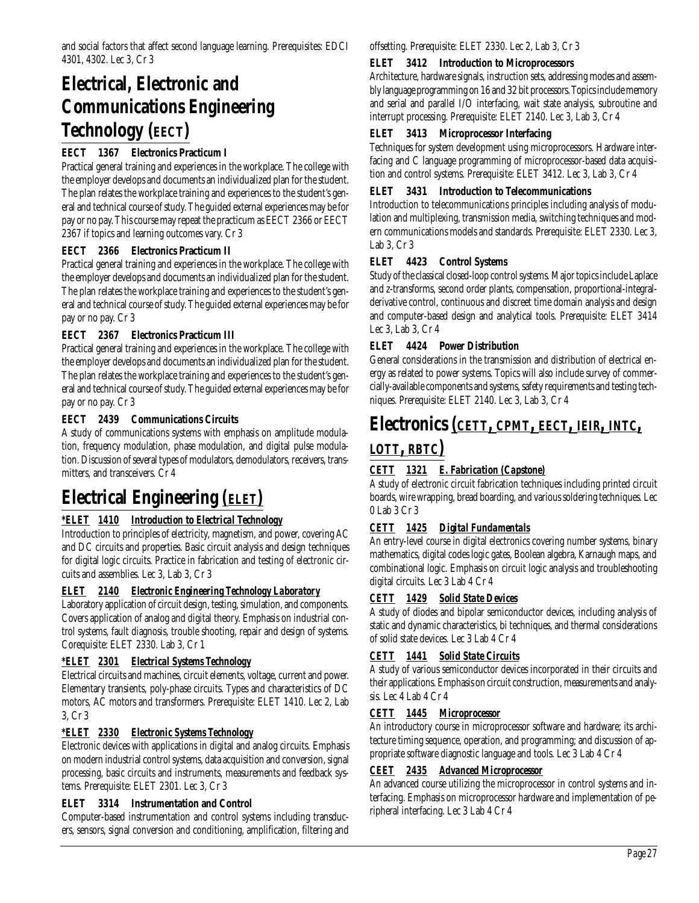# **Electrical, Electronic and Communications Engineering Technology (EECT)**

# **EECT 1367 Electronics Practicum I**

Practical general training and experiences in the workplace. The college with the employer develops and documents an individualized plan for the student. The plan relates the workplace training and experiences to the student's general and technical course of study. The guided external experiences may be for pay or no pay. This course may repeat the practicum as EECT 2366 or EECT 2367 if topics and learning outcomes vary. Cr 3

# **EECT 2366 Electronics Practicum II**

Practical general training and experiences in the workplace. The college with the employer develops and documents an individualized plan for the student. The plan relates the workplace training and experiences to the student's general and technical course of study. The guided external experiences may be for pay or no pay. Cr 3

## **EECT 2367 Electronics Practicum III**

Practical general training and experiences in the workplace. The college with the employer develops and documents an individualized plan for the student. The plan relates the workplace training and experiences to the student's general and technical course of study. The guided external experiences may be for pay or no pay. Cr 3

# **EECT 2439 Communications Circuits**

A study of communications systems with emphasis on amplitude modulation, frequency modulation, phase modulation, and digital pulse modulation. Discussion of several types of modulators, demodulators, receivers, transmitters, and transceivers. Cr 4

# **Electrical Engineering** *(ELET)*

# *\*ELET 1410 Introduction to Electrical Technology*

Introduction to principles of electricity, magnetism, and power, covering AC and DC circuits and properties. Basic circuit analysis and design techniques for digital logic circuits. Practice in fabrication and testing of electronic circuits and assemblies. Lec 3, Lab 3, Cr 3

# *ELET 2140 Electronic Engineering Technology Laboratory*

Laboratory application of circuit design, testing, simulation, and components. Covers application of analog and digital theory. Emphasis on industrial control systems, fault diagnosis, trouble shooting, repair and design of systems. Corequisite: ELET 2330. Lab 3, Cr 1

## *\*ELET 2301 Electrical Systems Technology*

Electrical circuits and machines, circuit elements, voltage, current and power. Elementary transients, poly-phase circuits. Types and characteristics of DC motors, AC motors and transformers. Prerequisite: ELET 1410. Lec 2, Lab 3, Cr 3

## *\*ELET 2330 Electronic Systems Technology*

Electronic devices with applications in digital and analog circuits. Emphasis on modern industrial control systems, data acquisition and conversion, signal processing, basic circuits and instruments, measurements and feedback systems. Prerequisite: ELET 2301. Lec 3, Cr 3

## **ELET 3314 Instrumentation and Control**

Computer-based instrumentation and control systems including transducers, sensors, signal conversion and conditioning, amplification, filtering and offsetting. Prerequisite: ELET 2330. Lec 2, Lab 3, Cr 3

# **ELET 3412 Introduction to Microprocessors**

Architecture, hardware signals, instruction sets, addressing modes and assembly language programming on 16 and 32 bit processors. Topics include memory and serial and parallel I/O interfacing, wait state analysis, subroutine and interrupt processing. Prerequisite: ELET 2140. Lec 3, Lab 3, Cr 4

## **ELET 3413 Microprocessor Interfacing**

Techniques for system development using microprocessors. Hardware interfacing and C language programming of microprocessor-based data acquisition and control systems. Prerequisite: ELET 3412. Lec 3, Lab 3, Cr 4

## **ELET 3431 Introduction to Telecommunications**

Introduction to telecommunications principles including analysis of modulation and multiplexing, transmission media, switching techniques and modern communications models and standards. Prerequisite: ELET 2330. Lec 3, Lab 3, Cr 3

## **ELET 4423 Control Systems**

Study of the classical closed-loop control systems. Major topics include Laplace and z-transforms, second order plants, compensation, proportional-integralderivative control, continuous and discreet time domain analysis and design and computer-based design and analytical tools. Prerequisite: ELET 3414 Lec 3, Lab 3, Cr 4

## **ELET 4424 Power Distribution**

General considerations in the transmission and distribution of electrical energy as related to power systems. Topics will also include survey of commercially-available components and systems, safety requirements and testing techniques. Prerequisite: ELET 2140. Lec 3, Lab 3, Cr 4

# **Electronics** *(CETT, CPMT, EECT, IEIR, INTC,*

# *LOTT, RBTC)*

# *CETT 1321 E. Fabrication (Capstone)*

A study of electronic circuit fabrication techniques including printed circuit boards, wire wrapping, bread boarding, and various soldering techniques. Lec 0 Lab 3 Cr 3

# *CETT 1425 Digital Fundamentals*

An entry-level course in digital electronics covering number systems, binary mathematics, digital codes logic gates, Boolean algebra, Karnaugh maps, and combinational logic. Emphasis on circuit logic analysis and troubleshooting digital circuits. Lec 3 Lab 4 Cr 4

## *CETT 1429 Solid State Devices*

A study of diodes and bipolar semiconductor devices, including analysis of static and dynamic characteristics, bi techniques, and thermal considerations of solid state devices. Lec 3 Lab 4 Cr 4

# *CETT 1441 Solid State Circuits*

A study of various semiconductor devices incorporated in their circuits and their applications. Emphasis on circuit construction, measurements and analysis. Lec 4 Lab 4 Cr 4

## *CETT 1445 Microprocessor*

An introductory course in microprocessor software and hardware; its architecture timing sequence, operation, and programming; and discussion of appropriate software diagnostic language and tools. Lec 3 Lab 4 Cr 4

## *CEET 2435 Advanced Microprocessor*

An advanced course utilizing the microprocessor in control systems and interfacing. Emphasis on microprocessor hardware and implementation of peripheral interfacing. Lec 3 Lab 4 Cr 4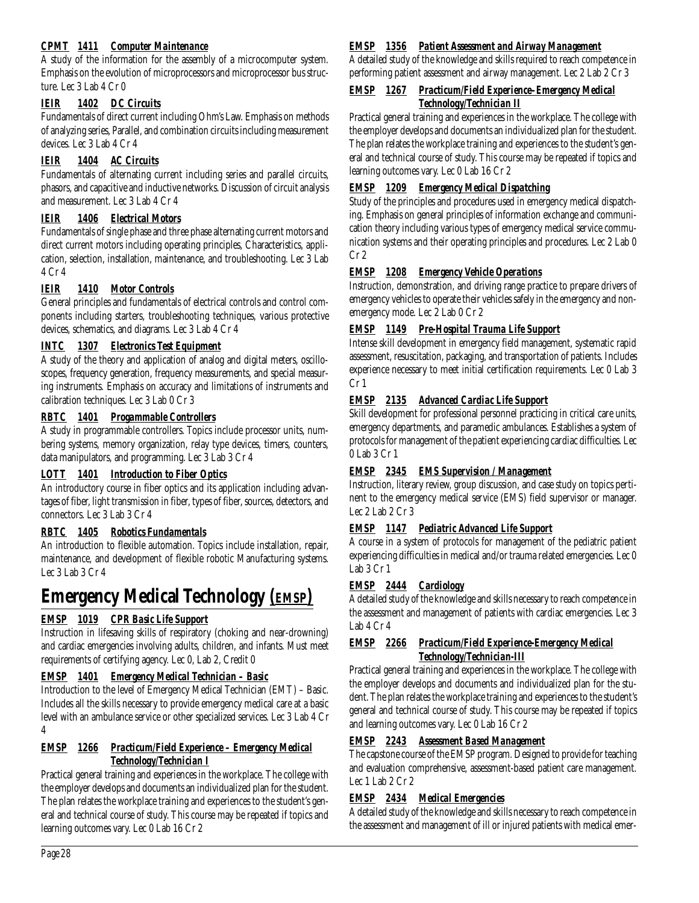# *CPMT 1411 Computer Maintenance*

A study of the information for the assembly of a microcomputer system. Emphasis on the evolution of microprocessors and microprocessor bus structure. Lec 3 Lab 4 Cr 0

## *IEIR 1402 DC Circuits*

Fundamentals of direct current including Ohm's Law. Emphasis on methods of analyzing series, Parallel, and combination circuits including measurement devices. Lec 3 Lab 4 Cr 4

# *IEIR 1404 AC Circuits*

Fundamentals of alternating current including series and parallel circuits, phasors, and capacitive and inductive networks. Discussion of circuit analysis and measurement. Lec 3 Lab 4 Cr 4

# *IEIR 1406 Electrical Motors*

Fundamentals of single phase and three phase alternating current motors and direct current motors including operating principles, Characteristics, application, selection, installation, maintenance, and troubleshooting. Lec 3 Lab 4 Cr 4

# *IEIR 1410 Motor Controls*

General principles and fundamentals of electrical controls and control components including starters, troubleshooting techniques, various protective devices, schematics, and diagrams. Lec 3 Lab 4 Cr 4

# *INTC 1307 Electronics Test Equipment*

A study of the theory and application of analog and digital meters, oscilloscopes, frequency generation, frequency measurements, and special measuring instruments. Emphasis on accuracy and limitations of instruments and calibration techniques. Lec 3 Lab 0 Cr 3

# *RBTC 1401 Progammable Controllers*

A study in programmable controllers. Topics include processor units, numbering systems, memory organization, relay type devices, timers, counters, data manipulators, and programming. Lec 3 Lab 3 Cr 4

## *LOTT 1401 Introduction to Fiber Optics*

An introductory course in fiber optics and its application including advantages of fiber, light transmission in fiber, types of fiber, sources, detectors, and connectors. Lec 3 Lab 3 Cr 4

## *RBTC 1405 Robotics Fundamentals*

An introduction to flexible automation. Topics include installation, repair, maintenance, and development of flexible robotic Manufacturing systems. Lec 3 Lab 3 Cr 4

# **Emergency Medical Technology** *(EMSP)*

# *EMSP 1019 CPR Basic Life Support*

Instruction in lifesaving skills of respiratory (choking and near-drowning) and cardiac emergencies involving adults, children, and infants. Must meet requirements of certifying agency. Lec 0, Lab 2, Credit 0

## *EMSP 1401 Emergency Medical Technician – Basic*

Introduction to the level of Emergency Medical Technician (EMT) – Basic. Includes all the skills necessary to provide emergency medical care at a basic level with an ambulance service or other specialized services. Lec 3 Lab 4 Cr 4

### *EMSP 1266 Practicum/Field Experience – Emergency Medical Technology/Technician I*

Practical general training and experiences in the workplace. The college with the employer develops and documents an individualized plan for the student. The plan relates the workplace training and experiences to the student's general and technical course of study. This course may be repeated if topics and learning outcomes vary. Lec 0 Lab 16 Cr 2

### *EMSP 1356 Patient Assessment and Airway Management*

A detailed study of the knowledge and skills required to reach competence in performing patient assessment and airway management. Lec 2 Lab 2 Cr 3

### *EMSP 1267 Practicum/Field Experience–Emergency Medical Technology/Technician II*

Practical general training and experiences in the workplace. The college with the employer develops and documents an individualized plan for the student. The plan relates the workplace training and experiences to the student's general and technical course of study. This course may be repeated if topics and learning outcomes vary. Lec 0 Lab 16 Cr 2

## *EMSP 1209 Emergency Medical Dispatching*

Study of the principles and procedures used in emergency medical dispatching. Emphasis on general principles of information exchange and communication theory including various types of emergency medical service communication systems and their operating principles and procedures. Lec 2 Lab 0  $Cr<sub>2</sub>$ 

# *EMSP 1208 Emergency Vehicle Operations*

Instruction, demonstration, and driving range practice to prepare drivers of emergency vehicles to operate their vehicles safely in the emergency and nonemergency mode. Lec 2 Lab 0 Cr 2

# *EMSP 1149 Pre-Hospital Trauma Life Support*

Intense skill development in emergency field management, systematic rapid assessment, resuscitation, packaging, and transportation of patients. Includes experience necessary to meet initial certification requirements. Lec 0 Lab 3 Cr 1

# *EMSP 2135 Advanced Cardiac Life Support*

Skill development for professional personnel practicing in critical care units, emergency departments, and paramedic ambulances. Establishes a system of protocols for management of the patient experiencing cardiac difficulties. Lec 0 Lab 3 Cr 1

## *EMSP 2345 EMS Supervision / Management*

Instruction, literary review, group discussion, and case study on topics pertinent to the emergency medical service (EMS) field supervisor or manager. Lec 2 Lab 2 Cr 3

# *EMSP 1147 Pediatric Advanced Life Support*

A course in a system of protocols for management of the pediatric patient experiencing difficulties in medical and/or trauma related emergencies. Lec 0 Lab 3 Cr 1

# *EMSP 2444 Cardiology*

A detailed study of the knowledge and skills necessary to reach competence in the assessment and management of patients with cardiac emergencies. Lec 3 Lab 4 Cr 4

### *EMSP 2266 Practicum/Field Experience-Emergency Medical Technology/Technician-III*

Practical general training and experiences in the workplace. The college with the employer develops and documents and individualized plan for the student. The plan relates the workplace training and experiences to the student's general and technical course of study. This course may be repeated if topics and learning outcomes vary. Lec 0 Lab 16 Cr 2

## *EMSP 2243 Assessment Based Management*

The capstone course of the EMSP program. Designed to provide for teaching and evaluation comprehensive, assessment-based patient care management. Lec 1 Lab 2 Cr 2

# *EMSP 2434 Medical Emergencies*

A detailed study of the knowledge and skills necessary to reach competence in the assessment and management of ill or injured patients with medical emer-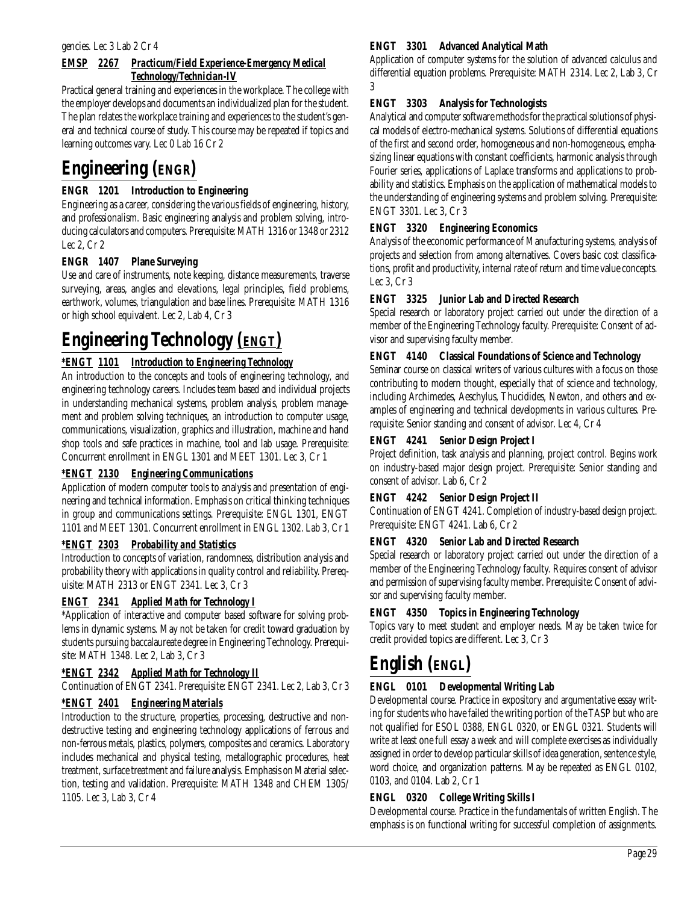#### gencies. Lec 3 Lab 2 Cr 4

# *EMSP 2267 Practicum/Field Experience-Emergency Medical Technology/Technician-IV*

Practical general training and experiences in the workplace. The college with the employer develops and documents an individualized plan for the student. The plan relates the workplace training and experiences to the student's general and technical course of study. This course may be repeated if topics and learning outcomes vary. Lec 0 Lab 16 Cr 2

# **Engineering (ENGR)**

# **ENGR 1201 Introduction to Engineering**

Engineering as a career, considering the various fields of engineering, history, and professionalism. Basic engineering analysis and problem solving, introducing calculators and computers. Prerequisite: MATH 1316 or 1348 or 2312 Lec 2, Cr 2

# **ENGR 1407 Plane Surveying**

Use and care of instruments, note keeping, distance measurements, traverse surveying, areas, angles and elevations, legal principles, field problems, earthwork, volumes, triangulation and base lines. Prerequisite: MATH 1316 or high school equivalent. Lec 2, Lab 4, Cr 3

# **Engineering Technology** *(ENGT)*

# *\*ENGT 1101 Introduction to Engineering Technology*

An introduction to the concepts and tools of engineering technology, and engineering technology careers. Includes team based and individual projects in understanding mechanical systems, problem analysis, problem management and problem solving techniques, an introduction to computer usage, communications, visualization, graphics and illustration, machine and hand shop tools and safe practices in machine, tool and lab usage. Prerequisite: Concurrent enrollment in ENGL 1301 and MEET 1301. Lec 3, Cr 1

## *\*ENGT 2130 Engineering Communications*

Application of modern computer tools to analysis and presentation of engineering and technical information. Emphasis on critical thinking techniques in group and communications settings. Prerequisite: ENGL 1301, ENGT 1101 and MEET 1301. Concurrent enrollment in ENGL 1302. Lab 3, Cr 1

## *\*ENGT 2303 Probability and Statistics*

Introduction to concepts of variation, randomness, distribution analysis and probability theory with applications in quality control and reliability. Prerequisite: MATH 2313 or ENGT 2341. Lec 3, Cr 3

## *ENGT 2341 Applied Math for Technology I*

\*Application of interactive and computer based software for solving problems in dynamic systems. May not be taken for credit toward graduation by students pursuing baccalaureate degree in Engineering Technology. Prerequisite: MATH 1348. Lec 2, Lab 3, Cr 3

## *\*ENGT 2342 Applied Math for Technology II*

Continuation of ENGT 2341. Prerequisite: ENGT 2341. Lec 2, Lab 3, Cr 3

# *\*ENGT 2401 Engineering Materials*

Introduction to the structure, properties, processing, destructive and nondestructive testing and engineering technology applications of ferrous and non-ferrous metals, plastics, polymers, composites and ceramics. Laboratory includes mechanical and physical testing, metallographic procedures, heat treatment, surface treatment and failure analysis. Emphasis on Material selection, testing and validation. Prerequisite: MATH 1348 and CHEM 1305/ 1105. Lec 3, Lab 3, Cr 4

### **ENGT 3301 Advanced Analytical Math**

Application of computer systems for the solution of advanced calculus and differential equation problems. Prerequisite: MATH 2314. Lec 2, Lab 3, Cr 3

## **ENGT 3303 Analysis for Technologists**

Analytical and computer software methods for the practical solutions of physical models of electro-mechanical systems. Solutions of differential equations of the first and second order, homogeneous and non-homogeneous, emphasizing linear equations with constant coefficients, harmonic analysis through Fourier series, applications of Laplace transforms and applications to probability and statistics. Emphasis on the application of mathematical models to the understanding of engineering systems and problem solving. Prerequisite: ENGT 3301. Lec 3, Cr 3

### **ENGT 3320 Engineering Economics**

Analysis of the economic performance of Manufacturing systems, analysis of projects and selection from among alternatives. Covers basic cost classifications, profit and productivity, internal rate of return and time value concepts. Lec 3, Cr 3

### **ENGT 3325 Junior Lab and Directed Research**

Special research or laboratory project carried out under the direction of a member of the Engineering Technology faculty. Prerequisite: Consent of advisor and supervising faculty member.

### **ENGT 4140 Classical Foundations of Science and Technology**

Seminar course on classical writers of various cultures with a focus on those contributing to modern thought, especially that of science and technology, including Archimedes, Aeschylus, Thucidides, Newton, and others and examples of engineering and technical developments in various cultures. Prerequisite: Senior standing and consent of advisor. Lec 4, Cr 4

## **ENGT 4241 Senior Design Project I**

Project definition, task analysis and planning, project control. Begins work on industry-based major design project. Prerequisite: Senior standing and consent of advisor. Lab 6, Cr 2

### **ENGT 4242 Senior Design Project II**

Continuation of ENGT 4241. Completion of industry-based design project. Prerequisite: ENGT 4241. Lab 6, Cr 2

### **ENGT 4320 Senior Lab and Directed Research**

Special research or laboratory project carried out under the direction of a member of the Engineering Technology faculty. Requires consent of advisor and permission of supervising faculty member. Prerequisite: Consent of advisor and supervising faculty member.

### **ENGT 4350 Topics in Engineering Technology**

Topics vary to meet student and employer needs. May be taken twice for credit provided topics are different. Lec 3, Cr 3

# **English (ENGL)**

## **ENGL 0101 Developmental Writing Lab**

Developmental course. Practice in expository and argumentative essay writing for students who have failed the writing portion of the TASP but who are not qualified for ESOL 0388, ENGL 0320, or ENGL 0321. Students will write at least one full essay a week and will complete exercises as individually assigned in order to develop particular skills of idea generation, sentence style, word choice, and organization patterns. May be repeated as ENGL 0102, 0103, and 0104. Lab 2, Cr 1

## **ENGL 0320 College Writing Skills I**

Developmental course. Practice in the fundamentals of written English. The emphasis is on functional writing for successful completion of assignments.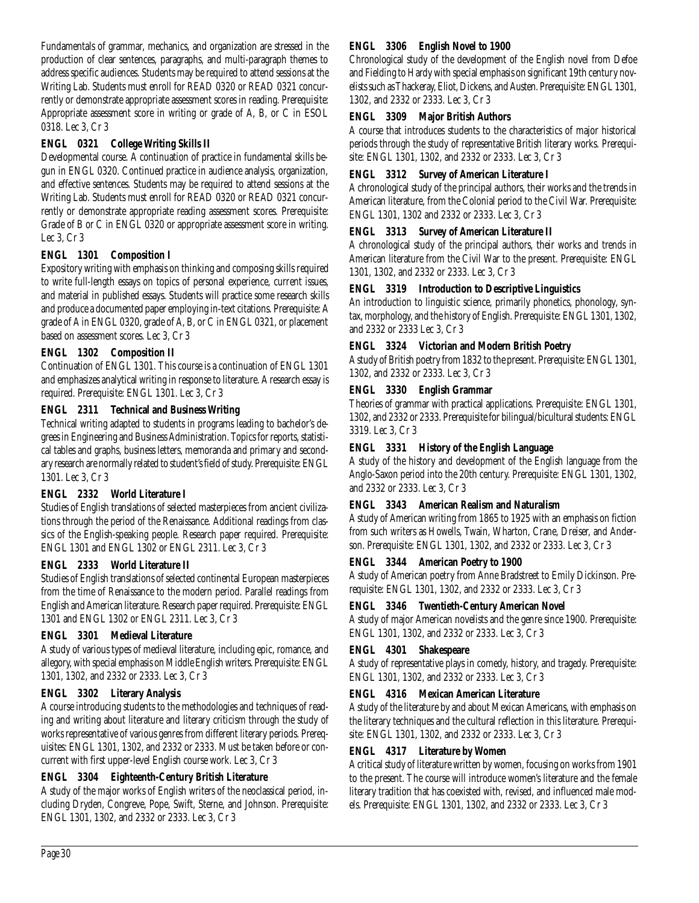Fundamentals of grammar, mechanics, and organization are stressed in the production of clear sentences, paragraphs, and multi-paragraph themes to address specific audiences. Students may be required to attend sessions at the Writing Lab. Students must enroll for READ 0320 or READ 0321 concurrently or demonstrate appropriate assessment scores in reading. Prerequisite: Appropriate assessment score in writing or grade of A, B, or C in ESOL 0318. Lec 3, Cr 3

## **ENGL 0321 College Writing Skills II**

Developmental course. A continuation of practice in fundamental skills begun in ENGL 0320. Continued practice in audience analysis, organization, and effective sentences. Students may be required to attend sessions at the Writing Lab. Students must enroll for READ 0320 or READ 0321 concurrently or demonstrate appropriate reading assessment scores. Prerequisite: Grade of B or C in ENGL 0320 or appropriate assessment score in writing. Lec 3, Cr 3

# **ENGL 1301 Composition I**

Expository writing with emphasis on thinking and composing skills required to write full-length essays on topics of personal experience, current issues, and material in published essays. Students will practice some research skills and produce a documented paper employing in-text citations. Prerequisite: A grade of A in ENGL 0320, grade of A, B, or C in ENGL 0321, or placement based on assessment scores. Lec 3, Cr 3

### **ENGL 1302 Composition II**

Continuation of ENGL 1301. This course is a continuation of ENGL 1301 and emphasizes analytical writing in response to literature. A research essay is required. Prerequisite: ENGL 1301. Lec 3, Cr 3

### **ENGL 2311 Technical and Business Writing**

Technical writing adapted to students in programs leading to bachelor's degrees in Engineering and Business Administration. Topics for reports, statistical tables and graphs, business letters, memoranda and primary and secondary research are normally related to student's field of study. Prerequisite: ENGL 1301. Lec 3, Cr 3

## **ENGL 2332 World Literature I**

Studies of English translations of selected masterpieces from ancient civilizations through the period of the Renaissance. Additional readings from classics of the English-speaking people. Research paper required. Prerequisite: ENGL 1301 and ENGL 1302 or ENGL 2311. Lec 3, Cr 3

## **ENGL 2333 World Literature II**

Studies of English translations of selected continental European masterpieces from the time of Renaissance to the modern period. Parallel readings from English and American literature. Research paper required. Prerequisite: ENGL 1301 and ENGL 1302 or ENGL 2311. Lec 3, Cr 3

## **ENGL 3301 Medieval Literature**

A study of various types of medieval literature, including epic, romance, and allegory, with special emphasis on Middle English writers. Prerequisite: ENGL 1301, 1302, and 2332 or 2333. Lec 3, Cr 3

## **ENGL 3302 Literary Analysis**

A course introducing students to the methodologies and techniques of reading and writing about literature and literary criticism through the study of works representative of various genres from different literary periods. Prerequisites: ENGL 1301, 1302, and 2332 or 2333. Must be taken before or concurrent with first upper-level English course work. Lec 3, Cr 3

## **ENGL 3304 Eighteenth-Century British Literature**

A study of the major works of English writers of the neoclassical period, including Dryden, Congreve, Pope, Swift, Sterne, and Johnson. Prerequisite: ENGL 1301, 1302, and 2332 or 2333. Lec 3, Cr 3

## **ENGL 3306 English Novel to 1900**

Chronological study of the development of the English novel from Defoe and Fielding to Hardy with special emphasis on significant 19th century novelists such as Thackeray, Eliot, Dickens, and Austen. Prerequisite: ENGL 1301, 1302, and 2332 or 2333. Lec 3, Cr 3

### **ENGL 3309 Major British Authors**

A course that introduces students to the characteristics of major historical periods through the study of representative British literary works. Prerequisite: ENGL 1301, 1302, and 2332 or 2333. Lec 3, Cr 3

### **ENGL 3312 Survey of American Literature I**

A chronological study of the principal authors, their works and the trends in American literature, from the Colonial period to the Civil War. Prerequisite: ENGL 1301, 1302 and 2332 or 2333. Lec 3, Cr 3

## **ENGL 3313 Survey of American Literature II**

A chronological study of the principal authors, their works and trends in American literature from the Civil War to the present. Prerequisite: ENGL 1301, 1302, and 2332 or 2333. Lec 3, Cr 3

### **ENGL 3319 Introduction to Descriptive Linguistics**

An introduction to linguistic science, primarily phonetics, phonology, syntax, morphology, and the history of English. Prerequisite: ENGL 1301, 1302, and 2332 or 2333 Lec 3, Cr 3

### **ENGL 3324 Victorian and Modern British Poetry**

A study of British poetry from 1832 to the present. Prerequisite: ENGL 1301, 1302, and 2332 or 2333. Lec 3, Cr 3

### **ENGL 3330 English Grammar**

Theories of grammar with practical applications. Prerequisite: ENGL 1301, 1302, and 2332 or 2333. Prerequisite for bilingual/bicultural students: ENGL 3319. Lec 3, Cr 3

### **ENGL 3331 History of the English Language**

A study of the history and development of the English language from the Anglo-Saxon period into the 20th century. Prerequisite: ENGL 1301, 1302, and 2332 or 2333. Lec 3, Cr 3

### **ENGL 3343 American Realism and Naturalism**

A study of American writing from 1865 to 1925 with an emphasis on fiction from such writers as Howells, Twain, Wharton, Crane, Dreiser, and Anderson. Prerequisite: ENGL 1301, 1302, and 2332 or 2333. Lec 3, Cr 3

### **ENGL 3344 American Poetry to 1900**

A study of American poetry from Anne Bradstreet to Emily Dickinson. Prerequisite: ENGL 1301, 1302, and 2332 or 2333. Lec 3, Cr 3

## **ENGL 3346 Twentieth-Century American Novel**

A study of major American novelists and the genre since 1900. Prerequisite: ENGL 1301, 1302, and 2332 or 2333. Lec 3, Cr 3

### **ENGL 4301 Shakespeare**

A study of representative plays in comedy, history, and tragedy. Prerequisite: ENGL 1301, 1302, and 2332 or 2333. Lec 3, Cr 3

### **ENGL 4316 Mexican American Literature**

A study of the literature by and about Mexican Americans, with emphasis on the literary techniques and the cultural reflection in this literature. Prerequisite: ENGL 1301, 1302, and 2332 or 2333. Lec 3, Cr 3

## **ENGL 4317 Literature by Women**

A critical study of literature written by women, focusing on works from 1901 to the present. The course will introduce women's literature and the female literary tradition that has coexisted with, revised, and influenced male models. Prerequisite: ENGL 1301, 1302, and 2332 or 2333. Lec 3, Cr 3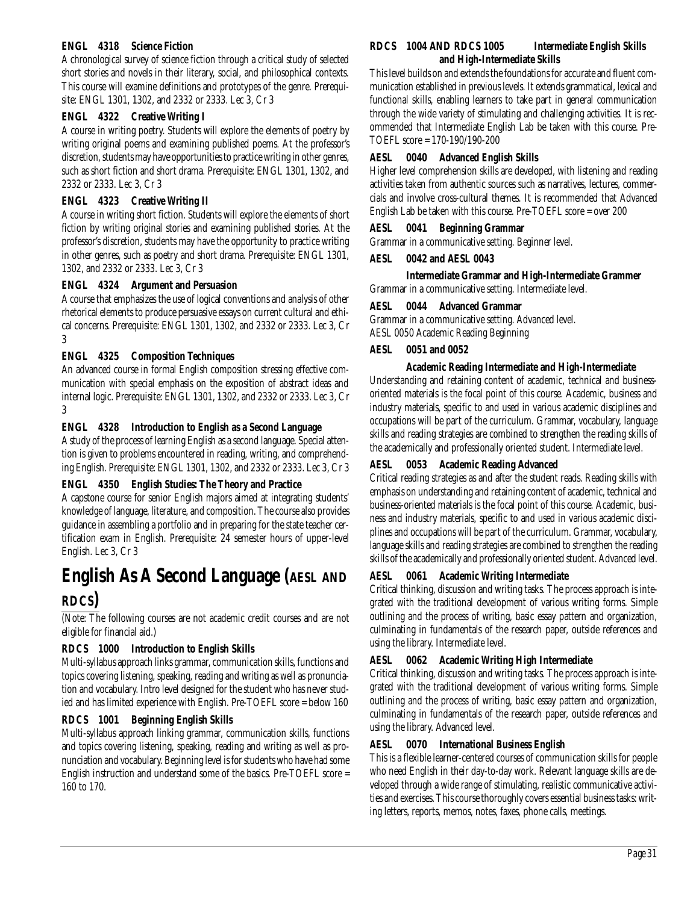### **ENGL 4318 Science Fiction**

A chronological survey of science fiction through a critical study of selected short stories and novels in their literary, social, and philosophical contexts. This course will examine definitions and prototypes of the genre. Prerequisite: ENGL 1301, 1302, and 2332 or 2333. Lec 3, Cr 3

### **ENGL 4322 Creative Writing I**

A course in writing poetry. Students will explore the elements of poetry by writing original poems and examining published poems. At the professor's discretion, students may have opportunities to practice writing in other genres, such as short fiction and short drama. Prerequisite: ENGL 1301, 1302, and 2332 or 2333. Lec 3, Cr 3

### **ENGL 4323 Creative Writing II**

A course in writing short fiction. Students will explore the elements of short fiction by writing original stories and examining published stories. At the professor's discretion, students may have the opportunity to practice writing in other genres, such as poetry and short drama. Prerequisite: ENGL 1301, 1302, and 2332 or 2333. Lec 3, Cr 3

### **ENGL 4324 Argument and Persuasion**

A course that emphasizes the use of logical conventions and analysis of other rhetorical elements to produce persuasive essays on current cultural and ethical concerns. Prerequisite: ENGL 1301, 1302, and 2332 or 2333. Lec 3, Cr 3

### **ENGL 4325 Composition Techniques**

An advanced course in formal English composition stressing effective communication with special emphasis on the exposition of abstract ideas and internal logic. Prerequisite: ENGL 1301, 1302, and 2332 or 2333. Lec 3, Cr 3

### **ENGL 4328 Introduction to English as a Second Language**

A study of the process of learning English as a second language. Special attention is given to problems encountered in reading, writing, and comprehending English. Prerequisite: ENGL 1301, 1302, and 2332 or 2333. Lec 3, Cr 3

### **ENGL 4350 English Studies: The Theory and Practice**

A capstone course for senior English majors aimed at integrating students' knowledge of language, literature, and composition. The course also provides guidance in assembling a portfolio and in preparing for the state teacher certification exam in English. Prerequisite: 24 semester hours of upper-level English. Lec 3, Cr 3

# **English As A Second Language (AESL AND RDCS)**

(Note: The following courses are not academic credit courses and are not eligible for financial aid.)

## **RDCS 1000 Introduction to English Skills**

Multi-syllabus approach links grammar, communication skills, functions and topics covering listening, speaking, reading and writing as well as pronunciation and vocabulary. Intro level designed for the student who has never studied and has limited experience with English. Pre-TOEFL score = below 160

### **RDCS 1001 Beginning English Skills**

Multi-syllabus approach linking grammar, communication skills, functions and topics covering listening, speaking, reading and writing as well as pronunciation and vocabulary. Beginning level is for students who have had some English instruction and understand some of the basics. Pre-TOEFL score = 160 to 170.

### **RDCS 1004 AND RDCS 1005 Intermediate English Skills and High-Intermediate Skills**

This level builds on and extends the foundations for accurate and fluent communication established in previous levels. It extends grammatical, lexical and functional skills, enabling learners to take part in general communication through the wide variety of stimulating and challenging activities. It is recommended that Intermediate English Lab be taken with this course. Pre-TOEFL score = 170-190/190-200

### **AESL 0040 Advanced English Skills**

Higher level comprehension skills are developed, with listening and reading activities taken from authentic sources such as narratives, lectures, commercials and involve cross-cultural themes. It is recommended that Advanced English Lab be taken with this course. Pre-TOEFL score = over 200

### **AESL 0041 Beginning Grammar**

Grammar in a communicative setting. Beginner level.

### **AESL 0042 and AESL 0043**

**Intermediate Grammar and High-Intermediate Grammer**

Grammar in a communicative setting. Intermediate level.

### **AESL 0044 Advanced Grammar**

Grammar in a communicative setting. Advanced level. AESL 0050 Academic Reading Beginning

### **AESL 0051 and 0052**

### **Academic Reading Intermediate and High-Intermediate**

Understanding and retaining content of academic, technical and businessoriented materials is the focal point of this course. Academic, business and industry materials, specific to and used in various academic disciplines and occupations will be part of the curriculum. Grammar, vocabulary, language skills and reading strategies are combined to strengthen the reading skills of the academically and professionally oriented student. Intermediate level.

### **AESL 0053 Academic Reading Advanced**

Critical reading strategies as and after the student reads. Reading skills with emphasis on understanding and retaining content of academic, technical and business-oriented materials is the focal point of this course. Academic, business and industry materials, specific to and used in various academic disciplines and occupations will be part of the curriculum. Grammar, vocabulary, language skills and reading strategies are combined to strengthen the reading skills of the academically and professionally oriented student. Advanced level.

### **AESL 0061 Academic Writing Intermediate**

Critical thinking, discussion and writing tasks. The process approach is integrated with the traditional development of various writing forms. Simple outlining and the process of writing, basic essay pattern and organization, culminating in fundamentals of the research paper, outside references and using the library. Intermediate level.

### **AESL 0062 Academic Writing High Intermediate**

Critical thinking, discussion and writing tasks. The process approach is integrated with the traditional development of various writing forms. Simple outlining and the process of writing, basic essay pattern and organization, culminating in fundamentals of the research paper, outside references and using the library. Advanced level.

### **AESL 0070 International Business English**

This is a flexible learner-centered courses of communication skills for people who need English in their day-to-day work. Relevant language skills are developed through a wide range of stimulating, realistic communicative activities and exercises. This course thoroughly covers essential business tasks: writing letters, reports, memos, notes, faxes, phone calls, meetings.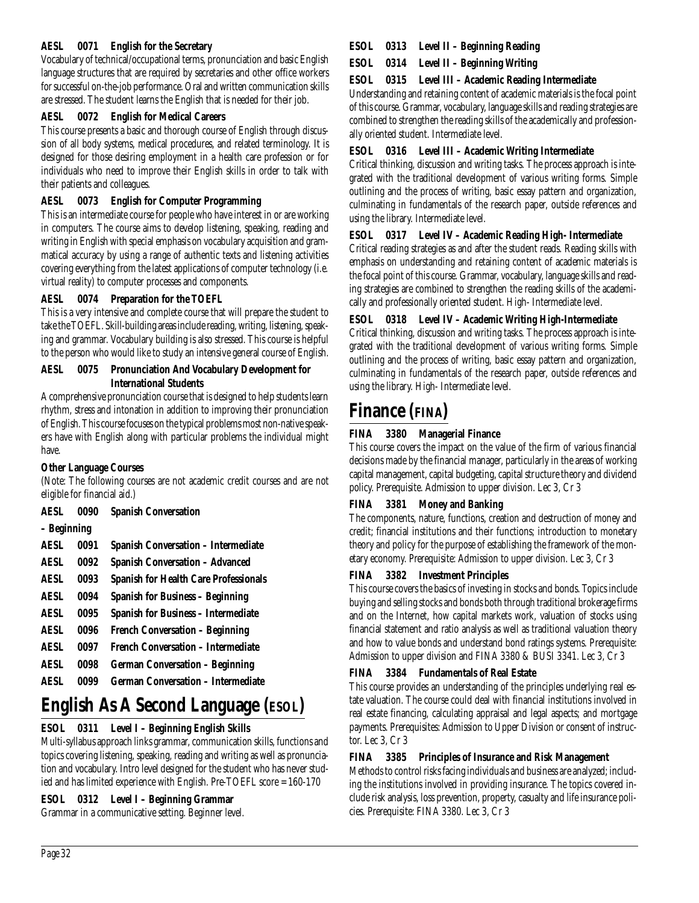### **AESL 0071 English for the Secretary**

Vocabulary of technical/occupational terms, pronunciation and basic English language structures that are required by secretaries and other office workers for successful on-the-job performance. Oral and written communication skills are stressed. The student learns the English that is needed for their job.

# **AESL 0072 English for Medical Careers**

This course presents a basic and thorough course of English through discussion of all body systems, medical procedures, and related terminology. It is designed for those desiring employment in a health care profession or for individuals who need to improve their English skills in order to talk with their patients and colleagues.

# **AESL 0073 English for Computer Programming**

This is an intermediate course for people who have interest in or are working in computers. The course aims to develop listening, speaking, reading and writing in English with special emphasis on vocabulary acquisition and grammatical accuracy by using a range of authentic texts and listening activities covering everything from the latest applications of computer technology (i.e. virtual reality) to computer processes and components.

# **AESL 0074 Preparation for the TOEFL**

This is a very intensive and complete course that will prepare the student to take the TOEFL. Skill-building areas include reading, writing, listening, speaking and grammar. Vocabulary building is also stressed. This course is helpful to the person who would like to study an intensive general course of English.

### **AESL 0075 Pronunciation And Vocabulary Development for International Students**

A comprehensive pronunciation course that is designed to help students learn rhythm, stress and intonation in addition to improving their pronunciation of English. This course focuses on the typical problems most non-native speakers have with English along with particular problems the individual might have.

# **Other Language Courses**

(Note: The following courses are not academic credit courses and are not eligible for financial aid.)

**AESL 0090 Spanish Conversation**

**– Beginning**

| <b>AESL</b> | 0091 | <b>Spanish Conversation - Intermediate</b>   |
|-------------|------|----------------------------------------------|
| <b>AESL</b> | 0092 | <b>Spanish Conversation - Advanced</b>       |
| <b>AESL</b> | 0093 | <b>Spanish for Health Care Professionals</b> |
| <b>AESL</b> | 0094 | <b>Spanish for Business - Beginning</b>      |
| <b>AESL</b> | 0095 | <b>Spanish for Business - Intermediate</b>   |
| <b>AESL</b> | 0096 | French Conversation - Beginning              |
| AESI.       | 0097 | French Conversation - Intermediate           |
| AESI.       | 0098 | <b>German Conversation - Beginning</b>       |
| AESI.       | 0099 | <b>German Conversation - Intermediate</b>    |

# **English As A Second Language (ESOL)**

# **ESOL 0311 Level I – Beginning English Skills**

Multi-syllabus approach links grammar, communication skills, functions and topics covering listening, speaking, reading and writing as well as pronunciation and vocabulary. Intro level designed for the student who has never studied and has limited experience with English. Pre-TOEFL score = 160-170

# **ESOL 0312 Level I – Beginning Grammar**

Grammar in a communicative setting. Beginner level.

# **ESOL 0313 Level II – Beginning Reading**

**ESOL 0314 Level II – Beginning Writing**

### **ESOL 0315 Level III – Academic Reading Intermediate**

Understanding and retaining content of academic materials is the focal point of this course. Grammar, vocabulary, language skills and reading strategies are combined to strengthen the reading skills of the academically and professionally oriented student. Intermediate level.

## **ESOL 0316 Level III – Academic Writing Intermediate**

Critical thinking, discussion and writing tasks. The process approach is integrated with the traditional development of various writing forms. Simple outlining and the process of writing, basic essay pattern and organization, culminating in fundamentals of the research paper, outside references and using the library. Intermediate level.

# **ESOL 0317 Level IV – Academic Reading High- Intermediate**

Critical reading strategies as and after the student reads. Reading skills with emphasis on understanding and retaining content of academic materials is the focal point of this course. Grammar, vocabulary, language skills and reading strategies are combined to strengthen the reading skills of the academically and professionally oriented student. High- Intermediate level.

# **ESOL 0318 Level IV – Academic Writing High-Intermediate**

Critical thinking, discussion and writing tasks. The process approach is integrated with the traditional development of various writing forms. Simple outlining and the process of writing, basic essay pattern and organization, culminating in fundamentals of the research paper, outside references and using the library. High- Intermediate level.

# **Finance (FINA)**

# **FINA 3380 Managerial Finance**

This course covers the impact on the value of the firm of various financial decisions made by the financial manager, particularly in the areas of working capital management, capital budgeting, capital structure theory and dividend policy. Prerequisite. Admission to upper division. Lec 3, Cr 3

## **FINA 3381 Money and Banking**

The components, nature, functions, creation and destruction of money and credit; financial institutions and their functions; introduction to monetary theory and policy for the purpose of establishing the framework of the monetary economy. Prerequisite: Admission to upper division. Lec 3, Cr 3

## **FINA 3382 Investment Principles**

This course covers the basics of investing in stocks and bonds. Topics include buying and selling stocks and bonds both through traditional brokerage firms and on the Internet, how capital markets work, valuation of stocks using financial statement and ratio analysis as well as traditional valuation theory and how to value bonds and understand bond ratings systems. Prerequisite: Admission to upper division and FINA 3380 & BUSI 3341. Lec 3, Cr 3

## **FINA 3384 Fundamentals of Real Estate**

This course provides an understanding of the principles underlying real estate valuation. The course could deal with financial institutions involved in real estate financing, calculating appraisal and legal aspects; and mortgage payments. Prerequisites: Admission to Upper Division or consent of instructor. Lec 3, Cr 3

## **FINA 3385 Principles of Insurance and Risk Management**

Methods to control risks facing individuals and business are analyzed; including the institutions involved in providing insurance. The topics covered include risk analysis, loss prevention, property, casualty and life insurance policies. Prerequisite: FINA 3380. Lec 3, Cr 3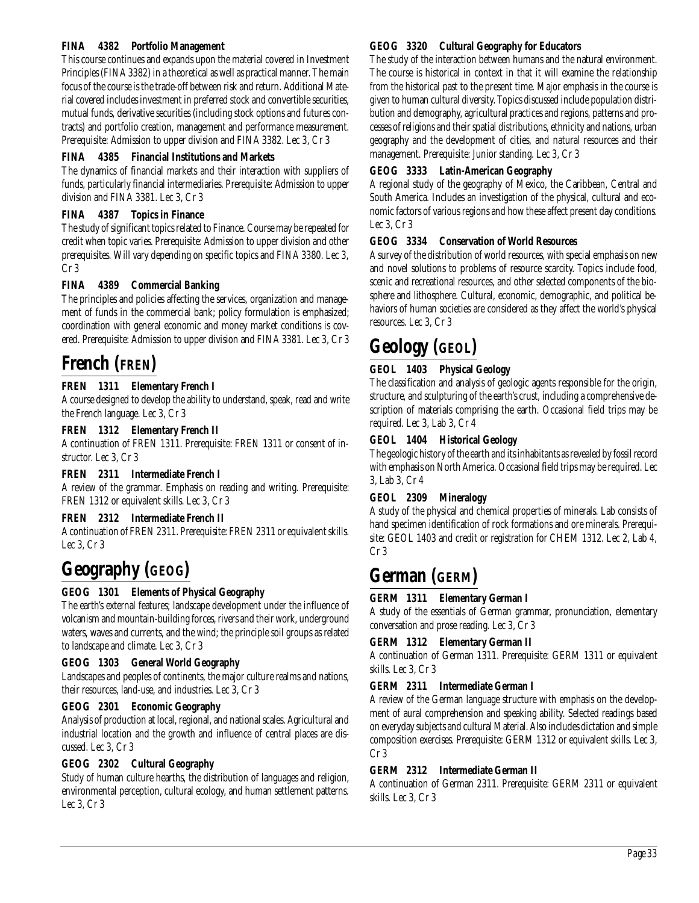### **FINA 4382 Portfolio Management**

This course continues and expands upon the material covered in Investment Principles (FINA 3382) in a theoretical as well as practical manner. The main focus of the course is the trade-off between risk and return. Additional Material covered includes investment in preferred stock and convertible securities, mutual funds, derivative securities (including stock options and futures contracts) and portfolio creation, management and performance measurement. Prerequisite: Admission to upper division and FINA 3382. Lec 3, Cr 3

### **FINA 4385 Financial Institutions and Markets**

The dynamics of financial markets and their interaction with suppliers of funds, particularly financial intermediaries. Prerequisite: Admission to upper division and FINA 3381. Lec 3, Cr 3

### **FINA 4387 Topics in Finance**

The study of significant topics related to Finance. Course may be repeated for credit when topic varies. Prerequisite: Admission to upper division and other prerequisites. Will vary depending on specific topics and FINA 3380. Lec 3, Cr 3

## **FINA 4389 Commercial Banking**

The principles and policies affecting the services, organization and management of funds in the commercial bank; policy formulation is emphasized; coordination with general economic and money market conditions is covered. Prerequisite: Admission to upper division and FINA 3381. Lec 3, Cr 3

# **French (FREN)**

## **FREN 1311 Elementary French I**

A course designed to develop the ability to understand, speak, read and write the French language. Lec 3, Cr 3

### **FREN 1312 Elementary French II**

A continuation of FREN 1311. Prerequisite: FREN 1311 or consent of instructor. Lec 3, Cr 3

### **FREN 2311 Intermediate French I**

A review of the grammar. Emphasis on reading and writing. Prerequisite: FREN 1312 or equivalent skills. Lec 3, Cr 3

### **FREN 2312 Intermediate French II**

A continuation of FREN 2311. Prerequisite: FREN 2311 or equivalent skills. Lec 3, Cr 3

# **Geography (GEOG)**

## **GEOG 1301 Elements of Physical Geography**

The earth's external features; landscape development under the influence of volcanism and mountain-building forces, rivers and their work, underground waters, waves and currents, and the wind; the principle soil groups as related to landscape and climate. Lec 3, Cr 3

### **GEOG 1303 General World Geography**

Landscapes and peoples of continents, the major culture realms and nations, their resources, land-use, and industries. Lec 3, Cr 3

### **GEOG 2301 Economic Geography**

Analysis of production at local, regional, and national scales. Agricultural and industrial location and the growth and influence of central places are discussed. Lec 3, Cr 3

### **GEOG 2302 Cultural Geography**

Study of human culture hearths, the distribution of languages and religion, environmental perception, cultural ecology, and human settlement patterns. Lec 3, Cr 3

#### **GEOG 3320 Cultural Geography for Educators**

The study of the interaction between humans and the natural environment. The course is historical in context in that it will examine the relationship from the historical past to the present time. Major emphasis in the course is given to human cultural diversity. Topics discussed include population distribution and demography, agricultural practices and regions, patterns and processes of religions and their spatial distributions, ethnicity and nations, urban geography and the development of cities, and natural resources and their management. Prerequisite: Junior standing. Lec 3, Cr 3

### **GEOG 3333 Latin-American Geography**

A regional study of the geography of Mexico, the Caribbean, Central and South America. Includes an investigation of the physical, cultural and economic factors of various regions and how these affect present day conditions. Lec 3, Cr 3

### **GEOG 3334 Conservation of World Resources**

A survey of the distribution of world resources, with special emphasis on new and novel solutions to problems of resource scarcity. Topics include food, scenic and recreational resources, and other selected components of the biosphere and lithosphere. Cultural, economic, demographic, and political behaviors of human societies are considered as they affect the world's physical resources. Lec 3, Cr 3

# **Geology (GEOL)**

### **GEOL 1403 Physical Geology**

The classification and analysis of geologic agents responsible for the origin, structure, and sculpturing of the earth's crust, including a comprehensive description of materials comprising the earth. Occasional field trips may be required. Lec 3, Lab 3, Cr 4

### **GEOL 1404 Historical Geology**

The geologic history of the earth and its inhabitants as revealed by fossil record with emphasis on North America. Occasional field trips may be required. Lec 3, Lab 3, Cr 4

### **GEOL 2309 Mineralogy**

A study of the physical and chemical properties of minerals. Lab consists of hand specimen identification of rock formations and ore minerals. Prerequisite: GEOL 1403 and credit or registration for CHEM 1312. Lec 2, Lab 4, Cr 3

# **German (GERM)**

## **GERM 1311 Elementary German I**

A study of the essentials of German grammar, pronunciation, elementary conversation and prose reading. Lec 3, Cr 3

### **GERM 1312 Elementary German II**

A continuation of German 1311. Prerequisite: GERM 1311 or equivalent skills. Lec 3, Cr 3

### **GERM 2311 Intermediate German I**

A review of the German language structure with emphasis on the development of aural comprehension and speaking ability. Selected readings based on everyday subjects and cultural Material. Also includes dictation and simple composition exercises. Prerequisite: GERM 1312 or equivalent skills. Lec 3, Cr 3

### **GERM 2312 Intermediate German II**

A continuation of German 2311. Prerequisite: GERM 2311 or equivalent skills. Lec 3, Cr 3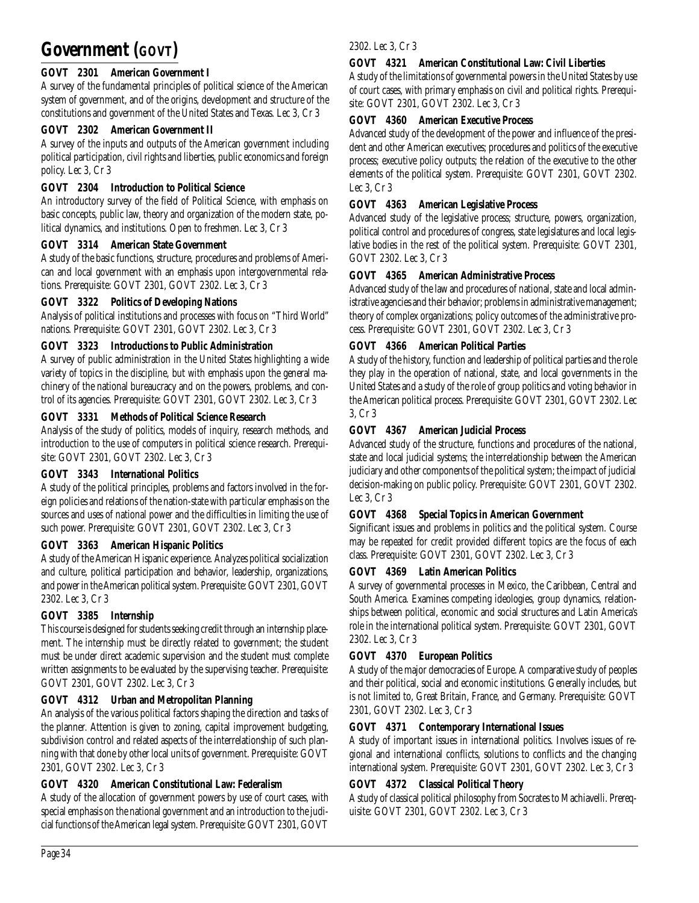# **Government (GOVT)**

# **GOVT 2301 American Government I**

A survey of the fundamental principles of political science of the American system of government, and of the origins, development and structure of the constitutions and government of the United States and Texas. Lec 3, Cr 3

## **GOVT 2302 American Government II**

A survey of the inputs and outputs of the American government including political participation, civil rights and liberties, public economics and foreign policy. Lec 3, Cr 3

# **GOVT 2304 Introduction to Political Science**

An introductory survey of the field of Political Science, with emphasis on basic concepts, public law, theory and organization of the modern state, political dynamics, and institutions. Open to freshmen. Lec 3, Cr 3

# **GOVT 3314 American State Government**

A study of the basic functions, structure, procedures and problems of American and local government with an emphasis upon intergovernmental relations. Prerequisite: GOVT 2301, GOVT 2302. Lec 3, Cr 3

# **GOVT 3322 Politics of Developing Nations**

Analysis of political institutions and processes with focus on "Third World" nations. Prerequisite: GOVT 2301, GOVT 2302. Lec 3, Cr 3

# **GOVT 3323 Introductions to Public Administration**

A survey of public administration in the United States highlighting a wide variety of topics in the discipline, but with emphasis upon the general machinery of the national bureaucracy and on the powers, problems, and control of its agencies. Prerequisite: GOVT 2301, GOVT 2302. Lec 3, Cr 3

# **GOVT 3331 Methods of Political Science Research**

Analysis of the study of politics, models of inquiry, research methods, and introduction to the use of computers in political science research. Prerequisite: GOVT 2301, GOVT 2302. Lec 3, Cr 3

# **GOVT 3343 International Politics**

A study of the political principles, problems and factors involved in the foreign policies and relations of the nation-state with particular emphasis on the sources and uses of national power and the difficulties in limiting the use of such power. Prerequisite: GOVT 2301, GOVT 2302. Lec 3, Cr 3

## **GOVT 3363 American Hispanic Politics**

A study of the American Hispanic experience. Analyzes political socialization and culture, political participation and behavior, leadership, organizations, and power in the American political system. Prerequisite: GOVT 2301, GOVT 2302. Lec 3, Cr 3

## **GOVT 3385 Internship**

This course is designed for students seeking credit through an internship placement. The internship must be directly related to government; the student must be under direct academic supervision and the student must complete written assignments to be evaluated by the supervising teacher. Prerequisite: GOVT 2301, GOVT 2302. Lec 3, Cr 3

# **GOVT 4312 Urban and Metropolitan Planning**

An analysis of the various political factors shaping the direction and tasks of the planner. Attention is given to zoning, capital improvement budgeting, subdivision control and related aspects of the interrelationship of such planning with that done by other local units of government. Prerequisite: GOVT 2301, GOVT 2302. Lec 3, Cr 3

## **GOVT 4320 American Constitutional Law: Federalism**

A study of the allocation of government powers by use of court cases, with special emphasis on the national government and an introduction to the judicial functions of the American legal system. Prerequisite: GOVT 2301, GOVT

### 2302. Lec 3, Cr 3

# **GOVT 4321 American Constitutional Law: Civil Liberties**

A study of the limitations of governmental powers in the United States by use of court cases, with primary emphasis on civil and political rights. Prerequisite: GOVT 2301, GOVT 2302. Lec 3, Cr 3

## **GOVT 4360 American Executive Process**

Advanced study of the development of the power and influence of the president and other American executives; procedures and politics of the executive process; executive policy outputs; the relation of the executive to the other elements of the political system. Prerequisite: GOVT 2301, GOVT 2302. Lec 3, Cr 3

## **GOVT 4363 American Legislative Process**

Advanced study of the legislative process; structure, powers, organization, political control and procedures of congress, state legislatures and local legislative bodies in the rest of the political system. Prerequisite: GOVT 2301, GOVT 2302. Lec 3, Cr 3

## **GOVT 4365 American Administrative Process**

Advanced study of the law and procedures of national, state and local administrative agencies and their behavior; problems in administrative management; theory of complex organizations; policy outcomes of the administrative process. Prerequisite: GOVT 2301, GOVT 2302. Lec 3, Cr 3

## **GOVT 4366 American Political Parties**

A study of the history, function and leadership of political parties and the role they play in the operation of national, state, and local governments in the United States and a study of the role of group politics and voting behavior in the American political process. Prerequisite: GOVT 2301, GOVT 2302. Lec 3, Cr 3

# **GOVT 4367 American Judicial Process**

Advanced study of the structure, functions and procedures of the national, state and local judicial systems; the interrelationship between the American judiciary and other components of the political system; the impact of judicial decision-making on public policy. Prerequisite: GOVT 2301, GOVT 2302. Lec 3, Cr 3

# **GOVT 4368 Special Topics in American Government**

Significant issues and problems in politics and the political system. Course may be repeated for credit provided different topics are the focus of each class. Prerequisite: GOVT 2301, GOVT 2302. Lec 3, Cr 3

## **GOVT 4369 Latin American Politics**

A survey of governmental processes in Mexico, the Caribbean, Central and South America. Examines competing ideologies, group dynamics, relationships between political, economic and social structures and Latin America's role in the international political system. Prerequisite: GOVT 2301, GOVT 2302. Lec 3, Cr 3

## **GOVT 4370 European Politics**

A study of the major democracies of Europe. A comparative study of peoples and their political, social and economic institutions. Generally includes, but is not limited to, Great Britain, France, and Germany. Prerequisite: GOVT 2301, GOVT 2302. Lec 3, Cr 3

## **GOVT 4371 Contemporary International Issues**

A study of important issues in international politics. Involves issues of regional and international conflicts, solutions to conflicts and the changing international system. Prerequisite: GOVT 2301, GOVT 2302. Lec 3, Cr 3

# **GOVT 4372 Classical Political Theory**

A study of classical political philosophy from Socrates to Machiavelli. Prerequisite: GOVT 2301, GOVT 2302. Lec 3, Cr 3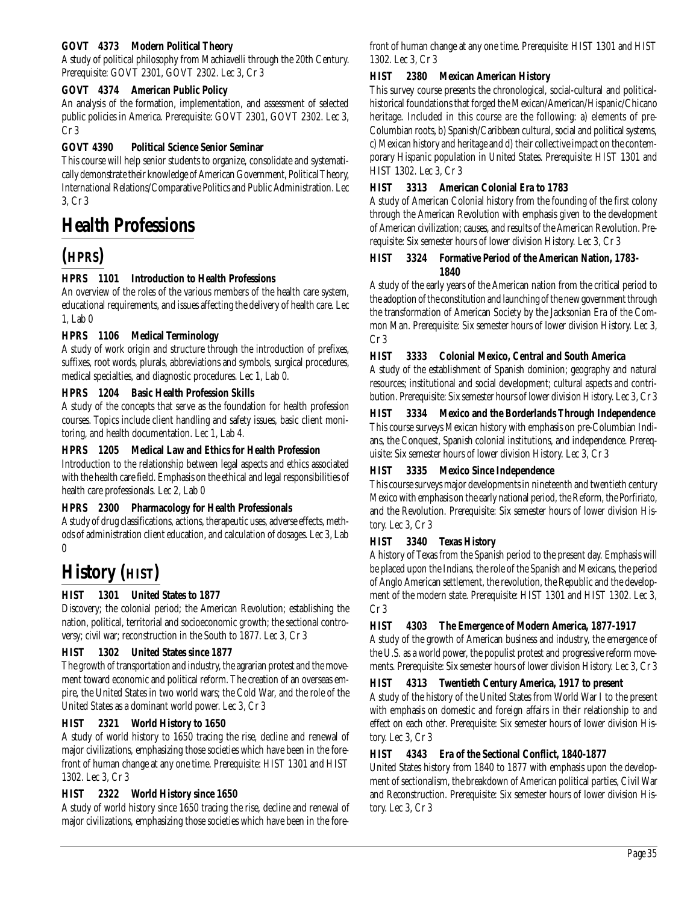## **GOVT 4373 Modern Political Theory**

A study of political philosophy from Machiavelli through the 20th Century. Prerequisite: GOVT 2301, GOVT 2302. Lec 3, Cr 3

### **GOVT 4374 American Public Policy**

An analysis of the formation, implementation, and assessment of selected public policies in America. Prerequisite: GOVT 2301, GOVT 2302. Lec 3, Cr 3

### **GOVT 4390 Political Science Senior Seminar**

This course will help senior students to organize, consolidate and systematically demonstrate their knowledge of American Government, Political Theory, International Relations/Comparative Politics and Public Administration. Lec 3, Cr 3

# **Health Professions**

# **(HPRS)**

## **HPRS 1101 Introduction to Health Professions**

An overview of the roles of the various members of the health care system, educational requirements, and issues affecting the delivery of health care. Lec 1, Lab 0

### **HPRS 1106 Medical Terminology**

A study of work origin and structure through the introduction of prefixes, suffixes, root words, plurals, abbreviations and symbols, surgical procedures, medical specialties, and diagnostic procedures. Lec 1, Lab 0.

### **HPRS 1204 Basic Health Profession Skills**

A study of the concepts that serve as the foundation for health profession courses. Topics include client handling and safety issues, basic client monitoring, and health documentation. Lec 1, Lab 4.

### **HPRS 1205 Medical Law and Ethics for Health Profession**

Introduction to the relationship between legal aspects and ethics associated with the health care field. Emphasis on the ethical and legal responsibilities of health care professionals. Lec 2, Lab 0

### **HPRS 2300 Pharmacology for Health Professionals**

A study of drug classifications, actions, therapeutic uses, adverse effects, methods of administration client education, and calculation of dosages. Lec 3, Lab  $\boldsymbol{0}$ 

# **History (HIST)**

## **HIST 1301 United States to 1877**

Discovery; the colonial period; the American Revolution; establishing the nation, political, territorial and socioeconomic growth; the sectional controversy; civil war; reconstruction in the South to 1877. Lec 3, Cr 3

### **HIST 1302 United States since 1877**

The growth of transportation and industry, the agrarian protest and the movement toward economic and political reform. The creation of an overseas empire, the United States in two world wars; the Cold War, and the role of the United States as a dominant world power. Lec 3, Cr 3

### **HIST 2321 World History to 1650**

A study of world history to 1650 tracing the rise, decline and renewal of major civilizations, emphasizing those societies which have been in the forefront of human change at any one time. Prerequisite: HIST 1301 and HIST 1302. Lec 3, Cr 3

### **HIST 2322 World History since 1650**

A study of world history since 1650 tracing the rise, decline and renewal of major civilizations, emphasizing those societies which have been in the forefront of human change at any one time. Prerequisite: HIST 1301 and HIST 1302. Lec 3, Cr 3

### **HIST 2380 Mexican American History**

This survey course presents the chronological, social-cultural and politicalhistorical foundations that forged the Mexican/American/Hispanic/Chicano heritage. Included in this course are the following: a) elements of pre-Columbian roots, b) Spanish/Caribbean cultural, social and political systems, c) Mexican history and heritage and d) their collective impact on the contemporary Hispanic population in United States. Prerequisite: HIST 1301 and HIST 1302. Lec 3, Cr 3

### **HIST 3313 American Colonial Era to 1783**

A study of American Colonial history from the founding of the first colony through the American Revolution with emphasis given to the development of American civilization; causes, and results of the American Revolution. Prerequisite: Six semester hours of lower division History. Lec 3, Cr 3

### **HIST 3324 Formative Period of the American Nation, 1783- 1840**

A study of the early years of the American nation from the critical period to the adoption of the constitution and launching of the new government through the transformation of American Society by the Jacksonian Era of the Common Man. Prerequisite: Six semester hours of lower division History. Lec 3, Cr 3

### **HIST 3333 Colonial Mexico, Central and South America**

A study of the establishment of Spanish dominion; geography and natural resources; institutional and social development; cultural aspects and contribution. Prerequisite: Six semester hours of lower division History. Lec 3, Cr 3

**HIST 3334 Mexico and the Borderlands Through Independence** This course surveys Mexican history with emphasis on pre-Columbian Indians, the Conquest, Spanish colonial institutions, and independence. Prerequisite: Six semester hours of lower division History. Lec 3, Cr 3

### **HIST 3335 Mexico Since Independence**

This course surveys major developments in nineteenth and twentieth century Mexico with emphasis on the early national period, the Reform, the Porfiriato, and the Revolution. Prerequisite: Six semester hours of lower division History. Lec 3, Cr 3

### **HIST 3340 Texas History**

A history of Texas from the Spanish period to the present day. Emphasis will be placed upon the Indians, the role of the Spanish and Mexicans, the period of Anglo American settlement, the revolution, the Republic and the development of the modern state. Prerequisite: HIST 1301 and HIST 1302. Lec 3, Cr 3

### **HIST 4303 The Emergence of Modern America, 1877-1917**

A study of the growth of American business and industry, the emergence of the U.S. as a world power, the populist protest and progressive reform movements. Prerequisite: Six semester hours of lower division History. Lec 3, Cr 3

### **HIST 4313 Twentieth Century America, 1917 to present**

A study of the history of the United States from World War I to the present with emphasis on domestic and foreign affairs in their relationship to and effect on each other. Prerequisite: Six semester hours of lower division History. Lec 3, Cr 3

### **HIST 4343 Era of the Sectional Conflict, 1840-1877**

United States history from 1840 to 1877 with emphasis upon the development of sectionalism, the breakdown of American political parties, Civil War and Reconstruction. Prerequisite: Six semester hours of lower division History. Lec 3, Cr 3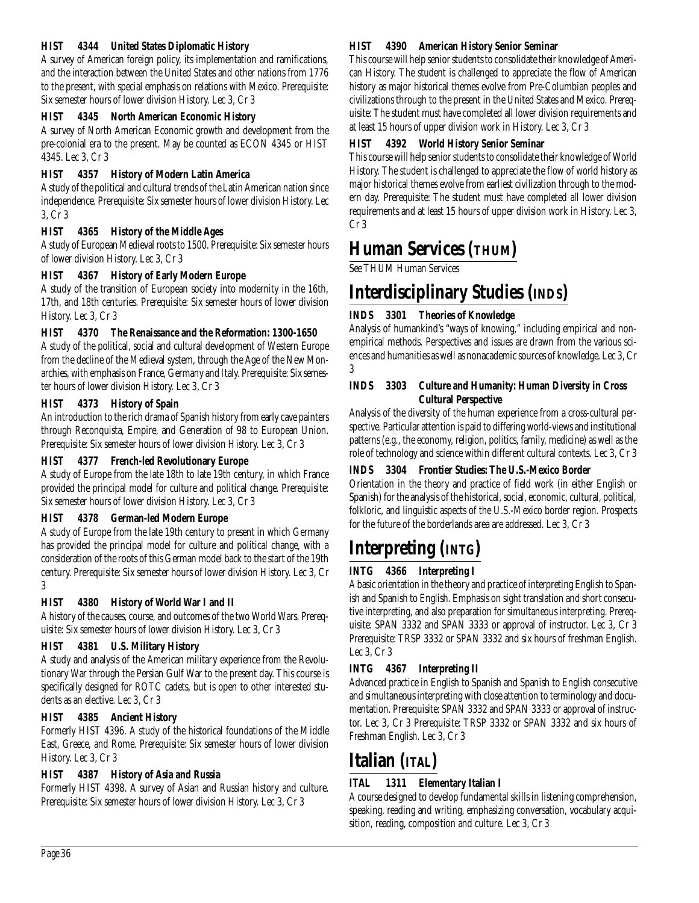## **HIST 4344 United States Diplomatic History**

A survey of American foreign policy, its implementation and ramifications, and the interaction between the United States and other nations from 1776 to the present, with special emphasis on relations with Mexico. Prerequisite: Six semester hours of lower division History. Lec 3, Cr 3

## **HIST 4345 North American Economic History**

A survey of North American Economic growth and development from the pre-colonial era to the present. May be counted as ECON 4345 or HIST 4345. Lec 3, Cr 3

## **HIST 4357 History of Modern Latin America**

A study of the political and cultural trends of the Latin American nation since independence. Prerequisite: Six semester hours of lower division History. Lec 3, Cr 3

# **HIST 4365 History of the Middle Ages**

A study of European Medieval roots to 1500. Prerequisite: Six semester hours of lower division History. Lec 3, Cr 3

# **HIST 4367 History of Early Modern Europe**

A study of the transition of European society into modernity in the 16th, 17th, and 18th centuries. Prerequisite: Six semester hours of lower division History. Lec 3, Cr 3

## **HIST 4370 The Renaissance and the Reformation: 1300-1650**

A study of the political, social and cultural development of Western Europe from the decline of the Medieval system, through the Age of the New Monarchies, with emphasis on France, Germany and Italy. Prerequisite: Six semester hours of lower division History. Lec 3, Cr 3

# **HIST 4373 History of Spain**

An introduction to the rich drama of Spanish history from early cave painters through Reconquista, Empire, and Generation of 98 to European Union. Prerequisite: Six semester hours of lower division History. Lec 3, Cr 3

## **HIST 4377 French-led Revolutionary Europe**

A study of Europe from the late 18th to late 19th century, in which France provided the principal model for culture and political change. Prerequisite: Six semester hours of lower division History. Lec 3, Cr 3

## **HIST 4378 German-led Modern Europe**

A study of Europe from the late 19th century to present in which Germany has provided the principal model for culture and political change, with a consideration of the roots of this German model back to the start of the 19th century. Prerequisite: Six semester hours of lower division History. Lec 3, Cr 3

## **HIST 4380 History of World War I and II**

A history of the causes, course, and outcomes of the two World Wars. Prerequisite: Six semester hours of lower division History. Lec 3, Cr 3

## **HIST 4381 U.S. Military History**

A study and analysis of the American military experience from the Revolutionary War through the Persian Gulf War to the present day. This course is specifically designed for ROTC cadets, but is open to other interested students as an elective. Lec 3, Cr 3

## **HIST 4385 Ancient History**

Formerly HIST 4396. A study of the historical foundations of the Middle East, Greece, and Rome. Prerequisite: Six semester hours of lower division History. Lec 3, Cr 3

# **HIST 4387 History of Asia and Russia**

Formerly HIST 4398. A survey of Asian and Russian history and culture. Prerequisite: Six semester hours of lower division History. Lec 3, Cr 3

### **HIST 4390 American History Senior Seminar**

This course will help senior students to consolidate their knowledge of American History. The student is challenged to appreciate the flow of American history as major historical themes evolve from Pre-Columbian peoples and civilizations through to the present in the United States and Mexico. Prerequisite: The student must have completed all lower division requirements and at least 15 hours of upper division work in History. Lec 3, Cr 3

# **HIST 4392 World History Senior Seminar**

This course will help senior students to consolidate their knowledge of World History. The student is challenged to appreciate the flow of world history as major historical themes evolve from earliest civilization through to the modern day. Prerequisite: The student must have completed all lower division requirements and at least 15 hours of upper division work in History. Lec 3, Cr 3

# **Human Services (THUM)**

See THUM Human Services

# **Interdisciplinary Studies (INDS)**

# **INDS 3301 Theories of Knowledge**

Analysis of humankind's "ways of knowing," including empirical and nonempirical methods. Perspectives and issues are drawn from the various sciences and humanities as well as nonacademic sources of knowledge. Lec 3, Cr 3

### **INDS 3303 Culture and Humanity: Human Diversity in Cross Cultural Perspective**

Analysis of the diversity of the human experience from a cross-cultural perspective. Particular attention is paid to differing world-views and institutional patterns (e.g., the economy, religion, politics, family, medicine) as well as the role of technology and science within different cultural contexts. Lec 3, Cr 3

# **INDS 3304 Frontier Studies: The U.S.-Mexico Border**

Orientation in the theory and practice of field work (in either English or Spanish) for the analysis of the historical, social, economic, cultural, political, folkloric, and linguistic aspects of the U.S.-Mexico border region. Prospects for the future of the borderlands area are addressed. Lec 3, Cr 3

# **Interpreting (INTG)**

# **INTG 4366 Interpreting I**

A basic orientation in the theory and practice of interpreting English to Spanish and Spanish to English. Emphasis on sight translation and short consecutive interpreting, and also preparation for simultaneous interpreting. Prerequisite: SPAN 3332 and SPAN 3333 or approval of instructor. Lec 3, Cr 3 Prerequisite: TRSP 3332 or SPAN 3332 and six hours of freshman English. Lec 3, Cr 3

# **INTG 4367 Interpreting II**

Advanced practice in English to Spanish and Spanish to English consecutive and simultaneous interpreting with close attention to terminology and documentation. Prerequisite: SPAN 3332 and SPAN 3333 or approval of instructor. Lec 3, Cr 3 Prerequisite: TRSP 3332 or SPAN 3332 and six hours of Freshman English. Lec 3, Cr 3

# **Italian (ITAL)**

# **ITAL 1311 Elementary Italian I**

A course designed to develop fundamental skills in listening comprehension, speaking, reading and writing, emphasizing conversation, vocabulary acquisition, reading, composition and culture. Lec 3, Cr 3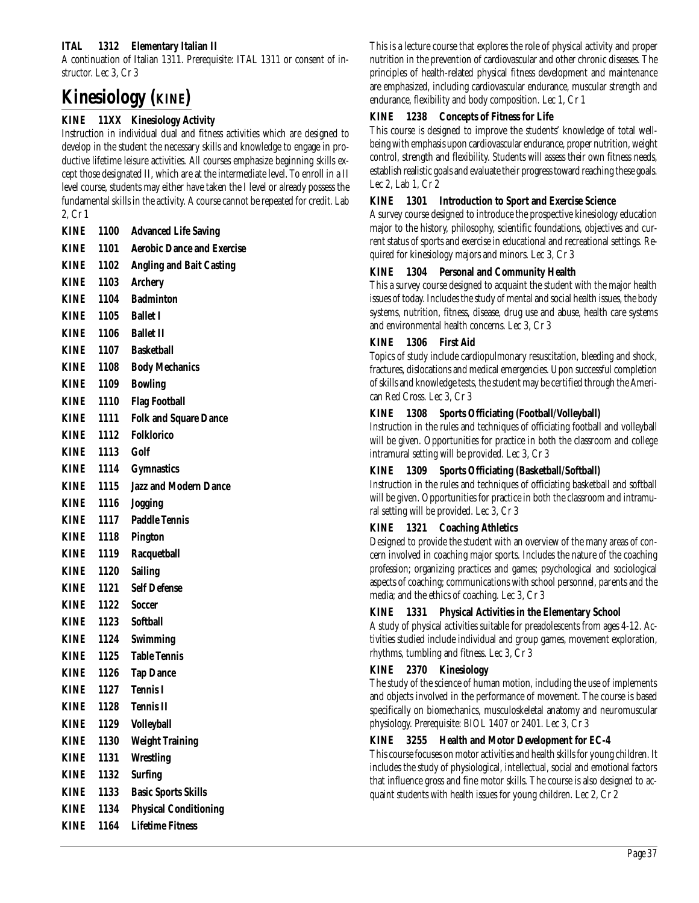### **ITAL 1312 Elementary Italian II**

A continuation of Italian 1311. Prerequisite: ITAL 1311 or consent of instructor. Lec 3, Cr 3

# **Kinesiology (KINE)**

## **KINE 11XX Kinesiology Activity**

Instruction in individual dual and fitness activities which are designed to develop in the student the necessary skills and knowledge to engage in productive lifetime leisure activities. All courses emphasize beginning skills except those designated II, which are at the intermediate level. To enroll in a II level course, students may either have taken the I level or already possess the fundamental skills in the activity. A course cannot be repeated for credit. Lab 2, Cr 1

| <b>KINE</b> | 1100      | <b>Advanced Life Saving</b>       |
|-------------|-----------|-----------------------------------|
| <b>KINE</b> | 1101      | <b>Aerobic Dance and Exercise</b> |
| <b>KINE</b> | 1102      | <b>Angling and Bait Casting</b>   |
| <b>KINE</b> | 1103      | <b>Archery</b>                    |
| <b>KINE</b> | 1104      | <b>Badminton</b>                  |
| <b>KINE</b> |           | 1105 Ballet I                     |
| KINE        |           | 1106 Ballet II                    |
| <b>KINE</b> | 1107      | <b>Basketball</b>                 |
| <b>KINE</b> | 1108      | <b>Body Mechanics</b>             |
| <b>KINE</b> | 1109      | <b>Bowling</b>                    |
| <b>KINE</b> | 1110      | <b>Flag Football</b>              |
| KINE        | 1111      | <b>Folk and Square Dance</b>      |
| <b>KINE</b> | 1112      | <b>Folklorico</b>                 |
| KINE        | 1113 Golf |                                   |
| <b>KINE</b> | 1114      | <b>Gymnastics</b>                 |
| <b>KINE</b> | 1115      | <b>Jazz and Modern Dance</b>      |
| <b>KINE</b> | 1116      | <b>Jogging</b>                    |
| <b>KINE</b> | 1117      | <b>Paddle Tennis</b>              |
| <b>KINE</b> | 1118      | <b>Pington</b>                    |
| <b>KINE</b> | 1119      | <b>Racquetball</b>                |
| <b>KINE</b> | 1120      | <b>Sailing</b>                    |
| <b>KINE</b> | 1121      | <b>Self Defense</b>               |
| KINE        | 1122      | <b>Soccer</b>                     |
| KINE        | 1123      | <b>Softball</b>                   |
| <b>KINE</b> | 1124      | Swimming                          |
| KINE        | 1125      | <b>Table Tennis</b>               |
| KINE        | 1126      | <b>Tap Dance</b>                  |
| KINE        | 1127      | <b>Tennis I</b>                   |
| <b>KINE</b> | 1128      | <b>Tennis II</b>                  |
| <b>KINE</b> | 1129      | <b>Volleyball</b>                 |
| <b>KINE</b> | 1130      | <b>Weight Training</b>            |
| <b>KINE</b> | 1131      | <b>Wrestling</b>                  |
| <b>KINE</b> | 1132      | <b>Surfing</b>                    |
| <b>KINE</b> | 1133      | <b>Basic Sports Skills</b>        |
| <b>KINE</b> | 1134      | <b>Physical Conditioning</b>      |
| <b>KINE</b> | 1164      | <b>Lifetime Fitness</b>           |

This is a lecture course that explores the role of physical activity and proper nutrition in the prevention of cardiovascular and other chronic diseases. The principles of health-related physical fitness development and maintenance are emphasized, including cardiovascular endurance, muscular strength and endurance, flexibility and body composition. Lec 1, Cr 1

### **KINE 1238 Concepts of Fitness for Life**

This course is designed to improve the students' knowledge of total wellbeing with emphasis upon cardiovascular endurance, proper nutrition, weight control, strength and flexibility. Students will assess their own fitness needs, establish realistic goals and evaluate their progress toward reaching these goals. Lec 2, Lab 1, Cr 2

### **KINE 1301 Introduction to Sport and Exercise Science**

A survey course designed to introduce the prospective kinesiology education major to the history, philosophy, scientific foundations, objectives and current status of sports and exercise in educational and recreational settings. Required for kinesiology majors and minors. Lec 3, Cr 3

### **KINE 1304 Personal and Community Health**

This a survey course designed to acquaint the student with the major health issues of today. Includes the study of mental and social health issues, the body systems, nutrition, fitness, disease, drug use and abuse, health care systems and environmental health concerns. Lec 3, Cr 3

#### **KINE 1306 First Aid**

Topics of study include cardiopulmonary resuscitation, bleeding and shock, fractures, dislocations and medical emergencies. Upon successful completion of skills and knowledge tests, the student may be certified through the American Red Cross. Lec 3, Cr 3

### **KINE 1308 Sports Officiating (Football/Volleyball)**

Instruction in the rules and techniques of officiating football and volleyball will be given. Opportunities for practice in both the classroom and college intramural setting will be provided. Lec 3, Cr 3

### **KINE 1309 Sports Officiating (Basketball/Softball)**

Instruction in the rules and techniques of officiating basketball and softball will be given. Opportunities for practice in both the classroom and intramural setting will be provided. Lec 3, Cr 3

### **KINE 1321 Coaching Athletics**

Designed to provide the student with an overview of the many areas of concern involved in coaching major sports. Includes the nature of the coaching profession; organizing practices and games; psychological and sociological aspects of coaching; communications with school personnel, parents and the media; and the ethics of coaching. Lec 3, Cr 3

### **KINE 1331 Physical Activities in the Elementary School**

A study of physical activities suitable for preadolescents from ages 4-12. Activities studied include individual and group games, movement exploration, rhythms, tumbling and fitness. Lec 3, Cr 3

### **KINE 2370 Kinesiology**

The study of the science of human motion, including the use of implements and objects involved in the performance of movement. The course is based specifically on biomechanics, musculoskeletal anatomy and neuromuscular physiology. Prerequisite: BIOL 1407 or 2401. Lec 3, Cr 3

### **KINE 3255 Health and Motor Development for EC-4**

This course focuses on motor activities and health skills for young children. It includes the study of physiological, intellectual, social and emotional factors that influence gross and fine motor skills. The course is also designed to acquaint students with health issues for young children. Lec 2, Cr 2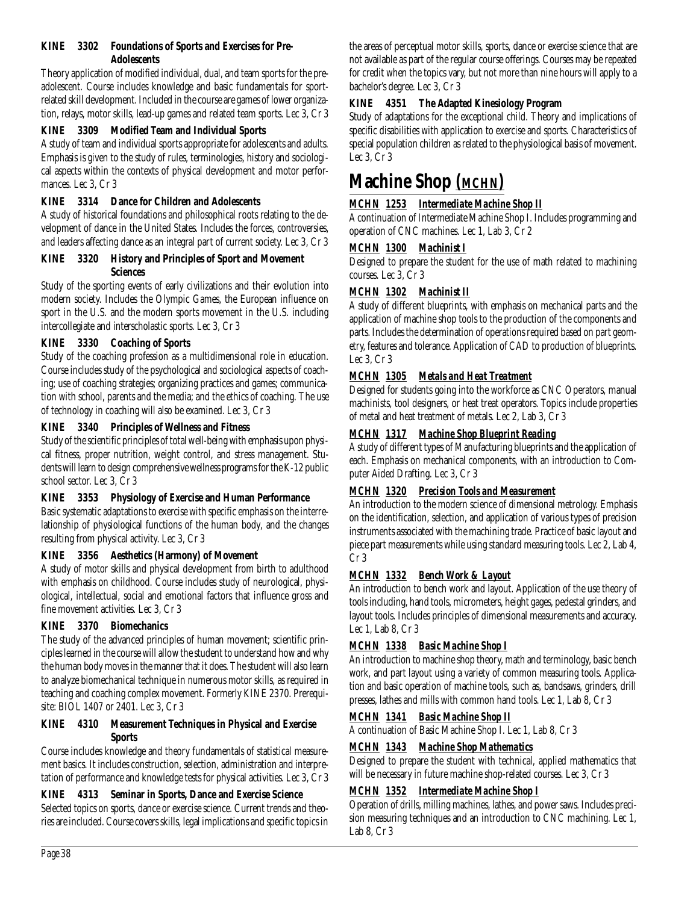#### **KINE 3302 Foundations of Sports and Exercises for Pre-Adolescents**

Theory application of modified individual, dual, and team sports for the preadolescent. Course includes knowledge and basic fundamentals for sportrelated skill development. Included in the course are games of lower organization, relays, motor skills, lead-up games and related team sports. Lec 3, Cr 3

#### **KINE 3309 Modified Team and Individual Sports**

A study of team and individual sports appropriate for adolescents and adults. Emphasis is given to the study of rules, terminologies, history and sociological aspects within the contexts of physical development and motor performances. Lec 3, Cr 3

#### **KINE 3314 Dance for Children and Adolescents**

A study of historical foundations and philosophical roots relating to the development of dance in the United States. Includes the forces, controversies, and leaders affecting dance as an integral part of current society. Lec 3, Cr 3

#### **KINE 3320 History and Principles of Sport and Movement Sciences**

Study of the sporting events of early civilizations and their evolution into modern society. Includes the Olympic Games, the European influence on sport in the U.S. and the modern sports movement in the U.S. including intercollegiate and interscholastic sports. Lec 3, Cr 3

# **KINE 3330 Coaching of Sports**

Study of the coaching profession as a multidimensional role in education. Course includes study of the psychological and sociological aspects of coaching; use of coaching strategies; organizing practices and games; communication with school, parents and the media; and the ethics of coaching. The use of technology in coaching will also be examined. Lec 3, Cr 3

#### **KINE 3340 Principles of Wellness and Fitness**

Study of the scientific principles of total well-being with emphasis upon physical fitness, proper nutrition, weight control, and stress management. Students will learn to design comprehensive wellness programs for the K-12 public school sector. Lec 3, Cr 3

# **KINE 3353 Physiology of Exercise and Human Performance**

Basic systematic adaptations to exercise with specific emphasis on the interrelationship of physiological functions of the human body, and the changes resulting from physical activity. Lec 3, Cr 3

# **KINE 3356 Aesthetics (Harmony) of Movement**

A study of motor skills and physical development from birth to adulthood with emphasis on childhood. Course includes study of neurological, physiological, intellectual, social and emotional factors that influence gross and fine movement activities. Lec 3, Cr 3

# **KINE 3370 Biomechanics**

The study of the advanced principles of human movement; scientific principles learned in the course will allow the student to understand how and why the human body moves in the manner that it does. The student will also learn to analyze biomechanical technique in numerous motor skills, as required in teaching and coaching complex movement. Formerly KINE 2370. Prerequisite: BIOL 1407 or 2401. Lec 3, Cr 3

#### **KINE 4310 Measurement Techniques in Physical and Exercise Sports**

Course includes knowledge and theory fundamentals of statistical measurement basics. It includes construction, selection, administration and interpretation of performance and knowledge tests for physical activities. Lec 3, Cr 3

# **KINE 4313 Seminar in Sports, Dance and Exercise Science**

Selected topics on sports, dance or exercise science. Current trends and theories are included. Course covers skills, legal implications and specific topics in the areas of perceptual motor skills, sports, dance or exercise science that are not available as part of the regular course offerings. Courses may be repeated for credit when the topics vary, but not more than nine hours will apply to a bachelor's degree. Lec 3, Cr 3

# **KINE 4351 The Adapted Kinesiology Program**

Study of adaptations for the exceptional child. Theory and implications of specific disabilities with application to exercise and sports. Characteristics of special population children as related to the physiological basis of movement. Lec 3, Cr 3

# **Machine Shop** *(MCHN)*

# *MCHN 1253 Intermediate Machine Shop II*

A continuation of Intermediate Machine Shop I. Includes programming and operation of CNC machines. Lec 1, Lab 3, Cr 2

# *MCHN 1300 Machinist I*

Designed to prepare the student for the use of math related to machining courses. Lec 3, Cr 3

# *MCHN 1302 Machinist II*

A study of different blueprints, with emphasis on mechanical parts and the application of machine shop tools to the production of the components and parts. Includes the determination of operations required based on part geometry, features and tolerance. Application of CAD to production of blueprints. Lec 3, Cr 3

# *MCHN 1305 Metals and Heat Treatment*

Designed for students going into the workforce as CNC Operators, manual machinists, tool designers, or heat treat operators. Topics include properties of metal and heat treatment of metals. Lec 2, Lab 3, Cr 3

# *MCHN 1317 Machine Shop Blueprint Reading*

A study of different types of Manufacturing blueprints and the application of each. Emphasis on mechanical components, with an introduction to Computer Aided Drafting. Lec 3, Cr 3

# *MCHN 1320 Precision Tools and Measurement*

An introduction to the modern science of dimensional metrology. Emphasis on the identification, selection, and application of various types of precision instruments associated with the machining trade. Practice of basic layout and piece part measurements while using standard measuring tools. Lec 2, Lab 4, Cr 3

# *MCHN 1332 Bench Work & Layout*

An introduction to bench work and layout. Application of the use theory of tools including, hand tools, micrometers, height gages, pedestal grinders, and layout tools. Includes principles of dimensional measurements and accuracy. Lec 1, Lab 8, Cr 3

# *MCHN 1338 Basic Machine Shop I*

An introduction to machine shop theory, math and terminology, basic bench work, and part layout using a variety of common measuring tools. Application and basic operation of machine tools, such as, bandsaws, grinders, drill presses, lathes and mills with common hand tools. Lec 1, Lab 8, Cr 3

# *MCHN 1341 Basic Machine Shop II*

A continuation of Basic Machine Shop I. Lec 1, Lab 8, Cr 3

# *MCHN 1343 Machine Shop Mathematics*

Designed to prepare the student with technical, applied mathematics that will be necessary in future machine shop-related courses. Lec 3, Cr 3

# *MCHN 1352 Intermediate Machine Shop I*

Operation of drills, milling machines, lathes, and power saws. Includes precision measuring techniques and an introduction to CNC machining. Lec 1, Lab 8, Cr 3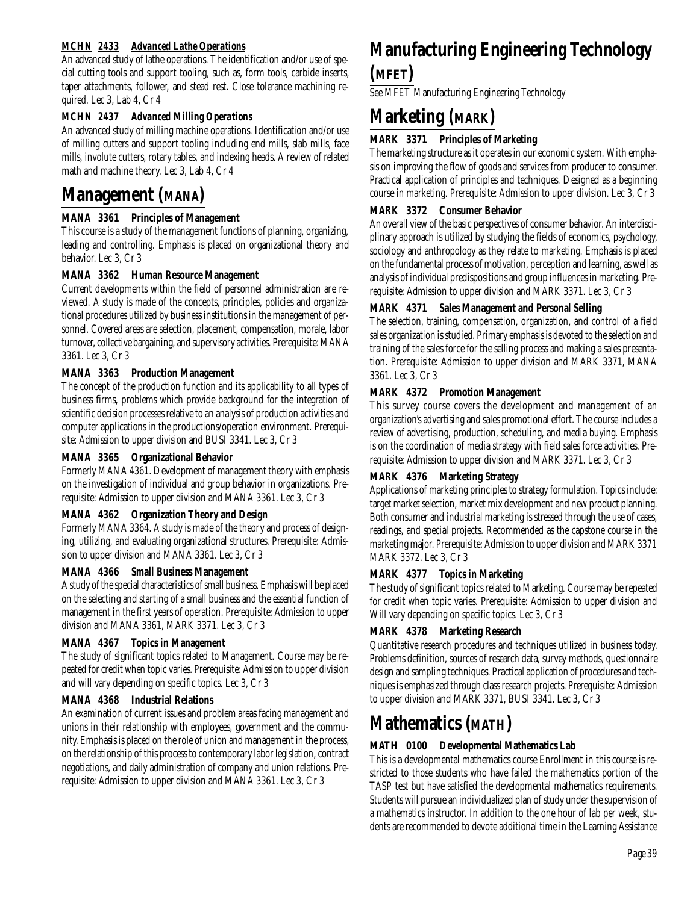# *MCHN 2433 Advanced Lathe Operations*

An advanced study of lathe operations. The identification and/or use of special cutting tools and support tooling, such as, form tools, carbide inserts, taper attachments, follower, and stead rest. Close tolerance machining required. Lec 3, Lab 4, Cr 4

# *MCHN 2437 Advanced Milling Operations*

An advanced study of milling machine operations. Identification and/or use of milling cutters and support tooling including end mills, slab mills, face mills, involute cutters, rotary tables, and indexing heads. A review of related math and machine theory. Lec 3, Lab 4, Cr 4

# **Management (MANA)**

#### **MANA 3361 Principles of Management**

This course is a study of the management functions of planning, organizing, leading and controlling. Emphasis is placed on organizational theory and behavior. Lec 3, Cr 3

#### **MANA 3362 Human Resource Management**

Current developments within the field of personnel administration are reviewed. A study is made of the concepts, principles, policies and organizational procedures utilized by business institutions in the management of personnel. Covered areas are selection, placement, compensation, morale, labor turnover, collective bargaining, and supervisory activities. Prerequisite: MANA 3361. Lec 3, Cr 3

#### **MANA 3363 Production Management**

The concept of the production function and its applicability to all types of business firms, problems which provide background for the integration of scientific decision processes relative to an analysis of production activities and computer applications in the productions/operation environment. Prerequisite: Admission to upper division and BUSI 3341. Lec 3, Cr 3

#### **MANA 3365 Organizational Behavior**

Formerly MANA 4361. Development of management theory with emphasis on the investigation of individual and group behavior in organizations. Prerequisite: Admission to upper division and MANA 3361. Lec 3, Cr 3

# **MANA 4362 Organization Theory and Design**

Formerly MANA 3364. A study is made of the theory and process of designing, utilizing, and evaluating organizational structures. Prerequisite: Admission to upper division and MANA 3361. Lec 3, Cr 3

#### **MANA 4366 Small Business Management**

A study of the special characteristics of small business. Emphasis will be placed on the selecting and starting of a small business and the essential function of management in the first years of operation. Prerequisite: Admission to upper division and MANA 3361, MARK 3371. Lec 3, Cr 3

#### **MANA 4367 Topics in Management**

The study of significant topics related to Management. Course may be repeated for credit when topic varies. Prerequisite: Admission to upper division and will vary depending on specific topics. Lec 3, Cr 3

#### **MANA 4368 Industrial Relations**

An examination of current issues and problem areas facing management and unions in their relationship with employees, government and the community. Emphasis is placed on the role of union and management in the process, on the relationship of this process to contemporary labor legislation, contract negotiations, and daily administration of company and union relations. Prerequisite: Admission to upper division and MANA 3361. Lec 3, Cr 3

# **Manufacturing Engineering Technology (MFET)**

See MFET Manufacturing Engineering Technology

# **Marketing (MARK)**

# **MARK 3371 Principles of Marketing**

The marketing structure as it operates in our economic system. With emphasis on improving the flow of goods and services from producer to consumer. Practical application of principles and techniques. Designed as a beginning course in marketing. Prerequisite: Admission to upper division. Lec 3, Cr 3

#### **MARK 3372 Consumer Behavior**

An overall view of the basic perspectives of consumer behavior. An interdisciplinary approach is utilized by studying the fields of economics, psychology, sociology and anthropology as they relate to marketing. Emphasis is placed on the fundamental process of motivation, perception and learning, as well as analysis of individual predispositions and group influences in marketing. Prerequisite: Admission to upper division and MARK 3371. Lec 3, Cr 3

#### **MARK 4371 Sales Management and Personal Selling**

The selection, training, compensation, organization, and control of a field sales organization is studied. Primary emphasis is devoted to the selection and training of the sales force for the selling process and making a sales presentation. Prerequisite: Admission to upper division and MARK 3371, MANA 3361. Lec 3, Cr 3

#### **MARK 4372 Promotion Management**

This survey course covers the development and management of an organization's advertising and sales promotional effort. The course includes a review of advertising, production, scheduling, and media buying. Emphasis is on the coordination of media strategy with field sales force activities. Prerequisite: Admission to upper division and MARK 3371. Lec 3, Cr 3

#### **MARK 4376 Marketing Strategy**

Applications of marketing principles to strategy formulation. Topics include: target market selection, market mix development and new product planning. Both consumer and industrial marketing is stressed through the use of cases, readings, and special projects. Recommended as the capstone course in the marketing major. Prerequisite: Admission to upper division and MARK 3371 MARK 3372. Lec 3, Cr 3

#### **MARK 4377 Topics in Marketing**

The study of significant topics related to Marketing. Course may be repeated for credit when topic varies. Prerequisite: Admission to upper division and Will vary depending on specific topics. Lec 3, Cr 3

# **MARK 4378 Marketing Research**

Quantitative research procedures and techniques utilized in business today. Problems definition, sources of research data, survey methods, questionnaire design and sampling techniques. Practical application of procedures and techniques is emphasized through class research projects. Prerequisite: Admission to upper division and MARK 3371, BUSI 3341. Lec 3, Cr 3

# **Mathematics (MATH)**

# **MATH 0100 Developmental Mathematics Lab**

This is a developmental mathematics course Enrollment in this course is restricted to those students who have failed the mathematics portion of the TASP test but have satisfied the developmental mathematics requirements. Students will pursue an individualized plan of study under the supervision of a mathematics instructor. In addition to the one hour of lab per week, students are recommended to devote additional time in the Learning Assistance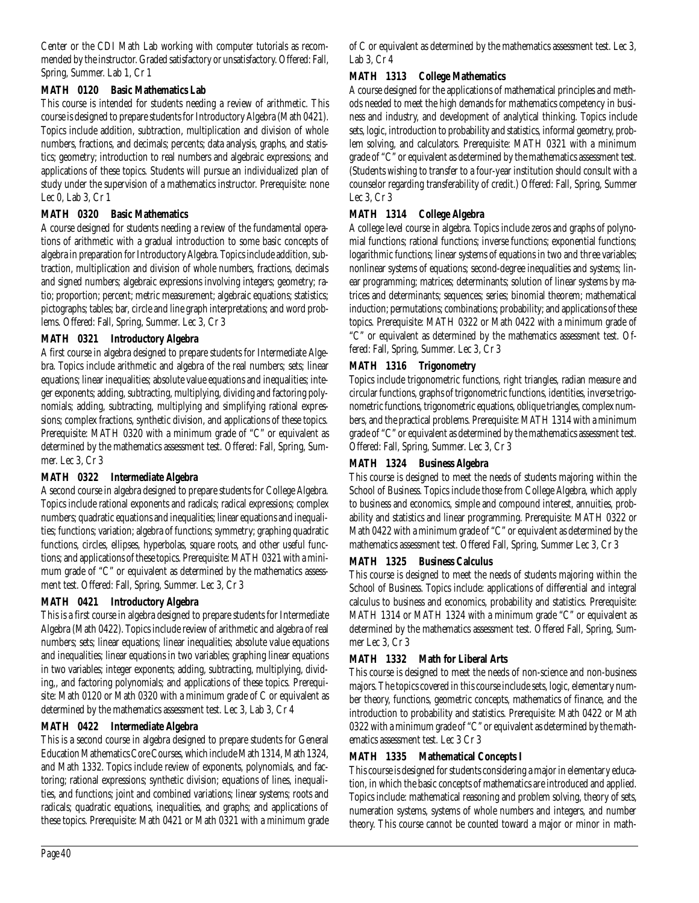Center or the CDI Math Lab working with computer tutorials as recommended by the instructor. Graded satisfactory or unsatisfactory. Offered: Fall, Spring, Summer. Lab 1, Cr 1

#### **MATH 0120 Basic Mathematics Lab**

This course is intended for students needing a review of arithmetic. This course is designed to prepare students for Introductory Algebra (Math 0421). Topics include addition, subtraction, multiplication and division of whole numbers, fractions, and decimals; percents; data analysis, graphs, and statistics; geometry; introduction to real numbers and algebraic expressions; and applications of these topics. Students will pursue an individualized plan of study under the supervision of a mathematics instructor. Prerequisite: none Lec 0, Lab 3, Cr 1

#### **MATH 0320 Basic Mathematics**

A course designed for students needing a review of the fundamental operations of arithmetic with a gradual introduction to some basic concepts of algebra in preparation for Introductory Algebra. Topics include addition, subtraction, multiplication and division of whole numbers, fractions, decimals and signed numbers; algebraic expressions involving integers; geometry; ratio; proportion; percent; metric measurement; algebraic equations; statistics; pictographs; tables; bar, circle and line graph interpretations; and word problems. Offered: Fall, Spring, Summer. Lec 3, Cr 3

#### **MATH 0321 Introductory Algebra**

A first course in algebra designed to prepare students for Intermediate Algebra. Topics include arithmetic and algebra of the real numbers; sets; linear equations; linear inequalities; absolute value equations and inequalities; integer exponents; adding, subtracting, multiplying, dividing and factoring polynomials; adding, subtracting, multiplying and simplifying rational expressions; complex fractions, synthetic division, and applications of these topics. Prerequisite: MATH 0320 with a minimum grade of "C" or equivalent as determined by the mathematics assessment test. Offered: Fall, Spring, Summer. Lec 3, Cr 3

# **MATH 0322 Intermediate Algebra**

A second course in algebra designed to prepare students for College Algebra. Topics include rational exponents and radicals; radical expressions; complex numbers; quadratic equations and inequalities; linear equations and inequalities; functions; variation; algebra of functions; symmetry; graphing quadratic functions, circles, ellipses, hyperbolas, square roots, and other useful functions; and applications of these topics. Prerequisite: MATH 0321 with a minimum grade of "C" or equivalent as determined by the mathematics assessment test. Offered: Fall, Spring, Summer. Lec 3, Cr 3

# **MATH 0421 Introductory Algebra**

This is a first course in algebra designed to prepare students for Intermediate Algebra (Math 0422). Topics include review of arithmetic and algebra of real numbers; sets; linear equations; linear inequalities; absolute value equations and inequalities; linear equations in two variables; graphing linear equations in two variables; integer exponents; adding, subtracting, multiplying, dividing,, and factoring polynomials; and applications of these topics. Prerequisite: Math 0120 or Math 0320 with a minimum grade of C or equivalent as determined by the mathematics assessment test. Lec 3, Lab 3, Cr 4

# **MATH 0422 Intermediate Algebra**

This is a second course in algebra designed to prepare students for General Education Mathematics Core Courses, which include Math 1314, Math 1324, and Math 1332. Topics include review of exponents, polynomials, and factoring; rational expressions; synthetic division; equations of lines, inequalities, and functions; joint and combined variations; linear systems; roots and radicals; quadratic equations, inequalities, and graphs; and applications of these topics. Prerequisite: Math 0421 or Math 0321 with a minimum grade of C or equivalent as determined by the mathematics assessment test. Lec 3, Lab 3, Cr 4

## **MATH 1313 College Mathematics**

A course designed for the applications of mathematical principles and methods needed to meet the high demands for mathematics competency in business and industry, and development of analytical thinking. Topics include sets, logic, introduction to probability and statistics, informal geometry, problem solving, and calculators. Prerequisite: MATH 0321 with a minimum grade of "C" or equivalent as determined by the mathematics assessment test. (Students wishing to transfer to a four-year institution should consult with a counselor regarding transferability of credit.) Offered: Fall, Spring, Summer Lec 3, Cr 3

#### **MATH 1314 College Algebra**

A college level course in algebra. Topics include zeros and graphs of polynomial functions; rational functions; inverse functions; exponential functions; logarithmic functions; linear systems of equations in two and three variables; nonlinear systems of equations; second-degree inequalities and systems; linear programming; matrices; determinants; solution of linear systems by matrices and determinants; sequences; series; binomial theorem; mathematical induction; permutations; combinations; probability; and applications of these topics. Prerequisite: MATH 0322 or Math 0422 with a minimum grade of "C" or equivalent as determined by the mathematics assessment test. Offered: Fall, Spring, Summer. Lec 3, Cr 3

# **MATH 1316 Trigonometry**

Topics include trigonometric functions, right triangles, radian measure and circular functions, graphs of trigonometric functions, identities, inverse trigonometric functions, trigonometric equations, oblique triangles, complex numbers, and the practical problems. Prerequisite: MATH 1314 with a minimum grade of "C" or equivalent as determined by the mathematics assessment test. Offered: Fall, Spring, Summer. Lec 3, Cr 3

# **MATH 1324 Business Algebra**

This course is designed to meet the needs of students majoring within the School of Business. Topics include those from College Algebra, which apply to business and economics, simple and compound interest, annuities, probability and statistics and linear programming. Prerequisite: MATH 0322 or Math 0422 with a minimum grade of "C" or equivalent as determined by the mathematics assessment test. Offered Fall, Spring, Summer Lec 3, Cr 3

# **MATH 1325 Business Calculus**

This course is designed to meet the needs of students majoring within the School of Business. Topics include: applications of differential and integral calculus to business and economics, probability and statistics. Prerequisite: MATH 1314 or MATH 1324 with a minimum grade "C" or equivalent as determined by the mathematics assessment test. Offered Fall, Spring, Summer Lec 3, Cr 3

#### **MATH 1332 Math for Liberal Arts**

This course is designed to meet the needs of non-science and non-business majors. The topics covered in this course include sets, logic, elementary number theory, functions, geometric concepts, mathematics of finance, and the introduction to probability and statistics. Prerequisite: Math 0422 or Math 0322 with a minimum grade of "C" or equivalent as determined by the mathematics assessment test. Lec 3 Cr 3

# **MATH 1335 Mathematical Concepts I**

This course is designed for students considering a major in elementary education, in which the basic concepts of mathematics are introduced and applied. Topics include: mathematical reasoning and problem solving, theory of sets, numeration systems, systems of whole numbers and integers, and number theory. This course cannot be counted toward a major or minor in math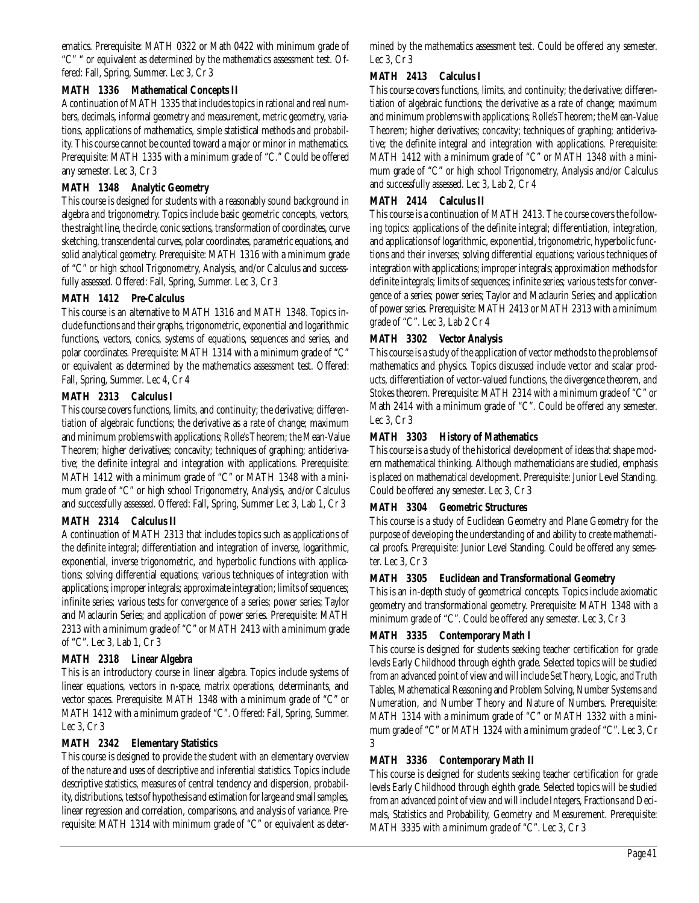ematics. Prerequisite: MATH 0322 or Math 0422 with minimum grade of "C" " or equivalent as determined by the mathematics assessment test. Offered: Fall, Spring, Summer. Lec 3, Cr 3

#### **MATH 1336 Mathematical Concepts II**

A continuation of MATH 1335 that includes topics in rational and real numbers, decimals, informal geometry and measurement, metric geometry, variations, applications of mathematics, simple statistical methods and probability. This course cannot be counted toward a major or minor in mathematics. Prerequisite: MATH 1335 with a minimum grade of "C." Could be offered any semester. Lec 3, Cr 3

#### **MATH 1348 Analytic Geometry**

This course is designed for students with a reasonably sound background in algebra and trigonometry. Topics include basic geometric concepts, vectors, the straight line, the circle, conic sections, transformation of coordinates, curve sketching, transcendental curves, polar coordinates, parametric equations, and solid analytical geometry. Prerequisite: MATH 1316 with a minimum grade of "C" or high school Trigonometry, Analysis, and/or Calculus and successfully assessed. Offered: Fall, Spring, Summer. Lec 3, Cr 3

#### **MATH 1412 Pre-Calculus**

This course is an alternative to MATH 1316 and MATH 1348. Topics include functions and their graphs, trigonometric, exponential and logarithmic functions, vectors, conics, systems of equations, sequences and series, and polar coordinates. Prerequisite: MATH 1314 with a minimum grade of "C" or equivalent as determined by the mathematics assessment test. Offered: Fall, Spring, Summer. Lec 4, Cr 4

#### **MATH 2313 Calculus I**

This course covers functions, limits, and continuity; the derivative; differentiation of algebraic functions; the derivative as a rate of change; maximum and minimum problems with applications; Rolle's Theorem; the Mean-Value Theorem; higher derivatives; concavity; techniques of graphing; antiderivative; the definite integral and integration with applications. Prerequisite: MATH 1412 with a minimum grade of "C" or MATH 1348 with a minimum grade of "C" or high school Trigonometry, Analysis, and/or Calculus and successfully assessed. Offered: Fall, Spring, Summer Lec 3, Lab 1, Cr 3

# **MATH 2314 Calculus II**

A continuation of MATH 2313 that includes topics such as applications of the definite integral; differentiation and integration of inverse, logarithmic, exponential, inverse trigonometric, and hyperbolic functions with applications; solving differential equations; various techniques of integration with applications; improper integrals; approximate integration; limits of sequences; infinite series; various tests for convergence of a series; power series; Taylor and Maclaurin Series; and application of power series. Prerequisite: MATH 2313 with a minimum grade of "C" or MATH 2413 with a minimum grade of "C". Lec 3, Lab 1, Cr 3

#### **MATH 2318 Linear Algebra**

This is an introductory course in linear algebra. Topics include systems of linear equations, vectors in n-space, matrix operations, determinants, and vector spaces. Prerequisite: MATH 1348 with a minimum grade of "C" or MATH 1412 with a minimum grade of "C". Offered: Fall, Spring, Summer. Lec 3, Cr 3

#### **MATH 2342 Elementary Statistics**

This course is designed to provide the student with an elementary overview of the nature and uses of descriptive and inferential statistics. Topics include descriptive statistics, measures of central tendency and dispersion, probability, distributions, tests of hypothesis and estimation for large and small samples, linear regression and correlation, comparisons, and analysis of variance. Prerequisite: MATH 1314 with minimum grade of "C" or equivalent as determined by the mathematics assessment test. Could be offered any semester. Lec 3, Cr 3

#### **MATH 2413 Calculus I**

This course covers functions, limits, and continuity; the derivative; differentiation of algebraic functions; the derivative as a rate of change; maximum and minimum problems with applications; Rolle's Theorem; the Mean-Value Theorem; higher derivatives; concavity; techniques of graphing; antiderivative; the definite integral and integration with applications. Prerequisite: MATH 1412 with a minimum grade of "C" or MATH 1348 with a minimum grade of "C" or high school Trigonometry, Analysis and/or Calculus and successfully assessed. Lec 3, Lab 2, Cr 4

#### **MATH 2414 Calculus II**

This course is a continuation of MATH 2413. The course covers the following topics: applications of the definite integral; differentiation, integration, and applications of logarithmic, exponential, trigonometric, hyperbolic functions and their inverses; solving differential equations; various techniques of integration with applications; improper integrals; approximation methods for definite integrals; limits of sequences; infinite series; various tests for convergence of a series; power series; Taylor and Maclaurin Series; and application of power series. Prerequisite: MATH 2413 or MATH 2313 with a minimum grade of "C". Lec 3, Lab 2 Cr 4

#### **MATH 3302 Vector Analysis**

This course is a study of the application of vector methods to the problems of mathematics and physics. Topics discussed include vector and scalar products, differentiation of vector-valued functions, the divergence theorem, and Stokes theorem. Prerequisite: MATH 2314 with a minimum grade of "C" or Math 2414 with a minimum grade of "C". Could be offered any semester. Lec 3, Cr 3

#### **MATH 3303 History of Mathematics**

This course is a study of the historical development of ideas that shape modern mathematical thinking. Although mathematicians are studied, emphasis is placed on mathematical development. Prerequisite: Junior Level Standing. Could be offered any semester. Lec 3, Cr 3

#### **MATH 3304 Geometric Structures**

This course is a study of Euclidean Geometry and Plane Geometry for the purpose of developing the understanding of and ability to create mathematical proofs. Prerequisite: Junior Level Standing. Could be offered any semester. Lec 3, Cr 3

#### **MATH 3305 Euclidean and Transformational Geometry**

This is an in-depth study of geometrical concepts. Topics include axiomatic geometry and transformational geometry. Prerequisite: MATH 1348 with a minimum grade of "C". Could be offered any semester. Lec 3, Cr 3

#### **MATH 3335 Contemporary Math I**

This course is designed for students seeking teacher certification for grade levels Early Childhood through eighth grade. Selected topics will be studied from an advanced point of view and will include Set Theory, Logic, and Truth Tables, Mathematical Reasoning and Problem Solving, Number Systems and Numeration, and Number Theory and Nature of Numbers. Prerequisite: MATH 1314 with a minimum grade of "C" or MATH 1332 with a minimum grade of "C" or MATH 1324 with a minimum grade of "C". Lec 3, Cr 3

#### **MATH 3336 Contemporary Math II**

This course is designed for students seeking teacher certification for grade levels Early Childhood through eighth grade. Selected topics will be studied from an advanced point of view and will include Integers, Fractions and Decimals, Statistics and Probability, Geometry and Measurement. Prerequisite: MATH 3335 with a minimum grade of "C". Lec 3, Cr 3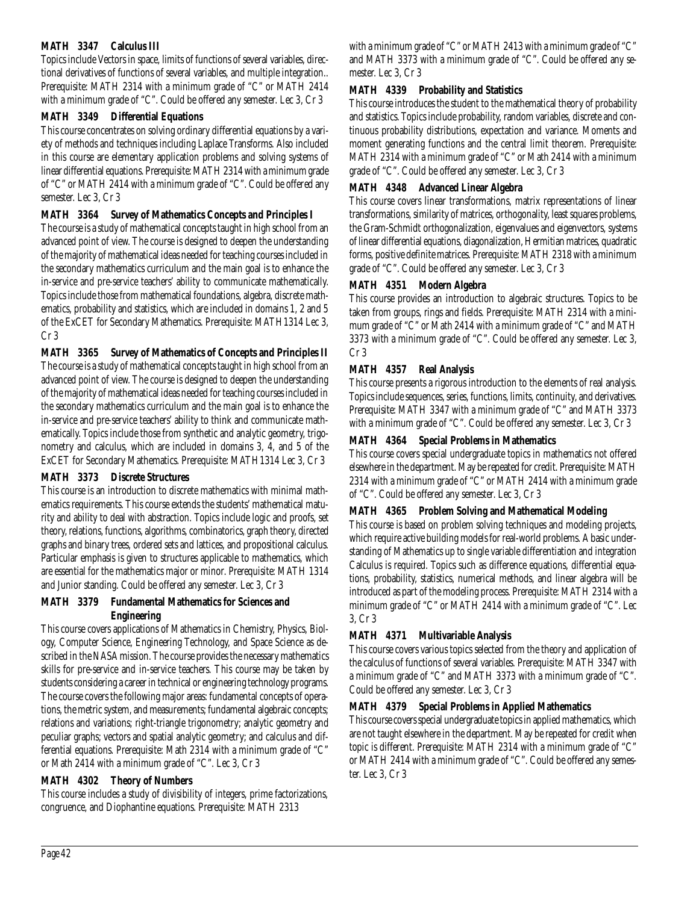#### **MATH 3347 Calculus III**

Topics include Vectors in space, limits of functions of several variables, directional derivatives of functions of several variables, and multiple integration.. Prerequisite: MATH 2314 with a minimum grade of "C" or MATH 2414 with a minimum grade of "C". Could be offered any semester. Lec 3, Cr 3

#### **MATH 3349 Differential Equations**

This course concentrates on solving ordinary differential equations by a variety of methods and techniques including Laplace Transforms. Also included in this course are elementary application problems and solving systems of linear differential equations. Prerequisite: MATH 2314 with a minimum grade of "C" or MATH 2414 with a minimum grade of "C". Could be offered any semester. Lec 3, Cr 3

#### **MATH 3364 Survey of Mathematics Concepts and Principles I**

The course is a study of mathematical concepts taught in high school from an advanced point of view. The course is designed to deepen the understanding of the majority of mathematical ideas needed for teaching courses included in the secondary mathematics curriculum and the main goal is to enhance the in-service and pre-service teachers' ability to communicate mathematically. Topics include those from mathematical foundations, algebra, discrete mathematics, probability and statistics, which are included in domains 1, 2 and 5 of the ExCET for Secondary Mathematics. Prerequisite: MATH1314 Lec 3, Cr 3

#### **MATH 3365 Survey of Mathematics of Concepts and Principles II**

The course is a study of mathematical concepts taught in high school from an advanced point of view. The course is designed to deepen the understanding of the majority of mathematical ideas needed for teaching courses included in the secondary mathematics curriculum and the main goal is to enhance the in-service and pre-service teachers' ability to think and communicate mathematically. Topics include those from synthetic and analytic geometry, trigonometry and calculus, which are included in domains 3, 4, and 5 of the ExCET for Secondary Mathematics. Prerequisite: MATH1314 Lec 3, Cr 3

#### **MATH 3373 Discrete Structures**

This course is an introduction to discrete mathematics with minimal mathematics requirements. This course extends the students' mathematical maturity and ability to deal with abstraction. Topics include logic and proofs, set theory, relations, functions, algorithms, combinatorics, graph theory, directed graphs and binary trees, ordered sets and lattices, and propositional calculus. Particular emphasis is given to structures applicable to mathematics, which are essential for the mathematics major or minor. Prerequisite: MATH 1314 and Junior standing. Could be offered any semester. Lec 3, Cr 3

#### **MATH 3379 Fundamental Mathematics for Sciences and Engineering**

This course covers applications of Mathematics in Chemistry, Physics, Biology, Computer Science, Engineering Technology, and Space Science as described in the NASA mission. The course provides the necessary mathematics skills for pre-service and in-service teachers. This course may be taken by students considering a career in technical or engineering technology programs. The course covers the following major areas: fundamental concepts of operations, the metric system, and measurements; fundamental algebraic concepts; relations and variations; right-triangle trigonometry; analytic geometry and peculiar graphs; vectors and spatial analytic geometry; and calculus and differential equations. Prerequisite: Math 2314 with a minimum grade of "C" or Math 2414 with a minimum grade of "C". Lec 3, Cr 3

# **MATH 4302 Theory of Numbers**

This course includes a study of divisibility of integers, prime factorizations, congruence, and Diophantine equations. Prerequisite: MATH 2313

with a minimum grade of "C" or MATH 2413 with a minimum grade of "C" and MATH 3373 with a minimum grade of "C". Could be offered any semester. Lec 3, Cr 3

#### **MATH 4339 Probability and Statistics**

This course introduces the student to the mathematical theory of probability and statistics. Topics include probability, random variables, discrete and continuous probability distributions, expectation and variance. Moments and moment generating functions and the central limit theorem. Prerequisite: MATH 2314 with a minimum grade of "C" or Math 2414 with a minimum grade of "C". Could be offered any semester. Lec 3, Cr 3

#### **MATH 4348 Advanced Linear Algebra**

This course covers linear transformations, matrix representations of linear transformations, similarity of matrices, orthogonality, least squares problems, the Gram-Schmidt orthogonalization, eigenvalues and eigenvectors, systems of linear differential equations, diagonalization, Hermitian matrices, quadratic forms, positive definite matrices. Prerequisite: MATH 2318 with a minimum grade of "C". Could be offered any semester. Lec 3, Cr 3

# **MATH 4351 Modern Algebra**

This course provides an introduction to algebraic structures. Topics to be taken from groups, rings and fields. Prerequisite: MATH 2314 with a minimum grade of "C" or Math 2414 with a minimum grade of "C" and MATH 3373 with a minimum grade of "C". Could be offered any semester. Lec 3, Cr 3

# **MATH 4357 Real Analysis**

This course presents a rigorous introduction to the elements of real analysis. Topics include sequences, series, functions, limits, continuity, and derivatives. Prerequisite: MATH 3347 with a minimum grade of "C" and MATH 3373 with a minimum grade of "C". Could be offered any semester. Lec 3, Cr 3

# **MATH 4364 Special Problems in Mathematics**

This course covers special undergraduate topics in mathematics not offered elsewhere in the department. May be repeated for credit. Prerequisite: MATH 2314 with a minimum grade of "C" or MATH 2414 with a minimum grade of "C". Could be offered any semester. Lec 3, Cr 3

# **MATH 4365 Problem Solving and Mathematical Modeling**

This course is based on problem solving techniques and modeling projects, which require active building models for real-world problems. A basic understanding of Mathematics up to single variable differentiation and integration Calculus is required. Topics such as difference equations, differential equations, probability, statistics, numerical methods, and linear algebra will be introduced as part of the modeling process. Prerequisite: MATH 2314 with a minimum grade of "C" or MATH 2414 with a minimum grade of "C". Lec 3, Cr 3

# **MATH 4371 Multivariable Analysis**

This course covers various topics selected from the theory and application of the calculus of functions of several variables. Prerequisite: MATH 3347 with a minimum grade of "C" and MATH 3373 with a minimum grade of "C". Could be offered any semester. Lec 3, Cr 3

# **MATH 4379 Special Problems in Applied Mathematics**

This course covers special undergraduate topics in applied mathematics, which are not taught elsewhere in the department. May be repeated for credit when topic is different. Prerequisite: MATH 2314 with a minimum grade of "C" or MATH 2414 with a minimum grade of "C". Could be offered any semester. Lec 3, Cr 3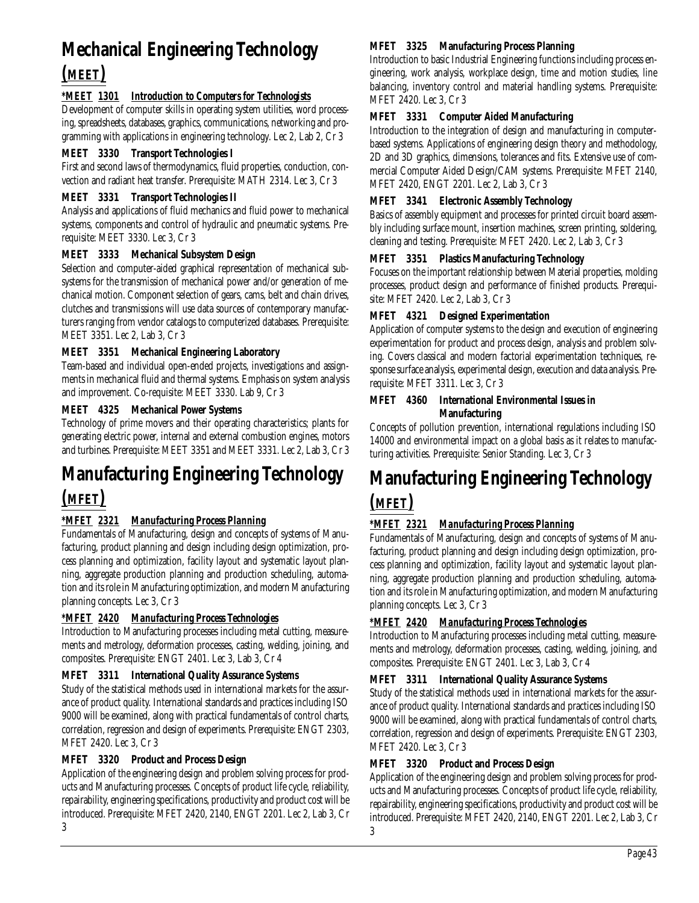# **Mechanical Engineering Technology**

# *(MEET)*

# *\*MEET 1301 Introduction to Computers for Technologists*

Development of computer skills in operating system utilities, word processing, spreadsheets, databases, graphics, communications, networking and programming with applications in engineering technology. Lec 2, Lab 2, Cr 3

# **MEET 3330 Transport Technologies I**

First and second laws of thermodynamics, fluid properties, conduction, convection and radiant heat transfer. Prerequisite: MATH 2314. Lec 3, Cr 3

# **MEET 3331 Transport Technologies II**

Analysis and applications of fluid mechanics and fluid power to mechanical systems, components and control of hydraulic and pneumatic systems. Prerequisite: MEET 3330. Lec 3, Cr 3

# **MEET 3333 Mechanical Subsystem Design**

Selection and computer-aided graphical representation of mechanical subsystems for the transmission of mechanical power and/or generation of mechanical motion. Component selection of gears, cams, belt and chain drives, clutches and transmissions will use data sources of contemporary manufacturers ranging from vendor catalogs to computerized databases. Prerequisite: MEET 3351. Lec 2, Lab 3, Cr 3

# **MEET 3351 Mechanical Engineering Laboratory**

Team-based and individual open-ended projects, investigations and assignments in mechanical fluid and thermal systems. Emphasis on system analysis and improvement. Co-requisite: MEET 3330. Lab 9, Cr 3

# **MEET 4325 Mechanical Power Systems**

Technology of prime movers and their operating characteristics; plants for generating electric power, internal and external combustion engines, motors and turbines. Prerequisite: MEET 3351 and MEET 3331. Lec 2, Lab 3, Cr 3

# **Manufacturing Engineering Technology**

# *(MFET)*

# *\*MFET 2321 Manufacturing Process Planning*

Fundamentals of Manufacturing, design and concepts of systems of Manufacturing, product planning and design including design optimization, process planning and optimization, facility layout and systematic layout planning, aggregate production planning and production scheduling, automation and its role in Manufacturing optimization, and modern Manufacturing planning concepts. Lec 3, Cr 3

# *\*MFET 2420 Manufacturing Process Technologies*

Introduction to Manufacturing processes including metal cutting, measurements and metrology, deformation processes, casting, welding, joining, and composites. Prerequisite: ENGT 2401. Lec 3, Lab 3, Cr 4

# **MFET 3311 International Quality Assurance Systems**

Study of the statistical methods used in international markets for the assurance of product quality. International standards and practices including ISO 9000 will be examined, along with practical fundamentals of control charts, correlation, regression and design of experiments. Prerequisite: ENGT 2303, MFET 2420. Lec 3, Cr 3

# **MFET 3320 Product and Process Design**

Application of the engineering design and problem solving process for products and Manufacturing processes. Concepts of product life cycle, reliability, repairability, engineering specifications, productivity and product cost will be introduced. Prerequisite: MFET 2420, 2140, ENGT 2201. Lec 2, Lab 3, Cr

#### **MFET 3325 Manufacturing Process Planning**

Introduction to basic Industrial Engineering functions including process engineering, work analysis, workplace design, time and motion studies, line balancing, inventory control and material handling systems. Prerequisite: MFET 2420. Lec 3, Cr 3

# **MFET 3331 Computer Aided Manufacturing**

Introduction to the integration of design and manufacturing in computerbased systems. Applications of engineering design theory and methodology, 2D and 3D graphics, dimensions, tolerances and fits. Extensive use of commercial Computer Aided Design/CAM systems. Prerequisite: MFET 2140, MFET 2420, ENGT 2201. Lec 2, Lab 3, Cr 3

# **MFET 3341 Electronic Assembly Technology**

Basics of assembly equipment and processes for printed circuit board assembly including surface mount, insertion machines, screen printing, soldering, cleaning and testing. Prerequisite: MFET 2420. Lec 2, Lab 3, Cr 3

# **MFET 3351 Plastics Manufacturing Technology**

Focuses on the important relationship between Material properties, molding processes, product design and performance of finished products. Prerequisite: MFET 2420. Lec 2, Lab 3, Cr 3

# **MFET 4321 Designed Experimentation**

Application of computer systems to the design and execution of engineering experimentation for product and process design, analysis and problem solving. Covers classical and modern factorial experimentation techniques, response surface analysis, experimental design, execution and data analysis. Prerequisite: MFET 3311. Lec 3, Cr 3

#### **MFET 4360 International Environmental Issues in Manufacturing**

Concepts of pollution prevention, international regulations including ISO 14000 and environmental impact on a global basis as it relates to manufacturing activities. Prerequisite: Senior Standing. Lec 3, Cr 3

# **Manufacturing Engineering Technology** *(MFET)*

# *\*MFET 2321 Manufacturing Process Planning*

Fundamentals of Manufacturing, design and concepts of systems of Manufacturing, product planning and design including design optimization, process planning and optimization, facility layout and systematic layout planning, aggregate production planning and production scheduling, automation and its role in Manufacturing optimization, and modern Manufacturing planning concepts. Lec 3, Cr 3

# *\*MFET 2420 Manufacturing Process Technologies*

Introduction to Manufacturing processes including metal cutting, measurements and metrology, deformation processes, casting, welding, joining, and composites. Prerequisite: ENGT 2401. Lec 3, Lab 3, Cr 4

# **MFET 3311 International Quality Assurance Systems**

Study of the statistical methods used in international markets for the assurance of product quality. International standards and practices including ISO 9000 will be examined, along with practical fundamentals of control charts, correlation, regression and design of experiments. Prerequisite: ENGT 2303, MFET 2420. Lec 3, Cr 3

# **MFET 3320 Product and Process Design**

Application of the engineering design and problem solving process for products and Manufacturing processes. Concepts of product life cycle, reliability, repairability, engineering specifications, productivity and product cost will be introduced. Prerequisite: MFET 2420, 2140, ENGT 2201. Lec 2, Lab 3, Cr 3

3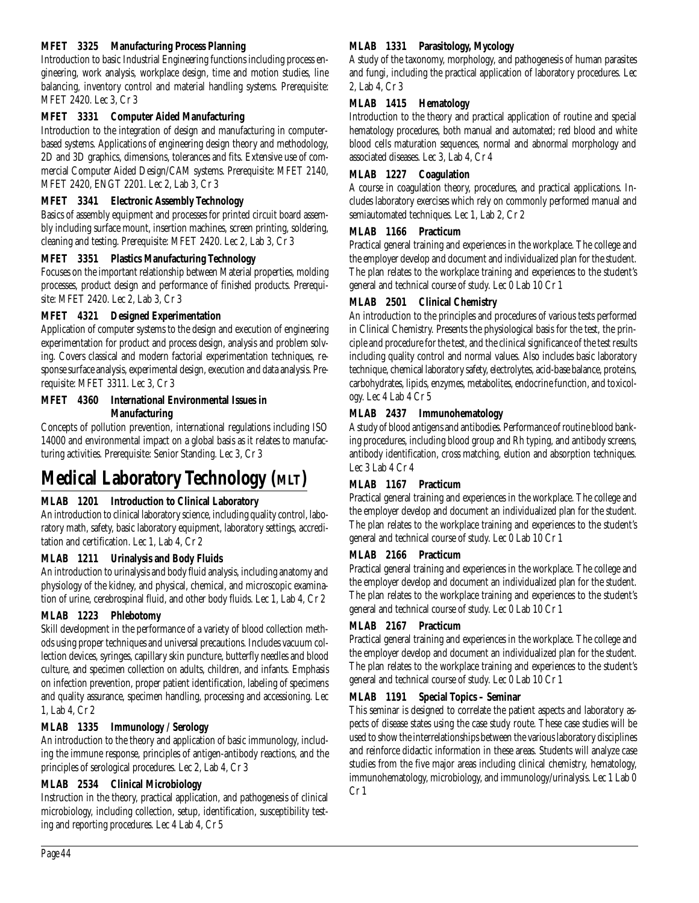# **MFET 3325 Manufacturing Process Planning**

Introduction to basic Industrial Engineering functions including process engineering, work analysis, workplace design, time and motion studies, line balancing, inventory control and material handling systems. Prerequisite: MFET 2420. Lec 3, Cr 3

#### **MFET 3331 Computer Aided Manufacturing**

Introduction to the integration of design and manufacturing in computerbased systems. Applications of engineering design theory and methodology, 2D and 3D graphics, dimensions, tolerances and fits. Extensive use of commercial Computer Aided Design/CAM systems. Prerequisite: MFET 2140, MFET 2420, ENGT 2201. Lec 2, Lab 3, Cr 3

#### **MFET 3341 Electronic Assembly Technology**

Basics of assembly equipment and processes for printed circuit board assembly including surface mount, insertion machines, screen printing, soldering, cleaning and testing. Prerequisite: MFET 2420. Lec 2, Lab 3, Cr 3

#### **MFET 3351 Plastics Manufacturing Technology**

Focuses on the important relationship between Material properties, molding processes, product design and performance of finished products. Prerequisite: MFET 2420. Lec 2, Lab 3, Cr 3

#### **MFET 4321 Designed Experimentation**

Application of computer systems to the design and execution of engineering experimentation for product and process design, analysis and problem solving. Covers classical and modern factorial experimentation techniques, response surface analysis, experimental design, execution and data analysis. Prerequisite: MFET 3311. Lec 3, Cr 3

# **MFET 4360 International Environmental Issues in Manufacturing**

Concepts of pollution prevention, international regulations including ISO 14000 and environmental impact on a global basis as it relates to manufacturing activities. Prerequisite: Senior Standing. Lec 3, Cr 3

# **Medical Laboratory Technology (MLT)**

#### **MLAB 1201 Introduction to Clinical Laboratory**

An introduction to clinical laboratory science, including quality control, laboratory math, safety, basic laboratory equipment, laboratory settings, accreditation and certification. Lec 1, Lab 4, Cr 2

#### **MLAB 1211 Urinalysis and Body Fluids**

An introduction to urinalysis and body fluid analysis, including anatomy and physiology of the kidney, and physical, chemical, and microscopic examination of urine, cerebrospinal fluid, and other body fluids. Lec 1, Lab 4, Cr 2

#### **MLAB 1223 Phlebotomy**

Skill development in the performance of a variety of blood collection methods using proper techniques and universal precautions. Includes vacuum collection devices, syringes, capillary skin puncture, butterfly needles and blood culture, and specimen collection on adults, children, and infants. Emphasis on infection prevention, proper patient identification, labeling of specimens and quality assurance, specimen handling, processing and accessioning. Lec 1, Lab 4, Cr 2

# **MLAB 1335 Immunology / Serology**

An introduction to the theory and application of basic immunology, including the immune response, principles of antigen-antibody reactions, and the principles of serological procedures. Lec 2, Lab 4, Cr 3

#### **MLAB 2534 Clinical Microbiology**

Instruction in the theory, practical application, and pathogenesis of clinical microbiology, including collection, setup, identification, susceptibility testing and reporting procedures. Lec 4 Lab 4, Cr 5

## **MLAB 1331 Parasitology, Mycology**

A study of the taxonomy, morphology, and pathogenesis of human parasites and fungi, including the practical application of laboratory procedures. Lec 2, Lab 4, Cr 3

#### **MLAB 1415 Hematology**

Introduction to the theory and practical application of routine and special hematology procedures, both manual and automated; red blood and white blood cells maturation sequences, normal and abnormal morphology and associated diseases. Lec 3, Lab 4, Cr 4

#### **MLAB 1227 Coagulation**

A course in coagulation theory, procedures, and practical applications. Includes laboratory exercises which rely on commonly performed manual and semiautomated techniques. Lec 1, Lab 2, Cr 2

#### **MLAB 1166 Practicum**

Practical general training and experiences in the workplace. The college and the employer develop and document and individualized plan for the student. The plan relates to the workplace training and experiences to the student's general and technical course of study. Lec 0 Lab 10 Cr 1

#### **MLAB 2501 Clinical Chemistry**

An introduction to the principles and procedures of various tests performed in Clinical Chemistry. Presents the physiological basis for the test, the principle and procedure for the test, and the clinical significance of the test results including quality control and normal values. Also includes basic laboratory technique, chemical laboratory safety, electrolytes, acid-base balance, proteins, carbohydrates, lipids, enzymes, metabolites, endocrine function, and toxicology. Lec 4 Lab 4 Cr 5

#### **MLAB 2437 Immunohematology**

A study of blood antigens and antibodies. Performance of routine blood banking procedures, including blood group and Rh typing, and antibody screens, antibody identification, cross matching, elution and absorption techniques. Lec 3 Lab 4 Cr 4

# **MLAB 1167 Practicum**

Practical general training and experiences in the workplace. The college and the employer develop and document an individualized plan for the student. The plan relates to the workplace training and experiences to the student's general and technical course of study. Lec 0 Lab 10 Cr 1

#### **MLAB 2166 Practicum**

Practical general training and experiences in the workplace. The college and the employer develop and document an individualized plan for the student. The plan relates to the workplace training and experiences to the student's general and technical course of study. Lec 0 Lab 10 Cr 1

#### **MLAB 2167 Practicum**

Practical general training and experiences in the workplace. The college and the employer develop and document an individualized plan for the student. The plan relates to the workplace training and experiences to the student's general and technical course of study. Lec 0 Lab 10 Cr 1

#### **MLAB 1191 Special Topics – Seminar**

This seminar is designed to correlate the patient aspects and laboratory aspects of disease states using the case study route. These case studies will be used to show the interrelationships between the various laboratory disciplines and reinforce didactic information in these areas. Students will analyze case studies from the five major areas including clinical chemistry, hematology, immunohematology, microbiology, and immunology/urinalysis. Lec 1 Lab 0 Cr 1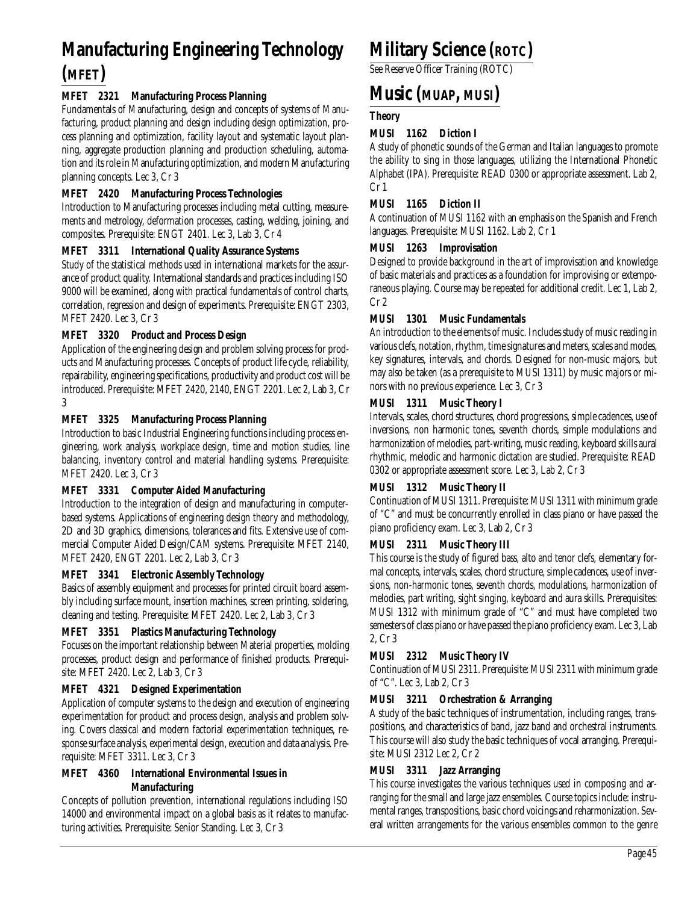# **Manufacturing Engineering Technology (MFET)**

# **MFET 2321 Manufacturing Process Planning**

Fundamentals of Manufacturing, design and concepts of systems of Manufacturing, product planning and design including design optimization, process planning and optimization, facility layout and systematic layout planning, aggregate production planning and production scheduling, automation and its role in Manufacturing optimization, and modern Manufacturing planning concepts. Lec 3, Cr 3

# **MFET 2420 Manufacturing Process Technologies**

Introduction to Manufacturing processes including metal cutting, measurements and metrology, deformation processes, casting, welding, joining, and composites. Prerequisite: ENGT 2401. Lec 3, Lab 3, Cr 4

#### **MFET 3311 International Quality Assurance Systems**

Study of the statistical methods used in international markets for the assurance of product quality. International standards and practices including ISO 9000 will be examined, along with practical fundamentals of control charts, correlation, regression and design of experiments. Prerequisite: ENGT 2303, MFET 2420. Lec 3, Cr 3

#### **MFET 3320 Product and Process Design**

Application of the engineering design and problem solving process for products and Manufacturing processes. Concepts of product life cycle, reliability, repairability, engineering specifications, productivity and product cost will be introduced. Prerequisite: MFET 2420, 2140, ENGT 2201. Lec 2, Lab 3, Cr 3

#### **MFET 3325 Manufacturing Process Planning**

Introduction to basic Industrial Engineering functions including process engineering, work analysis, workplace design, time and motion studies, line balancing, inventory control and material handling systems. Prerequisite: MFET 2420. Lec 3, Cr 3

#### **MFET 3331 Computer Aided Manufacturing**

Introduction to the integration of design and manufacturing in computerbased systems. Applications of engineering design theory and methodology, 2D and 3D graphics, dimensions, tolerances and fits. Extensive use of commercial Computer Aided Design/CAM systems. Prerequisite: MFET 2140, MFET 2420, ENGT 2201. Lec 2, Lab 3, Cr 3

#### **MFET 3341 Electronic Assembly Technology**

Basics of assembly equipment and processes for printed circuit board assembly including surface mount, insertion machines, screen printing, soldering, cleaning and testing. Prerequisite: MFET 2420. Lec 2, Lab 3, Cr 3

#### **MFET 3351 Plastics Manufacturing Technology**

Focuses on the important relationship between Material properties, molding processes, product design and performance of finished products. Prerequisite: MFET 2420. Lec 2, Lab 3, Cr 3

#### **MFET 4321 Designed Experimentation**

Application of computer systems to the design and execution of engineering experimentation for product and process design, analysis and problem solving. Covers classical and modern factorial experimentation techniques, response surface analysis, experimental design, execution and data analysis. Prerequisite: MFET 3311. Lec 3, Cr 3

#### **MFET 4360 International Environmental Issues in Manufacturing**

Concepts of pollution prevention, international regulations including ISO 14000 and environmental impact on a global basis as it relates to manufacturing activities. Prerequisite: Senior Standing. Lec 3, Cr 3

# **Military Science (ROTC)**

See Reserve Officer Training (ROTC)

# **Music (MUAP, MUSI)**

# **Theory**

# **MUSI 1162 Diction I**

A study of phonetic sounds of the German and Italian languages to promote the ability to sing in those languages, utilizing the International Phonetic Alphabet (IPA). Prerequisite: READ 0300 or appropriate assessment. Lab 2, Cr 1

#### **MUSI 1165 Diction II**

A continuation of MUSI 1162 with an emphasis on the Spanish and French languages. Prerequisite: MUSI 1162. Lab 2, Cr 1

#### **MUSI 1263 Improvisation**

Designed to provide background in the art of improvisation and knowledge of basic materials and practices as a foundation for improvising or extemporaneous playing. Course may be repeated for additional credit. Lec 1, Lab 2, Cr 2

#### **MUSI 1301 Music Fundamentals**

An introduction to the elements of music. Includes study of music reading in various clefs, notation, rhythm, time signatures and meters, scales and modes, key signatures, intervals, and chords. Designed for non-music majors, but may also be taken (as a prerequisite to MUSI 1311) by music majors or minors with no previous experience. Lec 3, Cr 3

#### **MUSI 1311 Music Theory I**

Intervals, scales, chord structures, chord progressions, simple cadences, use of inversions, non harmonic tones, seventh chords, simple modulations and harmonization of melodies, part-writing, music reading, keyboard skills aural rhythmic, melodic and harmonic dictation are studied. Prerequisite: READ 0302 or appropriate assessment score. Lec 3, Lab 2, Cr 3

#### **MUSI 1312 Music Theory II**

Continuation of MUSI 1311. Prerequisite: MUSI 1311 with minimum grade of "C" and must be concurrently enrolled in class piano or have passed the piano proficiency exam. Lec 3, Lab 2, Cr 3

#### **MUSI 2311 Music Theory III**

This course is the study of figured bass, alto and tenor clefs, elementary formal concepts, intervals, scales, chord structure, simple cadences, use of inversions, non-harmonic tones, seventh chords, modulations, harmonization of melodies, part writing, sight singing, keyboard and aura skills. Prerequisites: MUSI 1312 with minimum grade of "C" and must have completed two semesters of class piano or have passed the piano proficiency exam. Lec 3, Lab 2, Cr 3

# **MUSI 2312 Music Theory IV**

Continuation of MUSI 2311. Prerequisite: MUSI 2311 with minimum grade of "C". Lec 3, Lab 2, Cr 3

#### **MUSI 3211 Orchestration & Arranging**

A study of the basic techniques of instrumentation, including ranges, transpositions, and characteristics of band, jazz band and orchestral instruments. This course will also study the basic techniques of vocal arranging. Prerequisite: MUSI 2312 Lec 2, Cr 2

# **MUSI 3311 Jazz Arranging**

This course investigates the various techniques used in composing and arranging for the small and large jazz ensembles. Course topics include: instrumental ranges, transpositions, basic chord voicings and reharmonization. Several written arrangements for the various ensembles common to the genre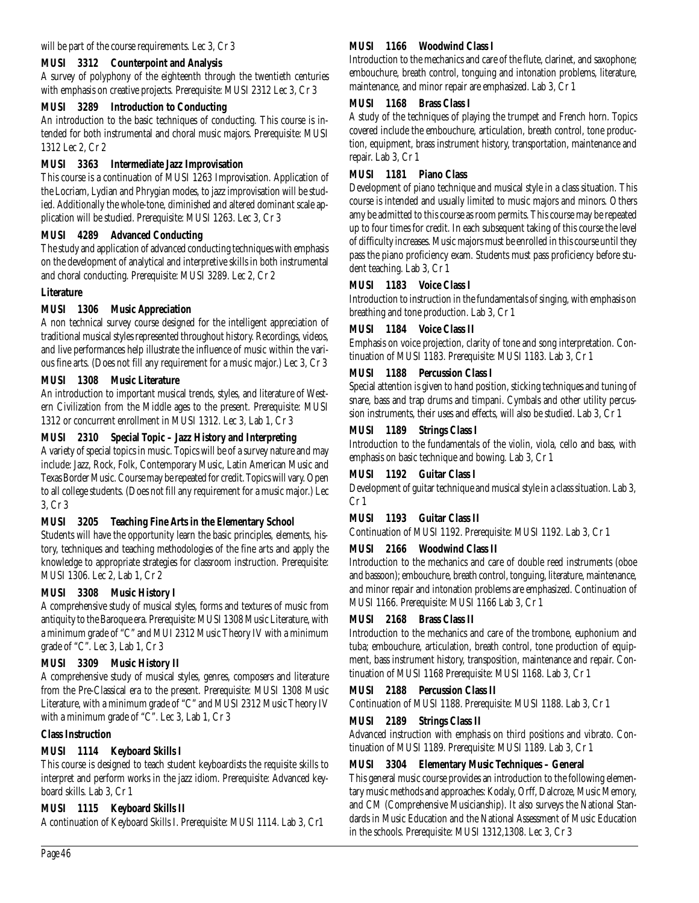#### **MUSI 3312 Counterpoint and Analysis**

A survey of polyphony of the eighteenth through the twentieth centuries with emphasis on creative projects. Prerequisite: MUSI 2312 Lec 3, Cr 3

#### **MUSI 3289 Introduction to Conducting**

An introduction to the basic techniques of conducting. This course is intended for both instrumental and choral music majors. Prerequisite: MUSI 1312 Lec 2, Cr 2

#### **MUSI 3363 Intermediate Jazz Improvisation**

This course is a continuation of MUSI 1263 Improvisation. Application of the Locriam, Lydian and Phrygian modes, to jazz improvisation will be studied. Additionally the whole-tone, diminished and altered dominant scale application will be studied. Prerequisite: MUSI 1263. Lec 3, Cr 3

#### **MUSI 4289 Advanced Conducting**

The study and application of advanced conducting techniques with emphasis on the development of analytical and interpretive skills in both instrumental and choral conducting. Prerequisite: MUSI 3289. Lec 2, Cr 2

#### **Literature**

#### **MUSI 1306 Music Appreciation**

A non technical survey course designed for the intelligent appreciation of traditional musical styles represented throughout history. Recordings, videos, and live performances help illustrate the influence of music within the various fine arts. (Does not fill any requirement for a music major.) Lec 3, Cr 3

#### **MUSI 1308 Music Literature**

An introduction to important musical trends, styles, and literature of Western Civilization from the Middle ages to the present. Prerequisite: MUSI 1312 or concurrent enrollment in MUSI 1312. Lec 3, Lab 1, Cr 3

#### **MUSI 2310 Special Topic – Jazz History and Interpreting**

A variety of special topics in music. Topics will be of a survey nature and may include: Jazz, Rock, Folk, Contemporary Music, Latin American Music and Texas Border Music. Course may be repeated for credit. Topics will vary. Open to all college students. (Does not fill any requirement for a music major.) Lec 3, Cr 3

# **MUSI 3205 Teaching Fine Arts in the Elementary School**

Students will have the opportunity learn the basic principles, elements, history, techniques and teaching methodologies of the fine arts and apply the knowledge to appropriate strategies for classroom instruction. Prerequisite: MUSI 1306. Lec 2, Lab 1, Cr 2

# **MUSI 3308 Music History I**

A comprehensive study of musical styles, forms and textures of music from antiquity to the Baroque era. Prerequisite: MUSI 1308 Music Literature, with a minimum grade of "C" and MUI 2312 Music Theory IV with a minimum grade of "C". Lec 3, Lab 1, Cr 3

# **MUSI 3309 Music History II**

A comprehensive study of musical styles, genres, composers and literature from the Pre-Classical era to the present. Prerequisite: MUSI 1308 Music Literature, with a minimum grade of "C" and MUSI 2312 Music Theory IV with a minimum grade of "C". Lec 3, Lab 1, Cr 3

#### **Class Instruction**

# **MUSI 1114 Keyboard Skills I**

This course is designed to teach student keyboardists the requisite skills to interpret and perform works in the jazz idiom. Prerequisite: Advanced keyboard skills. Lab 3, Cr 1

# **MUSI 1115 Keyboard Skills II**

A continuation of Keyboard Skills I. Prerequisite: MUSI 1114. Lab 3, Cr1

# **MUSI 1166 Woodwind Class I**

Introduction to the mechanics and care of the flute, clarinet, and saxophone; embouchure, breath control, tonguing and intonation problems, literature, maintenance, and minor repair are emphasized. Lab 3, Cr 1

#### **MUSI 1168 Brass Class I**

A study of the techniques of playing the trumpet and French horn. Topics covered include the embouchure, articulation, breath control, tone production, equipment, brass instrument history, transportation, maintenance and repair. Lab 3, Cr 1

#### **MUSI 1181 Piano Class**

Development of piano technique and musical style in a class situation. This course is intended and usually limited to music majors and minors. Others amy be admitted to this course as room permits. This course may be repeated up to four times for credit. In each subsequent taking of this course the level of difficulty increases. Music majors must be enrolled in this course until they pass the piano proficiency exam. Students must pass proficiency before student teaching. Lab 3, Cr 1

#### **MUSI 1183 Voice Class I**

Introduction to instruction in the fundamentals of singing, with emphasis on breathing and tone production. Lab 3, Cr 1

# **MUSI 1184 Voice Class II**

Emphasis on voice projection, clarity of tone and song interpretation. Continuation of MUSI 1183. Prerequisite: MUSI 1183. Lab 3, Cr 1

#### **MUSI 1188 Percussion Class I**

Special attention is given to hand position, sticking techniques and tuning of snare, bass and trap drums and timpani. Cymbals and other utility percussion instruments, their uses and effects, will also be studied. Lab 3, Cr 1

#### **MUSI 1189 Strings Class I**

Introduction to the fundamentals of the violin, viola, cello and bass, with emphasis on basic technique and bowing. Lab 3, Cr 1

# **MUSI 1192 Guitar Class I**

Development of guitar technique and musical style in a class situation. Lab 3, Cr 1

# **MUSI 1193 Guitar Class II**

Continuation of MUSI 1192. Prerequisite: MUSI 1192. Lab 3, Cr 1

# **MUSI 2166 Woodwind Class II**

Introduction to the mechanics and care of double reed instruments (oboe and bassoon); embouchure, breath control, tonguing, literature, maintenance, and minor repair and intonation problems are emphasized. Continuation of MUSI 1166. Prerequisite: MUSI 1166 Lab 3, Cr 1

# **MUSI 2168 Brass Class II**

Introduction to the mechanics and care of the trombone, euphonium and tuba; embouchure, articulation, breath control, tone production of equipment, bass instrument history, transposition, maintenance and repair. Continuation of MUSI 1168 Prerequisite: MUSI 1168. Lab 3, Cr 1

#### **MUSI 2188 Percussion Class II**

Continuation of MUSI 1188. Prerequisite: MUSI 1188. Lab 3, Cr 1

# **MUSI 2189 Strings Class II**

Advanced instruction with emphasis on third positions and vibrato. Continuation of MUSI 1189. Prerequisite: MUSI 1189. Lab 3, Cr 1

#### **MUSI 3304 Elementary Music Techniques – General**

This general music course provides an introduction to the following elementary music methods and approaches: Kodaly, Orff, Dalcroze, Music Memory, and CM (Comprehensive Musicianship). It also surveys the National Standards in Music Education and the National Assessment of Music Education in the schools. Prerequisite: MUSI 1312,1308. Lec 3, Cr 3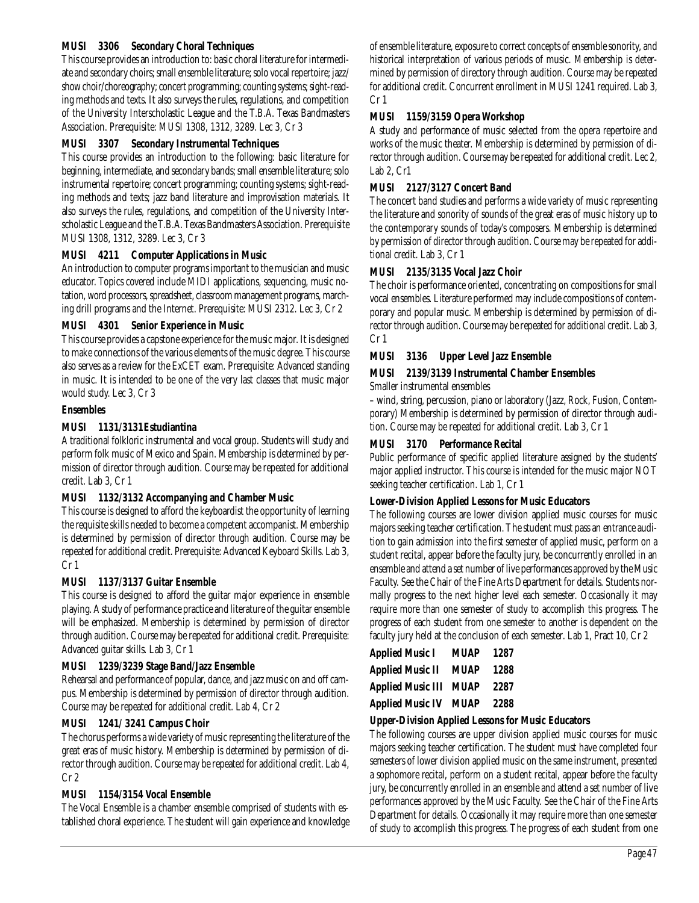#### **MUSI 3306 Secondary Choral Techniques**

This course provides an introduction to: basic choral literature for intermediate and secondary choirs; small ensemble literature; solo vocal repertoire; jazz/ show choir/choreography; concert programming; counting systems; sight-reading methods and texts. It also surveys the rules, regulations, and competition of the University Interscholastic League and the T.B.A. Texas Bandmasters Association. Prerequisite: MUSI 1308, 1312, 3289. Lec 3, Cr 3

#### **MUSI 3307 Secondary Instrumental Techniques**

This course provides an introduction to the following: basic literature for beginning, intermediate, and secondary bands; small ensemble literature; solo instrumental repertoire; concert programming; counting systems; sight-reading methods and texts; jazz band literature and improvisation materials. It also surveys the rules, regulations, and competition of the University Interscholastic League and the T.B.A. Texas Bandmasters Association. Prerequisite MUSI 1308, 1312, 3289. Lec 3, Cr 3

#### **MUSI 4211 Computer Applications in Music**

An introduction to computer programs important to the musician and music educator. Topics covered include MIDI applications, sequencing, music notation, word processors, spreadsheet, classroom management programs, marching drill programs and the Internet. Prerequisite: MUSI 2312. Lec 3, Cr 2

#### **MUSI 4301 Senior Experience in Music**

This course provides a capstone experience for the music major. It is designed to make connections of the various elements of the music degree. This course also serves as a review for the ExCET exam. Prerequisite: Advanced standing in music. It is intended to be one of the very last classes that music major would study. Lec 3, Cr 3

#### **Ensembles**

#### **MUSI 1131/3131Estudiantina**

A traditional folkloric instrumental and vocal group. Students will study and perform folk music of Mexico and Spain. Membership is determined by permission of director through audition. Course may be repeated for additional credit. Lab 3, Cr 1

#### **MUSI 1132/3132 Accompanying and Chamber Music**

This course is designed to afford the keyboardist the opportunity of learning the requisite skills needed to become a competent accompanist. Membership is determined by permission of director through audition. Course may be repeated for additional credit. Prerequisite: Advanced Keyboard Skills. Lab 3, Cr 1

#### **MUSI 1137/3137 Guitar Ensemble**

This course is designed to afford the guitar major experience in ensemble playing. A study of performance practice and literature of the guitar ensemble will be emphasized. Membership is determined by permission of director through audition. Course may be repeated for additional credit. Prerequisite: Advanced guitar skills. Lab 3, Cr 1

#### **MUSI 1239/3239 Stage Band/Jazz Ensemble**

Rehearsal and performance of popular, dance, and jazz music on and off campus. Membership is determined by permission of director through audition. Course may be repeated for additional credit. Lab 4, Cr 2

#### **MUSI 1241/ 3241 Campus Choir**

The chorus performs a wide variety of music representing the literature of the great eras of music history. Membership is determined by permission of director through audition. Course may be repeated for additional credit. Lab 4, Cr 2

#### **MUSI 1154/3154 Vocal Ensemble**

The Vocal Ensemble is a chamber ensemble comprised of students with established choral experience. The student will gain experience and knowledge of ensemble literature, exposure to correct concepts of ensemble sonority, and historical interpretation of various periods of music. Membership is determined by permission of directory through audition. Course may be repeated for additional credit. Concurrent enrollment in MUSI 1241 required. Lab 3, Cr 1

#### **MUSI 1159/3159 Opera Workshop**

A study and performance of music selected from the opera repertoire and works of the music theater. Membership is determined by permission of director through audition. Course may be repeated for additional credit. Lec 2, Lab 2, Cr1

# **MUSI 2127/3127 Concert Band**

The concert band studies and performs a wide variety of music representing the literature and sonority of sounds of the great eras of music history up to the contemporary sounds of today's composers. Membership is determined by permission of director through audition. Course may be repeated for additional credit. Lab 3, Cr 1

#### **MUSI 2135/3135 Vocal Jazz Choir**

The choir is performance oriented, concentrating on compositions for small vocal ensembles. Literature performed may include compositions of contemporary and popular music. Membership is determined by permission of director through audition. Course may be repeated for additional credit. Lab 3, Cr 1

#### **MUSI 3136 Upper Level Jazz Ensemble**

#### **MUSI 2139/3139 Instrumental Chamber Ensembles**

Smaller instrumental ensembles

– wind, string, percussion, piano or laboratory (Jazz, Rock, Fusion, Contemporary) Membership is determined by permission of director through audition. Course may be repeated for additional credit. Lab 3, Cr 1

#### **MUSI 3170 Performance Recital**

Public performance of specific applied literature assigned by the students' major applied instructor. This course is intended for the music major NOT seeking teacher certification. Lab 1, Cr 1

#### **Lower-Division Applied Lessons for Music Educators**

The following courses are lower division applied music courses for music majors seeking teacher certification. The student must pass an entrance audition to gain admission into the first semester of applied music, perform on a student recital, appear before the faculty jury, be concurrently enrolled in an ensemble and attend a set number of live performances approved by the Music Faculty. See the Chair of the Fine Arts Department for details. Students normally progress to the next higher level each semester. Occasionally it may require more than one semester of study to accomplish this progress. The progress of each student from one semester to another is dependent on the faculty jury held at the conclusion of each semester. Lab 1, Pract 10, Cr 2

| <b>Applied Music I</b>   | <b>MUAP</b> | 1287 |
|--------------------------|-------------|------|
| <b>Applied Music II</b>  | <b>MUAP</b> | 1288 |
| <b>Applied Music III</b> | <b>MUAP</b> | 2287 |
| <b>Applied Music IV</b>  | MUAP        | 2288 |

#### **Upper-Division Applied Lessons for Music Educators**

The following courses are upper division applied music courses for music majors seeking teacher certification. The student must have completed four semesters of lower division applied music on the same instrument, presented a sophomore recital, perform on a student recital, appear before the faculty jury, be concurrently enrolled in an ensemble and attend a set number of live performances approved by the Music Faculty. See the Chair of the Fine Arts Department for details. Occasionally it may require more than one semester of study to accomplish this progress. The progress of each student from one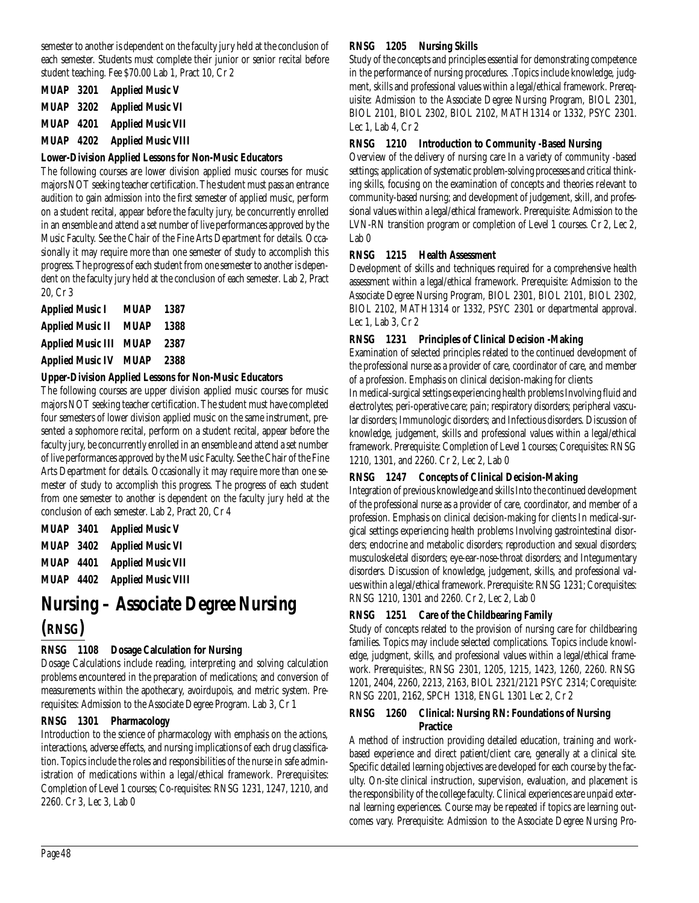semester to another is dependent on the faculty jury held at the conclusion of each semester. Students must complete their junior or senior recital before student teaching. Fee \$70.00 Lab 1, Pract 10, Cr 2

| <b>MUAP 3201</b> | <b>Applied Music V</b>    |
|------------------|---------------------------|
| <b>MUAP 3202</b> | <b>Applied Music VI</b>   |
| <b>MUAP 4201</b> | <b>Applied Music VII</b>  |
| <b>MUAP 4202</b> | <b>Applied Music VIII</b> |

#### **Lower-Division Applied Lessons for Non-Music Educators**

The following courses are lower division applied music courses for music majors NOT seeking teacher certification. The student must pass an entrance audition to gain admission into the first semester of applied music, perform on a student recital, appear before the faculty jury, be concurrently enrolled in an ensemble and attend a set number of live performances approved by the Music Faculty. See the Chair of the Fine Arts Department for details. Occasionally it may require more than one semester of study to accomplish this progress. The progress of each student from one semester to another is dependent on the faculty jury held at the conclusion of each semester. Lab 2, Pract 20, Cr 3

| <b>Applied Music I</b>   | <b>MUAP</b> | 1387 |
|--------------------------|-------------|------|
| <b>Applied Music II</b>  | <b>MUAP</b> | 1388 |
| <b>Applied Music III</b> | <b>MUAP</b> | 2387 |
| <b>Applied Music IV</b>  | <b>MUAP</b> | 2388 |

#### **Upper-Division Applied Lessons for Non-Music Educators**

The following courses are upper division applied music courses for music majors NOT seeking teacher certification. The student must have completed four semesters of lower division applied music on the same instrument, presented a sophomore recital, perform on a student recital, appear before the faculty jury, be concurrently enrolled in an ensemble and attend a set number of live performances approved by the Music Faculty. See the Chair of the Fine Arts Department for details. Occasionally it may require more than one semester of study to accomplish this progress. The progress of each student from one semester to another is dependent on the faculty jury held at the conclusion of each semester. Lab 2, Pract 20, Cr 4

| <b>MUAP 3401</b> | <b>Applied Music V</b>    |
|------------------|---------------------------|
| <b>MUAP 3402</b> | <b>Applied Music VI</b>   |
| <b>MUAP 4401</b> | <b>Applied Music VII</b>  |
| <b>MUAP 4402</b> | <b>Applied Music VIII</b> |

# **Nursing – Associate Degree Nursing (RNSG)**

# **RNSG 1108 Dosage Calculation for Nursing**

Dosage Calculations include reading, interpreting and solving calculation problems encountered in the preparation of medications; and conversion of measurements within the apothecary, avoirdupois, and metric system. Prerequisites: Admission to the Associate Degree Program. Lab 3, Cr 1

# **RNSG 1301 Pharmacology**

Introduction to the science of pharmacology with emphasis on the actions, interactions, adverse effects, and nursing implications of each drug classification. Topics include the roles and responsibilities of the nurse in safe administration of medications within a legal/ethical framework. Prerequisites: Completion of Level 1 courses; Co-requisites: RNSG 1231, 1247, 1210, and 2260. Cr 3, Lec 3, Lab 0

# **RNSG 1205 Nursing Skills**

Study of the concepts and principles essential for demonstrating competence in the performance of nursing procedures. .Topics include knowledge, judgment, skills and professional values within a legal/ethical framework. Prerequisite: Admission to the Associate Degree Nursing Program, BIOL 2301, BIOL 2101, BIOL 2302, BIOL 2102, MATH1314 or 1332, PSYC 2301. Lec 1, Lab 4, Cr 2

#### **RNSG 1210 Introduction to Community -Based Nursing**

Overview of the delivery of nursing care In a variety of community -based settings; application of systematic problem-solving processes and critical thinking skills, focusing on the examination of concepts and theories relevant to community-based nursing; and development of judgement, skill, and professional values within a legal/ethical framework. Prerequisite: Admission to the LVN-RN transition program or completion of Level 1 courses. Cr 2, Lec 2, Lab 0

#### **RNSG 1215 Health Assessment**

Development of skills and techniques required for a comprehensive health assessment within a legal/ethical framework. Prerequisite: Admission to the Associate Degree Nursing Program, BIOL 2301, BIOL 2101, BIOL 2302, BIOL 2102, MATH1314 or 1332, PSYC 2301 or departmental approval. Lec 1, Lab 3, Cr 2

#### **RNSG 1231 Principles of Clinical Decision -Making**

Examination of selected principles related to the continued development of the professional nurse as a provider of care, coordinator of care, and member of a profession. Emphasis on clinical decision-making for clients

In medical-surgical settings experiencing health problems Involving fluid and electrolytes; peri-operative care; pain; respiratory disorders; peripheral vascular disorders; Immunologic disorders; and Infectious disorders. Discussion of knowledge, judgement, skills and professional values within a legal/ethical framework. Prerequisite: Completion of Level 1 courses; Corequisites: RNSG 1210, 1301, and 2260. Cr 2, Lec 2, Lab 0

# **RNSG 1247 Concepts of Clinical Decision-Making**

Integration of previous knowledge and skills Into the continued development of the professional nurse as a provider of care, coordinator, and member of a profession. Emphasis on clinical decision-making for clients In medical-surgical settings experiencing health problems Involving gastrointestinal disorders; endocrine and metabolic disorders; reproduction and sexual disorders; musculoskeletal disorders; eye-ear-nose-throat disorders; and Integumentary disorders. Discussion of knowledge, judgement, skills, and professional values within a legal/ethical framework. Prerequisite: RNSG 1231; Corequisites: RNSG 1210, 1301 and 2260. Cr 2, Lec 2, Lab 0

# **RNSG 1251 Care of the Childbearing Family**

Study of concepts related to the provision of nursing care for childbearing families. Topics may include selected complications. Topics include knowledge, judgment, skills, and professional values within a legal/ethical framework. Prerequisites:, RNSG 2301, 1205, 1215, 1423, 1260, 2260. RNSG 1201, 2404, 2260, 2213, 2163, BIOL 2321/2121 PSYC 2314; Corequisite: RNSG 2201, 2162, SPCH 1318, ENGL 1301 Lec 2, Cr 2

#### **RNSG 1260 Clinical: Nursing RN: Foundations of Nursing Practice**

A method of instruction providing detailed education, training and workbased experience and direct patient/client care, generally at a clinical site. Specific detailed learning objectives are developed for each course by the faculty. On-site clinical instruction, supervision, evaluation, and placement is the responsibility of the college faculty. Clinical experiences are unpaid external learning experiences. Course may be repeated if topics are learning outcomes vary. Prerequisite: Admission to the Associate Degree Nursing Pro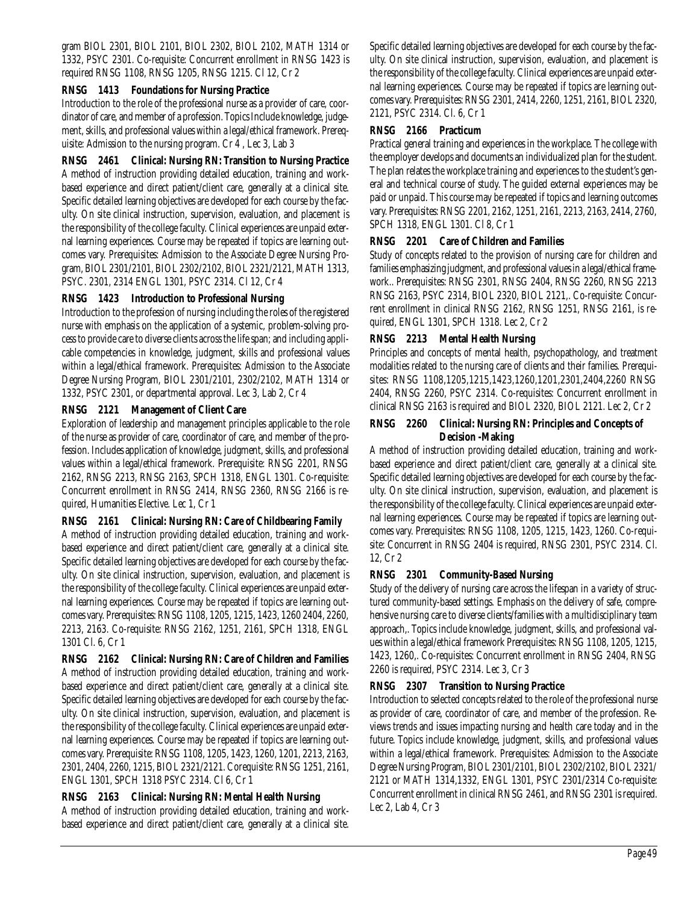gram BIOL 2301, BIOL 2101, BIOL 2302, BIOL 2102, MATH 1314 or 1332, PSYC 2301. Co-requisite: Concurrent enrollment in RNSG 1423 is required RNSG 1108, RNSG 1205, RNSG 1215. Cl 12, Cr 2

#### **RNSG 1413 Foundations for Nursing Practice**

Introduction to the role of the professional nurse as a provider of care, coordinator of care, and member of a profession. Topics Include knowledge, judgement, skills, and professional values within a legal/ethical framework. Prerequisite: Admission to the nursing program. Cr 4 , Lec 3, Lab 3

# **RNSG 2461 Clinical: Nursing RN: Transition to Nursing Practice**

A method of instruction providing detailed education, training and workbased experience and direct patient/client care, generally at a clinical site. Specific detailed learning objectives are developed for each course by the faculty. On site clinical instruction, supervision, evaluation, and placement is the responsibility of the college faculty. Clinical experiences are unpaid external learning experiences. Course may be repeated if topics are learning outcomes vary. Prerequisites: Admission to the Associate Degree Nursing Program, BIOL 2301/2101, BIOL 2302/2102, BIOL 2321/2121, MATH 1313, PSYC. 2301, 2314 ENGL 1301, PSYC 2314. Cl 12, Cr 4

#### **RNSG 1423 Introduction to Professional Nursing**

Introduction to the profession of nursing including the roles of the registered nurse with emphasis on the application of a systemic, problem-solving process to provide care to diverse clients across the life span; and including applicable competencies in knowledge, judgment, skills and professional values within a legal/ethical framework. Prerequisites: Admission to the Associate Degree Nursing Program, BIOL 2301/2101, 2302/2102, MATH 1314 or 1332, PSYC 2301, or departmental approval. Lec 3, Lab 2, Cr 4

#### **RNSG 2121 Management of Client Care**

Exploration of leadership and management principles applicable to the role of the nurse as provider of care, coordinator of care, and member of the profession. Includes application of knowledge, judgment, skills, and professional values within a legal/ethical framework. Prerequisite: RNSG 2201, RNSG 2162, RNSG 2213, RNSG 2163, SPCH 1318, ENGL 1301. Co-requisite: Concurrent enrollment in RNSG 2414, RNSG 2360, RNSG 2166 is required, Humanities Elective. Lec 1, Cr 1

#### **RNSG 2161 Clinical: Nursing RN: Care of Childbearing Family**

A method of instruction providing detailed education, training and workbased experience and direct patient/client care, generally at a clinical site. Specific detailed learning objectives are developed for each course by the faculty. On site clinical instruction, supervision, evaluation, and placement is the responsibility of the college faculty. Clinical experiences are unpaid external learning experiences. Course may be repeated if topics are learning outcomes vary. Prerequisites: RNSG 1108, 1205, 1215, 1423, 1260 2404, 2260, 2213, 2163. Co-requisite: RNSG 2162, 1251, 2161, SPCH 1318, ENGL 1301 Cl. 6, Cr 1

**RNSG 2162 Clinical: Nursing RN: Care of Children and Families** A method of instruction providing detailed education, training and workbased experience and direct patient/client care, generally at a clinical site. Specific detailed learning objectives are developed for each course by the faculty. On site clinical instruction, supervision, evaluation, and placement is the responsibility of the college faculty. Clinical experiences are unpaid external learning experiences. Course may be repeated if topics are learning outcomes vary. Prerequisite: RNSG 1108, 1205, 1423, 1260, 1201, 2213, 2163, 2301, 2404, 2260, 1215, BIOL 2321/2121. Corequisite: RNSG 1251, 2161, ENGL 1301, SPCH 1318 PSYC 2314. Cl 6, Cr 1

# **RNSG 2163 Clinical: Nursing RN: Mental Health Nursing**

A method of instruction providing detailed education, training and workbased experience and direct patient/client care, generally at a clinical site. Specific detailed learning objectives are developed for each course by the faculty. On site clinical instruction, supervision, evaluation, and placement is the responsibility of the college faculty. Clinical experiences are unpaid external learning experiences. Course may be repeated if topics are learning outcomes vary. Prerequisites: RNSG 2301, 2414, 2260, 1251, 2161, BIOL 2320, 2121, PSYC 2314. Cl. 6, Cr 1

#### **RNSG 2166 Practicum**

Practical general training and experiences in the workplace. The college with the employer develops and documents an individualized plan for the student. The plan relates the workplace training and experiences to the student's general and technical course of study. The guided external experiences may be paid or unpaid. This course may be repeated if topics and learning outcomes vary. Prerequisites: RNSG 2201, 2162, 1251, 2161, 2213, 2163, 2414, 2760, SPCH 1318, ENGL 1301. Cl 8, Cr 1

#### **RNSG 2201 Care of Children and Families**

Study of concepts related to the provision of nursing care for children and families emphasizing judgment, and professional values in a legal/ethical framework.. Prerequisites: RNSG 2301, RNSG 2404, RNSG 2260, RNSG 2213 RNSG 2163, PSYC 2314, BIOL 2320, BIOL 2121,. Co-requisite: Concurrent enrollment in clinical RNSG 2162, RNSG 1251, RNSG 2161, is required, ENGL 1301, SPCH 1318. Lec 2, Cr 2

# **RNSG 2213 Mental Health Nursing**

Principles and concepts of mental health, psychopathology, and treatment modalities related to the nursing care of clients and their families. Prerequisites: RNSG 1108,1205,1215,1423,1260,1201,2301,2404,2260 RNSG 2404, RNSG 2260, PSYC 2314. Co-requisites: Concurrent enrollment in clinical RNSG 2163 is required and BIOL 2320, BIOL 2121. Lec 2, Cr 2

#### **RNSG 2260 Clinical: Nursing RN: Principles and Concepts of Decision -Making**

A method of instruction providing detailed education, training and workbased experience and direct patient/client care, generally at a clinical site. Specific detailed learning objectives are developed for each course by the faculty. On site clinical instruction, supervision, evaluation, and placement is the responsibility of the college faculty. Clinical experiences are unpaid external learning experiences. Course may be repeated if topics are learning outcomes vary. Prerequisites: RNSG 1108, 1205, 1215, 1423, 1260. Co-requisite: Concurrent in RNSG 2404 is required, RNSG 2301, PSYC 2314. Cl. 12, Cr 2

#### **RNSG 2301 Community-Based Nursing**

Study of the delivery of nursing care across the lifespan in a variety of structured community-based settings. Emphasis on the delivery of safe, comprehensive nursing care to diverse clients/families with a multidisciplinary team approach,. Topics include knowledge, judgment, skills, and professional values within a legal/ethical framework Prerequisites: RNSG 1108, 1205, 1215, 1423, 1260,. Co-requisites: Concurrent enrollment in RNSG 2404, RNSG 2260 is required, PSYC 2314. Lec 3, Cr 3

#### **RNSG 2307 Transition to Nursing Practice**

Introduction to selected concepts related to the role of the professional nurse as provider of care, coordinator of care, and member of the profession. Reviews trends and issues impacting nursing and health care today and in the future. Topics include knowledge, judgment, skills, and professional values within a legal/ethical framework. Prerequisites: Admission to the Associate Degree Nursing Program, BIOL 2301/2101, BIOL 2302/2102, BIOL 2321/ 2121 or MATH 1314,1332, ENGL 1301, PSYC 2301/2314 Co-requisite: Concurrent enrollment in clinical RNSG 2461, and RNSG 2301 is required. Lec 2, Lab 4, Cr 3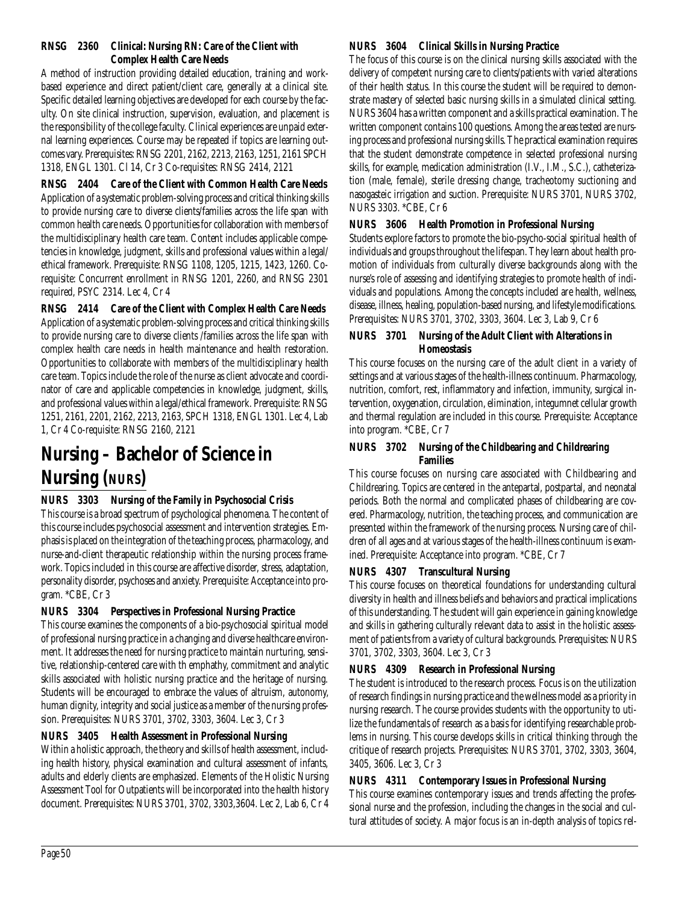#### **RNSG 2360 Clinical: Nursing RN: Care of the Client with Complex Health Care Needs**

A method of instruction providing detailed education, training and workbased experience and direct patient/client care, generally at a clinical site. Specific detailed learning objectives are developed for each course by the faculty. On site clinical instruction, supervision, evaluation, and placement is the responsibility of the college faculty. Clinical experiences are unpaid external learning experiences. Course may be repeated if topics are learning outcomes vary. Prerequisites: RNSG 2201, 2162, 2213, 2163, 1251, 2161 SPCH 1318, ENGL 1301. Cl 14, Cr 3 Co-requisites: RNSG 2414, 2121

**RNSG 2404 Care of the Client with Common Health Care Needs** Application of a systematic problem-solving process and critical thinking skills to provide nursing care to diverse clients/families across the life span with common health care needs. Opportunities for collaboration with members of the multidisciplinary health care team. Content includes applicable competencies in knowledge, judgment, skills and professional values within a legal/ ethical framework. Prerequisite: RNSG 1108, 1205, 1215, 1423, 1260. Corequisite: Concurrent enrollment in RNSG 1201, 2260, and RNSG 2301 required, PSYC 2314. Lec 4, Cr 4

**RNSG 2414 Care of the Client with Complex Health Care Needs** Application of a systematic problem-solving process and critical thinking skills to provide nursing care to diverse clients /families across the life span with complex health care needs in health maintenance and health restoration. Opportunities to collaborate with members of the multidisciplinary health care team. Topics include the role of the nurse as client advocate and coordinator of care and applicable competencies in knowledge, judgment, skills, and professional values within a legal/ethical framework. Prerequisite: RNSG 1251, 2161, 2201, 2162, 2213, 2163, SPCH 1318, ENGL 1301. Lec 4, Lab 1, Cr 4 Co-requisite: RNSG 2160, 2121

# **Nursing – Bachelor of Science in Nursing (NURS)**

# **NURS 3303 Nursing of the Family in Psychosocial Crisis**

This course is a broad spectrum of psychological phenomena. The content of this course includes psychosocial assessment and intervention strategies. Emphasis is placed on the integration of the teaching process, pharmacology, and nurse-and-client therapeutic relationship within the nursing process framework. Topics included in this course are affective disorder, stress, adaptation, personality disorder, psychoses and anxiety. Prerequisite: Acceptance into program. \*CBE, Cr 3

# **NURS 3304 Perspectives in Professional Nursing Practice**

This course examines the components of a bio-psychosocial spiritual model of professional nursing practice in a changing and diverse healthcare environment. It addresses the need for nursing practice to maintain nurturing, sensitive, relationship-centered care with th emphathy, commitment and analytic skills associated with holistic nursing practice and the heritage of nursing. Students will be encouraged to embrace the values of altruism, autonomy, human dignity, integrity and social justice as a member of the nursing profession. Prerequisites: NURS 3701, 3702, 3303, 3604. Lec 3, Cr 3

# **NURS 3405 Health Assessment in Professional Nursing**

Within a holistic approach, the theory and skills of health assessment, including health history, physical examination and cultural assessment of infants, adults and elderly clients are emphasized. Elements of the Holistic Nursing Assessment Tool for Outpatients will be incorporated into the health history document. Prerequisites: NURS 3701, 3702, 3303,3604. Lec 2, Lab 6, Cr 4

# **NURS 3604 Clinical Skills in Nursing Practice**

The focus of this course is on the clinical nursing skills associated with the delivery of competent nursing care to clients/patients with varied alterations of their health status. In this course the student will be required to demonstrate mastery of selected basic nursing skills in a simulated clinical setting. NURS 3604 has a written component and a skills practical examination. The written component contains 100 questions. Among the areas tested are nursing process and professional nursing skills. The practical examination requires that the student demonstrate competence in selected professional nursing skills, for example, medication administration (I.V., I.M., S.C.), catheterization (male, female), sterile dressing change, tracheotomy suctioning and nasogasteic irrigation and suction. Prerequisite: NURS 3701, NURS 3702, NURS 3303. \*CBE, Cr 6

# **NURS 3606 Health Promotion in Professional Nursing**

Students explore factors to promote the bio-psycho-social spiritual health of individuals and groups throughout the lifespan. They learn about health promotion of individuals from culturally diverse backgrounds along with the nurse's role of assessing and identifying strategies to promote health of individuals and populations. Among the concepts included are health, wellness, disease, illness, healing, population-based nursing, and lifestyle modifications. Prerequisites: NURS 3701, 3702, 3303, 3604. Lec 3, Lab 9, Cr 6

# **NURS 3701 Nursing of the Adult Client with Alterations in Homeostasis**

This course focuses on the nursing care of the adult client in a variety of settings and at various stages of the health-illness continuum. Pharmacology, nutrition, comfort, rest, inflammatory and infection, immunity, surgical intervention, oxygenation, circulation, elimination, integumnet cellular growth and thermal regulation are included in this course. Prerequisite: Acceptance into program. \*CBE, Cr 7

# **NURS 3702 Nursing of the Childbearing and Childrearing Families**

This course focuses on nursing care associated with Childbearing and Childrearing. Topics are centered in the antepartal, postpartal, and neonatal periods. Both the normal and complicated phases of childbearing are covered. Pharmacology, nutrition, the teaching process, and communication are presented within the framework of the nursing process. Nursing care of children of all ages and at various stages of the health-illness continuum is examined. Prerequisite: Acceptance into program. \*CBE, Cr 7

# **NURS 4307 Transcultural Nursing**

This course focuses on theoretical foundations for understanding cultural diversity in health and illness beliefs and behaviors and practical implications of this understanding. The student will gain experience in gaining knowledge and skills in gathering culturally relevant data to assist in the holistic assessment of patients from a variety of cultural backgrounds. Prerequisites: NURS 3701, 3702, 3303, 3604. Lec 3, Cr 3

# **NURS 4309 Research in Professional Nursing**

The student is introduced to the research process. Focus is on the utilization of research findings in nursing practice and the wellness model as a priority in nursing research. The course provides students with the opportunity to utilize the fundamentals of research as a basis for identifying researchable problems in nursing. This course develops skills in critical thinking through the critique of research projects. Prerequisites: NURS 3701, 3702, 3303, 3604, 3405, 3606. Lec 3, Cr 3

# **NURS 4311 Contemporary Issues in Professional Nursing**

This course examines contemporary issues and trends affecting the professional nurse and the profession, including the changes in the social and cultural attitudes of society. A major focus is an in-depth analysis of topics rel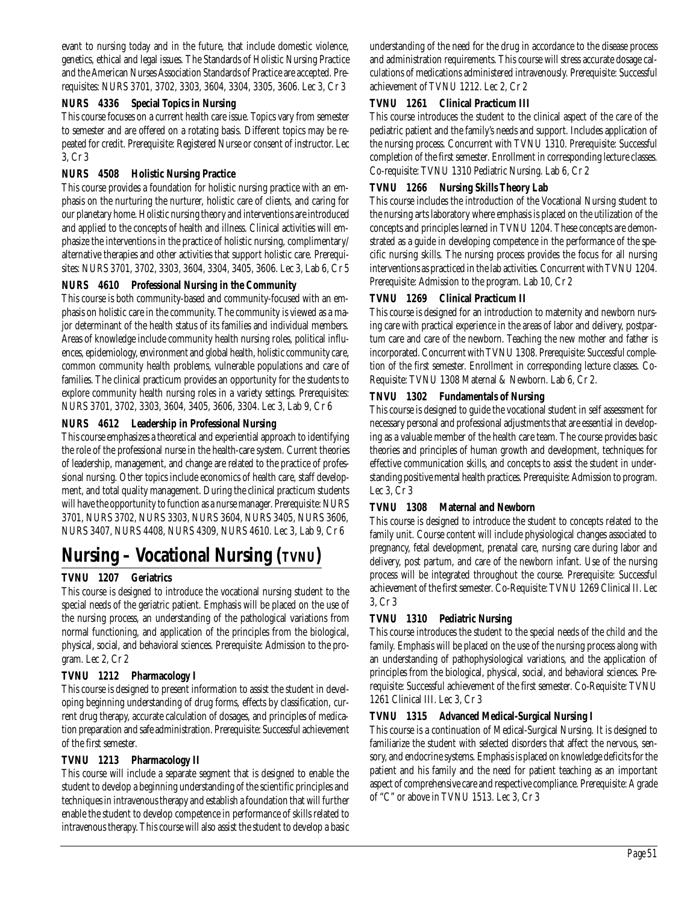evant to nursing today and in the future, that include domestic violence, genetics, ethical and legal issues. The Standards of Holistic Nursing Practice and the American Nurses Association Standards of Practice are accepted. Prerequisites: NURS 3701, 3702, 3303, 3604, 3304, 3305, 3606. Lec 3, Cr 3

# **NURS 4336 Special Topics in Nursing**

This course focuses on a current health care issue. Topics vary from semester to semester and are offered on a rotating basis. Different topics may be repeated for credit. Prerequisite: Registered Nurse or consent of instructor. Lec 3, Cr 3

# **NURS 4508 Holistic Nursing Practice**

This course provides a foundation for holistic nursing practice with an emphasis on the nurturing the nurturer, holistic care of clients, and caring for our planetary home. Holistic nursing theory and interventions are introduced and applied to the concepts of health and illness. Clinical activities will emphasize the interventions in the practice of holistic nursing, complimentary/ alternative therapies and other activities that support holistic care. Prerequisites: NURS 3701, 3702, 3303, 3604, 3304, 3405, 3606. Lec 3, Lab 6, Cr 5

# **NURS 4610 Professional Nursing in the Community**

This course is both community-based and community-focused with an emphasis on holistic care in the community. The community is viewed as a major determinant of the health status of its families and individual members. Areas of knowledge include community health nursing roles, political influences, epidemiology, environment and global health, holistic community care, common community health problems, vulnerable populations and care of families. The clinical practicum provides an opportunity for the students to explore community health nursing roles in a variety settings. Prerequisites: NURS 3701, 3702, 3303, 3604, 3405, 3606, 3304. Lec 3, Lab 9, Cr 6

# **NURS 4612 Leadership in Professional Nursing**

This course emphasizes a theoretical and experiential approach to identifying the role of the professional nurse in the health-care system. Current theories of leadership, management, and change are related to the practice of professional nursing. Other topics include economics of health care, staff development, and total quality management. During the clinical practicum students will have the opportunity to function as a nurse manager. Prerequisite: NURS 3701, NURS 3702, NURS 3303, NURS 3604, NURS 3405, NURS 3606, NURS 3407, NURS 4408, NURS 4309, NURS 4610. Lec 3, Lab 9, Cr 6

# **Nursing – Vocational Nursing (TVNU)**

# **TVNU 1207 Geriatrics**

This course is designed to introduce the vocational nursing student to the special needs of the geriatric patient. Emphasis will be placed on the use of the nursing process, an understanding of the pathological variations from normal functioning, and application of the principles from the biological, physical, social, and behavioral sciences. Prerequisite: Admission to the program. Lec 2, Cr 2

# **TVNU 1212 Pharmacology I**

This course is designed to present information to assist the student in developing beginning understanding of drug forms, effects by classification, current drug therapy, accurate calculation of dosages, and principles of medication preparation and safe administration. Prerequisite: Successful achievement of the first semester.

# **TVNU 1213 Pharmacology II**

This course will include a separate segment that is designed to enable the student to develop a beginning understanding of the scientific principles and techniques in intravenous therapy and establish a foundation that will further enable the student to develop competence in performance of skills related to intravenous therapy. This course will also assist the student to develop a basic understanding of the need for the drug in accordance to the disease process and administration requirements. This course will stress accurate dosage calculations of medications administered intravenously. Prerequisite: Successful achievement of TVNU 1212. Lec 2, Cr 2

# **TVNU 1261 Clinical Practicum III**

This course introduces the student to the clinical aspect of the care of the pediatric patient and the family's needs and support. Includes application of the nursing process. Concurrent with TVNU 1310. Prerequisite: Successful completion of the first semester. Enrollment in corresponding lecture classes. Co-requisite: TVNU 1310 Pediatric Nursing. Lab 6, Cr 2

# **TVNU 1266 Nursing Skills Theory Lab**

This course includes the introduction of the Vocational Nursing student to the nursing arts laboratory where emphasis is placed on the utilization of the concepts and principles learned in TVNU 1204. These concepts are demonstrated as a guide in developing competence in the performance of the specific nursing skills. The nursing process provides the focus for all nursing interventions as practiced in the lab activities. Concurrent with TVNU 1204. Prerequisite: Admission to the program. Lab 10, Cr 2

#### **TVNU 1269 Clinical Practicum II**

This course is designed for an introduction to maternity and newborn nursing care with practical experience in the areas of labor and delivery, postpartum care and care of the newborn. Teaching the new mother and father is incorporated. Concurrent with TVNU 1308. Prerequisite: Successful completion of the first semester. Enrollment in corresponding lecture classes. Co-Requisite: TVNU 1308 Maternal & Newborn. Lab 6, Cr 2.

# **TNVU 1302 Fundamentals of Nursing**

This course is designed to guide the vocational student in self assessment for necessary personal and professional adjustments that are essential in developing as a valuable member of the health care team. The course provides basic theories and principles of human growth and development, techniques for effective communication skills, and concepts to assist the student in understanding positive mental health practices. Prerequisite: Admission to program. Lec 3, Cr 3

# **TVNU 1308 Maternal and Newborn**

This course is designed to introduce the student to concepts related to the family unit. Course content will include physiological changes associated to pregnancy, fetal development, prenatal care, nursing care during labor and delivery, post partum, and care of the newborn infant. Use of the nursing process will be integrated throughout the course. Prerequisite: Successful achievement of the first semester. Co-Requisite: TVNU 1269 Clinical II. Lec 3, Cr 3

# **TVNU 1310 Pediatric Nursing**

This course introduces the student to the special needs of the child and the family. Emphasis will be placed on the use of the nursing process along with an understanding of pathophysiological variations, and the application of principles from the biological, physical, social, and behavioral sciences. Prerequisite: Successful achievement of the first semester. Co-Requisite: TVNU 1261 Clinical III. Lec 3, Cr 3

#### **TVNU 1315 Advanced Medical-Surgical Nursing I**

This course is a continuation of Medical-Surgical Nursing. It is designed to familiarize the student with selected disorders that affect the nervous, sensory, and endocrine systems. Emphasis is placed on knowledge deficits for the patient and his family and the need for patient teaching as an important aspect of comprehensive care and respective compliance. Prerequisite: A grade of "C" or above in TVNU 1513. Lec 3, Cr 3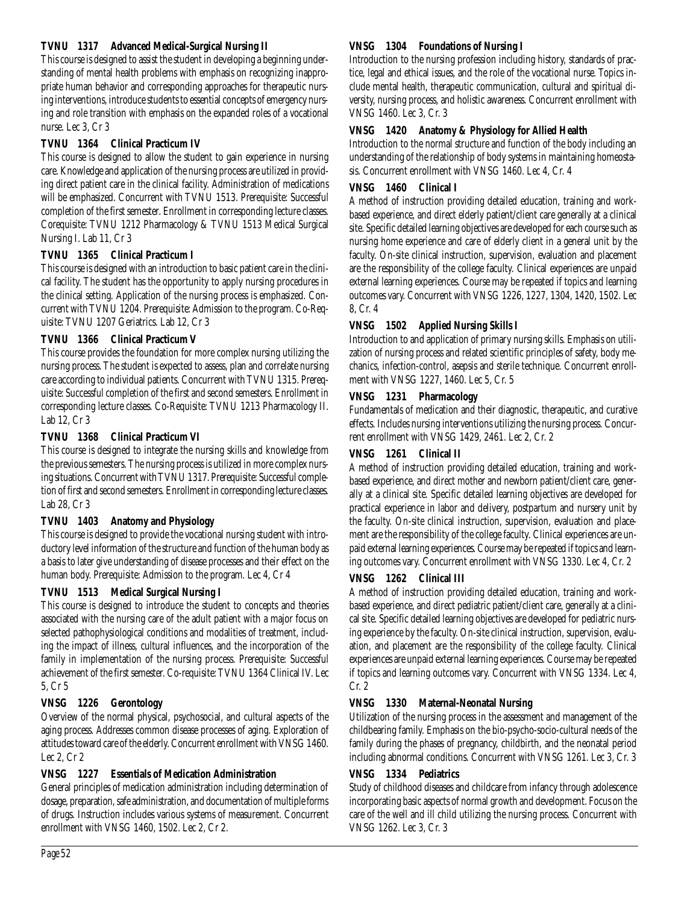# **TVNU 1317 Advanced Medical-Surgical Nursing II**

This course is designed to assist the student in developing a beginning understanding of mental health problems with emphasis on recognizing inappropriate human behavior and corresponding approaches for therapeutic nursing interventions, introduce students to essential concepts of emergency nursing and role transition with emphasis on the expanded roles of a vocational nurse. Lec 3, Cr 3

# **TVNU 1364 Clinical Practicum IV**

This course is designed to allow the student to gain experience in nursing care. Knowledge and application of the nursing process are utilized in providing direct patient care in the clinical facility. Administration of medications will be emphasized. Concurrent with TVNU 1513. Prerequisite: Successful completion of the first semester. Enrollment in corresponding lecture classes. Corequisite: TVNU 1212 Pharmacology & TVNU 1513 Medical Surgical Nursing I. Lab 11, Cr 3

# **TVNU 1365 Clinical Practicum I**

This course is designed with an introduction to basic patient care in the clinical facility. The student has the opportunity to apply nursing procedures in the clinical setting. Application of the nursing process is emphasized. Concurrent with TVNU 1204. Prerequisite: Admission to the program. Co-Requisite: TVNU 1207 Geriatrics. Lab 12, Cr 3

# **TVNU 1366 Clinical Practicum V**

This course provides the foundation for more complex nursing utilizing the nursing process. The student is expected to assess, plan and correlate nursing care according to individual patients. Concurrent with TVNU 1315. Prerequisite: Successful completion of the first and second semesters. Enrollment in corresponding lecture classes. Co-Requisite: TVNU 1213 Pharmacology II. Lab 12, Cr 3

# **TVNU 1368 Clinical Practicum VI**

This course is designed to integrate the nursing skills and knowledge from the previous semesters. The nursing process is utilized in more complex nursing situations. Concurrent with TVNU 1317. Prerequisite: Successful completion of first and second semesters. Enrollment in corresponding lecture classes. Lab 28, Cr 3

# **TVNU 1403 Anatomy and Physiology**

This course is designed to provide the vocational nursing student with introductory level information of the structure and function of the human body as a basis to later give understanding of disease processes and their effect on the human body. Prerequisite: Admission to the program. Lec 4, Cr 4

# **TVNU 1513 Medical Surgical Nursing I**

This course is designed to introduce the student to concepts and theories associated with the nursing care of the adult patient with a major focus on selected pathophysiological conditions and modalities of treatment, including the impact of illness, cultural influences, and the incorporation of the family in implementation of the nursing process. Prerequisite: Successful achievement of the first semester. Co-requisite: TVNU 1364 Clinical IV. Lec 5, Cr 5

# **VNSG 1226 Gerontology**

Overview of the normal physical, psychosocial, and cultural aspects of the aging process. Addresses common disease processes of aging. Exploration of attitudes toward care of the elderly. Concurrent enrollment with VNSG 1460. Lec 2, Cr 2

# **VNSG 1227 Essentials of Medication Administration**

General principles of medication administration including determination of dosage, preparation, safe administration, and documentation of multiple forms of drugs. Instruction includes various systems of measurement. Concurrent enrollment with VNSG 1460, 1502. Lec 2, Cr 2.

# **VNSG 1304 Foundations of Nursing I**

Introduction to the nursing profession including history, standards of practice, legal and ethical issues, and the role of the vocational nurse. Topics include mental health, therapeutic communication, cultural and spiritual diversity, nursing process, and holistic awareness. Concurrent enrollment with VNSG 1460. Lec 3, Cr. 3

# **VNSG 1420 Anatomy & Physiology for Allied Health**

Introduction to the normal structure and function of the body including an understanding of the relationship of body systems in maintaining homeostasis. Concurrent enrollment with VNSG 1460. Lec 4, Cr. 4

# **VNSG 1460 Clinical I**

A method of instruction providing detailed education, training and workbased experience, and direct elderly patient/client care generally at a clinical site. Specific detailed learning objectives are developed for each course such as nursing home experience and care of elderly client in a general unit by the faculty. On-site clinical instruction, supervision, evaluation and placement are the responsibility of the college faculty. Clinical experiences are unpaid external learning experiences. Course may be repeated if topics and learning outcomes vary. Concurrent with VNSG 1226, 1227, 1304, 1420, 1502. Lec 8, Cr. 4

# **VNSG 1502 Applied Nursing Skills I**

Introduction to and application of primary nursing skills. Emphasis on utilization of nursing process and related scientific principles of safety, body mechanics, infection-control, asepsis and sterile technique. Concurrent enrollment with VNSG 1227, 1460. Lec 5, Cr. 5

# **VNSG 1231 Pharmacology**

Fundamentals of medication and their diagnostic, therapeutic, and curative effects. Includes nursing interventions utilizing the nursing process. Concurrent enrollment with VNSG 1429, 2461. Lec 2, Cr. 2

# **VNSG 1261 Clinical II**

A method of instruction providing detailed education, training and workbased experience, and direct mother and newborn patient/client care, generally at a clinical site. Specific detailed learning objectives are developed for practical experience in labor and delivery, postpartum and nursery unit by the faculty. On-site clinical instruction, supervision, evaluation and placement are the responsibility of the college faculty. Clinical experiences are unpaid external learning experiences. Course may be repeated if topics and learning outcomes vary. Concurrent enrollment with VNSG 1330. Lec 4, Cr. 2

# **VNSG 1262 Clinical III**

A method of instruction providing detailed education, training and workbased experience, and direct pediatric patient/client care, generally at a clinical site. Specific detailed learning objectives are developed for pediatric nursing experience by the faculty. On-site clinical instruction, supervision, evaluation, and placement are the responsibility of the college faculty. Clinical experiences are unpaid external learning experiences. Course may be repeated if topics and learning outcomes vary. Concurrent with VNSG 1334. Lec 4, Cr. 2

# **VNSG 1330 Maternal-Neonatal Nursing**

Utilization of the nursing process in the assessment and management of the childbearing family. Emphasis on the bio-psycho-socio-cultural needs of the family during the phases of pregnancy, childbirth, and the neonatal period including abnormal conditions. Concurrent with VNSG 1261. Lec 3, Cr. 3

# **VNSG 1334 Pediatrics**

Study of childhood diseases and childcare from infancy through adolescence incorporating basic aspects of normal growth and development. Focus on the care of the well and ill child utilizing the nursing process. Concurrent with VNSG 1262. Lec 3, Cr. 3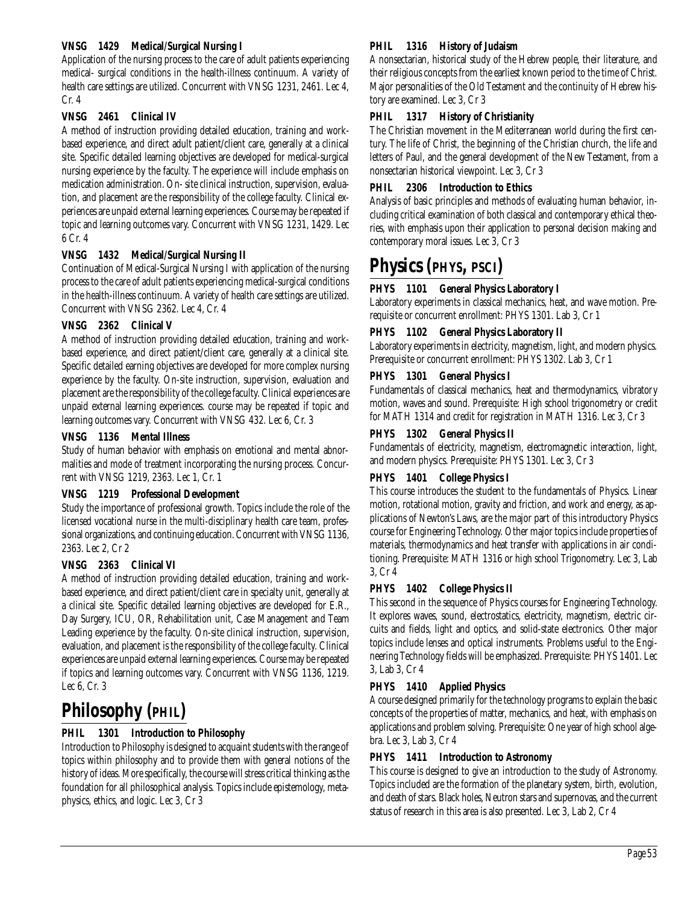## **VNSG 1429 Medical/Surgical Nursing I**

Application of the nursing process to the care of adult patients experiencing medical- surgical conditions in the health-illness continuum. A variety of health care settings are utilized. Concurrent with VNSG 1231, 2461. Lec 4, Cr. 4

#### **VNSG 2461 Clinical IV**

A method of instruction providing detailed education, training and workbased experience, and direct adult patient/client care, generally at a clinical site. Specific detailed learning objectives are developed for medical-surgical nursing experience by the faculty. The experience will include emphasis on medication administration. On- site clinical instruction, supervision, evaluation, and placement are the responsibility of the college faculty. Clinical experiences are unpaid external learning experiences. Course may be repeated if topic and learning outcomes vary. Concurrent with VNSG 1231, 1429. Lec 6 Cr. 4

#### **VNSG 1432 Medical/Surgical Nursing II**

Continuation of Medical-Surgical Nursing I with application of the nursing process to the care of adult patients experiencing medical-surgical conditions in the health-illness continuum. A variety of health care settings are utilized. Concurrent with VNSG 2362. Lec 4, Cr. 4

#### **VNSG 2362 Clinical V**

A method of instruction providing detailed education, training and workbased experience, and direct patient/client care, generally at a clinical site. Specific detailed earning objectives are developed for more complex nursing experience by the faculty. On-site instruction, supervision, evaluation and placement are the responsibility of the college faculty. Clinical experiences are unpaid external learning experiences. course may be repeated if topic and learning outcomes vary. Concurrent with VNSG 432. Lec 6, Cr. 3

#### **VNSG 1136 Mental Illness**

Study of human behavior with emphasis on emotional and mental abnormalities and mode of treatment incorporating the nursing process. Concurrent with VNSG 1219, 2363. Lec 1, Cr. 1

#### **VNSG 1219 Professional Development**

Study the importance of professional growth. Topics include the role of the licensed vocational nurse in the multi-disciplinary health care team, professional organizations, and continuing education. Concurrent with VNSG 1136, 2363. Lec 2, Cr 2

#### **VNSG 2363 Clinical VI**

A method of instruction providing detailed education, training and workbased experience, and direct patient/client care in specialty unit, generally at a clinical site. Specific detailed learning objectives are developed for E.R., Day Surgery, ICU, OR, Rehabilitation unit, Case Management and Team Leading experience by the faculty. On-site clinical instruction, supervision, evaluation, and placement is the responsibility of the college faculty. Clinical experiences are unpaid external learning experiences. Course may be repeated if topics and learning outcomes vary. Concurrent with VNSG 1136, 1219. Lec 6, Cr. 3

# **Philosophy (PHIL)**

# **PHIL 1301 Introduction to Philosophy**

Introduction to Philosophy is designed to acquaint students with the range of topics within philosophy and to provide them with general notions of the history of ideas. More specifically, the course will stress critical thinking as the foundation for all philosophical analysis. Topics include epistemology, metaphysics, ethics, and logic. Lec 3, Cr 3

#### **PHIL 1316 History of Judaism**

A nonsectarian, historical study of the Hebrew people, their literature, and their religious concepts from the earliest known period to the time of Christ. Major personalities of the Old Testament and the continuity of Hebrew history are examined. Lec 3, Cr 3

#### **PHIL 1317 History of Christianity**

The Christian movement in the Mediterranean world during the first century. The life of Christ, the beginning of the Christian church, the life and letters of Paul, and the general development of the New Testament, from a nonsectarian historical viewpoint. Lec 3, Cr 3

# **PHIL 2306 Introduction to Ethics**

Analysis of basic principles and methods of evaluating human behavior, including critical examination of both classical and contemporary ethical theories, with emphasis upon their application to personal decision making and contemporary moral issues. Lec 3, Cr 3

# **Physics (PHYS, PSCI)**

# **PHYS 1101 General Physics Laboratory I**

Laboratory experiments in classical mechanics, heat, and wave motion. Prerequisite or concurrent enrollment: PHYS 1301. Lab 3, Cr 1

#### **PHYS 1102 General Physics Laboratory II**

Laboratory experiments in electricity, magnetism, light, and modern physics. Prerequisite or concurrent enrollment: PHYS 1302. Lab 3, Cr 1

#### **PHYS 1301 General Physics I**

Fundamentals of classical mechanics, heat and thermodynamics, vibratory motion, waves and sound. Prerequisite: High school trigonometry or credit for MATH 1314 and credit for registration in MATH 1316. Lec 3, Cr 3

#### **PHYS 1302 General Physics II**

Fundamentals of electricity, magnetism, electromagnetic interaction, light, and modern physics. Prerequisite: PHYS 1301. Lec 3, Cr 3

#### **PHYS 1401 College Physics I**

This course introduces the student to the fundamentals of Physics. Linear motion, rotational motion, gravity and friction, and work and energy, as applications of Newton's Laws, are the major part of this introductory Physics course for Engineering Technology. Other major topics include properties of materials, thermodynamics and heat transfer with applications in air conditioning. Prerequisite: MATH 1316 or high school Trigonometry. Lec 3, Lab 3, Cr 4

#### **PHYS 1402 College Physics II**

This second in the sequence of Physics courses for Engineering Technology. It explores waves, sound, electrostatics, electricity, magnetism, electric circuits and fields, light and optics, and solid-state electronics. Other major topics include lenses and optical instruments. Problems useful to the Engineering Technology fields will be emphasized. Prerequisite: PHYS 1401. Lec 3, Lab 3, Cr 4

# **PHYS 1410 Applied Physics**

A course designed primarily for the technology programs to explain the basic concepts of the properties of matter, mechanics, and heat, with emphasis on applications and problem solving. Prerequisite: One year of high school algebra. Lec 3, Lab 3, Cr 4

# **PHYS 1411 Introduction to Astronomy**

This course is designed to give an introduction to the study of Astronomy. Topics included are the formation of the planetary system, birth, evolution, and death of stars. Black holes, Neutron stars and supernovas, and the current status of research in this area is also presented. Lec 3, Lab 2, Cr 4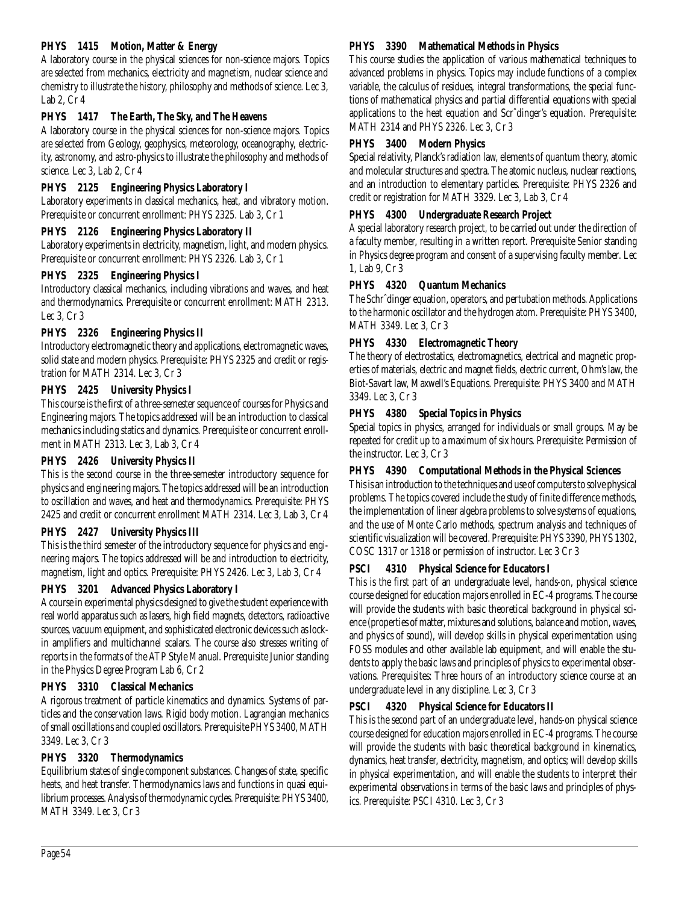# **PHYS 1415 Motion, Matter & Energy**

A laboratory course in the physical sciences for non-science majors. Topics are selected from mechanics, electricity and magnetism, nuclear science and chemistry to illustrate the history, philosophy and methods of science. Lec 3, Lab 2, Cr 4

# **PHYS 1417 The Earth, The Sky, and The Heavens**

A laboratory course in the physical sciences for non-science majors. Topics are selected from Geology, geophysics, meteorology, oceanography, electricity, astronomy, and astro-physics to illustrate the philosophy and methods of science. Lec 3, Lab 2, Cr 4

# **PHYS 2125 Engineering Physics Laboratory I**

Laboratory experiments in classical mechanics, heat, and vibratory motion. Prerequisite or concurrent enrollment: PHYS 2325. Lab 3, Cr 1

# **PHYS 2126 Engineering Physics Laboratory II**

Laboratory experiments in electricity, magnetism, light, and modern physics. Prerequisite or concurrent enrollment: PHYS 2326. Lab 3, Cr 1

# **PHYS 2325 Engineering Physics I**

Introductory classical mechanics, including vibrations and waves, and heat and thermodynamics. Prerequisite or concurrent enrollment: MATH 2313. Lec 3, Cr 3

# **PHYS 2326 Engineering Physics II**

Introductory electromagnetic theory and applications, electromagnetic waves, solid state and modern physics. Prerequisite: PHYS 2325 and credit or registration for MATH 2314. Lec 3, Cr 3

# **PHYS 2425 University Physics I**

This course is the first of a three-semester sequence of courses for Physics and Engineering majors. The topics addressed will be an introduction to classical mechanics including statics and dynamics. Prerequisite or concurrent enrollment in MATH 2313. Lec 3, Lab 3, Cr 4

# **PHYS 2426 University Physics II**

This is the second course in the three-semester introductory sequence for physics and engineering majors. The topics addressed will be an introduction to oscillation and waves, and heat and thermodynamics. Prerequisite: PHYS 2425 and credit or concurrent enrollment MATH 2314. Lec 3, Lab 3, Cr 4

# **PHYS 2427 University Physics III**

This is the third semester of the introductory sequence for physics and engineering majors. The topics addressed will be and introduction to electricity, magnetism, light and optics. Prerequisite: PHYS 2426. Lec 3, Lab 3, Cr 4

# **PHYS 3201 Advanced Physics Laboratory I**

A course in experimental physics designed to give the student experience with real world apparatus such as lasers, high field magnets, detectors, radioactive sources, vacuum equipment, and sophisticated electronic devices such as lockin amplifiers and multichannel scalars. The course also stresses writing of reports in the formats of the ATP Style Manual. Prerequisite Junior standing in the Physics Degree Program Lab 6, Cr 2

# **PHYS 3310 Classical Mechanics**

A rigorous treatment of particle kinematics and dynamics. Systems of particles and the conservation laws. Rigid body motion. Lagrangian mechanics of small oscillations and coupled oscillators. Prerequisite PHYS 3400, MATH 3349. Lec 3, Cr 3

# **PHYS 3320 Thermodynamics**

Equilibrium states of single component substances. Changes of state, specific heats, and heat transfer. Thermodynamics laws and functions in quasi equilibrium processes. Analysis of thermodynamic cycles. Prerequisite: PHYS 3400, MATH 3349. Lec 3, Cr 3

# **PHYS 3390 Mathematical Methods in Physics**

This course studies the application of various mathematical techniques to advanced problems in physics. Topics may include functions of a complex variable, the calculus of residues, integral transformations, the special functions of mathematical physics and partial differential equations with special applications to the heat equation and Scrˆdinger's equation. Prerequisite: MATH 2314 and PHYS 2326. Lec 3, Cr 3

# **PHYS 3400 Modern Physics**

Special relativity, Planck's radiation law, elements of quantum theory, atomic and molecular structures and spectra. The atomic nucleus, nuclear reactions, and an introduction to elementary particles. Prerequisite: PHYS 2326 and credit or registration for MATH 3329. Lec 3, Lab 3, Cr 4

# **PHYS 4300 Undergraduate Research Project**

A special laboratory research project, to be carried out under the direction of a faculty member, resulting in a written report. Prerequisite Senior standing in Physics degree program and consent of a supervising faculty member. Lec 1, Lab 9, Cr 3

# **PHYS 4320 Quantum Mechanics**

The Schrˆdinger equation, operators, and pertubation methods. Applications to the harmonic oscillator and the hydrogen atom. Prerequisite: PHYS 3400, MATH 3349. Lec 3, Cr 3

# **PHYS 4330 Electromagnetic Theory**

The theory of electrostatics, electromagnetics, electrical and magnetic properties of materials, electric and magnet fields, electric current, Ohm's law, the Biot-Savart law, Maxwell's Equations. Prerequisite: PHYS 3400 and MATH 3349. Lec 3, Cr 3

# **PHYS 4380 Special Topics in Physics**

Special topics in physics, arranged for individuals or small groups. May be repeated for credit up to a maximum of six hours. Prerequisite: Permission of the instructor. Lec 3, Cr 3

# **PHYS 4390 Computational Methods in the Physical Sciences**

This is an introduction to the techniques and use of computers to solve physical problems. The topics covered include the study of finite difference methods, the implementation of linear algebra problems to solve systems of equations, and the use of Monte Carlo methods, spectrum analysis and techniques of scientific visualization will be covered. Prerequisite: PHYS 3390, PHYS 1302, COSC 1317 or 1318 or permission of instructor. Lec 3 Cr 3

# **PSCI 4310 Physical Science for Educators I**

This is the first part of an undergraduate level, hands-on, physical science course designed for education majors enrolled in EC-4 programs. The course will provide the students with basic theoretical background in physical science (properties of matter, mixtures and solutions, balance and motion, waves, and physics of sound), will develop skills in physical experimentation using FOSS modules and other available lab equipment, and will enable the students to apply the basic laws and principles of physics to experimental observations. Prerequisites: Three hours of an introductory science course at an undergraduate level in any discipline. Lec 3, Cr 3

# **PSCI 4320 Physical Science for Educators II**

This is the second part of an undergraduate level, hands-on physical science course designed for education majors enrolled in EC-4 programs. The course will provide the students with basic theoretical background in kinematics, dynamics, heat transfer, electricity, magnetism, and optics; will develop skills in physical experimentation, and will enable the students to interpret their experimental observations in terms of the basic laws and principles of physics. Prerequisite: PSCI 4310. Lec 3, Cr 3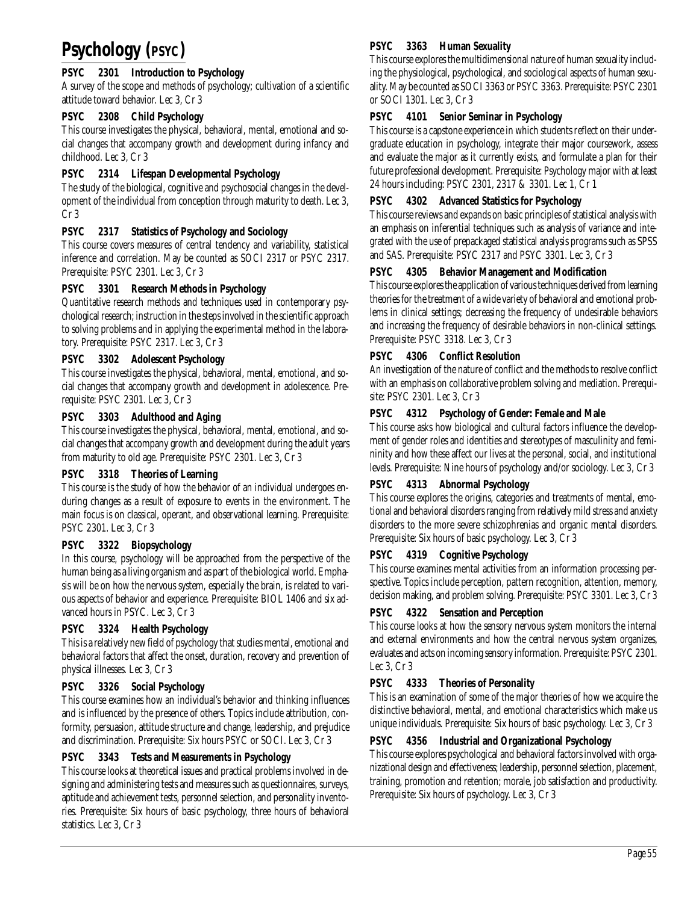# **Psychology (PSYC)**

# **PSYC 2301 Introduction to Psychology**

A survey of the scope and methods of psychology; cultivation of a scientific attitude toward behavior. Lec 3, Cr 3

# **PSYC 2308 Child Psychology**

This course investigates the physical, behavioral, mental, emotional and social changes that accompany growth and development during infancy and childhood. Lec 3, Cr 3

# **PSYC 2314 Lifespan Developmental Psychology**

The study of the biological, cognitive and psychosocial changes in the development of the individual from conception through maturity to death. Lec 3, Cr 3

# **PSYC 2317 Statistics of Psychology and Sociology**

This course covers measures of central tendency and variability, statistical inference and correlation. May be counted as SOCI 2317 or PSYC 2317. Prerequisite: PSYC 2301. Lec 3, Cr 3

# **PSYC 3301 Research Methods in Psychology**

Quantitative research methods and techniques used in contemporary psychological research; instruction in the steps involved in the scientific approach to solving problems and in applying the experimental method in the laboratory. Prerequisite: PSYC 2317. Lec 3, Cr 3

# **PSYC 3302 Adolescent Psychology**

This course investigates the physical, behavioral, mental, emotional, and social changes that accompany growth and development in adolescence. Prerequisite: PSYC 2301. Lec 3, Cr 3

# **PSYC 3303 Adulthood and Aging**

This course investigates the physical, behavioral, mental, emotional, and social changes that accompany growth and development during the adult years from maturity to old age. Prerequisite: PSYC 2301. Lec 3, Cr 3

# **PSYC 3318 Theories of Learning**

This course is the study of how the behavior of an individual undergoes enduring changes as a result of exposure to events in the environment. The main focus is on classical, operant, and observational learning. Prerequisite: PSYC 2301. Lec 3, Cr 3

# **PSYC 3322 Biopsychology**

In this course, psychology will be approached from the perspective of the human being as a living organism and as part of the biological world. Emphasis will be on how the nervous system, especially the brain, is related to various aspects of behavior and experience. Prerequisite: BIOL 1406 and six advanced hours in PSYC. Lec 3, Cr 3

# **PSYC 3324 Health Psychology**

This is a relatively new field of psychology that studies mental, emotional and behavioral factors that affect the onset, duration, recovery and prevention of physical illnesses. Lec 3, Cr 3

# **PSYC 3326 Social Psychology**

This course examines how an individual's behavior and thinking influences and is influenced by the presence of others. Topics include attribution, conformity, persuasion, attitude structure and change, leadership, and prejudice and discrimination. Prerequisite: Six hours PSYC or SOCI. Lec 3, Cr 3

# **PSYC 3343 Tests and Measurements in Psychology**

This course looks at theoretical issues and practical problems involved in designing and administering tests and measures such as questionnaires, surveys, aptitude and achievement tests, personnel selection, and personality inventories. Prerequisite: Six hours of basic psychology, three hours of behavioral statistics. Lec 3, Cr 3

# **PSYC 3363 Human Sexuality**

This course explores the multidimensional nature of human sexuality including the physiological, psychological, and sociological aspects of human sexuality. May be counted as SOCI 3363 or PSYC 3363. Prerequisite: PSYC 2301 or SOCI 1301. Lec 3, Cr 3

# **PSYC 4101 Senior Seminar in Psychology**

This course is a capstone experience in which students reflect on their undergraduate education in psychology, integrate their major coursework, assess and evaluate the major as it currently exists, and formulate a plan for their future professional development. Prerequisite: Psychology major with at least 24 hours including: PSYC 2301, 2317 & 3301. Lec 1, Cr 1

# **PSYC 4302 Advanced Statistics for Psychology**

This course reviews and expands on basic principles of statistical analysis with an emphasis on inferential techniques such as analysis of variance and integrated with the use of prepackaged statistical analysis programs such as SPSS and SAS. Prerequisite: PSYC 2317 and PSYC 3301. Lec 3, Cr 3

# **PSYC 4305 Behavior Management and Modification**

This course explores the application of various techniques derived from learning theories for the treatment of a wide variety of behavioral and emotional problems in clinical settings; decreasing the frequency of undesirable behaviors and increasing the frequency of desirable behaviors in non-clinical settings. Prerequisite: PSYC 3318. Lec 3, Cr 3

# **PSYC 4306 Conflict Resolution**

An investigation of the nature of conflict and the methods to resolve conflict with an emphasis on collaborative problem solving and mediation. Prerequisite: PSYC 2301. Lec 3, Cr 3

# **PSYC 4312 Psychology of Gender: Female and Male**

This course asks how biological and cultural factors influence the development of gender roles and identities and stereotypes of masculinity and femininity and how these affect our lives at the personal, social, and institutional levels. Prerequisite: Nine hours of psychology and/or sociology. Lec 3, Cr 3

# **PSYC 4313 Abnormal Psychology**

This course explores the origins, categories and treatments of mental, emotional and behavioral disorders ranging from relatively mild stress and anxiety disorders to the more severe schizophrenias and organic mental disorders. Prerequisite: Six hours of basic psychology. Lec 3, Cr 3

# **PSYC 4319 Cognitive Psychology**

This course examines mental activities from an information processing perspective. Topics include perception, pattern recognition, attention, memory, decision making, and problem solving. Prerequisite: PSYC 3301. Lec 3, Cr 3

# **PSYC 4322 Sensation and Perception**

This course looks at how the sensory nervous system monitors the internal and external environments and how the central nervous system organizes, evaluates and acts on incoming sensory information. Prerequisite: PSYC 2301. Lec 3, Cr 3

# **PSYC 4333 Theories of Personality**

This is an examination of some of the major theories of how we acquire the distinctive behavioral, mental, and emotional characteristics which make us unique individuals. Prerequisite: Six hours of basic psychology. Lec 3, Cr 3

# **PSYC 4356 Industrial and Organizational Psychology**

This course explores psychological and behavioral factors involved with organizational design and effectiveness; leadership, personnel selection, placement, training, promotion and retention; morale, job satisfaction and productivity. Prerequisite: Six hours of psychology. Lec 3, Cr 3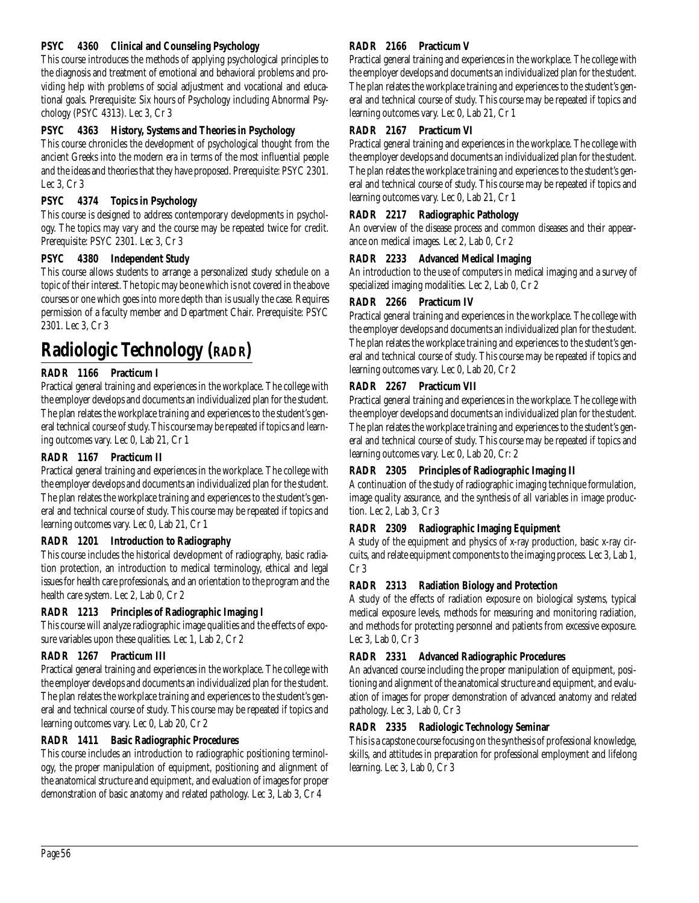#### **PSYC 4360 Clinical and Counseling Psychology**

This course introduces the methods of applying psychological principles to the diagnosis and treatment of emotional and behavioral problems and providing help with problems of social adjustment and vocational and educational goals. Prerequisite: Six hours of Psychology including Abnormal Psychology (PSYC 4313). Lec 3, Cr 3

#### **PSYC 4363 History, Systems and Theories in Psychology**

This course chronicles the development of psychological thought from the ancient Greeks into the modern era in terms of the most influential people and the ideas and theories that they have proposed. Prerequisite: PSYC 2301. Lec 3, Cr 3

#### **PSYC 4374 Topics in Psychology**

This course is designed to address contemporary developments in psychology. The topics may vary and the course may be repeated twice for credit. Prerequisite: PSYC 2301. Lec 3, Cr 3

#### **PSYC 4380 Independent Study**

This course allows students to arrange a personalized study schedule on a topic of their interest. The topic may be one which is not covered in the above courses or one which goes into more depth than is usually the case. Requires permission of a faculty member and Department Chair. Prerequisite: PSYC 2301. Lec 3, Cr 3

# **Radiologic Technology (RADR)**

#### **RADR 1166 Practicum I**

Practical general training and experiences in the workplace. The college with the employer develops and documents an individualized plan for the student. The plan relates the workplace training and experiences to the student's general technical course of study. This course may be repeated if topics and learning outcomes vary. Lec 0, Lab 21, Cr 1

#### **RADR 1167 Practicum II**

Practical general training and experiences in the workplace. The college with the employer develops and documents an individualized plan for the student. The plan relates the workplace training and experiences to the student's general and technical course of study. This course may be repeated if topics and learning outcomes vary. Lec 0, Lab 21, Cr 1

#### **RADR 1201 Introduction to Radiography**

This course includes the historical development of radiography, basic radiation protection, an introduction to medical terminology, ethical and legal issues for health care professionals, and an orientation to the program and the health care system. Lec 2, Lab 0, Cr 2

#### **RADR 1213 Principles of Radiographic Imaging I**

This course will analyze radiographic image qualities and the effects of exposure variables upon these qualities. Lec 1, Lab 2, Cr 2

#### **RADR 1267 Practicum III**

Practical general training and experiences in the workplace. The college with the employer develops and documents an individualized plan for the student. The plan relates the workplace training and experiences to the student's general and technical course of study. This course may be repeated if topics and learning outcomes vary. Lec 0, Lab 20, Cr 2

#### **RADR 1411 Basic Radiographic Procedures**

This course includes an introduction to radiographic positioning terminology, the proper manipulation of equipment, positioning and alignment of the anatomical structure and equipment, and evaluation of images for proper demonstration of basic anatomy and related pathology. Lec 3, Lab 3, Cr 4

#### **RADR 2166 Practicum V**

Practical general training and experiences in the workplace. The college with the employer develops and documents an individualized plan for the student. The plan relates the workplace training and experiences to the student's general and technical course of study. This course may be repeated if topics and learning outcomes vary. Lec 0, Lab 21, Cr 1

#### **RADR 2167 Practicum VI**

Practical general training and experiences in the workplace. The college with the employer develops and documents an individualized plan for the student. The plan relates the workplace training and experiences to the student's general and technical course of study. This course may be repeated if topics and learning outcomes vary. Lec 0, Lab 21, Cr 1

#### **RADR 2217 Radiographic Pathology**

An overview of the disease process and common diseases and their appearance on medical images. Lec 2, Lab 0, Cr 2

#### **RADR 2233 Advanced Medical Imaging**

An introduction to the use of computers in medical imaging and a survey of specialized imaging modalities. Lec 2, Lab 0, Cr 2

#### **RADR 2266 Practicum IV**

Practical general training and experiences in the workplace. The college with the employer develops and documents an individualized plan for the student. The plan relates the workplace training and experiences to the student's general and technical course of study. This course may be repeated if topics and learning outcomes vary. Lec 0, Lab 20, Cr 2

#### **RADR 2267 Practicum VII**

Practical general training and experiences in the workplace. The college with the employer develops and documents an individualized plan for the student. The plan relates the workplace training and experiences to the student's general and technical course of study. This course may be repeated if topics and learning outcomes vary. Lec 0, Lab 20, Cr: 2

# **RADR 2305 Principles of Radiographic Imaging II**

A continuation of the study of radiographic imaging technique formulation, image quality assurance, and the synthesis of all variables in image production. Lec 2, Lab 3, Cr 3

# **RADR 2309 Radiographic Imaging Equipment**

A study of the equipment and physics of x-ray production, basic x-ray circuits, and relate equipment components to the imaging process. Lec 3, Lab 1, Cr 3

#### **RADR 2313 Radiation Biology and Protection**

A study of the effects of radiation exposure on biological systems, typical medical exposure levels, methods for measuring and monitoring radiation, and methods for protecting personnel and patients from excessive exposure. Lec 3, Lab 0, Cr 3

# **RADR 2331 Advanced Radiographic Procedures**

An advanced course including the proper manipulation of equipment, positioning and alignment of the anatomical structure and equipment, and evaluation of images for proper demonstration of advanced anatomy and related pathology. Lec 3, Lab 0, Cr 3

#### **RADR 2335 Radiologic Technology Seminar**

This is a capstone course focusing on the synthesis of professional knowledge, skills, and attitudes in preparation for professional employment and lifelong learning. Lec 3, Lab 0, Cr 3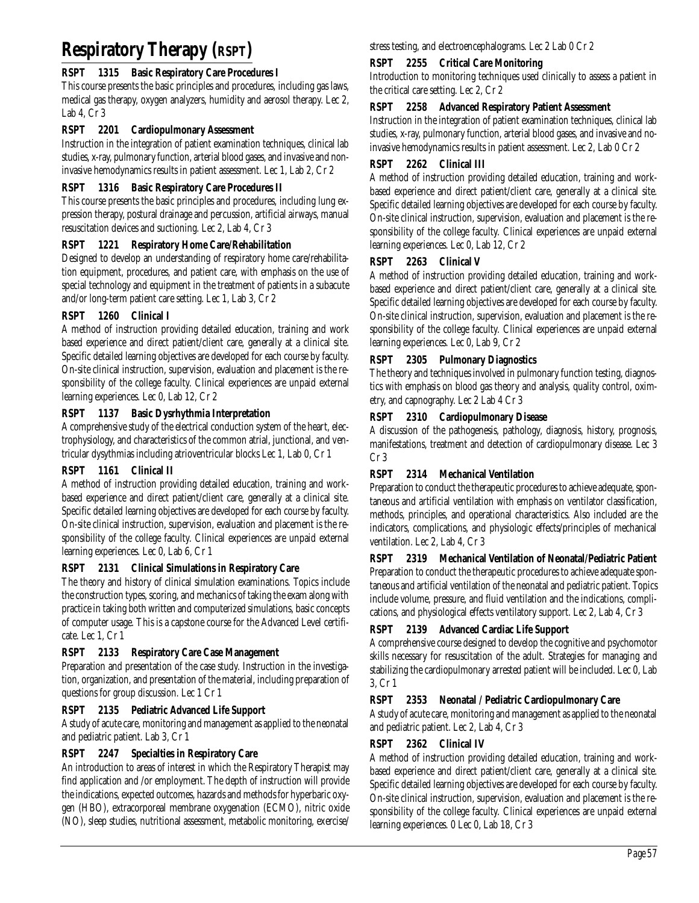# **Respiratory Therapy (RSPT)**

# **RSPT 1315 Basic Respiratory Care Procedures I**

This course presents the basic principles and procedures, including gas laws, medical gas therapy, oxygen analyzers, humidity and aerosol therapy. Lec 2, Lab 4, Cr 3

#### **RSPT 2201 Cardiopulmonary Assessment**

Instruction in the integration of patient examination techniques, clinical lab studies, x-ray, pulmonary function, arterial blood gases, and invasive and noninvasive hemodynamics results in patient assessment. Lec 1, Lab 2, Cr 2

# **RSPT 1316 Basic Respiratory Care Procedures II**

This course presents the basic principles and procedures, including lung expression therapy, postural drainage and percussion, artificial airways, manual resuscitation devices and suctioning. Lec 2, Lab 4, Cr 3

# **RSPT 1221 Respiratory Home Care/Rehabilitation**

Designed to develop an understanding of respiratory home care/rehabilitation equipment, procedures, and patient care, with emphasis on the use of special technology and equipment in the treatment of patients in a subacute and/or long-term patient care setting. Lec 1, Lab 3, Cr 2

#### **RSPT 1260 Clinical I**

A method of instruction providing detailed education, training and work based experience and direct patient/client care, generally at a clinical site. Specific detailed learning objectives are developed for each course by faculty. On-site clinical instruction, supervision, evaluation and placement is the responsibility of the college faculty. Clinical experiences are unpaid external learning experiences. Lec 0, Lab 12, Cr 2

# **RSPT 1137 Basic Dysrhythmia Interpretation**

A comprehensive study of the electrical conduction system of the heart, electrophysiology, and characteristics of the common atrial, junctional, and ventricular dysythmias including atrioventricular blocks Lec 1, Lab 0, Cr 1

# **RSPT 1161 Clinical II**

A method of instruction providing detailed education, training and workbased experience and direct patient/client care, generally at a clinical site. Specific detailed learning objectives are developed for each course by faculty. On-site clinical instruction, supervision, evaluation and placement is the responsibility of the college faculty. Clinical experiences are unpaid external learning experiences. Lec 0, Lab 6, Cr 1

# **RSPT 2131 Clinical Simulations in Respiratory Care**

The theory and history of clinical simulation examinations. Topics include the construction types, scoring, and mechanics of taking the exam along with practice in taking both written and computerized simulations, basic concepts of computer usage. This is a capstone course for the Advanced Level certificate. Lec 1, Cr 1

# **RSPT 2133 Respiratory Care Case Management**

Preparation and presentation of the case study. Instruction in the investigation, organization, and presentation of the material, including preparation of questions for group discussion. Lec 1 Cr 1

# **RSPT 2135 Pediatric Advanced Life Support**

A study of acute care, monitoring and management as applied to the neonatal and pediatric patient. Lab 3, Cr 1

# **RSPT 2247 Specialties in Respiratory Care**

An introduction to areas of interest in which the Respiratory Therapist may find application and /or employment. The depth of instruction will provide the indications, expected outcomes, hazards and methods for hyperbaric oxygen (HBO), extracorporeal membrane oxygenation (ECMO), nitric oxide (NO), sleep studies, nutritional assessment, metabolic monitoring, exercise/

stress testing, and electroencephalograms. Lec 2 Lab 0 Cr 2

# **RSPT 2255 Critical Care Monitoring**

Introduction to monitoring techniques used clinically to assess a patient in the critical care setting. Lec 2, Cr 2

#### **RSPT 2258 Advanced Respiratory Patient Assessment**

Instruction in the integration of patient examination techniques, clinical lab studies, x-ray, pulmonary function, arterial blood gases, and invasive and noinvasive hemodynamics results in patient assessment. Lec 2, Lab 0 Cr 2

#### **RSPT 2262 Clinical III**

A method of instruction providing detailed education, training and workbased experience and direct patient/client care, generally at a clinical site. Specific detailed learning objectives are developed for each course by faculty. On-site clinical instruction, supervision, evaluation and placement is the responsibility of the college faculty. Clinical experiences are unpaid external learning experiences. Lec 0, Lab 12, Cr 2

#### **RSPT 2263 Clinical V**

A method of instruction providing detailed education, training and workbased experience and direct patient/client care, generally at a clinical site. Specific detailed learning objectives are developed for each course by faculty. On-site clinical instruction, supervision, evaluation and placement is the responsibility of the college faculty. Clinical experiences are unpaid external learning experiences. Lec 0, Lab 9, Cr 2

#### **RSPT 2305 Pulmonary Diagnostics**

The theory and techniques involved in pulmonary function testing, diagnostics with emphasis on blood gas theory and analysis, quality control, oximetry, and capnography. Lec 2 Lab 4 Cr 3

#### **RSPT 2310 Cardiopulmonary Disease**

A discussion of the pathogenesis, pathology, diagnosis, history, prognosis, manifestations, treatment and detection of cardiopulmonary disease. Lec 3 Cr 3

# **RSPT 2314 Mechanical Ventilation**

Preparation to conduct the therapeutic procedures to achieve adequate, spontaneous and artificial ventilation with emphasis on ventilator classification, methods, principles, and operational characteristics. Also included are the indicators, complications, and physiologic effects/principles of mechanical ventilation. Lec 2, Lab 4, Cr 3

# **RSPT 2319 Mechanical Ventilation of Neonatal/Pediatric Patient**

Preparation to conduct the therapeutic procedures to achieve adequate spontaneous and artificial ventilation of the neonatal and pediatric patient. Topics include volume, pressure, and fluid ventilation and the indications, complications, and physiological effects ventilatory support. Lec 2, Lab 4, Cr 3

# **RSPT 2139 Advanced Cardiac Life Support**

A comprehensive course designed to develop the cognitive and psychomotor skills necessary for resuscitation of the adult. Strategies for managing and stabilizing the cardiopulmonary arrested patient will be included. Lec 0, Lab 3, Cr 1

# **RSPT 2353 Neonatal / Pediatric Cardiopulmonary Care**

A study of acute care, monitoring and management as applied to the neonatal and pediatric patient. Lec 2, Lab 4, Cr 3

#### **RSPT 2362 Clinical IV**

A method of instruction providing detailed education, training and workbased experience and direct patient/client care, generally at a clinical site. Specific detailed learning objectives are developed for each course by faculty. On-site clinical instruction, supervision, evaluation and placement is the responsibility of the college faculty. Clinical experiences are unpaid external learning experiences. 0 Lec 0, Lab 18, Cr 3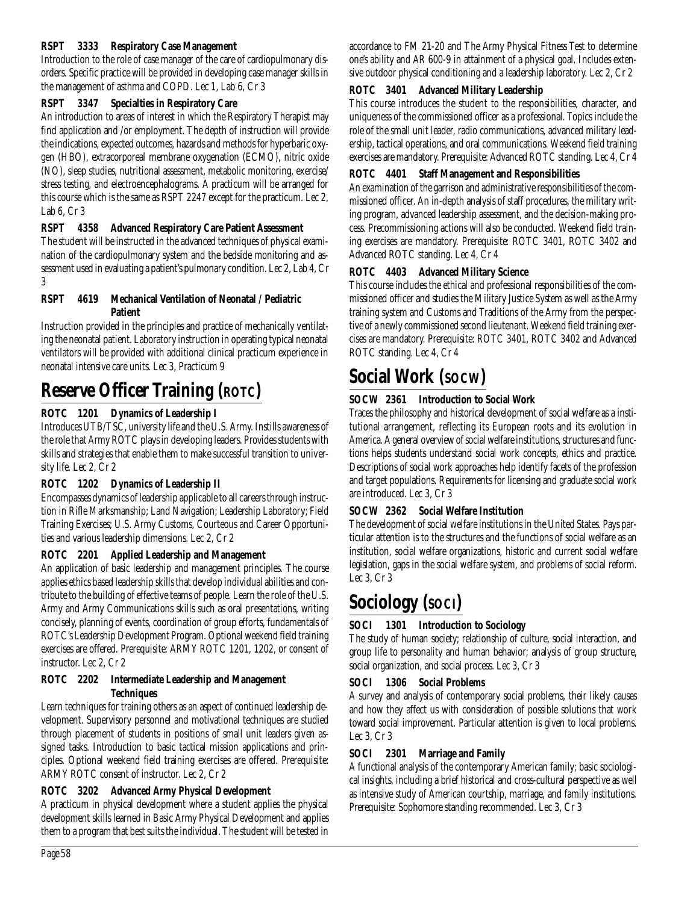#### **RSPT 3333 Respiratory Case Management**

Introduction to the role of case manager of the care of cardiopulmonary disorders. Specific practice will be provided in developing case manager skills in the management of asthma and COPD. Lec 1, Lab 6, Cr 3

#### **RSPT 3347 Specialties in Respiratory Care**

An introduction to areas of interest in which the Respiratory Therapist may find application and /or employment. The depth of instruction will provide the indications, expected outcomes, hazards and methods for hyperbaric oxygen (HBO), extracorporeal membrane oxygenation (ECMO), nitric oxide (NO), sleep studies, nutritional assessment, metabolic monitoring, exercise/ stress testing, and electroencephalograms. A practicum will be arranged for this course which is the same as RSPT 2247 except for the practicum. Lec 2, Lab 6, Cr 3

#### **RSPT 4358 Advanced Respiratory Care Patient Assessment**

The student will be instructed in the advanced techniques of physical examination of the cardiopulmonary system and the bedside monitoring and assessment used in evaluating a patient's pulmonary condition. Lec 2, Lab 4, Cr 3

#### **RSPT 4619 Mechanical Ventilation of Neonatal / Pediatric Patient**

Instruction provided in the principles and practice of mechanically ventilating the neonatal patient. Laboratory instruction in operating typical neonatal ventilators will be provided with additional clinical practicum experience in neonatal intensive care units. Lec 3, Practicum 9

# **Reserve Officer Training (ROTC)**

# **ROTC 1201 Dynamics of Leadership I**

Introduces UTB/TSC, university life and the U.S. Army. Instills awareness of the role that Army ROTC plays in developing leaders. Provides students with skills and strategies that enable them to make successful transition to university life. Lec 2, Cr 2

# **ROTC 1202 Dynamics of Leadership II**

Encompasses dynamics of leadership applicable to all careers through instruction in Rifle Marksmanship; Land Navigation; Leadership Laboratory; Field Training Exercises; U.S. Army Customs, Courteous and Career Opportunities and various leadership dimensions. Lec 2, Cr 2

# **ROTC 2201 Applied Leadership and Management**

An application of basic leadership and management principles. The course applies ethics based leadership skills that develop individual abilities and contribute to the building of effective teams of people. Learn the role of the U.S. Army and Army Communications skills such as oral presentations, writing concisely, planning of events, coordination of group efforts, fundamentals of ROTC's Leadership Development Program. Optional weekend field training exercises are offered. Prerequisite: ARMY ROTC 1201, 1202, or consent of instructor. Lec 2, Cr 2

#### **ROTC 2202 Intermediate Leadership and Management Techniques**

Learn techniques for training others as an aspect of continued leadership development. Supervisory personnel and motivational techniques are studied through placement of students in positions of small unit leaders given assigned tasks. Introduction to basic tactical mission applications and principles. Optional weekend field training exercises are offered. Prerequisite: ARMY ROTC consent of instructor. Lec 2, Cr 2

# **ROTC 3202 Advanced Army Physical Development**

A practicum in physical development where a student applies the physical development skills learned in Basic Army Physical Development and applies them to a program that best suits the individual. The student will be tested in

accordance to FM 21-20 and The Army Physical Fitness Test to determine one's ability and AR 600-9 in attainment of a physical goal. Includes extensive outdoor physical conditioning and a leadership laboratory. Lec 2, Cr 2

#### **ROTC 3401 Advanced Military Leadership**

This course introduces the student to the responsibilities, character, and uniqueness of the commissioned officer as a professional. Topics include the role of the small unit leader, radio communications, advanced military leadership, tactical operations, and oral communications. Weekend field training exercises are mandatory. Prerequisite: Advanced ROTC standing. Lec 4, Cr 4

#### **ROTC 4401 Staff Management and Responsibilities**

An examination of the garrison and administrative responsibilities of the commissioned officer. An in-depth analysis of staff procedures, the military writing program, advanced leadership assessment, and the decision-making process. Precommissioning actions will also be conducted. Weekend field training exercises are mandatory. Prerequisite: ROTC 3401, ROTC 3402 and Advanced ROTC standing. Lec 4, Cr 4

#### **ROTC 4403 Advanced Military Science**

This course includes the ethical and professional responsibilities of the commissioned officer and studies the Military Justice System as well as the Army training system and Customs and Traditions of the Army from the perspective of a newly commissioned second lieutenant. Weekend field training exercises are mandatory. Prerequisite: ROTC 3401, ROTC 3402 and Advanced ROTC standing. Lec 4, Cr 4

# **Social Work (SOCW)**

# **SOCW 2361 Introduction to Social Work**

Traces the philosophy and historical development of social welfare as a institutional arrangement, reflecting its European roots and its evolution in America. A general overview of social welfare institutions, structures and functions helps students understand social work concepts, ethics and practice. Descriptions of social work approaches help identify facets of the profession and target populations. Requirements for licensing and graduate social work are introduced. Lec 3, Cr 3

# **SOCW 2362 Social Welfare Institution**

The development of social welfare institutions in the United States. Pays particular attention is to the structures and the functions of social welfare as an institution, social welfare organizations, historic and current social welfare legislation, gaps in the social welfare system, and problems of social reform. Lec 3, Cr 3

# **Sociology (SOCI)**

# **SOCI 1301 Introduction to Sociology**

The study of human society; relationship of culture, social interaction, and group life to personality and human behavior; analysis of group structure, social organization, and social process. Lec 3, Cr 3

# **SOCI 1306 Social Problems**

A survey and analysis of contemporary social problems, their likely causes and how they affect us with consideration of possible solutions that work toward social improvement. Particular attention is given to local problems. Lec 3, Cr 3

# **SOCI 2301 Marriage and Family**

A functional analysis of the contemporary American family; basic sociological insights, including a brief historical and cross-cultural perspective as well as intensive study of American courtship, marriage, and family institutions. Prerequisite: Sophomore standing recommended. Lec 3, Cr 3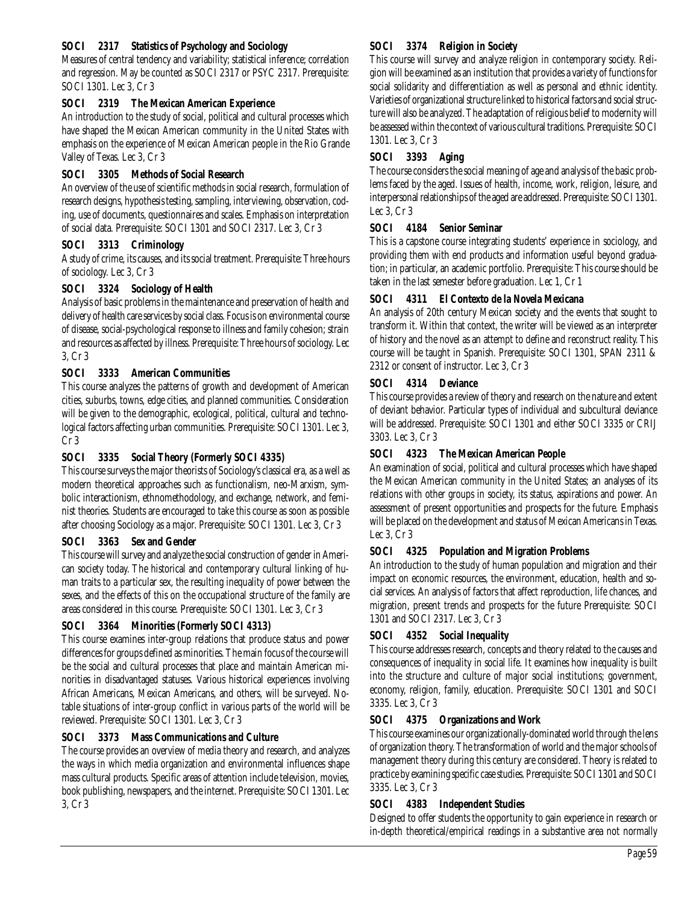# **SOCI 2317 Statistics of Psychology and Sociology**

Measures of central tendency and variability; statistical inference; correlation and regression. May be counted as SOCI 2317 or PSYC 2317. Prerequisite: SOCI 1301. Lec 3, Cr 3

# **SOCI 2319 The Mexican American Experience**

An introduction to the study of social, political and cultural processes which have shaped the Mexican American community in the United States with emphasis on the experience of Mexican American people in the Rio Grande Valley of Texas. Lec 3, Cr 3

# **SOCI 3305 Methods of Social Research**

An overview of the use of scientific methods in social research, formulation of research designs, hypothesis testing, sampling, interviewing, observation, coding, use of documents, questionnaires and scales. Emphasis on interpretation of social data. Prerequisite: SOCI 1301 and SOCI 2317. Lec 3, Cr 3

# **SOCI 3313 Criminology**

A study of crime, its causes, and its social treatment. Prerequisite: Three hours of sociology. Lec 3, Cr 3

# **SOCI 3324 Sociology of Health**

Analysis of basic problems in the maintenance and preservation of health and delivery of health care services by social class. Focus is on environmental course of disease, social-psychological response to illness and family cohesion; strain and resources as affected by illness. Prerequisite: Three hours of sociology. Lec 3, Cr 3

# **SOCI 3333 American Communities**

This course analyzes the patterns of growth and development of American cities, suburbs, towns, edge cities, and planned communities. Consideration will be given to the demographic, ecological, political, cultural and technological factors affecting urban communities. Prerequisite: SOCI 1301. Lec 3, Cr 3

# **SOCI 3335 Social Theory (Formerly SOCI 4335)**

This course surveys the major theorists of Sociology's classical era, as a well as modern theoretical approaches such as functionalism, neo-Marxism, symbolic interactionism, ethnomethodology, and exchange, network, and feminist theories. Students are encouraged to take this course as soon as possible after choosing Sociology as a major. Prerequisite: SOCI 1301. Lec 3, Cr 3

# **SOCI 3363 Sex and Gender**

This course will survey and analyze the social construction of gender in American society today. The historical and contemporary cultural linking of human traits to a particular sex, the resulting inequality of power between the sexes, and the effects of this on the occupational structure of the family are areas considered in this course. Prerequisite: SOCI 1301. Lec 3, Cr 3

# **SOCI 3364 Minorities (Formerly SOCI 4313)**

This course examines inter-group relations that produce status and power differences for groups defined as minorities. The main focus of the course will be the social and cultural processes that place and maintain American minorities in disadvantaged statuses. Various historical experiences involving African Americans, Mexican Americans, and others, will be surveyed. Notable situations of inter-group conflict in various parts of the world will be reviewed. Prerequisite: SOCI 1301. Lec 3, Cr 3

# **SOCI 3373 Mass Communications and Culture**

The course provides an overview of media theory and research, and analyzes the ways in which media organization and environmental influences shape mass cultural products. Specific areas of attention include television, movies, book publishing, newspapers, and the internet. Prerequisite: SOCI 1301. Lec 3, Cr 3

# **SOCI 3374 Religion in Society**

This course will survey and analyze religion in contemporary society. Religion will be examined as an institution that provides a variety of functions for social solidarity and differentiation as well as personal and ethnic identity. Varieties of organizational structure linked to historical factors and social structure will also be analyzed. The adaptation of religious belief to modernity will be assessed within the context of various cultural traditions. Prerequisite: SOCI 1301. Lec 3, Cr 3

# **SOCI 3393 Aging**

The course considers the social meaning of age and analysis of the basic problems faced by the aged. Issues of health, income, work, religion, leisure, and interpersonal relationships of the aged are addressed. Prerequisite: SOCI 1301. Lec 3, Cr 3

# **SOCI 4184 Senior Seminar**

This is a capstone course integrating students' experience in sociology, and providing them with end products and information useful beyond graduation; in particular, an academic portfolio. Prerequisite: This course should be taken in the last semester before graduation. Lec 1, Cr 1

# **SOCI 4311 El Contexto de la Novela Mexicana**

An analysis of 20th century Mexican society and the events that sought to transform it. Within that context, the writer will be viewed as an interpreter of history and the novel as an attempt to define and reconstruct reality. This course will be taught in Spanish. Prerequisite: SOCI 1301, SPAN 2311 & 2312 or consent of instructor. Lec 3, Cr 3

#### **SOCI 4314 Deviance**

This course provides a review of theory and research on the nature and extent of deviant behavior. Particular types of individual and subcultural deviance will be addressed. Prerequisite: SOCI 1301 and either SOCI 3335 or CRIJ 3303. Lec 3, Cr 3

# **SOCI 4323 The Mexican American People**

An examination of social, political and cultural processes which have shaped the Mexican American community in the United States; an analyses of its relations with other groups in society, its status, aspirations and power. An assessment of present opportunities and prospects for the future. Emphasis will be placed on the development and status of Mexican Americans in Texas. Lec 3, Cr 3

# **SOCI 4325 Population and Migration Problems**

An introduction to the study of human population and migration and their impact on economic resources, the environment, education, health and social services. An analysis of factors that affect reproduction, life chances, and migration, present trends and prospects for the future Prerequisite: SOCI 1301 and SOCI 2317. Lec 3, Cr 3

# **SOCI 4352 Social Inequality**

This course addresses research, concepts and theory related to the causes and consequences of inequality in social life. It examines how inequality is built into the structure and culture of major social institutions; government, economy, religion, family, education. Prerequisite: SOCI 1301 and SOCI 3335. Lec 3, Cr 3

# **SOCI 4375 Organizations and Work**

This course examines our organizationally-dominated world through the lens of organization theory. The transformation of world and the major schools of management theory during this century are considered. Theory is related to practice by examining specific case studies. Prerequisite: SOCI 1301 and SOCI 3335. Lec 3, Cr 3

# **SOCI 4383 Independent Studies**

Designed to offer students the opportunity to gain experience in research or in-depth theoretical/empirical readings in a substantive area not normally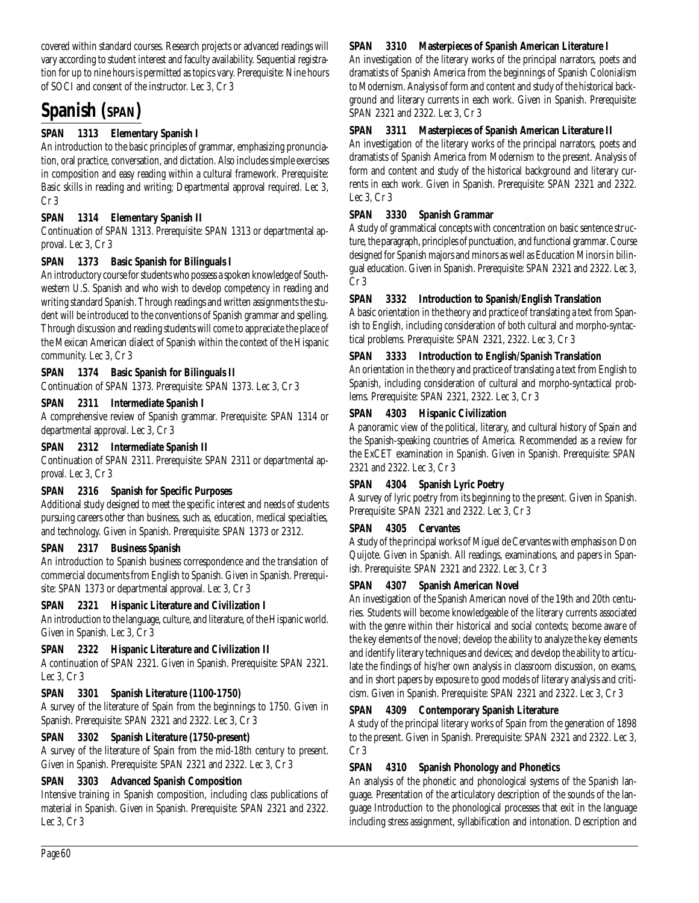covered within standard courses. Research projects or advanced readings will vary according to student interest and faculty availability. Sequential registration for up to nine hours is permitted as topics vary. Prerequisite: Nine hours of SOCI and consent of the instructor. Lec 3, Cr 3

# **Spanish (SPAN)**

# **SPAN 1313 Elementary Spanish I**

An introduction to the basic principles of grammar, emphasizing pronunciation, oral practice, conversation, and dictation. Also includes simple exercises in composition and easy reading within a cultural framework. Prerequisite: Basic skills in reading and writing; Departmental approval required. Lec 3, Cr 3

# **SPAN 1314 Elementary Spanish II**

Continuation of SPAN 1313. Prerequisite: SPAN 1313 or departmental approval. Lec 3, Cr 3

# **SPAN 1373 Basic Spanish for Bilinguals I**

An introductory course for students who possess a spoken knowledge of Southwestern U.S. Spanish and who wish to develop competency in reading and writing standard Spanish. Through readings and written assignments the student will be introduced to the conventions of Spanish grammar and spelling. Through discussion and reading students will come to appreciate the place of the Mexican American dialect of Spanish within the context of the Hispanic community. Lec 3, Cr 3

# **SPAN 1374 Basic Spanish for Bilinguals II**

Continuation of SPAN 1373. Prerequisite: SPAN 1373. Lec 3, Cr 3

# **SPAN 2311 Intermediate Spanish I**

A comprehensive review of Spanish grammar. Prerequisite: SPAN 1314 or departmental approval. Lec 3, Cr 3

#### **SPAN 2312 Intermediate Spanish II**

Continuation of SPAN 2311. Prerequisite: SPAN 2311 or departmental approval. Lec 3, Cr 3

# **SPAN 2316 Spanish for Specific Purposes**

Additional study designed to meet the specific interest and needs of students pursuing careers other than business, such as, education, medical specialties, and technology. Given in Spanish. Prerequisite: SPAN 1373 or 2312.

# **SPAN 2317 Business Spanish**

An introduction to Spanish business correspondence and the translation of commercial documents from English to Spanish. Given in Spanish. Prerequisite: SPAN 1373 or departmental approval. Lec 3, Cr 3

# **SPAN 2321 Hispanic Literature and Civilization I**

An introduction to the language, culture, and literature, of the Hispanic world. Given in Spanish. Lec 3, Cr 3

# **SPAN 2322 Hispanic Literature and Civilization II**

A continuation of SPAN 2321. Given in Spanish. Prerequisite: SPAN 2321. Lec 3, Cr 3

# **SPAN 3301 Spanish Literature (1100-1750)**

A survey of the literature of Spain from the beginnings to 1750. Given in Spanish. Prerequisite: SPAN 2321 and 2322. Lec 3, Cr 3

# **SPAN 3302 Spanish Literature (1750-present)**

A survey of the literature of Spain from the mid-18th century to present. Given in Spanish. Prerequisite: SPAN 2321 and 2322. Lec 3, Cr 3

#### **SPAN 3303 Advanced Spanish Composition**

Intensive training in Spanish composition, including class publications of material in Spanish. Given in Spanish. Prerequisite: SPAN 2321 and 2322. Lec 3, Cr 3

#### **SPAN 3310 Masterpieces of Spanish American Literature I**

An investigation of the literary works of the principal narrators, poets and dramatists of Spanish America from the beginnings of Spanish Colonialism to Modernism. Analysis of form and content and study of the historical background and literary currents in each work. Given in Spanish. Prerequisite: SPAN 2321 and 2322. Lec 3, Cr 3

#### **SPAN 3311 Masterpieces of Spanish American Literature II**

An investigation of the literary works of the principal narrators, poets and dramatists of Spanish America from Modernism to the present. Analysis of form and content and study of the historical background and literary currents in each work. Given in Spanish. Prerequisite: SPAN 2321 and 2322. Lec 3, Cr 3

#### **SPAN 3330 Spanish Grammar**

A study of grammatical concepts with concentration on basic sentence structure, the paragraph, principles of punctuation, and functional grammar. Course designed for Spanish majors and minors as well as Education Minors in bilingual education. Given in Spanish. Prerequisite: SPAN 2321 and 2322. Lec 3, Cr 3

#### **SPAN 3332 Introduction to Spanish/English Translation**

A basic orientation in the theory and practice of translating a text from Spanish to English, including consideration of both cultural and morpho-syntactical problems. Prerequisite: SPAN 2321, 2322. Lec 3, Cr 3

# **SPAN 3333 Introduction to English/Spanish Translation**

An orientation in the theory and practice of translating a text from English to Spanish, including consideration of cultural and morpho-syntactical problems. Prerequisite: SPAN 2321, 2322. Lec 3, Cr 3

# **SPAN 4303 Hispanic Civilization**

A panoramic view of the political, literary, and cultural history of Spain and the Spanish-speaking countries of America. Recommended as a review for the ExCET examination in Spanish. Given in Spanish. Prerequisite: SPAN 2321 and 2322. Lec 3, Cr 3

# **SPAN 4304 Spanish Lyric Poetry**

A survey of lyric poetry from its beginning to the present. Given in Spanish. Prerequisite: SPAN 2321 and 2322. Lec 3, Cr 3

#### **SPAN 4305 Cervantes**

A study of the principal works of Miguel de Cervantes with emphasis on Don Quijote. Given in Spanish. All readings, examinations, and papers in Spanish. Prerequisite: SPAN 2321 and 2322. Lec 3, Cr 3

#### **SPAN 4307 Spanish American Novel**

An investigation of the Spanish American novel of the 19th and 20th centuries. Students will become knowledgeable of the literary currents associated with the genre within their historical and social contexts; become aware of the key elements of the novel; develop the ability to analyze the key elements and identify literary techniques and devices; and develop the ability to articulate the findings of his/her own analysis in classroom discussion, on exams, and in short papers by exposure to good models of literary analysis and criticism. Given in Spanish. Prerequisite: SPAN 2321 and 2322. Lec 3, Cr 3

#### **SPAN 4309 Contemporary Spanish Literature**

A study of the principal literary works of Spain from the generation of 1898 to the present. Given in Spanish. Prerequisite: SPAN 2321 and 2322. Lec 3, Cr 3

# **SPAN 4310 Spanish Phonology and Phonetics**

An analysis of the phonetic and phonological systems of the Spanish language. Presentation of the articulatory description of the sounds of the language Introduction to the phonological processes that exit in the language including stress assignment, syllabification and intonation. Description and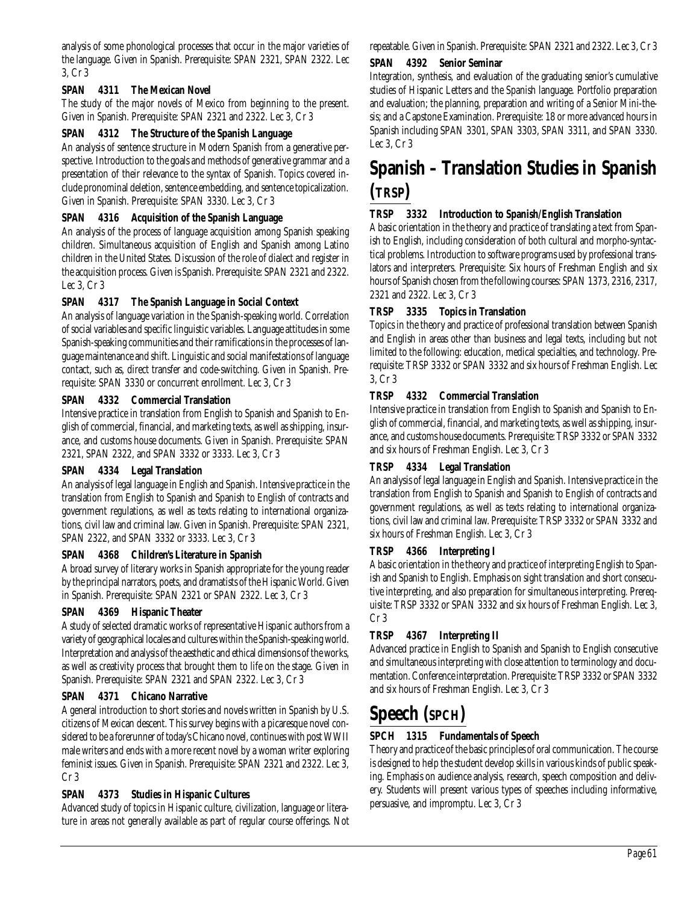analysis of some phonological processes that occur in the major varieties of the language. Given in Spanish. Prerequisite: SPAN 2321, SPAN 2322. Lec 3, Cr 3

# **SPAN 4311 The Mexican Novel**

The study of the major novels of Mexico from beginning to the present. Given in Spanish. Prerequisite: SPAN 2321 and 2322. Lec 3, Cr 3

# **SPAN 4312 The Structure of the Spanish Language**

An analysis of sentence structure in Modern Spanish from a generative perspective. Introduction to the goals and methods of generative grammar and a presentation of their relevance to the syntax of Spanish. Topics covered include pronominal deletion, sentence embedding, and sentence topicalization. Given in Spanish. Prerequisite: SPAN 3330. Lec 3, Cr 3

#### **SPAN 4316 Acquisition of the Spanish Language**

An analysis of the process of language acquisition among Spanish speaking children. Simultaneous acquisition of English and Spanish among Latino children in the United States. Discussion of the role of dialect and register in the acquisition process. Given is Spanish. Prerequisite: SPAN 2321 and 2322. Lec 3, Cr 3

#### **SPAN 4317 The Spanish Language in Social Context**

An analysis of language variation in the Spanish-speaking world. Correlation of social variables and specific linguistic variables. Language attitudes in some Spanish-speaking communities and their ramifications in the processes of language maintenance and shift. Linguistic and social manifestations of language contact, such as, direct transfer and code-switching. Given in Spanish. Prerequisite: SPAN 3330 or concurrent enrollment. Lec 3, Cr 3

#### **SPAN 4332 Commercial Translation**

Intensive practice in translation from English to Spanish and Spanish to English of commercial, financial, and marketing texts, as well as shipping, insurance, and customs house documents. Given in Spanish. Prerequisite: SPAN 2321, SPAN 2322, and SPAN 3332 or 3333. Lec 3, Cr 3

# **SPAN 4334 Legal Translation**

An analysis of legal language in English and Spanish. Intensive practice in the translation from English to Spanish and Spanish to English of contracts and government regulations, as well as texts relating to international organizations, civil law and criminal law. Given in Spanish. Prerequisite: SPAN 2321, SPAN 2322, and SPAN 3332 or 3333. Lec 3, Cr 3

#### **SPAN 4368 Children's Literature in Spanish**

A broad survey of literary works in Spanish appropriate for the young reader by the principal narrators, poets, and dramatists of the Hispanic World. Given in Spanish. Prerequisite: SPAN 2321 or SPAN 2322. Lec 3, Cr 3

#### **SPAN 4369 Hispanic Theater**

A study of selected dramatic works of representative Hispanic authors from a variety of geographical locales and cultures within the Spanish-speaking world. Interpretation and analysis of the aesthetic and ethical dimensions of the works, as well as creativity process that brought them to life on the stage. Given in Spanish. Prerequisite: SPAN 2321 and SPAN 2322. Lec 3, Cr 3

#### **SPAN 4371 Chicano Narrative**

A general introduction to short stories and novels written in Spanish by U.S. citizens of Mexican descent. This survey begins with a picaresque novel considered to be a forerunner of today's Chicano novel, continues with post WWII male writers and ends with a more recent novel by a woman writer exploring feminist issues. Given in Spanish. Prerequisite: SPAN 2321 and 2322. Lec 3, Cr 3

# **SPAN 4373 Studies in Hispanic Cultures**

Advanced study of topics in Hispanic culture, civilization, language or literature in areas not generally available as part of regular course offerings. Not repeatable. Given in Spanish. Prerequisite: SPAN 2321 and 2322. Lec 3, Cr 3

#### **SPAN 4392 Senior Seminar**

Integration, synthesis, and evaluation of the graduating senior's cumulative studies of Hispanic Letters and the Spanish language. Portfolio preparation and evaluation; the planning, preparation and writing of a Senior Mini-thesis; and a Capstone Examination. Prerequisite: 18 or more advanced hours in Spanish including SPAN 3301, SPAN 3303, SPAN 3311, and SPAN 3330. Lec 3, Cr 3

# **Spanish – Translation Studies in Spanish (TRSP)**

#### **TRSP 3332 Introduction to Spanish/English Translation**

A basic orientation in the theory and practice of translating a text from Spanish to English, including consideration of both cultural and morpho-syntactical problems. Introduction to software programs used by professional translators and interpreters. Prerequisite: Six hours of Freshman English and six hours of Spanish chosen from the following courses: SPAN 1373, 2316, 2317, 2321 and 2322. Lec 3, Cr 3

#### **TRSP 3335 Topics in Translation**

Topics in the theory and practice of professional translation between Spanish and English in areas other than business and legal texts, including but not limited to the following: education, medical specialties, and technology. Prerequisite: TRSP 3332 or SPAN 3332 and six hours of Freshman English. Lec 3, Cr 3

# **TRSP 4332 Commercial Translation**

Intensive practice in translation from English to Spanish and Spanish to English of commercial, financial, and marketing texts, as well as shipping, insurance, and customs house documents. Prerequisite: TRSP 3332 or SPAN 3332 and six hours of Freshman English. Lec 3, Cr 3

#### **TRSP 4334 Legal Translation**

An analysis of legal language in English and Spanish. Intensive practice in the translation from English to Spanish and Spanish to English of contracts and government regulations, as well as texts relating to international organizations, civil law and criminal law. Prerequisite: TRSP 3332 or SPAN 3332 and six hours of Freshman English. Lec 3, Cr 3

# **TRSP 4366 Interpreting I**

A basic orientation in the theory and practice of interpreting English to Spanish and Spanish to English. Emphasis on sight translation and short consecutive interpreting, and also preparation for simultaneous interpreting. Prerequisite: TRSP 3332 or SPAN 3332 and six hours of Freshman English. Lec 3, Cr 3

# **TRSP 4367 Interpreting II**

Advanced practice in English to Spanish and Spanish to English consecutive and simultaneous interpreting with close attention to terminology and documentation. Conference interpretation. Prerequisite: TRSP 3332 or SPAN 3332 and six hours of Freshman English. Lec 3, Cr 3

# **Speech (SPCH)**

# **SPCH 1315 Fundamentals of Speech**

Theory and practice of the basic principles of oral communication. The course is designed to help the student develop skills in various kinds of public speaking. Emphasis on audience analysis, research, speech composition and delivery. Students will present various types of speeches including informative, persuasive, and impromptu. Lec 3, Cr 3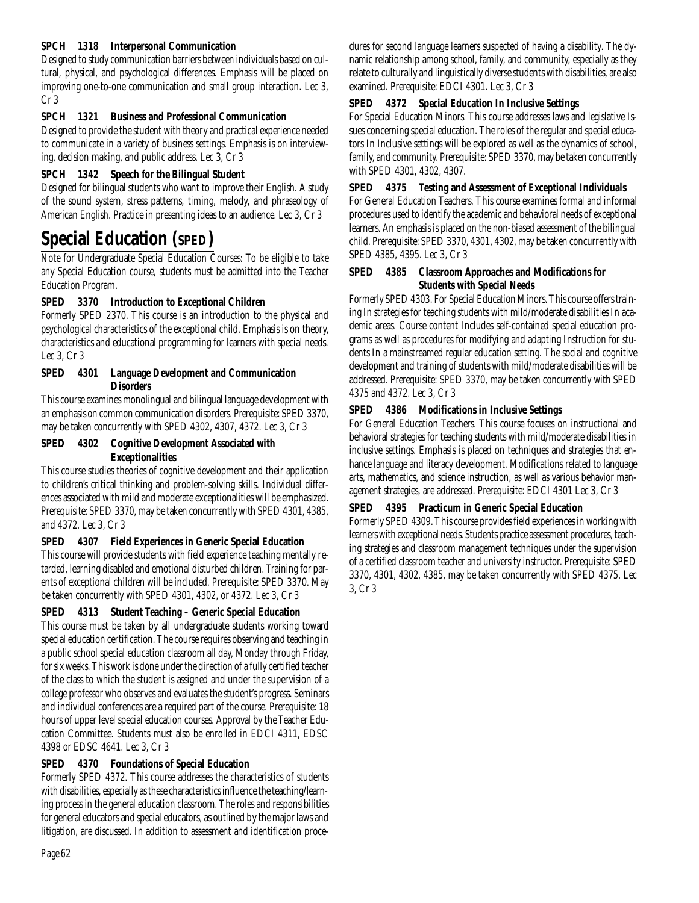# **SPCH 1318 Interpersonal Communication**

Designed to study communication barriers between individuals based on cultural, physical, and psychological differences. Emphasis will be placed on improving one-to-one communication and small group interaction. Lec 3, Cr 3

# **SPCH 1321 Business and Professional Communication**

Designed to provide the student with theory and practical experience needed to communicate in a variety of business settings. Emphasis is on interviewing, decision making, and public address. Lec 3, Cr 3

# **SPCH 1342 Speech for the Bilingual Student**

Designed for bilingual students who want to improve their English. A study of the sound system, stress patterns, timing, melody, and phraseology of American English. Practice in presenting ideas to an audience. Lec 3, Cr 3

# **Special Education (SPED)**

Note for Undergraduate Special Education Courses: To be eligible to take any Special Education course, students must be admitted into the Teacher Education Program.

# **SPED 3370 Introduction to Exceptional Children**

Formerly SPED 2370. This course is an introduction to the physical and psychological characteristics of the exceptional child. Emphasis is on theory, characteristics and educational programming for learners with special needs. Lec 3, Cr 3

# **SPED 4301 Language Development and Communication Disorders**

This course examines monolingual and bilingual language development with an emphasis on common communication disorders. Prerequisite: SPED 3370, may be taken concurrently with SPED 4302, 4307, 4372. Lec 3, Cr 3

#### **SPED 4302 Cognitive Development Associated with Exceptionalities**

This course studies theories of cognitive development and their application to children's critical thinking and problem-solving skills. Individual differences associated with mild and moderate exceptionalities will be emphasized. Prerequisite: SPED 3370, may be taken concurrently with SPED 4301, 4385, and 4372. Lec 3, Cr 3

# **SPED 4307 Field Experiences in Generic Special Education**

This course will provide students with field experience teaching mentally retarded, learning disabled and emotional disturbed children. Training for parents of exceptional children will be included. Prerequisite: SPED 3370. May be taken concurrently with SPED 4301, 4302, or 4372. Lec 3, Cr 3

# **SPED 4313 Student Teaching – Generic Special Education**

This course must be taken by all undergraduate students working toward special education certification. The course requires observing and teaching in a public school special education classroom all day, Monday through Friday, for six weeks. This work is done under the direction of a fully certified teacher of the class to which the student is assigned and under the supervision of a college professor who observes and evaluates the student's progress. Seminars and individual conferences are a required part of the course. Prerequisite: 18 hours of upper level special education courses. Approval by the Teacher Education Committee. Students must also be enrolled in EDCI 4311, EDSC 4398 or EDSC 4641. Lec 3, Cr 3

# **SPED 4370 Foundations of Special Education**

Formerly SPED 4372. This course addresses the characteristics of students with disabilities, especially as these characteristics influence the teaching/learning process in the general education classroom. The roles and responsibilities for general educators and special educators, as outlined by the major laws and litigation, are discussed. In addition to assessment and identification procedures for second language learners suspected of having a disability. The dynamic relationship among school, family, and community, especially as they relate to culturally and linguistically diverse students with disabilities, are also examined. Prerequisite: EDCI 4301. Lec 3, Cr 3

# **SPED 4372 Special Education In Inclusive Settings**

For Special Education Minors. This course addresses laws and legislative Issues concerning special education. The roles of the regular and special educators In Inclusive settings will be explored as well as the dynamics of school, family, and community. Prerequisite: SPED 3370, may be taken concurrently with SPED 4301, 4302, 4307.

# **SPED 4375 Testing and Assessment of Exceptional Individuals**

For General Education Teachers. This course examines formal and informal procedures used to identify the academic and behavioral needs of exceptional learners. An emphasis is placed on the non-biased assessment of the bilingual child. Prerequisite: SPED 3370, 4301, 4302, may be taken concurrently with SPED 4385, 4395. Lec 3, Cr 3

# **SPED 4385 Classroom Approaches and Modifications for Students with Special Needs**

Formerly SPED 4303. For Special Education Minors. This course offers training In strategies for teaching students with mild/moderate disabilities In academic areas. Course content Includes self-contained special education programs as well as procedures for modifying and adapting Instruction for students In a mainstreamed regular education setting. The social and cognitive development and training of students with mild/moderate disabilities will be addressed. Prerequisite: SPED 3370, may be taken concurrently with SPED 4375 and 4372. Lec 3, Cr 3

# **SPED 4386 Modifications in Inclusive Settings**

For General Education Teachers. This course focuses on instructional and behavioral strategies for teaching students with mild/moderate disabilities in inclusive settings. Emphasis is placed on techniques and strategies that enhance language and literacy development. Modifications related to language arts, mathematics, and science instruction, as well as various behavior management strategies, are addressed. Prerequisite: EDCI 4301 Lec 3, Cr 3

# **SPED 4395 Practicum in Generic Special Education**

Formerly SPED 4309. This course provides field experiences in working with learners with exceptional needs. Students practice assessment procedures, teaching strategies and classroom management techniques under the supervision of a certified classroom teacher and university instructor. Prerequisite: SPED 3370, 4301, 4302, 4385, may be taken concurrently with SPED 4375. Lec 3, Cr 3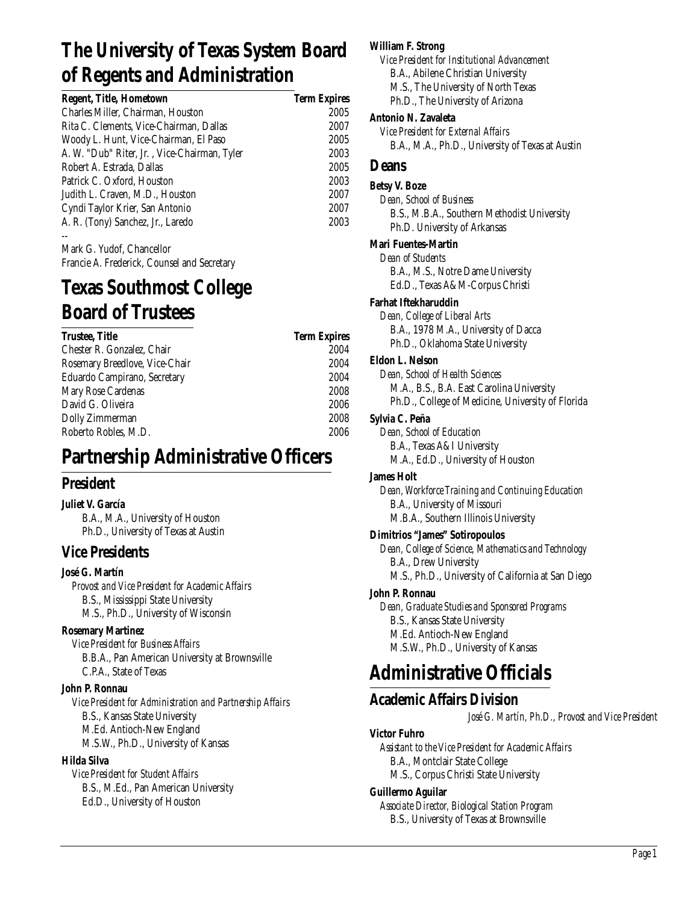# **The University of Texas System Board of Regents and Administration**

| <b>Regent, Title, Hometown</b>               | <b>Term Expires</b> |
|----------------------------------------------|---------------------|
| Charles Miller, Chairman, Houston            | 2005                |
| Rita C. Clements, Vice-Chairman, Dallas      | 2007                |
| Woody L. Hunt, Vice-Chairman, El Paso        | 2005                |
| A. W. "Dub" Riter, Jr., Vice-Chairman, Tyler | 2003                |
| Robert A. Estrada, Dallas                    | 2005                |
| Patrick C. Oxford, Houston                   | 2003                |
| Judith L. Craven, M.D., Houston              | 2007                |
| Cyndi Taylor Krier, San Antonio              | 2007                |
| A. R. (Tony) Sanchez, Jr., Laredo            | 2003                |
|                                              |                     |

Mark G. Yudof, Chancellor Francie A. Frederick, Counsel and Secretary

# **Texas Southmost College Board of Trustees**

| <b>Trustee, Title</b>          | <b>Term Expires</b> |
|--------------------------------|---------------------|
| Chester R. Gonzalez, Chair     | 2004                |
| Rosemary Breedlove, Vice-Chair | 2004                |
| Eduardo Campirano, Secretary   | 2004                |
| Mary Rose Cardenas             | 2008                |
| David G. Oliveira              | 2006                |
| Dolly Zimmerman                | 2008                |
| Roberto Robles, M.D.           | 2006                |
|                                |                     |

# **Partnership Administrative Officers**

# **President**

# **Juliet V. García**

B.A., M.A., University of Houston Ph.D., University of Texas at Austin

# **Vice Presidents**

# **José G. Martín**

*Provost and Vice President for Academic Affairs* B.S., Mississippi State University M.S., Ph.D., University of Wisconsin

# **Rosemary Martinez**

*Vice President for Business Affairs* B.B.A., Pan American University at Brownsville C.P.A., State of Texas

# **John P. Ronnau**

*Vice President for Administration and Partnership Affairs* B.S., Kansas State University M.Ed. Antioch-New England M.S.W., Ph.D., University of Kansas

# **Hilda Silva**

*Vice President for Student Affairs* B.S., M.Ed., Pan American University Ed.D., University of Houston

# **William F. Strong**

*Vice President for Institutional Advancement* B.A., Abilene Christian University M.S., The University of North Texas Ph.D., The University of Arizona

# **Antonio N. Zavaleta**

*Vice President for External Affairs* B.A., M.A., Ph.D., University of Texas at Austin

# **Deans**

# **Betsy V. Boze**

*Dean, School of Business* B.S., M.B.A., Southern Methodist University Ph.D. University of Arkansas

# **Mari Fuentes-Martin**

*Dean of Students* B.A., M.S., Notre Dame University Ed.D., Texas A&M-Corpus Christi

# **Farhat Iftekharuddin**

*Dean, College of Liberal Arts* B.A., 1978 M.A., University of Dacca Ph.D., Oklahoma State University

# **Eldon L. Nelson**

*Dean, School of Health Sciences* M.A., B.S., B.A. East Carolina University Ph.D., College of Medicine, University of Florida

# **Sylvia C. Peña**

*Dean, School of Education* B.A., Texas A&I University M.A., Ed.D., University of Houston

# **James Holt**

*Dean, Workforce Training and Continuing Education* B.A., University of Missouri M.B.A., Southern Illinois University

# **Dimitrios "James" Sotiropoulos**

*Dean, College of Science, Mathematics and Technology* B.A., Drew University M.S., Ph.D., University of California at San Diego

# **John P. Ronnau**

*Dean, Graduate Studies and Sponsored Programs* B.S., Kansas State University M.Ed. Antioch-New England M.S.W., Ph.D., University of Kansas

# **Administrative Officials**

# **Academic Affairs Division**

*José G. Martín, Ph.D., Provost and Vice President*

# **Victor Fuhro**

*Assistant to the Vice President for Academic Affairs* B.A., Montclair State College M.S., Corpus Christi State University

# **Guillermo Aguilar**

*Associate Director, Biological Station Program* B.S., University of Texas at Brownsville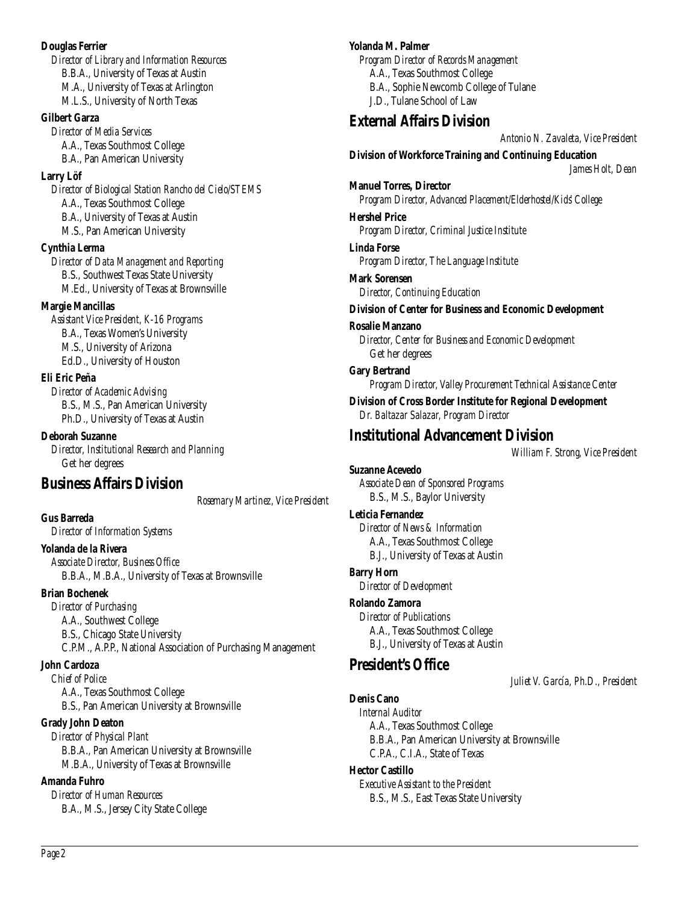#### **Douglas Ferrier** *Director of Library and Information Resources* B.B.A., University of Texas at Austin M.A., University of Texas at Arlington

M.L.S., University of North Texas

# **Gilbert Garza**

*Director of Media Services* A.A., Texas Southmost College B.A., Pan American University

# **Larry Löf**

*Director of Biological Station Rancho del Cielo/STEMS* A.A., Texas Southmost College B.A., University of Texas at Austin M.S., Pan American University

# **Cynthia Lerma**

*Director of Data Management and Reporting* B.S., Southwest Texas State University M.Ed., University of Texas at Brownsville

# **Margie Mancillas**

*Assistant Vice President, K-16 Programs* B.A., Texas Women's University M.S., University of Arizona Ed.D., University of Houston

# **Eli Eric Peña**

*Director of Academic Advising* B.S., M.S., Pan American University Ph.D., University of Texas at Austin

**Deborah Suzanne** *Director, Institutional Research and Planning* Get her degrees

# **Business Affairs Division**

*Rosemary Martinez, Vice President*

# **Gus Barreda**

*Director of Information Systems*

# **Yolanda de la Rivera**

*Associate Director, Business Office* B.B.A., M.B.A., University of Texas at Brownsville

# **Brian Bochenek**

*Director of Purchasing* A.A., Southwest College B.S., Chicago State University C.P.M., A.P.P., National Association of Purchasing Management

# **John Cardoza**

*Chief of Police* A.A., Texas Southmost College B.S., Pan American University at Brownsville

# **Grady John Deaton**

*Director of Physical Plant* B.B.A., Pan American University at Brownsville M.B.A., University of Texas at Brownsville

# **Amanda Fuhro**

*Director of Human Resources* B.A., M.S., Jersey City State College

# **Yolanda M. Palmer**

*Program Director of Records Management* A.A., Texas Southmost College B.A., Sophie Newcomb College of Tulane J.D., Tulane School of Law

# **External Affairs Division**

*Antonio N. Zavaleta, Vice President*

**Division of Workforce Training and Continuing Education**

*James Holt, Dean*

**Manuel Torres, Director** *Program Director, Advanced Placement/Elderhostel/Kids' College*

# **Hershel Price**

*Program Director, Criminal Justice Institute*

# **Linda Forse**

*Program Director, The Language Institute*

# **Mark Sorensen** *Director, Continuing Education*

# **Division of Center for Business and Economic Development**

**Rosalie Manzano** *Director, Center for Business and Economic Development* Get her degrees

**Gary Bertrand** *Program Director, Valley Procurement Technical Assistance Center*

**Division of Cross Border Institute for Regional Development** *Dr. Baltazar Salazar, Program Director*

# **Institutional Advancement Division**

*William F. Strong, Vice President*

**Suzanne Acevedo** *Associate Dean of Sponsored Programs* B.S., M.S., Baylor University

# **Leticia Fernandez**

*Director of News & Information* A.A., Texas Southmost College B.J., University of Texas at Austin

# **Barry Horn**

*Director of Development*

# **Rolando Zamora**

*Director of Publications* A.A., Texas Southmost College B.J., University of Texas at Austin

# **President's Office**

*Juliet V. García, Ph.D., President*

# **Denis Cano**

*Internal Auditor* A.A., Texas Southmost College B.B.A., Pan American University at Brownsville C.P.A., C.I.A., State of Texas

# **Hector Castillo**

*Executive Assistant to the President* B.S., M.S., East Texas State University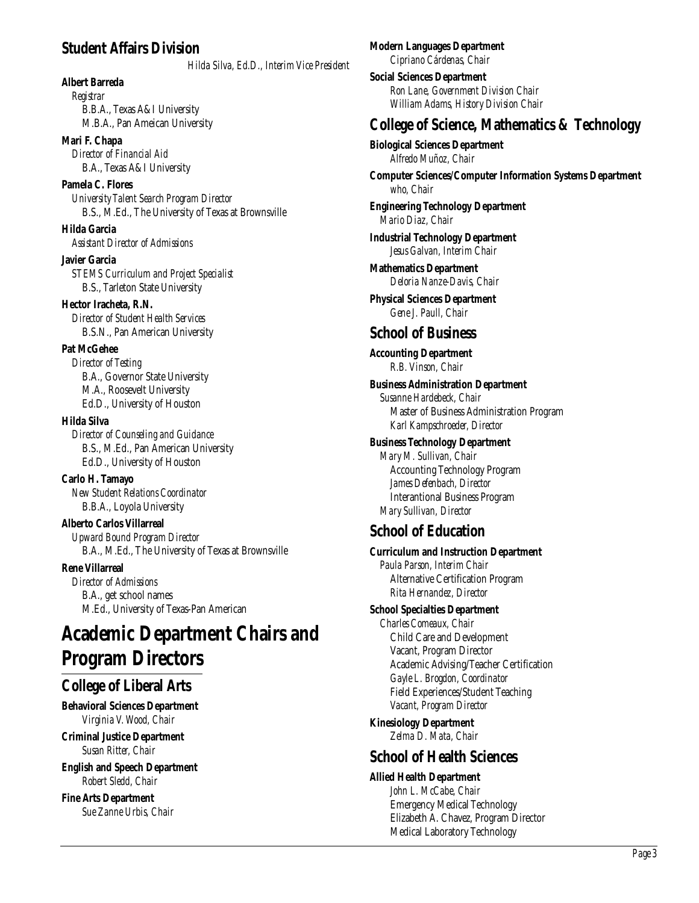# **Student Affairs Division**

*Hilda Silva, Ed.D., Interim Vice President*

**Albert Barreda** *Registrar* B.B.A., Texas A&I University M.B.A., Pan Ameican University

**Mari F. Chapa** *Director of Financial Aid* B.A., Texas A&I University

**Pamela C. Flores** *University Talent Search Program Director* B.S., M.Ed., The University of Texas at Brownsville

**Hilda Garcia** *Assistant Director of Admissions*

**Javier Garcia** *STEMS Curriculum and Project Specialist* B.S., Tarleton State University

**Hector Iracheta, R.N.** *Director of Student Health Services* B.S.N., Pan American University

#### **Pat McGehee**

*Director of Testing* B.A., Governor State University M.A., Roosevelt University Ed.D., University of Houston

**Hilda Silva**

*Director of Counseling and Guidance* B.S., M.Ed., Pan American University Ed.D., University of Houston

**Carlo H. Tamayo** *New Student Relations Coordinator* B.B.A., Loyola University

# **Alberto Carlos Villarreal**

*Upward Bound Program Director* B.A., M.Ed., The University of Texas at Brownsville

**Rene Villarreal**

*Director of Admissions* B.A., get school names M.Ed., University of Texas-Pan American

# **Academic Department Chairs and Program Directors**

# **College of Liberal Arts**

**Behavioral Sciences Department** *Virginia V. Wood, Chair*

**Criminal Justice Department** *Susan Ritter, Chair*

**English and Speech Department** *Robert Sledd, Chair*

**Fine Arts Department** *Sue Zanne Urbis, Chair*

# **Modern Languages Department**

*Cipriano Cárdenas, Chair*

**Social Sciences Department** *Ron Lane, Government Division Chair William Adams, History Division Chair*

# **College of Science, Mathematics & Technology**

**Biological Sciences Department** *Alfredo Muñoz, Chair*

**Computer Sciences/Computer Information Systems Department** *who, Chair*

**Engineering Technology Department** *Mario Diaz, Chair*

**Industrial Technology Department** *Jesus Galvan, Interim Chair*

**Mathematics Department** *Deloria Nanze-Davis, Chair*

**Physical Sciences Department** *Gene J. Paull, Chair*

# **School of Business**

**Accounting Department** *R.B. Vinson, Chair*

# **Business Administration Department**

*Susanne Hardebeck, Chair* Master of Business Administration Program *Karl Kampschroeder, Director*

# **Business Technology Department**

*Mary M. Sullivan, Chair* Accounting Technology Program *James Defenbach, Director* Interantional Business Program *Mary Sullivan, Director*

# **School of Education**

#### **Curriculum and Instruction Department**

*Paula Parson, Interim Chair* Alternative Certification Program *Rita Hernandez, Director*

# **School Specialties Department**

*Charles Comeaux, Chair* Child Care and Development Vacant, Program Director Academic Advising/Teacher Certification *Gayle L. Brogdon, Coordinator* Field Experiences/Student Teaching *Vacant, Program Director*

**Kinesiology Department** *Zelma D. Mata, Chair*

# **School of Health Sciences**

# **Allied Health Department**

*John L. McCabe, Chair* Emergency Medical Technology Elizabeth A. Chavez, Program Director Medical Laboratory Technology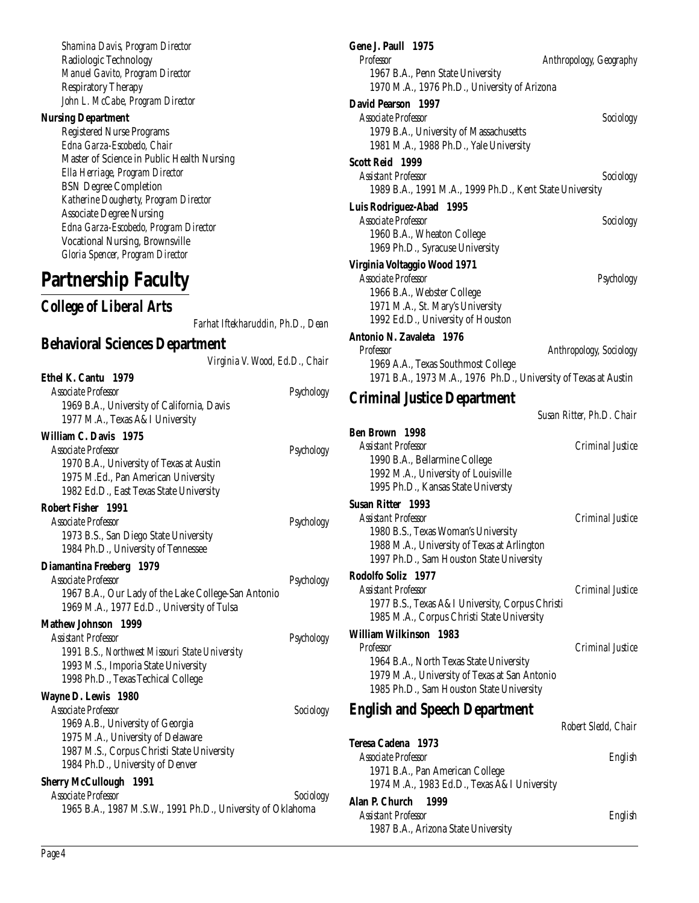*Shamina Davis, Program Director* Radiologic Technology *Manuel Gavito, Program Director* Respiratory Therapy *John L. McCabe, Program Director*

#### **Nursing Department**

Registered Nurse Programs *Edna Garza-Escobedo, Chair* Master of Science in Public Health Nursing *Ella Herriage, Program Director* BSN Degree Completion *Katherine Dougherty, Program Director* Associate Degree Nursing *Edna Garza-Escobedo, Program Director* Vocational Nursing, Brownsville *Gloria Spencer, Program Director*

**Partnership Faculty**

*College of Liberal Arts*

*Farhat Iftekharuddin, Ph.D., Dean*

# **Behavioral Sciences Department**

*Virginia V. Wood, Ed.D., Chair*

| Ethel K. Cantu 1979                                        |            |
|------------------------------------------------------------|------------|
| <b>Associate Professor</b>                                 | Psychology |
| 1969 B.A., University of California, Davis                 |            |
| 1977 M.A., Texas A&I University                            |            |
| William C. Davis 1975                                      |            |
| <b>Associate Professor</b>                                 | Psychology |
| 1970 B.A., University of Texas at Austin                   |            |
| 1975 M.Ed., Pan American University                        |            |
| 1982 Ed.D., East Texas State University                    |            |
| Robert Fisher 1991                                         |            |
| Associate Professor                                        | Psychology |
| 1973 B.S., San Diego State University                      |            |
| 1984 Ph.D., University of Tennessee                        |            |
| Diamantina Freeberg 1979                                   |            |
| Associate Professor                                        | Psychology |
| 1967 B.A., Our Lady of the Lake College-San Antonio        |            |
| 1969 M.A., 1977 Ed.D., University of Tulsa                 |            |
| <b>Mathew Johnson 1999</b>                                 |            |
| Assistant Professor                                        | Psychology |
| 1991 B.S., Northwest Missouri State University             |            |
| 1993 M.S., Imporia State University                        |            |
| 1998 Ph.D., Texas Techical College                         |            |
| Wayne D. Lewis 1980                                        |            |
| Associate Professor                                        | Sociology  |
| 1969 A.B., University of Georgia                           |            |
| 1975 M.A., University of Delaware                          |            |
| 1987 M.S., Corpus Christi State University                 |            |
| 1984 Ph.D., University of Denver                           |            |
| <b>Sherry McCullough 1991</b>                              |            |
| Associate Professor                                        | Sociology  |
| 1965 B.A., 1987 M.S.W., 1991 Ph.D., University of Oklahoma |            |

| Gene J. Paull 1975<br><b>Professor</b>                                                                | Anthropology, Geography   |
|-------------------------------------------------------------------------------------------------------|---------------------------|
| 1967 B.A., Penn State University                                                                      |                           |
| 1970 M.A., 1976 Ph.D., University of Arizona                                                          |                           |
| David Pearson 1997                                                                                    |                           |
| <b>Associate Professor</b>                                                                            | Sociology                 |
| 1979 B.A., University of Massachusetts                                                                |                           |
| 1981 M.A., 1988 Ph.D., Yale University                                                                |                           |
| Scott Reid 1999                                                                                       |                           |
| Assistant Professor                                                                                   | Sociology                 |
| 1989 B.A., 1991 M.A., 1999 Ph.D., Kent State University                                               |                           |
| Luis Rodriguez-Abad<br><b>1995</b><br><b>Associate Professor</b>                                      | Sociology                 |
| 1960 B.A., Wheaton College                                                                            |                           |
| 1969 Ph.D., Syracuse University                                                                       |                           |
| Virginia Voltaggio Wood 1971                                                                          |                           |
| <b>Associate Professor</b>                                                                            | Psychology                |
| 1966 B.A., Webster College                                                                            |                           |
| 1971 M.A., St. Mary's University                                                                      |                           |
| 1992 Ed.D., University of Houston                                                                     |                           |
| Antonio N. Zavaleta 1976                                                                              |                           |
| Professor                                                                                             | Anthropology, Sociology   |
| 1969 A.A., Texas Southmost College<br>1971 B.A., 1973 M.A., 1976 Ph.D., University of Texas at Austin |                           |
| <b>Criminal Justice Department</b>                                                                    |                           |
|                                                                                                       | Susan Ritter, Ph.D. Chair |
| <b>Ben Brown</b> 1998<br><b>Assistant Professor</b>                                                   | Criminal Justice          |
| 1990 B.A., Bellarmine College                                                                         |                           |
| 1992 M.A., University of Louisville                                                                   |                           |
| 1995 Ph.D., Kansas State Universty                                                                    |                           |
| <b>Susan Ritter 1993</b>                                                                              |                           |
| <b>Assistant Professor</b>                                                                            | Criminal Justice          |
| 1980 B.S., Texas Woman's University                                                                   |                           |
| 1988 M.A., University of Texas at Arlington                                                           |                           |
| 1997 Ph.D., Sam Houston State University                                                              |                           |
| Rodolfo Soliz 1977<br><b>Assistant Professor</b>                                                      | Criminal Justice          |
| 1977 B.S., Texas A&I University, Corpus Christi                                                       |                           |
| 1985 M.A., Corpus Christi State University                                                            |                           |
| William Wilkinson 1983                                                                                |                           |
| Professor                                                                                             | Criminal Justice          |
| 1964 B.A., North Texas State University                                                               |                           |
| 1979 M.A., University of Texas at San Antonio                                                         |                           |
| 1985 Ph.D., Sam Houston State University                                                              |                           |
| <b>English and Speech Department</b>                                                                  |                           |
|                                                                                                       | Robert Sledd. Chair       |
| Teresa Cadena 1973                                                                                    |                           |
| Associate Professor                                                                                   | English                   |
| 1971 B.A., Pan American College                                                                       |                           |
| 1974 M.A., 1983 Ed.D., Texas A&I University                                                           |                           |
| Alan P. Church<br>1999                                                                                |                           |
| <b>Assistant Professor</b>                                                                            | English                   |
| 1987 B.A., Arizona State University                                                                   |                           |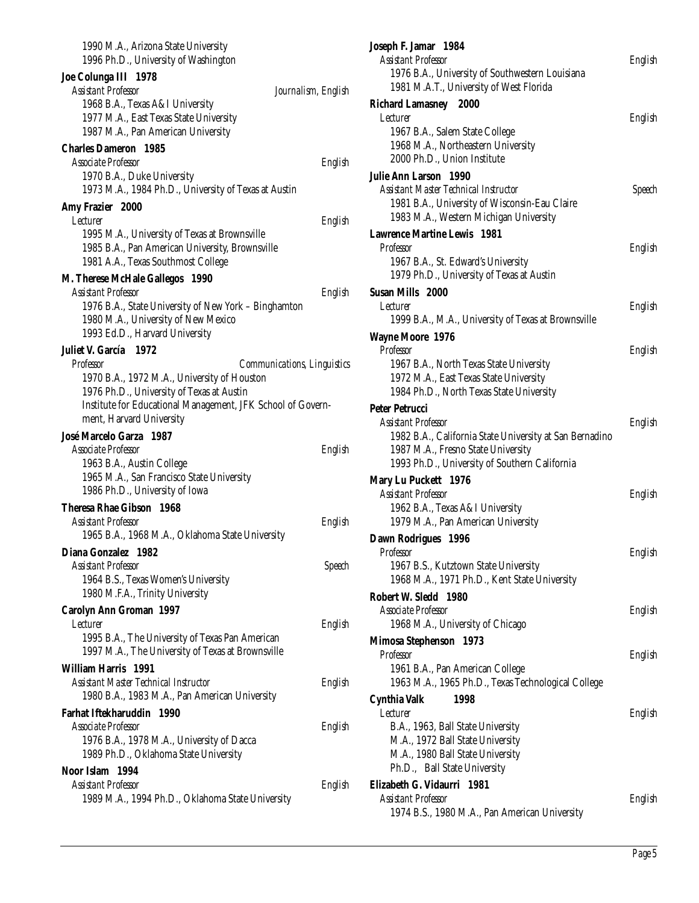| 1990 M.A., Arizona State University<br>1996 Ph.D., University of Washington                                                   |                     |
|-------------------------------------------------------------------------------------------------------------------------------|---------------------|
| Joe Colunga III 1978<br><b>Assistant Professor</b>                                                                            | Journalism, English |
| 1968 B.A., Texas A&I University                                                                                               |                     |
| 1977 M.A., East Texas State University                                                                                        |                     |
| 1987 M.A., Pan American University                                                                                            |                     |
| <b>Charles Dameron</b> 1985                                                                                                   |                     |
| Associate Professor                                                                                                           | English             |
| 1970 B.A., Duke University<br>1973 M.A., 1984 Ph.D., University of Texas at Austin                                            |                     |
| Amy Frazier 2000                                                                                                              |                     |
| Lecturer                                                                                                                      | English             |
| 1995 M.A., University of Texas at Brownsville                                                                                 |                     |
| 1985 B.A., Pan American University, Brownsville<br>1981 A.A., Texas Southmost College                                         |                     |
| M. Therese McHale Gallegos 1990                                                                                               |                     |
| <b>Assistant Professor</b>                                                                                                    | English             |
| 1976 B.A., State University of New York - Binghamton<br>1980 M.A., University of New Mexico<br>1993 Ed.D., Harvard University |                     |
| Juliet V. García 1972                                                                                                         |                     |
| Professor<br><b>Communications, Linguistics</b>                                                                               |                     |
| 1970 B.A., 1972 M.A., University of Houston                                                                                   |                     |
| 1976 Ph.D., University of Texas at Austin                                                                                     |                     |
| Institute for Educational Management, JFK School of Govern-                                                                   |                     |
| ment, Harvard University                                                                                                      |                     |
|                                                                                                                               |                     |
| José Marcelo Garza 1987                                                                                                       |                     |
| Associate Professor                                                                                                           | English             |
| 1963 B.A., Austin College                                                                                                     |                     |
| 1965 M.A., San Francisco State University                                                                                     |                     |
| 1986 Ph.D., University of Iowa                                                                                                |                     |
| <b>Theresa Rhae Gibson 1968</b>                                                                                               |                     |
| <b>Assistant Professor</b>                                                                                                    | English             |
| 1965 B.A., 1968 M.A., Oklahoma State University                                                                               |                     |
| Diana Gonzalez<br>- 1982                                                                                                      |                     |
| Assistant Professor                                                                                                           | Speech              |
| 1964 B.S., Texas Women's University<br>1980 M.F.A., Trinity University                                                        |                     |
|                                                                                                                               |                     |
| <b>Carolyn Ann Groman 1997</b><br>Lecturer                                                                                    | English             |
| 1995 B.A., The University of Texas Pan American                                                                               |                     |
| 1997 M.A., The University of Texas at Brownsville                                                                             |                     |
| William Harris 1991                                                                                                           |                     |
| Assistant Master Technical Instructor                                                                                         | English             |
| 1980 B.A., 1983 M.A., Pan American University                                                                                 |                     |
| Farhat Iftekharuddin 1990                                                                                                     |                     |
| Associate Professor                                                                                                           | English             |
| 1976 B.A., 1978 M.A., University of Dacca                                                                                     |                     |
| 1989 Ph.D., Oklahoma State University                                                                                         |                     |
| Noor Islam 1994                                                                                                               |                     |
| Assistant Professor<br>1989 M.A., 1994 Ph.D., Oklahoma State University                                                       | English             |

| Joseph F. Jamar 1984                                                 |         |
|----------------------------------------------------------------------|---------|
| <b>Assistant Professor</b>                                           | English |
| 1976 B.A., University of Southwestern Louisiana                      |         |
| 1981 M.A.T., University of West Florida                              |         |
| <b>Richard Lamasney 2000</b>                                         |         |
| <i>Lecturer</i>                                                      | English |
| 1967 B.A., Salem State College<br>1968 M.A., Northeastern University |         |
| 2000 Ph.D., Union Institute                                          |         |
| Julie Ann Larson 1990                                                |         |
| Assistant Master Technical Instructor                                | Speech  |
| 1981 B.A., University of Wisconsin-Eau Claire                        |         |
| 1983 M.A., Western Michigan University                               |         |
| <b>Lawrence Martine Lewis 1981</b>                                   |         |
| <b>Professor</b>                                                     | English |
| 1967 B.A., St. Edward's University                                   |         |
| 1979 Ph.D., University of Texas at Austin                            |         |
| <b>Susan Mills</b> 2000                                              |         |
| Lecturer                                                             | English |
| 1999 B.A., M.A., University of Texas at Brownsville                  |         |
| <b>Wayne Moore 1976</b>                                              |         |
| <b>Professor</b><br>1967 B.A., North Texas State University          | English |
| 1972 M.A., East Texas State University                               |         |
| 1984 Ph.D., North Texas State University                             |         |
| <b>Peter Petrucci</b>                                                |         |
| <b>Assistant Professor</b>                                           | English |
| 1982 B.A., California State University at San Bernadino              |         |
| 1987 M.A., Fresno State University                                   |         |
| 1993 Ph.D., University of Southern California                        |         |
| <b>Mary Lu Puckett</b> 1976                                          |         |
| <b>Assistant Professor</b>                                           | English |
| 1962 B.A., Texas A&I University                                      |         |
| 1979 M.A., Pan American University                                   |         |
| <b>Dawn Rodrigues 1996</b>                                           |         |
| Professor                                                            | English |
| 1967 B.S., Kutztown State University                                 |         |
| 1968 M.A., 1971 Ph.D., Kent State University                         |         |
| Robert W. Sledd 1980                                                 |         |
| Associate Professor                                                  | English |
| 1968 M.A., University of Chicago                                     |         |
| Mimosa Stephenson 1973                                               |         |
| Professor                                                            | English |
| 1961 B.A., Pan American College                                      |         |
| 1963 M.A., 1965 Ph.D., Texas Technological College                   |         |
| <b>Cynthia Valk</b><br>1998                                          |         |
| Lecturer                                                             | English |
| B.A., 1963, Ball State University                                    |         |
| M.A., 1972 Ball State University                                     |         |
| M.A., 1980 Ball State University                                     |         |
| Ph.D., Ball State University                                         |         |
| Elizabeth G. Vidaurri 1981                                           |         |
| Assistant Professor                                                  | English |
| 1974 B.S., 1980 M.A., Pan American University                        |         |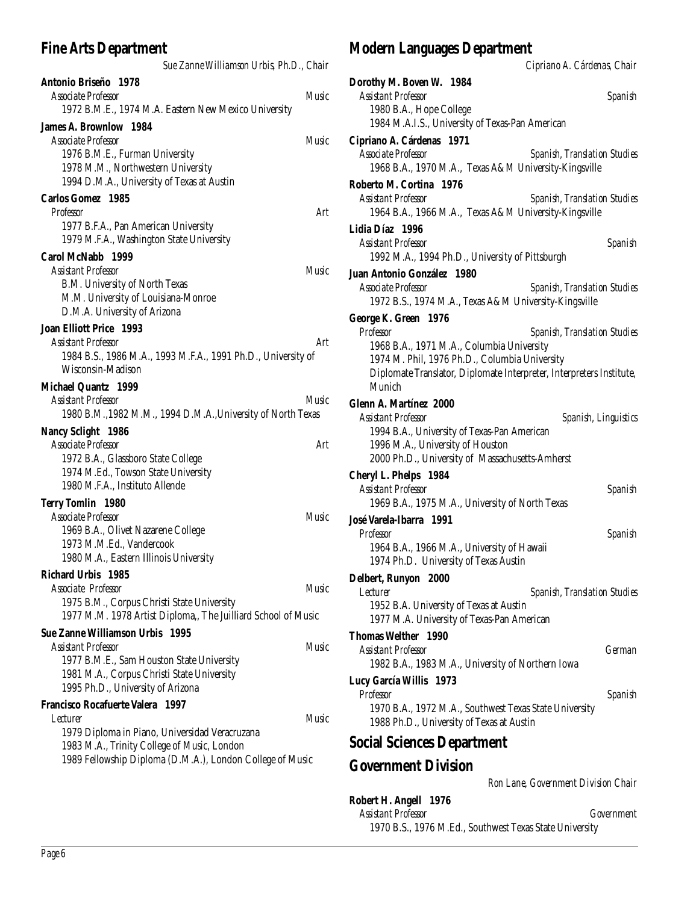# **Fine Arts Department**

| Sue Zanne Williamson Urbis, Ph.D., Chair                                                      |              |
|-----------------------------------------------------------------------------------------------|--------------|
| Antonio Briseño 1978                                                                          |              |
| <b>Associate Professor</b>                                                                    | Music        |
| 1972 B.M.E., 1974 M.A. Eastern New Mexico University                                          |              |
| <b>James A. Brownlow 1984</b>                                                                 |              |
| Associate Professor                                                                           | Music        |
| 1976 B.M.E., Furman University                                                                |              |
| 1978 M.M., Northwestern University                                                            |              |
| 1994 D.M.A., University of Texas at Austin                                                    |              |
| <b>Carlos Gomez</b> 1985                                                                      |              |
| <b>Professor</b>                                                                              | Art          |
| 1977 B.F.A., Pan American University                                                          |              |
| 1979 M.F.A., Washington State University                                                      |              |
| Carol McNabb 1999                                                                             |              |
| <b>Assistant Professor</b>                                                                    | Music        |
| B.M. University of North Texas                                                                |              |
| M.M. University of Louisiana-Monroe                                                           |              |
| D.M.A. University of Arizona                                                                  |              |
| <b>Joan Elliott Price 1993</b>                                                                |              |
| <b>Assistant Professor</b>                                                                    | Art          |
| 1984 B.S., 1986 M.A., 1993 M.F.A., 1991 Ph.D., University of                                  |              |
| Wisconsin-Madison                                                                             |              |
| Michael Quantz 1999                                                                           |              |
| Assistant Professor                                                                           | Music        |
| 1980 B.M., 1982 M.M., 1994 D.M.A., University of North Texas                                  |              |
| <b>Nancy Sclight 1986</b>                                                                     |              |
|                                                                                               |              |
|                                                                                               |              |
| <b>Associate Professor</b>                                                                    | Art          |
| 1972 B.A., Glassboro State College                                                            |              |
| 1974 M.Ed., Towson State University                                                           |              |
| 1980 M.F.A., Instituto Allende                                                                |              |
| <b>Terry Tomlin</b> 1980                                                                      |              |
| <b>Associate Professor</b>                                                                    | <b>Music</b> |
| 1969 B.A., Olivet Nazarene College                                                            |              |
| 1973 M.M.Ed., Vandercook                                                                      |              |
| 1980 M.A., Eastern Illinois University                                                        |              |
| Richard Urbis 1985                                                                            |              |
| Associate Professor                                                                           | Music        |
| 1975 B.M., Corpus Christi State University                                                    |              |
| 1977 M.M. 1978 Artist Diploma,, The Juilliard School of Music                                 |              |
| Sue Zanne Williamson Urbis 1995                                                               |              |
| <b>Assistant Professor</b>                                                                    | Music        |
| 1977 B.M.E., Sam Houston State University                                                     |              |
| 1981 M.A., Corpus Christi State University                                                    |              |
| 1995 Ph.D., University of Arizona                                                             |              |
| Francisco Rocafuerte Valera 1997<br>Lecturer                                                  | Music        |
|                                                                                               |              |
| 1979 Diploma in Piano, Universidad Veracruzana<br>1983 M.A., Trinity College of Music, London |              |
| 1989 Fellowship Diploma (D.M.A.), London College of Music                                     |              |
|                                                                                               |              |

# **Modern Languages Department**

*Cipriano A. Cárdenas, Chair*

| Dorothy M. Boven W. 1984                                                                   |                                     |
|--------------------------------------------------------------------------------------------|-------------------------------------|
| <b>Assistant Professor</b>                                                                 | Spanish                             |
| 1980 B.A., Hope College<br>1984 M.A.I.S., University of Texas-Pan American                 |                                     |
| Cipriano A. Cárdenas 1971                                                                  |                                     |
| Associate Professor                                                                        | <b>Spanish, Translation Studies</b> |
| 1968 B.A., 1970 M.A., Texas A&M University-Kingsville                                      |                                     |
| Roberto M. Cortina 1976<br><b>Assistant Professor</b>                                      | <b>Spanish, Translation Studies</b> |
| 1964 B.A., 1966 M.A., Texas A&M University-Kingsville                                      |                                     |
| Lidia Díaz 1996                                                                            |                                     |
| <b>Assistant Professor</b>                                                                 | Spanish                             |
| 1992 M.A., 1994 Ph.D., University of Pittsburgh                                            |                                     |
| Juan Antonio González 1980                                                                 |                                     |
| <b>Associate Professor</b>                                                                 | <b>Spanish, Translation Studies</b> |
| 1972 B.S., 1974 M.A., Texas A&M University-Kingsville                                      |                                     |
| George K. Green 1976                                                                       |                                     |
| <b>Professor</b>                                                                           | <b>Spanish, Translation Studies</b> |
| 1968 B.A., 1971 M.A., Columbia University<br>1974 M. Phil, 1976 Ph.D., Columbia University |                                     |
| Diplomate Translator, Diplomate Interpreter, Interpreters Institute,                       |                                     |
| Munich                                                                                     |                                     |
| <b>Glenn A. Martínez 2000</b>                                                              |                                     |
| <b>Assistant Professor</b>                                                                 | Spanish, Linguistics                |
| 1994 B.A., University of Texas-Pan American                                                |                                     |
| 1996 M.A., University of Houston                                                           |                                     |
| 2000 Ph.D., University of Massachusetts-Amherst                                            |                                     |
| Cheryl L. Phelps 1984<br><b>Assistant Professor</b>                                        |                                     |
| 1969 B.A., 1975 M.A., University of North Texas                                            | Spanish                             |
| José Varela-Ibarra 1991                                                                    |                                     |
| Professor                                                                                  | Spanish                             |
| 1964 B.A., 1966 M.A., University of Hawaii                                                 |                                     |
| 1974 Ph.D. University of Texas Austin                                                      |                                     |
| Delbert, Runyon 2000                                                                       |                                     |
| Lecturer                                                                                   | <b>Spanish, Translation Studies</b> |
| 1952 B.A. University of Texas at Austin                                                    |                                     |
| 1977 M.A. University of Texas-Pan American                                                 |                                     |
| <b>Thomas Welther</b> 1990<br><b>Assistant Professor</b>                                   | German                              |
| 1982 B.A., 1983 M.A., University of Northern Iowa                                          |                                     |
| Lucy García Willis 1973                                                                    |                                     |
| Professor                                                                                  | Spanish                             |
| 1970 B.A., 1972 M.A., Southwest Texas State University                                     |                                     |
| 1988 Ph.D., University of Texas at Austin                                                  |                                     |
| <b>Social Sciences Department</b>                                                          |                                     |
| <b>Government Division</b>                                                                 |                                     |
|                                                                                            | Ron Lane, Government Division Chair |

**Robert H. Angell 1976** *Assistant Professor Government* 1970 B.S., 1976 M.Ed., Southwest Texas State University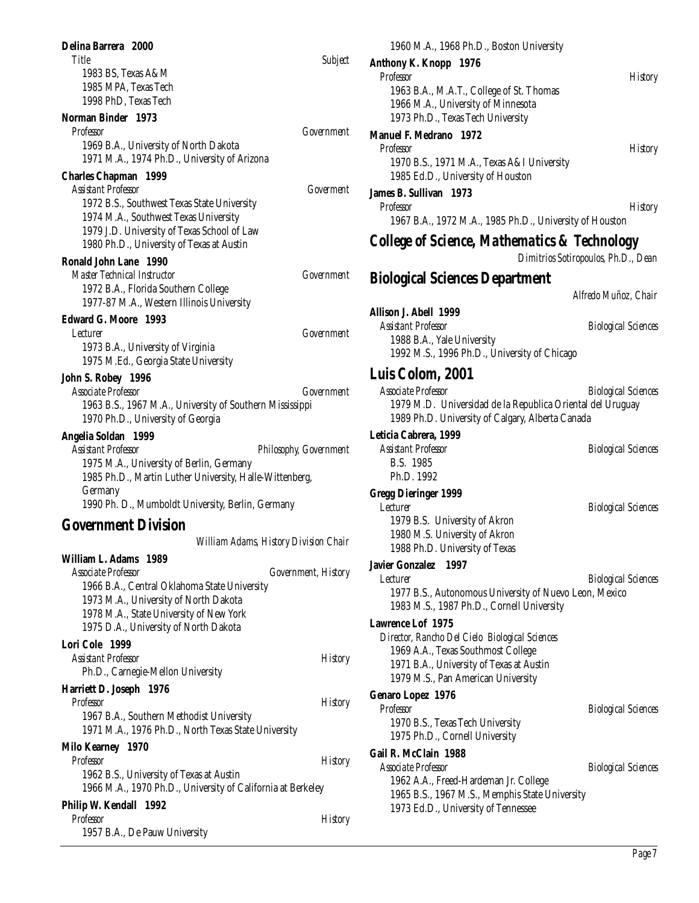| Delina Barrera 2000                                                                  |                                       | 1960 M.A., 1968 Ph.D., Boston University                                                |                                     |
|--------------------------------------------------------------------------------------|---------------------------------------|-----------------------------------------------------------------------------------------|-------------------------------------|
| Title<br>1983 BS, Texas A&M                                                          | <b>Subject</b>                        | Anthony K. Knopp 1976                                                                   |                                     |
| 1985 MPA, Texas Tech                                                                 |                                       | Professor                                                                               | <b>History</b>                      |
| 1998 PhD, Texas Tech                                                                 |                                       | 1963 B.A., M.A.T., College of St. Thomas<br>1966 M.A., University of Minnesota          |                                     |
| Norman Binder 1973                                                                   |                                       | 1973 Ph.D., Texas Tech University                                                       |                                     |
| Professor                                                                            | Government                            | <b>Manuel F. Medrano</b> 1972                                                           |                                     |
| 1969 B.A., University of North Dakota                                                |                                       | Professor                                                                               | <b>History</b>                      |
| 1971 M.A., 1974 Ph.D., University of Arizona                                         |                                       | 1970 B.S., 1971 M.A., Texas A&I University                                              |                                     |
| <b>Charles Chapman</b> 1999                                                          |                                       | 1985 Ed.D., University of Houston                                                       |                                     |
| <b>Assistant Professor</b>                                                           | Goverment                             | James B. Sullivan 1973                                                                  |                                     |
| 1972 B.S., Southwest Texas State University<br>1974 M.A., Southwest Texas University |                                       | Professor                                                                               | <b>History</b>                      |
| 1979 J.D. University of Texas School of Law                                          |                                       | 1967 B.A., 1972 M.A., 1985 Ph.D., University of Houston                                 |                                     |
| 1980 Ph.D., University of Texas at Austin                                            |                                       | <b>College of Science, Mathematics &amp; Technology</b>                                 |                                     |
| <b>Ronald John Lane 1990</b>                                                         |                                       |                                                                                         | Dimitrios Sotiropoulos, Ph.D., Dean |
| <b>Master Technical Instructor</b>                                                   | Government                            | <b>Biological Sciences Department</b>                                                   |                                     |
| 1972 B.A., Florida Southern College                                                  |                                       |                                                                                         | Alfredo Muñoz, Chair                |
| 1977-87 M.A., Western Illinois University                                            |                                       | Allison J. Abell 1999                                                                   |                                     |
| <b>Edward G. Moore</b> 1993                                                          |                                       | <b>Assistant Professor</b>                                                              | <b>Biological Sciences</b>          |
| <i>Lecturer</i>                                                                      | Government                            | 1988 B.A., Yale University                                                              |                                     |
| 1973 B.A., University of Virginia<br>1975 M.Ed., Georgia State University            |                                       | 1992 M.S., 1996 Ph.D., University of Chicago                                            |                                     |
| John S. Robey 1996                                                                   |                                       | Luis Colom, 2001                                                                        |                                     |
| Associate Professor                                                                  | Government                            | Associate Professor                                                                     | <b>Biological Sciences</b>          |
| 1963 B.S., 1967 M.A., University of Southern Mississippi                             |                                       | 1979 M.D. Universidad de la Republica Oriental del Uruguay                              |                                     |
| 1970 Ph.D., University of Georgia                                                    |                                       | 1989 Ph.D. University of Calgary, Alberta Canada                                        |                                     |
| Angelia Soldan 1999                                                                  |                                       | Leticia Cabrera, 1999                                                                   |                                     |
| <b>Assistant Professor</b>                                                           | Philosophy, Government                | <b>Assistant Professor</b>                                                              | <b>Biological Sciences</b>          |
| 1975 M.A., University of Berlin, Germany                                             |                                       | B.S. 1985                                                                               |                                     |
| 1985 Ph.D., Martin Luther University, Halle-Wittenberg,                              |                                       | Ph.D. 1992                                                                              |                                     |
| Germany<br>1990 Ph. D., Mumboldt University, Berlin, Germany                         |                                       | <b>Gregg Dieringer 1999</b>                                                             |                                     |
|                                                                                      |                                       | <i>Lecturer</i><br>1979 B.S. University of Akron                                        | <b>Biological Sciences</b>          |
| <b>Government Division</b>                                                           |                                       | 1980 M.S. University of Akron                                                           |                                     |
|                                                                                      | William Adams, History Division Chair | 1988 Ph.D. University of Texas                                                          |                                     |
| William L. Adams 1989                                                                |                                       | Javier Gonzalez 1997                                                                    |                                     |
| Associate Professor<br>1966 B.A., Central Oklahoma State University                  | Government, History                   | Lecturer                                                                                | <b>Biological Sciences</b>          |
| 1973 M.A., University of North Dakota                                                |                                       | 1977 B.S., Autonomous University of Nuevo Leon, Mexico                                  |                                     |
| 1978 M.A., State University of New York                                              |                                       | 1983 M.S., 1987 Ph.D., Cornell University                                               |                                     |
| 1975 D.A., University of North Dakota                                                |                                       | <b>Lawrence Lof 1975</b>                                                                |                                     |
| Lori Cole 1999                                                                       |                                       | Director, Rancho Del Cielo Biological Sciences<br>1969 A.A., Texas Southmost College    |                                     |
| <b>Assistant Professor</b>                                                           | <b>History</b>                        | 1971 B.A., University of Texas at Austin                                                |                                     |
| Ph.D., Carnegie-Mellon University                                                    |                                       | 1979 M.S., Pan American University                                                      |                                     |
| Harriett D. Joseph 1976                                                              |                                       | <b>Genaro Lopez 1976</b>                                                                |                                     |
| Professor<br>1967 B.A., Southern Methodist University                                | <b>History</b>                        | Professor                                                                               | <b>Biological Sciences</b>          |
| 1971 M.A., 1976 Ph.D., North Texas State University                                  |                                       | 1970 B.S., Texas Tech University                                                        |                                     |
| Milo Kearney 1970                                                                    |                                       | 1975 Ph.D., Cornell University                                                          |                                     |
| Professor                                                                            | <b>History</b>                        | Gail R. McClain 1988                                                                    |                                     |
| 1962 B.S., University of Texas at Austin                                             |                                       | <b>Associate Professor</b>                                                              | <b>Biological Sciences</b>          |
| 1966 M.A., 1970 Ph.D., University of California at Berkeley                          |                                       | 1962 A.A., Freed-Hardeman Jr. College<br>1965 B.S., 1967 M.S., Memphis State University |                                     |
| Philip W. Kendall 1992                                                               |                                       | 1973 Ed.D., University of Tennessee                                                     |                                     |
| Professor                                                                            | <b>History</b>                        |                                                                                         |                                     |
| 1957 B.A., De Pauw University                                                        |                                       |                                                                                         |                                     |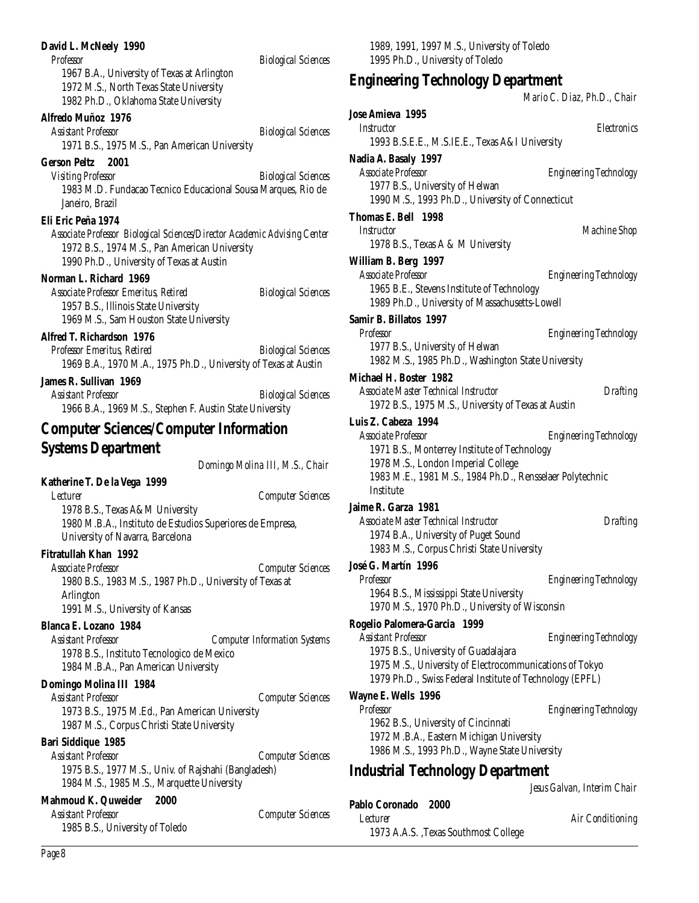#### **David L. McNeely 1990**

*Professor Biological Sciences*

1967 B.A., University of Texas at Arlington 1972 M.S., North Texas State University 1982 Ph.D., Oklahoma State University

# **Alfredo Muñoz 1976**

*Assistant Professor Biological Sciences* 1971 B.S., 1975 M.S., Pan American University

#### **Gerson Peltz 2001**

*Visiting Professor Biological Sciences* 1983 M.D. Fundacao Tecnico Educacional Sousa Marques, Rio de Janeiro, Brazil

#### **Eli Eric Peña 1974**

*Associate Professor Biological Sciences/Director Academic Advising Center* 1972 B.S., 1974 M.S., Pan American University 1990 Ph.D., University of Texas at Austin

#### **Norman L. Richard 1969**

*Associate Professor Emeritus, Retired Biological Sciences* 1957 B.S., Illinois State University 1969 M.S., Sam Houston State University

#### **Alfred T. Richardson 1976**

*Professor Emeritus, Retired Biological Sciences* 1969 B.A., 1970 M.A., 1975 Ph.D., University of Texas at Austin

#### **James R. Sullivan 1969**

*Assistant Professor Biological Sciences* 1966 B.A., 1969 M.S., Stephen F. Austin State University

# **Computer Sciences/Computer Information Systems Department**

*Domingo Molina III, M.S., Chair*

# **Katherine T. De la Vega 1999**

*Lecturer Computer Sciences*

1978 B.S., Texas A&M University 1980 M.B.A., Instituto de Estudios Superiores de Empresa, University of Navarra, Barcelona

# **Fitratullah Khan 1992**

*Associate Professor Computer Sciences* 1980 B.S., 1983 M.S., 1987 Ph.D., University of Texas at Arlington 1991 M.S., University of Kansas

# **Blanca E. Lozano 1984**

*Assistant Professor Computer Information Systems* 1978 B.S., Instituto Tecnologico de Mexico 1984 M.B.A., Pan American University

#### **Domingo Molina III 1984**

*Assistant Professor Computer Sciences* 1973 B.S., 1975 M.Ed., Pan American University 1987 M.S., Corpus Christi State University

#### **Bari Siddique 1985**

*Assistant Professor Computer Sciences* 1975 B.S., 1977 M.S., Univ. of Rajshahi (Bangladesh) 1984 M.S., 1985 M.S., Marquette University

# **Mahmoud K. Quweider 2000**

*Assistant Professor Computer Sciences* 1985 B.S., University of Toledo

1989, 1991, 1997 M.S., University of Toledo 1995 Ph.D., University of Toledo

# **Engineering Technology Department**

*Mario C. Diaz, Ph.D., Chair*

```
Jose Amieva 1995
  Instructor Electronics
    1993 B.S.E.E., M.S.IE.E., Texas A&I University
Nadia A. Basaly 1997
 Associate Professor Engineering Technology
    1977 B.S., University of Helwan
    1990 M.S., 1993 Ph.D., University of Connecticut
Thomas E. Bell 1998
  Instructor Machine Shop
    1978 B.S., Texas A & M University
William B. Berg 1997
  Associate Professor Engineering Technology
    1965 B.E., Stevens Institute of Technology
    1989 Ph.D., University of Massachusetts-Lowell
Samir B. Billatos 1997
  Professor Engineering Technology
    1977 B.S., University of Helwan
    1982 M.S., 1985 Ph.D., Washington State University
Michael H. Boster 1982
  Associate Master Technical Instructor Drafting
    1972 B.S., 1975 M.S., University of Texas at Austin
Luis Z. Cabeza 1994
 Associate Professor Engineering Technology
    1971 B.S., Monterrey Institute of Technology
    1978 M.S., London Imperial College
    1983 M.E., 1981 M.S., 1984 Ph.D., Rensselaer Polytechnic
    Institute
Jaime R. Garza 1981
 Associate Master Technical Instructor Drafting
    1974 B.A., University of Puget Sound
    1983 M.S., Corpus Christi State University
José G. Martín 1996
  Professor Engineering Technology
    1964 B.S., Mississippi State University
    1970 M.S., 1970 Ph.D., University of Wisconsin
Rogelio Palomera-Garcia 1999
 Assistant Professor Engineering Technology
    1975 B.S., University of Guadalajara
    1975 M.S., University of Electrocommunications of Tokyo
    1979 Ph.D., Swiss Federal Institute of Technology (EPFL)
Wayne E. Wells 1996
 Professor Engineering Technology
    1962 B.S., University of Cincinnati
    1972 M.B.A., Eastern Michigan University
    1986 M.S., 1993 Ph.D., Wayne State University
Industrial Technology Department
                                   Jesus Galvan, Interim Chair
```
**Pablo Coronado 2000** *Lecturer Air Conditioning* 1973 A.A.S. ,Texas Southmost College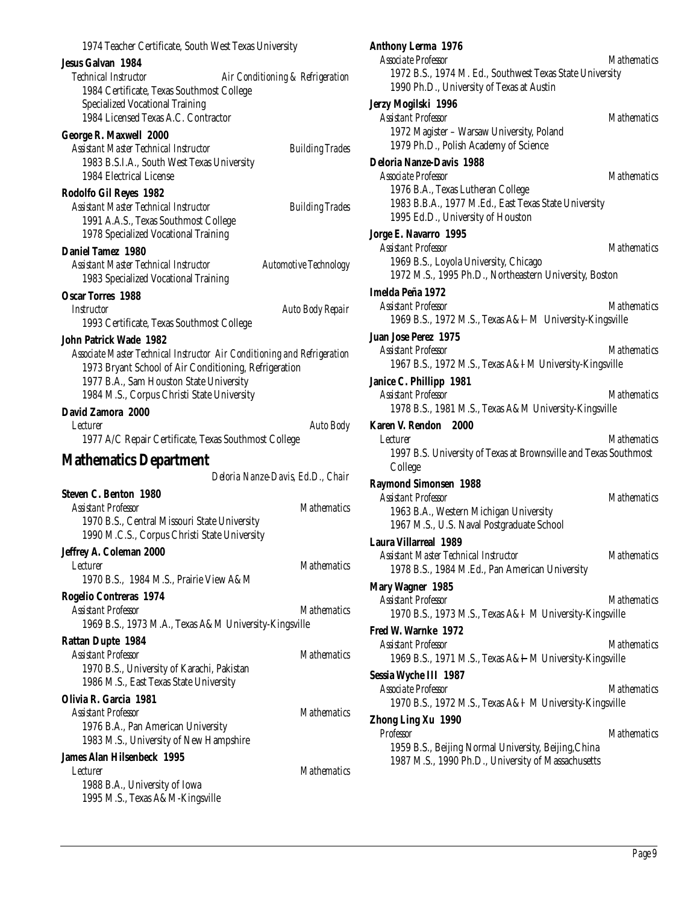| 1974 Teacher Certificate, South West Texas University                                                                                                                                                                                                       |
|-------------------------------------------------------------------------------------------------------------------------------------------------------------------------------------------------------------------------------------------------------------|
| <b>Jesus Galvan 1984</b><br>Technical Instructor<br>Air Conditioning & Refrigeration<br>1984 Certificate, Texas Southmost College<br><b>Specialized Vocational Training</b><br>1984 Licensed Texas A.C. Contractor                                          |
| George R. Maxwell 2000<br>Assistant Master Technical Instructor<br><b>Building Trades</b><br>1983 B.S.I.A., South West Texas University<br>1984 Electrical License                                                                                          |
| Rodolfo Gil Reyes 1982<br>Assistant Master Technical Instructor<br><b>Building Trades</b><br>1991 A.A.S., Texas Southmost College<br>1978 Specialized Vocational Training                                                                                   |
| <b>Daniel Tamez 1980</b><br>Assistant Master Technical Instructor<br><b>Automotive Technology</b><br>1983 Specialized Vocational Training                                                                                                                   |
| <b>Oscar Torres 1988</b><br>Instructor<br>Auto Body Repair<br>1993 Certificate, Texas Southmost College                                                                                                                                                     |
| <b>John Patrick Wade 1982</b><br>Associate Master Technical Instructor Air Conditioning and Refrigeration<br>1973 Bryant School of Air Conditioning, Refrigeration<br>1977 B.A., Sam Houston State University<br>1984 M.S., Corpus Christi State University |
| David Zamora 2000<br>Lecturer<br><b>Auto Body</b><br>1977 A/C Repair Certificate, Texas Southmost College                                                                                                                                                   |
| <b>Mathematics Department</b><br>Deloria Nanze-Davis, Ed.D., Chair                                                                                                                                                                                          |
| <b>Steven C. Benton 1980</b><br><b>Assistant Professor</b><br><b>Mathematics</b><br>1970 B.S., Central Missouri State University<br>1990 M.C.S., Corpus Christi State University                                                                            |
| Jeffrey A. Coleman 2000<br><b>Mathematics</b><br>Lecturer<br>1970 B.S., 1984 M.S., Prairie View A&M                                                                                                                                                         |
| Rogelio Contreras 1974<br><b>Assistant Professor</b><br><b>Mathematics</b><br>1969 B.S., 1973 M.A., Texas A&M University-Kingsville                                                                                                                         |
| <b>Rattan Dupte 1984</b><br><b>Assistant Professor</b><br><b>Mathematics</b><br>1970 B.S., University of Karachi, Pakistan<br>1986 M.S., East Texas State University                                                                                        |
| Olivia R. Garcia 1981<br><b>Mathematics</b><br>Assistant Professor<br>1976 B.A., Pan American University<br>1983 M.S., University of New Hampshire                                                                                                          |
| <b>James Alan Hilsenbeck 1995</b><br><b>Mathematics</b><br>Lecturer<br>1988 B.A., University of Iowa<br>1995 M.S., Texas A&M-Kingsville                                                                                                                     |

| <b>Anthony Lerma 1976</b><br><b>Associate Professor</b><br>1972 B.S., 1974 M. Ed., Southwest Texas State University<br>1990 Ph.D., University of Texas at Austin                         | <i>Mathematics</i> |
|------------------------------------------------------------------------------------------------------------------------------------------------------------------------------------------|--------------------|
| Jerzy Mogilski 1996<br><b>Assistant Professor</b><br>1972 Magister - Warsaw University, Poland<br>1979 Ph.D., Polish Academy of Science                                                  | <b>Mathematics</b> |
| <b>Deloria Nanze-Davis 1988</b><br>Associate Professor<br>1976 B.A., Texas Lutheran College<br>1983 B.B.A., 1977 M.Ed., East Texas State University<br>1995 Ed.D., University of Houston | <b>Mathematics</b> |
| Jorge E. Navarro 1995<br><b>Assistant Professor</b><br>1969 B.S., Loyola University, Chicago<br>1972 M.S., 1995 Ph.D., Northeastern University, Boston                                   | <b>Mathematics</b> |
| Imelda Peña 1972<br>Assistant Professor<br>1969 B.S., 1972 M.S., Texas A&I M University-Kingsville                                                                                       | <b>Mathematics</b> |
| Juan Jose Perez 1975<br><b>Assistant Professor</b><br>1967 B.S., 1972 M.S., Texas A&I M University-Kingsville                                                                            | <b>Mathematics</b> |
| Janice C. Phillipp 1981<br><b>Assistant Professor</b><br>1978 B.S., 1981 M.S., Texas A&M University-Kingsville                                                                           | <b>Mathematics</b> |
| Karen V. Rendon 2000<br><i>Lecturer</i><br>1997 B.S. University of Texas at Brownsville and Texas Southmost<br>College                                                                   | <i>Mathematics</i> |
| <b>Raymond Simonsen 1988</b><br><b>Assistant Professor</b><br>1963 B.A., Western Michigan University<br>1967 M.S., U.S. Naval Postgraduate School                                        | <b>Mathematics</b> |
| <b>Laura Villarreal 1989</b><br><b>Assistant Master Technical Instructor</b><br>1978 B.S., 1984 M.Ed., Pan American University                                                           | <b>Mathematics</b> |
| Mary Wagner 1985<br><b>Assistant Professor</b><br>1970 B.S., 1973 M.S., Texas A&H M University-Kingsville                                                                                | <i>Mathematics</i> |
| Fred W. Warnke 1972<br><b>Assistant Professor</b><br>1969 B.S., 1971 M.S., Texas A&I M University-Kingsville                                                                             | <b>Mathematics</b> |
| Sessia Wyche III 1987<br><b>Associate Professor</b><br>1970 B.S., 1972 M.S., Texas A&H M University-Kingsville                                                                           | <i>Mathematics</i> |
| Zhong Ling Xu 1990<br><b>Professor</b><br>1959 B.S., Beijing Normal University, Beijing, China<br>1987 M.S., 1990 Ph.D., University of Massachusetts                                     | <b>Mathematics</b> |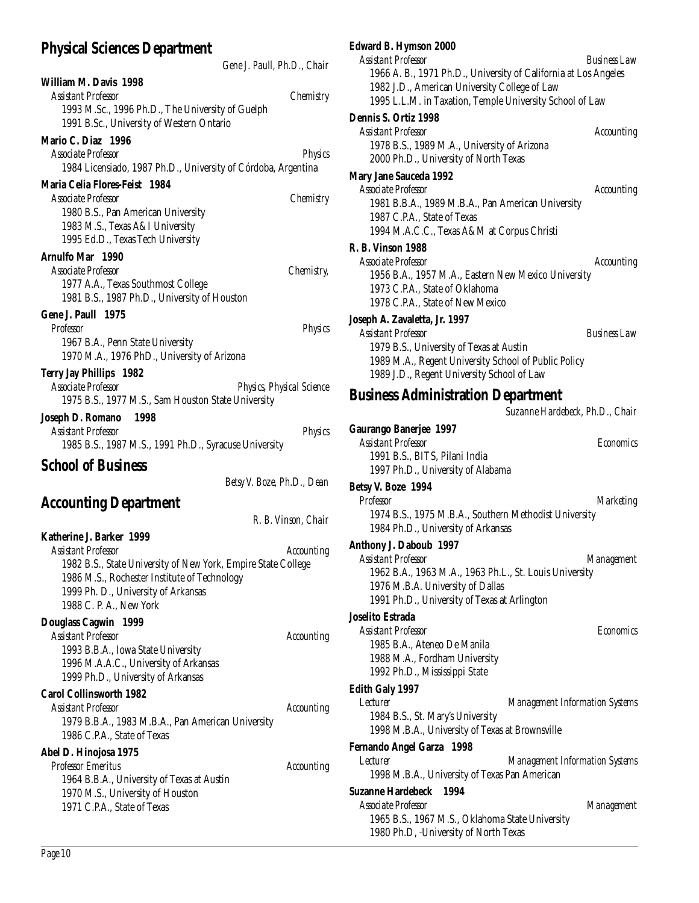# **Physical Sciences Department**

|                                                                                | Gene J. Paull, Ph.D., Chair |
|--------------------------------------------------------------------------------|-----------------------------|
| William M. Davis 1998                                                          |                             |
| <b>Assistant Professor</b>                                                     | Chemistry                   |
| 1993 M.Sc., 1996 Ph.D., The University of Guelph                               |                             |
| 1991 B.Sc., University of Western Ontario                                      |                             |
| Mario C. Diaz 1996                                                             |                             |
| Associate Professor                                                            | <b>Physics</b>              |
| 1984 Licensiado, 1987 Ph.D., University of Córdoba, Argentina                  |                             |
| Maria Celia Flores-Feist 1984                                                  |                             |
| Associate Professor                                                            | Chemistry                   |
| 1980 B.S., Pan American University                                             |                             |
| 1983 M.S., Texas A&I University                                                |                             |
| 1995 Ed.D., Texas Tech University                                              |                             |
| Arnulfo Mar 1990                                                               |                             |
| Associate Professor                                                            | <i>Chemistry,</i>           |
| 1977 A.A., Texas Southmost College                                             |                             |
| 1981 B.S., 1987 Ph.D., University of Houston                                   |                             |
| Gene J. Paull 1975                                                             |                             |
| Professor<br>1967 B.A., Penn State University                                  | Physics                     |
| 1970 M.A., 1976 PhD., University of Arizona                                    |                             |
|                                                                                |                             |
| <b>Terry Jay Phillips 1982</b><br>Associate Professor                          | Physics, Physical Science   |
| 1975 B.S., 1977 M.S., Sam Houston State University                             |                             |
| 1998                                                                           |                             |
| Joseph D. Romano<br><b>Assistant Professor</b>                                 | <b>Physics</b>              |
| 1985 B.S., 1987 M.S., 1991 Ph.D., Syracuse University                          |                             |
| <b>School of Business</b>                                                      |                             |
|                                                                                |                             |
|                                                                                | Betsy V. Boze, Ph.D., Dean  |
| <b>Accounting Department</b>                                                   |                             |
|                                                                                | R. B. Vinson, Chair         |
| Katherine J. Barker 1999                                                       |                             |
| <b>Assistant Professor</b>                                                     | <b>Accounting</b>           |
| 1982 B.S., State University of New York, Empire State College                  |                             |
| 1986 M.S., Rochester Institute of Technology                                   |                             |
| 1999 Ph. D., University of Arkansas                                            |                             |
| 1988 C. P. A., New York                                                        |                             |
| <b>Douglass Cagwin 1999</b>                                                    |                             |
| <b>Assistant Professor</b>                                                     | <b>Accounting</b>           |
| 1993 B.B.A., Iowa State University                                             |                             |
| 1996 M.A.A.C., University of Arkansas                                          |                             |
| 1999 Ph.D., University of Arkansas                                             |                             |
| <b>Carol Collinsworth 1982</b>                                                 |                             |
| <b>Assistant Professor</b>                                                     | <b>Accounting</b>           |
| 1979 B.B.A., 1983 M.B.A., Pan American University                              |                             |
| 1986 C.P.A., State of Texas                                                    |                             |
| Abel D. Hinojosa 1975                                                          |                             |
| Professor Emeritus                                                             | <b>Accounting</b>           |
| 1964 B.B.A., University of Texas at Austin<br>1970 M.S., University of Houston |                             |
| 1971 C.P.A., State of Texas                                                    |                             |
|                                                                                |                             |
|                                                                                |                             |

| <b>Edward B. Hymson 2000</b>                                                             |                         |
|------------------------------------------------------------------------------------------|-------------------------|
| <b>Assistant Professor</b><br><b>Business Law</b>                                        |                         |
| 1966 A. B., 1971 Ph.D., University of California at Los Angeles                          |                         |
| 1982 J.D., American University College of Law                                            |                         |
| 1995 L.L.M. in Taxation, Temple University School of Law                                 |                         |
| Dennis S. Ortiz 1998                                                                     |                         |
| Assistant Professor<br><b>Accounting</b>                                                 |                         |
| 1978 B.S., 1989 M.A., University of Arizona                                              |                         |
| 2000 Ph.D., University of North Texas                                                    |                         |
| <b>Mary Jane Sauceda 1992</b>                                                            |                         |
| <b>Associate Professor</b><br><b>Accounting</b>                                          |                         |
| 1981 B.B.A., 1989 M.B.A., Pan American University                                        |                         |
| 1987 C.P.A., State of Texas                                                              |                         |
| 1994 M.A.C.C., Texas A&M at Corpus Christi                                               |                         |
| <b>R. B. Vinson 1988</b>                                                                 |                         |
| Associate Professor<br><b>Accounting</b>                                                 |                         |
| 1956 B.A., 1957 M.A., Eastern New Mexico University                                      |                         |
| 1973 C.P.A., State of Oklahoma                                                           |                         |
| 1978 C.P.A., State of New Mexico                                                         |                         |
| Joseph A. Zavaletta, Jr. 1997                                                            |                         |
| <b>Assistant Professor</b><br><b>Business Law</b>                                        |                         |
| 1979 B.S., University of Texas at Austin                                                 |                         |
| 1989 M.A., Regent University School of Public Policy                                     |                         |
| 1989 J.D., Regent University School of Law                                               |                         |
| <b>Business Administration Department</b>                                                |                         |
| Suzanne Hardebeck, Ph.D., Chair                                                          |                         |
| <b>Gaurango Banerjee 1997</b>                                                            |                         |
| <b>Assistant Professor</b>                                                               |                         |
|                                                                                          | <i><b>Economics</b></i> |
| 1991 B.S., BITS, Pilani India                                                            |                         |
| 1997 Ph.D., University of Alabama                                                        |                         |
|                                                                                          |                         |
| Betsy V. Boze 1994<br>Professor                                                          |                         |
| <b>Marketing</b><br>1974 B.S., 1975 M.B.A., Southern Methodist University                |                         |
| 1984 Ph.D., University of Arkansas                                                       |                         |
|                                                                                          |                         |
| Anthony J. Daboub 1997<br><b>Assistant Professor</b><br>Management                       |                         |
| 1962 B.A., 1963 M.A., 1963 Ph.L., St. Louis University                                   |                         |
| 1976 M.B.A. University of Dallas                                                         |                         |
| 1991 Ph.D., University of Texas at Arlington                                             |                         |
| Joselito Estrada                                                                         |                         |
| <b>Assistant Professor</b><br><b>Economics</b>                                           |                         |
| 1985 B.A., Ateneo De Manila                                                              |                         |
| 1988 M.A., Fordham University                                                            |                         |
| 1992 Ph.D., Mississippi State                                                            |                         |
| <b>Edith Galy 1997</b>                                                                   |                         |
| Lecturer<br><b>Management Information Systems</b>                                        |                         |
| 1984 B.S., St. Mary's University                                                         |                         |
| 1998 M.B.A., University of Texas at Brownsville                                          |                         |
| Fernando Angel Garza 1998                                                                |                         |
| Lecturer<br><b>Management Information Systems</b>                                        |                         |
| 1998 M.B.A., University of Texas Pan American                                            |                         |
| <b>Suzanne Hardebeck</b><br>1994                                                         |                         |
| Associate Professor<br>Management                                                        |                         |
| 1965 B.S., 1967 M.S., Oklahoma State University<br>1980 Ph.D, -University of North Texas |                         |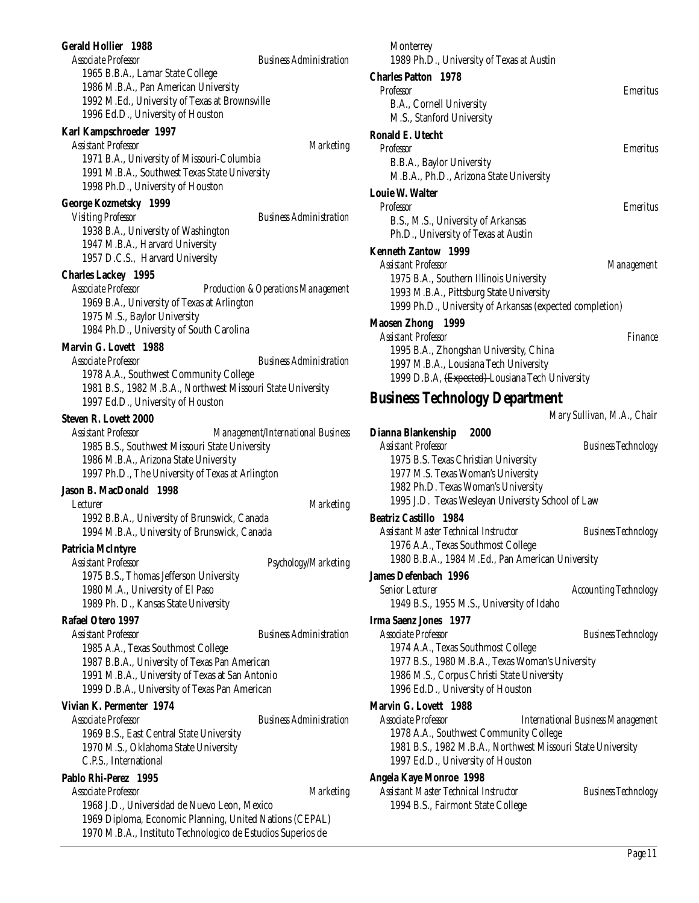#### **Gerald Hollier 1988**

*Associate Professor Business Administration* 1965 B.B.A., Lamar State College 1986 M.B.A., Pan American University 1992 M.Ed., University of Texas at Brownsville 1996 Ed.D., University of Houston

# **Karl Kampschroeder 1997**

*Assistant Professor Marketing* 1971 B.A., University of Missouri-Columbia 1991 M.B.A., Southwest Texas State University 1998 Ph.D., University of Houston

#### **George Kozmetsky 1999**

*Visiting Professor Business Administration* 1938 B.A., University of Washington 1947 M.B.A., Harvard University 1957 D.C.S., Harvard University

#### **Charles Lackey 1995**

*Associate Professor Production &Operations Management* 1969 B.A., University of Texas at Arlington 1975 M.S., Baylor University 1984 Ph.D., University of South Carolina

# **Marvin G. Lovett 1988**

*Associate Professor Business Administration* 1978 A.A., Southwest Community College 1981 B.S., 1982 M.B.A., Northwest Missouri State University 1997 Ed.D., University of Houston

## **Steven R. Lovett 2000**

*Assistant Professor Management/International Business* 1985 B.S., Southwest Missouri State University 1986 M.B.A., Arizona State University 1997 Ph.D., The University of Texas at Arlington

# **Jason B. MacDonald 1998**

*Lecturer Marketing* 1992 B.B.A., University of Brunswick, Canada 1994 M.B.A., University of Brunswick, Canada

#### **Patricia McIntyre**

*Assistant Professor Psychology/Marketing* 1975 B.S., Thomas Jefferson University 1980 M.A., University of El Paso 1989 Ph. D., Kansas State University

# **Rafael Otero 1997**

*Assistant Professor Business Administration* 1985 A.A., Texas Southmost College 1987 B.B.A., University of Texas Pan American 1991 M.B.A., University of Texas at San Antonio 1999 D.B.A., University of Texas Pan American

#### **Vivian K. Permenter 1974**

*Associate Professor Business Administration* 1969 B.S., East Central State University 1970 M.S., Oklahoma State University C.P.S., International

#### **Pablo Rhi-Perez 1995**

*Associate Professor Marketing*

1968 J.D., Universidad de Nuevo Leon, Mexico 1969 Diploma, Economic Planning, United Nations (CEPAL) 1970 M.B.A., Instituto Technologico de Estudios Superios de

| Monterrey                                                   |                            |
|-------------------------------------------------------------|----------------------------|
| 1989 Ph.D., University of Texas at Austin                   |                            |
| <b>Charles Patton 1978</b>                                  |                            |
| Professor                                                   | <b>Emeritus</b>            |
| B.A., Cornell University                                    |                            |
| M.S., Stanford University                                   |                            |
| Ronald E. Utecht                                            |                            |
| <b>Professor</b>                                            | Emeritus                   |
| B.B.A., Baylor University                                   |                            |
| M.B.A., Ph.D., Arizona State University                     |                            |
| Louie W. Walter                                             |                            |
| <b>Professor</b>                                            | <i><b>Emeritus</b></i>     |
| B.S., M.S., University of Arkansas                          |                            |
| Ph.D., University of Texas at Austin                        |                            |
| Kenneth Zantow 1999                                         |                            |
| <b>Assistant Professor</b>                                  | Management                 |
| 1975 B.A., Southern Illinois University                     |                            |
| 1993 M.B.A., Pittsburg State University                     |                            |
| 1999 Ph.D., University of Arkansas (expected completion)    |                            |
| Maosen Zhong 1999                                           |                            |
| <b>Assistant Professor</b>                                  | Finance                    |
| 1995 B.A., Zhongshan University, China                      |                            |
| 1997 M.B.A., Lousiana Tech University                       |                            |
| 1999 D.B.A, <del>(Expected)</del> -Lousiana Tech University |                            |
| Business Technology Department                              |                            |
|                                                             | Mary Sullivan, M.A., Chair |
| Dianna Blankenship<br>2000                                  |                            |
| <b>Assistant Professor</b>                                  | Business Technology        |

| $\sim$ remains $\sim$ remainstances $\sim$        |  |
|---------------------------------------------------|--|
| <b>Assistant Professor</b><br>Busine              |  |
| 1975 B.S. Texas Christian University              |  |
| 1977 M.S. Texas Woman's University                |  |
| 1982 Ph.D. Texas Woman's University               |  |
| 1995 J.D. Texas Wesleyan University School of Law |  |
| Reatriz Castillo 1984                             |  |

*Assistant Master Technical Instructor Business Technology* 1976 A.A., Texas Southmost College 1980 B.B.A., 1984 M.Ed., Pan American University

#### **James Defenbach 1996**

*Senior Lecturer Accounting Technology* 1949 B.S., 1955 M.S., University of Idaho

# **Irma Saenz Jones 1977**

*Associate Professor Business Technology* 1974 A.A., Texas Southmost College 1977 B.S., 1980 M.B.A., Texas Woman's University 1986 M.S., Corpus Christi State University 1996 Ed.D., University of Houston

#### **Marvin G. Lovett 1988**

*Associate Professor International Business Management* 1978 A.A., Southwest Community College 1981 B.S., 1982 M.B.A., Northwest Missouri State University 1997 Ed.D., University of Houston

#### **Angela Kaye Monroe 1998**

*Assistant Master Technical Instructor Business Technology* 1994 B.S., Fairmont State College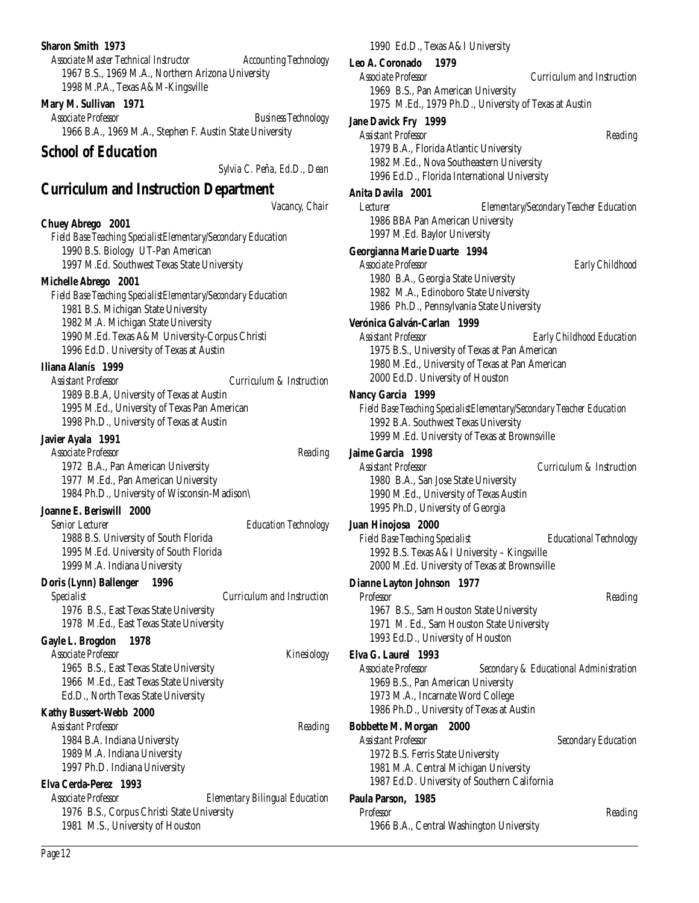#### **Sharon Smith 1973**

*Associate Master Technical Instructor Accounting Technology* 1967 B.S., 1969 M.A., Northern Arizona University 1998 M.P.A., Texas A&M-Kingsville

#### **Mary M. Sullivan 1971**

*Associate Professor Business Technology* 1966 B.A., 1969 M.A., Stephen F. Austin State University

#### *School of Education*

*Sylvia C. Peña, Ed.D., Dean*

### **Curriculum and Instruction Department**

*Vacancy, Chair*

**Chuey Abrego 2001** *Field Base Teaching SpecialistElementary/Secondary Education* 1990 B.S. Biology UT-Pan American 1997 M.Ed. Southwest Texas State University

#### **Michelle Abrego 2001**

*Field Base Teaching SpecialistElementary/Secondary Education* 1981 B.S. Michigan State University 1982 M.A. Michigan State University 1990 M.Ed. Texas A&M University-Corpus Christi 1996 Ed.D. University of Texas at Austin

#### **Iliana Alanís 1999**

*Assistant Professor Curriculum & Instruction* 1989 B.B.A, University of Texas at Austin 1995 M.Ed., University of Texas Pan American 1998 Ph.D., University of Texas at Austin

#### **Javier Ayala 1991**

| <b>Associate Professor</b>                   | Reading |
|----------------------------------------------|---------|
| 1972 B.A., Pan American University           |         |
| 1977 M.Ed., Pan American University          |         |
| 1984 Ph.D., University of Wisconsin-Madison\ |         |
|                                              |         |

#### **Joanne E. Beriswill 2000**

*Senior Lecturer Education Technology* 1988 B.S. University of South Florida 1995 M.Ed. University of South Florida 1999 M.A. Indiana University

#### **Doris (Lynn) Ballenger 1996**

*Specialist Curriculum and Instruction* 1976 B.S., East Texas State University 1978 M.Ed., East Texas State University

#### **Gayle L. Brogdon 1978**

*Associate Professor Kinesiology* 1965 B.S., East Texas State University 1966 M.Ed., East Texas State University Ed.D., North Texas State University

#### **Kathy Bussert-Webb 2000**

*Assistant Professor Reading* 1984 B.A. Indiana University 1989 M.A. Indiana University 1997 Ph.D. Indiana University

#### **Elva Cerda-Perez 1993**

*Associate Professor Elementary Bilingual Education* 1976 B.S., Corpus Christi State University 1981 M.S., University of Houston

1990 Ed.D., Texas A&I University

#### **Leo A. Coronado 1979**

*Associate Professor Curriculum and Instruction*

1969 B.S., Pan American University 1975 M.Ed., 1979 Ph.D., University of Texas at Austin

#### **Jane Davick Fry 1999**

*Assistant Professor Reading*

1979 B.A., Florida Atlantic University 1982 M.Ed., Nova Southeastern University 1996 Ed.D., Florida International University

#### **Anita Davila 2001**

*Lecturer Elementary/Secondary Teacher Education* 1986 BBA Pan American University 1997 M.Ed. Baylor University

#### **Georgianna Marie Duarte 1994**

*Associate Professor Early Childhood* 1980 B.A., Georgia State University 1982 M.A., Edinoboro State University 1986 Ph.D., Pennsylvania State University

#### **Verónica Galván-Carlan 1999**

*Assistant Professor Early Childhood Education* 1975 B.S., University of Texas at Pan American 1980 M.Ed., University of Texas at Pan American 2000 Ed.D. University of Houston

#### **Nancy Garcia 1999**

*Field Base Teaching SpecialistElementary/Secondary Teacher Education* 1992 B.A. Southwest Texas University 1999 M.Ed. University of Texas at Brownsville

### **Jaime Garcia 1998**

*Assistant Professor Curriculum & Instruction* 1980 B.A., San Jose State University 1990 M.Ed., University of Texas Austin 1995 Ph.D, University of Georgia

#### **Juan Hinojosa 2000**

*Field Base Teaching Specialist Educational Technology* 1992 B.S. Texas A&I University – Kingsville 2000 M.Ed. University of Texas at Brownsville

#### **Dianne Layton Johnson 1977**

*Professor Reading* 1967 B.S., Sam Houston State University 1971 M. Ed., Sam Houston State University 1993 Ed.D., University of Houston

#### **Elva G. Laurel 1993**

*Associate Professor Secondary & Educational Administration* 1969 B.S., Pan American University 1973 M.A., Incarnate Word College 1986 Ph.D., University of Texas at Austin

#### **Bobbette M. Morgan 2000**

*Assistant Professor Secondary Education* 1972 B.S. Ferris State University 1981 M.A. Central Michigan University 1987 Ed.D. University of Southern California

#### **Paula Parson, 1985**

*Professor Reading* 1966 B.A., Central Washington University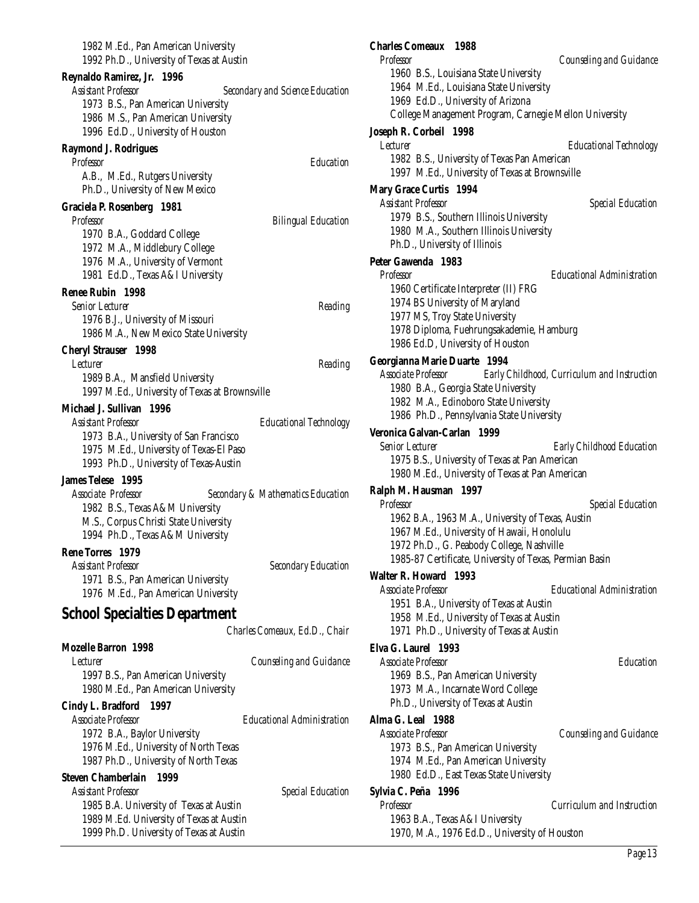| 1982 M.Ed., Pan American University<br>1992 Ph.D., University of Texas at Austin |                                        |
|----------------------------------------------------------------------------------|----------------------------------------|
| Reynaldo Ramirez, Jr.<br>1996                                                    |                                        |
| <b>Assistant Professor</b>                                                       | <b>Secondary and Science Education</b> |
| 1973 B.S., Pan American University                                               |                                        |
| 1986 M.S., Pan American University                                               |                                        |
| 1996 Ed.D., University of Houston                                                |                                        |
| <b>Raymond J. Rodrigues</b>                                                      |                                        |
| Professor                                                                        | Education                              |
| A.B., M.Ed., Rutgers University                                                  |                                        |
| Ph.D., University of New Mexico                                                  |                                        |
| Graciela P. Rosenberg 1981                                                       |                                        |
| <b>Professor</b>                                                                 | <b>Bilingual Education</b>             |
| 1970 B.A., Goddard College                                                       |                                        |
| 1972 M.A., Middlebury College                                                    |                                        |
| 1976 M.A., University of Vermont                                                 |                                        |
| 1981 Ed.D., Texas A&I University                                                 |                                        |
| Renee Rubin 1998                                                                 |                                        |
| <b>Senior Lecturer</b>                                                           | Reading                                |
| 1976 B.J., University of Missouri                                                |                                        |
| 1986 M.A., New Mexico State University                                           |                                        |
| <b>Cheryl Strauser</b> 1998                                                      |                                        |
| <i>Lecturer</i>                                                                  | Reading                                |
| 1989 B.A., Mansfield University                                                  |                                        |
| 1997 M.Ed., University of Texas at Brownsville                                   |                                        |
| Michael J. Sullivan 1996                                                         |                                        |
| Assistant Professor                                                              | <b>Educational Technology</b>          |
| 1973 B.A., University of San Francisco                                           |                                        |
| 1975 M.Ed., University of Texas-El Paso                                          |                                        |
| 1993 Ph.D., University of Texas-Austin                                           |                                        |
| <b>James Telese</b> 1995                                                         |                                        |
| Associate Professor                                                              | Secondary & Mathematics Education      |
| 1982 B.S., Texas A&M University                                                  |                                        |
| M.S., Corpus Christi State University                                            |                                        |
| 1994 Ph.D., Texas A&M University                                                 |                                        |
| Rene Torres 1979                                                                 |                                        |
| <b>Assistant Professor</b>                                                       | <b>Secondary Education</b>             |
| 1971 B.S., Pan American University                                               |                                        |
| 1976 M.Ed., Pan American University                                              |                                        |
| <b>School Specialties Department</b>                                             |                                        |
|                                                                                  |                                        |
|                                                                                  | Charles Comeaux, Ed.D., Chair          |
| <b>Mozelle Barron 1998</b>                                                       |                                        |
| <i>Lecturer</i>                                                                  | Counseling and Guidance                |
| 1997 B.S., Pan American University                                               |                                        |
| 1980 M.Ed., Pan American University                                              |                                        |
| Cindy L. Bradford<br>1997                                                        |                                        |
| Associate Professor                                                              | Educational Administration             |
| 1972 B.A., Baylor University                                                     |                                        |
| 1976 M.Ed., University of North Texas                                            |                                        |
| 1987 Ph.D., University of North Texas                                            |                                        |
| <b>Steven Chamberlain</b><br>1999                                                |                                        |
| <b>Assistant Professor</b>                                                       | <b>Special Education</b>               |
| 1985 B.A. University of Texas at Austin                                          |                                        |
| 1989 M.Ed. University of Texas at Austin                                         |                                        |
| 1999 Ph.D. University of Texas at Austin                                         |                                        |

#### **Charles Comeaux 1988** *Professor Counseling and Guidance* 1960 B.S., Louisiana State University

1964 M.Ed., Louisiana State University 1969 Ed.D., University of Arizona College Management Program, Carnegie Mellon University

### **Joseph R. Corbeil 1998**

*Lecturer Educational Technology* 1982 B.S., University of Texas Pan American 1997 M.Ed., University of Texas at Brownsville

#### **Mary Grace Curtis 1994**

*Assistant Professor Special Education* 1979 B.S., Southern Illinois University 1980 M.A., Southern Illinois University Ph.D., University of Illinois

#### **Peter Gawenda 1983**

*Professor Educational Administration* 1960 Certificate Interpreter (II) FRG 1974 BS University of Maryland 1977 MS, Troy State University 1978 Diploma, Fuehrungsakademie, Hamburg 1986 Ed.D, University of Houston

#### **Georgianna Marie Duarte 1994**

*Associate Professor Early Childhood, Curriculum and Instruction* 1980 B.A., Georgia State University 1982 M.A., Edinoboro State University 1986 Ph.D., Pennsylvania State University

#### **Veronica Galvan-Carlan 1999**

*Senior Lecturer Early Childhood Education* 1975 B.S., University of Texas at Pan American 1980 M.Ed., University of Texas at Pan American

#### **Ralph M. Hausman 1997**

*Professor Special Education* 1962 B.A., 1963 M.A., University of Texas, Austin 1967 M.Ed., University of Hawaii, Honolulu 1972 Ph.D., G. Peabody College, Nashville 1985-87 Certificate, University of Texas, Permian Basin

#### **Walter R. Howard 1993**

*Associate Professor Educational Administration* 1951 B.A., University of Texas at Austin 1958 M.Ed., University of Texas at Austin 1971 Ph.D., University of Texas at Austin

#### **Elva G. Laurel 1993**

*Associate Professor Education* 1969 B.S., Pan American University 1973 M.A., Incarnate Word College Ph.D., University of Texas at Austin

#### **Alma G. Leal 1988**

*Associate Professor Counseling and Guidance* 1973 B.S., Pan American University 1974 M.Ed., Pan American University 1980 Ed.D., East Texas State University

#### **Sylvia C. Peña 1996**

*Professor Curriculum and Instruction* 1963 B.A., Texas A&I University 1970, M.A., 1976 Ed.D., University of Houston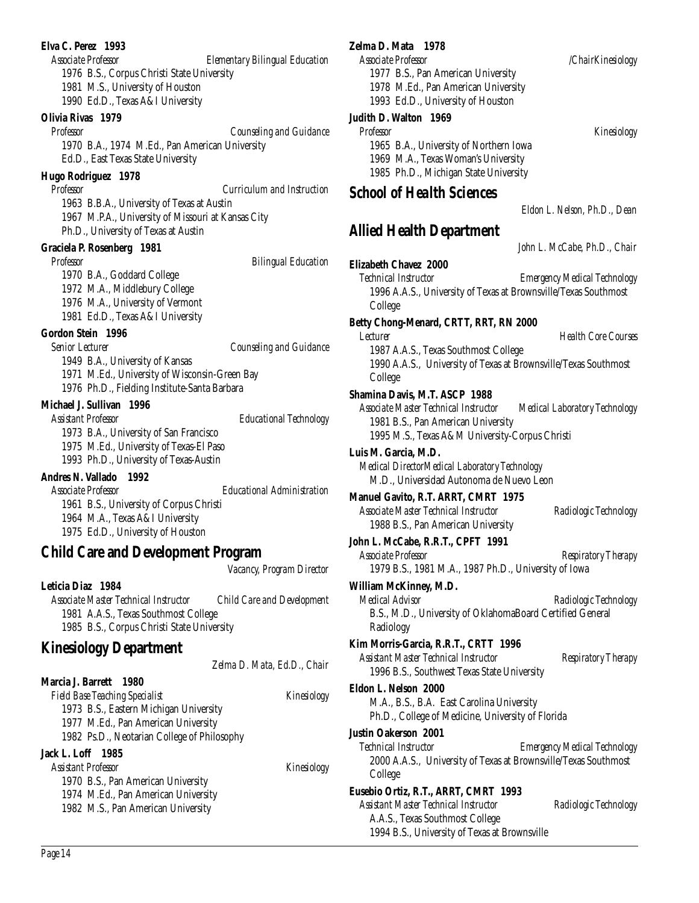#### **Elva C. Perez 1993**

*Associate Professor Elementary Bilingual Education* 1976 B.S., Corpus Christi State University 1981 M.S., University of Houston 1990 Ed.D., Texas A&I University

#### **Olivia Rivas 1979**

*Professor Counseling and Guidance* 1970 B.A., 1974 M.Ed., Pan American University Ed.D., East Texas State University

#### **Hugo Rodriguez 1978**

*Professor Curriculum and Instruction* 1963 B.B.A., University of Texas at Austin 1967 M.P.A., University of Missouri at Kansas City Ph.D., University of Texas at Austin

#### **Graciela P. Rosenberg 1981**

*Professor Bilingual Education*

1970 B.A., Goddard College 1972 M.A., Middlebury College

1976 M.A., University of Vermont

1981 Ed.D., Texas A&I University

#### **Gordon Stein 1996**

*Senior Lecturer Counseling and Guidance* 1949 B.A., University of Kansas 1971 M.Ed., University of Wisconsin-Green Bay 1976 Ph.D., Fielding Institute-Santa Barbara

#### **Michael J. Sullivan 1996**

*Assistant Professor Educational Technology* 1973 B.A., University of San Francisco 1975 M.Ed., University of Texas-El Paso 1993 Ph.D., University of Texas-Austin

#### **Andres N. Vallado 1992**

*Associate Professor Educational Administration* 1961 B.S., University of Corpus Christi 1964 M.A., Texas A&I University 1975 Ed.D., University of Houston

## **Child Care and Development Program**

*Vacancy, Program Director*

#### **Leticia Diaz 1984**

*Associate Master Technical Instructor Child Care and Development* 1981 A.A.S., Texas Southmost College 1985 B.S., Corpus Christi State University

## **Kinesiology Department**

*Zelma D. Mata, Ed.D., Chair*

#### **Marcia J. Barrett 1980**

*Field Base Teaching Specialist Kinesiology* 1973 B.S., Eastern Michigan University 1977 M.Ed., Pan American University 1982 Ps.D., Neotarian College of Philosophy **Jack L. Loff 1985**

*Assistant Professor Kinesiology* 1970 B.S., Pan American University 1974 M.Ed., Pan American University 1982 M.S., Pan American University

#### **Zelma D. Mata 1978**

*Associate Professor /ChairKinesiology* 1977 B.S., Pan American University 1978 M.Ed., Pan American University 1993 Ed.D., University of Houston

#### **Judith D. Walton 1969**

*Professor Kinesiology* 1965 B.A., University of Northern Iowa 1969 M.A., Texas Woman's University 1985 Ph.D., Michigan State University

## *School of Health Sciences*

### **Allied Health Department**

*John L. McCabe, Ph.D., Chair*

*Eldon L. Nelson, Ph.D., Dean*

#### **Elizabeth Chavez 2000**

*Technical Instructor Emergency Medical Technology* 1996 A.A.S., University of Texas at Brownsville/Texas Southmost College

#### **Betty Chong-Menard, CRTT, RRT, RN 2000**

*Lecturer Health Core Courses* 1987 A.A.S., Texas Southmost College 1990 A.A.S., University of Texas at Brownsville/Texas Southmost College

#### **Shamina Davis, M.T. ASCP 1988**

*Associate Master Technical Instructor Medical Laboratory Technology* 1981 B.S., Pan American University 1995 M.S., Texas A&M University-Corpus Christi

**Luis M. Garcia, M.D.** *Medical DirectorMedical Laboratory Technology* M.D., Universidad Autonoma de Nuevo Leon

## **Manuel Gavito, R.T. ARRT, CMRT 1975** *Associate Master Technical Instructor Radiologic Technology*

1988 B.S., Pan American University **John L. McCabe, R.R.T., CPFT 1991**

*Associate Professor Respiratory Therapy* 1979 B.S., 1981 M.A., 1987 Ph.D., University of Iowa

#### **William McKinney, M.D.**

*Medical Advisor Radiologic Technology* B.S., M.D., University of OklahomaBoard Certified General Radiology

**Kim Morris-Garcia, R.R.T., CRTT 1996** *Assistant Master Technical Instructor Respiratory Therapy*

1996 B.S., Southwest Texas State University **Eldon L. Nelson 2000** M.A., B.S., B.A. East Carolina University

Ph.D., College of Medicine, University of Florida

#### **Justin Oakerson 2001**

*Technical Instructor Emergency Medical Technology* 2000 A.A.S., University of Texas at Brownsville/Texas Southmost College

## **Eusebio Ortiz, R.T., ARRT, CMRT 1993**

*Assistant Master Technical Instructor Radiologic Technology* A.A.S., Texas Southmost College 1994 B.S., University of Texas at Brownsville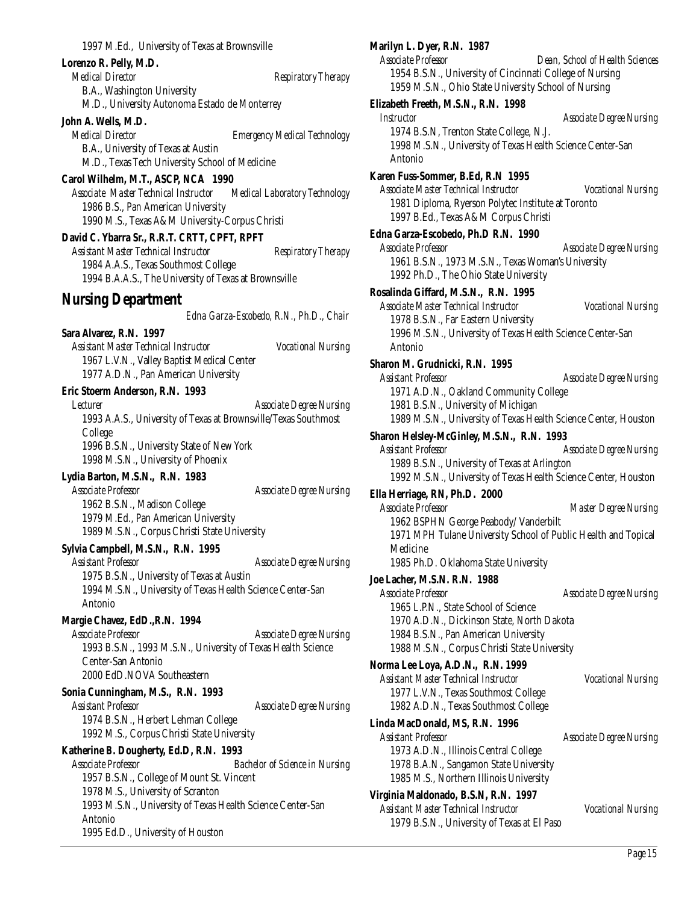#### **Lorenzo R. Pelly, M.D.**

*Medical Director* and *Respiratory Therapy* B.A., Washington University M.D., University Autonoma Estado de Monterrey

#### **John A. Wells, M.D.**

*Medical Director Emergency Medical Technology* B.A., University of Texas at Austin M.D., Texas Tech University School of Medicine

#### **Carol Wilhelm, M.T., ASCP, NCA 1990**

*Associate Master Technical Instructor Medical Laboratory Technology* 1986 B.S., Pan American University 1990 M.S., Texas A&M University-Corpus Christi

#### **David C. Ybarra Sr., R.R.T. CRTT, CPFT, RPFT**

*Assistant Master Technical Instructor Respiratory Therapy* 1984 A.A.S., Texas Southmost College 1994 B.A.A.S., The University of Texas at Brownsville

#### **Nursing Department**

*Edna Garza-Escobedo, R.N., Ph.D., Chair*

**Sara Alvarez, R.N. 1997** *Assistant Master Technical Instructor Vocational Nursing* 1967 L.V.N., Valley Baptist Medical Center 1977 A.D.N., Pan American University

#### **Eric Stoerm Anderson, R.N. 1993**

*Lecturer Associate Degree Nursing* 1993 A.A.S., University of Texas at Brownsville/Texas Southmost College 1996 B.S.N., University State of New York 1998 M.S.N., University of Phoenix

#### **Lydia Barton, M.S.N., R.N. 1983**

*Associate Professor Associate Degree Nursing* 1962 B.S.N., Madison College 1979 M.Ed., Pan American University 1989 M.S.N., Corpus Christi State University

#### **Sylvia Campbell, M.S.N., R.N. 1995**

*Assistant Professor Associate Degree Nursing* 1975 B.S.N., University of Texas at Austin 1994 M.S.N., University of Texas Health Science Center-San Antonio

#### **Margie Chavez, EdD.,R.N. 1994**

*Associate Professor Associate Degree Nursing* 1993 B.S.N., 1993 M.S.N., University of Texas Health Science Center-San Antonio 2000 EdD.NOVA Southeastern

#### **Sonia Cunningham, M.S., R.N. 1993**

*Assistant Professor Associate Degree Nursing* 1974 B.S.N., Herbert Lehman College 1992 M.S., Corpus Christi State University

#### **Katherine B. Dougherty, Ed.D, R.N. 1993**

*Associate Professor Bachelor of Science in Nursing* 1957 B.S.N., College of Mount St. Vincent 1978 M.S., University of Scranton 1993 M.S.N., University of Texas Health Science Center-San Antonio 1995 Ed.D., University of Houston

#### **Marilyn L. Dyer, R.N. 1987**

*Associate Professor Dean, School of Health Sciences* 1954 B.S.N., University of Cincinnati College of Nursing 1959 M.S.N., Ohio State University School of Nursing

#### **Elizabeth Freeth, M.S.N., R.N. 1998**

*Instructor Associate Degree Nursing* 1974 B.S.N, Trenton State College, N.J. 1998 M.S.N., University of Texas Health Science Center-San Antonio **Karen Fuss-Sommer, B.Ed, R.N 1995** *Associate Master Technical Instructor Vocational Nursing* 1981 Diploma, Ryerson Polytec Institute at Toronto 1997 B.Ed., Texas A&M Corpus Christi **Edna Garza-Escobedo, Ph.D R.N. 1990** *Associate Professor Associate Degree Nursing* 1961 B.S.N., 1973 M.S.N., Texas Woman's University 1992 Ph.D., The Ohio State University **Rosalinda Giffard, M.S.N., R.N. 1995** *Associate Master Technical Instructor Vocational Nursing* 1978 B.S.N., Far Eastern University 1996 M.S.N., University of Texas Health Science Center-San Antonio

#### **Sharon M. Grudnicki, R.N. 1995**

*Assistant Professor Associate Degree Nursing* 1971 A.D.N., Oakland Community College 1981 B.S.N., University of Michigan 1989 M.S.N., University of Texas Health Science Center, Houston

#### **Sharon Helsley-McGinley, M.S.N., R.N. 1993**

*Assistant Professor Associate Degree Nursing* 1989 B.S.N., University of Texas at Arlington 1992 M.S.N., University of Texas Health Science Center, Houston

#### **Ella Herriage, RN, Ph.D. 2000**

*Associate Professor Master Degree Nursing* 1962 BSPHN George Peabody/ Vanderbilt 1971 MPH Tulane University School of Public Health and Topical Medicine 1985 Ph.D. Oklahoma State University

#### **Joe Lacher, M.S.N. R.N. 1988**

*Associate Professor Associate Degree Nursing* 1965 L.P.N., State School of Science 1970 A.D.N., Dickinson State, North Dakota 1984 B.S.N., Pan American University 1988 M.S.N., Corpus Christi State University

#### **Norma Lee Loya, A.D.N., R.N. 1999**

*Assistant Master Technical Instructor Vocational Nursing* 1977 L.V.N., Texas Southmost College 1982 A.D.N., Texas Southmost College

#### **Linda MacDonald, MS, R.N. 1996**

*Assistant Professor Associate Degree Nursing* 1973 A.D.N., Illinois Central College 1978 B.A.N., Sangamon State University 1985 M.S., Northern Illinois University

#### **Virginia Maldonado, B.S.N, R.N. 1997**

*Assistant Master Technical Instructor Vocational Nursing* 1979 B.S.N., University of Texas at El Paso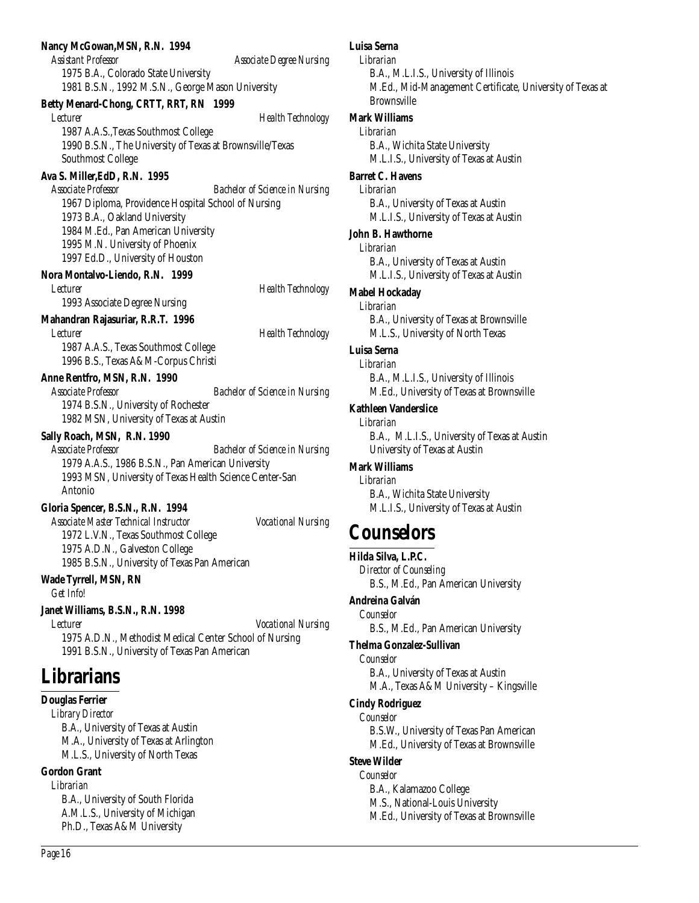#### **Nancy McGowan,MSN, R.N. 1994**

*Assistant Professor Associate Degree Nursing* 1975 B.A., Colorado State University 1981 B.S.N., 1992 M.S.N., George Mason University

#### **Betty Menard-Chong, CRTT, RRT, RN 1999**

*Lecturer Health Technology* 1987 A.A.S.,Texas Southmost College 1990 B.S.N., The University of Texas at Brownsville/Texas Southmost College

#### **Ava S. Miller,EdD, R.N. 1995**

*Associate Professor Bachelor of Science in Nursing* 1967 Diploma, Providence Hospital School of Nursing 1973 B.A., Oakland University 1984 M.Ed., Pan American University 1995 M.N. University of Phoenix 1997 Ed.D., University of Houston

#### **Nora Montalvo-Liendo, R.N. 1999**

*Lecturer Health Technology* 1993 Associate Degree Nursing

#### **Mahandran Rajasuriar, R.R.T. 1996**

*Lecturer Health Technology* 1987 A.A.S., Texas Southmost College 1996 B.S., Texas A&M-Corpus Christi

#### **Anne Rentfro, MSN, R.N. 1990**

*Associate Professor Bachelor of Science in Nursing* 1974 B.S.N., University of Rochester 1982 MSN, University of Texas at Austin

#### **Sally Roach, MSN, R.N. 1990**

*Associate Professor Bachelor of Science in Nursing* 1979 A.A.S., 1986 B.S.N., Pan American University 1993 MSN, University of Texas Health Science Center-San Antonio

#### **Gloria Spencer, B.S.N., R.N. 1994**

*Associate Master Technical Instructor Vocational Nursing* 1972 L.V.N., Texas Southmost College 1975 A.D.N., Galveston College 1985 B.S.N., University of Texas Pan American

#### **Wade Tyrrell, MSN, RN**

*Get Info!*

#### **Janet Williams, B.S.N., R.N. 1998**

*Lecturer Vocational Nursing* 1975 A.D.N., Methodist Medical Center School of Nursing 1991 B.S.N., University of Texas Pan American

## **Librarians**

#### **Douglas Ferrier**

*Library Director* B.A., University of Texas at Austin M.A., University of Texas at Arlington M.L.S., University of North Texas

### **Gordon Grant**

*Librarian* B.A., University of South Florida A.M.L.S., University of Michigan Ph.D., Texas A&M University

## **Luisa Serna**

*Librarian* B.A., M.L.I.S., University of Illinois M.Ed., Mid-Management Certificate, University of Texas at Brownsville

#### **Mark Williams**

*Librarian* B.A., Wichita State University M.L.I.S., University of Texas at Austin

#### **Barret C. Havens**

*Librarian* B.A., University of Texas at Austin M.L.I.S., University of Texas at Austin

#### **John B. Hawthorne**

*Librarian* B.A., University of Texas at Austin M.L.I.S., University of Texas at Austin

#### **Mabel Hockaday**

*Librarian* B.A., University of Texas at Brownsville M.L.S., University of North Texas

**Luisa Serna**

## *Librarian*

B.A., M.L.I.S., University of Illinois M.Ed., University of Texas at Brownsville

#### **Kathleen Vanderslice**

*Librarian*

B.A., M.L.I.S., University of Texas at Austin University of Texas at Austin

#### **Mark Williams**

*Librarian* B.A., Wichita State University M.L.I.S., University of Texas at Austin

## **Counselors**

#### **Hilda Silva, L.P.C.**

*Director of Counseling* B.S., M.Ed., Pan American University

### **Andreina Galván**

*Counselor* B.S., M.Ed., Pan American University

#### **Thelma Gonzalez-Sullivan**

*Counselor* B.A., University of Texas at Austin M.A., Texas A&M University – Kingsville

#### **Cindy Rodriguez**

*Counselor* B.S.W., University of Texas Pan American M.Ed., University of Texas at Brownsville

#### **Steve Wilder**

*Counselor* B.A., Kalamazoo College M.S., National-Louis University M.Ed., University of Texas at Brownsville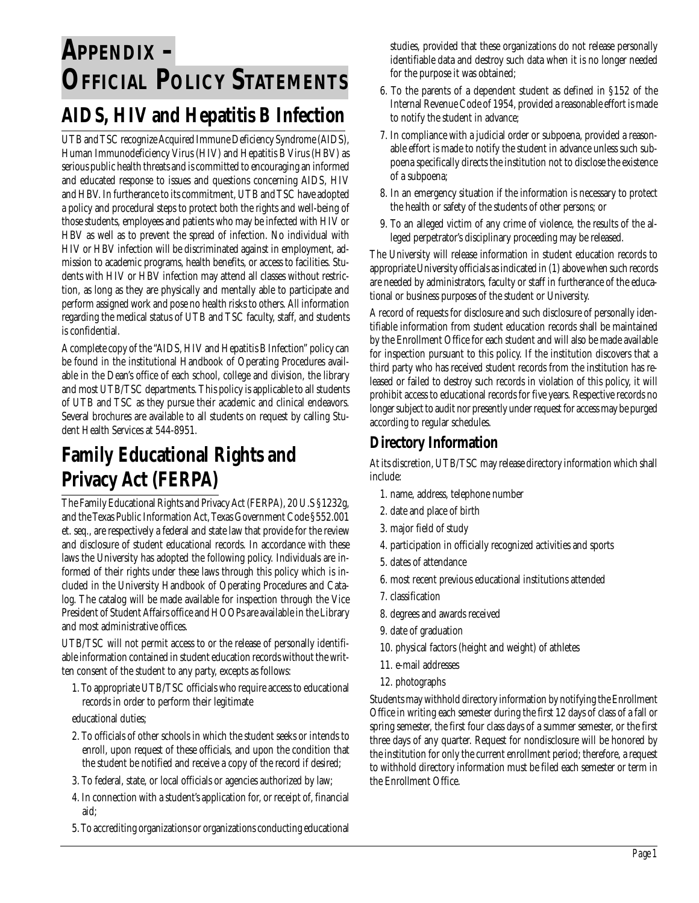# **APPENDIX – OFFICIAL POLICY STATEMENTS**

## **AIDS, HIV and Hepatitis B Infection**

UTB and TSC recognize Acquired Immune Deficiency Syndrome (AIDS), Human Immunodeficiency Virus (HIV) and Hepatitis B Virus (HBV) as serious public health threats and is committed to encouraging an informed and educated response to issues and questions concerning AIDS, HIV and HBV. In furtherance to its commitment, UTB and TSC have adopted a policy and procedural steps to protect both the rights and well-being of those students, employees and patients who may be infected with HIV or HBV as well as to prevent the spread of infection. No individual with HIV or HBV infection will be discriminated against in employment, admission to academic programs, health benefits, or access to facilities. Students with HIV or HBV infection may attend all classes without restriction, as long as they are physically and mentally able to participate and perform assigned work and pose no health risks to others. All information regarding the medical status of UTB and TSC faculty, staff, and students is confidential.

A complete copy of the "AIDS, HIV and Hepatitis B Infection" policy can be found in the institutional Handbook of Operating Procedures available in the Dean's office of each school, college and division, the library and most UTB/TSC departments. This policy is applicable to all students of UTB and TSC as they pursue their academic and clinical endeavors. Several brochures are available to all students on request by calling Student Health Services at 544-8951.

## **Family Educational Rights and Privacy Act (FERPA)**

The Family Educational Rights and Privacy Act (FERPA), 20 U.S §1232g, and the Texas Public Information Act, Texas Government Code §552.001 et. seq., are respectively a federal and state law that provide for the review and disclosure of student educational records. In accordance with these laws the University has adopted the following policy. Individuals are informed of their rights under these laws through this policy which is included in the University Handbook of Operating Procedures and Catalog. The catalog will be made available for inspection through the Vice President of Student Affairs office and HOOPs are available in the Library and most administrative offices.

UTB/TSC will not permit access to or the release of personally identifiable information contained in student education records without the written consent of the student to any party, excepts as follows:

1. To appropriate UTB/TSC officials who require access to educational records in order to perform their legitimate

educational duties;

- 2. To officials of other schools in which the student seeks or intends to enroll, upon request of these officials, and upon the condition that the student be notified and receive a copy of the record if desired;
- 3. To federal, state, or local officials or agencies authorized by law;
- 4. In connection with a student's application for, or receipt of, financial aid;
- 5. To accrediting organizations or organizations conducting educational

studies, provided that these organizations do not release personally identifiable data and destroy such data when it is no longer needed for the purpose it was obtained;

- 6. To the parents of a dependent student as defined in §152 of the Internal Revenue Code of 1954, provided a reasonable effort is made to notify the student in advance;
- 7. In compliance with a judicial order or subpoena, provided a reasonable effort is made to notify the student in advance unless such subpoena specifically directs the institution not to disclose the existence of a subpoena;
- 8. In an emergency situation if the information is necessary to protect the health or safety of the students of other persons; or
- 9. To an alleged victim of any crime of violence, the results of the alleged perpetrator's disciplinary proceeding may be released.

The University will release information in student education records to appropriate University officials as indicated in (1) above when such records are needed by administrators, faculty or staff in furtherance of the educational or business purposes of the student or University.

A record of requests for disclosure and such disclosure of personally identifiable information from student education records shall be maintained by the Enrollment Office for each student and will also be made available for inspection pursuant to this policy. If the institution discovers that a third party who has received student records from the institution has released or failed to destroy such records in violation of this policy, it will prohibit access to educational records for five years. Respective records no longer subject to audit nor presently under request for access may be purged according to regular schedules.

## **Directory Information**

At its discretion, UTB/TSC may release directory information which shall include:

- 1. name, address, telephone number
- 2. date and place of birth
- 3. major field of study
- 4. participation in officially recognized activities and sports
- 5. dates of attendance
- 6. most recent previous educational institutions attended
- 7. classification
- 8. degrees and awards received
- 9. date of graduation
- 10. physical factors (height and weight) of athletes
- 11. e-mail addresses
- 12. photographs

Students may withhold directory information by notifying the Enrollment Office in writing each semester during the first 12 days of class of a fall or spring semester, the first four class days of a summer semester, or the first three days of any quarter. Request for nondisclosure will be honored by the institution for only the current enrollment period; therefore, a request to withhold directory information must be filed each semester or term in the Enrollment Office.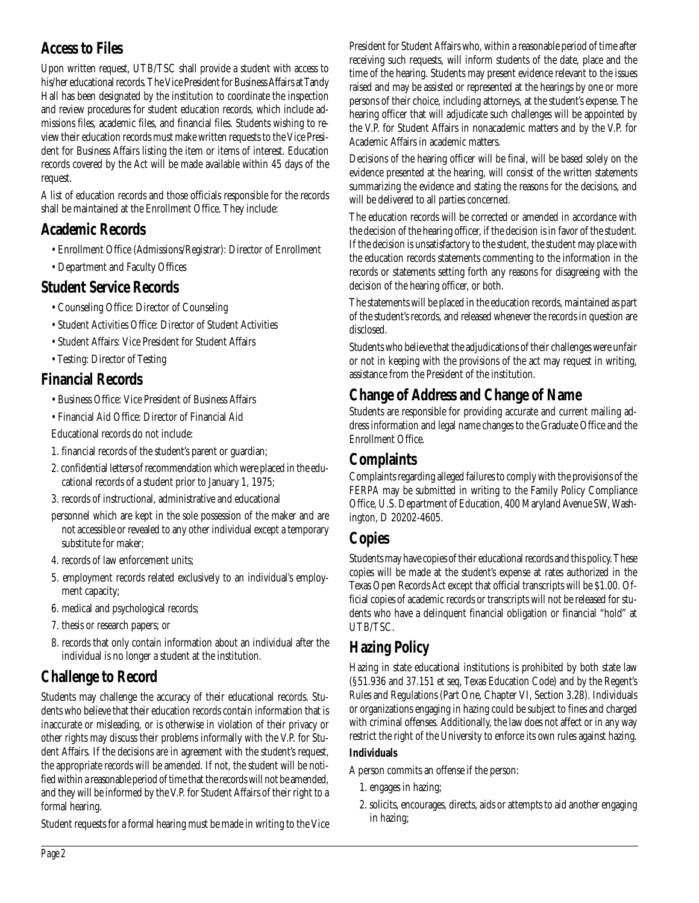## **Access to Files**

Upon written request, UTB/TSC shall provide a student with access to his/her educational records. The Vice President for Business Affairs at Tandy Hall has been designated by the institution to coordinate the inspection and review procedures for student education records, which include admissions files, academic files, and financial files. Students wishing to review their education records must make written requests to the Vice President for Business Affairs listing the item or items of interest. Education records covered by the Act will be made available within 45 days of the request.

A list of education records and those officials responsible for the records shall be maintained at the Enrollment Office. They include:

## **Academic Records**

- Enrollment Office (Admissions/Registrar): Director of Enrollment
- Department and Faculty Offices

## **Student Service Records**

- Counseling Office: Director of Counseling
- Student Activities Office: Director of Student Activities
- Student Affairs: Vice President for Student Affairs
- Testing: Director of Testing

## **Financial Records**

- Business Office: Vice President of Business Affairs
- Financial Aid Office: Director of Financial Aid

Educational records do not include:

- 1. financial records of the student's parent or guardian;
- 2. confidential letters of recommendation which were placed in the educational records of a student prior to January 1, 1975;
- 3. records of instructional, administrative and educational
- personnel which are kept in the sole possession of the maker and are not accessible or revealed to any other individual except a temporary substitute for maker;
- 4. records of law enforcement units;
- 5. employment records related exclusively to an individual's employment capacity;
- 6. medical and psychological records;
- 7. thesis or research papers; or
- 8. records that only contain information about an individual after the individual is no longer a student at the institution.

## **Challenge to Record**

Students may challenge the accuracy of their educational records. Students who believe that their education records contain information that is inaccurate or misleading, or is otherwise in violation of their privacy or other rights may discuss their problems informally with the V.P. for Student Affairs. If the decisions are in agreement with the student's request, the appropriate records will be amended. If not, the student will be notified within a reasonable period of time that the records will not be amended, and they will be informed by the V.P. for Student Affairs of their right to a formal hearing.

Student requests for a formal hearing must be made in writing to the Vice

President for Student Affairs who, within a reasonable period of time after receiving such requests, will inform students of the date, place and the time of the hearing. Students may present evidence relevant to the issues raised and may be assisted or represented at the hearings by one or more persons of their choice, including attorneys, at the student's expense. The hearing officer that will adjudicate such challenges will be appointed by the V.P. for Student Affairs in nonacademic matters and by the V.P. for Academic Affairs in academic matters.

Decisions of the hearing officer will be final, will be based solely on the evidence presented at the hearing, will consist of the written statements summarizing the evidence and stating the reasons for the decisions, and will be delivered to all parties concerned.

The education records will be corrected or amended in accordance with the decision of the hearing officer, if the decision is in favor of the student. If the decision is unsatisfactory to the student, the student may place with the education records statements commenting to the information in the records or statements setting forth any reasons for disagreeing with the decision of the hearing officer, or both.

The statements will be placed in the education records, maintained as part of the student's records, and released whenever the records in question are disclosed.

Students who believe that the adjudications of their challenges were unfair or not in keeping with the provisions of the act may request in writing, assistance from the President of the institution.

## **Change of Address and Change of Name**

Students are responsible for providing accurate and current mailing address information and legal name changes to the Graduate Office and the Enrollment Office.

## **Complaints**

Complaints regarding alleged failures to comply with the provisions of the FERPA may be submitted in writing to the Family Policy Compliance Office, U.S. Department of Education, 400 Maryland Avenue SW, Washington, D 20202-4605.

## **Copies**

Students may have copies of their educational records and this policy. These copies will be made at the student's expense at rates authorized in the Texas Open Records Act except that official transcripts will be \$1.00. Official copies of academic records or transcripts will not be released for students who have a delinquent financial obligation or financial "hold" at UTB/TSC.

## **Hazing Policy**

Hazing in state educational institutions is prohibited by both state law (§51.936 and 37.151 et seq, Texas Education Code) and by the Regent's Rules and Regulations (Part One, Chapter VI, Section 3.28). Individuals or organizations engaging in hazing could be subject to fines and charged with criminal offenses. Additionally, the law does not affect or in any way restrict the right of the University to enforce its own rules against hazing.

#### **Individuals**

A person commits an offense if the person:

- 1. engages in hazing;
- 2. solicits, encourages, directs, aids or attempts to aid another engaging in hazing;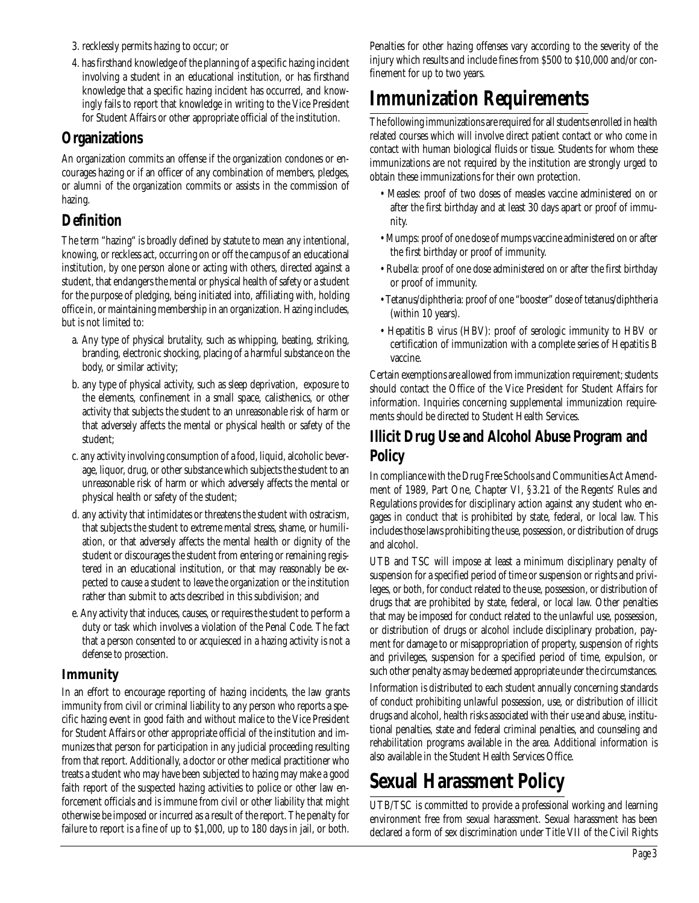- 3. recklessly permits hazing to occur; or
- 4. has firsthand knowledge of the planning of a specific hazing incident involving a student in an educational institution, or has firsthand knowledge that a specific hazing incident has occurred, and knowingly fails to report that knowledge in writing to the Vice President for Student Affairs or other appropriate official of the institution.

## **Organizations**

An organization commits an offense if the organization condones or encourages hazing or if an officer of any combination of members, pledges, or alumni of the organization commits or assists in the commission of hazing.

## **Definition**

The term "hazing" is broadly defined by statute to mean any intentional, knowing, or reckless act, occurring on or off the campus of an educational institution, by one person alone or acting with others, directed against a student, that endangers the mental or physical health of safety or a student for the purpose of pledging, being initiated into, affiliating with, holding office in, or maintaining membership in an organization. Hazing includes, but is not limited to:

- a. Any type of physical brutality, such as whipping, beating, striking, branding, electronic shocking, placing of a harmful substance on the body, or similar activity;
- b. any type of physical activity, such as sleep deprivation, exposure to the elements, confinement in a small space, calisthenics, or other activity that subjects the student to an unreasonable risk of harm or that adversely affects the mental or physical health or safety of the student;
- c. any activity involving consumption of a food, liquid, alcoholic beverage, liquor, drug, or other substance which subjects the student to an unreasonable risk of harm or which adversely affects the mental or physical health or safety of the student;
- d. any activity that intimidates or threatens the student with ostracism, that subjects the student to extreme mental stress, shame, or humiliation, or that adversely affects the mental health or dignity of the student or discourages the student from entering or remaining registered in an educational institution, or that may reasonably be expected to cause a student to leave the organization or the institution rather than submit to acts described in this subdivision; and
- e. Any activity that induces, causes, or requires the student to perform a duty or task which involves a violation of the Penal Code. The fact that a person consented to or acquiesced in a hazing activity is not a defense to prosection.

### **Immunity**

In an effort to encourage reporting of hazing incidents, the law grants immunity from civil or criminal liability to any person who reports a specific hazing event in good faith and without malice to the Vice President for Student Affairs or other appropriate official of the institution and immunizes that person for participation in any judicial proceeding resulting from that report. Additionally, a doctor or other medical practitioner who treats a student who may have been subjected to hazing may make a good faith report of the suspected hazing activities to police or other law enforcement officials and is immune from civil or other liability that might otherwise be imposed or incurred as a result of the report. The penalty for failure to report is a fine of up to \$1,000, up to 180 days in jail, or both.

Penalties for other hazing offenses vary according to the severity of the injury which results and include fines from \$500 to \$10,000 and/or confinement for up to two years.

## **Immunization Requirements**

The following immunizations are required for all students enrolled in health related courses which will involve direct patient contact or who come in contact with human biological fluids or tissue. Students for whom these immunizations are not required by the institution are strongly urged to obtain these immunizations for their own protection.

- Measles: proof of two doses of measles vaccine administered on or after the first birthday and at least 30 days apart or proof of immunity.
- Mumps: proof of one dose of mumps vaccine administered on or after the first birthday or proof of immunity.
- Rubella: proof of one dose administered on or after the first birthday or proof of immunity.
- Tetanus/diphtheria: proof of one "booster" dose of tetanus/diphtheria (within 10 years).
- Hepatitis B virus (HBV): proof of serologic immunity to HBV or certification of immunization with a complete series of Hepatitis B vaccine.

Certain exemptions are allowed from immunization requirement; students should contact the Office of the Vice President for Student Affairs for information. Inquiries concerning supplemental immunization requirements should be directed to Student Health Services.

## **Illicit Drug Use and Alcohol Abuse Program and Policy**

In compliance with the Drug Free Schools and Communities Act Amendment of 1989, Part One, Chapter VI, §3.21 of the Regents' Rules and Regulations provides for disciplinary action against any student who engages in conduct that is prohibited by state, federal, or local law. This includes those laws prohibiting the use, possession, or distribution of drugs and alcohol.

UTB and TSC will impose at least a minimum disciplinary penalty of suspension for a specified period of time or suspension or rights and privileges, or both, for conduct related to the use, possession, or distribution of drugs that are prohibited by state, federal, or local law. Other penalties that may be imposed for conduct related to the unlawful use, possession, or distribution of drugs or alcohol include disciplinary probation, payment for damage to or misappropriation of property, suspension of rights and privileges, suspension for a specified period of time, expulsion, or such other penalty as may be deemed appropriate under the circumstances.

Information is distributed to each student annually concerning standards of conduct prohibiting unlawful possession, use, or distribution of illicit drugs and alcohol, health risks associated with their use and abuse, institutional penalties, state and federal criminal penalties, and counseling and rehabilitation programs available in the area. Additional information is also available in the Student Health Services Office.

## **Sexual Harassment Policy**

UTB/TSC is committed to provide a professional working and learning environment free from sexual harassment. Sexual harassment has been declared a form of sex discrimination under Title VII of the Civil Rights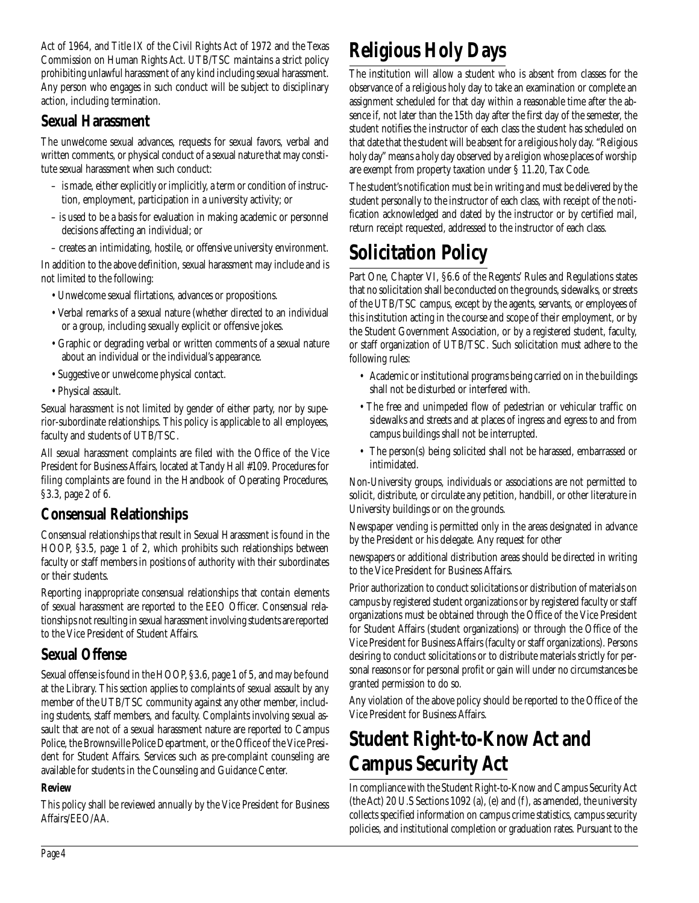Act of 1964, and Title IX of the Civil Rights Act of 1972 and the Texas Commission on Human Rights Act. UTB/TSC maintains a strict policy prohibiting unlawful harassment of any kind including sexual harassment. Any person who engages in such conduct will be subject to disciplinary action, including termination.

## **Sexual Harassment**

The unwelcome sexual advances, requests for sexual favors, verbal and written comments, or physical conduct of a sexual nature that may constitute sexual harassment when such conduct:

- is made, either explicitly or implicitly, a term or condition of instruction, employment, participation in a university activity; or
- is used to be a basis for evaluation in making academic or personnel decisions affecting an individual; or

– creates an intimidating, hostile, or offensive university environment.

In addition to the above definition, sexual harassment may include and is not limited to the following:

- Unwelcome sexual flirtations, advances or propositions.
- Verbal remarks of a sexual nature (whether directed to an individual or a group, including sexually explicit or offensive jokes.
- Graphic or degrading verbal or written comments of a sexual nature about an individual or the individual's appearance.
- Suggestive or unwelcome physical contact.
- Physical assault.

Sexual harassment is not limited by gender of either party, nor by superior-subordinate relationships. This policy is applicable to all employees, faculty and students of UTB/TSC.

All sexual harassment complaints are filed with the Office of the Vice President for Business Affairs, located at Tandy Hall #109. Procedures for filing complaints are found in the Handbook of Operating Procedures, §3.3, page 2 of 6.

## **Consensual Relationships**

Consensual relationships that result in Sexual Harassment is found in the HOOP, §3.5, page 1 of 2, which prohibits such relationships between faculty or staff members in positions of authority with their subordinates or their students.

Reporting inappropriate consensual relationships that contain elements of sexual harassment are reported to the EEO Officer. Consensual relationships not resulting in sexual harassment involving students are reported to the Vice President of Student Affairs.

## **Sexual Offense**

Sexual offense is found in the HOOP, §3.6, page 1 of 5, and may be found at the Library. This section applies to complaints of sexual assault by any member of the UTB/TSC community against any other member, including students, staff members, and faculty. Complaints involving sexual assault that are not of a sexual harassment nature are reported to Campus Police, the Brownsville Police Department, or the Office of the Vice President for Student Affairs. Services such as pre-complaint counseling are available for students in the Counseling and Guidance Center.

## **Review**

This policy shall be reviewed annually by the Vice President for Business Affairs/EEO/AA.

# **Religious Holy Days**

The institution will allow a student who is absent from classes for the observance of a religious holy day to take an examination or complete an assignment scheduled for that day within a reasonable time after the absence if, not later than the 15th day after the first day of the semester, the student notifies the instructor of each class the student has scheduled on that date that the student will be absent for a religious holy day. "Religious holy day" means a holy day observed by a religion whose places of worship are exempt from property taxation under § 11.20, Tax Code.

The student's notification must be in writing and must be delivered by the student personally to the instructor of each class, with receipt of the notification acknowledged and dated by the instructor or by certified mail, return receipt requested, addressed to the instructor of each class.

## **Solicitation Policy**

Part One, Chapter VI, §6.6 of the Regents' Rules and Regulations states that no solicitation shall be conducted on the grounds, sidewalks, or streets of the UTB/TSC campus, except by the agents, servants, or employees of this institution acting in the course and scope of their employment, or by the Student Government Association, or by a registered student, faculty, or staff organization of UTB/TSC. Such solicitation must adhere to the following rules:

- Academic or institutional programs being carried on in the buildings shall not be disturbed or interfered with.
- The free and unimpeded flow of pedestrian or vehicular traffic on sidewalks and streets and at places of ingress and egress to and from campus buildings shall not be interrupted.
- The person(s) being solicited shall not be harassed, embarrassed or intimidated.

Non-University groups, individuals or associations are not permitted to solicit, distribute, or circulate any petition, handbill, or other literature in University buildings or on the grounds.

Newspaper vending is permitted only in the areas designated in advance by the President or his delegate. Any request for other

newspapers or additional distribution areas should be directed in writing to the Vice President for Business Affairs.

Prior authorization to conduct solicitations or distribution of materials on campus by registered student organizations or by registered faculty or staff organizations must be obtained through the Office of the Vice President for Student Affairs (student organizations) or through the Office of the Vice President for Business Affairs (faculty or staff organizations). Persons desiring to conduct solicitations or to distribute materials strictly for personal reasons or for personal profit or gain will under no circumstances be granted permission to do so.

Any violation of the above policy should be reported to the Office of the Vice President for Business Affairs.

## **Student Right-to-Know Act and Campus Security Act**

In compliance with the Student Right-to-Know and Campus Security Act (the Act) 20 U.S Sections 1092 (a), (e) and (f), as amended, the university collects specified information on campus crime statistics, campus security policies, and institutional completion or graduation rates. Pursuant to the